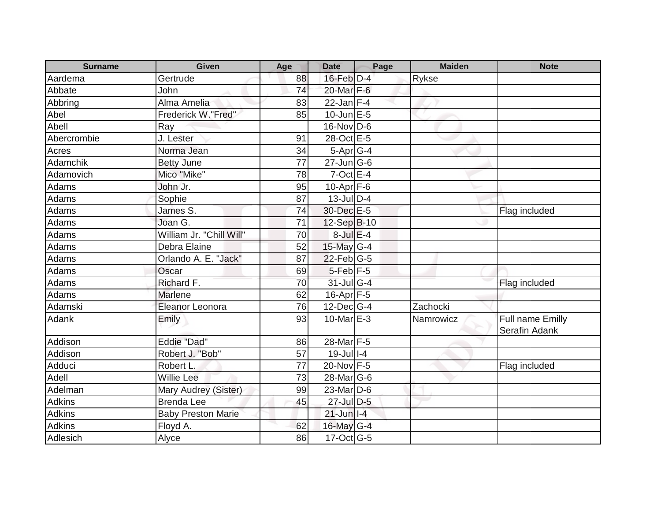| <b>Surname</b> | Given                     | Age | <b>Date</b>                 | Page | <b>Maiden</b> | <b>Note</b>                       |
|----------------|---------------------------|-----|-----------------------------|------|---------------|-----------------------------------|
| Aardema        | Gertrude                  | 88  | $16$ -Feb $D-4$             |      | <b>Rykse</b>  |                                   |
| Abbate         | John                      | 74  | 20-Mar F-6                  |      |               |                                   |
| Abbring        | Alma Amelia               | 83  | 22-Jan $F-4$                |      |               |                                   |
| Abel           | Frederick W."Fred"        | 85  | $10$ -Jun $E-5$             |      |               |                                   |
| Abell          | Ray                       |     | 16-Nov D-6                  |      |               |                                   |
| Abercrombie    | J. Lester                 | 91  | 28-Oct E-5                  |      |               |                                   |
| Acres          | Norma Jean                | 34  | $5-Apr$ G-4                 |      |               |                                   |
| Adamchik       | <b>Betty June</b>         | 77  | $27$ -Jun $\overline{G}$ -6 |      |               |                                   |
| Adamovich      | Mico "Mike"               | 78  | $7$ -Oct $E - 4$            |      |               |                                   |
| Adams          | John Jr.                  | 95  | $10$ -Apr $F$ -6            |      |               |                                   |
| Adams          | Sophie                    | 87  | $13$ -Jul $D-4$             |      |               |                                   |
| Adams          | James S.                  | 74  | 30-Dec E-5                  |      |               | Flag included                     |
| Adams          | Joan G.                   | 71  | 12-Sep B-10                 |      |               |                                   |
| Adams          | William Jr. "Chill Will"  | 70  | $8$ -Jul $E-4$              |      |               |                                   |
| Adams          | Debra Elaine              | 52  | 15-May G-4                  |      |               |                                   |
| Adams          | Orlando A. E. "Jack"      | 87  | $22$ -Feb $G-5$             |      |               |                                   |
| Adams          | Oscar                     | 69  | $5$ -Feb $F-5$              |      |               |                                   |
| Adams          | Richard F.                | 70  | $31$ -Jul G-4               |      |               | Flag included                     |
| Adams          | <b>Marlene</b>            | 62  | $16 - \overline{Apr}$ F-5   |      |               |                                   |
| Adamski        | <b>Eleanor Leonora</b>    | 76  | $12$ -Dec $G-4$             |      | Zachocki      |                                   |
| Adank          | Emily                     | 93  | 10-Mar E-3                  |      | Namrowicz     | Full name Emilly<br>Serafin Adank |
| Addison        | <b>Eddie "Dad"</b>        | 86  | 28-Mar <sub>F-5</sub>       |      |               |                                   |
| Addison        | Robert J. "Bob"           | 57  | $19$ -Jul $\overline{1-4}$  |      |               |                                   |
| Adduci         | Robert L.                 | 77  | 20-Nov F-5                  |      |               | Flag included                     |
| Adell          | <b>Willie Lee</b>         | 73  | 28-Mar G-6                  |      |               |                                   |
| Adelman        | Mary Audrey (Sister)      | 99  | 23-Mar D-6                  |      |               |                                   |
| Adkins         | <b>Brenda Lee</b>         | 45  | $27$ -Jul D-5               |      |               |                                   |
| Adkins         | <b>Baby Preston Marie</b> |     | $21$ -Jun   I-4             |      |               |                                   |
| <b>Adkins</b>  | Floyd A.                  | 62  | 16-May $G-4$                |      |               |                                   |
| Adlesich       | Alyce                     | 86  | $17-Oct$ G-5                |      |               |                                   |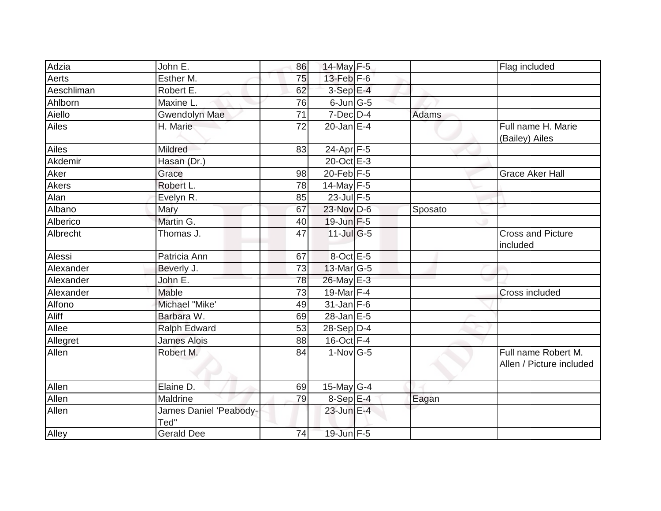| Adzia      | John E.                        | 86              | 14-May $F-5$     |         | Flag included                                   |
|------------|--------------------------------|-----------------|------------------|---------|-------------------------------------------------|
| Aerts      | Esther M.                      | 75              | $13$ -Feb $F-6$  |         |                                                 |
| Aeschliman | Robert E.                      | 62              | $3-Sep$ E-4      |         |                                                 |
| Ahlborn    | Maxine L.                      | 76              | $6$ -Jun $ G-5 $ |         |                                                 |
| Aiello     | <b>Gwendolyn Mae</b>           | $\overline{71}$ | $7$ -Dec $D-4$   | Adams   |                                                 |
| Ailes      | H. Marie                       | 72              | $20$ -Jan $E-4$  |         | Full name H. Marie<br>(Bailey) Ailes            |
| Ailes      | Mildred                        | 83              | $24-Apr$ F-5     |         |                                                 |
| Akdemir    | Hasan (Dr.)                    |                 | 20-Oct E-3       |         |                                                 |
| Aker       | Grace                          | 98              | $20$ -Feb $F-5$  |         | <b>Grace Aker Hall</b>                          |
| Akers      | Robert L.                      | 78              | $14$ -May $F-5$  |         |                                                 |
| Alan       | Evelyn R.                      | 85              | 23-Jul F-5       |         |                                                 |
| Albano     | Mary                           | 67              | 23-Nov D-6       | Sposato |                                                 |
| Alberico   | Martin G.                      | 40              | $19$ -Jun $F-5$  |         |                                                 |
| Albrecht   | Thomas J.                      | 47              | $11$ -Jul G-5    |         | <b>Cross and Picture</b><br>included            |
| Alessi     | Patricia Ann                   | 67              | 8-Oct E-5        |         |                                                 |
| Alexander  | Beverly J.                     | 73              | $13$ -Mar $ G-5$ |         |                                                 |
| Alexander  | John E.                        | 78              | 26-May E-3       |         |                                                 |
| Alexander  | Mable                          | 73              | 19-Mar $F-4$     |         | Cross included                                  |
| Alfono     | Michael "Mike'                 | 49              | $31$ -Jan F-6    |         |                                                 |
| Aliff      | Barbara W.                     | 69              | $28$ -Jan $E$ -5 |         |                                                 |
| Allee      | Ralph Edward                   | 53              | $28-Sep D-4$     |         |                                                 |
| Allegret   | <b>James Alois</b>             | 88              | $16$ -Oct $F-4$  |         |                                                 |
| Allen      | Robert M.                      | 84              | $1-Nov$ G-5      |         | Full name Robert M.<br>Allen / Picture included |
| Allen      | Elaine D.                      | 69              | 15-May $G-4$     |         |                                                 |
| Allen      | Maldrine                       | 79              | 8-Sep E-4        | Eagan   |                                                 |
| Allen      | James Daniel 'Peabody-<br>Ted" |                 | 23-Jun E-4       |         |                                                 |
| Alley      | <b>Gerald Dee</b>              | 74              | $19$ -Jun $F-5$  |         |                                                 |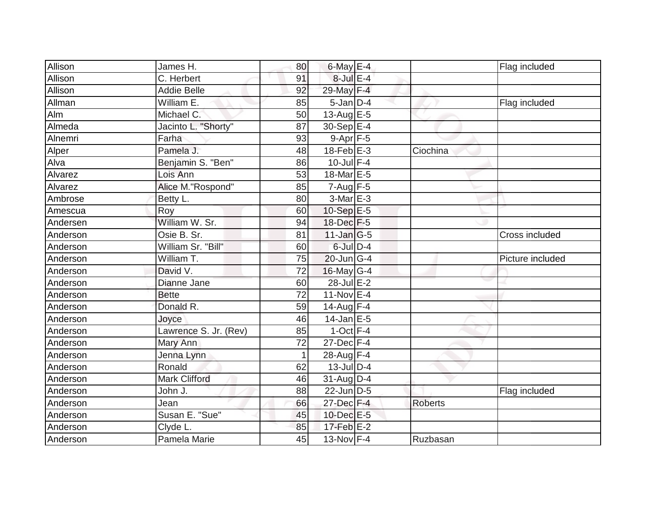| Allison  | James H.              | 80           | $6$ -May $E-4$              |                | Flag included    |
|----------|-----------------------|--------------|-----------------------------|----------------|------------------|
| Allison  | C. Herbert            | 91           | 8-Jul E-4                   |                |                  |
| Allison  | <b>Addie Belle</b>    | 92           | 29-May F-4                  |                |                  |
| Allman   | William E.            | 85           | $5$ -Jan $D-4$              |                | Flag included    |
| Alm      | Michael C.            | 50           | $13-Aug$ $E-5$              |                |                  |
| Almeda   | Jacinto L. "Shorty"   | 87           | $30-Sep \E-4$               |                |                  |
| Alnemri  | Farha                 | 93           | $9 - Apr$ $F - 5$           |                |                  |
| Alper    | Pamela J.             | 48           | $18-Feb$ E-3                | Ciochina       |                  |
| Alva     | Benjamin S. "Ben"     | 86           | $10$ -Jul $F-4$             |                |                  |
| Alvarez  | Lois Ann              | 53           | 18-Mar <sub>E-5</sub>       |                |                  |
| Alvarez  | Alice M."Rospond"     | 85           | $7 - Aug$ F-5               |                |                  |
| Ambrose  | Betty L.              | 80           | 3-Mar E-3                   |                |                  |
| Amescua  | Roy                   | 60           | 10-Sep E-5                  |                |                  |
| Andersen | William W. Sr.        | 94           | 18-Dec F-5                  |                |                  |
| Anderson | Osie B. Sr.           | 81           | $11$ -Jan $ G-5 $           |                | Cross included   |
| Anderson | William Sr. "Bill"    | 60           | 6-Jul D-4                   |                |                  |
| Anderson | William T.            | 75           | 20-Jun G-4                  |                | Picture included |
| Anderson | David V.              | 72           | 16-May G-4                  |                |                  |
| Anderson | Dianne Jane           | 60           | 28-Jul E-2                  |                |                  |
| Anderson | <b>Bette</b>          | 72           | $11-Nov$ E-4                |                |                  |
| Anderson | Donald R.             | 59           | $14$ -Aug F-4               |                |                  |
| Anderson | Joyce                 | 46           | $14$ -Jan E-5               |                |                  |
| Anderson | Lawrence S. Jr. (Rev) | 85           | $1-Oct$ F-4                 |                |                  |
| Anderson | Mary Ann              | 72           | $27 - Dec$ $F-4$            |                |                  |
| Anderson | Jenna Lynn            | $\mathbf{1}$ | 28-Aug F-4                  |                |                  |
| Anderson | Ronald                | 62           | $13$ -Jul $D-4$             |                |                  |
| Anderson | <b>Mark Clifford</b>  | 46           | $31$ -Aug $D-4$             |                |                  |
| Anderson | John J.               | 88           | $22$ -Jun $\overline{D}$ -5 |                | Flag included    |
| Anderson | Jean                  | 66           | 27-Dec F-4                  | <b>Roberts</b> |                  |
| Anderson | Susan E. "Sue"        | 45           | 10-Dec E-5                  |                |                  |
| Anderson | Clyde L.              | 85           | $17$ -Feb $E-2$             |                |                  |
| Anderson | Pamela Marie          | 45           | 13-Nov F-4                  | Ruzbasan       |                  |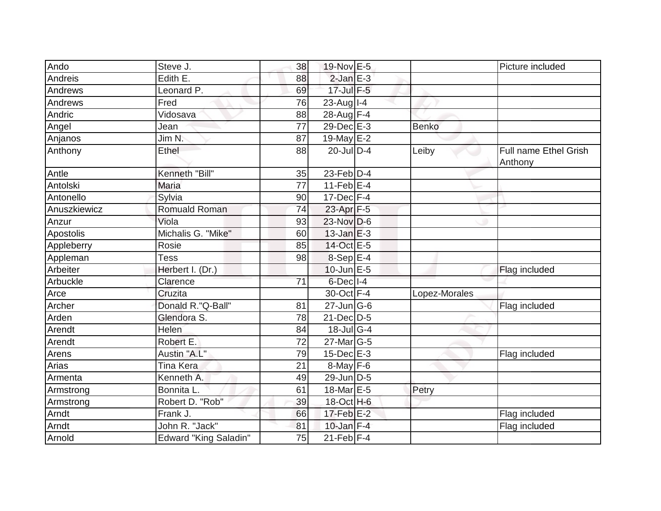| Ando         | Steve J.                     | 38              | 19-Nov E-5                        |               | Picture included                        |
|--------------|------------------------------|-----------------|-----------------------------------|---------------|-----------------------------------------|
| Andreis      | Edith E.                     | 88              | $2$ -Jan $E-3$                    |               |                                         |
| Andrews      | Leonard P.                   | 69              | 17-Jul F-5                        |               |                                         |
| Andrews      | Fred                         | 76              | $23$ -Aug   I-4                   |               |                                         |
| Andric       | Vidosava                     | 88              | 28-Aug F-4                        |               |                                         |
| Angel        | Jean                         | 77              | 29-Dec E-3                        | <b>Benko</b>  |                                         |
| Anjanos      | Jim N.                       | 87              | 19-May $E-2$                      |               |                                         |
| Anthony      | Ethel                        | 88              | $20$ -JulD-4                      | Leiby         | <b>Full name Ethel Grish</b><br>Anthony |
| Antle        | Kenneth "Bill"               | 35              | $23$ -Feb $D-4$                   |               |                                         |
| Antolski     | Maria                        | 77              | 11-Feb $E-4$                      |               |                                         |
| Antonello    | Sylvia                       | 90              | $17$ -Dec $F-4$                   |               |                                         |
| Anuszkiewicz | <b>Romuald Roman</b>         | 74              | 23-Apr <sub>F-5</sub>             |               |                                         |
| Anzur        | Viola                        | 93              | $23-Nov D-6$                      |               |                                         |
| Apostolis    | Michalis G. "Mike"           | 60              | $13$ -Jan $E-3$                   |               |                                         |
| Appleberry   | Rosie                        | 85              | 14-Oct E-5                        |               |                                         |
| Appleman     | <b>Tess</b>                  | 98              | $8-Sep$ E-4                       |               |                                         |
| Arbeiter     | Herbert I. (Dr.)             |                 | $10$ -Jun $E - 5$                 |               | Flag included                           |
| Arbuckle     | Clarence                     | $\overline{71}$ | $6$ -Dec $ I-4 $                  |               |                                         |
| Arce         | Cruzita                      |                 | 30-Oct F-4                        | Lopez-Morales |                                         |
| Archer       | Donald R."Q-Ball"            | 81              | $27$ -Jun $\overline{\text{G-6}}$ |               | Flag included                           |
| Arden        | Glendora S.                  | 78              | $21$ -Dec $D-5$                   |               |                                         |
| Arendt       | Helen                        | 84              | $18$ -JulG-4                      |               |                                         |
| Arendt       | Robert E.                    | 72              | $27$ -Mar $ G-5$                  |               |                                         |
| Arens        | Austin "A.L"                 | 79              | $15$ -Dec $E-3$                   |               | Flag included                           |
| Arias        | Tina Kera                    | 21              | 8-May F-6                         |               |                                         |
| Armenta      | Kenneth A.                   | 49              | $29$ -Jun D-5                     |               |                                         |
| Armstrong    | Bonnita L.                   | 61              | 18-Mar E-5                        | Petry         |                                         |
| Armstrong    | Robert D. "Rob"              | 39              | 18-Oct H-6                        |               |                                         |
| Arndt        | Frank J.                     | 66              | 17-Feb E-2                        |               | Flag included                           |
| Arndt        | John R. "Jack"               | 81              | $10$ -Jan $F-4$                   |               | Flag included                           |
| Arnold       | <b>Edward "King Saladin"</b> | 75              | $21$ -Feb $F-4$                   |               |                                         |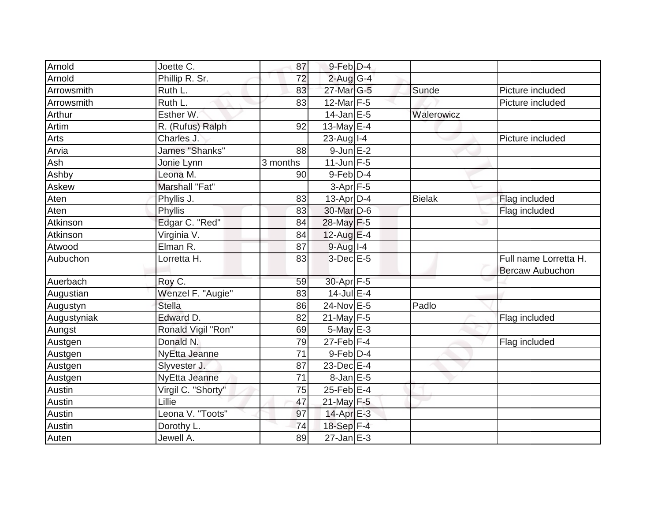| Arnold      | Joette C.                       | 87       | $9$ -Feb $D-4$           |               |                                                 |
|-------------|---------------------------------|----------|--------------------------|---------------|-------------------------------------------------|
| Arnold      | Phillip R. Sr.                  | 72       | $2$ -Aug $G-4$           |               |                                                 |
| Arrowsmith  | Ruth L.                         | 83       | 27-Mar G-5               | Sunde         | Picture included                                |
| Arrowsmith  | Ruth L.                         | 83       | $12$ -Mar F-5            |               | Picture included                                |
| Arthur      | Esther W.                       |          | $14$ -Jan E-5            | Walerowicz    |                                                 |
| Artim       | R. (Rufus) Ralph                | 92       | 13-May E-4               |               |                                                 |
| Arts        | Charles J.                      |          | $23$ -Aug   I-4          |               | Picture included                                |
| Arvia       | James "Shanks"                  | 88       | $9$ -Jun $E-2$           |               |                                                 |
| Ash         | Jonie Lynn                      | 3 months | $11$ -Jun $F-5$          |               |                                                 |
| Ashby       | Leona M.                        | 90       | $9$ -Feb $ D-4$          |               |                                                 |
| Askew       | Marshall "Fat"                  |          | $3-Apr$ F-5              |               |                                                 |
| Aten        | Phyllis J.                      | 83       | $13$ -Apr $D-4$          | <b>Bielak</b> | Flag included                                   |
| Aten        | Phyllis                         | 83       | 30-Mar D-6               |               | Flag included                                   |
| Atkinson    | Edgar C. "Red"                  | 84       | 28-May F-5               |               |                                                 |
| Atkinson    | Virginia V.                     | 84       | 12-Aug $E-4$             |               |                                                 |
| Atwood      | $\overline{\mathsf{El}}$ man R. | 87       | $9-Aug$ <sup>1-4</sup>   |               |                                                 |
| Aubuchon    | Lorretta H.                     | 83       | $3$ -Dec $E$ -5          |               | Full name Lorretta H.<br><b>Bercaw Aubuchon</b> |
| Auerbach    | Roy C.                          | 59       | 30-Apr <sub>F-5</sub>    |               |                                                 |
| Augustian   | Wenzel F. "Augie"               | 83       | $14$ -Jul E-4            |               |                                                 |
| Augustyn    | <b>Stella</b>                   | 86       | 24-Nov E-5               | Padlo         |                                                 |
| Augustyniak | Edward D.                       | 82       | 21-May $F-5$             |               | Flag included                                   |
| Aungst      | Ronald Vigil "Ron"              | 69       | 5-May E-3                |               |                                                 |
| Austgen     | Donald N.                       | 79       | $27$ -Feb $ F-4$         |               | Flag included                                   |
| Austgen     | NyEtta Jeanne                   | 71       | $9$ -Feb $ D-4$          |               |                                                 |
| Austgen     | Slyvester J.                    | 87       | $23$ -Dec $E-4$          |               |                                                 |
| Austgen     | NyEtta Jeanne                   | 71       | $8$ -Jan $E$ -5          |               |                                                 |
| Austin      | Virgil C. "Shorty"              | 75       | 25-Feb E-4               |               |                                                 |
| Austin      | Lillie                          | 47       | $21$ -May F-5            |               |                                                 |
| Austin      | Leona V. "Toots"                | 97       | $14$ -Apr $E-3$          |               |                                                 |
| Austin      | Dorothy L.                      | 74       | 18-Sep F-4               |               |                                                 |
| Auten       | Jewell A.                       | 89       | $\overline{27}$ -Jan E-3 |               |                                                 |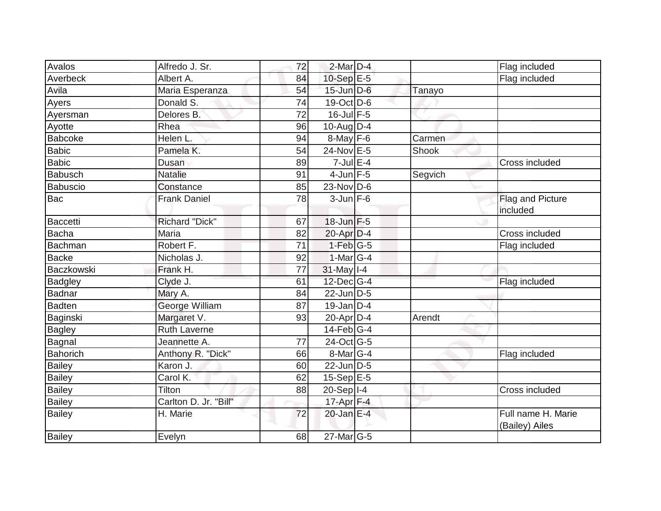| Avalos          | Alfredo J. Sr.        | 72 | $2$ -Mar $D-4$    |         | Flag included                        |
|-----------------|-----------------------|----|-------------------|---------|--------------------------------------|
| Averbeck        | Albert A.             | 84 | 10-Sep E-5        |         | Flag included                        |
| Avila           | Maria Esperanza       | 54 | $15$ -Jun $D-6$   | Tanayo  |                                      |
| Ayers           | Donald S.             | 74 | 19-Oct D-6        |         |                                      |
| Ayersman        | Delores B.            | 72 | $16$ -Jul $F-5$   |         |                                      |
| Ayotte          | Rhea                  | 96 | $10$ -Aug D-4     |         |                                      |
| <b>Babcoke</b>  | Helen L.              | 94 | $8$ -May F-6      | Carmen  |                                      |
| <b>Babic</b>    | Pamela K.             | 54 | 24-Nov E-5        | Shook   |                                      |
| <b>Babic</b>    | Dusan                 | 89 | $7$ -Jul $E-4$    |         | Cross included                       |
| <b>Babusch</b>  | <b>Natalie</b>        | 91 | $4$ -Jun $F-5$    | Segvich |                                      |
| <b>Babuscio</b> | Constance             | 85 | 23-Nov D-6        |         |                                      |
| Bac             | <b>Frank Daniel</b>   | 78 | $3$ -Jun $F-6$    |         | Flag and Picture<br>included         |
| <b>Baccetti</b> | <b>Richard "Dick"</b> | 67 | 18-Jun F-5        |         |                                      |
| <b>Bacha</b>    | Maria                 | 82 | $20$ -Apr $D-4$   |         | Cross included                       |
| <b>Bachman</b>  | Robert F.             | 71 | $1-Feb$ G-5       |         | Flag included                        |
| <b>Backe</b>    | Nicholas J.           | 92 | $1-Mar$ G-4       |         |                                      |
| Baczkowski      | Frank H.              | 77 | 31-May I-4        |         |                                      |
| <b>Badgley</b>  | Clyde J.              | 61 | $12$ -Dec $ G-4 $ |         | Flag included                        |
| <b>Badnar</b>   | Mary A.               | 84 | $22$ -Jun D-5     |         |                                      |
| <b>Badten</b>   | George William        | 87 | $19$ -Jan D-4     |         |                                      |
| Baginski        | Margaret V.           | 93 | $20$ -Apr $D-4$   | Arendt  |                                      |
| <b>Bagley</b>   | <b>Ruth Laverne</b>   |    | $14$ -Feb $G-4$   |         |                                      |
| <b>Bagnal</b>   | Jeannette A.          | 77 | $24$ -Oct $ G-5 $ |         |                                      |
| <b>Bahorich</b> | Anthony R. "Dick"     | 66 | $8$ -Mar $ G-4$   |         | Flag included                        |
| <b>Bailey</b>   | Karon J.              | 60 | $22$ -Jun $D-5$   |         |                                      |
| <b>Bailey</b>   | Carol K.              | 62 | 15-Sep E-5        |         |                                      |
| <b>Bailey</b>   | Tilton                | 88 | $20-Sep$ $I-4$    |         | Cross included                       |
| Bailey          | Carlton D. Jr. "Bill" |    | $17$ -Apr $F-4$   |         |                                      |
| <b>Bailey</b>   | H. Marie              | 72 |                   |         | Full name H. Marie<br>(Bailey) Ailes |
| Bailey          | Evelyn                | 68 | 27-Mar G-5        |         |                                      |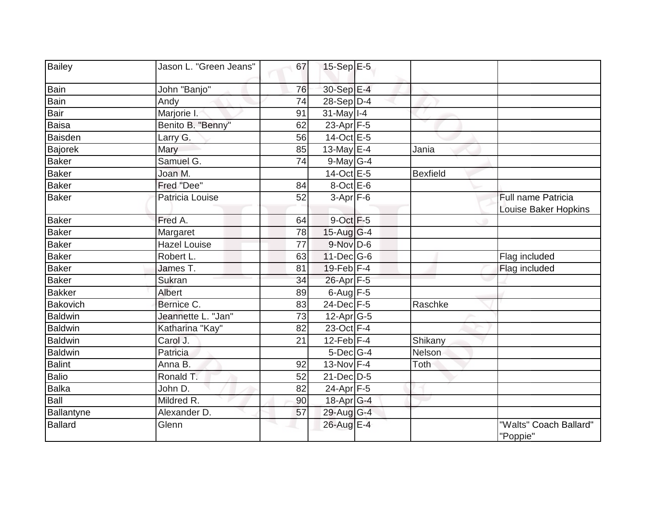| <b>Bailey</b>  | Jason L. "Green Jeans" | 67 | 15-Sep E-5           |                 |                                            |
|----------------|------------------------|----|----------------------|-----------------|--------------------------------------------|
|                |                        |    |                      |                 |                                            |
| Bain           | John "Banjo"           | 76 | 30-Sep E-4           |                 |                                            |
| Bain           | Andy                   | 74 | $28-Sep D-4$         |                 |                                            |
| <b>Bair</b>    | Marjorie I.            | 91 | $31$ -May $I-4$      |                 |                                            |
| <b>Baisa</b>   | Benito B. "Benny"      | 62 | 23-Apr F-5           |                 |                                            |
| Baisden        | Larry G.               | 56 | 14-Oct E-5           |                 |                                            |
| Bajorek        | Mary                   | 85 | 13-May $E-4$         | Jania           |                                            |
| Baker          | Samuel G.              | 74 | $9$ -May G-4         |                 |                                            |
| <b>Baker</b>   | Joan M.                |    | 14-Oct E-5           | <b>Bexfield</b> |                                            |
| <b>Baker</b>   | Fred "Dee"             | 84 | $8$ -Oct $E - 6$     |                 |                                            |
| Baker          | Patricia Louise        | 52 | $3-Apr$ F-6          |                 | Full name Patricia<br>Louise Baker Hopkins |
| <b>Baker</b>   | Fred A.                | 64 | 9-Oct F-5            |                 |                                            |
| <b>Baker</b>   | Margaret               | 78 | $15$ -Aug G-4        |                 |                                            |
| Baker          | <b>Hazel Louise</b>    | 77 | 9-Nov D-6            |                 |                                            |
| Baker          | Robert L.              | 63 | 11-Dec G-6           |                 | Flag included                              |
| <b>Baker</b>   | James T.               | 81 | $19$ -Feb $ F-4 $    |                 | Flag included                              |
| <b>Baker</b>   | Sukran                 | 34 | 26-Apr F-5           |                 |                                            |
| Bakker         | Albert                 | 89 | $6$ -Aug $F-5$       |                 |                                            |
| Bakovich       | Bernice C.             | 83 | 24-Dec F-5           | Raschke         |                                            |
| Baldwin        | Jeannette L. "Jan"     | 73 | $12$ -Apr $G-5$      |                 |                                            |
| <b>Baldwin</b> | Katharina "Kay"        | 82 | 23-Oct F-4           |                 |                                            |
| Baldwin        | Carol J.               | 21 | $12$ -Feb $F-4$      | Shikany         |                                            |
| Baldwin        | Patricia               |    | 5-Dec <sup>G-4</sup> | <b>Nelson</b>   |                                            |
| Balint         | Anna B.                | 92 | 13-Nov F-4           | Toth            |                                            |
| Balio          | Ronald T.              | 52 | $21 - Dec$ $D-5$     |                 |                                            |
| Balka          | John D.                | 82 | 24-Apr F-5           |                 |                                            |
| Ball           | Mildred R.             | 90 | 18-Apr G-4           |                 |                                            |
| Ballantyne     | Alexander D.           | 57 | 29-Aug G-4           |                 |                                            |
| <b>Ballard</b> | Glenn                  |    | 26-Aug E-4           |                 | "Walts" Coach Ballard"<br>"Poppie"         |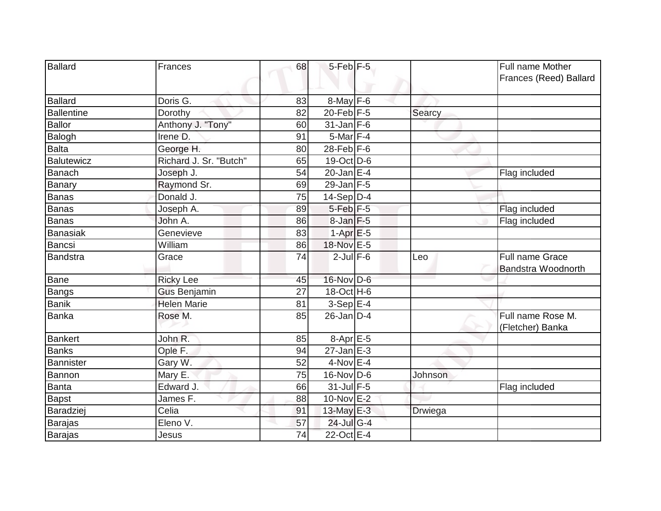| <b>Ballard</b>    | Frances                | 68 | $5$ -Feb $F-5$       |         | Full name Mother<br>Frances (Reed) Ballard   |
|-------------------|------------------------|----|----------------------|---------|----------------------------------------------|
| <b>Ballard</b>    | Doris G.               | 83 | $8$ -May $F-6$       |         |                                              |
| <b>Ballentine</b> | Dorothy                | 82 | $20$ -Feb F-5        | Searcy  |                                              |
| <b>Ballor</b>     | Anthony J. "Tony"      | 60 | $31$ -Jan F-6        |         |                                              |
| Balogh            | Irene <sup>D</sup> .   | 91 | 5-Mar F-4            |         |                                              |
| <b>Balta</b>      | George H.              | 80 | $28$ -Feb F-6        |         |                                              |
| Balutewicz        | Richard J. Sr. "Butch" | 65 | $19-Oct$ D-6         |         |                                              |
| Banach            | Joseph J.              | 54 | $20$ -Jan E-4        |         | Flag included                                |
| Banary            | Raymond Sr.            | 69 | 29-Jan F-5           |         |                                              |
| Banas             | Donald J.              | 75 | $14-Sep$ D-4         |         |                                              |
| Banas             | Joseph A.              | 89 | 5-Feb <sup>F-5</sup> |         | Flag included                                |
| <b>Banas</b>      | John A.                | 86 | $8$ -Jan $F$ -5      |         | Flag included                                |
| Banasiak          | Genevieve              | 83 | $1-Apr$ $E-5$        |         |                                              |
| Bancsi            | William                | 86 | 18-Nov E-5           |         |                                              |
| Bandstra          | Grace                  | 74 | $2$ -Jul $F-6$       | Leo     | Full name Grace<br><b>Bandstra Woodnorth</b> |
| Bane              | <b>Ricky Lee</b>       | 45 | 16-Nov D-6           |         |                                              |
| Bangs             | <b>Gus Benjamin</b>    | 27 | 18-Oct H-6           |         |                                              |
| Banik             | <b>Helen Marie</b>     | 81 | $3-Sep$ E-4          |         |                                              |
| Banka             | Rose M.                | 85 | $26$ -Jan $D-4$      |         | Full name Rose M.<br>(Fletcher) Banka        |
| Bankert           | John R.                | 85 | 8-Apr E-5            |         |                                              |
| <b>Banks</b>      | Ople F.                | 94 | $27$ -Jan $E-3$      |         |                                              |
| Bannister         | Gary W.                | 52 | $4-Nov$ E-4          |         |                                              |
| Bannon            | Mary E.                | 75 | 16-Nov D-6           | Johnson |                                              |
| Banta             | Edward J.              | 66 | 31-Jul F-5           |         | Flag included                                |
| <b>Bapst</b>      | James F.               | 88 | 10-Nov E-2           |         |                                              |
| Baradziej         | Celia                  | 91 | 13-May E-3           | Drwiega |                                              |
| Barajas           | Eleno V.               | 57 | 24-Jul G-4           |         |                                              |
| <b>Barajas</b>    | Jesus                  | 74 | 22-Oct E-4           |         |                                              |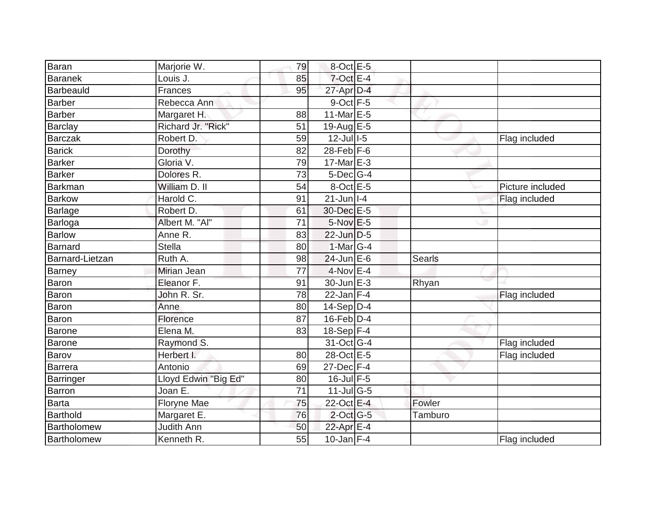| Baran           | Marjorie W.             | 79 | $8$ -Oct $E - 5$                  |         |                  |
|-----------------|-------------------------|----|-----------------------------------|---------|------------------|
| <b>Baranek</b>  | Louis J.                | 85 | $7$ -Oct $E-4$                    |         |                  |
| Barbeauld       | <b>Frances</b>          | 95 | 27-Apr D-4                        |         |                  |
| <b>Barber</b>   | Rebecca Ann             |    | $9$ -Oct $F-5$                    |         |                  |
| Barber          | Margaret H.             | 88 | 11-Mar $E-5$                      |         |                  |
| <b>Barclay</b>  | Richard Jr. "Rick"      | 51 | 19-Aug E-5                        |         |                  |
| Barczak         | Robert D.               | 59 | $12$ -Jull-5                      |         | Flag included    |
| Barick          | Dorothy                 | 82 | $28$ -Feb $F-6$                   |         |                  |
| Barker          | Gloria V.               | 79 | 17-Mar E-3                        |         |                  |
| Barker          | Dolores R.              | 73 | 5-Dec <sup>G-4</sup>              |         |                  |
| Barkman         | William D. II           | 54 | $8$ -Oct $E$ -5                   |         | Picture included |
| <b>Barkow</b>   | Harold $\overline{C}$ . | 91 | $21$ -Jun $ I-4 $                 |         | Flag included    |
| Barlage         | Robert D.               | 61 | 30-Dec E-5                        |         |                  |
| <b>Barloga</b>  | Albert M. "Al"          | 71 | $5-Nov$ E-5                       |         |                  |
| Barlow          | Anne R.                 | 83 | 22-Jun D-5                        |         |                  |
| Barnard         | <b>Stella</b>           | 80 | 1-Mar G-4                         |         |                  |
| Barnard-Lietzan | Ruth A.                 | 98 | $24$ -Jun $E-6$                   | Searls  |                  |
| Barney          | Mirian Jean             | 77 | $4$ -Nov $E - 4$                  |         |                  |
| Baron           | Eleanor F.              | 91 | 30-Jun E-3                        | Rhyan   |                  |
| Baron           | John R. Sr.             | 78 | $22$ -Jan F-4                     |         | Flag included    |
| Baron           | Anne                    | 80 | $14-Sep D-4$                      |         |                  |
| Baron           | Florence                | 87 | $16$ -Feb $D-4$                   |         |                  |
| <b>Barone</b>   | Elena M.                | 83 | $18-Sep$ F-4                      |         |                  |
| <b>Barone</b>   | Raymond S.              |    | 31-Oct G-4                        |         | Flag included    |
| Barov           | Herbert I.              | 80 | 28-Oct E-5                        |         | Flag included    |
| Barrera         | Antonio                 | 69 | $27$ -Dec $F-4$                   |         |                  |
| Barringer       | Lloyd Edwin "Big Ed"    | 80 | $16$ -Jul $F-5$                   |         |                  |
| Barron          | Joan E.                 | 71 | $11$ -Jul $\overline{\text{G-5}}$ |         |                  |
| Barta           | Floryne Mae             | 75 | 22-Oct E-4                        | Fowler  |                  |
| Barthold        | Margaret E.             | 76 | $2$ -Oct G-5                      | Tamburo |                  |
| Bartholomew     | <b>Judith Ann</b>       | 50 | 22-Apr E-4                        |         |                  |
| Bartholomew     | Kenneth R.              | 55 | $10$ -Jan F-4                     |         | Flag included    |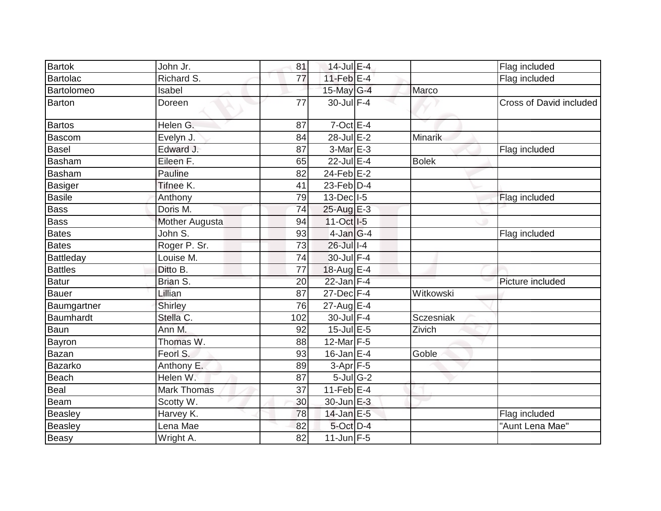| <b>Bartok</b>     | John Jr.           | 81              | 14-Jul E-4                           |              | Flag included           |
|-------------------|--------------------|-----------------|--------------------------------------|--------------|-------------------------|
| <b>Bartolac</b>   | Richard S.         | $\overline{77}$ | 11-Feb $E-4$                         |              | Flag included           |
| <b>Bartolomeo</b> | Isabel             |                 | 15-May G-4                           | Marco        |                         |
| <b>Barton</b>     | Doreen             | 77              | 30-Jul F-4                           |              | Cross of David included |
| <b>Bartos</b>     | Helen G.           | 87              | $7$ -Oct $E-4$                       |              |                         |
| <b>Bascom</b>     | Evelyn J.          | 84              | 28-Jul E-2                           | Minarik      |                         |
| <b>Basel</b>      | Edward J.          | 87              | $3-Mar$ $E-3$                        |              | Flag included           |
| <b>Basham</b>     | Eileen F.          | 65              | 22-Jul E-4                           | <b>Bolek</b> |                         |
| <b>Basham</b>     | <b>Pauline</b>     | 82              | $24$ -Feb $E-2$                      |              |                         |
| <b>Basiger</b>    | Tifnee K.          | 41              | 23-Feb $D-4$                         |              |                         |
| Basile            | Anthony            | 79              | $13$ -Dec $I$ -5                     |              | Flag included           |
| <b>Bass</b>       | Doris M.           | 74              | 25-Aug E-3                           |              |                         |
| <b>Bass</b>       | Mother Augusta     | 94              | $11-Oct$ <sub><math>1-5</math></sub> |              |                         |
| <b>Bates</b>      | John S.            | 93              | 4-Jan G-4                            |              | Flag included           |
| <b>Bates</b>      | Roger P. Sr.       | 73              | 26-Jul I-4                           |              |                         |
| <b>Battleday</b>  | Louise M.          | 74              | 30-Jul F-4                           |              |                         |
| <b>Battles</b>    | Ditto B.           | 77              | 18-Aug E-4                           |              |                         |
| Batur             | Brian S.           | 20              | $22$ -Jan $F-4$                      |              | Picture included        |
| Bauer             | Lillian            | 87              | $27 - Dec$ $F-4$                     | Witkowski    |                         |
| Baumgartner       | Shirley            | 76              | $27$ -Aug E-4                        |              |                         |
| Baumhardt         | Stella C.          | 102             | 30-Jul F-4                           | Sczesniak    |                         |
| <b>Baun</b>       | Ann M.             | 92              | $15$ -Jul E-5                        | Zivich       |                         |
| Bayron            | Thomas W.          | 88              | 12-Mar F-5                           |              |                         |
| Bazan             | Feorl S.           | 93              | $16$ -Jan E-4                        | Goble        |                         |
| <b>Bazarko</b>    | Anthony E.         | 89              | $3-Apr$ F-5                          |              |                         |
| <b>Beach</b>      | Helen W.           | 87              | $5$ -Jul G-2                         |              |                         |
| Beal              | <b>Mark Thomas</b> | 37              | $11$ -Feb $E-4$                      |              |                         |
| Beam              | Scotty W.          | 30              | 30-Jun E-3                           |              |                         |
| <b>Beasley</b>    | Harvey K.          | 78              | $14$ -Jan E-5                        |              | Flag included           |
| <b>Beasley</b>    | Lena Mae           | 82              | 5-Oct D-4                            |              | "Aunt Lena Mae"         |
| Beasy             | Wright A.          | 82              | $11$ -Jun F-5                        |              |                         |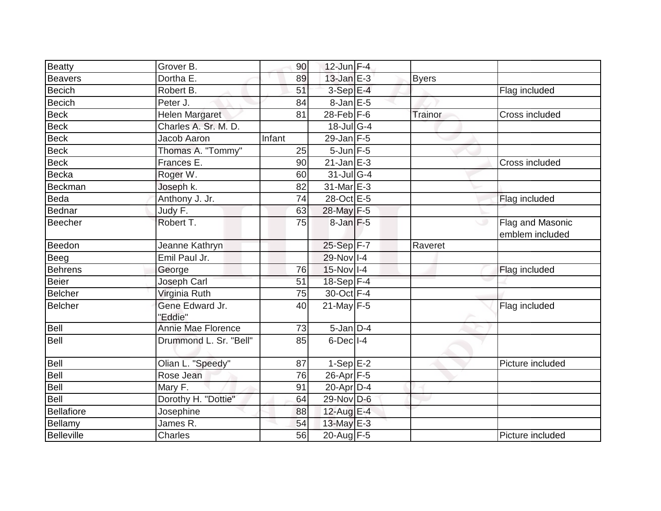| <b>Beatty</b>     | Grover B.                  | 90     | $12$ -Jun F-4    |              |                                     |
|-------------------|----------------------------|--------|------------------|--------------|-------------------------------------|
| Beavers           | Dortha E.                  | 89     | $13$ -Jan $E-3$  | <b>Byers</b> |                                     |
| <b>Becich</b>     | Robert B.                  | 51     | $3-SepE-4$       |              | Flag included                       |
| <b>Becich</b>     | Peter J.                   | 84     | $8$ -Jan E-5     |              |                                     |
| <b>Beck</b>       | <b>Helen Margaret</b>      | 81     | $28$ -Feb $F-6$  | Trainor      | Cross included                      |
| <b>Beck</b>       | Charles A. Sr. M. D.       |        | $18$ -Jul G-4    |              |                                     |
| <b>Beck</b>       | <b>Jacob Aaron</b>         | Infant | 29-Jan $F-5$     |              |                                     |
| <b>Beck</b>       | Thomas A. "Tommy"          | 25     | $5$ -Jun $F$ -5  |              |                                     |
| <b>Beck</b>       | Frances E.                 | 90     | $21$ -Jan $E-3$  |              | Cross included                      |
| <b>Becka</b>      | Roger W.                   | 60     | $31$ -Jul G-4    |              |                                     |
| <b>Beckman</b>    | Joseph k.                  | 82     | 31-Mar E-3       |              |                                     |
| Beda              | Anthony J. Jr.             | 74     | 28-Oct E-5       |              | Flag included                       |
| Bednar            | Judy F.                    | 63     | 28-May F-5       |              |                                     |
| Beecher           | Robert <sub>T.</sub>       | 75     | $8$ -Jan $F-5$   |              | Flag and Masonic<br>emblem included |
| Beedon            | Jeanne Kathryn             |        | 25-Sep F-7       | Raveret      |                                     |
| Beeg              | Emil Paul Jr.              |        | 29-Nov I-4       |              |                                     |
| <b>Behrens</b>    | George                     | 76     | $15$ -Nov I-4    |              | Flag included                       |
| <b>Beier</b>      | Joseph Carl                | 51     | $18-Sep$ F-4     |              |                                     |
| <b>Belcher</b>    | Virginia Ruth              | 75     | 30-Oct F-4       |              |                                     |
| <b>Belcher</b>    | Gene Edward Jr.<br>"Eddie" | 40     | $21$ -May $F-5$  |              | Flag included                       |
| Bell              | Annie Mae Florence         | 73     | $5$ -Jan $D-4$   |              |                                     |
| Bell              | Drummond L. Sr. "Bell"     | 85     | $6$ -Dec $ I-4 $ |              |                                     |
| Bell              | Olian L. "Speedy"          | 87     | $1-Sep$ $E-2$    |              | Picture included                    |
| Bell              | Rose Jean                  | 76     | 26-Apr F-5       |              |                                     |
| Bell              | Mary F.                    | 91     | $20$ -Apr $D-4$  |              |                                     |
| Bell              | Dorothy H. "Dottie"        | 64     | 29-Nov D-6       |              |                                     |
| <b>Bellafiore</b> | Josephine                  | 88     | 12-Aug E-4       |              |                                     |
| Bellamy           | James R.                   | 54     | 13-May E-3       |              |                                     |
| Belleville        | <b>Charles</b>             | 56     | 20-Aug F-5       |              | Picture included                    |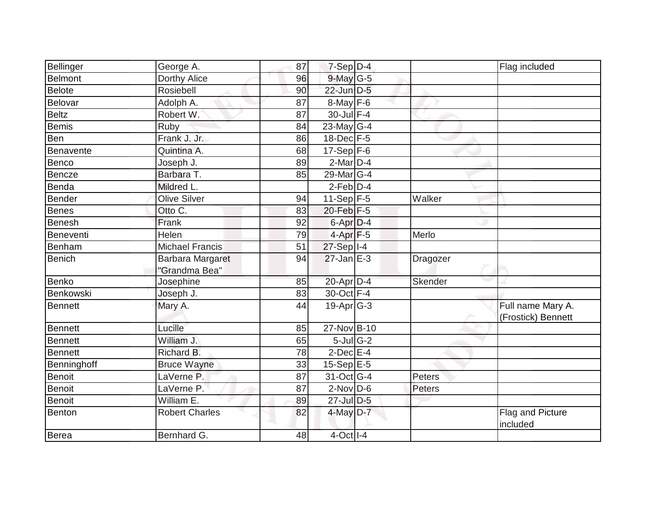| Bellinger      | George A.              | 87 | 7-Sep D-4                  |          | Flag included                |
|----------------|------------------------|----|----------------------------|----------|------------------------------|
| <b>Belmont</b> | Dorthy Alice           | 96 | 9-May G-5                  |          |                              |
| <b>Belote</b>  | Rosiebell              | 90 | 22-Jun D-5                 |          |                              |
| Belovar        | Adolph A.              | 87 | $8$ -May $F$ -6            |          |                              |
| <b>Beltz</b>   | Robert W:              | 87 | $30$ -Jul $F-4$            |          |                              |
| <b>Bemis</b>   | Ruby                   | 84 | 23-May G-4                 |          |                              |
| Ben            | Frank J. Jr.           | 86 | $18$ -Dec $F-5$            |          |                              |
| Benavente      | Quintina A.            | 68 | $17-Sep$ F-6               |          |                              |
| Benco          | Joseph J.              | 89 | $2-Mar$ D-4                |          |                              |
| <b>Bencze</b>  | Barbara T.             | 85 | 29-Mar G-4                 |          |                              |
| Benda          | Mildred L.             |    | $2$ -Feb $D-4$             |          |                              |
| Bender         | <b>Olive Silver</b>    | 94 | $11-Sep$ F-5               | Walker   |                              |
| <b>Benes</b>   | Otto C.                | 83 | $20$ -Feb $F-5$            |          |                              |
| Benesh         | Frank                  | 92 | 6-Apr D-4                  |          |                              |
| Beneventi      | Helen                  | 79 | $4-Apr$ F-5                | Merlo    |                              |
| Benham         | <b>Michael Francis</b> | 51 | 27-Sep I-4                 |          |                              |
| <b>Benich</b>  | Barbara Margaret       | 94 | $27$ -Jan E-3              | Dragozer |                              |
|                | "Grandma Bea"          |    |                            |          |                              |
| Benko          | Josephine              | 85 | 20-Apr D-4                 | Skender  |                              |
| Benkowski      | Joseph J.              | 83 | 30-Oct F-4                 |          |                              |
| <b>Bennett</b> | Mary A.                | 44 | $19$ -Apr $ G-3 $          |          | Full name Mary A.            |
|                |                        |    |                            |          | (Frostick) Bennett           |
| Bennett        | Lucille                | 85 | 27-Nov B-10                |          |                              |
| <b>Bennett</b> | William J.             | 65 | $5$ -Jul $\overline{G}$ -2 |          |                              |
| <b>Bennett</b> | Richard B.             | 78 | $2$ -Dec $E-4$             |          |                              |
| Benninghoff    | <b>Bruce Wayne</b>     | 33 | $15-SepE-5$                |          |                              |
| <b>Benoit</b>  | LaVerne P.             | 87 | 31-Oct G-4                 | Peters   |                              |
| <b>Benoit</b>  | LaVerne P.             | 87 | $2$ -Nov D-6               | Peters   |                              |
| <b>Benoit</b>  | William E.             | 89 | 27-Jul D-5                 |          |                              |
| Benton         | <b>Robert Charles</b>  | 82 | 4-May D-7                  |          | Flag and Picture<br>included |
| Berea          | Bernhard G.            | 48 | 4-Oct I-4                  |          |                              |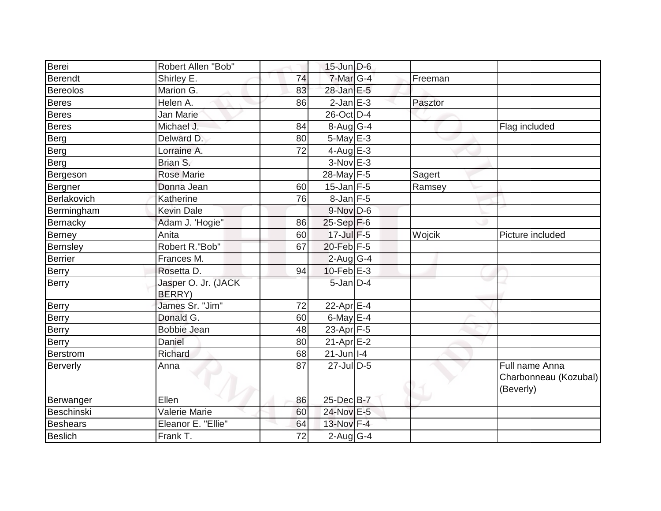| Berei           | Robert Allen "Bob"                    |                 | $15$ -Jun D-6              |         |                                                      |
|-----------------|---------------------------------------|-----------------|----------------------------|---------|------------------------------------------------------|
| <b>Berendt</b>  | Shirley E.                            | 74              | $7$ -Mar $ G-4 $           | Freeman |                                                      |
|                 |                                       |                 | 28-Jan E-5                 |         |                                                      |
| <b>Bereolos</b> | Marion G.                             | 83              |                            |         |                                                      |
| Beres           | Helen A.                              | 86              | $2$ -Jan $E-3$             | Pasztor |                                                      |
| <b>Beres</b>    | Jan Marie                             |                 | 26-Oct D-4                 |         |                                                      |
| <b>Beres</b>    | Michael J.                            | 84              | $8-Aug G-4$                |         | Flag included                                        |
| Berg            | Delward D.                            | 80              | $5$ -May $E - 3$           |         |                                                      |
| Berg            | Lorraine A.                           | 72              | 4-Aug $E-3$                |         |                                                      |
| Berg            | Brian S.                              |                 | $3-Nov$ E-3                |         |                                                      |
| Bergeson        | <b>Rose Marie</b>                     |                 | 28-May F-5                 | Sagert  |                                                      |
| Bergner         | Donna Jean                            | 60              | $15$ -Jan F-5              | Ramsey  |                                                      |
| Berlakovich     | Katherine                             | 76              | 8-Jan F-5                  |         |                                                      |
| Bermingham      | <b>Kevin Dale</b>                     |                 | $9-Nov$ D-6                |         |                                                      |
| Bernacky        | Adam J. 'Hogie"                       | 86              | $25-Sep$ F-6               |         |                                                      |
| Berney          | Anita                                 | 60              | 17-Jul F-5                 | Wojcik  | Picture included                                     |
| <b>Bernsley</b> | Robert R."Bob"                        | 67              | 20-Feb F-5                 |         |                                                      |
| <b>Berrier</b>  | Frances M.                            |                 | $2$ -Aug G-4               |         |                                                      |
| <b>Berry</b>    | Rosetta D.                            | 94              | $10$ -Feb $E - 3$          |         |                                                      |
| Berry           | Jasper O. Jr. (JACK<br><b>BERRY</b> ) |                 | $5$ -Jan $D-4$             |         |                                                      |
| Berry           | James Sr. "Jim"                       | 72              | 22-Apr E-4                 |         |                                                      |
| Berry           | Donald G.                             | 60              | $6$ -May $E-4$             |         |                                                      |
| <b>Berry</b>    | <b>Bobbie Jean</b>                    | 48              | 23-Apr $F-5$               |         |                                                      |
| Berry           | Daniel                                | 80              | $21-Apr \nightharpoonup 2$ |         |                                                      |
| <b>Berstrom</b> | Richard                               | 68              | $21$ -Jun   I-4            |         |                                                      |
| Berverly        | Anna                                  | 87              | 27-Jul D-5                 |         | Full name Anna<br>Charbonneau (Kozubal)<br>(Beverly) |
| Berwanger       | Ellen                                 | 86              | 25-Dec B-7                 |         |                                                      |
| Beschinski      | Valerie Marie                         | 60              | 24-Nov E-5                 |         |                                                      |
| <b>Beshears</b> | Eleanor E. "Ellie"                    | 64              | 13-Nov F-4                 |         |                                                      |
| <b>Beslich</b>  | Frank T.                              | $\overline{72}$ | $2$ -Aug $G-4$             |         |                                                      |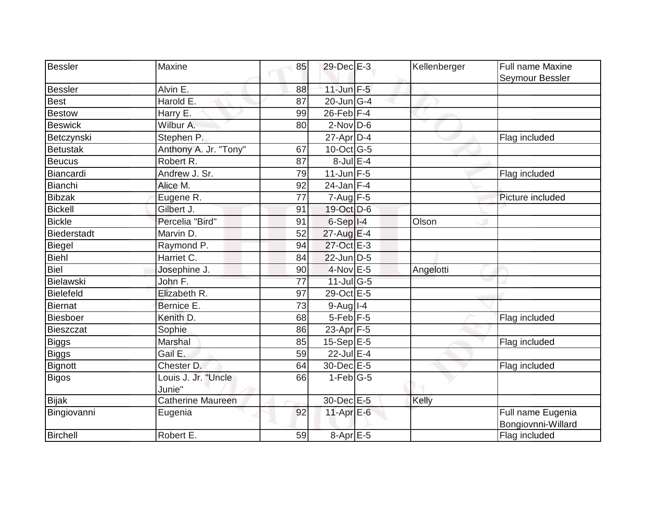| Bessler            | Maxine                        | 85 | 29-Dec E-3                  | Kellenberger | Full name Maxine<br>Seymour Bessler     |
|--------------------|-------------------------------|----|-----------------------------|--------------|-----------------------------------------|
| <b>Bessler</b>     | Alvin E.                      | 88 | $11$ -Jun $F-5$             |              |                                         |
| <b>Best</b>        | Harold E.                     | 87 | $20$ -Jun $\overline{G}$ -4 |              |                                         |
| <b>Bestow</b>      | Harry E.                      | 99 | $26$ -Feb $F-4$             |              |                                         |
| <b>Beswick</b>     | Wilbur A.                     | 80 | $2$ -Nov $D-6$              |              |                                         |
| Betczynski         | Stephen P.                    |    | $27$ -Apr $D-4$             |              | Flag included                           |
| <b>Betustak</b>    | Anthony A. Jr. "Tony"         | 67 | $10$ -Oct $\overline{G}$ -5 |              |                                         |
| <b>Beucus</b>      | Robert R.                     | 87 | $8$ -Jul $E-4$              |              |                                         |
| Biancardi          | Andrew J. Sr.                 | 79 | $11$ -Jun F-5               |              | Flag included                           |
| <b>Bianchi</b>     | Alice M.                      | 92 | $24$ -Jan F-4               |              |                                         |
| <b>Bibzak</b>      | Eugene R.                     | 77 | $7 - Aug$ F-5               |              | Picture included                        |
| <b>Bickell</b>     | Gilbert J.                    | 91 | 19-Oct D-6                  |              |                                         |
| <b>Bickle</b>      | Percelia "Bird"               | 91 | $6-Sep$ I-4                 | Olson        |                                         |
| <b>Biederstadt</b> | Marvin D.                     | 52 | $27$ -Aug E-4               |              |                                         |
| <b>Biegel</b>      | Raymond P.                    | 94 | 27-Oct E-3                  |              |                                         |
| <b>Biehl</b>       | Harriet C.                    | 84 | $22$ -Jun D-5               |              |                                         |
| <b>Biel</b>        | Josephine J.                  | 90 | 4-Nov E-5                   | Angelotti    |                                         |
| <b>Bielawski</b>   | John F.                       | 77 | 11-Jul G-5                  |              |                                         |
| <b>Bielefeld</b>   | Elizabeth R.                  | 97 | 29-Oct E-5                  |              |                                         |
| <b>Biernat</b>     | Bernice E.                    | 73 | $9-Aug$ <sup>1-4</sup>      |              |                                         |
| <b>Biesboer</b>    | Kenith D.                     | 68 | $5$ -Feb $F$ -5             |              | Flag included                           |
| <b>Bieszczat</b>   | Sophie                        | 86 | 23-Apr F-5                  |              |                                         |
| <b>Biggs</b>       | Marshal                       | 85 | $15-Sep$ E-5                |              | Flag included                           |
| <b>Biggs</b>       | Gail E.                       | 59 | $22$ -Jul $E-4$             |              |                                         |
| <b>Bignott</b>     | Chester D.                    | 64 | 30-Dec E-5                  |              | Flag included                           |
| <b>Bigos</b>       | Louis J. Jr. "Uncle<br>Junie" | 66 | $1-Feb G-5$                 |              |                                         |
| <b>Bijak</b>       | Catherine Maureen             |    | 30-Dec E-5                  | Kelly        |                                         |
| Bingiovanni        | Eugenia                       | 92 | 11-Apr $E-6$                |              | Full name Eugenia<br>Bongiovnni-Willard |
| Birchell           | Robert E.                     | 59 | 8-Apr E-5                   |              | Flag included                           |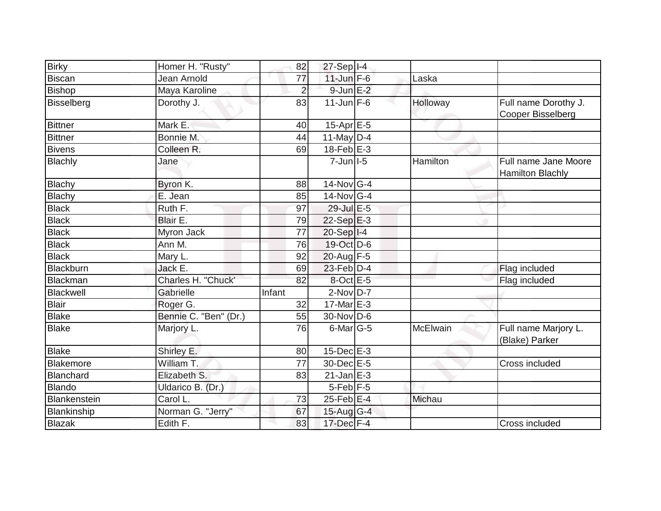| <b>Birky</b>        | Homer H. "Rusty"      | 82             | $27-Sep$ $I-4$          |          |                                                 |
|---------------------|-----------------------|----------------|-------------------------|----------|-------------------------------------------------|
| <b>Biscan</b>       | Jean Arnold           | 77             | $11$ -Jun $F-6$         | Laska    |                                                 |
| <b>Bishop</b>       | Maya Karoline         | $\overline{2}$ | $9$ -Jun $E-2$          |          |                                                 |
| <b>Bisselberg</b>   | Dorothy J.            | 83             | $11$ -Jun F-6           | Holloway | Full name Dorothy J.<br>Cooper Bisselberg       |
| <b>Bittner</b>      | Mark E.               | 40             | 15-Apr E-5              |          |                                                 |
| <b>Bittner</b>      | Bonnie M.             | 44             | 11-May $D-4$            |          |                                                 |
| <b>Bivens</b>       | Colleen R.            | 69             | $18$ -Feb $E-3$         |          |                                                 |
| <b>Blachly</b>      | Jane                  |                | $7$ -Jun $II$ -5        | Hamilton | Full name Jane Moore<br><b>Hamilton Blachly</b> |
| <b>Blachy</b>       | Byron K.              | 88             | $14$ -Nov G-4           |          |                                                 |
| Blachy              | E. Jean               | 85             | 14-Nov G-4              |          |                                                 |
| <b>Black</b>        | Ruth F.               | 97             | $29$ -Jul $E-5$         |          |                                                 |
| <b>Black</b>        | Blair E.              | 79             | $22-Sep$ $E-3$          |          |                                                 |
| <b>Black</b>        | Myron Jack            | 77             | $20-Sep$ <sup>1-4</sup> |          |                                                 |
| <b>Black</b>        | Ann M.                | 76             | $19$ -Oct D-6           |          |                                                 |
| <b>Black</b>        | Mary L.               | 92             | 20-Aug F-5              |          |                                                 |
| <b>Blackburn</b>    | Jack E.               | 69             | $23$ -Feb $D-4$         |          | Flag included                                   |
| <b>Blackman</b>     | Charles H. "Chuck'    | 82             | 8-Oct E-5               |          | Flag included                                   |
| <b>Blackwell</b>    | Gabrielle             | Infant         | $2$ -Nov $D-7$          |          |                                                 |
| <b>Blair</b>        | Roger G.              | 32             | $17$ -Mar $E-3$         |          |                                                 |
| <b>Blake</b>        | Bennie C. "Ben" (Dr.) | 55             | $30$ -Nov D-6           |          |                                                 |
| <b>Blake</b>        | Marjory L.            | 76             | $6$ -Mar $ G-5 $        | McElwain | Full name Marjory L.<br>(Blake) Parker          |
| <b>Blake</b>        | Shirley E.            | 80             | $15$ -Dec $E-3$         |          |                                                 |
| <b>Blakemore</b>    | William T.            | 77             | 30-Dec E-5              |          | Cross included                                  |
| <b>Blanchard</b>    | Elizabeth S.          | 83             | $21$ -Jan $E-3$         |          |                                                 |
| <b>Blando</b>       | Uldarico B. (Dr.)     |                | $5$ -Feb $ F-5 $        |          |                                                 |
| <b>Blankenstein</b> | Carol L.              | 73             | $25$ -Feb $E$ -4        | Michau   |                                                 |
| <b>Blankinship</b>  | Norman G. "Jerry"     | 67             | $15$ -Aug G-4           |          |                                                 |
| <b>Blazak</b>       | Edith F.              | 83             | 17-Dec F-4              |          | Cross included                                  |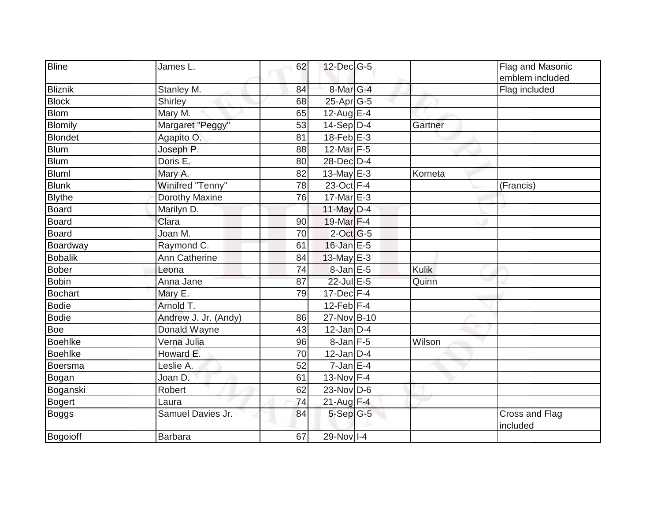| <b>Bline</b>   | James L.             | 62 | $12$ -Dec $ G-5 $ |              | Flag and Masonic<br>emblem included |
|----------------|----------------------|----|-------------------|--------------|-------------------------------------|
| Bliznik        | Stanley M.           | 84 | 8-Mar G-4         |              | Flag included                       |
| <b>Block</b>   | Shirley              | 68 | $25$ -Apr $G$ -5  |              |                                     |
| <b>Blom</b>    | Mary M.              | 65 | $12$ -Aug E-4     |              |                                     |
| <b>Blomily</b> | Margaret "Peggy"     | 53 | $14-Sep$ D-4      | Gartner      |                                     |
| <b>Blondet</b> | Agapito O.           | 81 | $18$ -Feb $E-3$   |              |                                     |
| <b>Blum</b>    | Joseph P.            | 88 | $12$ -Mar $F-5$   |              |                                     |
| <b>Blum</b>    | Doris E.             | 80 | 28-Dec D-4        |              |                                     |
| <b>Bluml</b>   | Mary A.              | 82 | $13$ -May E-3     | Korneta      |                                     |
| <b>Blunk</b>   | Winifred "Tenny"     | 78 | 23-Oct F-4        |              | (Francis)                           |
| <b>Blythe</b>  | Dorothy Maxine       | 76 | $17$ -Mar $E-3$   |              |                                     |
| <b>Board</b>   | Marilyn D.           |    | 11-May D-4        |              |                                     |
| <b>Board</b>   | Clara                | 90 | 19-Mar F-4        |              |                                     |
| <b>Board</b>   | Joan M.              | 70 | $2$ -Oct G-5      |              |                                     |
| Boardway       | Raymond C.           | 61 | 16-Jan E-5        |              |                                     |
| <b>Bobalik</b> | Ann Catherine        | 84 | 13-May $E-3$      |              |                                     |
| <b>Bober</b>   | Leona                | 74 | 8-Jan E-5         | <b>Kulik</b> |                                     |
| <b>Bobin</b>   | Anna Jane            | 87 | 22-Jul E-5        | Quinn        |                                     |
| <b>Bochart</b> | Mary E.              | 79 | $17 - Dec$ $F-4$  |              |                                     |
| <b>Bodie</b>   | Arnold T.            |    | $12$ -Feb F-4     |              |                                     |
| <b>Bodie</b>   | Andrew J. Jr. (Andy) | 86 | 27-Nov B-10       |              |                                     |
| Boe            | Donald Wayne         | 43 | $12$ -Jan D-4     |              |                                     |
| <b>Boehlke</b> | Verna Julia          | 96 | $8$ -Jan $F-5$    | Wilson       |                                     |
| <b>Boehlke</b> | Howard E.            | 70 | $12$ -Jan D-4     |              |                                     |
| Boersma        | Leslie A.            | 52 | $7$ -Jan E-4      |              |                                     |
| Bogan          | Joan D.              | 61 | 13-Nov F-4        |              |                                     |
| Boganski       | Robert               | 62 | 23-Nov D-6        |              |                                     |
| <b>Bogert</b>  | Laura                | 74 | $21$ -Aug F-4     |              |                                     |
| <b>Boggs</b>   | Samuel Davies Jr.    | 84 | $5-Sep G-5$       |              | Cross and Flag<br>included          |
| Bogoioff       | <b>Barbara</b>       | 67 | 29-Nov I-4        |              |                                     |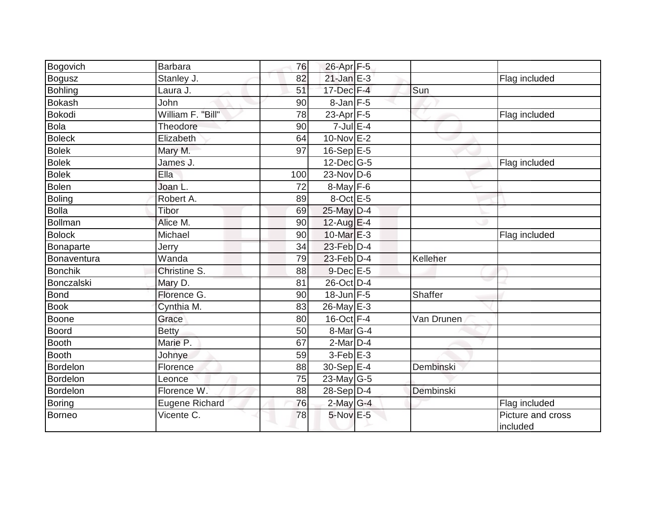| Bogovich          | Barbara           | 76  | 26-Apr F-5              |            |                               |
|-------------------|-------------------|-----|-------------------------|------------|-------------------------------|
| <b>Bogusz</b>     | Stanley J.        | 82  | $21$ -Jan E-3           |            | Flag included                 |
| <b>Bohling</b>    | Laura J.          | 51  | $17$ -Dec $F-4$         | Sun        |                               |
| <b>Bokash</b>     | John              | 90  | $8$ -Jan $F$ -5         |            |                               |
| <b>Bokodi</b>     | William F. "Bill" | 78  | $23$ -Apr $F-5$         |            | Flag included                 |
| <b>Bola</b>       | Theodore          | 90  | $7$ -Jul E-4            |            |                               |
| <b>Boleck</b>     | Elizabeth         | 64  | $10$ -Nov $E-2$         |            |                               |
| <b>Bolek</b>      | Mary M.           | 97  | $16-Sep$ E-5            |            |                               |
| <b>Bolek</b>      | James J.          |     | $12$ -Dec $ G-5 $       |            | Flag included                 |
| <b>Bolek</b>      | Ella              | 100 | $23$ -Nov D-6           |            |                               |
| <b>Bolen</b>      | Joan L.           | 72  | $8$ -May $F - 6$        |            |                               |
| <b>Boling</b>     | Robert A.         | 89  | 8-Oct E-5               |            |                               |
| <b>Bolla</b>      | Tibor             | 69  | 25-May D-4              |            |                               |
| <b>Bollman</b>    | Alice M.          | 90  | $12$ -Aug E-4           |            |                               |
| <b>Bolock</b>     | Michael           | 90  | $10$ -Mar $E-3$         |            | Flag included                 |
| Bonaparte         | Jerry             | 34  | $23$ -Feb $D-4$         |            |                               |
| Bonaventura       | Wanda             | 79  | $23$ -Feb $D-4$         | Kelleher   |                               |
| <b>Bonchik</b>    | Christine S.      | 88  | $9$ -Dec $E$ -5         |            |                               |
| <b>Bonczalski</b> | Mary D.           | 81  | 26-Oct D-4              |            |                               |
| <b>Bond</b>       | Florence G.       | 90  | $18$ -Jun F-5           | Shaffer    |                               |
| <b>Book</b>       | Cynthia M.        | 83  | 26-May E-3              |            |                               |
| <b>Boone</b>      | Grace             | 80  | $16$ -Oct $F-4$         | Van Drunen |                               |
| <b>Boord</b>      | <b>Betty</b>      | 50  | 8-Mar <sub>G-4</sub>    |            |                               |
| <b>Booth</b>      | Marie P.          | 67  | $2$ -Mar $D-4$          |            |                               |
| <b>Booth</b>      | Johnye            | 59  | $3-Feb$ E-3             |            |                               |
| Bordelon          | Florence          | 88  | $30-Sep \overline{E-4}$ | Dembinski  |                               |
| <b>Bordelon</b>   | Leonce            | 75  | $23$ -May G-5           |            |                               |
| <b>Bordelon</b>   | Florence W.       | 88  | $28-Sep D-4$            | Dembinski  |                               |
| <b>Boring</b>     | Eugene Richard    | 76  | $2$ -May G-4            |            | Flag included                 |
| <b>Borneo</b>     | Vicente C.        | 78  | $5-Nov$ E-5             |            | Picture and cross<br>included |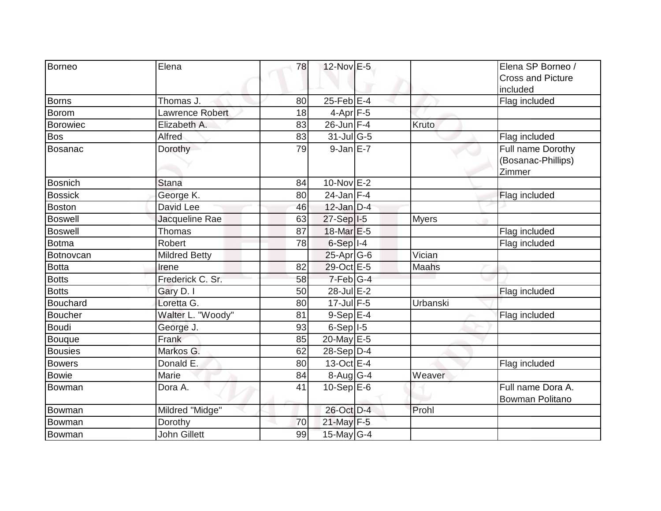| Borneo          | Elena                | 78 | 12-Nov E-5              |              | Elena SP Borneo /<br><b>Cross and Picture</b><br>included |
|-----------------|----------------------|----|-------------------------|--------------|-----------------------------------------------------------|
| <b>Borns</b>    | Thomas J.            | 80 | $25$ -Feb $E$ -4        |              | Flag included                                             |
| Borom           | Lawrence Robert      | 18 | $4-Apr$ F-5             |              |                                                           |
| Borowiec        | Elizabeth A.         | 83 | $26$ -Jun F-4           | Kruto        |                                                           |
| <b>Bos</b>      | Alfred               | 83 | $31$ -JulG-5            |              | Flag included                                             |
| Bosanac         | Dorothy              | 79 | $9$ -Jan $E-7$          |              | Full name Dorothy<br>(Bosanac-Phillips)<br>Zimmer         |
| <b>Bosnich</b>  | <b>Stana</b>         | 84 | 10-Nov E-2              |              |                                                           |
| <b>Bossick</b>  | George K.            | 80 | $24$ -Jan F-4           |              | Flag included                                             |
| <b>Boston</b>   | David Lee            | 46 | $12$ -Jan D-4           |              |                                                           |
| <b>Boswell</b>  | Jacqueline Rae       | 63 | $27-Sep$ <sup>1-5</sup> | <b>Myers</b> |                                                           |
| <b>Boswell</b>  | <b>Thomas</b>        | 87 | 18-Mar E-5              |              | Flag included                                             |
| <b>Botma</b>    | Robert               | 78 | $6-Sep$ $I-4$           |              | Flag included                                             |
| Botnovcan       | <b>Mildred Betty</b> |    | $25$ -Apr $G$ -6        | Vician       |                                                           |
| <b>Botta</b>    | Irene                | 82 | 29-Oct E-5              | Maahs        |                                                           |
| <b>Botts</b>    | Frederick C. Sr.     | 58 | 7-Feb G-4               |              |                                                           |
| <b>Botts</b>    | Gary D. I            | 50 | 28-Jul E-2              |              | Flag included                                             |
| <b>Bouchard</b> | Loretta G.           | 80 | $17$ -Jul F-5           | Urbanski     |                                                           |
| <b>Boucher</b>  | Walter L. "Woody"    | 81 | $9-Sep$ E-4             |              | Flag included                                             |
| <b>Boudi</b>    | George J.            | 93 | $6-Sep$ $I-5$           |              |                                                           |
| Bouque          | Frank                | 85 | 20-May E-5              |              |                                                           |
| <b>Bousies</b>  | Markos G.            | 62 | $28-Sep D-4$            |              |                                                           |
| <b>Bowers</b>   | Donald E.            | 80 | 13-Oct E-4              |              | Flag included                                             |
| <b>Bowie</b>    | Marie                | 84 | $8-Aug$ G-4             | Weaver       |                                                           |
| Bowman          | Dora A.              | 41 | $10-Sep$ E-6            |              | Full name Dora A.<br>Bowman Politano                      |
| Bowman          | Mildred "Midge"      |    | 26-Oct D-4              | Prohl        |                                                           |
| Bowman          | Dorothy              | 70 | 21-May F-5              |              |                                                           |
| Bowman          | John Gillett         | 99 | 15-May G-4              |              |                                                           |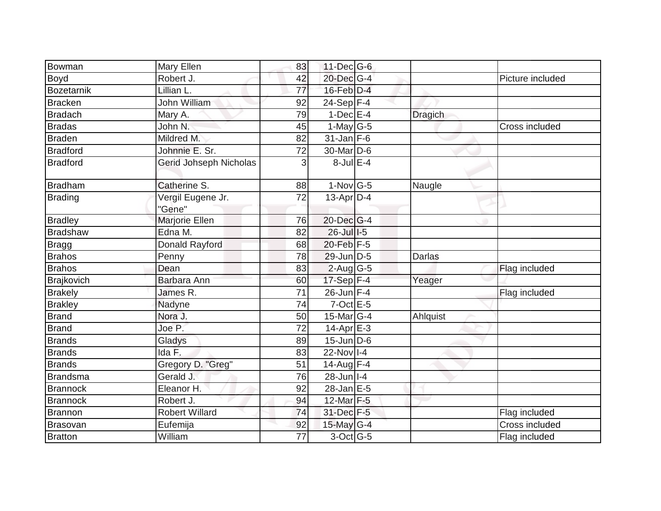| Bowman            | Mary Ellen             | 83              | $11$ -Dec $ G$ -6          |                |                  |
|-------------------|------------------------|-----------------|----------------------------|----------------|------------------|
| Boyd              | Robert J.              | 42              | 20-Dec G-4                 |                | Picture included |
| <b>Bozetarnik</b> | Lillian L.             | 77              | 16-Feb D-4                 |                |                  |
| <b>Bracken</b>    | John William           | 92              | $24-Sep$ F-4               |                |                  |
| <b>Bradach</b>    | Mary A.                | 79              | $1-Dec$ E-4                | <b>Dragich</b> |                  |
| <b>Bradas</b>     | John N.                | 45              | $1$ -May G-5               |                | Cross included   |
| <b>Braden</b>     | Mildred M.             | 82              | $31$ -Jan F-6              |                |                  |
| <b>Bradford</b>   | Johnnie E. Sr.         | 72              | 30-Mar D-6                 |                |                  |
|                   |                        |                 | $8$ -Jul E-4               |                |                  |
| <b>Bradford</b>   | Gerid Johseph Nicholas | 3               |                            |                |                  |
| <b>Bradham</b>    | Catherine S.           | 88              | $1-Nov G-5$                | Naugle         |                  |
| <b>Brading</b>    | Vergil Eugene Jr.      | 72              | $13$ -Apr $ D-4$           |                |                  |
|                   | "Gene"                 |                 |                            |                |                  |
| <b>Bradley</b>    | Marjorie Ellen         | 76              | 20-Dec G-4                 |                |                  |
| <b>Bradshaw</b>   | Edna M.                | 82              | $26$ -Jull-5               |                |                  |
| <b>Bragg</b>      | Donald Rayford         | 68              | 20-Feb F-5                 |                |                  |
| <b>Brahos</b>     | Penny                  | 78              | 29-Jun D-5                 | <b>Darlas</b>  |                  |
| <b>Brahos</b>     | Dean                   | 83              | $2$ -Aug G-5               |                | Flag included    |
| Brajkovich        | Barbara Ann            | 60              | $17-Sep$ F-4               | Yeager         |                  |
| <b>Brakely</b>    | James R.               | $\overline{71}$ | $26$ -Jun $F-4$            |                | Flag included    |
| <b>Brakley</b>    | Nadyne                 | 74              | $7$ -Oct $E - 5$           |                |                  |
| <b>Brand</b>      | Nora J.                | 50              | 15-Mar $ G-4 $             | Ahlquist       |                  |
| <b>Brand</b>      | Joe P.                 | 72              | $14-Apr \nightharpoonup 3$ |                |                  |
| <b>Brands</b>     | Gladys                 | 89              | $15$ -Jun $\overline{D-6}$ |                |                  |
| <b>Brands</b>     | Ida F.                 | 83              | 22-Nov I-4                 |                |                  |
| <b>Brands</b>     | Gregory D. "Greg"      | 51              | $14$ -Aug F-4              |                |                  |
| <b>Brandsma</b>   | Gerald J.              | 76              | $28$ -Jun $ I-4 $          |                |                  |
| <b>Brannock</b>   | Eleanor H.             | 92              | $28$ -Jan $E$ -5           |                |                  |
| <b>Brannock</b>   | Robert J.              | 94              | 12-Mar F-5                 |                |                  |
| Brannon           | <b>Robert Willard</b>  | 74              | 31-Dec F-5                 |                | Flag included    |
| Brasovan          | Eufemija               | 92              | 15-May $G-4$               |                | Cross included   |
| <b>Bratton</b>    | William                | 77              | 3-Oct G-5                  |                | Flag included    |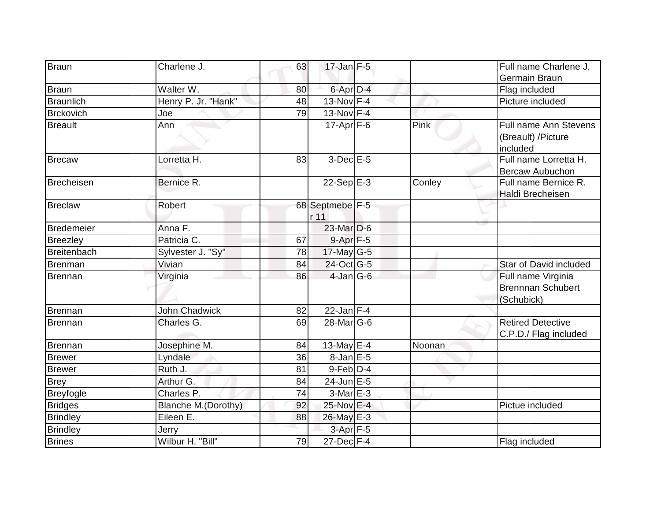| Braun             | Charlene J.            | 63 | $17$ -Jan F-5           |        | Full name Charlene J.                                        |
|-------------------|------------------------|----|-------------------------|--------|--------------------------------------------------------------|
|                   |                        |    |                         |        | Germain Braun                                                |
| Braun             | Walter W.              | 80 | 6-Apr D-4               |        | Flag included                                                |
| <b>Braunlich</b>  | Henry P. Jr. "Hank"    | 48 | 13-Nov F-4              |        | Picture included                                             |
| <b>Brckovich</b>  | Joe                    | 79 | $13-Nov$ F-4            |        |                                                              |
| <b>Breault</b>    | Ann                    |    | $17$ -Apr $ F-6$        | Pink   | Full name Ann Stevens<br>(Breault) / Picture<br>included     |
| <b>Brecaw</b>     | Lorretta <sub>H.</sub> | 83 | $3-Dec$ $E-5$           |        | Full name Lorretta H.<br><b>Bercaw Aubuchon</b>              |
| Brecheisen        | Bernice R.             |    | $22-Sep$ E-3            | Conley | Full name Bernice R.<br>Haldi Brecheisen                     |
| <b>Breclaw</b>    | Robert                 |    | 68 Septmebe F-5<br>r 11 |        |                                                              |
| <b>Bredemeier</b> | Anna F.                |    | $23$ -Mar $D-6$         |        |                                                              |
| <b>Breezley</b>   | Patricia C.            | 67 | 9-Apr F-5               |        |                                                              |
| Breitenbach       | Sylvester J. "Sy"      | 78 | $17$ -May G-5           |        |                                                              |
| Brenman           | Vivian                 | 84 | $24$ -Oct G-5           |        | <b>Star of David included</b>                                |
| Brennan           | Virginia               | 86 | $4$ -Jan $ G-6 $        |        | Full name Virginia<br><b>Brennnan Schubert</b><br>(Schubick) |
| Brennan           | <b>John Chadwick</b>   | 82 | $22$ -Jan F-4           |        |                                                              |
| Brennan           | Charles G.             | 69 | $28$ -Mar $ G-6 $       |        | <b>Retired Detective</b><br>C.P.D./ Flag included            |
| Brennan           | Josephine M.           | 84 | 13-May $E-4$            | Noonan |                                                              |
| <b>Brewer</b>     | Lyndale                | 36 | $8$ -Jan E-5            |        |                                                              |
| <b>Brewer</b>     | Ruth J.                | 81 | $9$ -Feb $D-4$          |        |                                                              |
| <b>Brey</b>       | Arthur G.              | 84 | $24$ -Jun E-5           |        |                                                              |
| <b>Breyfogle</b>  | Charles P.             | 74 | $3-Mar$ $E-3$           |        |                                                              |
| <b>Bridges</b>    | Blanche M. (Dorothy)   | 92 | 25-Nov E-4              |        | Pictue included                                              |
| <b>Brindley</b>   | Eileen E.              | 88 | 26-May E-3              |        |                                                              |
| <b>Brindley</b>   | Jerry                  |    | 3-Apr <sub>F-5</sub>    |        |                                                              |
| <b>Brines</b>     | Wilbur H. "Bill"       | 79 | $27$ -Dec $F-4$         |        | Flag included                                                |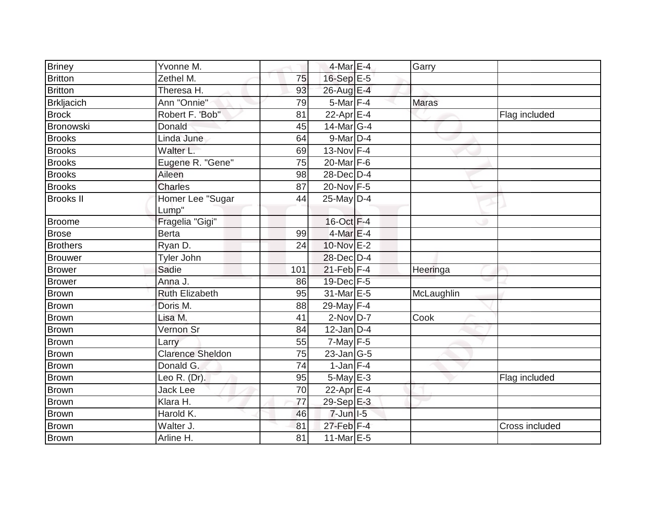| <b>Briney</b>     | Yvonne M.               |     | $4$ -Mar $E - 4$  | Garry        |                |
|-------------------|-------------------------|-----|-------------------|--------------|----------------|
| <b>Britton</b>    | Zethel M.               | 75  | 16-Sep E-5        |              |                |
| <b>Britton</b>    | Theresa H.              | 93  | 26-Aug E-4        |              |                |
| <b>Brkljacich</b> | Ann "Onnie"             | 79  | $5$ -Mar $F-4$    | <b>Maras</b> |                |
| <b>Brock</b>      | Robert F. 'Bob"         | 81  | 22-Apr E-4        |              | Flag included  |
| <b>Bronowski</b>  | Donald                  | 45  | 14-Mar G-4        |              |                |
| <b>Brooks</b>     | Linda June              | 64  | $9$ -Mar $D-4$    |              |                |
| <b>Brooks</b>     | Walter L.               | 69  | 13-Nov F-4        |              |                |
| <b>Brooks</b>     | Eugene R. "Gene"        | 75  | 20-Mar $F-6$      |              |                |
| <b>Brooks</b>     | Aileen                  | 98  | 28-Dec D-4        |              |                |
| <b>Brooks</b>     | Charles                 | 87  | 20-Nov F-5        |              |                |
| <b>Brooks II</b>  | Homer Lee "Sugar        | 44  | $25$ -May D-4     |              |                |
|                   | Lump"                   |     |                   |              |                |
| Broome            | Fragelia "Gigi"         |     | $16$ -Oct $F-4$   |              |                |
| Brose             | <b>Berta</b>            | 99  | $4$ -Mar $E-4$    |              |                |
| Brothers          | Ryan D.                 | 24  | 10-Nov E-2        |              |                |
| Brouwer           | Tyler John              |     | 28-Dec D-4        |              |                |
| <b>Brower</b>     | Sadie                   | 101 | $21$ -Feb F-4     | Heeringa     |                |
| <b>Brower</b>     | Anna J.                 | 86  | 19-Dec F-5        |              |                |
| <b>Brown</b>      | <b>Ruth Elizabeth</b>   | 95  | 31-Mar E-5        | McLaughlin   |                |
| Brown             | Doris M.                | 88  | 29-May F-4        |              |                |
| Brown             | Lisa M.                 | 41  | $2$ -Nov $D-7$    | Cook         |                |
| <b>Brown</b>      | Vernon Sr               | 84  | $12$ -Jan D-4     |              |                |
| Brown             | Larry                   | 55  | $7$ -May $F-5$    |              |                |
| <b>Brown</b>      | <b>Clarence Sheldon</b> | 75  | $23$ -Jan $ G-5 $ |              |                |
| Brown             | Donald G.               | 74  | $1$ -Jan $F-4$    |              |                |
| Brown             | Leo R. (Dr).            | 95  | $5$ -May $E - 3$  |              | Flag included  |
| <b>Brown</b>      | Jack Lee                | 70  | 22-Apr $E$ -4     |              |                |
| Brown             | Klara H.                | 77  | 29-Sep E-3        |              |                |
| Brown             | Harold K.               | 46  | $7$ -Jun $ I-5 $  |              |                |
| Brown             | Walter J.               | 81  | $27$ -Feb $F-4$   |              | Cross included |
| Brown             | Arline H.               | 81  | $11$ -Mar $E-5$   |              |                |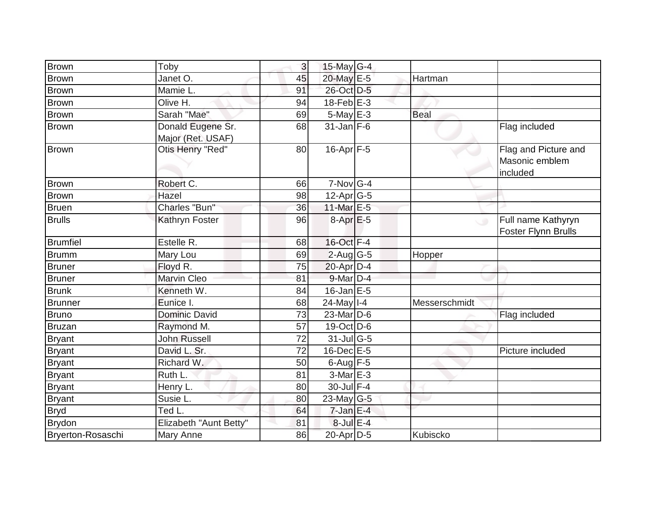| <b>Brown</b>      | Toby                                   | 3  | 15-May $G-4$              |               |                                                    |
|-------------------|----------------------------------------|----|---------------------------|---------------|----------------------------------------------------|
| <b>Brown</b>      | Janet O.                               | 45 | 20-May E-5                | Hartman       |                                                    |
| <b>Brown</b>      | Mamie L.                               | 91 | 26-Oct D-5                |               |                                                    |
| <b>Brown</b>      | Olive H.                               | 94 | $18$ -Feb $E-3$           |               |                                                    |
| <b>Brown</b>      | Sarah "Mae"                            | 69 | 5-May E-3                 | <b>Beal</b>   |                                                    |
| <b>Brown</b>      | Donald Eugene Sr.<br>Major (Ret. USAF) | 68 | $31$ -Jan F-6             |               | Flag included                                      |
| Brown             | Otis Henry "Red"                       | 80 | $16$ -Apr $F - 5$         |               | Flag and Picture and<br>Masonic emblem<br>included |
| <b>Brown</b>      | Robert C.                              | 66 | $7-Nov$ G-4               |               |                                                    |
| <b>Brown</b>      | Hazel                                  | 98 | $12$ -Apr $G-5$           |               |                                                    |
| <b>Bruen</b>      | Charles "Bun"                          | 36 | 11-Mar $E-5$              |               |                                                    |
| <b>Brulls</b>     | Kathryn Foster                         | 96 | $8-Apr$ $E-5$             | $\cup$        | Full name Kathyryn<br><b>Foster Flynn Brulls</b>   |
| <b>Brumfiel</b>   | Estelle R.                             | 68 | 16-Oct F-4                |               |                                                    |
| <b>Brumm</b>      | Mary Lou                               | 69 | $2$ -Aug G-5              | Hopper        |                                                    |
| <b>Bruner</b>     | Floyd R.                               | 75 | $20$ -Apr $D-4$           |               |                                                    |
| <b>Bruner</b>     | Marvin Cleo                            | 81 | $9$ -Mar $D-4$            |               |                                                    |
| <b>Brunk</b>      | Kenneth W.                             | 84 | $16$ -Jan $E-5$           |               |                                                    |
| <b>Brunner</b>    | Eunice I.                              | 68 | $24$ -May I-4             | Messerschmidt |                                                    |
| <b>Bruno</b>      | <b>Dominic David</b>                   | 73 | 23-Mar D-6                |               | Flag included                                      |
| <b>Bruzan</b>     | Raymond M.                             | 57 | $19-Oct$ D-6              |               |                                                    |
| <b>Bryant</b>     | <b>John Russell</b>                    | 72 | $31$ -JulG-5              |               |                                                    |
| <b>Bryant</b>     | David L. Sr.                           | 72 | $16$ -Dec $E$ -5          |               | Picture included                                   |
| <b>Bryant</b>     | Richard W.                             | 50 | $6$ -Aug $F-5$            |               |                                                    |
| <b>Bryant</b>     | Ruth L.                                | 81 | $3-Mar \nightharpoonup 3$ |               |                                                    |
| <b>Bryant</b>     | Henry L.                               | 80 | 30-Jul F-4                |               |                                                    |
| <b>Bryant</b>     | Susie L.                               | 80 | 23-May $G-5$              |               |                                                    |
| <b>Bryd</b>       | Ted L.                                 | 64 | $7$ -Jan $E-4$            |               |                                                    |
| <b>Brydon</b>     | Elizabeth "Aunt Betty"                 | 81 | $8$ -Jul $E-4$            |               |                                                    |
| Bryerton-Rosaschi | Mary Anne                              | 86 | 20-Apr D-5                | Kubiscko      |                                                    |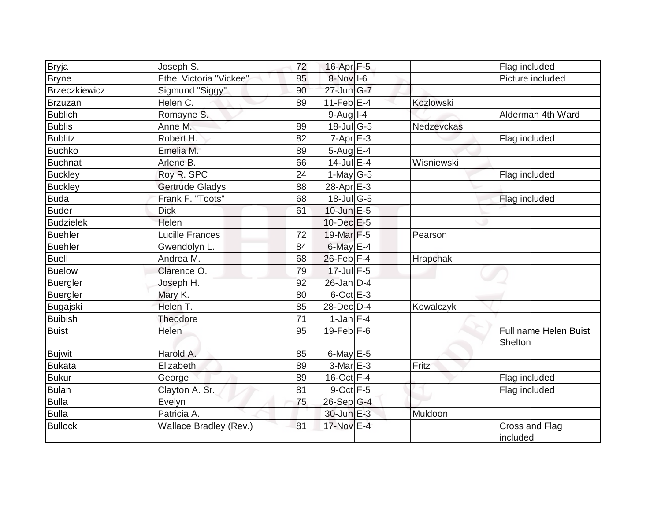| <b>Bryja</b>         | Joseph S.               | 72 | 16-Apr F-5                        |                  | Flag included                    |
|----------------------|-------------------------|----|-----------------------------------|------------------|----------------------------------|
| <b>Bryne</b>         | Ethel Victoria "Vickee" | 85 | 8-Nov I-6                         |                  | Picture included                 |
| <b>Brzeczkiewicz</b> | Sigmund "Siggy"         | 90 | $27$ -Jun $\overline{\text{G-7}}$ |                  |                                  |
| Brzuzan              | Helen C.                | 89 | $11$ -Feb $ E-4$                  | <b>Kozlowski</b> |                                  |
| <b>Bublich</b>       | Romayne S.              |    | $9-Auq$ <sup>1-4</sup>            |                  | Alderman 4th Ward                |
| <b>Bublis</b>        | Anne M.                 | 89 | 18-Jul G-5                        | Nedzevckas       |                                  |
| <b>Bublitz</b>       | Robert H.               | 82 | $7-Apr$ $E-3$                     |                  | Flag included                    |
| <b>Buchko</b>        | Emelia M.               | 89 | $5-AugE-4$                        |                  |                                  |
| Buchnat              | Arlene B.               | 66 | $14$ -Jul E-4                     | Wisniewski       |                                  |
| <b>Buckley</b>       | Roy R. SPC              | 24 | 1-May $G-5$                       |                  | Flag included                    |
| <b>Buckley</b>       | Gertrude Gladys         | 88 | 28-Apr E-3                        |                  |                                  |
| <b>Buda</b>          | Frank F. "Toots"        | 68 | 18-Jul G-5                        |                  | Flag included                    |
| Buder                | <b>Dick</b>             | 61 | $10$ -Jun $E - 5$                 |                  |                                  |
| <b>Budzielek</b>     | Helen                   |    | $10$ -Dec $E-5$                   |                  |                                  |
| <b>Buehler</b>       | <b>Lucille Frances</b>  | 72 | 19-Mar F-5                        | Pearson          |                                  |
| <b>Buehler</b>       | Gwendolyn L.            | 84 | $6$ -May $E-4$                    |                  |                                  |
| <b>Buell</b>         | Andrea M.               | 68 | $26$ -Feb $ F-4 $                 | Hrapchak         |                                  |
| Buelow               | Clarence O.             | 79 | 17-Jul F-5                        |                  |                                  |
| Buergler             | Joseph H.               | 92 | $26$ -Jan D-4                     |                  |                                  |
| <b>Buergler</b>      | Mary K.                 | 80 | $6$ -Oct $E - 3$                  |                  |                                  |
| Bugajski             | Helen T.                | 85 | 28-Dec D-4                        | Kowalczyk        |                                  |
| <b>Buibish</b>       | Theodore                | 71 | $1$ -Jan $F-4$                    |                  |                                  |
| <b>Buist</b>         | Helen                   | 95 | $19$ -Feb $F-6$                   |                  | Full name Helen Buist<br>Shelton |
| <b>Bujwit</b>        | Harold A.               | 85 | $6$ -May $E$ -5                   |                  |                                  |
| Bukata               | Elizabeth               | 89 | $3-MarE-3$                        | Fritz            |                                  |
| <b>Bukur</b>         | George                  | 89 | $16$ -Oct $F-4$                   |                  | Flag included                    |
| Bulan                | Clayton A. Sr.          | 81 | $9$ -Oct $F-5$                    |                  | Flag included                    |
| <b>Bulla</b>         | Evelyn                  | 75 | $26-Sep$ G-4                      |                  |                                  |
| <b>Bulla</b>         | Patricia A.             |    | 30-Jun E-3                        | Muldoon          |                                  |
| <b>Bullock</b>       | Wallace Bradley (Rev.)  | 81 | 17-Nov E-4                        |                  | Cross and Flag<br>included       |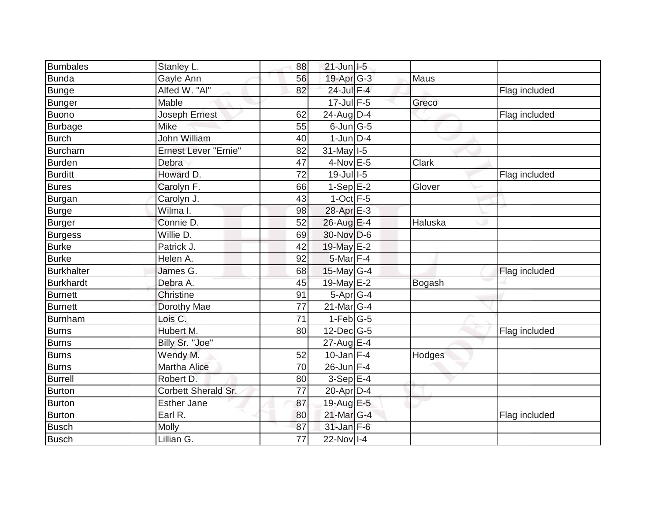| Bumbales         | Stanley L.                  | 88              | $21$ -Jun $I$ -5 |              |               |
|------------------|-----------------------------|-----------------|------------------|--------------|---------------|
| Bunda            | Gayle Ann                   | 56              | $19$ -Apr $G-3$  | Maus         |               |
| <b>Bunge</b>     | Alfed W. "Al"               | 82              | 24-Jul F-4       |              | Flag included |
| Bunger           | Mable                       |                 | $17$ -Jul F-5    | Greco        |               |
| <b>Buono</b>     | Joseph Ernest               | 62              | 24-Aug D-4       |              | Flag included |
| Burbage          | <b>Mike</b>                 | 55              | $6$ -Jun $G$ -5  |              |               |
| <b>Burch</b>     | <b>John William</b>         | 40              | $1$ -Jun $D-4$   |              |               |
| Burcham          | <b>Ernest Lever "Ernie"</b> | 82              | $31$ -May $1-5$  |              |               |
| Burden           | Debra                       | 47              | $4$ -Nov $E - 5$ | <b>Clark</b> |               |
| Burditt          | Howard D.                   | 72              | 19-Jul 1-5       |              | Flag included |
| <b>Bures</b>     | Carolyn F.                  | 66              | $1-Sep$ E-2      | Glover       |               |
| <b>Burgan</b>    | Carolyn J.                  | 43              | $1$ -Oct $F-5$   |              |               |
| Burge            | Wilma I.                    | 98              | 28-Apr E-3       |              |               |
| <b>Burger</b>    | Connie D.                   | 52              | 26-Aug E-4       | Haluska      |               |
| Burgess          | Willie D.                   | 69              | 30-Nov D-6       |              |               |
| Burke            | Patrick J.                  | 42              | 19-May E-2       |              |               |
| <b>Burke</b>     | Helen A.                    | 92              | $5$ -Mar $ F-4 $ |              |               |
| Burkhalter       | James G.                    | 68              | $15$ -May G-4    |              | Flag included |
| <b>Burkhardt</b> | Debra A.                    | 45              | 19-May E-2       | Bogash       |               |
| <b>Burnett</b>   | <b>Christine</b>            | 91              | $5-Apr$ G-4      |              |               |
| <b>Burnett</b>   | Dorothy Mae                 | 77              | $21$ -Mar $ G-4$ |              |               |
| Burnham          | Lois C.                     | $\overline{71}$ | $1-Feb$ G-5      |              |               |
| Burns            | Hubert M.                   | 80              | $12$ -Dec $G-5$  |              | Flag included |
| <b>Burns</b>     | Billy Sr. "Joe"             |                 | $27$ -Aug $E-4$  |              |               |
| Burns            | Wendy M.                    | 52              | $10$ -Jan $F-4$  | Hodges       |               |
| Burns            | <b>Martha Alice</b>         | 70              | $26$ -Jun $F-4$  |              |               |
| <b>Burrell</b>   | Robert D.                   | 80              | $3-Sep$ $E-4$    |              |               |
| Burton           | <b>Corbett Sherald Sr.</b>  | 77              | 20-Apr D-4       |              |               |
| Burton           | <b>Esther Jane</b>          | 87              | 19-Aug E-5       |              |               |
| <b>Burton</b>    | Earl R.                     | 80              | 21-Mar G-4       |              | Flag included |
| <b>Busch</b>     | Molly                       | 87              | $31$ -Jan F-6    |              |               |
| Busch            | Lillian G.                  | 77              | $22-Nov$ I-4     |              |               |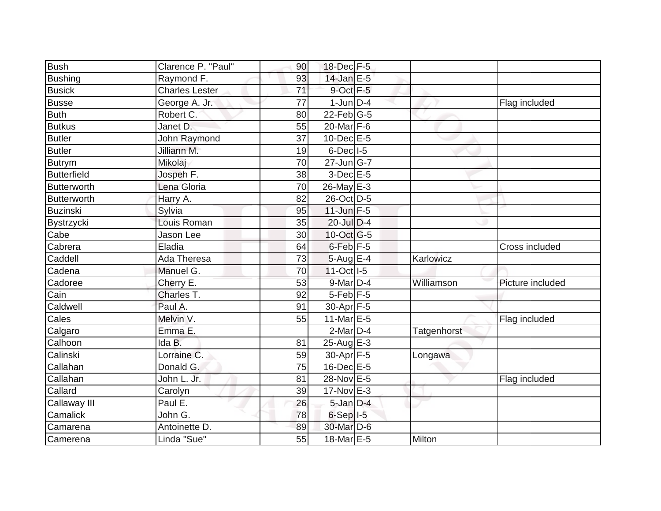| <b>Bush</b>        | Clarence P. "Paul"    | 90              | 18-Dec F-5                        |             |                  |
|--------------------|-----------------------|-----------------|-----------------------------------|-------------|------------------|
| <b>Bushing</b>     | Raymond F.            | 93              | $14$ -Jan E-5                     |             |                  |
| <b>Busick</b>      | <b>Charles Lester</b> | $\overline{71}$ | 9-Oct F-5                         |             |                  |
| <b>Busse</b>       | George A. Jr.         | 77              | $1$ -Jun $D-4$                    |             | Flag included    |
| <b>Buth</b>        | Robert C.             | 80              | $22$ -Feb $G-5$                   |             |                  |
| <b>Butkus</b>      | Janet D.              | 55              | $20$ -Mar $F-6$                   |             |                  |
| <b>Butler</b>      | John Raymond          | 37              | $10$ -Dec $E$ -5                  |             |                  |
| Butler             | Jilliann M.           | 19              | $6$ -Dec $ $ I-5                  |             |                  |
| <b>Butrym</b>      | Mikolaj               | 70              | $27$ -Jun $\overline{\text{G-7}}$ |             |                  |
| <b>Butterfield</b> | Jospeh F.             | 38              | $3$ -Dec $E - 5$                  |             |                  |
| Butterworth        | Lena Gloria           | 70              | $26$ -May $E-3$                   |             |                  |
| Butterworth        | Harry A.              | 82              | 26-Oct D-5                        |             |                  |
| <b>Buzinski</b>    | Sylvia                | 95              | $11$ -Jun F-5                     |             |                  |
| Bystrzycki         | Louis Roman           | 35              | 20-Jul D-4                        |             |                  |
| Cabe               | Jason Lee             | 30              | 10-Oct G-5                        |             |                  |
| Cabrera            | Eladia                | 64              | 6-Feb <sup>F-5</sup>              |             | Cross included   |
| Caddell            | Ada Theresa           | 73              | $5-Aug$ $E-4$                     | Karlowicz   |                  |
| Cadena             | Manuel G.             | 70              | 11-Oct   I-5                      |             |                  |
| Cadoree            | Cherry E.             | 53              | 9-Mar D-4                         | Williamson  | Picture included |
| Cain               | Charles T.            | 92              | $5$ -Feb $F$ -5                   |             |                  |
| Caldwell           | Paul A.               | 91              | 30-Apr F-5                        |             |                  |
| Cales              | Melvin V.             | 55              | 11-Mar E-5                        |             | Flag included    |
| Calgaro            | Emma E.               |                 | $2$ -Mar $D-4$                    | Tatgenhorst |                  |
| Calhoon            | Ida B.                | 81              | $25$ -Aug $E-3$                   |             |                  |
| Calinski           | Lorraine C.           | 59              | 30-Apr F-5                        | Longawa     |                  |
| Callahan           | Donald G.             | 75              | 16-Dec E-5                        |             |                  |
| Callahan           | John L. Jr.           | 81              | 28-Nov E-5                        |             | Flag included    |
| Callard            | Carolyn               | 39              | $17$ -Nov $E-3$                   |             |                  |
| Callaway III       | Paul E.               | 26              | $5$ -Jan $D-4$                    |             |                  |
| Camalick           | John G.               | 78              | $6-Sep$ $I-5$                     |             |                  |
| Camarena           | Antoinette D.         | 89              | 30-Mar D-6                        |             |                  |
| Camerena           | Linda "Sue"           | 55              | 18-Mar E-5                        | Milton      |                  |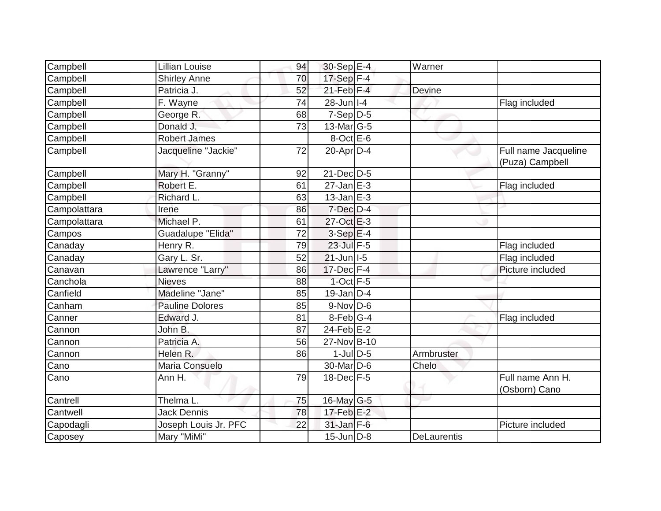| Campbell     | <b>Lillian Louise</b>  | 94 | 30-Sep E-4        | Warner             |                                         |
|--------------|------------------------|----|-------------------|--------------------|-----------------------------------------|
| Campbell     | <b>Shirley Anne</b>    | 70 | 17-Sep F-4        |                    |                                         |
| Campbell     | Patricia J.            | 52 | $21$ -Feb $F-4$   | Devine             |                                         |
| Campbell     | F. Wayne               | 74 | $28$ -Jun $ I-4 $ |                    | Flag included                           |
| Campbell     | George R.              | 68 | $7-Sep$ D-5       |                    |                                         |
| Campbell     | Donald J.              | 73 | $13$ -Mar $ G-5$  |                    |                                         |
| Campbell     | <b>Robert James</b>    |    | $8$ -Oct $E$ -6   |                    |                                         |
| Campbell     | Jacqueline "Jackie"    | 72 | $20$ -Apr $D-4$   |                    | Full name Jacqueline<br>(Puza) Campbell |
| Campbell     | Mary H. "Granny"       | 92 | 21-Dec D-5        |                    |                                         |
| Campbell     | Robert E.              | 61 | $27$ -Jan $E-3$   |                    | Flag included                           |
| Campbell     | Richard L.             | 63 | $13$ -Jan E-3     |                    |                                         |
| Campolattara | Irene                  | 86 | $7$ -Dec $D-4$    |                    |                                         |
| Campolattara | Michael P.             | 61 | 27-Oct E-3        |                    |                                         |
| Campos       | Guadalupe "Elida"      | 72 | $3-SepE-4$        |                    |                                         |
| Canaday      | Henry R.               | 79 | $23$ -Jul $F-5$   |                    | Flag included                           |
| Canaday      | Gary L. Sr.            | 52 | $21$ -Jun   I-5   |                    | Flag included                           |
| Canavan      | Lawrence "Larry"       | 86 | $17$ -Dec $F-4$   |                    | Picture included                        |
| Canchola     | <b>Nieves</b>          | 88 | $1$ -Oct $F - 5$  |                    |                                         |
| Canfield     | Madeline "Jane"        | 85 | $19$ -Jan D-4     |                    |                                         |
| Canham       | <b>Pauline Dolores</b> | 85 | $9-Nov$ D-6       |                    |                                         |
| Canner       | Edward J.              | 81 | $8$ -Feb $ G-4$   |                    | Flag included                           |
| Cannon       | John B.                | 87 | $24$ -Feb $E-2$   |                    |                                         |
| Cannon       | Patricia A.            | 56 | 27-Nov B-10       |                    |                                         |
| Cannon       | Helen R.               | 86 | $1$ -JulD-5       | Armbruster         |                                         |
| Cano         | Maria Consuelo         |    | 30-Mar D-6        | Chelo              |                                         |
| Cano         | Ann H.                 | 79 | $18$ -Dec $F-5$   |                    | Full name Ann H.<br>(Osborn) Cano       |
| Cantrell     | Thelma L.              | 75 | 16-May G-5        |                    |                                         |
| Cantwell     | <b>Jack Dennis</b>     | 78 | 17-Feb E-2        |                    |                                         |
| Capodagli    | Joseph Louis Jr. PFC   | 22 | $31$ -Jan $F-6$   |                    | Picture included                        |
| Caposey      | Mary "MiMi"            |    | $15$ -Jun D-8     | <b>DeLaurentis</b> |                                         |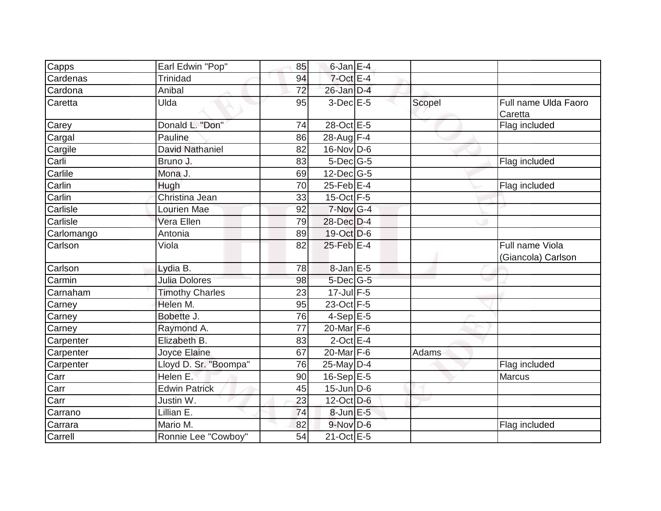| Capps      | Earl Edwin "Pop"       | 85 | $6$ -Jan $E-4$   |        |                                       |
|------------|------------------------|----|------------------|--------|---------------------------------------|
| Cardenas   | <b>Trinidad</b>        | 94 | $7$ -Oct E-4     |        |                                       |
| Cardona    | Anibal                 | 72 | $26$ -Jan $D-4$  |        |                                       |
| Caretta    | Ulda                   | 95 | $3-Dec$ E-5      | Scopel | Full name Ulda Faoro<br>Caretta       |
| Carey      | Donald L. "Don"        | 74 | 28-Oct E-5       |        | Flag included                         |
| Cargal     | Pauline                | 86 | 28-Aug F-4       |        |                                       |
| Cargile    | <b>David Nathaniel</b> | 82 | $16$ -Nov D-6    |        |                                       |
| Carli      | Bruno J.               | 83 | 5-Dec G-5        |        | Flag included                         |
| Carlile    | Mona J.                | 69 | 12-Dec G-5       |        |                                       |
| Carlin     | Hugh                   | 70 | $25$ -Feb $ E-4$ |        | Flag included                         |
| Carlin     | Christina Jean         | 33 | 15-Oct F-5       |        |                                       |
| Carlisle   | Lourien Mae            | 92 | 7-Nov G-4        |        |                                       |
| Carlisle   | Vera Ellen             | 79 | 28-Dec D-4       |        |                                       |
| Carlomango | Antonia                | 89 | $19-Oct$ D-6     |        |                                       |
| Carlson    | Viola                  | 82 | 25-Feb E-4       |        | Full name Viola<br>(Giancola) Carlson |
| Carlson    | Lydia B.               | 78 | 8-Jan E-5        |        |                                       |
| Carmin     | <b>Julia Dolores</b>   | 98 | $5$ -Dec $ G$ -5 |        |                                       |
| Carnaham   | <b>Timothy Charles</b> | 23 | $17$ -Jul $F-5$  |        |                                       |
| Carney     | Helen M.               | 95 | 23-Oct F-5       |        |                                       |
| Carney     | Bobette J.             | 76 | $4-Sep$ E-5      |        |                                       |
| Carney     | Raymond A.             | 77 | $20$ -Mar $F-6$  |        |                                       |
| Carpenter  | Elizabeth B.           | 83 | $2$ -Oct E-4     |        |                                       |
| Carpenter  | Joyce Elaine           | 67 | 20-Mar $F-6$     | Adams  |                                       |
| Carpenter  | Lloyd D. Sr. "Boompa"  | 76 | 25-May D-4       |        | Flag included                         |
| Carr       | Helen E.               | 90 | $16-Sep$ E-5     |        | Marcus                                |
| Carr       | <b>Edwin Patrick</b>   | 45 | $15$ -Jun D-6    |        |                                       |
| Carr       | Justin W.              | 23 | 12-Oct D-6       |        |                                       |
| Carrano    | Lillian E.             | 74 | 8-Jun E-5        |        |                                       |
| Carrara    | Mario M.               | 82 | $9-Nov$ D-6      |        | Flag included                         |
| Carrell    | Ronnie Lee "Cowboy"    | 54 | 21-Oct E-5       |        |                                       |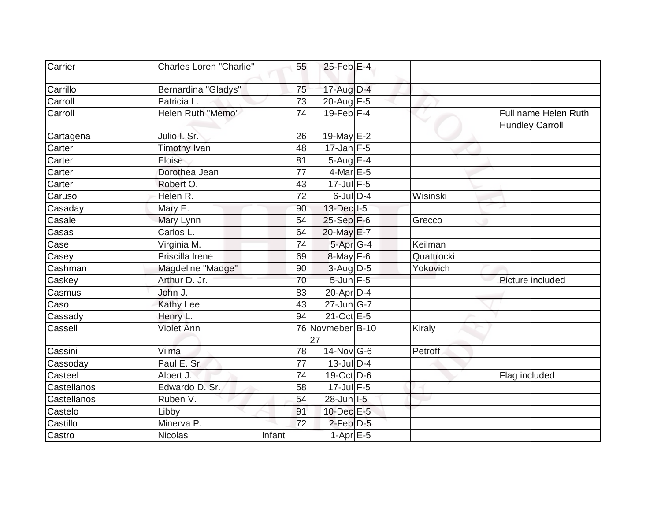| Carrier     | <b>Charles Loren "Charlie"</b> | 55     | $25$ -Feb $E-4$        |            |                                                |
|-------------|--------------------------------|--------|------------------------|------------|------------------------------------------------|
| Carrillo    | Bernardina "Gladys"            | 75     | 17-Aug D-4             |            |                                                |
| Carroll     | Patricia L.                    | 73     | 20-Aug F-5             |            |                                                |
| Carroll     | Helen Ruth "Memo"              | 74     | $19$ -Feb $ F-4$       |            | Full name Helen Ruth<br><b>Hundley Carroll</b> |
| Cartagena   | Julio I. Sr.                   | 26     | 19-May E-2             |            |                                                |
| Carter      | <b>Timothy Ivan</b>            | 48     | $17$ -Jan F-5          |            |                                                |
| Carter      | Eloise                         | 81     | $5-AugE-4$             |            |                                                |
| Carter      | Dorothea Jean                  | 77     | $4$ -Mar $E - 5$       |            |                                                |
| Carter      | Robert O.                      | 43     | $17$ -Jul F-5          |            |                                                |
| Caruso      | Helen R.                       | 72     | $6$ -JulD-4            | Wisinski   |                                                |
| Casaday     | Mary E.                        | 90     | 13-Dec I-5             |            |                                                |
| Casale      | Mary Lynn                      | 54     | $25-Sep$ F-6           | Grecco     |                                                |
| Casas       | Carlos L.                      | 64     | 20-May E-7             |            |                                                |
| Case        | Virginia M.                    | 74     | $5-Apr$ G-4            | Keilman    |                                                |
| Casey       | Priscilla Irene                | 69     | $8$ -May F-6           | Quattrocki |                                                |
| Cashman     | Magdeline "Madge"              | 90     | 3-Aug D-5              | Yokovich   |                                                |
| Caskey      | Arthur D. Jr.                  | 70     | $5$ -Jun $F - 5$       |            | Picture included                               |
| Casmus      | John J.                        | 83     | $20$ -Apr $ D-4$       |            |                                                |
| Caso        | <b>Kathy Lee</b>               | 43     | $27$ -Jun $ G-7 $      |            |                                                |
| Cassady     | Henry L.                       | 94     | $21-Oct$ E-5           |            |                                                |
| Cassell     | <b>Violet Ann</b>              |        | 76 Novmeber B-10<br>27 | Kiraly     |                                                |
| Cassini     | Vilma                          | 78     | $14$ -Nov $ G-6$       | Petroff    |                                                |
| Cassoday    | Paul E. Sr.                    | 77     | $13$ -Jul D-4          |            |                                                |
| Casteel     | Albert J.                      | 74     | 19-Oct D-6             |            | Flag included                                  |
| Castellanos | Edwardo D. Sr.                 | 58     | $17$ -Jul F-5          |            |                                                |
| Castellanos | Ruben V.                       | 54     | 28-Jun   I-5           |            |                                                |
| Castelo     | Libby                          | 91     | 10-Dec E-5             |            |                                                |
| Castillo    | Minerva <sub>P.</sub>          | 72     | $2$ -Feb $D-5$         |            |                                                |
| Castro      | <b>Nicolas</b>                 | Infant | $1-Apr$ E-5            |            |                                                |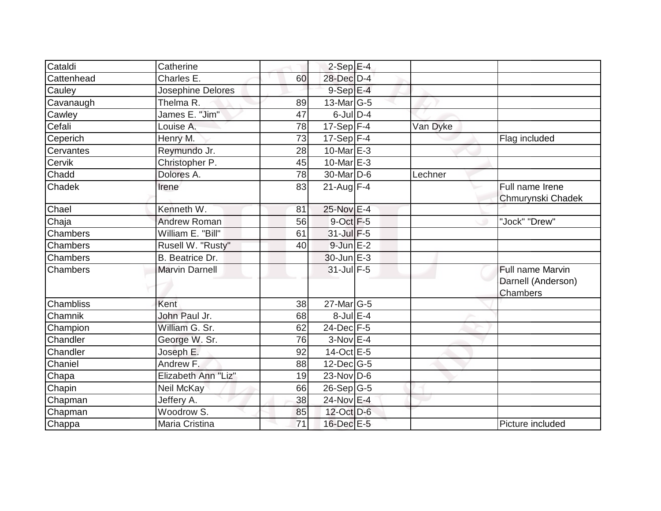| Cataldi          | Catherine             |    | $2-Sep$ $E-4$     |          |                                                    |
|------------------|-----------------------|----|-------------------|----------|----------------------------------------------------|
| Cattenhead       | Charles E.            | 60 | 28-Dec D-4        |          |                                                    |
| Cauley           | Josephine Delores     |    | $9-$ Sep $E-4$    |          |                                                    |
| Cavanaugh        | Thelma R.             | 89 | $13$ -Mar $ G-5 $ |          |                                                    |
| Cawley           | James E. "Jim"        | 47 | $6$ -Jul $D-4$    |          |                                                    |
| Cefali           | Louise A.             | 78 | 17-Sep $F-4$      | Van Dyke |                                                    |
| Ceperich         | Henry M.              | 73 | $17-Sep$ F-4      |          | Flag included                                      |
| Cervantes        | Reymundo Jr.          | 28 | 10-Mar $E-3$      |          |                                                    |
| Cervik           | Christopher P.        | 45 | 10-Mar $E-3$      |          |                                                    |
| Chadd            | Dolores A.            | 78 | 30-Mar D-6        | Lechner  |                                                    |
| Chadek           | Irene                 | 83 | $21$ -Aug F-4     |          | Full name Irene<br>Chmurynski Chadek               |
| Chael            | Kenneth W.            | 81 | 25-Nov E-4        |          |                                                    |
| Chaja            | <b>Andrew Roman</b>   | 56 | $9$ -Oct $F-5$    |          | "Jock" "Drew"                                      |
| Chambers         | William E. "Bill"     | 61 | $31$ -Jul F-5     |          |                                                    |
| Chambers         | Rusell W. "Rusty"     | 40 | $9$ -Jun $E-2$    |          |                                                    |
| Chambers         | B. Beatrice Dr.       |    | $30$ -Jun $E-3$   |          |                                                    |
| Chambers         | <b>Marvin Darnell</b> |    | $31$ -Jul F-5     |          | Full name Marvin<br>Darnell (Anderson)<br>Chambers |
| <b>Chambliss</b> | Kent                  | 38 | 27-Mar G-5        |          |                                                    |
| Chamnik          | John Paul Jr.         | 68 | $8$ -Jul $E-4$    |          |                                                    |
| Champion         | William G. Sr.        | 62 | 24-Dec F-5        |          |                                                    |
| Chandler         | George W. Sr.         | 76 | $3-Nov$ E-4       |          |                                                    |
| Chandler         | Joseph E.             | 92 | $14-Oct$ E-5      |          |                                                    |
| Chaniel          | Andrew F.             | 88 | $12$ -Dec $ G-5 $ |          |                                                    |
| Chapa            | Elizabeth Ann "Liz"   | 19 | $23$ -Nov D-6     |          |                                                    |
| Chapin           | Neil McKay            | 66 | $26-Sep G-5$      |          |                                                    |
| Chapman          | Jeffery A.            | 38 | 24-Nov E-4        |          |                                                    |
| Chapman          | Woodrow S.            | 85 | 12-Oct D-6        |          |                                                    |
| Chappa           | Maria Cristina        | 71 | 16-Dec E-5        |          | Picture included                                   |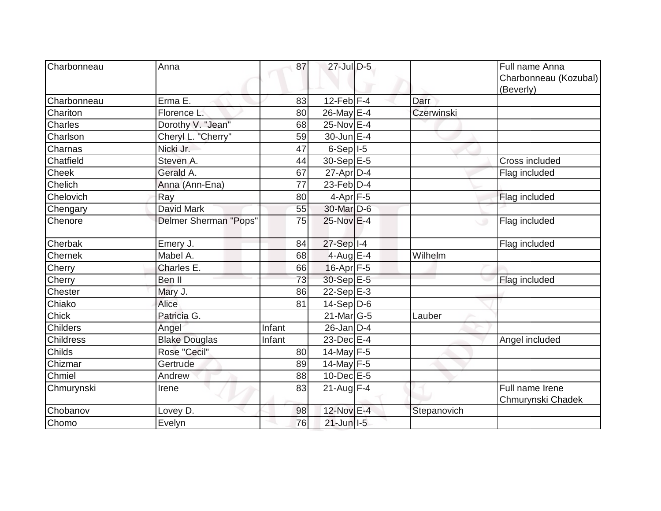| Charbonneau      | Anna                  | 87     | 27-Jul D-5                  |             | Full name Anna<br>Charbonneau (Kozubal)<br>(Beverly) |
|------------------|-----------------------|--------|-----------------------------|-------------|------------------------------------------------------|
| Charbonneau      | Erma E.               | 83     | $12$ -Feb $ F-4 $           | Darr        |                                                      |
| Chariton         | Florence L.           | 80     | 26-May E-4                  | Czerwinski  |                                                      |
| Charles          | Dorothy V. "Jean"     | 68     | 25-Nov E-4                  |             |                                                      |
| Charlson         | Cheryl L. "Cherry"    | 59     | 30-Jun E-4                  |             |                                                      |
| Charnas          | Nicki Jr.             | 47     | $6-Sep$  -5                 |             |                                                      |
| Chatfield        | Steven A.             | 44     | 30-Sep E-5                  |             | Cross included                                       |
| Cheek            | Gerald A.             | 67     | $27$ -Apr $D-4$             |             | Flag included                                        |
| Chelich          | Anna (Ann-Ena)        | 77     | $23$ -Feb $\overline{D}$ -4 |             |                                                      |
| Chelovich        | Ray                   | 80     | $4-Apr$ F-5                 |             | Flag included                                        |
| Chengary         | David Mark            | 55     | 30-Mar D-6                  |             |                                                      |
| Chenore          | Delmer Sherman "Pops" | 75     | $25$ -Nov $E-4$             |             | Flag included<br>ی                                   |
| Cherbak          | Emery J.              | 84     | $27-Sep$ <sup>1-4</sup>     |             | Flag included                                        |
| Chernek          | Mabel A.              | 68     | $4$ -Aug E-4                | Wilhelm     |                                                      |
| Cherry           | Charles E.            | 66     | 16-Apr F-5                  |             |                                                      |
| Cherry           | Ben II                | 73     | $30-Sep$ <sup>E-5</sup>     |             | Flag included                                        |
| Chester          | Mary J.               | 86     | $22-Sep$ E-3                |             |                                                      |
| Chiako           | Alice                 | 81     | $14-Sep D-6$                |             |                                                      |
| Chick            | Patricia G.           |        | 21-Mar G-5                  | Lauber      |                                                      |
| <b>Childers</b>  | Angel                 | Infant | $26$ -Jan D-4               |             |                                                      |
| <b>Childress</b> | <b>Blake Douglas</b>  | Infant | $23$ -Dec $E-4$             |             | Angel included                                       |
| Childs           | Rose "Cecil"          | 80     | 14-May F-5                  |             |                                                      |
| Chizmar          | Gertrude              | 89     | 14-May $F-5$                |             |                                                      |
| Chmiel           | Andrew                | 88     | $10$ -Dec $E - 5$           |             |                                                      |
| Chmurynski       | Irene                 | 83     | $21$ -Aug F-4               |             | Full name Irene<br>Chmurynski Chadek                 |
| Chobanov         | Lovey D.              | 98     | 12-Nov E-4                  | Stepanovich |                                                      |
| Chomo            | Evelyn                | 76     | $21$ -Jun $ I-5 $           |             |                                                      |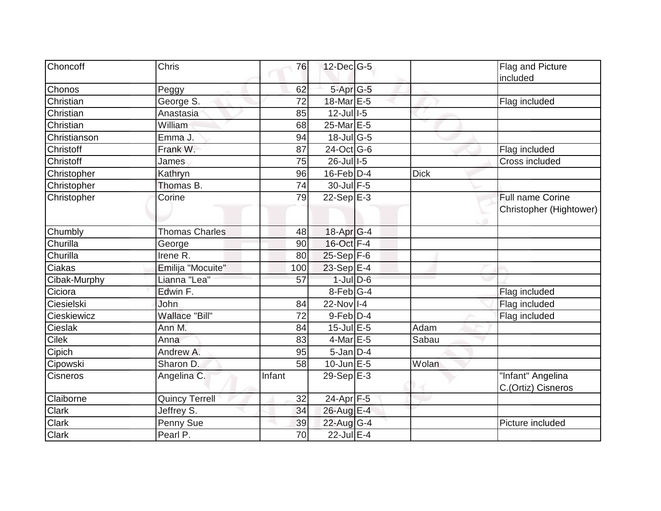| Choncoff     | Chris                 | 76     | $12$ -Dec $ G-5 $          |             | Flag and Picture                        |
|--------------|-----------------------|--------|----------------------------|-------------|-----------------------------------------|
|              |                       |        |                            |             | included                                |
| Chonos       | Peggy                 | 62     | 5-Apr G-5                  |             |                                         |
| Christian    | George S.             | 72     | 18-Mar E-5                 |             | Flag included                           |
| Christian    | Anastasia             | 85     | $12$ -Jul $1-5$            |             |                                         |
| Christian    | William               | 68     | 25-Mar E-5                 |             |                                         |
| Christianson | Emma J.               | 94     | $18$ -Jul G-5              |             |                                         |
| Christoff    | Frank W.              | 87     | 24-Oct G-6                 |             | Flag included                           |
| Christoff    | James                 | 75     | $26$ -Jul $1-5$            |             | Cross included                          |
| Christopher  | Kathryn               | 96     | $16$ -Feb $D-4$            | <b>Dick</b> |                                         |
| Christopher  | Thomas B.             | 74     | 30-Jul F-5                 |             |                                         |
| Christopher  | Corine                | 79     | $22-SepE-3$                |             | Full name Corine                        |
|              |                       |        |                            |             | Christopher (Hightower)                 |
| Chumbly      | <b>Thomas Charles</b> | 48     | 18-Apr G-4                 |             |                                         |
| Churilla     | George                | 90     | 16-Oct F-4                 |             |                                         |
| Churilla     | Irene $R$ .           | 80     | $25-Sep$ F-6               |             |                                         |
| Ciakas       | Emilija "Mocuite"     | 100    | 23-Sep $E-4$               |             |                                         |
| Cibak-Murphy | Lianna "Lea"          | 57     | $1$ -Jul $D$ -6            |             |                                         |
| Ciciora      | Edwin F.              |        | $8-Feb$ <sub>G-4</sub>     |             | Flag included                           |
| Ciesielski   | John                  | 84     | $22$ -Nov $\overline{1-4}$ |             | Flag included                           |
| Cieskiewicz  | Wallace "Bill"        | 72     | $9$ -Feb $ D-4$            |             | Flag included                           |
| Cieslak      | Ann M.                | 84     | $15$ -Jul $E$ -5           | Adam        |                                         |
| <b>Cilek</b> | Anna                  | 83     | $4$ -Mar $E - 5$           | Sabau       |                                         |
| Cipich       | Andrew A.             | 95     | $5$ -Jan $D-4$             |             |                                         |
| Cipowski     | Sharon D.             | 58     | $10$ -Jun $E - 5$          | Wolan       |                                         |
| Cisneros     | Angelina C.           | Infant | 29-Sep $E-3$               |             | "Infant" Angelina<br>C.(Ortiz) Cisneros |
| Claiborne    | <b>Quincy Terrell</b> | 32     | 24-Apr F-5                 |             |                                         |
| <b>Clark</b> | Jeffrey S.            | 34     | 26-Aug E-4                 |             |                                         |
| Clark        | Penny Sue             | 39     | 22-Aug G-4                 |             | Picture included                        |
| Clark        | Pearl P.              | 70     | 22-Jul E-4                 |             |                                         |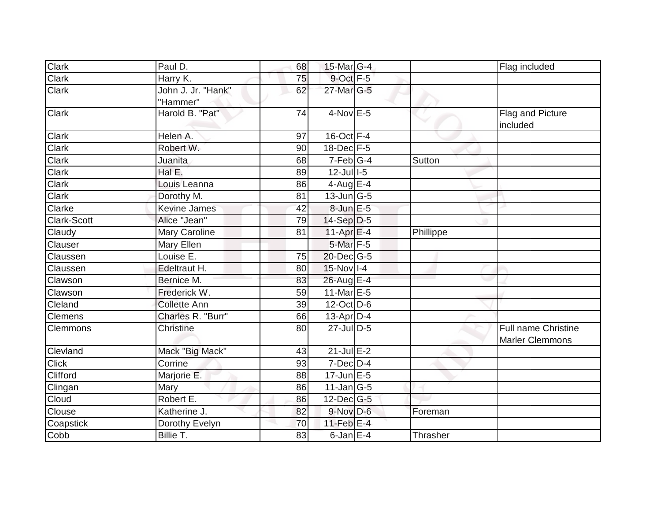| Clark              | Paul D.                        | 68 | 15-Mar G-4                  |           | Flag included                                        |
|--------------------|--------------------------------|----|-----------------------------|-----------|------------------------------------------------------|
| Clark              | Harry K.                       | 75 | 9-Oct F-5                   |           |                                                      |
| Clark              | John J. Jr. "Hank"<br>"Hammer" | 62 | 27-Mar G-5                  |           |                                                      |
| <b>Clark</b>       | Harold B. "Pat"                | 74 | $4$ -Nov $E - 5$            |           | Flag and Picture<br>included                         |
| <b>Clark</b>       | Helen A.                       | 97 | $16$ -Oct $F-4$             |           |                                                      |
| Clark              | Robert W.                      | 90 | $18$ -Dec $F-5$             |           |                                                      |
| Clark              | Juanita                        | 68 | $7-Feb$ <sup>G-4</sup>      | Sutton    |                                                      |
| Clark              | Hal E.                         | 89 | $12$ -Jul $1-5$             |           |                                                      |
| Clark              | Louis Leanna                   | 86 | $4$ -Aug E-4                |           |                                                      |
| Clark              | Dorothy M.                     | 81 | $13$ -Jun $\overline{G}$ -5 |           |                                                      |
| Clarke             | <b>Kevine James</b>            | 42 | 8-Jun E-5                   |           |                                                      |
| <b>Clark-Scott</b> | Alice "Jean"                   | 79 | $14-Sep D-5$                |           |                                                      |
| Claudy             | Mary Caroline                  | 81 | $11-Apr$ E-4                | Phillippe |                                                      |
| Clauser            | Mary Ellen                     |    | 5-Mar F-5                   |           |                                                      |
| Claussen           | Louise E.                      | 75 | $20$ -Dec $ G-5 $           |           |                                                      |
| Claussen           | Edeltraut H.                   | 80 | $15-Nov$ I-4                |           |                                                      |
| Clawson            | Bernice M.                     | 83 | 26-Aug E-4                  |           |                                                      |
| Clawson            | Frederick W.                   | 59 | 11-Mar $E-5$                |           |                                                      |
| Cleland            | <b>Collette Ann</b>            | 39 | 12-Oct D-6                  |           |                                                      |
| Clemens            | Charles R. "Burr"              | 66 | $13$ -Apr $ D-4$            |           |                                                      |
| <b>Clemmons</b>    | <b>Christine</b>               | 80 | 27-Jul D-5                  |           | <b>Full name Christine</b><br><b>Marler Clemmons</b> |
| Clevland           | Mack "Big Mack"                | 43 | $21$ -Jul $E-2$             |           |                                                      |
| <b>Click</b>       | Corrine                        | 93 | $7$ -Dec $D-4$              |           |                                                      |
| Clifford           | Marjorie E.                    | 88 | $17$ -Jun $E - 5$           |           |                                                      |
| Clingan            | Mary                           | 86 | $11$ -Jan $ G-5 $           |           |                                                      |
| Cloud              | Robert E.                      | 86 | $12$ -Dec $ G-5 $           |           |                                                      |
| Clouse             | Katherine J.                   | 82 | $9-Nov$ $D-6$               | Foreman   |                                                      |
| Coapstick          | Dorothy Evelyn                 | 70 | $11$ -Feb $E$ -4            |           |                                                      |
| Cobb               | Billie T.                      | 83 | $6$ -Jan $E-4$              | Thrasher  |                                                      |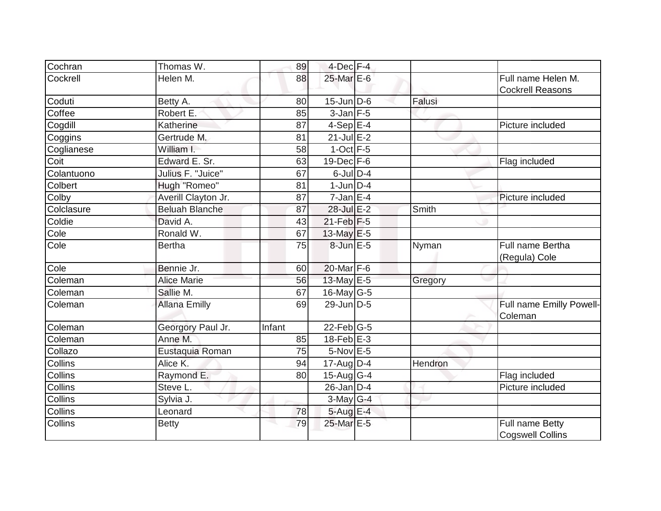| Cochran        | Thomas W.             | 89     | $4$ -Dec $F-4$              |         |                                               |
|----------------|-----------------------|--------|-----------------------------|---------|-----------------------------------------------|
| Cockrell       | Helen M.              | 88     | 25-Mar E-6                  |         | Full name Helen M.<br><b>Cockrell Reasons</b> |
| Coduti         | Betty A.              | 80     | $15$ -Jun D-6               | Falusi  |                                               |
| Coffee         | Robert E.             | 85     | $3$ -Jan $F-5$              |         |                                               |
| Cogdill        | Katherine             | 87     | $4-SepE-4$                  |         | Picture included                              |
| Coggins        | Gertrude M.           | 81     | $21$ -Jul $E-2$             |         |                                               |
| Coglianese     | William I.            | 58     | $1$ -Oct $F-5$              |         |                                               |
| Coit           | Edward E. Sr.         | 63     | $19$ -Dec $F-6$             |         | Flag included                                 |
| Colantuono     | Julius F. "Juice"     | 67     | $6$ -Jul $D-4$              |         |                                               |
| Colbert        | Hugh "Romeo"          | 81     | $1$ -Jun $D-4$              |         |                                               |
| Colby          | Averill Clayton Jr.   | 87     | $7$ -Jan $ E-4$             |         | Picture included                              |
| Colclasure     | <b>Beluah Blanche</b> | 87     | 28-Jul E-2                  | Smith   |                                               |
| Coldie         | David A.              | 43     | $21$ -Feb F-5               |         |                                               |
| Cole           | Ronald W.             | 67     | 13-May E-5                  |         |                                               |
| Cole           | <b>Bertha</b>         | 75     | $8$ -Jun $E - 5$            | Nyman   | Full name Bertha<br>(Regula) Cole             |
| Cole           | Bennie Jr.            | 60     | $20$ -Mar $F-6$             |         |                                               |
| Coleman        | <b>Alice Marie</b>    | 56     | 13-May $E-5$                | Gregory |                                               |
| Coleman        | Sallie M.             | 67     | $16$ -May G-5               |         |                                               |
| Coleman        | <b>Allana Emilly</b>  | 69     | 29-Jun D-5                  |         | Full name Emilly Powell-<br>Coleman           |
| Coleman        | Georgory Paul Jr.     | Infant | $22$ -Feb $ G-5 $           |         |                                               |
| Coleman        | Anne M.               | 85     | $18$ -Feb $E - 3$           |         |                                               |
| Collazo        | Eustaquia Roman       | 75     | $5-Nov$ E-5                 |         |                                               |
| Collins        | Alice K.              | 94     | $17$ -Aug $D-4$             | Hendron |                                               |
| Collins        | Raymond E.            | 80     | $15$ -Aug $\overline{G}$ -4 |         | Flag included                                 |
| Collins        | Steve L.              |        | $26$ -Jan D-4               |         | Picture included                              |
| Collins        | Sylvia J.             |        | $3$ -May G-4                |         |                                               |
| Collins        | Leonard               | 78     | $5$ -Aug E-4                |         |                                               |
| <b>Collins</b> | <b>Betty</b>          | 79     | 25-Mar E-5                  |         | Full name Betty<br><b>Cogswell Collins</b>    |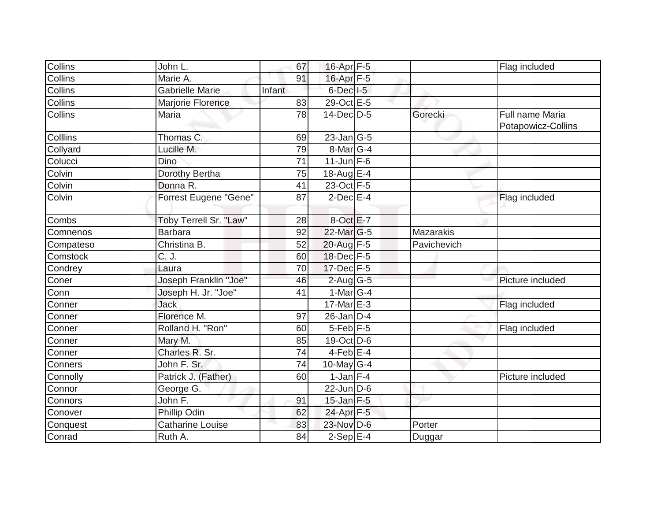| Collins   | John L.                | 67              | 16-Apr F-5        |                  | Flag included      |
|-----------|------------------------|-----------------|-------------------|------------------|--------------------|
| Collins   | Marie A.               | 91              | 16-Apr F-5        |                  |                    |
| Collins   | Gabrielle Marie        | Infant          | $6$ -Dec $ $ I-5  |                  |                    |
| Collins   | Marjorie Florence      | 83              | 29-Oct E-5        |                  |                    |
| Collins   | Maria                  | $\overline{78}$ | 14-Dec D-5        | Gorecki          | Full name Maria    |
|           |                        |                 |                   |                  | Potapowicz-Collins |
| Colllins  | Thomas C.              | 69              | $23$ -Jan $ G-5 $ |                  |                    |
| Collyard  | Lucille M.             | 79              | $8$ -Mar $ G-4 $  |                  |                    |
| Colucci   | <b>Dino</b>            | 71              | $11$ -Jun $F-6$   |                  |                    |
| Colvin    | Dorothy Bertha         | 75              | 18-Aug E-4        |                  |                    |
| Colvin    | Donna R.               | 41              | 23-Oct F-5        |                  |                    |
| Colvin    | Forrest Eugene "Gene"  | 87              | $2$ -Dec $E-4$    |                  | Flag included      |
|           |                        |                 |                   |                  |                    |
| Combs     | Toby Terrell Sr. "Law" | 28              | 8-Oct E-7         |                  |                    |
| Comnenos  | <b>Barbara</b>         | 92              | 22-Mar G-5        | <b>Mazarakis</b> |                    |
| Compateso | Christina B.           | 52              | 20-Aug F-5        | Pavichevich      |                    |
| Comstock  | C. J.                  | 60              | $18$ -Dec $F-5$   |                  |                    |
| Condrey   | Laura                  | 70              | $17$ -Dec $F-5$   |                  |                    |
| Coner     | Joseph Franklin "Joe"  | 46              | $2$ -Aug G-5      |                  | Picture included   |
| Conn      | Joseph H. Jr. "Joe"    | 41              | $1-Mar$ G-4       |                  |                    |
| Conner    | <b>Jack</b>            |                 | 17-Mar E-3        |                  | Flag included      |
| Conner    | Florence M.            | 97              | $26$ -Jan D-4     |                  |                    |
| Conner    | Rolland H. "Ron"       | 60              | $5$ -Feb $ F-5 $  |                  | Flag included      |
| Conner    | Mary M.                | 85              | 19-Oct D-6        |                  |                    |
| Conner    | Charles R. Sr.         | 74              | $4$ -Feb $E$ -4   |                  |                    |
| Conners   | John F. Sr.            | 74              | $10$ -May G-4     |                  |                    |
| Connolly  | Patrick J. (Father)    | 60              | $1$ -Jan $F-4$    |                  | Picture included   |
| Connor    | George G.              |                 | $22$ -Jun D-6     |                  |                    |
| Connors   | John F.                | 91              | $15$ -Jan F-5     |                  |                    |
| Conover   | Phillip Odin           | 62              | 24-Apr F-5        |                  |                    |
| Conquest  | Catharine Louise       | 83              | 23-Nov D-6        | Porter           |                    |
| Conrad    | Ruth A.                | 84              | $2-Sep$ E-4       | Duggar           |                    |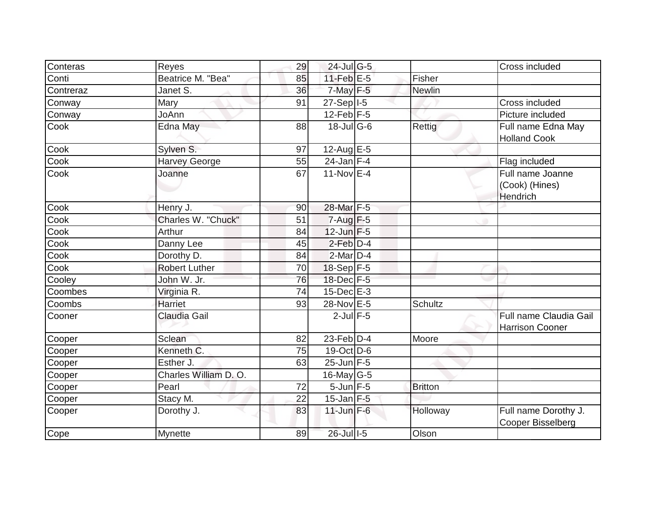| Conteras  | Reyes                 | 29 | 24-Jul G-5              |                | Cross included                                   |
|-----------|-----------------------|----|-------------------------|----------------|--------------------------------------------------|
| Conti     | Beatrice M. "Bea"     | 85 | 11-Feb $E-5$            | Fisher         |                                                  |
| Contreraz | Janet S.              | 36 | $7$ -May $F-5$          | <b>Newlin</b>  |                                                  |
| Conway    | Mary                  | 91 | $27-Sep$ <sup>1-5</sup> |                | Cross included                                   |
| Conway    | JoAnn                 |    | $12$ -Feb $F-5$         |                | Picture included                                 |
| Cook      | Edna May              | 88 | $18$ -JulG-6            | Rettig         | Full name Edna May<br><b>Holland Cook</b>        |
| Cook      | Sylven S.             | 97 | $12$ -Aug E-5           |                |                                                  |
| Cook      | <b>Harvey George</b>  | 55 | $24$ -Jan F-4           |                | Flag included                                    |
| Cook      | Joanne                | 67 | $11-NovEE-4$            |                | Full name Joanne<br>(Cook) (Hines)<br>Hendrich   |
| Cook      | Henry J.              | 90 | 28-Mar F-5              |                |                                                  |
| Cook      | Charles W. "Chuck"    | 51 | $7 - Aug$ $F-5$         |                |                                                  |
| Cook      | Arthur                | 84 | $12$ -Jun $F-5$         |                |                                                  |
| Cook      | Danny Lee             | 45 | $2$ -Feb $D-4$          |                |                                                  |
| Cook      | Dorothy D.            | 84 | $2$ -Mar $D-4$          |                |                                                  |
| Cook      | <b>Robert Luther</b>  | 70 | $18-Sep$ F-5            |                |                                                  |
| Cooley    | John W. Jr.           | 76 | 18-Dec F-5              |                |                                                  |
| Coombes   | Virginia R.           | 74 | $15$ -Dec $E-3$         |                |                                                  |
| Coombs    | Harriet               | 93 | 28-Nov E-5              | Schultz        |                                                  |
| Cooner    | Claudia Gail          |    | $2$ -Jul $F-5$          |                | Full name Claudia Gail<br><b>Harrison Cooner</b> |
| Cooper    | Sclean                | 82 | $23$ -Feb $D-4$         | Moore          |                                                  |
| Cooper    | Kenneth C.            | 75 | $19-Oct$ D-6            |                |                                                  |
| Cooper    | Esther J.             | 63 | $25$ -Jun F-5           |                |                                                  |
| Cooper    | Charles William D. O. |    | 16-May $G-5$            |                |                                                  |
| Cooper    | Pearl                 | 72 | $5$ -Jun $F - 5$        | <b>Britton</b> |                                                  |
| Cooper    | Stacy M.              | 22 | $15$ -Jan $F-5$         |                |                                                  |
| Cooper    | Dorothy J.            | 83 | $11$ -Jun $F-6$         | Holloway       | Full name Dorothy J.<br>Cooper Bisselberg        |
| Cope      | Mynette               | 89 | 26-Jul I-5              | Olson          |                                                  |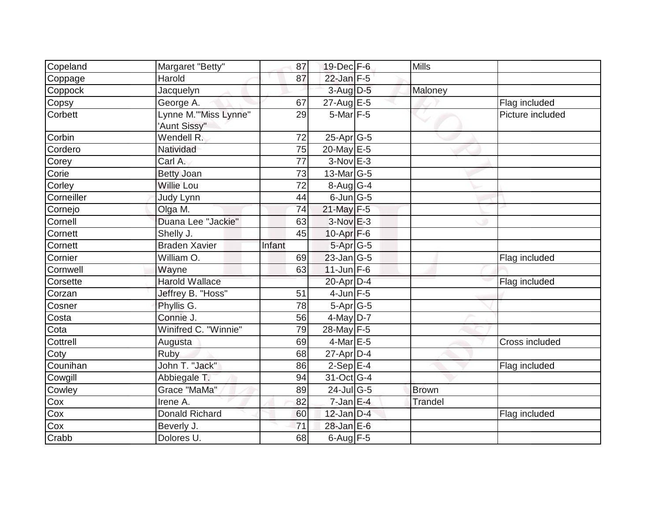| Copeland   | Margaret "Betty"      | 87     | 19-Dec F-6        | <b>Mills</b> |                  |
|------------|-----------------------|--------|-------------------|--------------|------------------|
| Coppage    | Harold                | 87     | $22$ -Jan F-5     |              |                  |
| Coppock    | Jacquelyn             |        | $3-Aug$ $D-5$     | Maloney      |                  |
| Copsy      | George A.             | 67     | $27$ -Aug $E - 5$ |              | Flag included    |
| Corbett    | Lynne M."'Miss Lynne" | 29     | 5-Mar F-5         |              | Picture included |
|            | 'Aunt Sissy"          |        |                   |              |                  |
| Corbin     | Wendell R.            | 72     | 25-Apr G-5        |              |                  |
| Cordero    | Natividad             | 75     | 20-May E-5        |              |                  |
| Corey      | Carl A.               | 77     | $3-Nov$ E-3       |              |                  |
| Corie      | <b>Betty Joan</b>     | 73     | $13$ -Mar $ G-5$  |              |                  |
| Corley     | <b>Willie Lou</b>     | 72     | $8-Aug G-4$       |              |                  |
| Corneiller | Judy Lynn             | 44     | $6$ -Jun $G$ -5   |              |                  |
| Cornejo    | Olga M.               | 74     | $21$ -May $F-5$   |              |                  |
| Cornell    | Duana Lee "Jackie"    | 63     | $3-Nov$ $E-3$     |              |                  |
| Cornett    | Shelly J.             | 45     | $10$ -Apr $F-6$   |              |                  |
| Cornett    | <b>Braden Xavier</b>  | Infant | 5-Apr G-5         |              |                  |
| Cornier    | William O.            | 69     | 23-Jan G-5        |              | Flag included    |
| Cornwell   | Wayne                 | 63     | $11$ -Jun F-6     |              |                  |
| Corsette   | <b>Harold Wallace</b> |        | 20-Apr D-4        |              | Flag included    |
| Corzan     | Jeffrey B. "Hoss"     | 51     | $4$ -Jun $F-5$    |              |                  |
| Cosner     | Phyllis G.            | 78     | $5-Apr$ G-5       |              |                  |
| Costa      | Connie J.             | 56     | $4$ -May $D-7$    |              |                  |
| Cota       | Winifred C. "Winnie"  | 79     | 28-May F-5        |              |                  |
| Cottrell   | Augusta               | 69     | $4$ -Mar $E - 5$  |              | Cross included   |
| Coty       | Ruby                  | 68     | $27$ -Apr $D-4$   |              |                  |
| Counihan   | John T. "Jack"        | 86     | $2-Sep$ E-4       |              | Flag included    |
| Cowgill    | Abbiegale T.          | 94     | 31-Oct G-4        |              |                  |
| Cowley     | Grace "MaMa"          | 89     | $24$ -Jul G-5     | <b>Brown</b> |                  |
| Cox        | Irene A.              | 82     | $7$ -Jan E-4      | Trandel      |                  |
| Cox        | <b>Donald Richard</b> | 60     | $12$ -Jan $D-4$   |              | Flag included    |
| Cox        | Beverly J.            | 71     | 28-Jan E-6        |              |                  |
| Crabb      | Dolores U.            | 68     | $6$ -Aug $F-5$    |              |                  |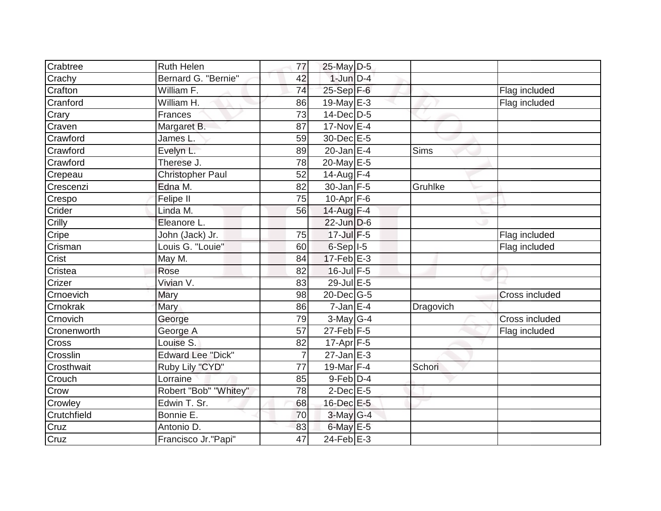| Crabtree     | <b>Ruth Helen</b>        | 77             | $25$ -May D-5    |           |                |
|--------------|--------------------------|----------------|------------------|-----------|----------------|
| Crachy       | Bernard G. "Bernie"      | 42             | $1$ -Jun $D-4$   |           |                |
| Crafton      | William F.               | 74             | $25-Sep$ F-6     |           | Flag included  |
| Cranford     | William H.               | 86             | $19$ -May E-3    |           | Flag included  |
| Crary        | Frances                  | 73             | 14-Dec D-5       |           |                |
| Craven       | Margaret B.              | 87             | $17-Nov$ E-4     |           |                |
| Crawford     | James L.                 | 59             | 30-Dec E-5       |           |                |
| Crawford     | Evelyn L.                | 89             | $20$ -Jan $E-4$  | Sims      |                |
| Crawford     | Therese J.               | 78             | 20-May E-5       |           |                |
| Crepeau      | <b>Christopher Paul</b>  | 52             | 14-Aug $F-4$     |           |                |
| Crescenzi    | Edna M.                  | 82             | $30$ -Jan F-5    | Gruhlke   |                |
| Crespo       | Felipe II                | 75             | $10$ -Apr $F$ -6 |           |                |
| Crider       | Linda M.                 | 56             | 14-Aug F-4       |           |                |
| Crilly       | Eleanore L.              |                | $22$ -Jun $D-6$  |           |                |
| Cripe        | John (Jack) Jr.          | 75             | $17$ -Jul $F-5$  |           | Flag included  |
| Crisman      | Louis G. "Louie"         | 60             | $6-Sep$ $I-5$    |           | Flag included  |
| Crist        | May M.                   | 84             | $17$ -Feb $E-3$  |           |                |
| Cristea      | Rose                     | 82             | 16-Jul F-5       |           |                |
| Crizer       | Vivian V.                | 83             | 29-Jul E-5       |           |                |
| Crnoevich    | Mary                     | 98             | $20$ -Dec $G-5$  |           | Cross included |
| Crnokrak     | Mary                     | 86             | $7$ -Jan $E-4$   | Dragovich |                |
| Crnovich     | George                   | 79             | $3-May$ G-4      |           | Cross included |
| Cronenworth  | George A                 | 57             | $27$ -Feb $ F-5$ |           | Flag included  |
| <b>Cross</b> | Louise S.                | 82             | $17$ -Apr $F-5$  |           |                |
| Crosslin     | <b>Edward Lee "Dick"</b> | $\overline{7}$ | $27$ -Jan $E-3$  |           |                |
| Crosthwait   | Ruby Lily "CYD"          | 77             | 19-Mar $F-4$     | Schori    |                |
| Crouch       | Lorraine                 | 85             | $9$ -Feb $D-4$   |           |                |
| Crow         | Robert "Bob" "Whitey"    | 78             | $2$ -Dec $E$ -5  |           |                |
| Crowley      | Edwin T. Sr.             | 68             | 16-Dec E-5       |           |                |
| Crutchfield  | Bonnie E.                | 70             | $3$ -May G-4     |           |                |
| Cruz         | Antonio D.               | 83             | $6$ -May $E$ -5  |           |                |
| Cruz         | Francisco Jr."Papi"      | 47             | 24-Feb $E-3$     |           |                |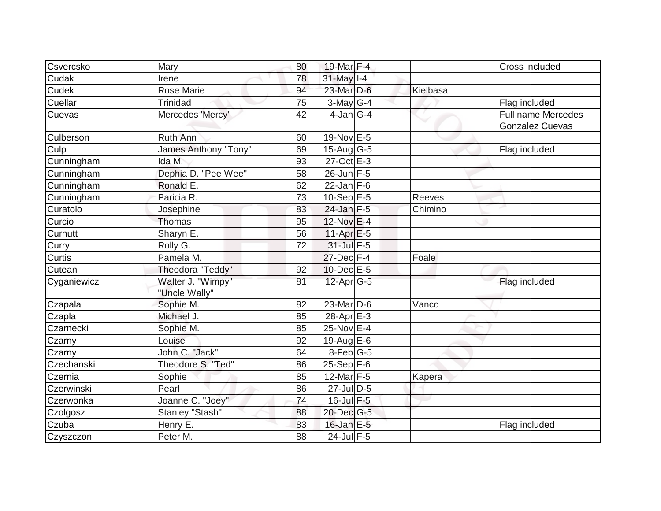| Csvercsko   | Mary                               | 80 | 19-Mar F-4        |          | Cross included                               |
|-------------|------------------------------------|----|-------------------|----------|----------------------------------------------|
| Cudak       | Irene                              | 78 | 31-May I-4        |          |                                              |
| Cudek       | Rose Marie                         | 94 | 23-Mar D-6        | Kielbasa |                                              |
| Cuellar     | <b>Trinidad</b>                    | 75 | $3$ -May G-4      |          | Flag included                                |
| Cuevas      | Mercedes 'Mercy"                   | 42 | $4$ -Jan $ G-4 $  |          | Full name Mercedes<br><b>Gonzalez Cuevas</b> |
| Culberson   | Ruth Ann                           | 60 | 19-Nov E-5        |          |                                              |
| Culp        | James Anthony "Tony"               | 69 | $15$ -Aug $ G-5 $ |          | Flag included                                |
| Cunningham  | Ida M.                             | 93 | 27-Oct E-3        |          |                                              |
| Cunningham  | Dephia D. "Pee Wee"                | 58 | 26-Jun F-5        |          |                                              |
| Cunningham  | Ronald E.                          | 62 | $22$ -Jan F-6     |          |                                              |
| Cunningham  | Paricia R.                         | 73 | $10-Sep$ E-5      | Reeves   |                                              |
| Curatolo    | Josephine                          | 83 | $24$ -Jan F-5     | Chimino  |                                              |
| Curcio      | Thomas                             | 95 | $12$ -Nov $E-4$   |          |                                              |
| Curnutt     | Sharyn E.                          | 56 | $11-Apr$ $E-5$    |          |                                              |
| Curry       | Rolly G.                           | 72 | $31$ -Jul F-5     |          |                                              |
| Curtis      | Pamela M.                          |    | $27$ -Dec $F-4$   | Foale    |                                              |
| Cutean      | Theodora "Teddy"                   | 92 | $10$ -Dec $E - 5$ |          |                                              |
| Cyganiewicz | Walter J. "Wimpy"<br>"Uncle Wally" | 81 | $12$ -Apr $ G-5 $ |          | Flag included                                |
| Czapala     | Sophie M.                          | 82 | $23$ -Mar $ D-6$  | Vanco    |                                              |
| Czapla      | Michael J.                         | 85 | 28-Apr E-3        |          |                                              |
| Czarnecki   | Sophie M.                          | 85 | 25-Nov E-4        |          |                                              |
| Czarny      | Louise                             | 92 | 19-Aug $E-6$      |          |                                              |
| Czarny      | John C. "Jack"                     | 64 | $8$ -Feb $ G-5 $  |          |                                              |
| Czechanski  | Theodore S. "Ted"                  | 86 | $25 - Sep$ F-6    |          |                                              |
| Czernia     | Sophie                             | 85 | 12-Mar $F-5$      | Kapera   |                                              |
| Czerwinski  | Pearl                              | 86 | $27$ -Jul $D-5$   |          |                                              |
| Czerwonka   | Joanne C. "Joey"                   | 74 | $16$ -Jul $F-5$   |          |                                              |
| Czolgosz    | Stanley "Stash"                    | 88 | 20-Dec G-5        |          |                                              |
| Czuba       | Henry E.                           | 83 | $16$ -Jan $E-5$   |          | Flag included                                |
| Czyszczon   | Peter M.                           | 88 | $24$ -Jul F-5     |          |                                              |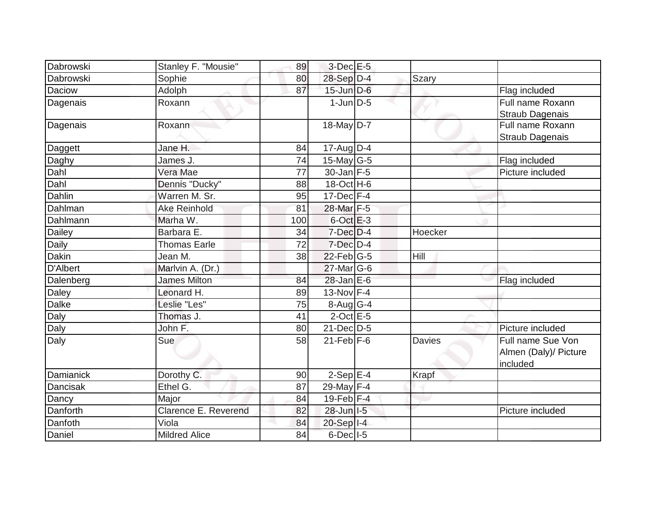| Dabrowski       | Stanley F. "Mousie"  | 89  | $3$ -Dec $E-5$   |               |                                                        |
|-----------------|----------------------|-----|------------------|---------------|--------------------------------------------------------|
| Dabrowski       | Sophie               | 80  | 28-Sep D-4       | <b>Szary</b>  |                                                        |
| Daciow          | Adolph               | 87  | $15$ -Jun $D-6$  |               | Flag included                                          |
| Dagenais        | Roxann               |     | $1$ -Jun $D-5$   |               | Full name Roxann<br>Straub Dagenais                    |
| Dagenais        | Roxann               |     | 18-May D-7       |               | Full name Roxann<br><b>Straub Dagenais</b>             |
| Daggett         | Jane H.              | 84  | 17-Aug D-4       |               |                                                        |
| Daghy           | James J.             | 74  | $15$ -May G-5    |               | Flag included                                          |
| Dahl            | Vera Mae             | 77  | $30$ -Jan F-5    |               | Picture included                                       |
| Dahl            | Dennis "Ducky"       | 88  | 18-Oct H-6       |               |                                                        |
| Dahlin          | Warren M. Sr.        | 95  | $17 - Dec$ F-4   |               |                                                        |
| Dahlman         | <b>Ake Reinhold</b>  | 81  | 28-Mar F-5       |               |                                                        |
| Dahlmann        | Marha W.             | 100 | $6$ -Oct $E-3$   |               |                                                        |
| Dailey          | Barbara E.           | 34  | 7-Dec D-4        | Hoecker       |                                                        |
| Daily           | <b>Thomas Earle</b>  | 72  | $7$ -Dec $D-4$   |               |                                                        |
| Dakin           | Jean M.              | 38  | $22$ -Feb G-5    | Hill          |                                                        |
| <b>D'Albert</b> | Marlvin A. (Dr.)     |     | $27$ -Mar $ G-6$ |               |                                                        |
| Dalenberg       | <b>James Milton</b>  | 84  | $28$ -Jan $E$ -6 |               | Flag included                                          |
| <b>Daley</b>    | Leonard H.           | 89  | 13-Nov F-4       |               |                                                        |
| <b>Dalke</b>    | Leslie "Les"         | 75  | 8-Aug G-4        |               |                                                        |
| Daly            | Thomas J.            | 41  | $2$ -Oct $E - 5$ |               |                                                        |
| Daly            | John F.              | 80  | $21$ -Dec $D-5$  |               | Picture included                                       |
| Daly            | Sue                  | 58  | $21$ -Feb $F-6$  | <b>Davies</b> | Full name Sue Von<br>Almen (Daly)/ Picture<br>included |
| Damianick       | Dorothy C.           | 90  | $2-SepE-4$       | Krapf         |                                                        |
| Dancisak        | Ethel G.             | 87  | 29-May F-4       |               |                                                        |
| Dancy           | Major                | 84  | $19$ -Feb $ F-4$ |               |                                                        |
| Danforth        | Clarence E. Reverend | 82  | 28-Jun I-5       |               | Picture included                                       |
| Danfoth         | Viola                | 84  | 20-Sep I-4       |               |                                                        |
| Daniel          | <b>Mildred Alice</b> | 84  | $6$ -Dec $ $ I-5 |               |                                                        |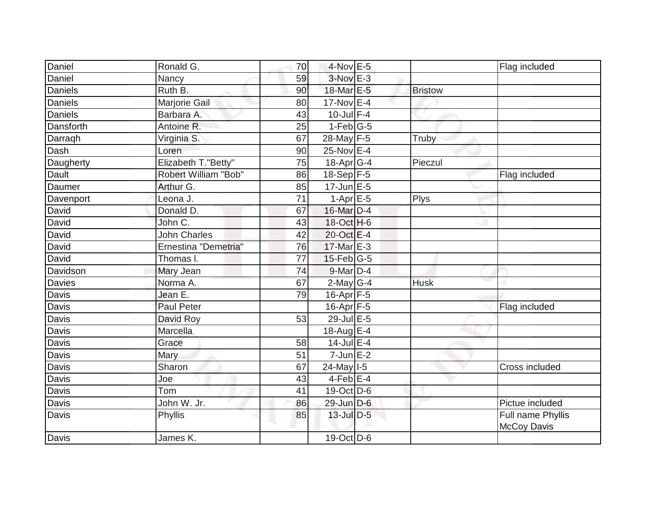| Daniel         | Ronald G.            | 70 | $4$ -Nov $E - 5$          |                | Flag included                           |
|----------------|----------------------|----|---------------------------|----------------|-----------------------------------------|
| Daniel         | Nancy                | 59 | 3-Nov E-3                 |                |                                         |
| Daniels        | Ruth B.              | 90 | 18-Mar E-5                | <b>Bristow</b> |                                         |
| <b>Daniels</b> | Marjorie Gail        | 80 | 17-Nov E-4                |                |                                         |
| <b>Daniels</b> | Barbara A.           | 43 | $10$ -Jul $F-4$           |                |                                         |
| Dansforth      | Antoine R.           | 25 | $1-Feb$ G-5               |                |                                         |
| Darragh        | Virginia S.          | 67 | 28-May F-5                | Truby          |                                         |
| Dash           | Loren                | 90 | 25-Nov E-4                |                |                                         |
| Daugherty      | Elizabeth T."Betty"  | 75 | 18-Apr G-4                | Pieczul        |                                         |
| Dault          | Robert William "Bob" | 86 | 18-Sep F-5                |                | Flag included                           |
| Daumer         | Arthur G.            | 85 | $17$ -Jun $E$ -5          |                |                                         |
| Davenport      | Leona J.             | 71 | $1-Apr \nightharpoonup 5$ | Plys           |                                         |
| David          | Donald D.            | 67 | 16-Mar D-4                |                |                                         |
| David          | John C.              | 43 | $18-Oct$ H-6              |                |                                         |
| David          | <b>John Charles</b>  | 42 | 20-Oct E-4                |                |                                         |
| David          | Ernestina "Demetria" | 76 | 17-Mar E-3                |                |                                         |
| David          | Thomas I.            | 77 | $15$ -Feb $ G-5 $         |                |                                         |
| Davidson       | Mary Jean            | 74 | 9-Mar D-4                 |                |                                         |
| <b>Davies</b>  | Norma A.             | 67 | $2$ -May G-4              | <b>Husk</b>    |                                         |
| Davis          | Jean E.              | 79 | 16-Apr F-5                |                |                                         |
| Davis          | <b>Paul Peter</b>    |    | 16-Apr F-5                |                | Flag included                           |
| Davis          | David Roy            | 53 | $29$ -Jul E-5             |                |                                         |
| Davis          | Marcella             |    | 18-Aug E-4                |                |                                         |
| Davis          | Grace                | 58 | $14$ -Jul E-4             |                |                                         |
| Davis          | Mary                 | 51 | $7$ -Jun $E-2$            |                |                                         |
| <b>Davis</b>   | Sharon               | 67 | 24-May 1-5                |                | Cross included                          |
| Davis          | Joe                  | 43 | $4$ -Feb $E$ -4           |                |                                         |
| <b>Davis</b>   | Tom                  | 41 | $19-Oct$ D-6              |                |                                         |
| Davis          | John W. Jr.          | 86 | 29-Jun D-6                |                | Pictue included                         |
| Davis          | Phyllis              | 85 | 13-Jul D-5                |                | Full name Phyllis<br><b>McCoy Davis</b> |
| <b>Davis</b>   | James K.             |    | 19-Oct D-6                |                |                                         |
|                |                      |    |                           |                |                                         |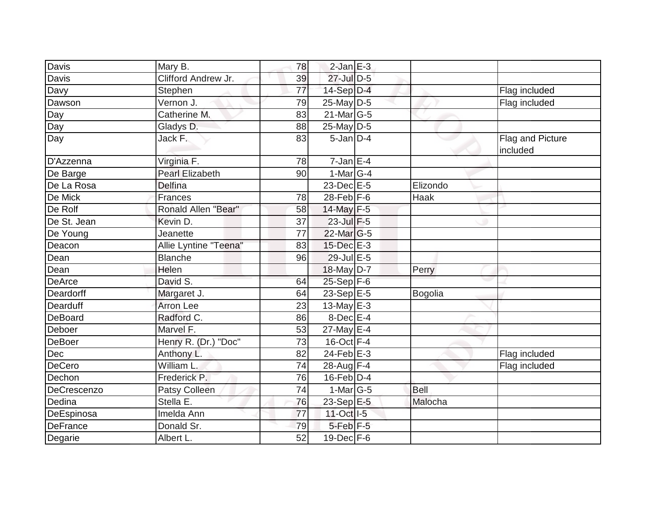| Davis           | Mary B.                | 78 | $2$ -Jan $E-3$             |             |                              |
|-----------------|------------------------|----|----------------------------|-------------|------------------------------|
| <b>Davis</b>    | Clifford Andrew Jr.    | 39 | 27-Jul D-5                 |             |                              |
| Davy            | Stephen                | 77 | $14-Sep$ D-4               |             | Flag included                |
| Dawson          | Vernon J.              | 79 | 25-May D-5                 |             | Flag included                |
| Day             | Catherine M.           | 83 | $21$ -Mar $G-5$            |             |                              |
| Day             | Gladys D.              | 88 | 25-May D-5                 |             |                              |
| Day             | Jack F.                | 83 | $5$ -Jan $D-4$             |             | Flag and Picture<br>included |
| D'Azzenna       | Virginia <sub>F.</sub> | 78 | $7 - Jan$ E-4              |             |                              |
| De Barge        | <b>Pearl Elizabeth</b> | 90 | $1-Mar$ G-4                |             |                              |
| De La Rosa      | <b>Delfina</b>         |    | 23-Dec E-5                 | Elizondo    |                              |
| De Mick         | <b>Frances</b>         | 78 | $28$ -Feb $F-6$            | Haak        |                              |
| De Rolf         | Ronald Allen "Bear"    | 58 | 14-May F-5                 |             |                              |
| De St. Jean     | Kevin D.               | 37 | 23-Jul F-5                 |             |                              |
| De Young        | Jeanette               | 77 | 22-Mar G-5                 |             |                              |
| Deacon          | Allie Lyntine "Teena"  | 83 | 15-Dec E-3                 |             |                              |
| Dean            | <b>Blanche</b>         | 96 | 29-Jul E-5                 |             |                              |
| Dean            | Helen                  |    | 18-May D-7                 | Perry       |                              |
| <b>DeArce</b>   | David S.               | 64 | 25-Sep F-6                 |             |                              |
| Deardorff       | Margaret J.            | 64 | $23-Sep$ E-5               | Bogolia     |                              |
| Dearduff        | <b>Arron Lee</b>       | 23 | 13-May $E-3$               |             |                              |
| DeBoard         | Radford C.             | 86 | $8$ -Dec $E-4$             |             |                              |
| Deboer          | Marvel F.              | 53 | $27$ -May $E-4$            |             |                              |
| <b>DeBoer</b>   | Henry R. (Dr.) "Doc"   | 73 | $16$ -Oct $\overline{F-4}$ |             |                              |
| Dec             | Anthony L.             | 82 | $24$ -Feb $E-3$            |             | Flag included                |
| DeCero          | William L              | 74 | 28-Aug F-4                 |             | Flag included                |
| Dechon          | Frederick P.           | 76 | $16$ -Feb $D-4$            |             |                              |
| DeCrescenzo     | Patsy Colleen          | 74 | $1-Mar$ G-5                | <b>Bell</b> |                              |
| Dedina          | Stella E.              | 76 | 23-Sep E-5                 | Malocha     |                              |
| DeEspinosa      | Imelda Ann             | 77 | 11-Oct I-5                 |             |                              |
| <b>DeFrance</b> | Donald Sr.             | 79 | 5-Feb <sup>F-5</sup>       |             |                              |
| Degarie         | Albert L.              | 52 | $19$ -Dec $F-6$            |             |                              |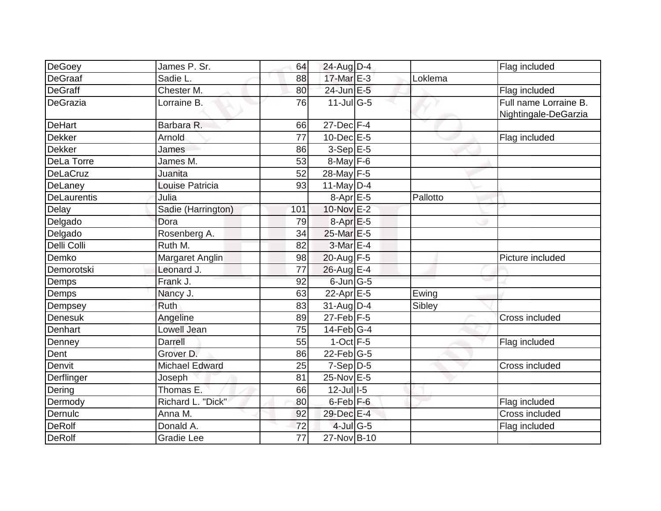| DeGoey<br><b>DeGraaf</b> | James P. Sr.<br>Sadie L. | 64              | 24-Aug D-4<br>17-Mar E-3          |                        | Flag included                                 |
|--------------------------|--------------------------|-----------------|-----------------------------------|------------------------|-----------------------------------------------|
|                          |                          | 88              |                                   | _<br>Loklema           |                                               |
| <b>DeGraff</b>           | Chester M.               | 80              | $24$ -Jun $E-5$                   |                        | Flag included                                 |
| DeGrazia                 | Lorraine B.              | 76              | $11$ -Jul $\overline{\text{G-5}}$ |                        | Full name Lorraine B.<br>Nightingale-DeGarzia |
| <b>DeHart</b>            | Barbara R.               | 66              | $27 - Dec$ $\boxed{F-4}$          |                        |                                               |
| Dekker                   | Arnold                   | $\overline{77}$ | 10-Dec E-5                        |                        | Flag included                                 |
| <b>Dekker</b>            | James                    | 86              | $3-Sep$ $E-5$                     |                        |                                               |
| DeLa Torre               | James M.                 | 53              | $8$ -May $F-6$                    |                        |                                               |
| <b>DeLaCruz</b>          | Juanita                  | 52              | 28-May F-5                        |                        |                                               |
| DeLaney                  | Louise Patricia          | 93              | 11-May $D-4$                      |                        |                                               |
| <b>DeLaurentis</b>       | Julia                    |                 | $8-Apr$ E-5                       | $\overline{P}$ allotto |                                               |
| Delay                    | Sadie (Harrington)       | 101             | 10-Nov E-2                        |                        |                                               |
| Delgado                  | Dora                     | 79              | $8-AprE-5$                        |                        |                                               |
| Delgado                  | Rosenberg A.             | 34              | 25-Mar E-5                        |                        |                                               |
| Delli Colli              | Ruth M.                  | 82              | 3-Mar E-4                         |                        |                                               |
| Demko                    | Margaret Anglin          | 98              | 20-Aug F-5                        |                        | Picture included                              |
| Demorotski               | Leonard J.               | 77              | $26$ -Aug E-4                     |                        |                                               |
| Demps                    | Frank J.                 | 92              | 6-Jun G-5                         |                        |                                               |
| Demps                    | Nancy J.                 | 63              | 22-Apr E-5                        | Ewing                  |                                               |
| Dempsey                  | Ruth                     | 83              | $31$ -Aug $D-4$                   | Sibley                 |                                               |
| Denesuk                  | Angeline                 | 89              | $27$ -Feb $F-5$                   |                        | Cross included                                |
| Denhart                  | Lowell Jean              | 75              | $14$ -Feb $G-4$                   |                        |                                               |
| Denney                   | Darrell                  | 55              | $1-Oct$ F-5                       |                        | Flag included                                 |
| Dent                     | Grover D.                | 86              | $22$ -Feb $ G-5 $                 |                        |                                               |
| Denvit                   | <b>Michael Edward</b>    | 25              | $7-Sep$ D-5                       |                        | Cross included                                |
| Derflinger               | Joseph                   | 81              | 25-Nov E-5                        |                        |                                               |
| Dering                   | Thomas E.                | 66              | $12$ -Jull-5                      |                        |                                               |
| Dermody                  | Richard L. "Dick"        | 80              | 6-Feb <sup>F-6</sup>              |                        | Flag included                                 |
| Dernulc                  | Anna M.                  | 92              | 29-Dec E-4                        |                        | Cross included                                |
| <b>DeRolf</b>            | Donald A.                | 72              | $4$ -Jul G-5                      |                        | Flag included                                 |
| <b>DeRolf</b>            | Gradie Lee               | $\overline{77}$ | 27-Nov B-10                       |                        |                                               |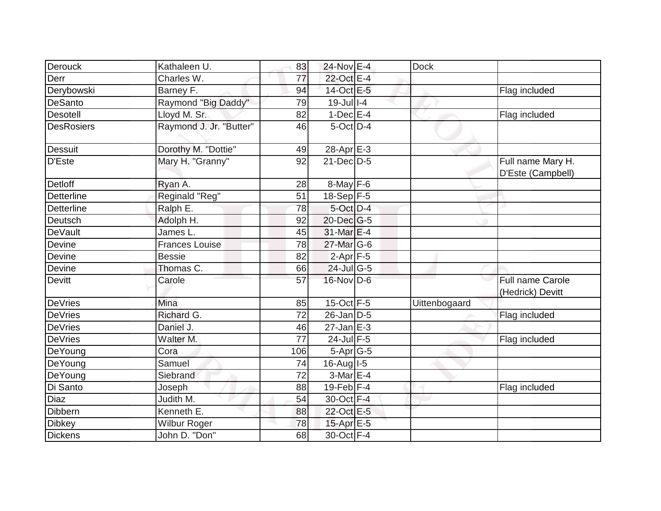| Derouck           | Kathaleen U.            | 83              | 24-Nov E-4       | <b>Dock</b>   |                                        |
|-------------------|-------------------------|-----------------|------------------|---------------|----------------------------------------|
| Derr              | Charles W.              | 77              | 22-Oct E-4       |               |                                        |
| Derybowski        | Barney F.               | 94              | 14-Oct E-5       |               | Flag included                          |
| DeSanto           | Raymond "Big Daddy"     | 79              | $19$ -Jull-4     |               |                                        |
| Desotell          | Lloyd M. Sr.            | 82              | $1-Dec$ E-4      |               | Flag included                          |
| <b>DesRosiers</b> | Raymond J. Jr. "Butter" | 46              | 5-Oct D-4        |               |                                        |
| <b>Dessuit</b>    | Dorothy M. "Dottie"     | 49              | $28-Apr \E-3$    |               |                                        |
| D'Este            | Mary H. "Granny"        | 92              | $21$ -Dec $D-5$  |               | Full name Mary H.<br>D'Este (Campbell) |
| <b>Detloff</b>    | Ryan A.                 | 28              | $8$ -May $F-6$   |               |                                        |
| Detterline        | Reginald "Reg"          | 51              | $18-Sep$ F-5     |               |                                        |
| <b>Detterline</b> | Ralph E.                | 78              | 5-Oct D-4        |               |                                        |
| Deutsch           | Adolph H.               | 92              | $20$ -Dec $G-5$  |               |                                        |
| DeVault           | James L.                | 45              | 31-Mar E-4       |               |                                        |
| Devine            | <b>Frances Louise</b>   | 78              | 27-Mar G-6       |               |                                        |
| Devine            | <b>Bessie</b>           | 82              | $2-Apr$ F-5      |               |                                        |
| Devine            | Thomas C.               | 66              | 24-Jul G-5       |               |                                        |
| <b>Devitt</b>     | Carole                  | 57              | $16$ -Nov D-6    |               | Full name Carole<br>(Hedrick) Devitt   |
| <b>DeVries</b>    | Mina                    | 85              | $15$ -Oct F-5    | Uittenbogaard |                                        |
| <b>DeVries</b>    | <b>Richard G.</b>       | 72              | $26$ -Jan $D-5$  |               | Flag included                          |
| DeVries           | Daniel J.               | 46              | $27$ -Jan $E-3$  |               |                                        |
| DeVries           | Walter M.               | $\overline{77}$ | $24$ -Jul F-5    |               | Flag included                          |
| DeYoung           | Cora                    | 106             | $5-Apr$ G-5      |               |                                        |
| DeYoung           | Samuel                  | 74              | $16$ -Aug $I$ -5 |               |                                        |
| DeYoung           | Siebrand                | 72              | $3-Mar$ $E-4$    |               |                                        |
| Di Santo          | Joseph                  | 88              | 19-Feb $F-4$     |               | Flag included                          |
| <b>Diaz</b>       | Judith M.               | 54              | 30-Oct F-4       |               |                                        |
| Dibbern           | Kenneth E.              | 88              | 22-Oct E-5       |               |                                        |
| <b>Dibkey</b>     | Wilbur Roger            | 78              | 15-Apr E-5       |               |                                        |
| <b>Dickens</b>    | John D. "Don"           | 68              | 30-Oct F-4       |               |                                        |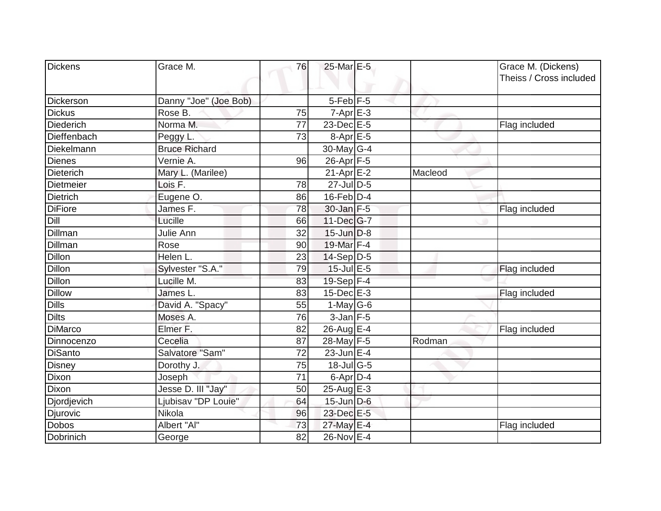| Dickens          | Grace M.              | 76              | 25-Mar E-5        |         |                                               |
|------------------|-----------------------|-----------------|-------------------|---------|-----------------------------------------------|
|                  |                       |                 |                   |         | Grace M. (Dickens)<br>Theiss / Cross included |
|                  |                       |                 |                   |         |                                               |
| Dickerson        | Danny "Joe" (Joe Bob) |                 | $5$ -Feb $F$ -5   |         |                                               |
| <b>Dickus</b>    | Rose B.               | 75              | $7 - Apr$ $E - 3$ |         |                                               |
| <b>Diederich</b> | Norma M.              | 77              | 23-Dec E-5        |         | Flag included                                 |
| Dieffenbach      | Peggy L.              | 73              | 8-Apr E-5         |         |                                               |
| Diekelmann       | <b>Bruce Richard</b>  |                 | 30-May $G-4$      |         |                                               |
| <b>Dienes</b>    | Vernie A.             | 96              | 26-Apr F-5        |         |                                               |
| <b>Dieterich</b> | Mary L. (Marilee)     |                 | $21-Apr$ $E-2$    | Macleod |                                               |
| Dietmeier        | Lois F.               | 78              | 27-Jul D-5        |         |                                               |
| <b>Dietrich</b>  | Eugene O.             | 86              | $16$ -Feb $D-4$   |         |                                               |
| <b>DiFiore</b>   | James F.              | 78              | 30-Jan F-5        |         | Flag included                                 |
| Dill             | Lucille               | 66              | $11 - Dec$ G-7    |         |                                               |
| Dillman          | Julie Ann             | 32              | $15$ -Jun $D-8$   |         |                                               |
| Dillman          | Rose                  | 90              | 19-Mar F-4        |         |                                               |
| <b>Dillon</b>    | Helen L.              | 23              | $14-Sep D-5$      |         |                                               |
| <b>Dillon</b>    | Sylvester "S.A."      | 79              | $15$ -Jul $E$ -5  |         | Flag included                                 |
| <b>Dillon</b>    | Lucille M.            | 83              | $19-Sep$ $F-4$    |         |                                               |
| <b>Dillow</b>    | James L.              | 83              | $15$ -Dec $E-3$   |         | Flag included                                 |
| <b>Dills</b>     | David A. "Spacy"      | 55              | 1-May $G-6$       |         |                                               |
| <b>Dilts</b>     | Moses A.              | 76              | $3$ -Jan $F-5$    |         |                                               |
| <b>DiMarco</b>   | Elmer F.              | 82              | 26-Aug E-4        |         | Flag included                                 |
| Dinnocenzo       | Cecelia               | 87              | 28-May F-5        | Rodman  |                                               |
| <b>DiSanto</b>   | Salvatore "Sam"       | 72              | $23$ -Jun $E-4$   |         |                                               |
| <b>Disney</b>    | Dorothy J.            | 75              | 18-Jul G-5        |         |                                               |
| Dixon            | Joseph                | $\overline{71}$ | 6-Apr $D-4$       |         |                                               |
| Dixon            | Jesse D. III "Jay"    | 50              | $25$ -Aug $E-3$   |         |                                               |
| Djordjevich      | Ljubisav "DP Louie"   | 64              | $15$ -Jun D-6     |         |                                               |
| Djurovic         | Nikola                | 96              | 23-Dec E-5        |         |                                               |
| Dobos            | Albert "Al"           | 73              | 27-May E-4        |         | Flag included                                 |
| Dobrinich        | George                | 82              | 26-Nov E-4        |         |                                               |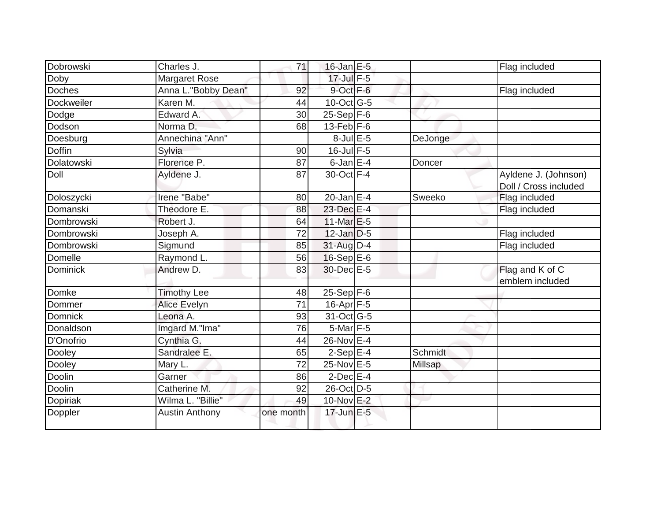| Dobrowski       | Charles J.            | 71        | $16$ -Jan $E-5$             |         | Flag included                                 |
|-----------------|-----------------------|-----------|-----------------------------|---------|-----------------------------------------------|
| Doby            | Margaret Rose         |           | $17$ -Jul $F-5$             |         |                                               |
| <b>Doches</b>   | Anna L."Bobby Dean"   | 92        | $9$ -Oct $F-6$              |         | Flag included                                 |
| Dockweiler      | Karen M.              | 44        | $10$ -Oct $\overline{G}$ -5 |         |                                               |
| Dodge           | Edward A.             | 30        | $25-Sep$ $F-6$              |         |                                               |
| Dodson          | Norma <sub>D</sub> .  | 68        | $13$ -Feb $ F-6$            |         |                                               |
| Doesburg        | Annechina "Ann"       |           | $8$ -Jul $E$ -5             | DeJonge |                                               |
| <b>Doffin</b>   | Sylvia                | 90        | $16$ -Jul $F-5$             |         |                                               |
| Dolatowski      | Florence P.           | 87        | $6$ -Jan $E-4$              | Doncer  |                                               |
| Doll            | Ayldene J.            | 87        | 30-Oct F-4                  |         | Ayldene J. (Johnson)<br>Doll / Cross included |
| Doloszycki      | Irene "Babe"          | 80        | $20$ -Jan $E-4$             | Sweeko  | Flag included                                 |
| Domanski        | Theodore E.           | 88        | 23-Dec E-4                  |         | Flag included                                 |
| Dombrowski      | Robert J.             | 64        | $11$ -Mar $E-5$             |         |                                               |
| Dombrowski      | Joseph A.             | 72        | $12$ -Jan $D-5$             |         | Flag included                                 |
| Dombrowski      | Sigmund               | 85        | 31-Aug D-4                  |         | Flag included                                 |
| Domelle         | Raymond L.            | 56        | $16-Sep$ E-6                |         |                                               |
| <b>Dominick</b> | Andrew D.             | 83        | 30-Dec E-5                  |         | Flag and K of C<br>emblem included            |
| Domke           | <b>Timothy Lee</b>    | 48        | $25-Sep$ F-6                |         |                                               |
| Dommer          | <b>Alice Evelyn</b>   | 71        | 16-Apr F-5                  |         |                                               |
| <b>Domnick</b>  | Leona A.              | 93        | 31-Oct G-5                  |         |                                               |
| Donaldson       | Imgard M."Ima"        | 76        | 5-Mar F-5                   |         |                                               |
| D'Onofrio       | Cynthia G.            | 44        | 26-Nov E-4                  |         |                                               |
| Dooley          | Sandralee E.          | 65        | $2-Sep$ E-4                 | Schmidt |                                               |
| Dooley          | Mary L.               | 72        | 25-Nov E-5                  | Millsap |                                               |
| Doolin          | Garner                | 86        | $2$ -Dec $E-4$              |         |                                               |
| Doolin          | Catherine M.          | 92        | 26-Oct D-5                  |         |                                               |
| Dopiriak        | Wilma L. "Billie"     | 49        | 10-Nov E-2                  |         |                                               |
| Doppler         | <b>Austin Anthony</b> | one month | 17-Jun E-5                  |         |                                               |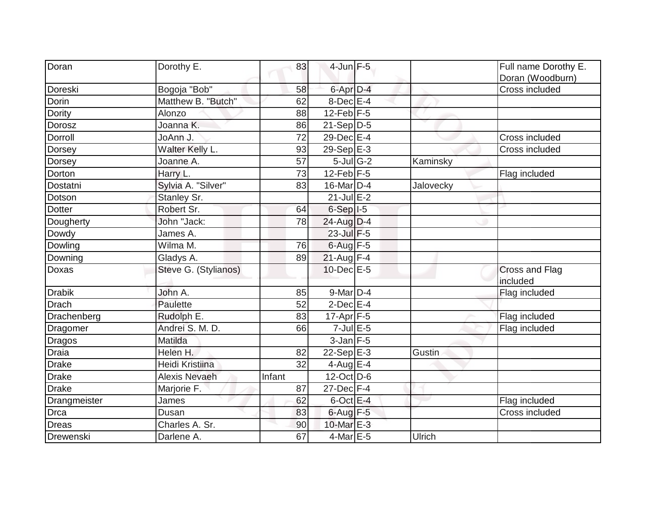| Doran         | Dorothy E.           | 83     | $4$ -Jun $F-5$             |           | Full name Dorothy E.<br>Doran (Woodburn) |
|---------------|----------------------|--------|----------------------------|-----------|------------------------------------------|
| Doreski       | Bogoja "Bob"         | 58     | 6-Apr D-4                  |           | Cross included                           |
| Dorin         | Matthew B. "Butch"   | 62     | 8-Dec E-4                  |           |                                          |
| Dority        | Alonzo               | 88     | $12$ -Feb F-5              |           |                                          |
| Dorosz        | Joanna K.            | 86     | $21-Sep\overline{D-5}$     |           |                                          |
| Dorroll       | JoAnn J.             | 72     | $29$ -Dec $E-4$            |           | Cross included                           |
| Dorsey        | Walter Kelly L.      | 93     | 29-Sep $E-3$               |           | Cross included                           |
| Dorsey        | Joanne A.            | 57     | $5$ -Jul $\overline{G}$ -2 | Kaminsky  |                                          |
| Dorton        | Harry L.             | 73     | $12$ -Feb F-5              |           | Flag included                            |
| Dostatni      | Sylvia A. "Silver"   | 83     | 16-Mar D-4                 | Jalovecky |                                          |
| Dotson        | Stanley Sr.          |        | $21$ -Jul E-2              |           |                                          |
| <b>Dotter</b> | Robert Sr.           | 64     | $6-Sep$ $I-5$              |           |                                          |
| Dougherty     | John "Jack:          | 78     | $24$ -Aug D-4              |           |                                          |
| Dowdy         | James A.             |        | 23-Jul F-5                 |           |                                          |
| Dowling       | Wilma M.             | 76     | $6$ -Aug $F - 5$           |           |                                          |
| Downing       | Gladys A.            | 89     | 21-Aug F-4                 |           |                                          |
| Doxas         | Steve G. (Stylianos) |        | $10$ -Dec $E - 5$          |           | Cross and Flag<br>included               |
| <b>Drabik</b> | John A.              | 85     | 9-Mar D-4                  |           | Flag included                            |
| <b>Drach</b>  | Paulette             | 52     | $2$ -Dec $E-4$             |           |                                          |
| Drachenberg   | Rudolph E.           | 83     | $17$ -Apr $F$ -5           |           | Flag included                            |
| Dragomer      | Andrei S. M. D.      | 66     | $7$ -Jul $E$ -5            |           | Flag included                            |
| <b>Dragos</b> | Matilda              |        | $3$ -Jan $F-5$             |           |                                          |
| <b>Draia</b>  | Helen H.             | 82     | $22-Sep$ E-3               | Gustin    |                                          |
| <b>Drake</b>  | Heidi Kristiina      | 32     | $4$ -Aug E-4               |           |                                          |
| <b>Drake</b>  | <b>Alexis Nevaeh</b> | Infant | $12$ -Oct D-6              |           |                                          |
| <b>Drake</b>  | Marjorie F.          | 87     | $27 - Dec$ F-4             |           |                                          |
| Drangmeister  | James                | 62     | $6$ -Oct $E-4$             |           | Flag included                            |
| Drca          | Dusan                | 83     | $6$ -Aug $F - 5$           |           | Cross included                           |
| <b>Dreas</b>  | Charles A. Sr.       | 90     | 10-Mar E-3                 |           |                                          |
| Drewenski     | Darlene A.           | 67     | $4$ -Mar $E$ -5            | Ulrich    |                                          |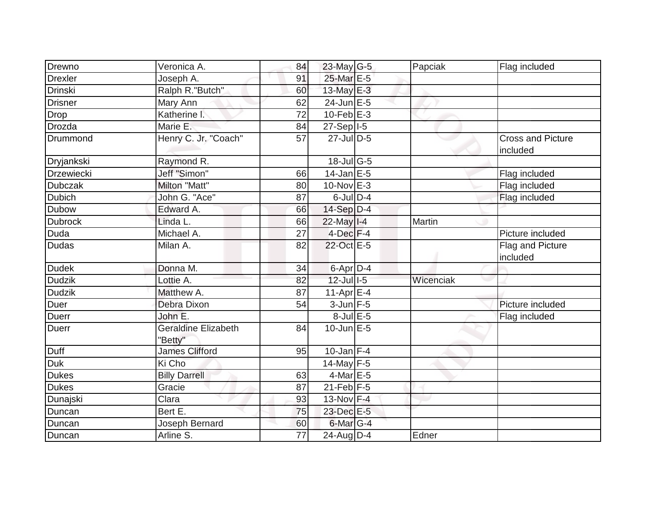| Drewno         | Veronica A.                           |          | 23-May G-5                 |           |                                      |
|----------------|---------------------------------------|----------|----------------------------|-----------|--------------------------------------|
| <b>Drexler</b> | Joseph A.                             | 84<br>91 | 25-Mar E-5                 | Papciak   | Flag included                        |
| <b>Drinski</b> |                                       | 60       | 13-May E-3                 |           |                                      |
|                | Ralph R."Butch"                       |          | $24$ -Jun $E-5$            |           |                                      |
| <b>Drisner</b> | Mary Ann                              | 62       | $10$ -Feb $E-3$            |           |                                      |
| Drop           | Katherine 1.                          | 72       |                            |           |                                      |
| Drozda         | Marie E.                              | 84       | 27-Sep   I-5               |           |                                      |
| Drummond       | Henry C. Jr. "Coach"                  | 57       | $27$ -Jul $D-5$            |           | <b>Cross and Picture</b><br>included |
| Dryjankski     | Raymond R.                            |          | 18-Jul G-5                 |           |                                      |
| Drzewiecki     | Jeff "Simon"                          | 66       | $14$ -Jan E-5              |           | Flag included                        |
| <b>Dubczak</b> | Milton "Matt"                         | 80       | $10$ -Nov $E-3$            |           | Flag included                        |
| Dubich         | John G. "Ace"                         | 87       | $6$ -Jul $D-4$             |           | Flag included                        |
| <b>Dubow</b>   | Edward A.                             | 66       | $14-Sep$ D-4               |           |                                      |
| <b>Dubrock</b> | Linda L.                              | 66       | $22$ -May $I - 4$          | Martin    |                                      |
| Duda           | Michael A.                            | 27       | $4$ -Dec $F-4$             |           | Picture included                     |
| <b>Dudas</b>   | Milan A.                              | 82       | 22-Oct E-5                 |           | Flag and Picture<br>included         |
| <b>Dudek</b>   | Donna M.                              | 34       | 6-Apr $D-4$                |           |                                      |
| <b>Dudzik</b>  | Lottie A.                             | 82       | $12$ -Jul $1-5$            | Wicenciak |                                      |
| <b>Dudzik</b>  | Matthew A.                            | 87       | $11-Apr \nightharpoonup 4$ |           |                                      |
| Duer           | Debra Dixon                           | 54       | $3$ -Jun $F-5$             |           | Picture included                     |
| <b>Duerr</b>   | John E.                               |          | $8$ -Jul $E$ -5            |           | Flag included                        |
| <b>Duerr</b>   | <b>Geraldine Elizabeth</b><br>"Betty" | 84       | $10$ -Jun $E - 5$          |           |                                      |
| Duff           | <b>James Clifford</b>                 | 95       | $10$ -Jan F-4              |           |                                      |
| Duk            | Ki Cho                                |          | 14-May $F-5$               |           |                                      |
| <b>Dukes</b>   | <b>Billy Darrell</b>                  | 63       | $4$ -Mar E-5               |           |                                      |
| <b>Dukes</b>   | Gracie                                | 87       | $21$ -Feb F-5              |           |                                      |
| Dunajski       | $\overline{\text{Clara}}$             | 93       | 13-Nov F-4                 |           |                                      |
| Duncan         | Bert E.                               | 75       | 23-Dec E-5                 |           |                                      |
| Duncan         | Joseph Bernard                        | 60       | 6-Mar G-4                  |           |                                      |
| Duncan         | Arline S.                             | 77       | 24-Aug D-4                 | Edner     |                                      |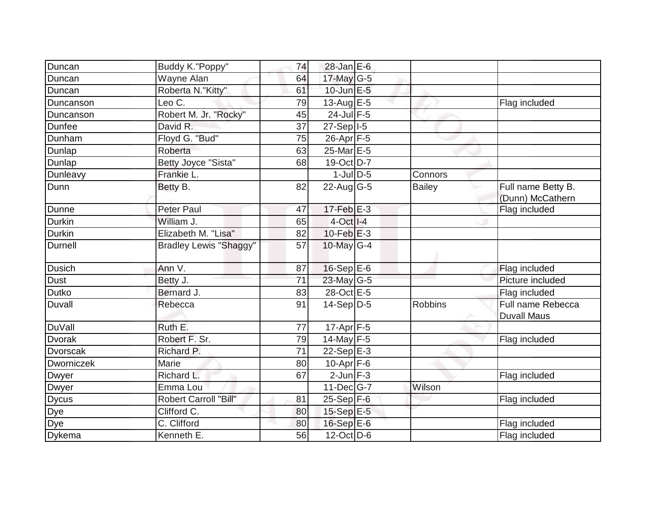| Duncan          | Buddy K."Poppy"               | 74              | 28-Jan E-6                          |                |                                         |
|-----------------|-------------------------------|-----------------|-------------------------------------|----------------|-----------------------------------------|
| Duncan          | Wayne Alan                    | 64              | 17-May G-5                          |                |                                         |
| Duncan          | Roberta N."Kitty"             | 61              | $10$ -Jun $E - 5$                   |                |                                         |
| Duncanson       | Leo C.                        | 79              | 13-Aug $E-5$                        |                | Flag included                           |
| Duncanson       | Robert M. Jr. "Rocky"         | 45              | $24$ -Jul F-5                       |                |                                         |
| Dunfee          | David R.                      | 37              | $27-Sep$ <sup>1-5</sup>             |                |                                         |
| Dunham          | Floyd G. "Bud"                | 75              | 26-Apr F-5                          |                |                                         |
| Dunlap          | Roberta                       | 63              | 25-Mar E-5                          |                |                                         |
| Dunlap          | Betty Joyce "Sista"           | 68              | 19-Oct D-7                          |                |                                         |
| Dunleavy        | Frankie L.                    |                 | $1$ -Jul $D-5$                      | Connors        |                                         |
| Dunn            | Betty B.                      | 82              | $22$ -Aug G-5                       | Bailey         | Full name Betty B.<br>(Dunn) McCathern  |
| Dunne           | <b>Peter Paul</b>             | 47              | $17$ -Feb $E-3$                     |                | Flag included                           |
| Durkin          | William J.                    | 65              | $4-Oct$ <sub><math>1-4</math></sub> |                |                                         |
| Durkin          | Elizabeth M. "Lisa"           | 82              | $10$ -Feb $E-3$                     |                |                                         |
| <b>Durnell</b>  | <b>Bradley Lewis "Shaggy"</b> | 57              | 10-May G-4                          |                |                                         |
| <b>Dusich</b>   | Ann V.                        | 87              | $16-Sep$ E-6                        |                | Flag included                           |
| Dust            | Betty J.                      | 71              | 23-May G-5                          |                | Picture included                        |
| Dutko           | Bernard J.                    | 83              | 28-Oct E-5                          |                | Flag included                           |
| Duvall          | Rebecca                       | 91              | $14-Sep D-5$                        | <b>Robbins</b> | Full name Rebecca<br><b>Duvall Maus</b> |
| <b>DuVall</b>   | Ruth E.                       | 77              | 17-Apr F-5                          |                |                                         |
| <b>Dvorak</b>   | Robert F. Sr.                 | 79              | 14-May F-5                          |                | Flag included                           |
| <b>Dvorscak</b> | Richard P.                    | $\overline{71}$ | $22-Sep$ E-3                        |                |                                         |
| Dworniczek      | Marie                         | 80              | $10-Apr$ F-6                        |                |                                         |
| Dwyer           | Richard L.                    | 67              | $2$ -Jun $F-3$                      |                | Flag included                           |
| Dwyer           | Emma Lou                      |                 | $11$ -Dec $ G-7$                    | Wilson         |                                         |
| <b>Dycus</b>    | <b>Robert Carroll "Bill"</b>  | 81              | $25-Sep$ F-6                        |                | Flag included                           |
| Dye             | Clifford $\overline{C}$ .     | 80              | 15-Sep E-5                          |                |                                         |
| Dye             | C. Clifford                   | 80              | 16-Sep E-6                          |                | Flag included                           |
| <b>Dykema</b>   | Kenneth E.                    | 56              | $12$ -Oct D-6                       |                | Flag included                           |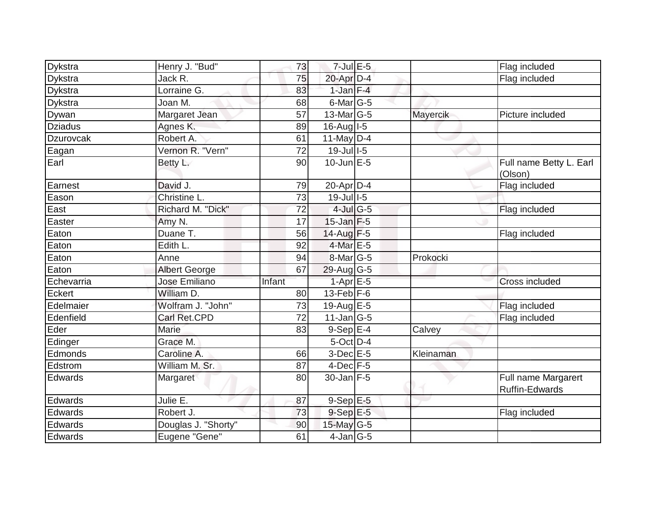| Dykstra        | Henry J. "Bud"       | 73     | $7$ -Jul $E$ -5           |           | Flag included                                |
|----------------|----------------------|--------|---------------------------|-----------|----------------------------------------------|
| <b>Dykstra</b> | Jack R.              | 75     | 20-Apr D-4                |           | Flag included                                |
| <b>Dykstra</b> | Lorraine G.          | 83     | $1$ -Jan $F-4$            |           |                                              |
| <b>Dykstra</b> | Joan M.              | 68     | $6$ -Mar $ G-5 $          |           |                                              |
| Dywan          | Margaret Jean        | 57     | 13-Mar G-5                | Mayercik  | Picture included                             |
| <b>Dziadus</b> | Agnes K.             | 89     | 16-Aug   I-5              |           |                                              |
| Dzurovcak      | Robert A.            | 61     | 11-May $D-4$              |           |                                              |
|                | Vernon R. "Vern"     |        | $19$ -Jul $1$ -5          |           |                                              |
| Eagan          |                      | 72     |                           |           |                                              |
| Earl           | Betty L.             | 90     | $10$ -Jun $E - 5$         |           | Full name Betty L. Earl<br>(Olson)           |
| Earnest        | David J.             | 79     | 20-Apr D-4                |           | Flag included                                |
| Eason          | Christine L.         | 73     | $19$ -Jul $1$ -5          |           |                                              |
| East           | Richard M. "Dick"    | 72     | 4-Jul G-5                 |           | Flag included                                |
| Easter         | Amy N.               | 17     | $15$ -Jan $F-5$           |           |                                              |
| Eaton          | Duane T.             | 56     | 14-Aug F-5                |           | Flag included                                |
| Eaton          | Edith L.             | 92     | $4$ -Mar $E - 5$          |           |                                              |
| Eaton          | Anne                 | 94     | 8-Mar <sub>G-5</sub>      | Prokocki  |                                              |
| Eaton          | <b>Albert George</b> | 67     | $29$ -Aug G-5             |           |                                              |
| Echevarria     | Jose Emiliano        | Infant | $1-Apr \nightharpoonup 5$ |           | Cross included                               |
| Eckert         | William D.           | 80     | $13$ -Feb $F-6$           |           |                                              |
| Edelmaier      | Wolfram J. "John"    | 73     | 19-Aug E-5                |           | Flag included                                |
| Edenfield      | Carl Ret.CPD         | 72     | $11$ -Jan $ G-5 $         |           | Flag included                                |
| Eder           | Marie                | 83     | $9-Sep$ E-4               | Calvey    |                                              |
| Edinger        | Grace M.             |        | $5$ -Oct $D-4$            |           |                                              |
| Edmonds        | Caroline A.          | 66     | 3-Dec E-5                 | Kleinaman |                                              |
| Edstrom        | William M. Sr.       | 87     | $4$ -Dec $F-5$            |           |                                              |
| Edwards        | Margaret             | 80     | $30$ -Jan F-5             |           | Full name Margarert<br><b>Ruffin-Edwards</b> |
| Edwards        | Julie E.             | 87     | $9-Sep$ E-5               |           |                                              |
| Edwards        | Robert J.            | 73     | $9-SepE-5$                |           | Flag included                                |
| Edwards        | Douglas J. "Shorty"  | 90     | 15-May $G-5$              |           |                                              |
| Edwards        | Eugene "Gene"        | 61     | $4$ -Jan $ G-5 $          |           |                                              |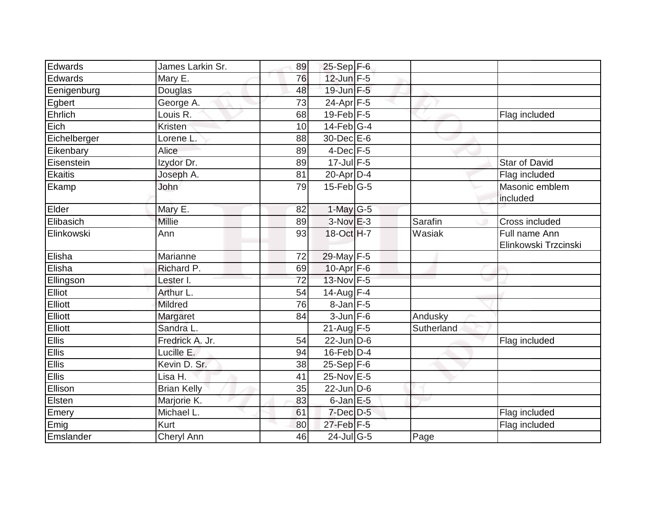| Edwards        | James Larkin Sr.    | 89              | 25-Sep F-6      |            |                                       |
|----------------|---------------------|-----------------|-----------------|------------|---------------------------------------|
| Edwards        | Mary E.             | 76              | 12-Jun F-5      |            |                                       |
| Eenigenburg    | Douglas             | 48              | $19$ -Jun $F-5$ |            |                                       |
| Egbert         | George A.           | 73              | 24-Apr F-5      |            |                                       |
| Ehrlich        | Louis R.            | 68              | $19$ -Feb $F-5$ |            | Flag included                         |
| Eich           | Kristen             | 10              | $14$ -Feb $G-4$ |            |                                       |
| Eichelberger   | Lorene <sub>L</sub> | 88              | 30-Dec E-6      |            |                                       |
| Eikenbary      | Alice               | 89              | $4$ -Dec $F-5$  |            |                                       |
| Eisenstein     | Izydor Dr.          | 89              | $17$ -Jul $F-5$ |            | <b>Star of David</b>                  |
| <b>Ekaitis</b> | Joseph A.           | 81              | $20$ -Apr $D-4$ |            | Flag included                         |
| Ekamp          | John                | $\overline{79}$ | $15$ -Feb $G-5$ |            | Masonic emblem<br>included            |
| Elder          | Mary E.             | 82              | $1$ -May G-5    |            |                                       |
| Elibasich      | <b>Millie</b>       | 89              | $3-Nov$ $E-3$   | Sarafin    | Cross included                        |
| Elinkowski     | Ann                 | 93              | 18-Oct H-7      | Wasiak     | Full name Ann<br>Elinkowski Trzcinski |
| Elisha         | Marianne            | 72              | 29-May F-5      |            |                                       |
| Elisha         | Richard P.          | 69              | $10-Apr$ F-6    |            |                                       |
| Ellingson      | Lester I.           | $\overline{72}$ | 13-Nov F-5      |            |                                       |
| Elliot         | Arthur L.           | 54              | 14-Aug F-4      |            |                                       |
| Elliott        | <b>Mildred</b>      | 76              | $8$ -Jan $F-5$  |            |                                       |
| Elliott        | Margaret            | 84              | $3$ -Jun $F-6$  | Andusky    |                                       |
| Elliott        | Sandra L.           |                 | $21$ -Aug F-5   | Sutherland |                                       |
| Ellis          | Fredrick A. Jr.     | 54              | $22$ -Jun D-6   |            | Flag included                         |
| <b>Ellis</b>   | Lucille E.          | 94              | 16-Feb D-4      |            |                                       |
| <b>Ellis</b>   | Kevin D. Sr.        | 38              | $25-Sep$ F-6    |            |                                       |
| Ellis          | Lisa H.             | 41              | 25-Nov E-5      |            |                                       |
| Ellison        | <b>Brian Kelly</b>  | 35              | $22$ -Jun D-6   |            |                                       |
| Elsten         | Marjorie K.         | 83              | $6$ -Jan $E$ -5 |            |                                       |
| Emery          | Michael L.          | 61              | 7-Dec D-5       |            | Flag included                         |
| Emig           | Kurt                | 80              | 27-Feb F-5      |            | Flag included                         |
| Emslander      | <b>Cheryl Ann</b>   | 46              | $24$ -Jul G-5   | Page       |                                       |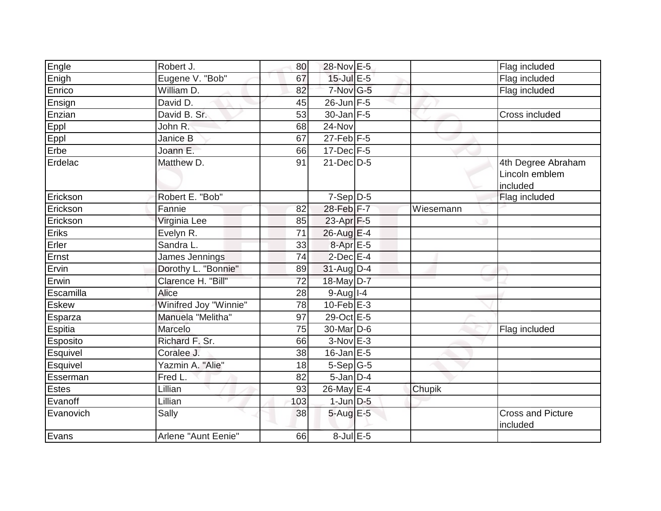| Engle           | Robert J.             | 80              | 28-Nov E-5             |           | Flag included                                    |
|-----------------|-----------------------|-----------------|------------------------|-----------|--------------------------------------------------|
| Enigh           | Eugene V. "Bob"       | 67              | $15$ -Jul E-5          |           | Flag included                                    |
| Enrico          | William D.            | 82              | 7-Nov G-5              |           | Flag included                                    |
| Ensign          | David D.              | 45              | $26$ -Jun F-5          |           |                                                  |
| Enzian          | David B. Sr.          | 53              | $30 - Jan$ $F-5$       |           | Cross included                                   |
| Eppl            | John R.               | 68              | 24-Nov                 |           |                                                  |
| Eppl            | Janice B              | 67              | $27$ -Feb $F-5$        |           |                                                  |
| Erbe            | Joann E.              | 66              | $17 - Dec$ $F-5$       |           |                                                  |
| Erdelac         | Matthew D.            | 91              | $21$ -Dec $D-5$        |           | 4th Degree Abraham<br>Lincoln emblem<br>included |
| Erickson        | Robert E. "Bob"       |                 | $7-Sep\overline{D-5}$  |           | Flag included                                    |
| Erickson        | Fannie                | 82              | 28-Feb F-7             | Wiesemann |                                                  |
| Erickson        | Virginia Lee          | 85              | 23-Apr F-5             |           |                                                  |
| Eriks           | Evelyn R.             | 71              | $26$ -Aug E-4          |           |                                                  |
| Erler           | Sandra L.             | 33              | 8-Apr E-5              |           |                                                  |
| Ernst           | James Jennings        | 74              | $2$ -Dec $E-4$         |           |                                                  |
| Ervin           | Dorothy L. "Bonnie"   | 89              | $31$ -Aug D-4          |           |                                                  |
| Erwin           | Clarence H. "Bill"    | $\overline{72}$ | 18-May D-7             |           |                                                  |
| Escamilla       | <b>Alice</b>          | 28              | $9-Aug$ <sup>1-4</sup> |           |                                                  |
| <b>Eskew</b>    | Winifred Joy "Winnie" | 78              | 10-Feb $E-3$           |           |                                                  |
| Esparza         | Manuela "Melitha"     | 97              | 29-Oct E-5             |           |                                                  |
| Espitia         | Marcelo               | 75              | 30-Mar D-6             |           | Flag included                                    |
| <b>Esposito</b> | Richard F. Sr.        | 66              | $3-Nov$ E-3            |           |                                                  |
| Esquivel        | Coralee J.            | 38              | $16$ -Jan E-5          |           |                                                  |
| Esquivel        | Yazmin A. "Alie"      | 18              | $5-Sep G-5$            |           |                                                  |
| Esserman        | Fred L.               | 82              | $5$ -Jan $D-4$         |           |                                                  |
| <b>Estes</b>    | Lillian               | 93              | 26-May E-4             | Chupik    |                                                  |
| Evanoff         | Lillian               | 103             | $1$ -Jun $D-5$         |           |                                                  |
| Evanovich       | Sally                 | 38              | 5-Aug E-5              |           | <b>Cross and Picture</b><br>included             |
| Evans           | Arlene "Aunt Eenie"   | 66              | $8$ -Jul $E$ -5        |           |                                                  |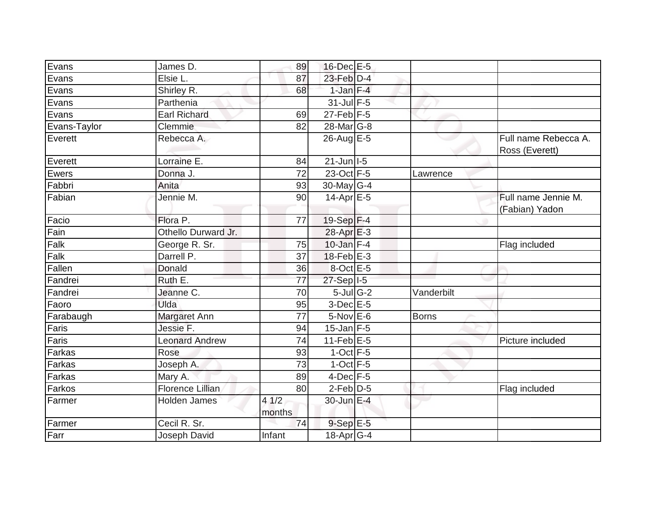| Evans        | James D.              | 89             | 16-Dec E-5                 |              |                                        |
|--------------|-----------------------|----------------|----------------------------|--------------|----------------------------------------|
| Evans        | Elsie L.              | 87             | 23-Feb D-4                 |              |                                        |
| Evans        | Shirley R.            | 68             | $1$ -Jan $F-4$             |              |                                        |
| Evans        | Parthenia             |                | $31$ -Jul F-5              |              |                                        |
| Evans        | <b>Earl Richard</b>   | 69             | $27$ -Feb $F-5$            |              |                                        |
| Evans-Taylor | Clemmie               | 82             | 28-Mar <sub>G-8</sub>      |              |                                        |
| Everett      | Rebecca A.            |                | $26$ -Aug $E-5$            |              | Full name Rebecca A.<br>Ross (Everett) |
| Everett      | Lorraine E.           | 84             | $21$ -Jun $ I-5 $          |              |                                        |
| Ewers        | Donna J.              | 72             | 23-Oct F-5                 | Lawrence     |                                        |
| Fabbri       | Anita                 | 93             | 30-May G-4                 |              |                                        |
| Fabian       | Jennie M.             | 90             | $14$ -Apr $E$ -5           |              | Full name Jennie M.<br>(Fabian) Yadon  |
| Facio        | Flora P.              | 77             | $19-Sep$ F-4               |              |                                        |
| Fain         | Othello Durward Jr.   |                | 28-Apr E-3                 |              |                                        |
| Falk         | George R. Sr.         | 75             | $10$ -Jan F-4              |              | Flag included                          |
| Falk         | Darrell P.            | 37             | $18$ -Feb $ E-3$           |              |                                        |
| Fallen       | Donald                | 36             | 8-Oct E-5                  |              |                                        |
| Fandrei      | Ruth E.               | 77             | $27-Sep$ <sup>1-5</sup>    |              |                                        |
| Fandrei      | Jeanne C.             | 70             | $5$ -Jul G-2               | Vanderbilt   |                                        |
| Faoro        | Ulda                  | 95             | $3$ -Dec $E$ -5            |              |                                        |
| Farabaugh    | Margaret Ann          | 77             | $5-Nov$ E-6                | <b>Borns</b> |                                        |
| Faris        | Jessie F.             | 94             | $15$ -Jan F-5              |              |                                        |
| Faris        | <b>Leonard Andrew</b> | 74             | 11-Feb $E-5$               |              | Picture included                       |
| Farkas       | Rose                  | 93             | $1-Oct$ F-5                |              |                                        |
| Farkas       | Joseph A.             | 73             | $1$ -Oct $F-5$             |              |                                        |
| Farkas       | Mary A.               | 89             | $4$ -Dec $F-5$             |              |                                        |
| Farkos       | Florence Lillian      | 80             | $2$ -Feb $\overline{D}$ -5 |              | Flag included                          |
| Farmer       | <b>Holden James</b>   | 41/2<br>months | 30-Jun E-4                 |              |                                        |
| Farmer       | Cecil R. Sr.          | 74             | $9-SepE-5$                 |              |                                        |
| Farr         | Joseph David          | Infant         | 18-Apr <sub>G-4</sub>      |              |                                        |
|              |                       |                |                            |              |                                        |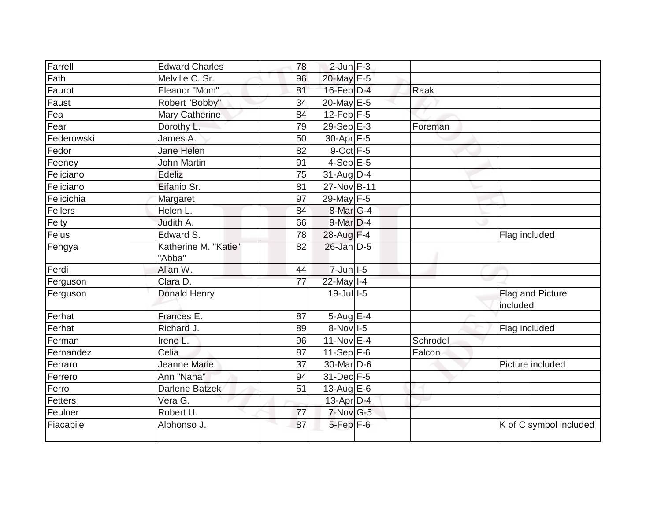| Farrell    | <b>Edward Charles</b> | 78              | $2$ -Jun $F-3$   |          |                        |
|------------|-----------------------|-----------------|------------------|----------|------------------------|
| Fath       | Melville C. Sr.       | 96              | 20-May E-5       |          |                        |
| Faurot     | Eleanor "Mom"         | 81              | $16$ -Feb $D-4$  | Raak     |                        |
| Faust      | Robert "Bobby"        | 34              | 20-May E-5       |          |                        |
| Fea        | <b>Mary Catherine</b> | 84              | $12$ -Feb $F-5$  |          |                        |
| Fear       | Dorothy L.            | 79              | 29-Sep E-3       | Foreman  |                        |
| Federowski | James A.              | 50              | 30-Apr F-5       |          |                        |
| Fedor      | Jane Helen            | 82              | $9$ -Oct $F - 5$ |          |                        |
| Feeney     | <b>John Martin</b>    | 91              | $4-SepE-5$       |          |                        |
| Feliciano  | Edeliz                | 75              | $31$ -AugD-4     |          |                        |
| Feliciano  | Eifanio Sr.           | 81              | 27-Nov B-11      |          |                        |
| Felicichia | Margaret              | 97              | 29-May F-5       |          |                        |
| Fellers    | Helen L.              | 84              | 8-Mar G-4        |          |                        |
| Felty      | Judith A.             | 66              | $9$ -Mar $D-4$   |          |                        |
| Felus      | Edward S.             | 78              | 28-Aug F-4       |          | Flag included          |
| Fengya     | Katherine M. "Katie"  | 82              | $26$ -Jan $D-5$  |          |                        |
|            | "Abba"                |                 |                  |          |                        |
| Ferdi      | Allan W.              | 44              | 7-Jun I-5        |          |                        |
| Ferguson   | Clara D.              | 77              | 22-May I-4       |          |                        |
| Ferguson   | <b>Donald Henry</b>   |                 | 19-Jul 1-5       |          | Flag and Picture       |
|            |                       |                 |                  |          | included               |
| Ferhat     | Frances E.            | 87              | $5-Aug$ $E-4$    |          |                        |
| Ferhat     | Richard J.            | 89              | 8-Nov I-5        |          | Flag included          |
| Ferman     | Irene L.              | 96              | $11-Nov$ E-4     | Schrodel |                        |
| Fernandez  | Celia                 | 87              | $11-Sep$ F-6     | Falcon   |                        |
| Ferraro    | Jeanne Marie          | 37              | 30-Mar D-6       |          | Picture included       |
| Ferrero    | Ann "Nana"            | 94              | 31-Dec F-5       |          |                        |
| Ferro      | Darlene Batzek        | 51              | 13-Aug $E-6$     |          |                        |
| Fetters    | Vera G.               |                 | 13-Apr $D-4$     |          |                        |
| Feulner    | Robert U.             | $\overline{77}$ | $7-Nov$ G-5      |          |                        |
| Fiacabile  | Alphonso J.           | 87              | $5$ -Feb $F$ -6  |          | K of C symbol included |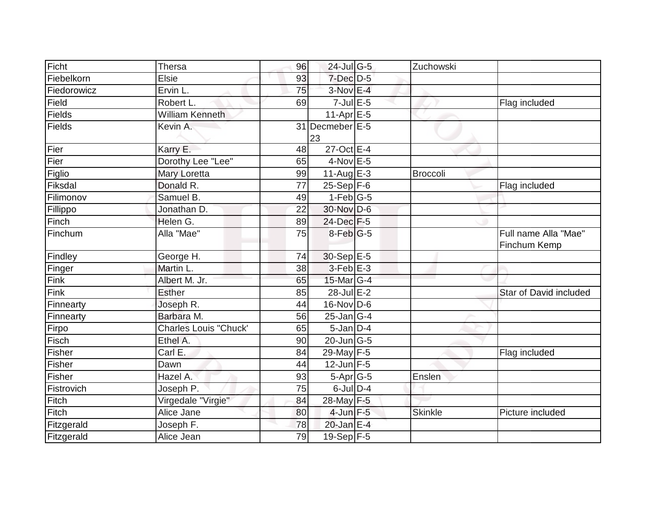| Ficht       | <b>Thersa</b>                | 96 | 24-Jul G-5                  | Zuchowski      |                                      |
|-------------|------------------------------|----|-----------------------------|----------------|--------------------------------------|
| Fiebelkorn  | <b>Elsie</b>                 | 93 | 7-Dec D-5                   |                |                                      |
| Fiedorowicz | Ervin L.                     | 75 | $3-Nov$ E-4                 |                |                                      |
| Field       | Robert L.                    | 69 | $7$ -Jul $E$ -5             |                | Flag included                        |
| Fields      | <b>William Kenneth</b>       |    | $11-Apr \boxed{E-5}$        |                |                                      |
| Fields      | Kevin A.                     |    | 31 Decmeber E-5<br>23       |                |                                      |
| Fier        | Karry E.                     | 48 | 27-Oct E-4                  |                |                                      |
| Fier        | Dorothy Lee "Lee"            | 65 | 4-Nov E-5                   |                |                                      |
| Figlio      | Mary Loretta                 | 99 | 11-Aug $E-3$                | Broccoli       |                                      |
| Fiksdal     | Donald R.                    | 77 | $25-Sep$ F-6                |                | Flag included                        |
| Filimonov   | Samuel B.                    | 49 | $1-Feb$ G-5                 |                |                                      |
| Fillippo    | Jonathan D.                  | 22 | 30-Nov D-6                  |                |                                      |
| Finch       | Helen G.                     | 89 | 24-Dec F-5                  |                |                                      |
| Finchum     | Alla "Mae"                   | 75 | $8$ -Feb $ G-5 $            |                | Full name Alla "Mae"<br>Finchum Kemp |
| Findley     | George H.                    | 74 | 30-Sep E-5                  |                |                                      |
| Finger      | Martin L.                    | 38 | $3-Feb$ E-3                 |                |                                      |
| Fink        | Albert M. Jr.                | 65 | 15-Mar G-4                  |                |                                      |
| Fink        | <b>Esther</b>                | 85 | $28$ -Jul $E-2$             |                | <b>Star of David included</b>        |
| Finnearty   | Joseph R.                    | 44 | $16$ -Nov D-6               |                |                                      |
| Finnearty   | Barbara M.                   | 56 | $25$ -Jan G-4               |                |                                      |
| Firpo       | <b>Charles Louis "Chuck'</b> | 65 | $5$ -Jan $D-4$              |                |                                      |
| Fisch       | Ethel A.                     | 90 | $20$ -Jun $\overline{G}$ -5 |                |                                      |
| Fisher      | Carl E.                      | 84 | 29-May F-5                  |                | Flag included                        |
| Fisher      | Dawn                         | 44 | $12$ -Jun F-5               |                |                                      |
| Fisher      | Hazel A.                     | 93 | 5-Apr G-5                   | Enslen         |                                      |
| Fistrovich  | Joseph P.                    | 75 | $6$ -JulD-4                 |                |                                      |
| Fitch       | Virgedale "Virgie"           | 84 | 28-May F-5                  |                |                                      |
| Fitch       | Alice Jane                   | 80 | $4$ -Jun $F-5$              | <b>Skinkle</b> | Picture included                     |
| Fitzgerald  | Joseph F.                    | 78 | 20-Jan E-4                  |                |                                      |
| Fitzgerald  | Alice Jean                   | 79 | $19-Sep$ F-5                |                |                                      |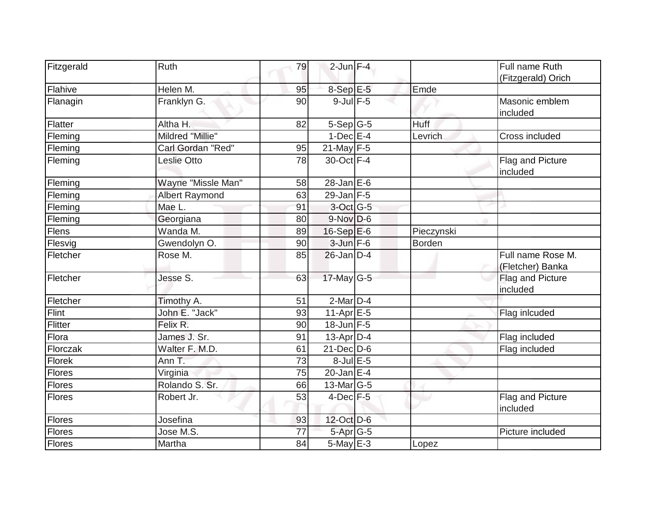| Fitzgerald    | Ruth                  | 79              | $2$ -Jun $F-4$    |            | Full name Ruth                        |
|---------------|-----------------------|-----------------|-------------------|------------|---------------------------------------|
|               |                       |                 |                   |            | (Fitzgerald) Orich                    |
| Flahive       | Helen M.              | 95              | $8-Sep$ E-5       | Emde       |                                       |
| Flanagin      | Franklyn G.           | 90              | $9$ -Jul $F$ -5   |            | Masonic emblem<br>included            |
| Flatter       | Altha H.              | 82              | $5-Sep G-5$       | Huff       |                                       |
| Fleming       | Mildred "Millie"      |                 | $1-Dec$ E-4       | Levrich    | Cross included                        |
| Fleming       | Carl Gordan "Red"     | 95              | $21$ -May $F-5$   |            |                                       |
| Fleming       | Leslie Otto           | $\overline{78}$ | 30-Oct F-4        |            | Flag and Picture<br>included          |
| Fleming       | Wayne "Missle Man"    | 58              | $28$ -Jan $E$ -6  |            |                                       |
| Fleming       | <b>Albert Raymond</b> | 63              | $29$ -Jan F-5     |            |                                       |
| Fleming       | Mae L.                | 91              | $3$ -Oct G-5      |            |                                       |
| Fleming       | Georgiana             | 80              | $9-Nov$ D-6       |            |                                       |
| <b>Flens</b>  | Wanda M.              | 89              | $16-Sep$ E-6      | Pieczynski |                                       |
| Flesvig       | Gwendolyn O.          | 90              | $3$ -Jun $F-6$    | Borden     |                                       |
| Fletcher      | Rose M.               | 85              | $26$ -Jan $D-4$   |            | Full name Rose M.<br>(Fletcher) Banka |
| Fletcher      | Jesse S.              | 63              | $17$ -May G-5     |            | Flag and Picture<br>included          |
| Fletcher      | Timothy A.            | 51              | $2$ -Mar $D-4$    |            |                                       |
| Flint         | John E. "Jack"        | 93              | 11-Apr $E-5$      |            | Flag inlcuded                         |
| Flitter       | Felix R.              | 90              | $18$ -Jun $F-5$   |            |                                       |
| Flora         | James J. Sr.          | 91              | $13$ -Apr $ D-4$  |            | Flag included                         |
| Florczak      | Walter F. M.D.        | 61              | $21$ -Dec $D-6$   |            | Flag included                         |
| Florek        | Ann T.                | 73              | $8$ -Jul $E$ -5   |            |                                       |
| Flores        | Virginia              | 75              | $20$ -Jan E-4     |            |                                       |
| Flores        | Rolando S. Sr.        | 66              | $13$ -Mar $ G-5 $ |            |                                       |
| Flores        | Robert Jr.            | 53              | $4$ -Dec $F-5$    |            | Flag and Picture<br>included          |
| Flores        | Josefina              | 93              | 12-Oct D-6        |            |                                       |
| <b>Flores</b> | Jose M.S.             | 77              | 5-Apr G-5         |            | Picture included                      |
| Flores        | Martha                | 84              | $5$ -May $E-3$    | Lopez      |                                       |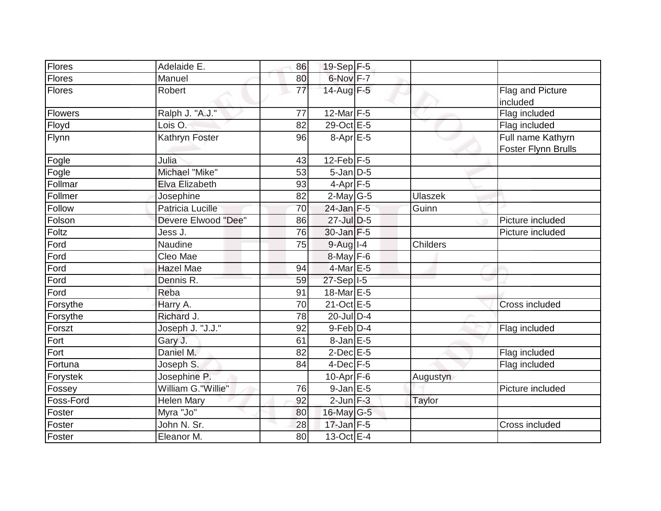| <b>Flores</b>  | Adelaide E.         | 86 | $19-Sep$ F-5      |                 |                                                 |
|----------------|---------------------|----|-------------------|-----------------|-------------------------------------------------|
| Flores         | Manuel              | 80 | 6-Nov F-7         |                 |                                                 |
| <b>Flores</b>  | Robert              | 77 | 14-Aug $F-5$      |                 | Flag and Picture<br>included                    |
| <b>Flowers</b> | Ralph J. "A.J."     | 77 | $12$ -Mar F-5     |                 | Flag included                                   |
| Floyd          | Lois O.             | 82 | 29-Oct E-5        |                 | Flag included                                   |
| Flynn          | Kathryn Foster      | 96 | $8-Apr$ E-5       |                 | Full name Kathyrn<br><b>Foster Flynn Brulls</b> |
| Fogle          | Julia               | 43 | $12$ -Feb $ F-5 $ |                 |                                                 |
| Fogle          | Michael "Mike"      | 53 | $5$ -Jan $D$ -5   |                 |                                                 |
| Follmar        | Elva Elizabeth      | 93 | $4-Apr$ F-5       |                 |                                                 |
| Follmer        | Josephine           | 82 | $2$ -May G-5      | <b>Ulaszek</b>  |                                                 |
| Follow         | Patricia Lucille    | 70 | $24$ -Jan F-5     | Guinn           |                                                 |
| Folson         | Devere Elwood "Dee" | 86 | 27-Jul D-5        |                 | Picture included                                |
| Foltz          | Jess J.             | 76 | $30$ -Jan $F-5$   |                 | Picture included                                |
| Ford           | Naudine             | 75 | $9-Auq$ $I-4$     | <b>Childers</b> |                                                 |
| Ford           | Cleo Mae            |    | $8$ -May F-6      |                 |                                                 |
| Ford           | <b>Hazel Mae</b>    | 94 | 4-Mar E-5         |                 |                                                 |
| Ford           | Dennis R.           | 59 | 27-Sep I-5        |                 |                                                 |
| Ford           | Reba                | 91 | 18-Mar E-5        |                 |                                                 |
| Forsythe       | Harry A.            | 70 | $21-Oct$ E-5      |                 | Cross included                                  |
| Forsythe       | Richard J.          | 78 | $20$ -Jul $D-4$   |                 |                                                 |
| Forszt         | Joseph J. "J.J."    | 92 | $9-Feb$ $D-4$     |                 | Flag included                                   |
| Fort           | Gary J.             | 61 | 8-Jan E-5         |                 |                                                 |
| Fort           | Daniel M.           | 82 | $2$ -Dec $E - 5$  |                 | Flag included                                   |
| Fortuna        | Joseph S.           | 84 | $4$ -Dec $F-5$    |                 | Flag included                                   |
| Forystek       | Josephine P.        |    | 10-Apr $F-6$      | Augustyn        |                                                 |
| Fossey         | William G."Willie"  | 76 | $9$ -Jan $E$ -5   |                 | Picture included                                |
| Foss-Ford      | Helen Mary          | 92 | $2$ -Jun $F-3$    | Taylor          |                                                 |
| Foster         | Myra "Jo"           | 80 | 16-May G-5        |                 |                                                 |
| Foster         | John N. Sr.         | 28 | $17$ -Jan F-5     |                 | Cross included                                  |
| Foster         | Eleanor M.          | 80 | $13-Oct$ E-4      |                 |                                                 |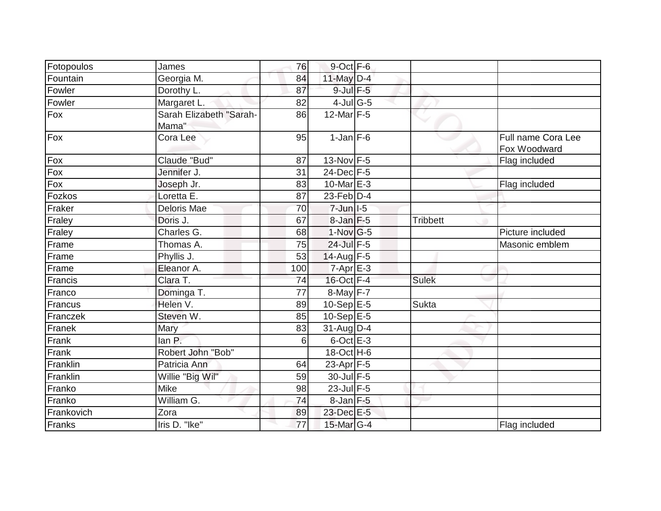| Fotopoulos | James                            | 76              | $9$ -Oct $F-6$             |                 |                                    |
|------------|----------------------------------|-----------------|----------------------------|-----------------|------------------------------------|
| Fountain   | Georgia M.                       | 84              | $11$ -May $D-4$            |                 |                                    |
| Fowler     | Dorothy L.                       | 87              | $9$ -Jul $F$ -5            |                 |                                    |
| Fowler     | Margaret L.                      | 82              | $4$ -Jul G-5               |                 |                                    |
| Fox        | Sarah Elizabeth "Sarah-<br>Mama" | 86              | 12-Mar $F-5$               |                 |                                    |
| Fox        | Cora Lee                         | 95              | $1$ -Jan $F-6$             |                 | Full name Cora Lee<br>Fox Woodward |
| Fox        | Claude "Bud"                     | 87              | 13-Nov F-5                 |                 | Flag included                      |
| Fox        | Jennifer J.                      | 31              | 24-Dec F-5                 |                 |                                    |
| Fox        | Joseph Jr.                       | 83              | 10-Mar $E-3$               |                 | Flag included                      |
| Fozkos     | Loretta E.                       | 87              | $23$ -Feb $D-4$            |                 |                                    |
| Fraker     | Deloris Mae                      | 70              | $7$ -Jun $ $ -5            |                 |                                    |
| Fraley     | Doris J.                         | 67              | 8-Jan F-5                  | <b>Tribbett</b> |                                    |
| Fraley     | Charles G.                       | 68              | $1-Nov$ G-5                |                 | Picture included                   |
| Frame      | Thomas A.                        | 75              | 24-Jul F-5                 |                 | Masonic emblem                     |
| Frame      | Phyllis J.                       | 53              | $14$ -Aug F-5              |                 |                                    |
| Frame      | Eleanor A.                       | 100             | $7 - Apr$ E-3              |                 |                                    |
| Francis    | Clara T.                         | 74              | 16-Oct F-4                 | <b>Sulek</b>    |                                    |
| Franco     | Dominga T.                       | $\overline{77}$ | $8$ -May $F-7$             |                 |                                    |
| Francus    | Helen V.                         | 89              | 10-Sep $E-5$               | Sukta           |                                    |
| Franczek   | Steven W.                        | 85              | $10-Sep \, \overline{E-5}$ |                 |                                    |
| Franek     | Mary                             | 83              | $31$ -Aug $D$ -4           |                 |                                    |
| Frank      | lan P.                           | 6               | $6$ -Oct $E - 3$           |                 |                                    |
| Frank      | Robert John "Bob"                |                 | 18-Oct H-6                 |                 |                                    |
| Franklin   | Patricia Ann                     | 64              | $23$ -Apr $F-5$            |                 |                                    |
| Franklin   | Willie "Big Wil"                 | 59              | 30-Jul F-5                 |                 |                                    |
| Franko     | <b>Mike</b>                      | 98              | 23-Jul F-5                 |                 |                                    |
| Franko     | William G.                       | 74              | $8$ -Jan $F$ -5            |                 |                                    |
| Frankovich | Zora                             | 89              | 23-Dec E-5                 |                 |                                    |
| Franks     | Iris D. "Ike"                    | 77              | 15-Mar G-4                 |                 | Flag included                      |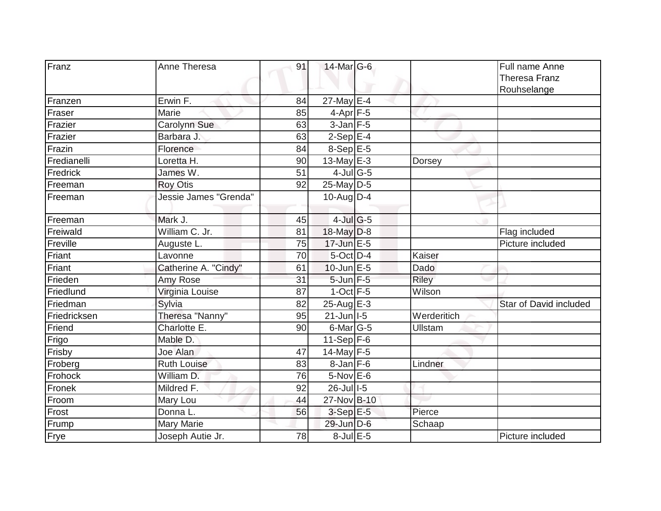| Franz        | Anne Theresa          | 91              | 14-Mar G-6                       |             | Full name Anne<br><b>Theresa Franz</b> |
|--------------|-----------------------|-----------------|----------------------------------|-------------|----------------------------------------|
|              |                       |                 |                                  |             | Rouhselange                            |
| Franzen      | Erwin F.              | 84              | 27-May E-4                       |             |                                        |
| Fraser       | Marie                 | 85              | $4-Apr$ F-5                      |             |                                        |
| Frazier      | <b>Carolynn Sue</b>   | 63              | $3$ -Jan $F-5$                   |             |                                        |
| Frazier      | Barbara J.            | 63              | $2-Sep$ E-4                      |             |                                        |
| Frazin       | Florence              | 84              | $8-Sep$ $E-5$                    |             |                                        |
| Fredianelli  | Loretta H.            | 90              | 13-May $E-3$                     | Dorsey      |                                        |
| Fredrick     | James W.              | 51              | $4$ -Jul $\overline{\text{G-5}}$ |             |                                        |
| Freeman      | <b>Roy Otis</b>       | 92              | 25-May D-5                       |             |                                        |
| Freeman      | Jessie James "Grenda" |                 | $10$ -AugD-4                     |             |                                        |
|              |                       |                 |                                  |             |                                        |
| Freeman      | Mark J.               | 45              | $4$ -Jul G-5                     |             |                                        |
| Freiwald     | William C. Jr.        | 81              | $18$ -May D-8                    |             | Flag included                          |
| Freville     | Auguste L.            | $\overline{75}$ | 17-Jun E-5                       |             | Picture included                       |
| Friant       | Lavonne               | 70              | $5$ -Oct $D-4$                   | Kaiser      |                                        |
| Friant       | Catherine A. "Cindy"  | 61              | $10$ -Jun $E - 5$                | Dado        |                                        |
| Frieden      | Amy Rose              | 31              | 5-Jun F-5                        | Riley       |                                        |
| Friedlund    | Virginia Louise       | 87              | $1$ -Oct $F-5$                   | Wilson      |                                        |
| Friedman     | Sylvia                | 82              | $25$ -Aug $E-3$                  |             | <b>Star of David included</b>          |
| Friedricksen | Theresa "Nanny"       | 95              | $21$ -Jun $ I-5 $                | Werderitich |                                        |
| Friend       | Charlotte E.          | 90              | $6$ -Mar $ G-5$                  | Ullstam     |                                        |
| Frigo        | Mable D.              |                 | 11-Sep $F-6$                     |             |                                        |
| Frisby       | Joe Alan              | 47              | $14$ -May F-5                    |             |                                        |
| Froberg      | <b>Ruth Louise</b>    | 83              | $8$ -Jan $F$ -6                  | Lindner     |                                        |
| Frohock      | William D.            | 76              | 5-Nov E-6                        |             |                                        |
| Fronek       | Mildred F.            | 92              | $26$ -Jull-5                     |             |                                        |
| Froom        | Mary Lou              | 44              | 27-Nov B-10                      |             |                                        |
| Frost        | Donna L.              | 56              | $3-SepE-5$                       | Pierce      |                                        |
| Frump        | <b>Mary Marie</b>     |                 | 29-Jun D-6                       | Schaap      |                                        |
| Frye         | Joseph Autie Jr.      | 78              | $8$ -Jul $E$ -5                  |             | Picture included                       |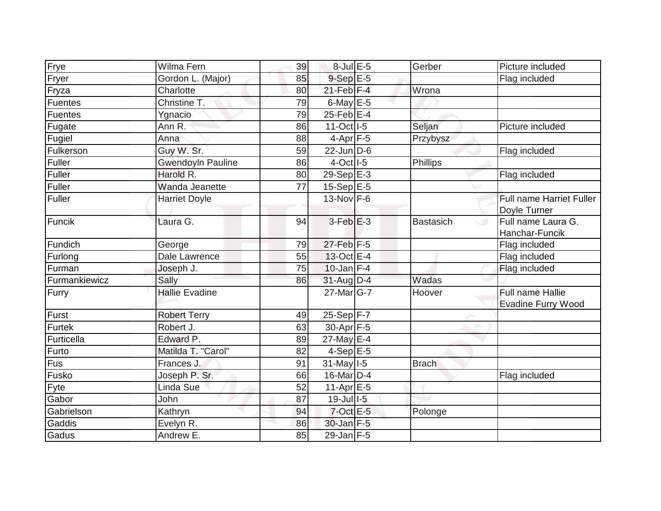| Frye          | Wilma Fern               | 39 | 8-Jul E-5               | Gerber       | Picture included                                |
|---------------|--------------------------|----|-------------------------|--------------|-------------------------------------------------|
| Fryer         | Gordon L. (Major)        | 85 | $9-SepE-5$              |              | Flag included                                   |
| Fryza         | Charlotte                | 80 | $21$ -Feb $F-4$         | Wrona        |                                                 |
| Fuentes       | Christine T.             | 79 | 6-May $E-5$             |              |                                                 |
| Fuentes       | Ygnacio                  | 79 | $25$ -Feb $E-4$         |              |                                                 |
| Fugate        | Ann R.                   | 86 | 11-Oct I-5              | Seljan       | Picture included                                |
| Fugiel        | Anna                     | 88 | $4-Apr$ F-5             | Przybysz     |                                                 |
| Fulkerson     | Guy W. Sr.               | 59 | $22$ -JunD-6            |              | Flag included                                   |
| Fuller        | <b>Gwendoyln Pauline</b> | 86 | $4$ -Oct $1$ -5         | Phillips     |                                                 |
| Fuller        | Harold R.                | 80 | $29-Sep$ <sup>E-3</sup> |              | Flag included                                   |
| Fuller        | Wanda Jeanette           | 77 | $15-Sep \E-5$           |              |                                                 |
| Fuller        | <b>Harriet Doyle</b>     |    | $13-Nov$ F-6            |              | <b>Full name Harriet Fuller</b><br>Doyle Turner |
| Funcik        | Laura G.                 | 94 | $3$ -Feb $E-3$          | Bastasich    | Full name Laura G.<br>C 9<br>Hanchar-Funcik     |
| Fundich       | George                   | 79 | $27$ -Feb $F-5$         |              | Flag included                                   |
| Furlong       | Dale Lawrence            | 55 | 13-Oct E-4              |              | Flag included                                   |
| Furman        | Joseph J.                | 75 | $10$ -Jan $F-4$         |              | Flag included                                   |
| Furmankiewicz | Sally                    | 86 | $31-Aug$ D-4            | Wadas        |                                                 |
| Furry         | <b>Hallie Evadine</b>    |    | $27$ -Mar $ G-7 $       | Hoover       | Full name Hallie<br>Evadine Furry Wood          |
| Furst         | <b>Robert Terry</b>      | 49 | $25-Sep$ F-7            |              |                                                 |
| Furtek        | Robert J.                | 63 | 30-Apr F-5              |              |                                                 |
| Furticella    | Edward P.                | 89 | 27-May E-4              |              |                                                 |
| Furto         | Matilda T. "Carol"       | 82 | $4-Sep$ E-5             |              |                                                 |
| Fus           | Frances J.               | 91 | $31$ -May $I-5$         | <b>Brach</b> |                                                 |
| Fusko         | Joseph P. Sr.            | 66 | $16$ -Mar $ D-4 $       |              | Flag included                                   |
| Fyte          | Linda Sue                | 52 | 11-Apr $E-5$            |              |                                                 |
| Gabor         | John                     | 87 | $19$ -Jul $1$ -5        |              |                                                 |
| Gabrielson    | Kathryn                  | 94 | $7$ -Oct $E$ -5         | Polonge      |                                                 |
| Gaddis        | Evelyn R.                | 86 | 30-Jan F-5              |              |                                                 |
| Gadus         | Andrew E.                | 85 | 29-Jan F-5              |              |                                                 |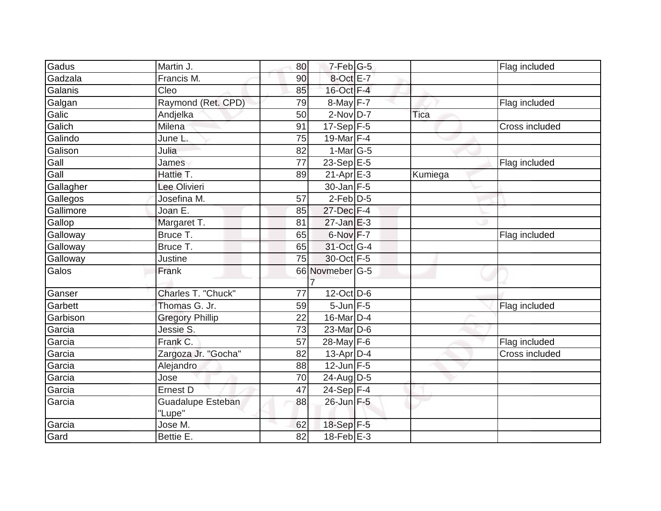| Gadus     | Martin J.                | 80 | $7-Feb$ <sub>G-5</sub>     |         | Flag included  |
|-----------|--------------------------|----|----------------------------|---------|----------------|
| Gadzala   | Francis M.               | 90 | 8-Oct E-7                  |         |                |
| Galanis   | Cleo                     | 85 | 16-Oct F-4                 |         |                |
| Galgan    | Raymond (Ret. CPD)       | 79 | $8$ -May F-7               |         | Flag included  |
| Galic     | Andjelka                 | 50 | $2-NovD-7$                 | Tica    |                |
| Galich    | Milena                   | 91 | $17-Sep$ F-5               |         | Cross included |
| Galindo   | June L.                  | 75 | 19-Mar F-4                 |         |                |
| Galison   | Julia                    | 82 | $1-Mar$ G-5                |         |                |
| Gall      | James                    | 77 | 23-Sep $E-5$               |         | Flag included  |
| Gall      | Hattie T.                | 89 | $21-Apr \nightharpoonup 3$ | Kumiega |                |
| Gallagher | Lee Olivieri             |    | 30-Jan F-5                 |         |                |
| Gallegos  | Josefina M.              | 57 | $2-Feb$ $D-5$              |         |                |
| Gallimore | Joan E.                  | 85 | 27-Dec F-4                 |         |                |
| Gallop    | Margaret T.              | 81 | $27$ -Jan $E-3$            |         |                |
| Galloway  | Bruce T.                 | 65 | 6-Nov F-7                  |         | Flag included  |
| Galloway  | Bruce T.                 | 65 | 31-Oct G-4                 |         |                |
| Galloway  | Justine                  | 75 | 30-Oct F-5                 |         |                |
| Galos     | Frank                    |    | 66 Novmeber G-5            |         |                |
|           |                          |    |                            |         |                |
| Ganser    | Charles T. "Chuck"       | 77 | $12$ -Oct $\overline{D-6}$ |         |                |
| Garbett   | Thomas G. Jr.            | 59 | $5$ -Jun $F - 5$           |         | Flag included  |
| Garbison  | <b>Gregory Phillip</b>   | 22 | $16$ -Mar $ D-4$           |         |                |
| Garcia    | Jessie S.                | 73 | 23-Mar D-6                 |         |                |
| Garcia    | Frank C.                 | 57 | 28-May F-6                 |         | Flag included  |
| Garcia    | Zargoza Jr. "Gocha"      | 82 | 13-Apr $D-4$               |         | Cross included |
| Garcia    | Alejandro                | 88 | $12 - \overline{Jun}$ F-5  |         |                |
| Garcia    | Jose                     | 70 | $24$ -Aug D-5              |         |                |
| Garcia    | Ernest D                 | 47 | $24-Sep$ F-4               |         |                |
| Garcia    | <b>Guadalupe Esteban</b> | 88 | 26-Jun F-5                 |         |                |
|           | "Lupe"                   |    |                            |         |                |
| Garcia    | Jose M.                  | 62 | 18-Sep F-5                 |         |                |
| Gard      | Bettie E.                | 82 | $18-Feb$ E-3               |         |                |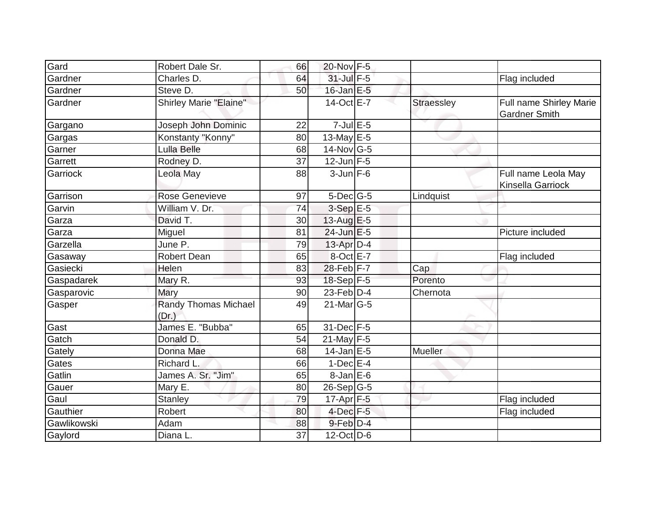| Gard        | Robert Dale Sr.               | 66 | 20-Nov F-5        |                   |                                                 |
|-------------|-------------------------------|----|-------------------|-------------------|-------------------------------------------------|
| Gardner     | Charles D.                    | 64 | 31-Jul F-5        |                   | Flag included                                   |
| Gardner     | Steve D.                      | 50 | $16$ -Jan $E-5$   |                   |                                                 |
| Gardner     | Shirley Marie "Elaine"        |    | 14-Oct E-7        | <b>Straessley</b> | Full name Shirley Marie<br><b>Gardner Smith</b> |
| Gargano     | Joseph John Dominic           | 22 | $7$ -Jul $E$ -5   |                   |                                                 |
| Gargas      | Konstanty "Konny"             | 80 | 13-May E-5        |                   |                                                 |
| Garner      | Lulla Belle                   | 68 | $14$ -Nov $ G-5 $ |                   |                                                 |
| Garrett     | Rodney D.                     | 37 | $12$ -Jun $F-5$   |                   |                                                 |
| Garriock    | Leola May                     | 88 | $3$ -Jun $F-6$    |                   | Full name Leola May<br>Kinsella Garriock        |
| Garrison    | <b>Rose Genevieve</b>         | 97 | $5$ -Dec $ G-5 $  | Lindquist         |                                                 |
| Garvin      | William V. Dr.                | 74 | $3-SepE-5$        |                   |                                                 |
| Garza       | David T.                      | 30 | $13$ -Aug E-5     |                   |                                                 |
| Garza       | Miguel                        | 81 | $24$ -Jun $E-5$   |                   | Picture included                                |
| Garzella    | June P.                       | 79 | $13$ -Apr $D-4$   |                   |                                                 |
| Gasaway     | <b>Robert Dean</b>            | 65 | 8-Oct E-7         |                   | Flag included                                   |
| Gasiecki    | Helen                         | 83 | 28-Feb F-7        | Cap               |                                                 |
| Gaspadarek  | Mary R.                       | 93 | 18-Sep F-5        | Porento           |                                                 |
| Gasparovic  | Mary                          | 90 | 23-Feb $D-4$      | Chernota          |                                                 |
| Gasper      | Randy Thomas Michael<br>(Dr.) | 49 | $21$ -Mar $ G-5 $ |                   |                                                 |
| Gast        | James E. "Bubba"              | 65 | 31-Dec F-5        |                   |                                                 |
| Gatch       | Donald D.                     | 54 | 21-May $F-5$      |                   |                                                 |
| Gately      | Donna Mae                     | 68 | $14$ -Jan E-5     | Mueller           |                                                 |
| Gates       | Richard L.                    | 66 | $1-Dec$ $E-4$     |                   |                                                 |
| Gatlin      | James A. Sr. "Jim"            | 65 | $8$ -Jan $E$ -6   |                   |                                                 |
| Gauer       | Mary E.                       | 80 | $26-Sep G-5$      |                   |                                                 |
| Gaul        | <b>Stanley</b>                | 79 | 17-Apr F-5        |                   | Flag included                                   |
| Gauthier    | Robert                        | 80 | $4$ -Dec $F-5$    |                   | Flag included                                   |
| Gawlikowski | Adam                          | 88 | 9-Feb D-4         |                   |                                                 |
| Gaylord     | Diana L.                      | 37 | $12$ -Oct D-6     |                   |                                                 |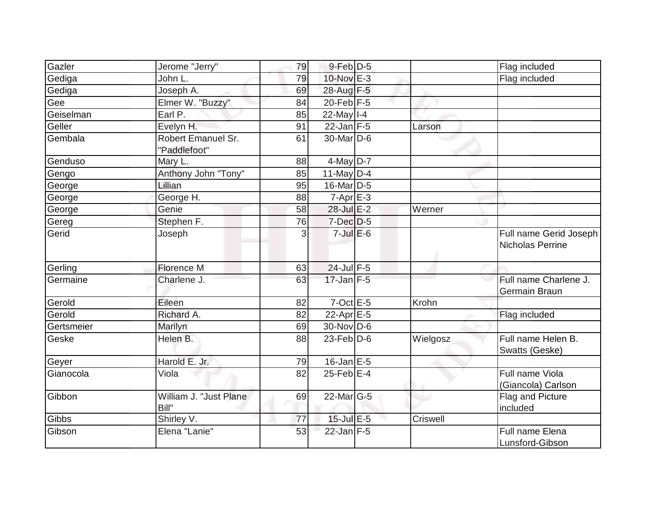| Gazler     | Jerome "Jerry"                     | 79 | $9$ -Feb $ D-5$       |                 | Flag included                              |
|------------|------------------------------------|----|-----------------------|-----------------|--------------------------------------------|
| Gediga     | John L.                            | 79 | 10-Nov E-3            |                 | Flag included                              |
| Gediga     | Joseph A.                          | 69 | 28-Aug F-5            |                 |                                            |
| Gee        | Elmer W. "Buzzy"                   | 84 | $20$ -Feb $ F-5 $     |                 |                                            |
| Geiselman  | Earl P.                            | 85 | $22$ -May I-4         |                 |                                            |
| Geller     | Evelyn H.                          | 91 | $22$ -Jan F-5         | Larson          |                                            |
| Gembala    | Robert Emanuel Sr.<br>"Paddlefoot" | 61 | 30-Mar <sub>D-6</sub> |                 |                                            |
| Genduso    | Mary L.                            | 88 | $4$ -May D-7          |                 |                                            |
| Gengo      | Anthony John "Tony"                | 85 | 11-May $D-4$          |                 |                                            |
| George     | Lillian                            | 95 | $16$ -Mar $ D-5$      |                 |                                            |
| George     | George H.                          | 88 | $7-Apr$ $E-3$         |                 |                                            |
| George     | Genie                              | 58 | 28-Jul E-2            | Werner          |                                            |
| Gereg      | Stephen F.                         | 76 | 7-Dec D-5             |                 |                                            |
| Gerid      | Joseph                             | 3  | $7$ -Jul $E$ -6       |                 | Full name Gerid Joseph<br>Nicholas Perrine |
| Gerling    | <b>Florence M</b>                  | 63 | $24$ -Jul $F-5$       |                 |                                            |
| Germaine   | Charlene J.                        | 63 | $17$ -Jan F-5         |                 | Full name Charlene J.<br>Germain Braun     |
| Gerold     | Eileen                             | 82 | $7$ -Oct $E$ -5       | Krohn           |                                            |
| Gerold     | Richard A.                         | 82 | $22-Apr \tE-5$        |                 | Flag included                              |
| Gertsmeier | Marilyn                            | 69 | $30 - Nov$ D-6        |                 |                                            |
| Geske      | Helen B.                           | 88 | $23$ -Feb $D-6$       | Wielgosz        | Full name Helen B.<br>Swatts (Geske)       |
| Geyer      | Harold E. Jr.                      | 79 | $16$ -Jan $E$ -5      |                 |                                            |
| Gianocola  | Viola                              | 82 | $25$ -Feb $E-4$       |                 | Full name Viola<br>(Giancola) Carlson      |
| Gibbon     | William J. "Just Plane<br>Bill"    | 69 | 22-Mar G-5            |                 | Flag and Picture<br>included               |
| Gibbs      | Shirley V.                         | 77 | $15$ -Jul $E$ -5      | <b>Criswell</b> |                                            |
| Gibson     | Elena "Lanie"                      | 53 | $22$ -Jan F-5         |                 | Full name Elena<br>Lunsford-Gibson         |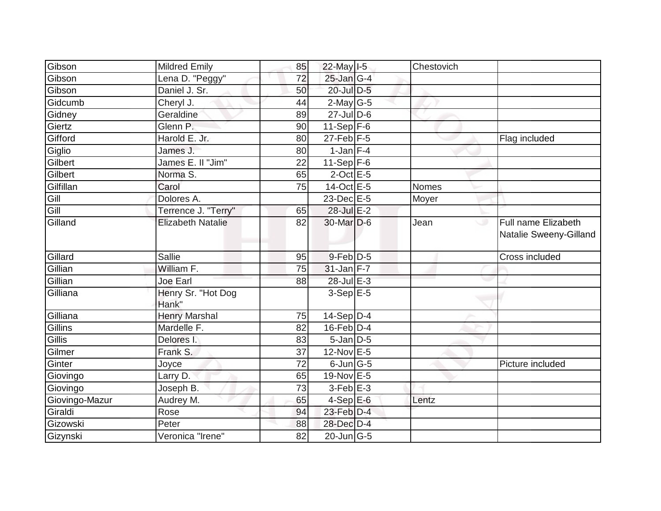| Gibson         | <b>Mildred Emily</b>        | 85 | 22-May I-5                                   | Chestovich   |                                                    |
|----------------|-----------------------------|----|----------------------------------------------|--------------|----------------------------------------------------|
| Gibson         | Lena D. "Peggy"             | 72 | 25-Jan G-4                                   |              |                                                    |
| Gibson         | Daniel J. Sr.               | 50 | 20-Jul D-5                                   |              |                                                    |
| Gidcumb        | Cheryl J.                   | 44 | $2$ -May G-5                                 |              |                                                    |
| Gidney         | Geraldine                   | 89 | $27$ -Jul D-6                                |              |                                                    |
| Giertz         | Glenn P.                    | 90 | $11-Sep$ F-6                                 |              |                                                    |
| Gifford        | Harold E. Jr.               | 80 | $27$ -Feb $ F-5$                             |              | Flag included                                      |
| Giglio         | James J.                    | 80 | $1$ -Jan $F-4$                               |              |                                                    |
| Gilbert        | James E. II "Jim"           | 22 | 11-Sep $F-6$                                 |              |                                                    |
| Gilbert        | Norma S.                    | 65 | $2$ -Oct $E - 5$                             |              |                                                    |
| Gilfillan      | Carol                       | 75 | 14-Oct E-5                                   | <b>Nomes</b> |                                                    |
| Gill           | Dolores A.                  |    | 23-Dec E-5                                   | Moyer        |                                                    |
| Gill           | Terrence J. "Terry"         | 65 | 28-Jul E-2                                   |              |                                                    |
| Gilland        | <b>Elizabeth Natalie</b>    | 82 | 30-Mar D-6                                   | Jean         | Full name Elizabeth<br>ت<br>Natalie Sweeny-Gilland |
| Gillard        | <b>Sallie</b>               | 95 | 9-Feb D-5                                    |              | Cross included                                     |
| Gillian        | William F.                  | 75 | $31$ -Jan F-7                                |              |                                                    |
| Gillian        | Joe Earl                    | 88 | 28-Jul E-3                                   |              |                                                    |
| Gilliana       | Henry Sr. "Hot Dog<br>Hank" |    | $3-Sep$ E-5                                  |              |                                                    |
| Gilliana       | <b>Henry Marshal</b>        | 75 | $14-Sep D-4$                                 |              |                                                    |
| Gillins        | Mardelle F.                 | 82 | $16$ -Feb $D-4$                              |              |                                                    |
| Gillis         | Delores I.                  | 83 | $5$ -Jan $D$ -5                              |              |                                                    |
| Gilmer         | Frank S.                    | 37 | 12-Nov E-5                                   |              |                                                    |
| Ginter         | Joyce                       | 72 | $6$ -Jun $G$ -5                              |              | Picture included                                   |
| Giovingo       | Larry D.                    | 65 | 19-Nov E-5                                   |              |                                                    |
| Giovingo       | Joseph B.                   | 73 | $3$ -Feb $E-3$                               |              |                                                    |
| Giovingo-Mazur | Audrey M.                   | 65 | $4-SepE-6$                                   | Lentz        |                                                    |
| Giraldi        | Rose                        | 94 | 23-Feb D-4                                   |              |                                                    |
| Gizowski       | Peter                       | 88 | 28-Dec D-4                                   |              |                                                    |
| Gizynski       | Veronica "Irene"            | 82 | $\overline{20}$ -Jun $\overline{\text{G-5}}$ |              |                                                    |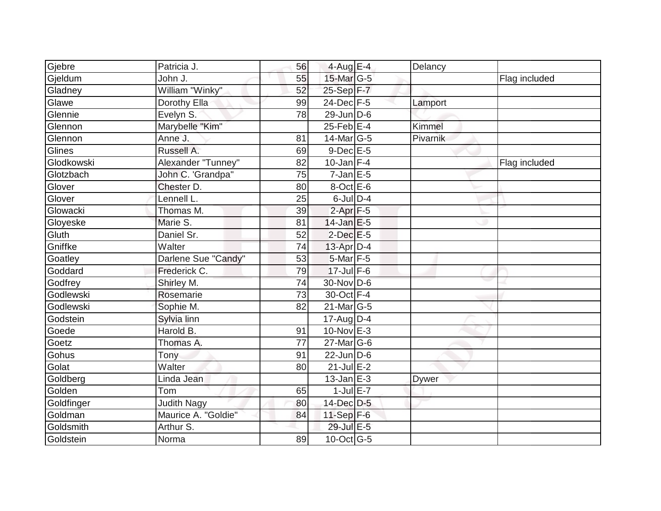|                  | Patricia J.         | 56 | 4-Aug E-4                         | Delancy      |               |
|------------------|---------------------|----|-----------------------------------|--------------|---------------|
| Gjebre           | John J.             | 55 | 15-Mar G-5                        |              | Flag included |
| Gjeldum          | William "Winky"     | 52 | 25-Sep F-7                        |              |               |
| Gladney          |                     |    | $24$ -Dec $F-5$                   |              |               |
| Glawe<br>Glennie | Dorothy Ella        | 99 | $29$ -Jun D-6                     | Lamport      |               |
|                  | Evelyn S.           | 78 |                                   |              |               |
| Glennon          | Marybelle "Kim"     |    | $25$ -Feb $E-4$                   | Kimmel       |               |
| Glennon          | Anne J.             | 81 | $14$ -Mar $ G-5$                  | Pivarnik     |               |
| Glines           | Russell A.          | 69 | $9$ -Dec $E$ -5                   |              |               |
| Glodkowski       | Alexander "Tunney"  | 82 | $10$ -Jan F-4                     |              | Flag included |
| Glotzbach        | John C. 'Grandpa"   | 75 | $7$ -Jan $E$ -5                   |              |               |
| Glover           | Chester D.          | 80 | $8$ -Oct $E$ -6                   |              |               |
| Glover           | Lennell L.          | 25 | $6$ -Jul $D-4$                    |              |               |
| Glowacki         | Thomas M.           | 39 | $2$ -Apr $F-5$                    |              |               |
| Gloyeske         | Marie S.            | 81 | $14$ -Jan E-5                     |              |               |
| Gluth            | Daniel Sr.          | 52 | $2$ -Dec $E - 5$                  |              |               |
| Gniffke          | Walter              | 74 | 13-Apr D-4                        |              |               |
| Goatley          | Darlene Sue "Candy" | 53 | 5-Mar F-5                         |              |               |
| Goddard          | Frederick C.        | 79 | $17$ -Jul $F-6$                   |              |               |
| Godfrey          | Shirley M.          | 74 | 30-Nov D-6                        |              |               |
| Godlewski        | Rosemarie           | 73 | $30$ -Oct $F-4$                   |              |               |
| Godlewski        | Sophie M.           | 82 | $21$ -Mar $ G-5 $                 |              |               |
| Godstein         | Sylvia linn         |    | 17-Aug D-4                        |              |               |
| Goede            | Harold B.           | 91 | 10-Nov E-3                        |              |               |
| Goetz            | Thomas A.           | 77 | $27$ -Mar $ G-6$                  |              |               |
| Gohus            | Tony                | 91 | $22$ -Jun D-6                     |              |               |
| Golat            | Walter              | 80 | $21$ -Jul $E-2$                   |              |               |
| Goldberg         | Linda Jean          |    | $13$ -Jan $E-3$                   | <b>Dywer</b> |               |
| Golden           | Tom                 | 65 | $1$ -Jul $E-7$                    |              |               |
| Goldfinger       | <b>Judith Nagy</b>  | 80 | 14-Dec D-5                        |              |               |
| Goldman          | Maurice A. "Goldie" | 84 | 11-Sep F-6                        |              |               |
| Goldsmith        | Arthur S.           |    | 29-Jul E-5                        |              |               |
| Goldstein        | Norma               | 89 | $10$ -Oct $\overline{\text{G-5}}$ |              |               |
|                  |                     |    |                                   |              |               |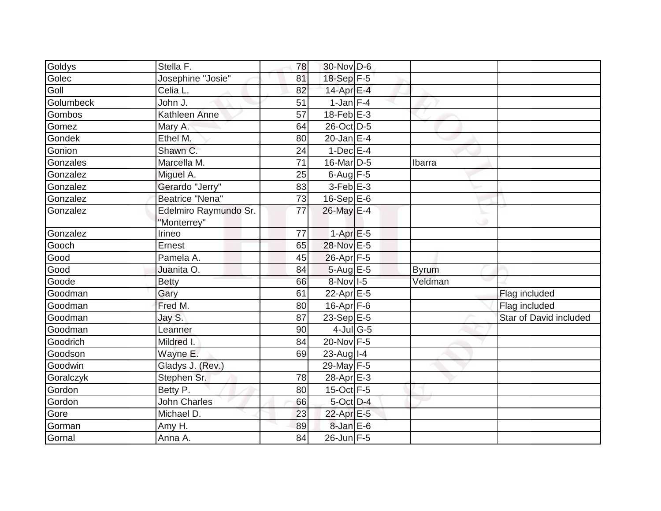|                        | 78                                                                                                                             |                |                                                                                                                                                                                                                                                                                                                                                                                                                                                                                                                |                        |
|------------------------|--------------------------------------------------------------------------------------------------------------------------------|----------------|----------------------------------------------------------------------------------------------------------------------------------------------------------------------------------------------------------------------------------------------------------------------------------------------------------------------------------------------------------------------------------------------------------------------------------------------------------------------------------------------------------------|------------------------|
|                        | 81                                                                                                                             |                |                                                                                                                                                                                                                                                                                                                                                                                                                                                                                                                |                        |
| Celia L.               | 82                                                                                                                             |                |                                                                                                                                                                                                                                                                                                                                                                                                                                                                                                                |                        |
| John J.                | 51                                                                                                                             |                |                                                                                                                                                                                                                                                                                                                                                                                                                                                                                                                |                        |
| <b>Kathleen Anne</b>   | 57                                                                                                                             |                |                                                                                                                                                                                                                                                                                                                                                                                                                                                                                                                |                        |
| Mary A.                | 64                                                                                                                             |                |                                                                                                                                                                                                                                                                                                                                                                                                                                                                                                                |                        |
| Ethel M.               | 80                                                                                                                             |                |                                                                                                                                                                                                                                                                                                                                                                                                                                                                                                                |                        |
| Shawn C.               | 24                                                                                                                             |                |                                                                                                                                                                                                                                                                                                                                                                                                                                                                                                                |                        |
| Marcella M.            | 71                                                                                                                             |                | Ibarra                                                                                                                                                                                                                                                                                                                                                                                                                                                                                                         |                        |
| Miguel A.              | 25                                                                                                                             |                |                                                                                                                                                                                                                                                                                                                                                                                                                                                                                                                |                        |
| Gerardo "Jerry"        | 83                                                                                                                             |                |                                                                                                                                                                                                                                                                                                                                                                                                                                                                                                                |                        |
| <b>Beatrice "Nena"</b> | 73                                                                                                                             |                |                                                                                                                                                                                                                                                                                                                                                                                                                                                                                                                |                        |
| Edelmiro Raymundo Sr.  | 77                                                                                                                             |                |                                                                                                                                                                                                                                                                                                                                                                                                                                                                                                                |                        |
|                        |                                                                                                                                |                |                                                                                                                                                                                                                                                                                                                                                                                                                                                                                                                |                        |
|                        |                                                                                                                                |                |                                                                                                                                                                                                                                                                                                                                                                                                                                                                                                                |                        |
|                        |                                                                                                                                |                |                                                                                                                                                                                                                                                                                                                                                                                                                                                                                                                |                        |
| Juanita O.             | 84                                                                                                                             |                |                                                                                                                                                                                                                                                                                                                                                                                                                                                                                                                |                        |
|                        | 66                                                                                                                             |                | Veldman                                                                                                                                                                                                                                                                                                                                                                                                                                                                                                        |                        |
|                        | 61                                                                                                                             |                |                                                                                                                                                                                                                                                                                                                                                                                                                                                                                                                | Flag included          |
| Fred M.                | 80                                                                                                                             |                |                                                                                                                                                                                                                                                                                                                                                                                                                                                                                                                | Flag included          |
|                        | 87                                                                                                                             |                |                                                                                                                                                                                                                                                                                                                                                                                                                                                                                                                | Star of David included |
| Leanner                | 90                                                                                                                             |                |                                                                                                                                                                                                                                                                                                                                                                                                                                                                                                                |                        |
| Mildred I.             | 84                                                                                                                             |                |                                                                                                                                                                                                                                                                                                                                                                                                                                                                                                                |                        |
| Wayne E.               | 69                                                                                                                             |                |                                                                                                                                                                                                                                                                                                                                                                                                                                                                                                                |                        |
| Gladys J. (Rev.)       |                                                                                                                                |                |                                                                                                                                                                                                                                                                                                                                                                                                                                                                                                                |                        |
| Stephen Sr.            | 78                                                                                                                             |                |                                                                                                                                                                                                                                                                                                                                                                                                                                                                                                                |                        |
| Betty P.               | 80                                                                                                                             |                |                                                                                                                                                                                                                                                                                                                                                                                                                                                                                                                |                        |
| <b>John Charles</b>    | 66                                                                                                                             |                |                                                                                                                                                                                                                                                                                                                                                                                                                                                                                                                |                        |
| Michael D.             | 23                                                                                                                             |                |                                                                                                                                                                                                                                                                                                                                                                                                                                                                                                                |                        |
| Amy H.                 | 89                                                                                                                             |                |                                                                                                                                                                                                                                                                                                                                                                                                                                                                                                                |                        |
| Anna A.                | 84                                                                                                                             |                |                                                                                                                                                                                                                                                                                                                                                                                                                                                                                                                |                        |
|                        | Stella F.<br>Josephine "Josie"<br>"Monterrey"<br>Irineo<br>Ernest<br>Pamela A.<br><b>Betty</b><br>Gary<br>Jay $\overline{S}$ . | 77<br>65<br>45 | 30-Nov D-6<br>18-Sep F-5<br>$14$ -Apr $E-4$<br>$1$ -Jan $ F-4 $<br>$18$ -Feb $E - 3$<br>26-Oct D-5<br>$20$ -Jan E-4<br>$1$ -Dec $E-4$<br>16-Mar D-5<br>$6$ -Aug $F - 5$<br>$3$ -Feb $E-3$<br>16-Sep E-6<br>26-May E-4<br>$1-AprE-5$<br>28-Nov E-5<br>26-Apr F-5<br>$5-Aug$ $E-5$<br>8-Nov I-5<br>22-Apr E-5<br>$16$ -Apr $F$ -6<br>23-Sep $E-5$<br>$4$ -Jul G-5<br>$20$ -Nov $F-5$<br>$23$ -Aug   I-4<br>29-May F-5<br>28-Apr E-3<br>$15$ -Oct F-5<br>5-Oct D-4<br>22-Apr E-5<br>$8$ -Jan $E$ -6<br>26-Jun F-5 | <b>Byrum</b>           |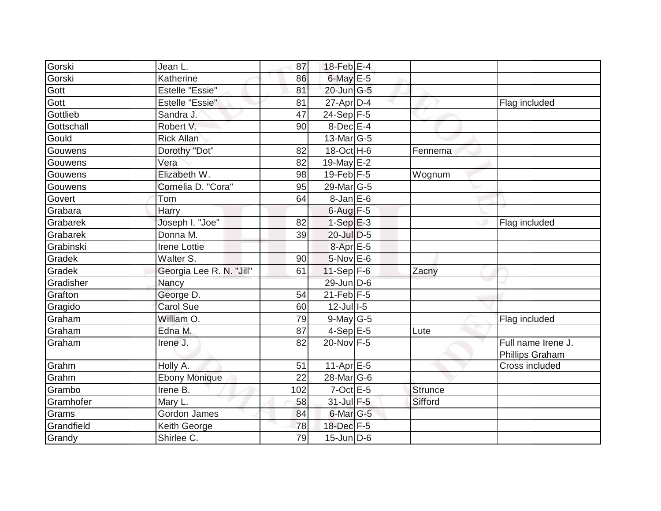| Gorski     | Jean L.                  | 87  | 18-Feb E-4              |         |                    |
|------------|--------------------------|-----|-------------------------|---------|--------------------|
| Gorski     | Katherine                | 86  | 6-May E-5               |         |                    |
| Gott       | <b>Estelle "Essie"</b>   | 81  | 20-Jun G-5              |         |                    |
| Gott       | <b>Estelle "Essie"</b>   | 81  | $27$ -Apr $D-4$         |         | Flag included      |
| Gottlieb   | Sandra J.                | 47  | $24-Sep$ F-5            |         |                    |
| Gottschall | Robert V.                | 90  | 8-Dec E-4               |         |                    |
| Gould      | <b>Rick Allan</b>        |     | $13$ -Mar $ G-5 $       |         |                    |
| Gouwens    | Dorothy "Dot"            | 82  | 18-Oct H-6              | Fennema |                    |
| Gouwens    | Vera                     | 82  | 19-May $E-2$            |         |                    |
| Gouwens    | Elizabeth W.             | 98  | $19$ -Feb $F-5$         | Wognum  |                    |
| Gouwens    | Cornelia D. "Cora"       | 95  | $29$ -Mar $ G-5$        |         |                    |
| Govert     | Tom                      | 64  | 8-Jan E-6               |         |                    |
| Grabara    | Harry                    |     | $6$ -Aug $F-5$          |         |                    |
| Grabarek   | Joseph I. "Joe"          | 82  | $1-SepE-3$              |         | Flag included      |
| Grabarek   | Donna M.                 | 39  | 20-Jul D-5              |         |                    |
| Grabinski  | <b>Irene Lottie</b>      |     | 8-Apr E-5               |         |                    |
| Gradek     | Walter S.                | 90  | $5-Nov$ E-6             |         |                    |
| Gradek     | Georgia Lee R. N. "Jill" | 61  | $11-Sep$ F-6            | Zacny   |                    |
| Gradisher  | Nancy                    |     | 29-Jun D-6              |         |                    |
| Grafton    | George D.                | 54  | $21$ -Feb $F-5$         |         |                    |
| Gragido    | <b>Carol Sue</b>         | 60  | $12$ -Jull-5            |         |                    |
| Graham     | William O.               | 79  | $9$ -May G-5            |         | Flag included      |
| Graham     | Edna M.                  | 87  | $4-SepE-5$              | Lute    |                    |
| Graham     | Irene J.                 | 82  | 20-Nov F-5              |         | Full name Irene J. |
|            |                          |     |                         |         | Phillips Graham    |
| Grahm      | Holly A.                 | 51  | $11-Apr \overline{E-5}$ |         | Cross included     |
| Grahm      | <b>Ebony Monique</b>     | 22  | 28-Mar G-6              |         |                    |
| Grambo     | Irene B.                 | 102 | $7$ -Oct $E - 5$        | Strunce |                    |
| Gramhofer  | Mary L.                  | 58  | 31-Jul F-5              | Sifford |                    |
| Grams      | <b>Gordon James</b>      | 84  | 6-Mar G-5               |         |                    |
| Grandfield | Keith George             | 78  | $18$ -Dec $F - 5$       |         |                    |
| Grandy     | Shirlee C.               | 79  | $15$ -Jun D-6           |         |                    |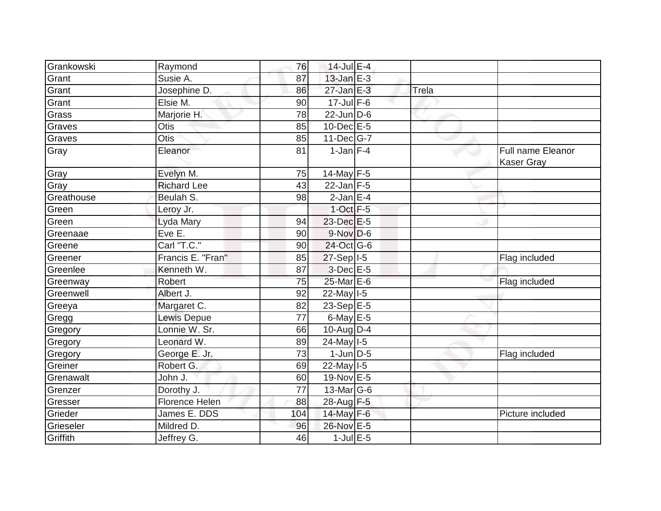| Grankowski | Raymond               | 76              | 14-Jul E-4              |       |                                               |
|------------|-----------------------|-----------------|-------------------------|-------|-----------------------------------------------|
| Grant      | Susie A.              | 87              | $13$ -Jan $E-3$         |       |                                               |
| Grant      | Josephine D.          | 86              | $27$ -Jan $E-3$         | Trela |                                               |
| Grant      | Elsie M.              | 90              | $17$ -Jul F-6           |       |                                               |
| Grass      | Marjorie H.           | $\overline{78}$ | $22$ -Jun $D-6$         |       |                                               |
| Graves     | Otis                  | 85              | 10-Dec E-5              |       |                                               |
| Graves     | Otis                  | 85              | $11 - Dec$ G-7          |       |                                               |
| Gray       | Eleanor               | 81              | $1$ -Jan $F-4$          |       | <b>Full name Eleanor</b><br><b>Kaser Gray</b> |
| Gray       | Evelyn M.             | 75              | 14-May $F-5$            |       |                                               |
| Gray       | <b>Richard Lee</b>    | 43              | $22$ -Jan F-5           |       |                                               |
| Greathouse | Beulah S.             | 98              | $2$ -Jan E-4            |       |                                               |
| Green      | Leroy Jr.             |                 | $1$ -Oct $F-5$          |       |                                               |
| Green      | Lyda Mary             | 94              | 23-Dec E-5              |       |                                               |
| Greenaae   | Eve E.                | 90              | $9-Nov$ $D-6$           |       |                                               |
| Greene     | Carl "T.C."           | 90              | 24-Oct G-6              |       |                                               |
| Greener    | Francis E. "Fran"     | 85              | $27-Sep$ <sup>1-5</sup> |       | Flag included                                 |
| Greenlee   | Kenneth W.            | 87              | $3-Dec$ $E-5$           |       |                                               |
| Greenway   | Robert                | 75              | 25-Mar E-6              |       | Flag included                                 |
| Greenwell  | Albert J.             | 92              | 22-May 1-5              |       |                                               |
| Greeya     | Margaret C.           | 82              | $23-Sep$ E-5            |       |                                               |
| Gregg      | Lewis Depue           | 77              | 6-May $E-5$             |       |                                               |
| Gregory    | Lonnie W. Sr.         | 66              | 10-Aug $D-4$            |       |                                               |
| Gregory    | Leonard W.            | 89              | 24-May I-5              |       |                                               |
| Gregory    | George E. Jr.         | 73              | $1$ -Jun $D-5$          |       | Flag included                                 |
| Greiner    | Robert G.             | 69              | $22$ -May $I-5$         |       |                                               |
| Grenawalt  | John J.               | 60              | 19-Nov E-5              |       |                                               |
| Grenzer    | Dorothy J.            | $\overline{77}$ | $13$ -Mar $ G-6$        |       |                                               |
| Gresser    | <b>Florence Helen</b> | 88              | 28-Aug F-5              |       |                                               |
| Grieder    | James E. DDS          | 104             | 14-May F-6              |       | Picture included                              |
| Grieseler  | Mildred D.            | 96              | 26-Nov E-5              |       |                                               |
| Griffith   | Jeffrey G.            | 46              | $1$ -Jul $E$ -5         |       |                                               |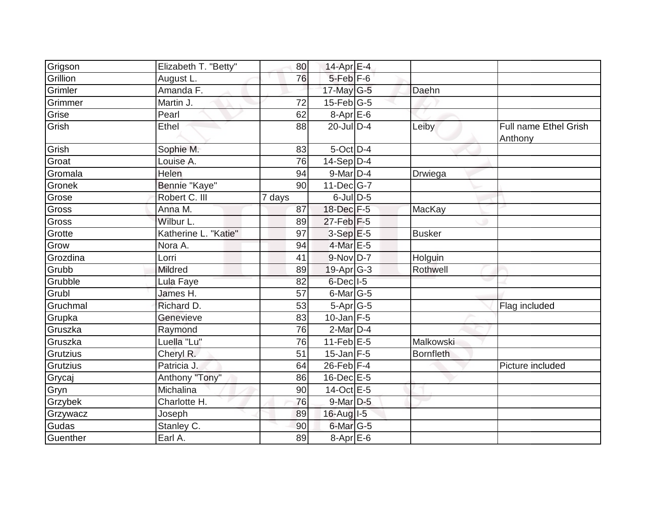| Grigson         | Elizabeth T. "Betty" | 80     | 14-Apr E-4           |                  |                                         |
|-----------------|----------------------|--------|----------------------|------------------|-----------------------------------------|
| Grillion        | August L.            | 76     | $5$ -Feb $F$ -6      |                  |                                         |
| Grimler         | Amanda F.            |        | 17-May G-5           | Daehn            |                                         |
| Grimmer         | Martin J.            | 72     | $15$ -Feb $ G-5$     |                  |                                         |
| Grise           | Pearl                | 62     | $8-Apr$ E-6          |                  |                                         |
| Grish           | Ethel                | 88     | 20-Jul D-4           | Leiby            | <b>Full name Ethel Grish</b><br>Anthony |
| Grish           | Sophie M.            | 83     | $5$ -Oct $D-4$       |                  |                                         |
| Groat           | Louise A.            | 76     | $14-Sep D-4$         |                  |                                         |
| Gromala         | Helen                | 94     | 9-Mar D-4            | Drwiega          |                                         |
| Gronek          | Bennie "Kaye"        | 90     | $11$ -Dec $ G-7 $    |                  |                                         |
| Grose           | Robert C. III        | 7 days | $6$ -Jul $D$ -5      |                  |                                         |
| Gross           | Anna M.              | 87     | 18-Dec F-5           | MacKay           |                                         |
| Gross           | Wilbur L.            | 89     | $27$ -Feb $F-5$      |                  |                                         |
| Grotte          | Katherine L. "Katie" | 97     | $3-Sep$ $E-5$        | <b>Busker</b>    |                                         |
| Grow            | Nora A.              | 94     | 4-Mar E-5            |                  |                                         |
| Grozdina        | Lorri                | 41     | 9-Nov D-7            | Holguin          |                                         |
| Grubb           | <b>Mildred</b>       | 89     | $19$ -Apr $G-3$      | Rothwell         |                                         |
| Grubble         | Lula Faye            | 82     | $6$ -Decl $1$ -5     |                  |                                         |
| Grubl           | James H.             | 57     | 6-Mar G-5            |                  |                                         |
| Gruchmal        | Richard D.           | 53     | 5-Apr G-5            |                  | Flag included                           |
| Grupka          | Genevieve            | 83     | $10$ -Jan F-5        |                  |                                         |
| Gruszka         | Raymond              | 76     | $2$ -Mar $D-4$       |                  |                                         |
| Gruszka         | Luella "Lu"          | 76     | $11$ -Feb $E$ -5     | Malkowski        |                                         |
| <b>Grutzius</b> | Cheryl R.            | 51     | $15$ -Jan F-5        | <b>Bornfleth</b> |                                         |
| Grutzius        | Patricia J.          | 64     | $26$ -Feb $F-4$      |                  | Picture included                        |
| Grycaj          | Anthony "Tony"       | 86     | $16$ -Dec $E$ -5     |                  |                                         |
| Gryn            | Michalina            | 90     | 14-Oct E-5           |                  |                                         |
| Grzybek         | Charlotte H.         | 76     | $9$ -Mar $D-5$       |                  |                                         |
| Grzywacz        | Joseph               | 89     | 16-Aug I-5           |                  |                                         |
| Gudas           | Stanley C.           | 90     | 6-Mar <sub>G-5</sub> |                  |                                         |
| Guenther        | Earl A.              | 89     | $8-Apr$ $E-6$        |                  |                                         |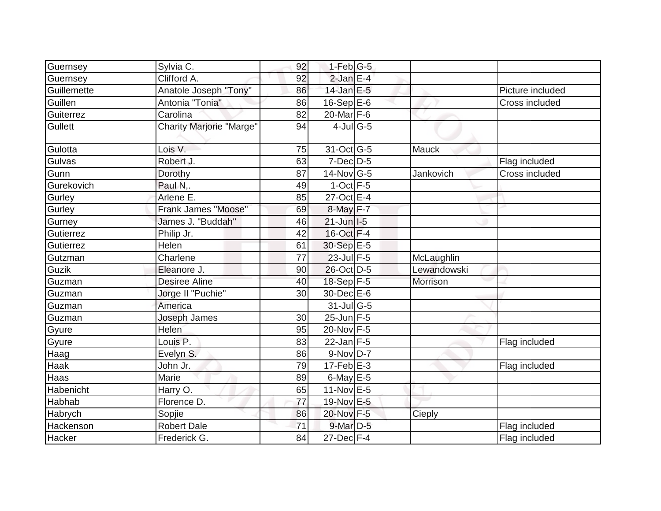| Guernsey       | Sylvia C.                       | 92 | $1-Feb G-5$       |             |                  |
|----------------|---------------------------------|----|-------------------|-------------|------------------|
| Guernsey       | Clifford A.                     | 92 | $2$ -Jan $E-4$    |             |                  |
| Guillemette    | Anatole Joseph "Tony"           | 86 | $14$ -Jan $E-5$   |             | Picture included |
| Guillen        | Antonia "Tonia"                 | 86 | $16-Sep$ E-6      |             | Cross included   |
| Guiterrez      | Carolina                        | 82 | 20-Mar F-6        |             |                  |
| <b>Gullett</b> | <b>Charity Marjorie "Marge"</b> | 94 | $4$ -Jul G-5      |             |                  |
| Gulotta        | Lois V.                         | 75 | 31-Oct G-5        | Mauck       |                  |
| Gulvas         | Robert J.                       | 63 | 7-Dec D-5         |             | Flag included    |
| Gunn           | Dorothy                         | 87 | $14$ -Nov $ G-5 $ | Jankovich   | Cross included   |
| Gurekovich     | Paul N,.                        | 49 | $1$ -Oct $F-5$    |             |                  |
| Gurley         | Arlene E.                       | 85 | 27-Oct E-4        |             |                  |
| Gurley         | Frank James "Moose"             | 69 | 8-May F-7         |             |                  |
| Gurney         | James J. "Buddah"               | 46 | $21$ -Jun $ I-5 $ |             |                  |
| Gutierrez      | Philip Jr.                      | 42 | 16-Oct F-4        |             |                  |
| Gutierrez      | Helen                           | 61 | 30-Sep E-5        |             |                  |
| Gutzman        | Charlene                        | 77 | 23-Jul F-5        | McLaughlin  |                  |
| Guzik          | Eleanore J.                     | 90 | 26-Oct D-5        | Lewandowski |                  |
| Guzman         | Desiree Aline                   | 40 | 18-Sep F-5        | Morrison    |                  |
| Guzman         | Jorge II "Puchie"               | 30 | $30$ -Dec $E$ -6  |             |                  |
| Guzman         | America                         |    | $31$ -JulG-5      |             |                  |
| Guzman         | Joseph James                    | 30 | $25$ -Jun F-5     |             |                  |
| Gyure          | Helen                           | 95 | 20-Nov F-5        |             |                  |
| Gyure          | Louis P.                        | 83 | $22$ -Jan F-5     |             | Flag included    |
| Haag           | Evelyn S.                       | 86 | $9-Nov$ D-7       |             |                  |
| Haak           | John Jr.                        | 79 | $17$ -Feb $E-3$   |             | Flag included    |
| Haas           | Marie                           | 89 | 6-May E-5         |             |                  |
| Habenicht      | Harry O.                        | 65 | 11-Nov E-5        |             |                  |
| Habhab         | Florence D.                     | 77 | 19-Nov E-5        |             |                  |
| Habrych        | Sopjie                          | 86 | 20-Nov F-5        | Cieply      |                  |
| Hackenson      | <b>Robert Dale</b>              | 71 | 9-Mar D-5         |             | Flag included    |
| Hacker         | Frederick G.                    | 84 | $27$ -Dec $F-4$   |             | Flag included    |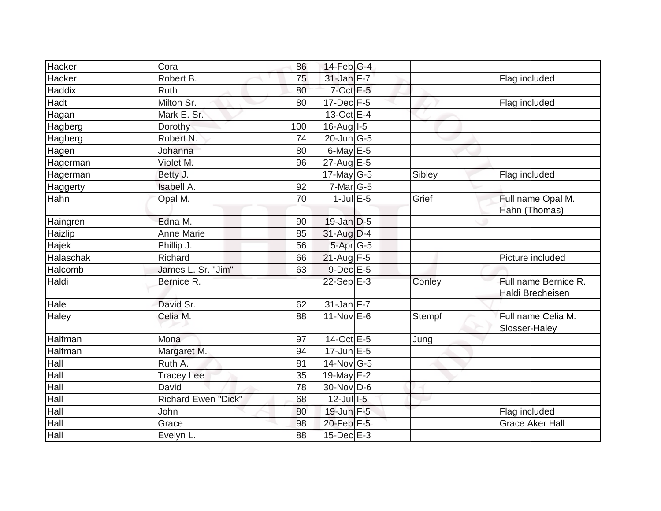| Hacker    | Cora                       | 86  | $14$ -Feb $ G-4$            |        |                                          |
|-----------|----------------------------|-----|-----------------------------|--------|------------------------------------------|
| Hacker    | Robert B.                  | 75  | 31-Jan F-7                  |        | <b>Flag included</b>                     |
| Haddix    | Ruth                       | 80  | $7$ -Oct $E - 5$            |        |                                          |
| Hadt      | Milton Sr.                 | 80  | $17 - Dec$ F-5              |        | Flag included                            |
| Hagan     | Mark E. Sr.                |     | $13-Oct$ E-4                |        |                                          |
| Hagberg   | Dorothy                    | 100 | $16$ -Aug $I$ -5            |        |                                          |
| Hagberg   | Robert N.                  | 74  | $20$ -Jun $\overline{G}$ -5 |        |                                          |
| Hagen     | Johanna                    | 80  | $6$ -May $E$ -5             |        |                                          |
| Hagerman  | Violet M.                  | 96  | $27$ -Aug E-5               |        |                                          |
| Hagerman  | Betty J.                   |     | $17$ -May G-5               | Sibley | Flag included                            |
| Haggerty  | <b>Isabell A.</b>          | 92  | $7$ -Mar $ G-5 $            |        |                                          |
| Hahn      | Opal M.                    | 70  | $1$ -Jul $E$ -5             | Grief  | Full name Opal M.<br>Hahn (Thomas)       |
| Haingren  | Edna M.                    | 90  | $19$ -Jan $D$ -5            |        |                                          |
| Haizlip   | <b>Anne Marie</b>          | 85  | $31$ -Aug D-4               |        |                                          |
| Hajek     | Phillip J.                 | 56  | $5-Apr$ G-5                 |        |                                          |
| Halaschak | Richard                    | 66  | $21$ -Aug F-5               |        | Picture included                         |
| Halcomb   | James L. Sr. "Jim"         | 63  | $9$ -Dec $E$ -5             |        |                                          |
| Haldi     | Bernice R.                 |     | $22-Sep$ E-3                | Conley | Full name Bernice R.<br>Haldi Brecheisen |
| Hale      | David Sr.                  | 62  | $31$ -Jan F-7               |        |                                          |
| Haley     | Celia M.                   | 88  | $11-Nov$ E-6                | Stempf | Full name Celia M.<br>Slosser-Haley      |
| Halfman   | Mona                       | 97  | $14-Oct \tE-5$              | Jung   |                                          |
| Halfman   | Margaret M.                | 94  | $17$ -Jun $E-5$             |        |                                          |
| Hall      | Ruth A.                    | 81  | $14$ -Nov $ G-5 $           |        |                                          |
| Hall      | <b>Tracey Lee</b>          | 35  | 19-May $E-2$                |        |                                          |
| Hall      | David                      | 78  | 30-Nov D-6                  |        |                                          |
| Hall      | <b>Richard Ewen "Dick"</b> | 68  | $12$ -Jul $I-5$             |        |                                          |
| Hall      | John                       | 80  | 19-Jun F-5                  |        | Flag included                            |
| Hall      | Grace                      | 98  | 20-Feb F-5                  |        | <b>Grace Aker Hall</b>                   |
| Hall      | Evelyn L.                  | 88  | 15-Dec E-3                  |        |                                          |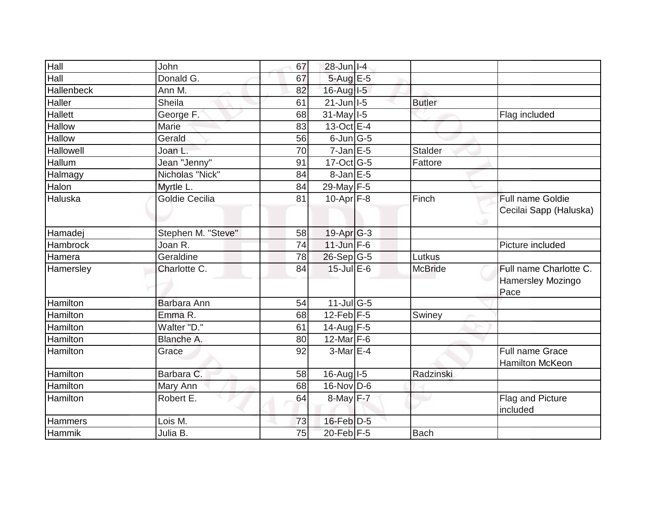| Hall            | John                  | 67 | $28$ -Jun $ I-4 $ |                |                          |
|-----------------|-----------------------|----|-------------------|----------------|--------------------------|
| Hall            | Donald G.             | 67 | $5-AugE-5$        |                |                          |
| Hallenbeck      | Ann M.                | 82 | $16$ -Aug $I$ -5  |                |                          |
| Haller          | <b>Sheila</b>         | 61 | $21$ -Jun $ I-5 $ | <b>Butler</b>  |                          |
| <b>Hallett</b>  | George F.             | 68 | 31-May I-5        |                | Flag included            |
| Hallow          | Marie                 | 83 | 13-Oct E-4        |                |                          |
| Hallow          | Gerald                | 56 | $6$ -Jun $ G-5 $  |                |                          |
| Hallowell       | Joan L.               | 70 | $7$ -Jan $E$ -5   | Stalder        |                          |
| Hallum          | Jean "Jenny"          | 91 | $17$ -Oct G-5     | Fattore        |                          |
| Halmagy         | Nicholas "Nick"       | 84 | 8-Jan E-5         |                |                          |
| Halon           | Myrtle L.             | 84 | 29-May F-5        |                |                          |
| Haluska         | <b>Goldie Cecilia</b> | 81 | $10$ -Apr $F-8$   | Finch          | Full name Goldie         |
|                 |                       |    |                   |                | Cecilai Sapp (Haluska)   |
|                 |                       |    |                   |                |                          |
| Hamadei         | Stephen M. "Steve"    | 58 | $19$ -Apr $G-3$   |                |                          |
| Hambrock        | Joan R.               | 74 | $11$ -Jun $F-6$   |                | Picture included         |
| Hamera          | Geraldine             | 78 | $26-Sep G-5$      | Lutkus         |                          |
| Hamersley       | Charlotte C.          | 84 | $15$ -Jul $E$ -6  | <b>McBride</b> | Full name Charlotte C.   |
|                 |                       |    |                   |                | <b>Hamersley Mozingo</b> |
|                 |                       |    |                   |                | Pace                     |
| Hamilton        | Barbara Ann           | 54 | $11$ -Jul G-5     |                |                          |
| Hamilton        | Emma R.               | 68 | $12$ -Feb $F-5$   | Swiney         |                          |
| <b>Hamilton</b> | Walter "D."           | 61 | 14-Aug $F-5$      |                |                          |
| Hamilton        | Blanche A.            | 80 | 12-Mar F-6        |                |                          |
| Hamilton        | Grace                 | 92 | $3-MarE-4$        |                | <b>Full name Grace</b>   |
|                 |                       |    |                   |                | <b>Hamilton McKeon</b>   |
| Hamilton        | Barbara C.            | 58 | $16$ -Aug $1-5$   | Radzinski      |                          |
| Hamilton        | Mary Ann              | 68 | $16$ -Nov D-6     |                |                          |
| Hamilton        | Robert E.             | 64 | 8-May F-7         |                | Flag and Picture         |
|                 |                       |    |                   |                | included                 |
| Hammers         | Lois M.               | 73 | $16$ -Feb $D-5$   |                |                          |
| Hammik          | Julia B.              | 75 | 20-Feb F-5        | <b>Bach</b>    |                          |
|                 |                       |    |                   |                |                          |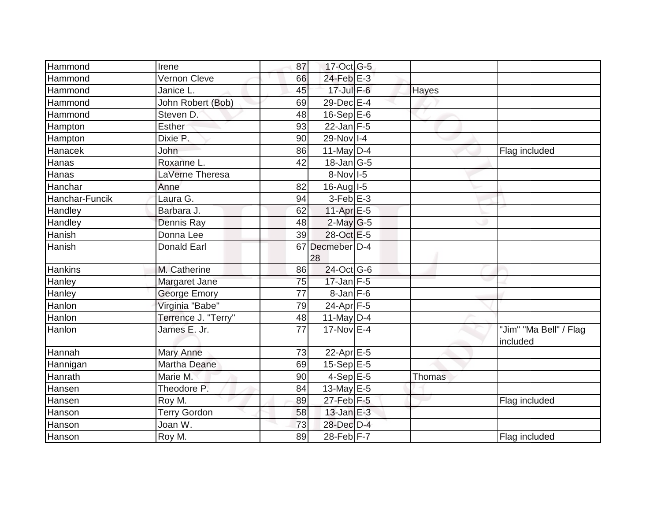| Hammond        | Irene               | 87 | 17-Oct G-5                 |               |                                    |
|----------------|---------------------|----|----------------------------|---------------|------------------------------------|
| Hammond        | Vernon Cleve        | 66 | $24$ -Feb $E-3$            |               |                                    |
| Hammond        | Janice L.           | 45 | 17-Jul F-6                 | Hayes         |                                    |
| Hammond        | John Robert (Bob)   | 69 | 29-Dec E-4                 |               |                                    |
| Hammond        | Steven D.           | 48 | $16-SepE-6$                |               |                                    |
| Hampton        | <b>Esther</b>       | 93 | $22$ -Jan F-5              |               |                                    |
| Hampton        | Dixie P.            | 90 | 29-Nov I-4                 |               |                                    |
| Hanacek        | John                | 86 | 11-May $D-4$               |               | Flag included                      |
| Hanas          | Roxanne L.          | 42 | $18$ -Jan $ G-5 $          |               |                                    |
| Hanas          | LaVerne Theresa     |    | 8-Nov 1-5                  |               |                                    |
| Hanchar        | Anne                | 82 | $16$ -Aug I-5              |               |                                    |
| Hanchar-Funcik | Laura G.            | 94 | $3-Feb$ $E-3$              |               |                                    |
| Handley        | Barbara J.          | 62 | $11-Apr \nightharpoonup 5$ |               |                                    |
| Handley        | Dennis Ray          | 48 | $2$ -May G-5               |               |                                    |
| Hanish         | Donna Lee           | 39 | 28-Oct E-5                 |               |                                    |
| Hanish         | <b>Donald Earl</b>  |    | 67 Decmeber D-4<br>28      |               |                                    |
| <b>Hankins</b> | M. Catherine        | 86 | 24-Oct G-6                 |               |                                    |
| Hanley         | Margaret Jane       | 75 | $17$ -Jan F-5              |               |                                    |
| Hanley         | <b>George Emory</b> | 77 | $8$ -Jan $F-6$             |               |                                    |
| Hanlon         | Virginia "Babe"     | 79 | 24-Apr F-5                 |               |                                    |
| Hanlon         | Terrence J. "Terry" | 48 | $11$ -May D-4              |               |                                    |
| Hanlon         | James E. Jr.        | 77 | 17-Nov E-4                 |               | "Jim" "Ma Bell" / Flag<br>included |
| Hannah         | <b>Mary Anne</b>    | 73 | 22-Apr $E-5$               |               |                                    |
| Hannigan       | Martha Deane        | 69 | $15-Sep$ E-5               |               |                                    |
| Hanrath        | Marie M.            | 90 | $4-Sep \overline{E-5}$     | <b>Thomas</b> |                                    |
| Hansen         | Theodore P.         | 84 | 13-May $E-5$               |               |                                    |
| Hansen         | Roy M.              | 89 | $27$ -Feb $ F-5 $          |               | Flag included                      |
| Hanson         | <b>Terry Gordon</b> | 58 | $13$ -Jan $E-3$            |               |                                    |
| Hanson         | Joan W.             | 73 | 28-Dec D-4                 |               |                                    |
| Hanson         | Roy M.              | 89 | 28-Feb F-7                 |               | Flag included                      |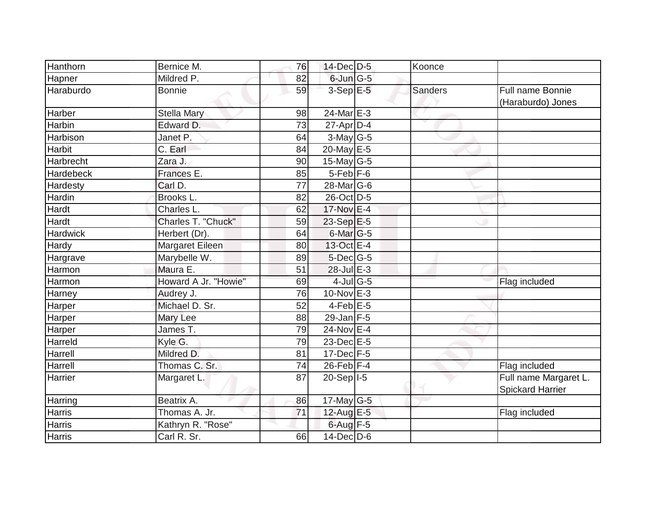| Hanthorn        | Bernice M.           | 76 | 14-Dec D-5       | Koonce         |                                           |
|-----------------|----------------------|----|------------------|----------------|-------------------------------------------|
| Hapner          | Mildred P.           | 82 | $6$ -Jun $G$ -5  |                |                                           |
| Haraburdo       | <b>Bonnie</b>        | 59 | $3-Sep$ E-5      | <b>Sanders</b> | Full name Bonnie<br>(Haraburdo) Jones     |
| Harber          | <b>Stella Mary</b>   | 98 | 24-Mar E-3       |                |                                           |
| <b>Harbin</b>   | Edward D.            | 73 | $27$ -Apr $D$ -4 |                |                                           |
| Harbison        | Janet P.             | 64 | $3$ -May G-5     |                |                                           |
| Harbit          | C. Earl              | 84 | 20-May $E-5$     |                |                                           |
| Harbrecht       | Zara J.              | 90 | $15$ -May G-5    |                |                                           |
| Hardebeck       | Frances E.           | 85 | $5$ -Feb $F$ -6  |                |                                           |
| Hardesty        | Carl D.              | 77 | $28$ -Mar $ G-6$ |                |                                           |
| Hardin          | Brooks L.            | 82 | 26-Oct D-5       |                |                                           |
| Hardt           | Charles L.           | 62 | 17-Nov E-4       |                |                                           |
| Hardt           | Charles T. "Chuck"   | 59 | 23-Sep E-5       |                |                                           |
| <b>Hardwick</b> | Herbert (Dr).        | 64 | $6$ -Mar $ G-5 $ |                |                                           |
| Hardy           | Margaret Eileen      | 80 | 13-Oct E-4       |                |                                           |
| Hargrave        | Marybelle W.         | 89 | $5$ -Dec $ G-5 $ |                |                                           |
| Harmon          | Maura E.             | 51 | 28-Jul E-3       |                |                                           |
| Harmon          | Howard A Jr. "Howie" | 69 | 4-Jul G-5        |                | Flag included                             |
| Harney          | Audrey J.            | 76 | 10-Nov E-3       |                |                                           |
| Harper          | Michael D. Sr.       | 52 | $4$ -Feb $E$ -5  |                |                                           |
| Harper          | Mary Lee             | 88 | $29$ -Jan F-5    |                |                                           |
| Harper          | James T.             | 79 | 24-Nov E-4       |                |                                           |
| Harreld         | Kyle G.              | 79 | 23-Dec E-5       |                |                                           |
| Harrell         | Mildred D.           | 81 | 17-Dec F-5       |                |                                           |
| Harrell         | Thomas C. Sr.        | 74 | $26$ -Feb $F-4$  |                | Flag included                             |
| Harrier         | Margaret L.          | 87 | $20-Sep$  -5     |                | Full name Margaret L.<br>Spickard Harrier |
| Harring         | Beatrix A.           | 86 | 17-May G-5       |                |                                           |
| Harris          | Thomas A. Jr.        | 71 | 12-Aug E-5       |                | Flag included                             |
| <b>Harris</b>   | Kathryn R. "Rose"    |    | $6$ -Aug $F-5$   |                |                                           |
| <b>Harris</b>   | Carl R. Sr.          | 66 | $14$ -Dec D-6    |                |                                           |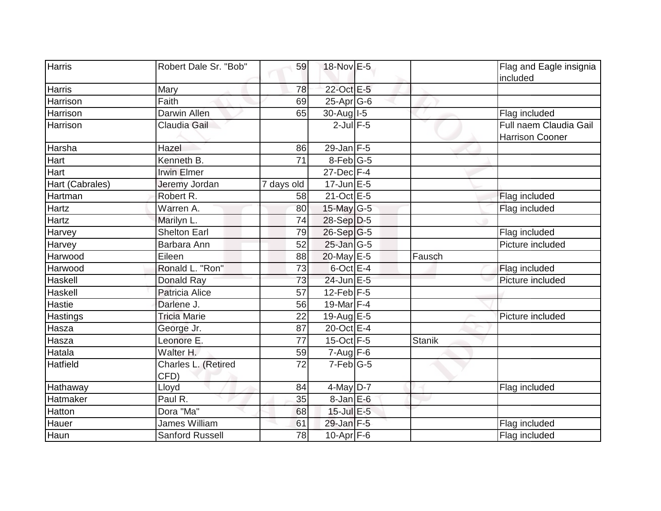| <b>Harris</b>   | Robert Dale Sr. "Bob"       | 59              | 18-Nov E-5        |               | Flag and Eagle insignia<br>included              |
|-----------------|-----------------------------|-----------------|-------------------|---------------|--------------------------------------------------|
| Harris          | Mary                        | 78              | 22-Oct E-5        |               |                                                  |
| Harrison        | Faith                       | 69              | 25-Apr G-6        |               |                                                  |
| Harrison        | <b>Darwin Allen</b>         | 65              | 30-Aug I-5        |               | Flag included                                    |
| Harrison        | Claudia Gail                |                 | $2$ -Jul $F-5$    |               | Full naem Claudia Gail<br><b>Harrison Cooner</b> |
| Harsha          | Hazel                       | 86              | $29$ -Jan F-5     |               |                                                  |
| Hart            | Kenneth B.                  | $\overline{71}$ | 8-Feb G-5         |               |                                                  |
| Hart            | <b>Irwin Elmer</b>          |                 | $27$ -Dec $F-4$   |               |                                                  |
| Hart (Cabrales) | Jeremy Jordan               | 7 days old      | $17$ -Jun $E - 5$ |               |                                                  |
| Hartman         | Robert R.                   | 58              | $21-Oct$ E-5      |               | Flag included                                    |
| <b>Hartz</b>    | Warren A.                   | 80              | 15-May G-5        |               | Flag included                                    |
| Hartz           | Marilyn L.                  | 74              | 28-Sep D-5        |               |                                                  |
| Harvey          | <b>Shelton Earl</b>         | 79              | $26-Sep G-5$      |               | Flag included                                    |
| <b>Harvey</b>   | Barbara Ann                 | 52              | $25$ -Jan G-5     |               | Picture included                                 |
| Harwood         | Eileen                      | 88              | 20-May E-5        | Fausch        |                                                  |
| Harwood         | Ronald L. "Ron"             | 73              | $6$ -Oct $E-4$    |               | Flag included                                    |
| Haskell         | Donald Ray                  | 73              | 24-Jun E-5        |               | Picture included                                 |
| Haskell         | Patricia Alice              | 57              | 12-Feb $F-5$      |               |                                                  |
| Hastie          | Darlene J.                  | 56              | 19-Mar $F-4$      |               |                                                  |
| Hastings        | <b>Tricia Marie</b>         | 22              | 19-Aug $E-5$      |               | Picture included                                 |
| Hasza           | George Jr.                  | 87              | 20-Oct E-4        |               |                                                  |
| Hasza           | Leonore E.                  | 77              | 15-Oct F-5        | <b>Stanik</b> |                                                  |
| Hatala          | Walter H.                   | 59              | $7-Aug$ F-6       |               |                                                  |
| <b>Hatfield</b> | Charles L. (Retired<br>CFD) | 72              | $7-Feb$ G-5       |               |                                                  |
| Hathaway        | Lloyd                       | 84              | 4-May $D-7$       |               | Flag included                                    |
| Hatmaker        | Paul R.                     | 35              | $8$ -Jan $E$ -6   |               |                                                  |
| Hatton          | Dora "Ma"                   | 68              | 15-Jul E-5        |               |                                                  |
| Hauer           | James William               | 61              | 29-Jan F-5        |               | Flag included                                    |
| Haun            | Sanford Russell             | 78              | $10$ -Apr $F$ -6  |               | Flag included                                    |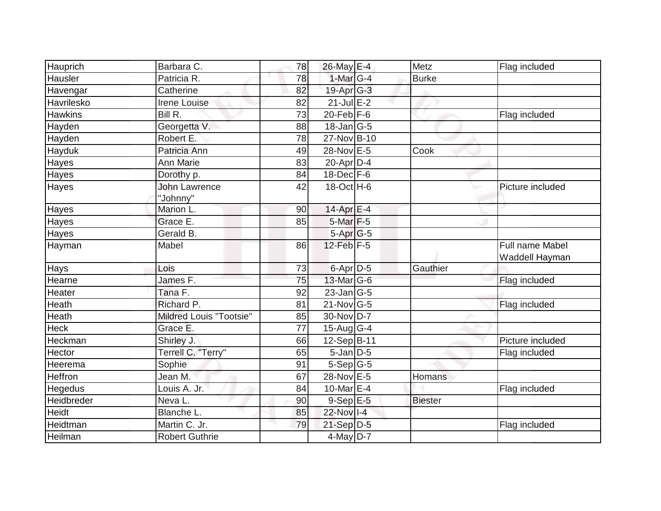| Hauprich       | Barbara C.                       | 78              | 26-May E-4            | Metz           | Flag included                            |
|----------------|----------------------------------|-----------------|-----------------------|----------------|------------------------------------------|
| Hausler        | Patricia R.                      | $\overline{78}$ | 1-Mar G-4             | <b>Burke</b>   |                                          |
| Havengar       | Catherine                        | 82              | 19-Apr <sub>G-3</sub> |                |                                          |
| Havrilesko     | Irene Louise                     | 82              | $21$ -Jul E-2         |                |                                          |
| <b>Hawkins</b> | Bill R.                          | 73              | $20$ -Feb F-6         |                | Flag included                            |
| Hayden         | Georgetta V.                     | 88              | $18$ -Jan $ G-5 $     |                |                                          |
| Hayden         | Robert E.                        | 78              | 27-Nov B-10           |                |                                          |
| Hayduk         | Patricia Ann                     | 49              | 28-Nov E-5            | Cook           |                                          |
| Hayes          | Ann Marie                        | 83              | $20$ -Apr $D$ -4      |                |                                          |
| Hayes          | Dorothy p.                       | 84              | $18$ -Dec $F-6$       |                |                                          |
| Hayes          | <b>John Lawrence</b><br>"Johnny" | 42              | 18-Oct H-6            |                | Picture included                         |
| Hayes          | Marion L.                        | 90              | 14-Apr E-4            |                |                                          |
| Hayes          | Grace E.                         | 85              | 5-Mar F-5             |                |                                          |
| Hayes          | Gerald B.                        |                 | 5-Apr G-5             |                |                                          |
| Hayman         | Mabel                            | 86              | $12$ -Feb $ F-5 $     |                | <b>Full name Mabel</b><br>Waddell Hayman |
| Hays           | Lois                             | 73              | 6-Apr D-5             | Gauthier       |                                          |
| Hearne         | James F.                         | 75              | 13-Mar G-6            |                | Flag included                            |
| Heater         | Tana F.                          | 92              | $23$ -Jan $ G-5 $     |                |                                          |
| Heath          | Richard P.                       | 81              | $21$ -Nov $ G-5 $     |                | Flag included                            |
| Heath          | <b>Mildred Louis "Tootsie"</b>   | 85              | 30-Nov D-7            |                |                                          |
| <b>Heck</b>    | Grace E.                         | 77              | 15-Aug $G-4$          |                |                                          |
| Heckman        | Shirley J.                       | 66              | 12-Sep B-11           |                | Picture included                         |
| Hector         | Terrell C. "Terry"               | 65              | $5$ -Jan $D-5$        |                | Flag included                            |
| Heerema        | Sophie                           | 91              | $5-Sep$ G-5           |                |                                          |
| Heffron        | Jean M.                          | 67              | 28-Nov E-5            | <b>Homans</b>  |                                          |
| Hegedus        | Louis A. Jr.                     | 84              | 10-Mar $E-4$          |                | Flag included                            |
| Heidbreder     | Neva L.                          | 90              | $9-Sep$ E-5           | <b>Biester</b> |                                          |
| Heidt          | Blanche L.                       | 85              | 22-Nov I-4            |                |                                          |
| Heidtman       | Martin C. Jr.                    | 79              | 21-Sep D-5            |                | Flag included                            |
| Heilman        | <b>Robert Guthrie</b>            |                 | $4$ -May D-7          |                |                                          |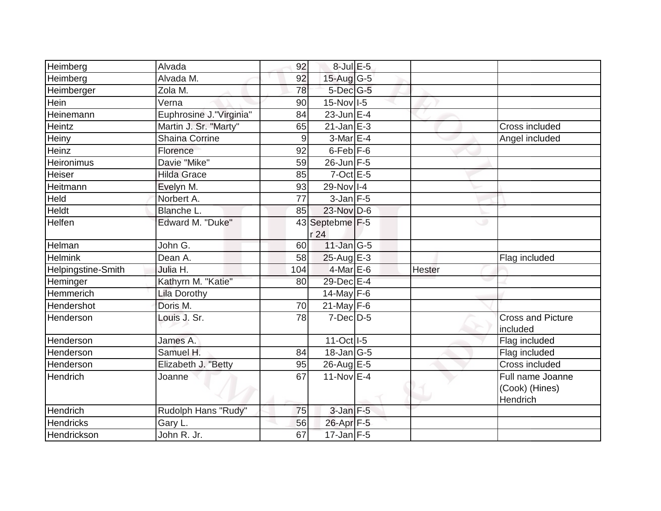| Heimberg           | Alvada                  | 92  | $8$ -Jul $E$ -5   |        |                                      |
|--------------------|-------------------------|-----|-------------------|--------|--------------------------------------|
| Heimberg           | Alvada M.               | 92  | 15-Aug G-5        |        |                                      |
| Heimberger         | Zola M.                 | 78  | 5-Dec G-5         |        |                                      |
| Hein               | Verna                   | 90  | 15-Nov I-5        |        |                                      |
| Heinemann          | Euphrosine J."Virginia" | 84  | $23$ -Jun E-4     |        |                                      |
| Heintz             | Martin J. Sr. "Marty"   | 65  | $21$ -Jan $E-3$   |        | Cross included                       |
| Heiny              | <b>Shaina Corrine</b>   | 9   | 3-Mar E-4         |        | Angel included                       |
| Heinz              | Florence                | 92  | $6$ -Feb $F$ -6   |        |                                      |
| Heironimus         | Davie "Mike"            | 59  | 26-Jun F-5        |        |                                      |
| Heiser             | <b>Hilda Grace</b>      | 85  | $7$ -Oct $E - 5$  |        |                                      |
| Heitmann           | Evelyn M.               | 93  | 29-Nov I-4        |        |                                      |
| Held               | Norbert A.              | 77  | $3$ -Jan $F-5$    |        |                                      |
| <b>Heldt</b>       | Blanche L.              | 85  | 23-Nov D-6        |        |                                      |
| Helfen             | Edward M. "Duke"        |     | 43 Septebme F-5   |        | ی                                    |
|                    |                         |     | r 24              |        |                                      |
| Helman             | John G.                 | 60  | 11-Jan G-5        |        |                                      |
| <b>Helmink</b>     | Dean A.                 | 58  | $25$ -Aug E-3     |        | Flag included                        |
| Helpingstine-Smith | Julia H.                | 104 | 4-Mar E-6         | Hester |                                      |
| Heminger           | Kathyrn M. "Katie"      | 80  | 29-Dec E-4        |        |                                      |
| Hemmerich          | <b>Lila Dorothy</b>     |     | 14-May $F-6$      |        |                                      |
| Hendershot         | Doris M.                | 70  | 21-May $F-6$      |        |                                      |
| Henderson          | Louis J. Sr.            | 78  | $7$ -Dec $D-5$    |        | <b>Cross and Picture</b><br>included |
| Henderson          | James A.                |     | 11-Oct   I-5      |        | Flag included                        |
| Henderson          | Samuel H.               | 84  | $18$ -Jan $ G-5 $ |        | Flag included                        |
| Henderson          | Elizabeth J. "Betty     | 95  | 26-Aug E-5        |        | <b>Cross included</b>                |
| Hendrich           | Joanne                  | 67  | 11-Nov $E-4$      |        | Full name Joanne                     |
|                    |                         |     |                   |        | (Cook) (Hines)                       |
|                    |                         |     |                   |        | Hendrich                             |
| Hendrich           | Rudolph Hans "Rudy"     | 75  | $3$ -Jan $F-5$    |        |                                      |
| <b>Hendricks</b>   | Gary L.                 | 56  | 26-Apr F-5        |        |                                      |
| Hendrickson        | John R. Jr.             | 67  | $17 - Jan$ F-5    |        |                                      |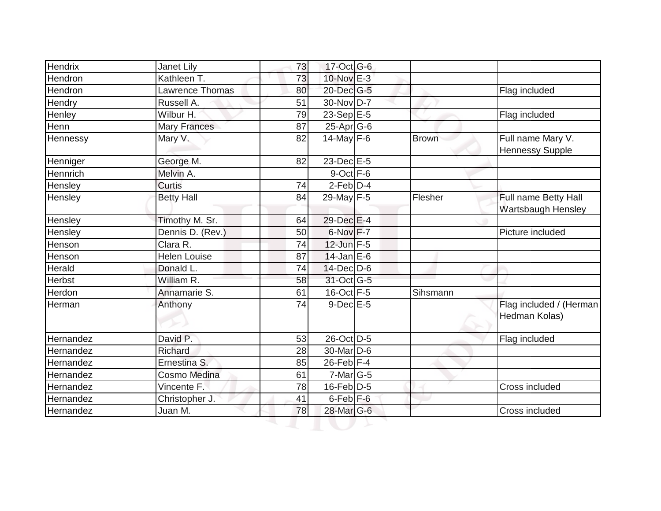| Hendrix       | Janet Lily          | 73 | 17-Oct G-6            |              |                                             |
|---------------|---------------------|----|-----------------------|--------------|---------------------------------------------|
| Hendron       | Kathleen T.         | 73 | $10$ -Nov $E-3$       |              |                                             |
| Hendron       | Lawrence Thomas     | 80 | 20-Dec G-5            |              | Flag included                               |
| Hendry        | Russell A.          | 51 | 30-Nov D-7            |              |                                             |
| Henley        | Wilbur H.           | 79 | 23-Sep $E-5$          |              | Flag included                               |
| Henn          | <b>Mary Frances</b> | 87 | $25$ -Apr $G$ -6      |              |                                             |
| Hennessy      | Mary V.             | 82 | 14-May $F-6$          | <b>Brown</b> | Full name Mary V.<br><b>Hennessy Supple</b> |
| Henniger      | George M.           | 82 | 23-Dec E-5            |              |                                             |
| Hennrich      | Melvin A.           |    | $9$ -Oct $F - 6$      |              |                                             |
| Hensley       | <b>Curtis</b>       | 74 | $2-Feb$ $D-4$         |              |                                             |
| Hensley       | <b>Betty Hall</b>   | 84 | 29-May F-5            | Flesher      | Full name Betty Hall<br>Wartsbaugh Hensley  |
| Hensley       | Timothy M. Sr.      | 64 | 29-Dec E-4            |              |                                             |
| Hensley       | Dennis D. (Rev.)    | 50 | 6-Nov F-7             |              | Picture included                            |
| Henson        | Clara R.            | 74 | $12$ -Jun $F-5$       |              |                                             |
| Henson        | <b>Helen Louise</b> | 87 | $14$ -Jan E-6         |              |                                             |
| Herald        | Donald L.           | 74 | $14$ -Dec $D$ -6      |              |                                             |
| <b>Herbst</b> | William R.          | 58 | 31-Oct G-5            |              |                                             |
| Herdon        | Annamarie S.        | 61 | $16$ -Oct $F-5$       | Sihsmann     |                                             |
| Herman        | Anthony             | 74 | $9$ -Dec $E - 5$      |              | Flag included / (Herman<br>Hedman Kolas)    |
| Hernandez     | David P.            | 53 | 26-Oct D-5            |              | Flag included                               |
| Hernandez     | Richard             | 28 | 30-Mar <sub>D-6</sub> |              |                                             |
| Hernandez     | Ernestina S.        | 85 | $26$ -Feb $ F-4 $     |              |                                             |
| Hernandez     | Cosmo Medina        | 61 | $7$ -Mar $ G-5 $      |              |                                             |
| Hernandez     | Vincente F.         | 78 | $16$ -Feb $ D-5 $     |              | Cross included                              |
| Hernandez     | Christopher J.      | 41 | $6$ -Feb $ F-6$       |              |                                             |
| Hernandez     | Juan M.             | 78 | 28-Mar G-6            |              | Cross included                              |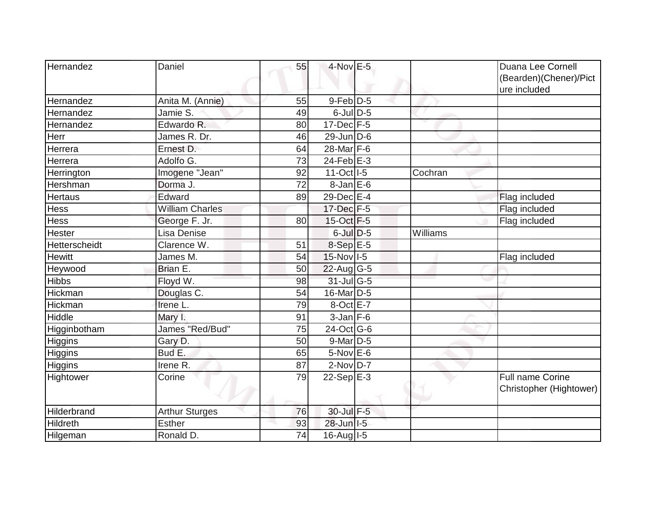| Hernandez      | Daniel                 | 55 | $4$ -Nov $E-5$           |          | Duana Lee Cornell       |
|----------------|------------------------|----|--------------------------|----------|-------------------------|
|                |                        |    |                          |          | (Bearden)(Chener)/Pict  |
|                |                        |    |                          |          | ure included            |
| Hernandez      | Anita M. (Annie)       | 55 | $9$ -Feb $D-5$           |          |                         |
| Hernandez      | Jamie S.               | 49 | $6$ -JulD-5              |          |                         |
| Hernandez      | Edwardo R.             | 80 | $17 - Dec$ $\boxed{F-5}$ |          |                         |
| Herr           | James R. Dr.           | 46 | $29$ -Jun $D$ -6         |          |                         |
| Herrera        | Ernest D.              | 64 | 28-Mar F-6               |          |                         |
| Herrera        | Adolfo G.              | 73 | $24$ -Feb $E-3$          |          |                         |
| Herrington     | Imogene "Jean"         | 92 | 11-Oct I-5               | Cochran  |                         |
| Hershman       | Dorma J.               | 72 | $8$ -Jan $E$ -6          |          |                         |
| Hertaus        | Edward                 | 89 | 29-Dec E-4               |          | Flag included           |
| Hess           | <b>William Charles</b> |    | 17-Dec F-5               |          | Flag included           |
| Hess           | George F. Jr.          | 80 | $15$ -Oct F-5            |          | Flag included           |
| Hester         | Lisa Denise            |    | $6$ -Jul $D-5$           | Williams |                         |
| Hetterscheidt  | Clarence W.            | 51 | 8-Sep E-5                |          |                         |
| <b>Hewitt</b>  | James M.               | 54 | 15-Nov I-5               |          | Flag included           |
| Heywood        | Brian E.               | 50 | 22-Aug G-5               |          |                         |
| <b>Hibbs</b>   | Floyd W.               | 98 | 31-Jul G-5               |          |                         |
| Hickman        | Douglas C.             | 54 | 16-Mar D-5               |          |                         |
| Hickman        | Irene L.               | 79 | 8-Oct E-7                |          |                         |
| Hiddle         | Mary I.                | 91 | $3$ -Jan $F-6$           |          |                         |
| Higginbotham   | James "Red/Bud"        | 75 | 24-Oct G-6               |          |                         |
| Higgins        | Gary D.                | 50 | $9$ -Mar $D-5$           |          |                         |
| <b>Higgins</b> | Bud E.                 | 65 | 5-Nov E-6                |          |                         |
| <b>Higgins</b> | Irene R.               | 87 | $2-NovD-7$               |          |                         |
| Hightower      | Corine                 | 79 | 22-Sep $E-3$             |          | Full name Corine        |
|                |                        |    |                          |          | Christopher (Hightower) |
|                |                        |    |                          |          |                         |
| Hilderbrand    | <b>Arthur Sturges</b>  | 76 | 30-Jul F-5               |          |                         |
| Hildreth       | <b>Esther</b>          | 93 | 28-Jun I-5               |          |                         |
| Hilgeman       | Ronald D.              | 74 | 16-Aug I-5               |          |                         |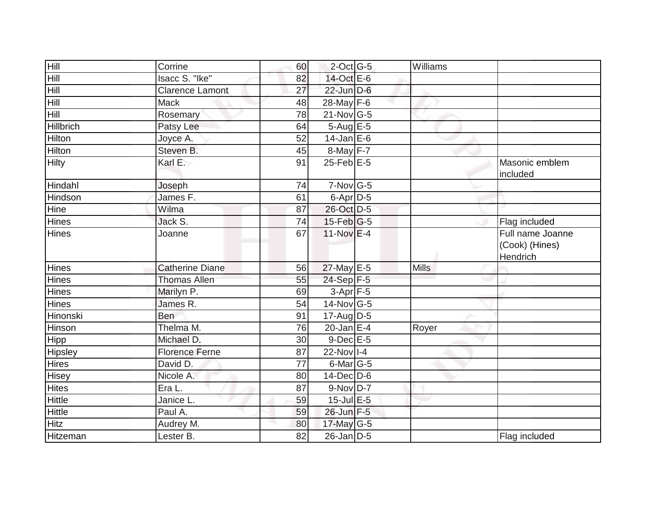| Hill             | Corrine                | 60 | $2$ -Oct G-5     | Williams |                                                |
|------------------|------------------------|----|------------------|----------|------------------------------------------------|
| Hill             | Isacc S. "Ike"         | 82 | 14-Oct E-6       |          |                                                |
| <b>Hill</b>      | <b>Clarence Lamont</b> | 27 | $22$ -Jun $D-6$  |          |                                                |
| Hill             | <b>Mack</b>            | 48 | 28-May F-6       |          |                                                |
| Hill             | Rosemary               | 78 | 21-Nov G-5       |          |                                                |
| <b>Hillbrich</b> | Patsy Lee              | 64 | 5-Aug E-5        |          |                                                |
| <b>Hilton</b>    | Joyce A.               | 52 | $14$ -Jan E-6    |          |                                                |
| <b>Hilton</b>    | Steven B.              | 45 | 8-May F-7        |          |                                                |
| <b>Hilty</b>     | Karl E.                | 91 | $25$ -Feb $E$ -5 |          | Masonic emblem<br>included                     |
| Hindahl          | Joseph                 | 74 | $7-Nov$ G-5      |          |                                                |
| Hindson          | James F.               | 61 | 6-Apr D-5        |          |                                                |
| Hine             | Wilma                  | 87 | 26-Oct D-5       |          |                                                |
| <b>Hines</b>     | Jack S.                | 74 | $15$ -Feb $ G-5$ |          | Flag included                                  |
| <b>Hines</b>     | Joanne                 | 67 | $11-Nov$ E-4     |          | Full name Joanne<br>(Cook) (Hines)<br>Hendrich |
| Hines            | <b>Catherine Diane</b> | 56 | 27-May E-5       | Mills    |                                                |
| Hines            | <b>Thomas Allen</b>    | 55 | $24-Sep$ F-5     |          |                                                |
| <b>Hines</b>     | Marilyn P.             | 69 | $3-Apr$ F-5      |          |                                                |
| <b>Hines</b>     | James R.               | 54 | 14-Nov G-5       |          |                                                |
| Hinonski         | Ben                    | 91 | $17$ -Aug $D-5$  |          |                                                |
| Hinson           | Thelma M.              | 76 | $20$ -Jan E-4    | Royer    |                                                |
| Hipp             | Michael D.             | 30 | $9$ -Dec $E - 5$ |          |                                                |
| Hipsley          | <b>Florence Ferne</b>  | 87 | 22-Nov I-4       |          |                                                |
| <b>Hires</b>     | David D.               | 77 | 6-Mar G-5        |          |                                                |
| <b>Hisey</b>     | Nicole A.              | 80 | $14$ -Dec $D$ -6 |          |                                                |
| <b>Hites</b>     | Era L.                 | 87 | $9-Nov D-7$      |          |                                                |
| <b>Hittle</b>    | Janice L.              | 59 | 15-Jul E-5       |          |                                                |
| <b>Hittle</b>    | Paul A.                | 59 | 26-Jun F-5       |          |                                                |
| <b>Hitz</b>      | Audrey M.              | 80 | 17-May $G-5$     |          |                                                |
| Hitzeman         | Lester B.              | 82 | $26$ -Jan $D-5$  |          | Flag included                                  |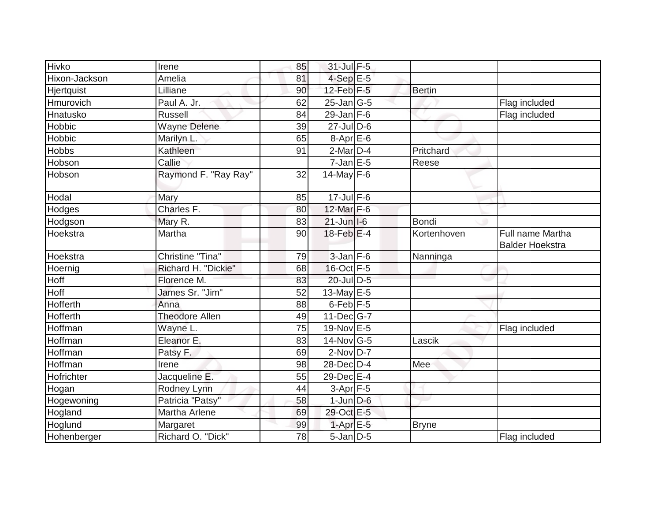| Hivko         | Irene                 | 85 | 31-Jul F-5                |               |                                            |
|---------------|-----------------------|----|---------------------------|---------------|--------------------------------------------|
| Hixon-Jackson | Amelia                | 81 | $4-SepE-5$                |               |                                            |
| Hjertquist    | Lilliane              | 90 | $12$ -Feb $F-5$           | <b>Bertin</b> |                                            |
| Hmurovich     | Paul A. Jr.           | 62 | $25$ -Jan $ G-5 $         |               | Flag included                              |
| Hnatusko      | <b>Russell</b>        | 84 | $29$ -Jan F-6             |               | Flag included                              |
| Hobbic        | <b>Wayne Delene</b>   | 39 | 27-Jul D-6                |               |                                            |
| Hobbic        | Marilyn L.            | 65 | $8-Apr$ E-6               |               |                                            |
| <b>Hobbs</b>  | Kathleen              | 91 | $2$ -Mar $D-4$            | Pritchard     |                                            |
| Hobson        | Callie                |    | $7$ -Jan $E - 5$          | Reese         |                                            |
| Hobson        | Raymond F. "Ray Ray"  | 32 | 14-May $F-6$              |               |                                            |
| Hodal         | Mary                  | 85 | $17 -$ Jul F-6            |               |                                            |
| Hodges        | Charles F.            | 80 | 12-Mar F-6                |               |                                            |
| Hodgson       | Mary R.               | 83 | $21$ -Jun $ I-6 $         | Bondi         |                                            |
| Hoekstra      | Martha                | 90 | $18$ -Feb $E-4$           | Kortenhoven   | Full name Martha<br><b>Balder Hoekstra</b> |
| Hoekstra      | Christine "Tina"      | 79 | $3$ -Jan $F-6$            | Nanninga      |                                            |
| Hoernig       | Richard H. "Dickie"   | 68 | $16$ -Oct $F-5$           |               |                                            |
| Hoff          | Florence M.           | 83 | 20-Jul D-5                |               |                                            |
| Hoff          | James Sr. "Jim"       | 52 | 13-May $E-5$              |               |                                            |
| Hofferth      | Anna                  | 88 | $6$ -Feb $F-5$            |               |                                            |
| Hofferth      | <b>Theodore Allen</b> | 49 | $11$ -Dec $G$ -7          |               |                                            |
| Hoffman       | Wayne L.              | 75 | 19-Nov E-5                |               | Flag included                              |
| Hoffman       | Eleanor E.            | 83 | 14-Nov G-5                | Lascik        |                                            |
| Hoffman       | Patsy F.              | 69 | $2$ -Nov $D-7$            |               |                                            |
| Hoffman       | Irene                 | 98 | 28-Dec D-4                | Mee           |                                            |
| Hofrichter    | Jacqueline E.         | 55 | 29-Dec E-4                |               |                                            |
| Hogan         | Rodney Lynn           | 44 | $3-Apr$ F-5               |               |                                            |
| Hogewoning    | Patricia "Patsy"      | 58 | $1$ -Jun $D-6$            |               |                                            |
| Hogland       | Martha Arlene         | 69 | 29-Oct E-5                |               |                                            |
| Hoglund       | Margaret              | 99 | $1-Apr \nightharpoonup 5$ | <b>Bryne</b>  |                                            |
| Hohenberger   | Richard O. "Dick"     | 78 | $5$ -Jan $D$ -5           |               | Flag included                              |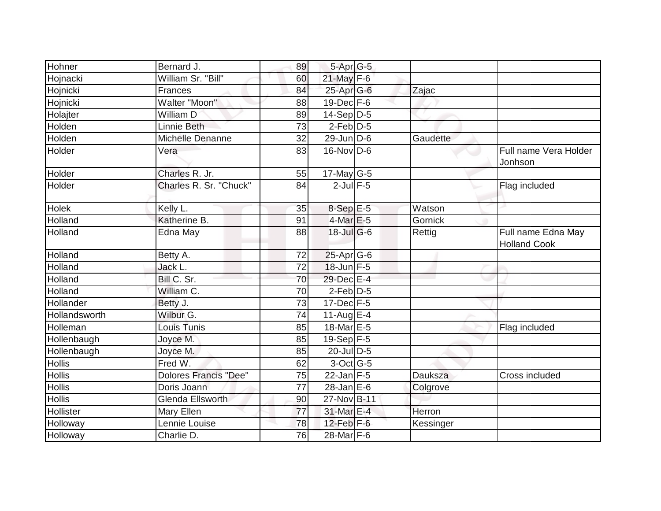| Hohner        | Bernard J.                   | 89              | 5-Apr G-5              |                |                                           |
|---------------|------------------------------|-----------------|------------------------|----------------|-------------------------------------------|
| Hojnacki      | William Sr. "Bill"           | 60              | 21-May F-6             |                |                                           |
| Hojnicki      | Frances                      | 84              | 25-Apr G-6             | Zajac          |                                           |
| Hojnicki      | Walter "Moon"                | 88              | $19$ -Dec $F-6$        |                |                                           |
| Holajter      | William D                    | 89              | $14-Sep\overline{D-5}$ |                |                                           |
| Holden        | Linnie Beth                  | 73              | $2$ -Feb $ D-5$        |                |                                           |
| Holden        | Michelle Denanne             | 32              | $29$ -Jun $D-6$        | Gaudette       |                                           |
| Holder        | Vera                         | 83              | $16$ -Nov D-6          |                | Full name Vera Holder<br>Jonhson          |
| Holder        | Charles R. Jr.               | 55              | $17$ -May G-5          |                |                                           |
| Holder        | Charles R. Sr. "Chuck"       | 84              | $2$ -Jul $F-5$         |                | Flag included                             |
| Holek         | Kelly L.                     | 35              | $8-SepE-5$             | Watson         |                                           |
| Holland       | Katherine B.                 | 91              | $4$ -Mar $E-5$         | Gornick        |                                           |
| Holland       | Edna May                     | 88              | $18$ -Jul G-6          | Rettig         | Full name Edna May<br><b>Holland Cook</b> |
| Holland       | Betty A.                     | 72              | 25-Apr G-6             |                |                                           |
| Holland       | Jack L.                      | $\overline{72}$ | 18-Jun F-5             |                |                                           |
| Holland       | Bill C. Sr.                  | 70              | 29-Dec E-4             |                |                                           |
| Holland       | William C.                   | 70              | $2$ -Feb $ D-5$        |                |                                           |
| Hollander     | Betty J.                     | 73              | $17 - Dec$ F-5         |                |                                           |
| Hollandsworth | Wilbur G.                    | 74              | $11-Aug$ $E-4$         |                |                                           |
| Holleman      | Louis Tunis                  | 85              | 18-Mar <sub>E-5</sub>  |                | Flag included                             |
| Hollenbaugh   | Joyce M.                     | 85              | $19-Sep$ F-5           |                |                                           |
| Hollenbaugh   | Joyce M.                     | 85              | 20-Jul D-5             |                |                                           |
| <b>Hollis</b> | Fred W.                      | 62              | $3$ -Oct $ G-5 $       |                |                                           |
| <b>Hollis</b> | <b>Dolores Francis "Dee"</b> | 75              | $22$ -Jan F-5          | <b>Dauksza</b> | Cross included                            |
| <b>Hollis</b> | Doris Joann                  | $\overline{77}$ | $28$ -Jan E-6          | Colgrove       |                                           |
| <b>Hollis</b> | <b>Glenda Ellsworth</b>      | 90              | 27-Nov B-11            |                |                                           |
| Hollister     | Mary Ellen                   | 77              | 31-Mar E-4             | Herron         |                                           |
| Holloway      | Lennie Louise                | 78              | $12$ -Feb $F-6$        | Kessinger      |                                           |
| Holloway      | Charlie D.                   | 76              | 28-Mar F-6             |                |                                           |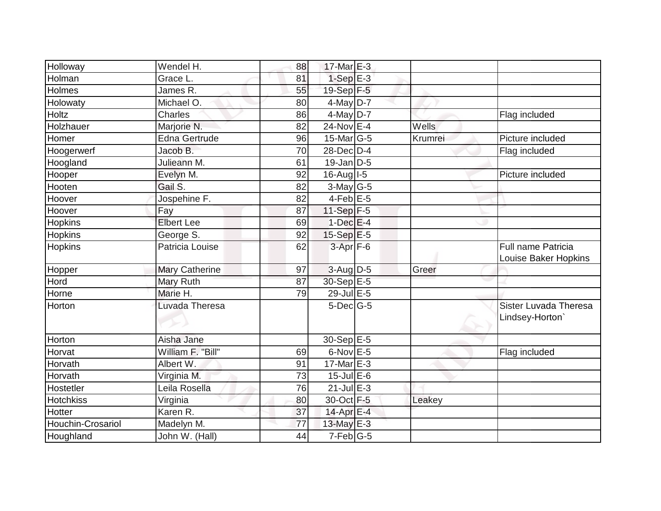| Holloway          | Wendel H.             | 88 | 17-Mar E-3       |         |                                            |
|-------------------|-----------------------|----|------------------|---------|--------------------------------------------|
| Holman            | Grace L.              | 81 | $1-Sep$ E-3      |         |                                            |
| Holmes            | James R.              | 55 | 19-Sep F-5       |         |                                            |
| Holowaty          | Michael O.            | 80 | 4-May $D-7$      |         |                                            |
| Holtz             | Charles               | 86 | $4$ -May D-7     |         | Flag included                              |
| Holzhauer         | Marjorie N.           | 82 | 24-Nov E-4       | Wells   |                                            |
| Homer             | <b>Edna Gertrude</b>  | 96 | $15$ -Mar $ G-5$ | Krumrei | Picture included                           |
| Hoogerwerf        | Jacob B.              | 70 | 28-Dec D-4       |         | Flag included                              |
| Hoogland          | Julieann M.           | 61 | $19$ -Jan D-5    |         |                                            |
| Hooper            | Evelyn M.             | 92 | $16$ -Aug $I$ -5 |         | Picture included                           |
| Hooten            | Gail S.               | 82 | $3$ -May G-5     |         |                                            |
| Hoover            | Jospehine F.          | 82 | $4-Feb$ E-5      |         |                                            |
| Hoover            | Fay                   | 87 | 11-Sep F-5       |         |                                            |
| Hopkins           | <b>Elbert Lee</b>     | 69 | $1$ -Dec $E-4$   |         |                                            |
| Hopkins           | George S.             | 92 | 15-Sep E-5       |         |                                            |
| <b>Hopkins</b>    | Patricia Louise       | 62 | $3-Apr$ F-6      |         | Full name Patricia<br>Louise Baker Hopkins |
| Hopper            | <b>Mary Catherine</b> | 97 | 3-Aug D-5        | Greer   |                                            |
| Hord              | Mary Ruth             | 87 | 30-Sep E-5       |         |                                            |
| Horne             | Marie H.              | 79 | 29-Jul E-5       |         |                                            |
| Horton            | Luvada Theresa        |    | $5$ -Dec $ G-5 $ |         | Sister Luvada Theresa<br>Lindsey-Horton'   |
| Horton            | Aisha Jane            |    | $30 - SepE-5$    |         |                                            |
| Horvat            | William F. "Bill"     | 69 | $6$ -Nov $E - 5$ |         | Flag included                              |
| Horvath           | Albert W.             | 91 | $17$ -Mar $E-3$  |         |                                            |
| Horvath           | Virginia M.           | 73 | $15$ -Jul $E$ -6 |         |                                            |
| Hostetler         | Leila Rosella         | 76 | $21$ -Jul $E-3$  |         |                                            |
| <b>Hotchkiss</b>  | Virginia              | 80 | 30-Oct F-5       | Leakey  |                                            |
| Hotter            | Karen R.              | 37 | 14-Apr E-4       |         |                                            |
| Houchin-Crosariol | Madelyn M.            | 77 | 13-May E-3       |         |                                            |
| Houghland         | John W. (Hall)        | 44 | $7-Feb$ G-5      |         |                                            |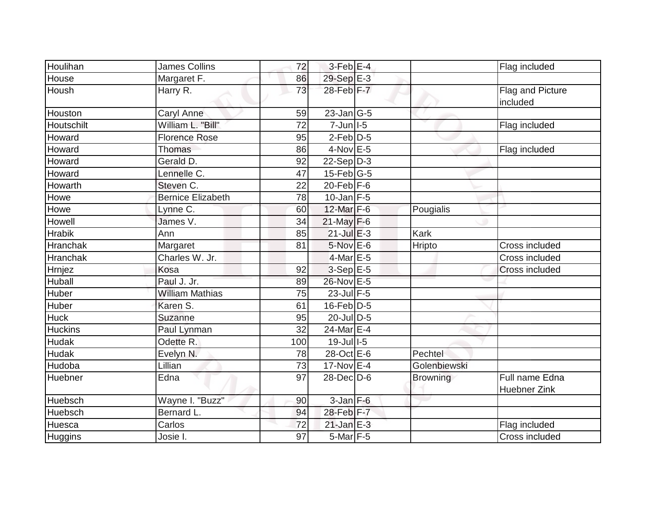| Houlihan        | <b>James Collins</b>     | 72  | $3-Feb$ E-4                |                 | Flag included                |
|-----------------|--------------------------|-----|----------------------------|-----------------|------------------------------|
| House           | Margaret F.              | 86  | 29-Sep E-3                 |                 |                              |
| Housh           | Harry R.                 | 73  | 28-Feb F-7                 |                 | Flag and Picture<br>included |
| Houston         | Caryl Anne               | 59  | $23$ -Jan $\overline{G-5}$ |                 |                              |
| Houtschilt      | William L. "Bill"        | 72  | $7 - Jun$ $1 - 5$          |                 | Flag included                |
| Howard          | <b>Florence Rose</b>     | 95  | $2-Feb$ $D-5$              |                 |                              |
| Howard          | Thomas                   | 86  | $4$ -Nov $E - 5$           |                 | Flag included                |
| Howard          | Gerald D.                | 92  | $22-Sep D-3$               |                 |                              |
| Howard          | Lennelle C.              | 47  | $15$ -Feb $ G-5 $          |                 |                              |
| Howarth         | Steven C.                | 22  | $20$ -Feb $ F-6$           |                 |                              |
| Howe            | <b>Bernice Elizabeth</b> | 78  | $10$ -Jan F-5              |                 |                              |
| Howe            | Lynne C.                 | 60  | 12-Mar F-6                 | Pougialis       |                              |
| Howell          | James V.                 | 34  | $21$ -May F-6              |                 |                              |
| <b>Hrabik</b>   | Ann                      | 85  | $21$ -Jul E-3              | Kark            |                              |
| Hranchak        | Margaret                 | 81  | $5$ -Nov $E$ -6            | Hripto          | Cross included               |
| <b>Hranchak</b> | Charles W. Jr.           |     | $4$ -Mar $E - 5$           |                 | Cross included               |
| Hrnjez          | Kosa                     | 92  | $3-Sep$ E-5                |                 | Cross included               |
| Huball          | Paul J. Jr.              | 89  | 26-Nov E-5                 |                 |                              |
| Huber           | <b>William Mathias</b>   | 75  | 23-Jul F-5                 |                 |                              |
| Huber           | Karen S.                 | 61  | $16$ -Feb $ D-5$           |                 |                              |
| <b>Huck</b>     | Suzanne                  | 95  | 20-Jul D-5                 |                 |                              |
| <b>Huckins</b>  | Paul Lynman              | 32  | 24-Mar E-4                 |                 |                              |
| <b>Hudak</b>    | Odette R.                | 100 | $19$ -Jull-5               |                 |                              |
| Hudak           | Evelyn N.                | 78  | 28-Oct E-6                 | Pechtel         |                              |
| Hudoba          | Lillian                  | 73  | $17$ -Nov $E-4$            | Golenbiewski    |                              |
| Huebner         | Edna                     | 97  | $28$ -Dec $D$ -6           | <b>Browning</b> | Full name Edna               |
|                 |                          |     |                            |                 | <b>Huebner Zink</b>          |
| Huebsch         | Wayne I. "Buzz"          | 90  | $3$ -Jan $F-6$             |                 |                              |
| Huebsch         | Bernard L.               | 94  | 28-Feb F-7                 |                 |                              |
| Huesca          | Carlos                   | 72  | $21$ -Jan $E-3$            |                 | Flag included                |
| Huggins         | Josie I.                 | 97  | $5$ -Mar $F - 5$           |                 | Cross included               |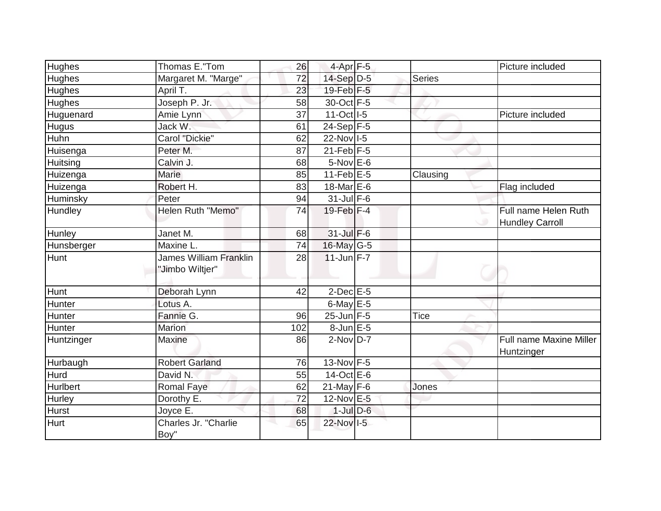|                  | Thomas E."Tom                                    | 26  | $4-Apr$ F-5       |               | Picture included                               |
|------------------|--------------------------------------------------|-----|-------------------|---------------|------------------------------------------------|
| Hughes<br>Hughes |                                                  | 72  | 14-Sep D-5        | <b>Series</b> |                                                |
|                  | Margaret M. "Marge"                              |     | 19-Feb $F-5$      |               |                                                |
| <b>Hughes</b>    | April T.<br>Joseph P. Jr.                        | 23  | 30-Oct F-5        |               |                                                |
| Hughes           |                                                  | 58  |                   |               |                                                |
| Huguenard        | Amie Lynn                                        | 37  | 11-Oct I-5        |               | Picture included                               |
| <b>Hugus</b>     | Jack W.                                          | 61  | 24-Sep $F-5$      |               |                                                |
| Huhn             | Carol "Dickie"                                   | 62  | 22-Nov 1-5        |               |                                                |
| Huisenga         | Peter M.                                         | 87  | $21$ -Feb $F-5$   |               |                                                |
| Huitsing         | Calvin J.                                        | 68  | $5-NovEE-6$       |               |                                                |
| Huizenga         | Marie                                            | 85  | $11$ -Feb $E$ -5  | Clausing      |                                                |
| Huizenga         | Robert H.                                        | 83  | 18-Mar E-6        |               | Flag included                                  |
| Huminsky         | Peter                                            | 94  | $31$ -Jul F-6     |               |                                                |
| Hundley          | Helen Ruth "Memo"                                | 74  | $19$ -Feb $ F-4 $ |               | Full name Helen Ruth<br><b>Hundley Carroll</b> |
| Hunley           | Janet M.                                         | 68  | $31$ -Jul $F-6$   |               |                                                |
| Hunsberger       | Maxine L.                                        | 74  | 16-May G-5        |               |                                                |
| Hunt             | <b>James William Franklin</b><br>"Jimbo Wiltjer" | 28  | $11$ -Jun F-7     |               |                                                |
| Hunt             | Deborah Lynn                                     | 42  | $2$ -Dec $E$ -5   |               |                                                |
| Hunter           | Lotus A.                                         |     | 6-May $E-5$       |               |                                                |
| Hunter           | Fannie G.                                        | 96  | $25$ -Jun F-5     | <b>Tice</b>   |                                                |
| Hunter           | <b>Marion</b>                                    | 102 | $8$ -Jun $E$ -5   |               |                                                |
| Huntzinger       | <b>Maxine</b>                                    | 86  | $2$ -Nov $D-7$    |               | Full name Maxine Miller<br>Huntzinger          |
| Hurbaugh         | <b>Robert Garland</b>                            | 76  | $13-Nov$ F-5      |               |                                                |
| Hurd             | David N.                                         | 55  | $14$ -Oct E-6     |               |                                                |
| Hurlbert         | Romal Faye                                       | 62  | $21$ -May F-6     | Jones         |                                                |
| Hurley           | Dorothy E.                                       | 72  | 12-Nov E-5        |               |                                                |
| Hurst            | Joyce E.                                         | 68  | $1$ -Jul $D$ -6   |               |                                                |
| Hurt             | Charles Jr. "Charlie<br>Boy"                     | 65  | 22-Nov I-5        |               |                                                |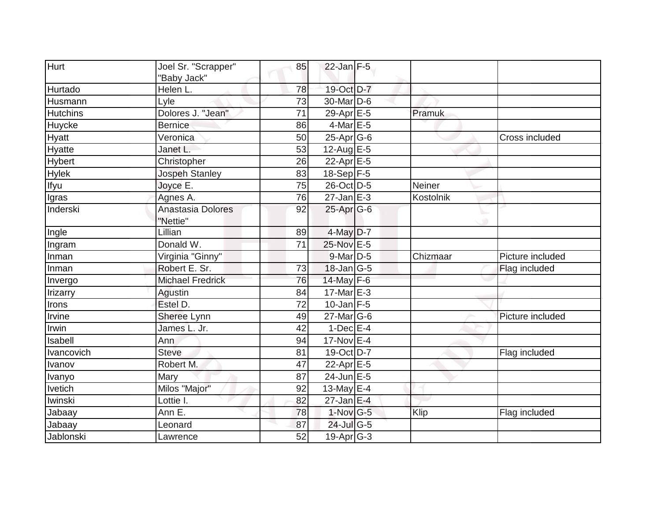| Hurt            | Joel Sr. "Scrapper"           | 85              | $22$ -Jan F-5     |           |                  |
|-----------------|-------------------------------|-----------------|-------------------|-----------|------------------|
|                 | 'Baby Jack"                   |                 |                   |           |                  |
| Hurtado         | Helen L.                      | 78              | 19-Oct D-7        |           |                  |
| Husmann         | Lyle                          | 73              | $30$ -Mar $ D-6$  |           |                  |
| <b>Hutchins</b> | Dolores J. "Jean"             | 71              | 29-Apr E-5        | Pramuk    |                  |
| Huycke          | <b>Bernice</b>                | 86              | 4-Mar E-5         |           |                  |
| Hyatt           | Veronica                      | 50              | 25-Apr G-6        |           | Cross included   |
| Hyatte          | Janet L.                      | 53              | 12-Aug $E-5$      |           |                  |
| <b>Hybert</b>   | Christopher                   | 26              | 22-Apr E-5        |           |                  |
| Hylek           | <b>Jospeh Stanley</b>         | 83              | 18-Sep F-5        |           |                  |
| Ifyu            | Joyce E.                      | 75              | 26-Oct D-5        | Neiner    |                  |
| Igras           | Agnes A.                      | 76              | $27$ -Jan $E-3$   | Kostolnik |                  |
| Inderski        | Anastasia Dolores<br>"Nettie" | 92              | $25$ -Apr $G$ -6  |           |                  |
| Ingle           | Lillian                       | 89              | $4$ -May D-7      |           |                  |
| Ingram          | Donald W.                     | 71              | 25-Nov E-5        |           |                  |
| Inman           | Virginia "Ginny"              |                 | 9-Mar D-5         | Chizmaar  | Picture included |
| Inman           | Robert E. Sr.                 | 73              | $18$ -Jan $ G-5 $ |           | Flag included    |
| Invergo         | <b>Michael Fredrick</b>       | 76              | 14-May F-6        |           |                  |
| Irizarry        | Agustin                       | 84              | 17-Mar $E-3$      |           |                  |
| Irons           | Estel D.                      | $\overline{72}$ | $10$ -Jan F-5     |           |                  |
| Irvine          | Sheree Lynn                   | 49              | $27$ -Mar $ G-6$  |           | Picture included |
| Irwin           | James L. Jr.                  | 42              | $1-Dec$ E-4       |           |                  |
| Isabell         | Ann                           | 94              | 17-Nov E-4        |           |                  |
| Ivancovich      | <b>Steve</b>                  | 81              | 19-Oct D-7        |           | Flag included    |
| Ivanov          | Robert M.                     | 47              | 22-Apr E-5        |           |                  |
| Ivanyo          | Mary                          | 87              | $24$ -Jun E-5     |           |                  |
| <b>Ivetich</b>  | Milos "Major"                 | 92              | 13-May $E-4$      |           |                  |
| Iwinski         | Lottie I.                     | 82              | $27$ -Jan E-4     |           |                  |
| Jabaay          | Ann E.                        | 78              | $1-Nov$ G-5       | Klip      | Flag included    |
| Jabaay          | Leonard                       | 87              | 24-Jul G-5        |           |                  |
| Jablonski       | Lawrence                      | 52              | $19$ -Apr $ G-3 $ |           |                  |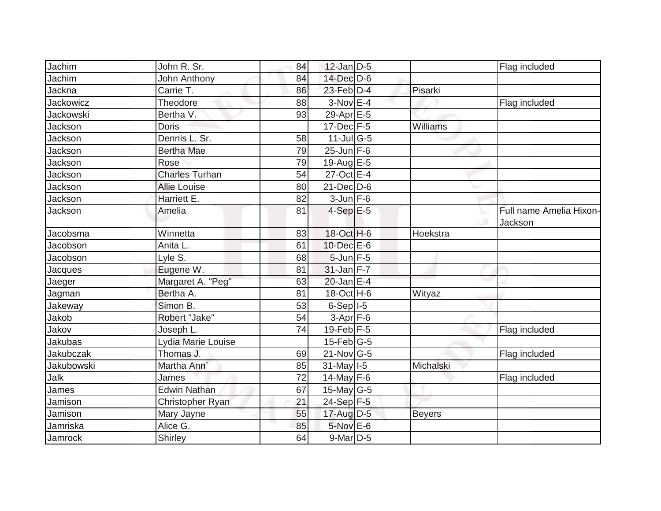| Jachim           | John R. Sr.             | 84 | $12$ -Jan D-5     |               | Flag included                      |
|------------------|-------------------------|----|-------------------|---------------|------------------------------------|
| Jachim           | John Anthony            | 84 | 14-Dec D-6        |               |                                    |
| Jackna           | Carrie T.               | 86 | 23-Feb D-4        | Pisarki       |                                    |
| <b>Jackowicz</b> | Theodore                | 88 | $3-Nov$ E-4       |               | Flag included                      |
| Jackowski        | Bertha V.               | 93 | $29-Apr \nE-5$    |               |                                    |
| Jackson          | <b>Doris</b>            |    | $17 - Dec$ F-5    | Williams      |                                    |
| Jackson          | Dennis L. Sr.           | 58 | $11$ -Jul G-5     |               |                                    |
| Jackson          | <b>Bertha Mae</b>       | 79 | $25$ -Jun F-6     |               |                                    |
| Jackson          | Rose                    | 79 | 19-Aug E-5        |               |                                    |
| Jackson          | <b>Charles Turhan</b>   | 54 | 27-Oct E-4        |               |                                    |
| Jackson          | <b>Allie Louise</b>     | 80 | $21 - Dec$ D-6    |               |                                    |
| Jackson          | Harriett E.             | 82 | $3 - Jun$ $F-6$   |               |                                    |
| Jackson          | Amelia                  | 81 | $4-SepE-5$        |               | Full name Amelia Hixon-<br>Jackson |
| Jacobsma         | Winnetta                | 83 | 18-Oct H-6        | Hoekstra      |                                    |
| Jacobson         | Anita L.                | 61 | 10-Dec E-6        |               |                                    |
| Jacobson         | Lyle S.                 | 68 | $5$ -Jun $F$ -5   |               |                                    |
| Jacques          | Eugene W.               | 81 | 31-Jan F-7        |               |                                    |
| Jaeger           | Margaret A. "Peg"       | 63 | $20$ -Jan E-4     |               |                                    |
| Jagman           | Bertha A.               | 81 | 18-Oct H-6        | Wityaz        |                                    |
| Jakeway          | Simon B.                | 53 | $6-Sep$ $I-5$     |               |                                    |
| Jakob            | Robert "Jake"           | 54 | $3-Apr$ F-6       |               |                                    |
| Jakov            | Joseph L.               | 74 | $19$ -Feb $F-5$   |               | Flag included                      |
| Jakubas          | Lydia Marie Louise      |    | $15$ -Feb $ G-5$  |               |                                    |
| Jakubczak        | Thomas J.               | 69 | $21$ -Nov $ G-5 $ |               | Flag included                      |
| Jakubowski       | Martha Ann <sup>'</sup> | 85 | $31$ -May $1-5$   | Michalski     |                                    |
| Jalk             | James                   | 72 | 14-May $F-6$      |               | Flag included                      |
| James            | <b>Edwin Nathan</b>     | 67 | $15$ -May G-5     |               |                                    |
| Jamison          | Christopher Ryan        | 21 | 24-Sep F-5        |               |                                    |
| Jamison          | Mary Jayne              | 55 | 17-Aug D-5        | <b>Beyers</b> |                                    |
| Jamriska         | Alice G.                | 85 | 5-Nov E-6         |               |                                    |
| Jamrock          | Shirley                 | 64 | $9$ -Mar $D-5$    |               |                                    |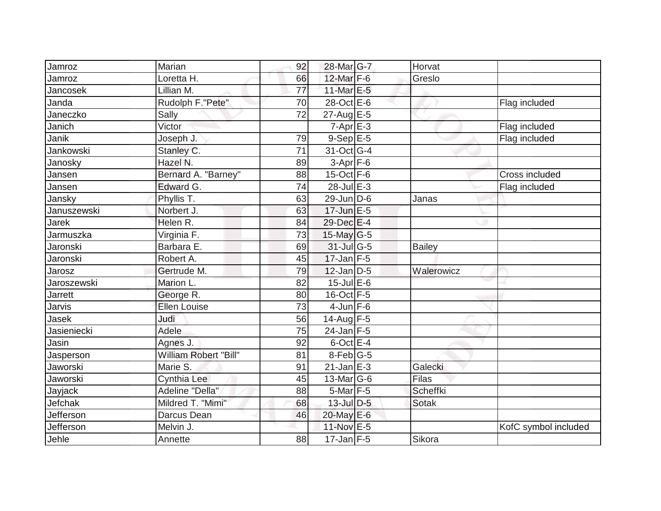| Jamroz         | Marian                | 92              | 28-Mar G-7        | Horvat        |                      |
|----------------|-----------------------|-----------------|-------------------|---------------|----------------------|
| Jamroz         | Loretta H.            | 66              | 12-Mar F-6        | Greslo        |                      |
| Jancosek       | Lillian M.            | 77              | 11-Mar E-5        |               |                      |
| Janda          | Rudolph F. "Pete"     | 70              | 28-Oct E-6        |               | Flag included        |
| Janeczko       | Sally                 | $\overline{72}$ | 27-Aug E-5        |               |                      |
| Janich         | Victor                |                 | $7 - Apr$ $E-3$   |               | Flag included        |
| Janik          | Joseph J.             | 79              | $9-Sep$ $E-5$     |               | Flag included        |
| Jankowski      | Stanley C.            | $\overline{71}$ | 31-Oct G-4        |               |                      |
| Janosky        | Hazel N.              | 89              | $3-Apr$ F-6       |               |                      |
| Jansen         | Bernard A. "Barney"   | 88              | $15$ -Oct F-6     |               | Cross included       |
| Jansen         | Edward G.             | 74              | 28-Jul E-3        |               | Flag included        |
| Jansky         | Phyllis T.            | 63              | 29-Jun D-6        | Janas         |                      |
| Januszewski    | Norbert J.            | 63              | $17$ -Jun $E - 5$ |               |                      |
| Jarek          | Helen R.              | 84              | 29-Dec E-4        |               |                      |
| Jarmuszka      | Virginia F.           | 73              | $15$ -May G-5     |               |                      |
| Jaronski       | Barbara E.            | 69              | 31-Jul G-5        | <b>Bailey</b> |                      |
| Jaronski       | Robert A.             | 45              | $17$ -Jan $F-5$   |               |                      |
| Jarosz         | Gertrude M.           | 79              | $12$ -Jan D-5     | Walerowicz    |                      |
| Jaroszewski    | Marion L.             | 82              | 15-Jul E-6        |               |                      |
| <b>Jarrett</b> | George R.             | 80              | 16-Oct F-5        |               |                      |
| Jarvis         | <b>Ellen Louise</b>   | 73              | $4$ -Jun $F-6$    |               |                      |
| Jasek          | Judi                  | 56              | 14-Aug F-5        |               |                      |
| Jasieniecki    | Adele                 | 75              | $24$ -Jan F-5     |               |                      |
| Jasin          | Agnes J.              | 92              | $6$ -Oct $E-4$    |               |                      |
| Jasperson      | William Robert "Bill" | 81              | $8$ -Feb $ G-5$   |               |                      |
| Jaworski       | Marie S.              | 91              | $21$ -Jan E-3     | Galecki       |                      |
| Jaworski       | Cynthia Lee           | 45              | $13$ -Mar $ G-6$  | Filas         |                      |
| Jayjack        | Adeline "Della"       | 88              | $5$ -Mar $ F-5 $  | Scheffki      |                      |
| Jefchak        | Mildred T. "Mimi"     | 68              | $13$ -Jul $D-5$   | <b>Sotak</b>  |                      |
| Jefferson      | Darcus Dean           | 46              | 20-May E-6        |               |                      |
| Jefferson      | Melvin J.             |                 | 11-Nov E-5        |               | KofC symbol included |
| Jehle          | Annette               | 88              | $17$ -Jan F-5     | Sikora        |                      |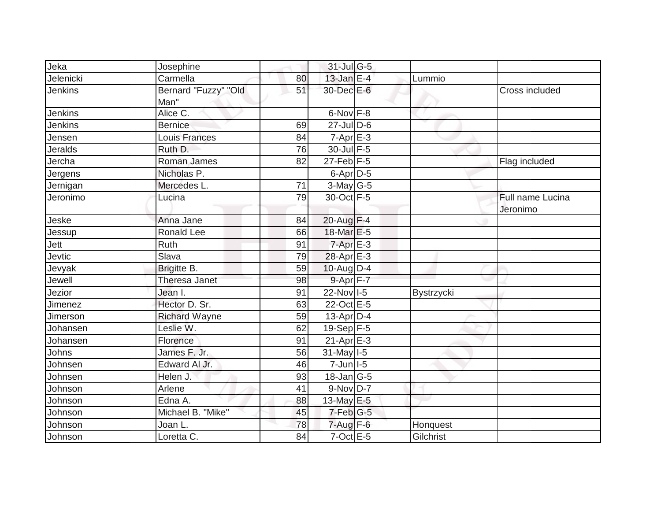| Jeka           | Josephine                    |    | $31$ -Jul G-5              |            |                              |
|----------------|------------------------------|----|----------------------------|------------|------------------------------|
| Jelenicki      | Carmella                     | 80 | 13-Jan $E-4$               | Lummio     |                              |
| Jenkins        | Bernard "Fuzzy" "Old<br>Man" | 51 | $30$ -Dec $E$ -6           |            | Cross included               |
| <b>Jenkins</b> | Alice C.                     |    | 6-Nov F-8                  |            |                              |
| Jenkins        | <b>Bernice</b>               | 69 | $27$ -Jul $D-6$            |            |                              |
| Jensen         | Louis Frances                | 84 | $7-Apr$ E-3                |            |                              |
| <b>Jeralds</b> | Ruth D.                      | 76 | 30-Jul F-5                 |            |                              |
| Jercha         | Roman James                  | 82 | $27$ -Feb $F-5$            |            | Flag included                |
| Jergens        | Nicholas P.                  |    | $6$ -Apr $D-5$             |            |                              |
| Jernigan       | Mercedes L.                  | 71 | $3$ -May G-5               |            |                              |
| Jeronimo       | Lucina                       | 79 | 30-Oct F-5                 |            | Full name Lucina<br>Jeronimo |
| Jeske          | Anna Jane                    | 84 | 20-Aug F-4                 |            |                              |
| Jessup         | <b>Ronald Lee</b>            | 66 | 18-Mar E-5                 |            |                              |
| Jett           | Ruth                         | 91 | $7-Apr$ $E-3$              |            |                              |
| Jevtic         | Slava                        | 79 | 28-Apr E-3                 |            |                              |
| Jevyak         | Brigitte B.                  | 59 | 10-Aug D-4                 |            |                              |
| Jewell         | Theresa Janet                | 98 | 9-Apr F-7                  |            |                              |
| Jezior         | Jean I.                      | 91 | 22-Nov 1-5                 | Bystrzycki |                              |
| Jimenez        | Hector D. Sr.                | 63 | 22-Oct E-5                 |            |                              |
| Jimerson       | <b>Richard Wayne</b>         | 59 | $13$ -Apr $ D-4$           |            |                              |
| Johansen       | Leslie W.                    | 62 | $19-Sep$ F-5               |            |                              |
| Johansen       | Florence                     | 91 | $21-Apr \nightharpoonup 3$ |            |                              |
| Johns          | James F. Jr.                 | 56 | $31$ -May $I-5$            |            |                              |
| Johnsen        | Edward Al Jr.                | 46 | $7$ -Jun $ $ I-5           |            |                              |
| Johnsen        | Helen J.                     | 93 | $18 - Jan$ G-5             |            |                              |
| Johnson        | Arlene                       | 41 | $9-Nov D-7$                |            |                              |
| Johnson        | Edna A.                      | 88 | 13-May E-5                 |            |                              |
| Johnson        | Michael B. "Mike"            | 45 | $7$ -Feb $ G-5 $           |            |                              |
| Johnson        | Joan L.                      | 78 | $7 - Aug$ $F-6$            | Honquest   |                              |
| Johnson        | Loretta C.                   | 84 | $7$ -Oct $E - 5$           | Gilchrist  |                              |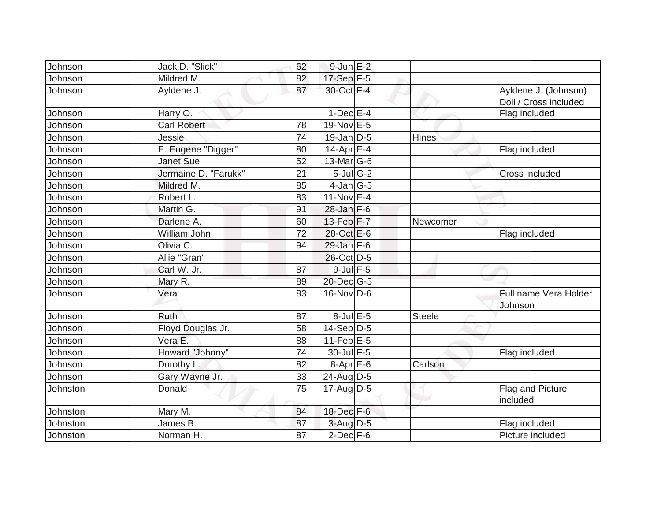| Johnson  | Jack D. "Slick"      | 62 | $9$ -Jun $E-2$              |              |                                               |
|----------|----------------------|----|-----------------------------|--------------|-----------------------------------------------|
| Johnson  | Mildred M.           | 82 | 17-Sep F-5                  |              |                                               |
| Johnson  | Ayldene J.           | 87 | 30-Oct F-4                  |              | Ayldene J. (Johnson)<br>Doll / Cross included |
| Johnson  | Harry O.             |    | $1-Dec$ E-4                 |              | Flag included                                 |
| Johnson  | <b>Carl Robert</b>   | 78 | 19-Nov E-5                  |              |                                               |
| Johnson  | Jessie               | 74 | $19$ -Jan D-5               | <b>Hines</b> |                                               |
| Johnson  | E. Eugene "Digger"   | 80 | $14$ -Apr $E-4$             |              | Flag included                                 |
| Johnson  | <b>Janet Sue</b>     | 52 | $13$ -Mar $ G-6 $           |              |                                               |
| Johnson  | Jermaine D. "Farukk" | 21 | $5$ -Jul G-2                |              | Cross included                                |
| Johnson  | Mildred M.           | 85 | $4$ -Jan $ G-5 $            |              |                                               |
| Johnson  | Robert L.            | 83 | 11-Nov E-4                  |              |                                               |
| Johnson  | Martin G.            | 91 | $28$ -Jan $F-6$             |              |                                               |
| Johnson  | Darlene A.           | 60 | $13$ -Feb $ F-7 $           | Newcomer     |                                               |
| Johnson  | William John         | 72 | 28-Oct E-6                  |              | Flag included                                 |
| Johnson  | Olivia C.            | 94 | $29$ -Jan F-6               |              |                                               |
| Johnson  | Allie "Gran"         |    | 26-Oct D-5                  |              |                                               |
| Johnson  | Carl W. Jr.          | 87 | $9$ -Jul $F-5$              |              |                                               |
| Johnson  | Mary R.              | 89 | $20$ -Dec $G-5$             |              |                                               |
| Johnson  | Vera                 | 83 | $16$ -Nov $\overline{D}$ -6 |              | Full name Vera Holder<br>Johnson              |
| Johnson  | Ruth                 | 87 | $8$ -Jul $E$ -5             | Steele       |                                               |
| Johnson  | Floyd Douglas Jr.    | 58 | $14-Sep D-5$                |              |                                               |
| Johnson  | Vera E.              | 88 | $11$ -Feb $E$ -5            |              |                                               |
| Johnson  | Howard "Johnny"      | 74 | 30-Jul F-5                  |              | Flag included                                 |
| Johnson  | Dorothy L.           | 82 | $8-Apr$ $E-6$               | Carlson      |                                               |
| Johnson  | Gary Wayne Jr.       | 33 | $24$ -Aug D-5               |              |                                               |
| Johnston | Donald               | 75 | $17$ -Aug D-5               |              | Flag and Picture<br>included                  |
| Johnston | Mary M.              | 84 | 18-Dec F-6                  |              |                                               |
| Johnston | James B.             | 87 | $3$ -Aug $D-5$              |              | Flag included                                 |
| Johnston | Norman H.            | 87 | $2$ -Dec $F-6$              |              | Picture included                              |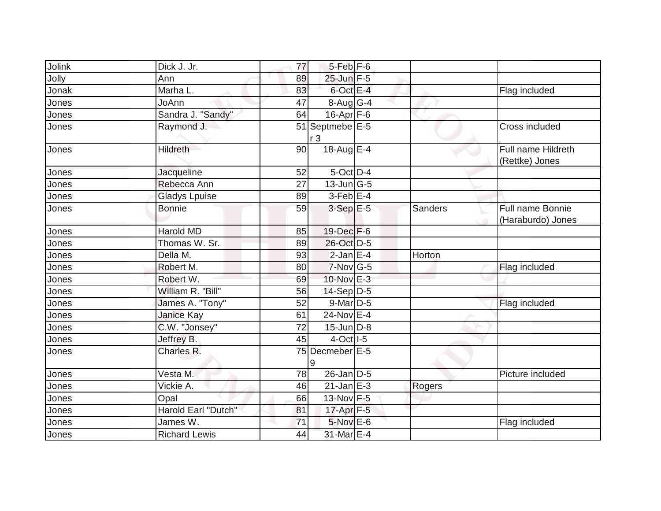| Jolink | Dick J. Jr.          | 77 | $5$ -Feb $ F-6 $                  |         |                                       |
|--------|----------------------|----|-----------------------------------|---------|---------------------------------------|
| Jolly  | Ann                  | 89 | 25-Jun F-5                        |         |                                       |
| Jonak  | Marha L.             | 83 | $6$ -Oct $E-4$                    |         | Flag included                         |
| Jones  | JoAnn                | 47 | $8-Aug G-4$                       |         |                                       |
| Jones  | Sandra J. "Sandy"    | 64 | $16$ -Apr $F$ -6                  |         |                                       |
| Jones  | Raymond J.           |    | 51 Septmebe E-5<br>r <sub>3</sub> |         | Cross included                        |
| Jones  | Hildreth             | 90 | 18-Aug $E-4$                      |         | Full name Hildreth<br>(Rettke) Jones  |
| Jones  | Jacqueline           | 52 | $5$ -Oct $D-4$                    |         |                                       |
| Jones  | Rebecca Ann          | 27 | $13$ -Jun $ G-5 $                 |         |                                       |
| Jones  | <b>Gladys Lpuise</b> | 89 | $3$ -Feb $E-4$                    |         |                                       |
| Jones  | <b>Bonnie</b>        | 59 | $3-Sep$ E-5                       | Sanders | Full name Bonnie<br>(Haraburdo) Jones |
| Jones  | <b>Harold MD</b>     | 85 | 19-Dec F-6                        |         |                                       |
| Jones  | Thomas W. Sr.        | 89 | 26-Oct D-5                        |         |                                       |
| Jones  | Della M.             | 93 | $2$ -Jan E-4                      | Horton  |                                       |
| Jones  | Robert M.            | 80 | 7-Nov G-5                         |         | Flag included                         |
| Jones  | Robert W.            | 69 | 10-Nov E-3                        |         |                                       |
| Jones  | William R. "Bill"    | 56 | $14-Sep D-5$                      |         |                                       |
| Jones  | James A. "Tony"      | 52 | 9-Mar D-5                         |         | Flag included                         |
| Jones  | Janice Kay           | 61 | 24-Nov E-4                        |         |                                       |
| Jones  | C.W. "Jonsey"        | 72 | $15$ -Jun D-8                     |         |                                       |
| Jones  | Jeffrey B.           | 45 | $4$ -Oct $ I-5 $                  |         |                                       |
| Jones  | Charles R.           | 75 | Decmeber <sup>1</sup> E-5<br>9    |         |                                       |
| Jones  | Vesta M.             | 78 | 26-Jan D-5                        |         | Picture included                      |
| Jones  | Vickie A.            | 46 | $21$ -Jan $E-3$                   | Rogers  |                                       |
| Jones  | Opal                 | 66 | 13-Nov F-5                        |         |                                       |
| Jones  | Harold Earl "Dutch"  | 81 | 17-Apr F-5                        |         |                                       |
| Jones  | James W.             | 71 | 5-Nov E-6                         |         | Flag included                         |
| Jones  | <b>Richard Lewis</b> | 44 | 31-Mar E-4                        |         |                                       |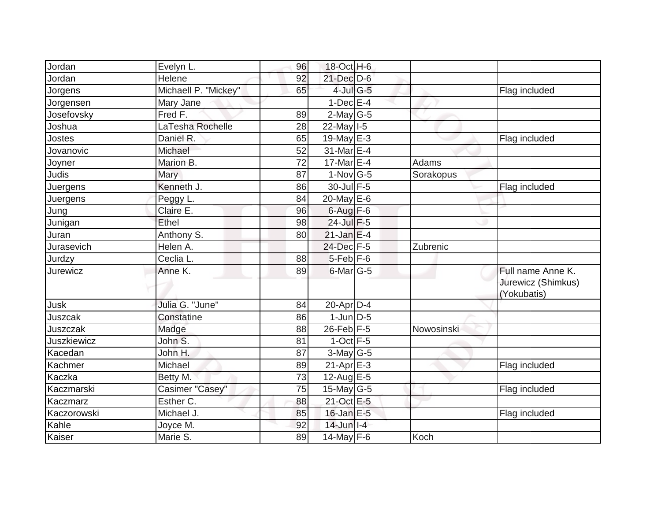| Jordan             | Evelyn L.            | 96 | 18-Oct H-6                 |            |                                                        |
|--------------------|----------------------|----|----------------------------|------------|--------------------------------------------------------|
| Jordan             | Helene               | 92 | 21-Dec D-6                 |            |                                                        |
| Jorgens            | Michaell P. "Mickey" | 65 | $4$ -Jul G-5               |            | Flag included                                          |
| Jorgensen          | Mary Jane            |    | $1-Dec$ E-4                |            |                                                        |
| Josefovsky         | $Freq$ F.            | 89 | $2$ -May G-5               |            |                                                        |
| Joshua             | LaTesha Rochelle     | 28 | $22$ -May $I-5$            |            |                                                        |
| Jostes             | Daniel R.            | 65 | 19-May $E-3$               |            | Flag included                                          |
| Jovanovic          | Michael              | 52 | 31-Mar <sub>E-4</sub>      |            |                                                        |
| Joyner             | Marion B.            | 72 | 17-Mar $E-4$               | Adams      |                                                        |
| Judis              | <b>Mary</b>          | 87 | $1-Nov$ G-5                | Sorakopus  |                                                        |
| Juergens           | Kenneth J.           | 86 | 30-Jul F-5                 |            | Flag included                                          |
| Juergens           | Peggy L.             | 84 | $20$ -May E-6              |            |                                                        |
| Jung               | Claire E.            | 96 | $6$ -Aug $F-6$             |            |                                                        |
| Junigan            | Ethel                | 98 | 24-Jul F-5                 |            |                                                        |
| Juran              | Anthony S.           | 80 | $21$ -Jan E-4              |            |                                                        |
| Jurasevich         | Helen A.             |    | 24-Dec F-5                 | Zubrenic   |                                                        |
| Jurdzy             | Ceclia L.            | 88 | $5$ -Feb $F$ -6            |            |                                                        |
| Jurewicz           | Anne K.              | 89 | $6$ -Mar $ G-5 $           |            | Full name Anne K.<br>Jurewicz (Shimkus)<br>(Yokubatis) |
| Jusk               | Julia G. "June"      | 84 | $20$ -Apr $D-4$            |            |                                                        |
| Juszcak            | Constatine           | 86 | $1$ -Jun $D-5$             |            |                                                        |
| Juszczak           | Madge                | 88 | $26$ -Feb $F-5$            | Nowosinski |                                                        |
| <b>Juszkiewicz</b> | John S.              | 81 | $1-Oct$ F-5                |            |                                                        |
| Kacedan            | John H.              | 87 | $3$ -May G-5               |            |                                                        |
| Kachmer            | Michael              | 89 | $21-Apr \nightharpoonup 3$ |            | Flag included                                          |
| Kaczka             | Betty M.             | 73 | $12$ -Aug E-5              |            |                                                        |
| Kaczmarski         | Casimer "Casey"      | 75 | 15-May $G-5$               |            | Flag included                                          |
| Kaczmarz           | Esther C.            | 88 | 21-Oct E-5                 |            |                                                        |
| Kaczorowski        | Michael J.           | 85 | 16-Jan E-5                 |            | Flag included                                          |
| Kahle              | Joyce M.             | 92 | $14$ -Jun $I-4$            |            |                                                        |
| Kaiser             | Marie S.             | 89 | 14-May $F-6$               | Koch       |                                                        |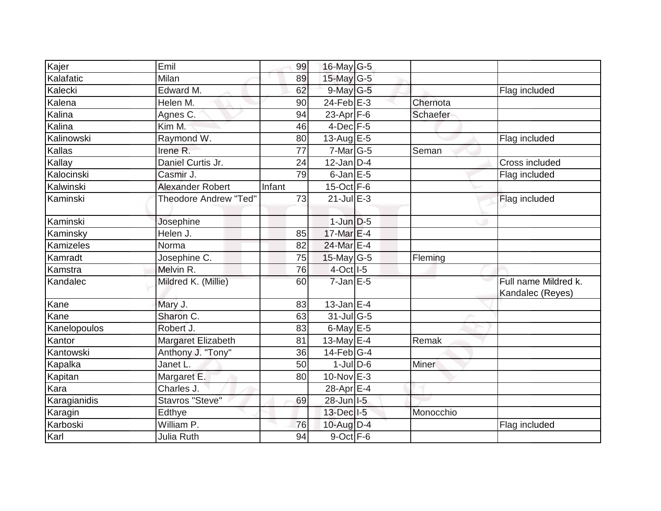| Kajer            | Emil                         | 99     | 16-May $G-5$     |           |                                          |
|------------------|------------------------------|--------|------------------|-----------|------------------------------------------|
| Kalafatic        | Milan                        | 89     | 15-May $G-5$     |           |                                          |
| Kalecki          | Edward M.                    | 62     | 9-May G-5        |           | Flag included                            |
| Kalena           | Helen M.                     | 90     | $24$ -Feb $E-3$  | Chernota  |                                          |
| Kalina           | Agnes C.                     | 94     | 23-Apr $F-6$     | Schaefer  |                                          |
| Kalina           | Kim M.                       | 46     | $4$ -Dec $F-5$   |           |                                          |
| Kalinowski       | Raymond W.                   | 80     | $13$ -Aug E-5    |           | Flag included                            |
| Kallas           | Irene R.                     | 77     | $7$ -Mar $ G-5 $ | Seman     |                                          |
| Kallay           | Daniel Curtis Jr.            | 24     | $12$ -Jan $D-4$  |           | Cross included                           |
| Kalocinski       | Casmir J.                    | 79     | $6$ -Jan $E$ -5  |           | Flag included                            |
| Kalwinski        | <b>Alexander Robert</b>      | Infant | $15$ -Oct $F-6$  |           |                                          |
| Kaminski         | <b>Theodore Andrew "Ted"</b> | 73     | $21$ -Jul $E-3$  |           | Flag included                            |
| Kaminski         | Josephine                    |        | $1$ -Jun $D-5$   |           |                                          |
| Kaminsky         | Helen J.                     | 85     | $17$ -Mar $E-4$  |           |                                          |
| <b>Kamizeles</b> | Norma                        | 82     | 24-Mar E-4       |           |                                          |
| Kamradt          | Josephine C.                 | 75     | $15$ -May G-5    | Fleming   |                                          |
| Kamstra          | Melvin R.                    | 76     | 4-Oct I-5        |           |                                          |
| Kandalec         | Mildred K. (Millie)          | 60     | $7$ -Jan $E$ -5  |           | Full name Mildred k.<br>Kandalec (Reyes) |
| Kane             | Mary J.                      | 83     | $13$ -Jan E-4    |           |                                          |
| Kane             | Sharon C.                    | 63     | $31$ -JulG-5     |           |                                          |
| Kanelopoulos     | Robert J.                    | 83     | $6$ -May $E$ -5  |           |                                          |
| Kantor           | Margaret Elizabeth           | 81     | 13-May E-4       | Remak     |                                          |
| Kantowski        | Anthony J. "Tony"            | 36     | $14$ -Feb $G-4$  |           |                                          |
| Kapalka          | Janet L.                     | 50     | $1$ -JulD-6      | Miner     |                                          |
| Kapitan          | Margaret E.                  | 80     | $10$ -Nov $E-3$  |           |                                          |
| Kara             | Charles J.                   |        | 28-Apr E-4       |           |                                          |
| Karagianidis     | Stavros "Steve"              | 69     | 28-Jun I-5       |           |                                          |
| Karagin          | Edthye                       |        | 13-Dec   I-5     | Monocchio |                                          |
| Karboski         | William P.                   | 76     | $10$ -Aug D-4    |           | Flag included                            |
| Karl             | Julia Ruth                   | 94     | $9$ -Oct $F$ -6  |           |                                          |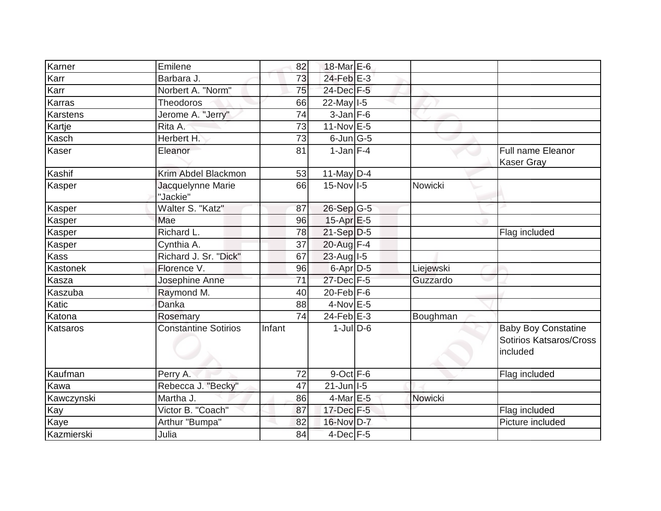| Karner      | Emilene                       | 82     | 18-Mar E-6        |           |                                                                   |
|-------------|-------------------------------|--------|-------------------|-----------|-------------------------------------------------------------------|
| Karr        | Barbara J.                    | 73     | $24$ -Feb $E-3$   |           |                                                                   |
| Karr        | Norbert A. "Norm"             | 75     | 24-Dec F-5        |           |                                                                   |
| Karras      | <b>Theodoros</b>              | 66     | $22$ -May $I - 5$ |           |                                                                   |
| Karstens    | Jerome A. "Jerry"             | 74     | $3$ -Jan $F-6$    |           |                                                                   |
| Kartje      | Rita A.                       | 73     | $11-Nov$ E-5      |           |                                                                   |
| Kasch       | Herbert H.                    | 73     | $6$ -Jun $ G-5$   |           |                                                                   |
| Kaser       | Eleanor                       | 81     | $1$ -Jan $F-4$    |           | <b>Full name Eleanor</b><br><b>Kaser Gray</b>                     |
| Kashif      | Krim Abdel Blackmon           | 53     | 11-May $D-4$      |           |                                                                   |
| Kasper      | Jacquelynne Marie<br>"Jackie" | 66     | $15$ -Nov $ I-5 $ | Nowicki   |                                                                   |
| Kasper      | Walter S. "Katz"              | 87     | $26-Sep G-5$      |           |                                                                   |
| Kasper      | Mae                           | 96     | $15-Apr$ $E-5$    |           |                                                                   |
| Kasper      | Richard L.                    | 78     | $21-Sep D-5$      |           | Flag included                                                     |
| Kasper      | Cynthia A.                    | 37     | 20-Aug F-4        |           |                                                                   |
| <b>Kass</b> | Richard J. Sr. "Dick"         | 67     | $23$ -Aug $1-5$   |           |                                                                   |
| Kastonek    | Florence V.                   | 96     | $6$ -Apr $D-5$    | Liejewski |                                                                   |
| Kasza       | Josephine Anne                | 71     | $27$ -Dec $F-5$   | Guzzardo  |                                                                   |
| Kaszuba     | Raymond M.                    | 40     | $20$ -Feb $F-6$   |           |                                                                   |
| Katic       | Danka                         | 88     | $4$ -Nov $E - 5$  |           |                                                                   |
| Katona      | Rosemary                      | 74     | $24$ -Feb $E-3$   | Boughman  |                                                                   |
| Katsaros    | <b>Constantine Sotirios</b>   | Infant | $1$ -JulD-6       |           | <b>Baby Boy Constatine</b><br>Sotirios Katsaros/Cross<br>included |
| Kaufman     | Perry A.                      | 72     | $9$ -Oct $F - 6$  |           | Flag included                                                     |
| Kawa        | Rebecca J. "Becky"            | 47     | $21$ -Jun $ I-5 $ |           |                                                                   |
| Kawczynski  | Martha J.                     | 86     | $4$ -Mar $E$ -5   | Nowicki   |                                                                   |
| Kay         | Victor B. "Coach"             | 87     | 17-Dec F-5        |           | Flag included                                                     |
| Kaye        | Arthur "Bumpa"                | 82     | 16-Nov D-7        |           | Picture included                                                  |
| Kazmierski  | Julia                         | 84     | $4$ -Dec $F-5$    |           |                                                                   |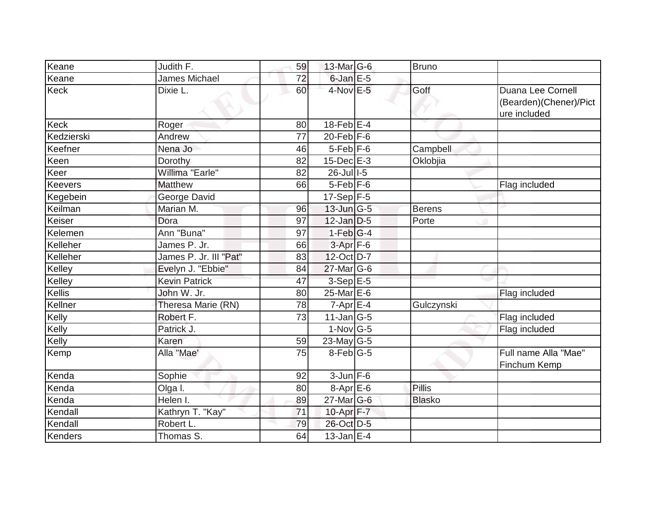| Keane       | Judith F.              | 59 | 13-Mar G-6        | Bruno         |                                                             |
|-------------|------------------------|----|-------------------|---------------|-------------------------------------------------------------|
| Keane       | <b>James Michael</b>   | 72 | $6$ -Jan $E$ -5   |               |                                                             |
| <b>Keck</b> | Dixie L.               | 60 | $4$ -Nov $E - 5$  | Goff          | Duana Lee Cornell<br>(Bearden)(Chener)/Pict<br>ure included |
| <b>Keck</b> | Roger                  | 80 | $18$ -Feb $E-4$   |               |                                                             |
| Kedzierski  | Andrew                 | 77 | $20$ -Feb $F-6$   |               |                                                             |
| Keefner     | Nena Jo                | 46 | $5$ -Feb $ F-6$   | Campbell      |                                                             |
| Keen        | Dorothy                | 82 | $15$ -Dec $E-3$   | Oklobjia      |                                                             |
| Keer        | Willima "Earle"        | 82 | $26$ -Jull-5      |               |                                                             |
| Keevers     | <b>Matthew</b>         | 66 | $5$ -Feb $F$ -6   |               | Flag included                                               |
| Kegebein    | George David           |    | $17-Sep$ F-5      |               |                                                             |
| Keilman     | Marian M.              | 96 | $13$ -Jun $ G-5 $ | <b>Berens</b> |                                                             |
| Keiser      | Dora                   | 97 | $12$ -Jan $D-5$   | Porte         |                                                             |
| Kelemen     | Ann "Buna"             | 97 | $1-Feb G-4$       |               |                                                             |
| Kelleher    | James P. Jr.           | 66 | $3-Apr$ F-6       |               |                                                             |
| Kelleher    | James P. Jr. III "Pat" | 83 | $12$ -Oct D-7     |               |                                                             |
| Kelley      | Evelyn J. "Ebbie"      | 84 | $27$ -Mar $ G-6$  |               |                                                             |
| Kelley      | <b>Kevin Patrick</b>   | 47 | $3-Sep$ $E-5$     |               |                                                             |
| Kellis      | John W. Jr.            | 80 | 25-Mar E-6        |               | Flag included                                               |
| Kellner     | Theresa Marie (RN)     | 78 | $7-Apr$ $E-4$     | Gulczynski    |                                                             |
| Kelly       | Robert F.              | 73 | $11$ -Jan $ G-5 $ |               | Flag included                                               |
| Kelly       | Patrick J.             |    | $1-Nov$ G-5       |               | Flag included                                               |
| Kelly       | Karen                  | 59 | 23-May G-5        |               |                                                             |
| Kemp        | Alla "Mae'             | 75 | $8$ -Feb $ G-5 $  |               | Full name Alla "Mae"<br>Finchum Kemp                        |
| Kenda       | Sophie                 | 92 | $3 - Jun$ $F-6$   |               |                                                             |
| Kenda       | Olga I.                | 80 | $8-Apr$ $E-6$     | <b>Pillis</b> |                                                             |
| Kenda       | Helen I.               | 89 | $27$ -Mar $ G-6$  | <b>Blasko</b> |                                                             |
| Kendall     | Kathryn T. "Kay"       | 71 | 10-Apr F-7        |               |                                                             |
| Kendall     | Robert L.              | 79 | 26-Oct D-5        |               |                                                             |
| Kenders     | Thomas S.              | 64 | $13$ -Jan $E-4$   |               |                                                             |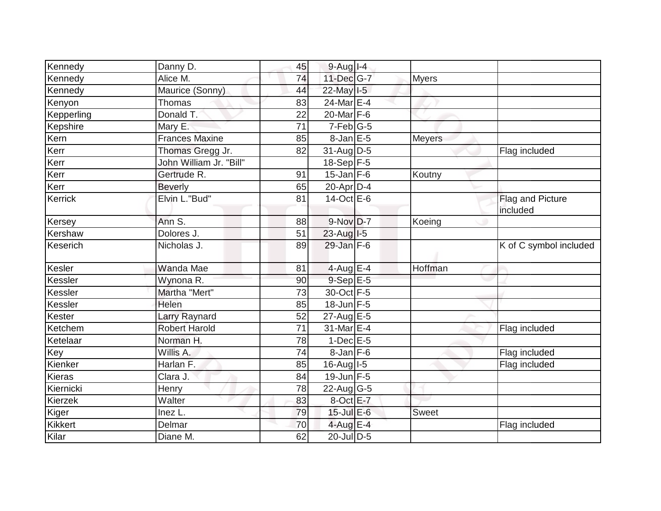| Kennedy    | Danny D.                | 45 | $9-Aug$ I-4      |               |                              |
|------------|-------------------------|----|------------------|---------------|------------------------------|
| Kennedy    | Alice M.                | 74 | 11-Dec G-7       | <b>Myers</b>  |                              |
| Kennedy    | Maurice (Sonny)         | 44 | 22-May 1-5       |               |                              |
| Kenyon     | <b>Thomas</b>           | 83 | 24-Mar E-4       |               |                              |
| Kepperling | Donald T.               | 22 | 20-Mar F-6       |               |                              |
| Kepshire   | Mary E.                 | 71 | $7-Feb$ G-5      |               |                              |
| Kern       | <b>Frances Maxine</b>   | 85 | $8$ -Jan $E$ -5  | <b>Meyers</b> |                              |
| Kerr       | Thomas Gregg Jr.        | 82 | $31$ -Aug D-5    |               | Flag included                |
| Kerr       | John William Jr. "Bill" |    | 18-Sep F-5       |               |                              |
| Kerr       | Gertrude R.             | 91 | $15$ -Jan F-6    | Koutny        |                              |
| Kerr       | <b>Beverly</b>          | 65 | $20 - Apr$ D-4   |               |                              |
| Kerrick    | Elvin L."Bud"           | 81 | $14-Oct$ E-6     |               | Flag and Picture<br>included |
| Kersey     | Ann S.                  | 88 | 9-Nov D-7        | Koeing        |                              |
| Kershaw    | Dolores J.              | 51 | $23$ -Aug $1-5$  |               |                              |
| Keserich   | Nicholas J.             | 89 | $29$ -Jan F-6    |               | K of C symbol included       |
| Kesler     | Wanda Mae               | 81 | 4-Aug E-4        | Hoffman       |                              |
| Kessler    | Wynona R.               | 90 | $9-SepE-5$       |               |                              |
| Kessler    | Martha "Mert"           | 73 | 30-Oct F-5       |               |                              |
| Kessler    | Helen                   | 85 | $18$ -Jun F-5    |               |                              |
| Kester     | <b>Larry Raynard</b>    | 52 | $27$ -Aug E-5    |               |                              |
| Ketchem    | <b>Robert Harold</b>    | 71 | 31-Mar E-4       |               | Flag included                |
| Ketelaar   | Norman H.               | 78 | $1$ -Dec $E$ -5  |               |                              |
| Key        | Willis A.               | 74 | $8$ -Jan $F$ -6  |               | Flag included                |
| Kienker    | Harlan F.               | 85 | 16-Aug I-5       |               | Flag included                |
| Kieras     | Clara J.                | 84 | 19-Jun F-5       |               |                              |
| Kiernicki  | Henry                   | 78 | $22$ -Aug $ G-5$ |               |                              |
| Kierzek    | Walter                  | 83 | 8-Oct E-7        |               |                              |
| Kiger      | Inez L.                 | 79 | $15$ -Jul E-6    | <b>Sweet</b>  |                              |
| Kikkert    | Delmar                  | 70 | 4-Aug E-4        |               | Flag included                |
| Kilar      | Diane M.                | 62 | 20-Jul D-5       |               |                              |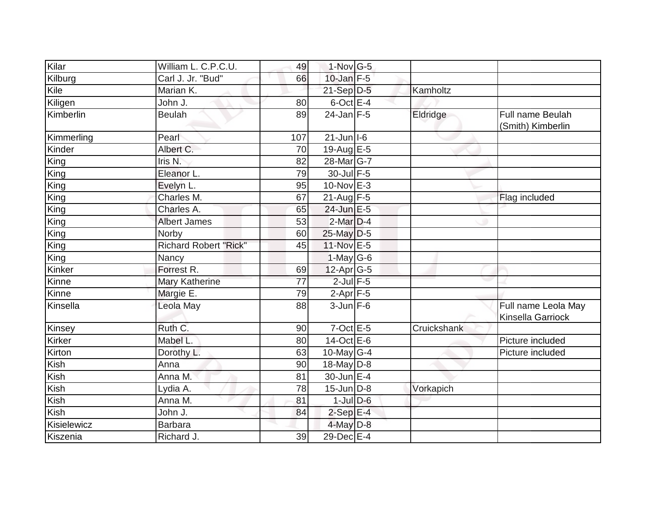| Kilar       | William L. C.P.C.U.          | 49  | $1$ -Nov $ G-5 $  |             |                                          |
|-------------|------------------------------|-----|-------------------|-------------|------------------------------------------|
| Kilburg     | Carl J. Jr. "Bud"            | 66  | 10-Jan $F-5$      |             |                                          |
| Kile        | Marian K.                    |     | $21-Sep$ D-5      | Kamholtz    |                                          |
| Kiligen     | John J.                      | 80  | 6-Oct E-4         |             |                                          |
| Kimberlin   | <b>Beulah</b>                | 89  | $24$ -Jan F-5     | Eldridge    | Full name Beulah<br>(Smith) Kimberlin    |
| Kimmerling  | Pearl                        | 107 | $21$ -Jun $ I-6 $ |             |                                          |
| Kinder      | Albert C.                    | 70  | 19-Aug E-5        |             |                                          |
| King        | Iris N.                      | 82  | 28-Mar G-7        |             |                                          |
| King        | Eleanor L.                   | 79  | 30-Jul F-5        |             |                                          |
| King        | Evelyn L.                    | 95  | $10$ -Nov $E-3$   |             |                                          |
| King        | Charles M.                   | 67  | $21-Aug$ F-5      |             | Flag included                            |
| King        | Charles A.                   | 65  | 24-Jun E-5        |             |                                          |
| King        | <b>Albert James</b>          | 53  | $2$ -Mar $D-4$    |             |                                          |
| King        | Norby                        | 60  | 25-May D-5        |             |                                          |
| King        | <b>Richard Robert "Rick"</b> | 45  | 11-Nov E-5        |             |                                          |
| King        | Nancy                        |     | $1-May G-6$       |             |                                          |
| Kinker      | Forrest R.                   | 69  | $12$ -Apr $G-5$   |             |                                          |
| Kinne       | Mary Katherine               | 77  | $2$ -Jul $F-5$    |             |                                          |
| Kinne       | Margie E.                    | 79  | $2-Apr$ F-5       |             |                                          |
| Kinsella    | Leola May                    | 88  | $3$ -Jun $F - 6$  |             | Full name Leola May<br>Kinsella Garriock |
| Kinsey      | Ruth C.                      | 90  | $7$ -Oct $E$ -5   | Cruickshank |                                          |
| Kirker      | Mabel L.                     | 80  | 14-Oct E-6        |             | Picture included                         |
| Kirton      | Dorothy L.                   | 63  | 10-May $G-4$      |             | Picture included                         |
| Kish        | Anna                         | 90  | 18-May D-8        |             |                                          |
| Kish        | Anna M.                      | 81  | 30-Jun E-4        |             |                                          |
| Kish        | Lydia A.                     | 78  | $15$ -Jun D-8     | Vorkapich   |                                          |
| Kish        | Anna M.                      | 81  | $1$ -Jul $D$ -6   |             |                                          |
| Kish        | John J.                      | 84  | $2-SepE-4$        |             |                                          |
| Kisielewicz | <b>Barbara</b>               |     | 4-May $D-8$       |             |                                          |
| Kiszenia    | Richard J.                   | 39  | $29$ -Dec $E-4$   |             |                                          |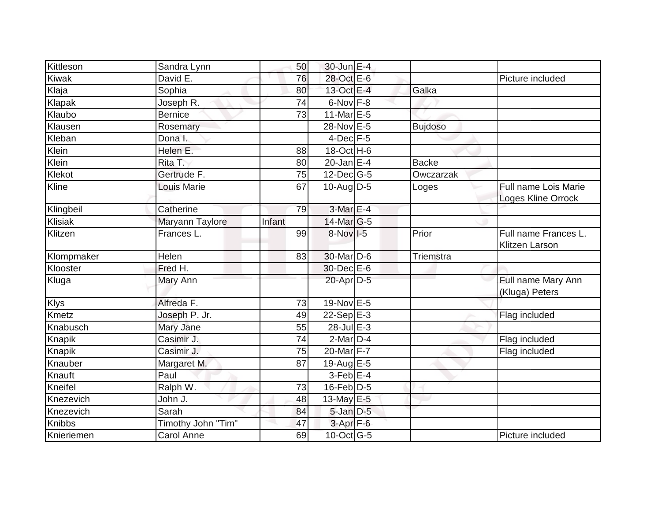| Kittleson   | Sandra Lynn        | 50     | 30-Jun E-4                  |                |                                            |
|-------------|--------------------|--------|-----------------------------|----------------|--------------------------------------------|
| Kiwak       | David E.           | 76     | 28-Oct E-6                  |                | Picture included                           |
| Klaja       | Sophia             | 80     | 13-Oct E-4                  | Galka          |                                            |
| Klapak      | Joseph R.          | 74     | $6$ -Nov $F-8$              |                |                                            |
| Klaubo      | <b>Bernice</b>     | 73     | 11-Mar E-5                  |                |                                            |
| Klausen     | Rosemary           |        | 28-Nov E-5                  | <b>Bujdoso</b> |                                            |
| Kleban      | Dona I.            |        | $4$ -Dec $F-5$              |                |                                            |
| Klein       | Helen E.           | 88     | 18-Oct H-6                  |                |                                            |
| Klein       | Rita T.            | 80     | $20$ -Jan $E-4$             | <b>Backe</b>   |                                            |
| Klekot      | Gertrude F.        | 75     | $12$ -Dec $G-5$             | Owczarzak      |                                            |
| Kline       | <b>Louis Marie</b> | 67     | 10-Aug D-5                  | Loges          | Full name Lois Marie<br>Loges Kline Orrock |
| Klingbeil   | Catherine          | 79     | 3-Mar E-4                   |                |                                            |
| Klisiak     | Maryann Taylore    | Infant | $14$ -Mar $ G-5$            |                |                                            |
| Klitzen     | Frances L.         | 99     | 8-Nov I-5                   | Prior          | Full name Frances L.<br>Klitzen Larson     |
| Klompmaker  | Helen              | 83     | 30-Mar <sub>D-6</sub>       | Triemstra      |                                            |
| Klooster    | Fred H.            |        | 30-Dec E-6                  |                |                                            |
| Kluga       | Mary Ann           |        | 20-Apr D-5                  |                | Full name Mary Ann<br>(Kluga) Peters       |
| <b>Klys</b> | Alfreda F.         | 73     | 19-Nov E-5                  |                |                                            |
| Kmetz       | Joseph P. Jr.      | 49     | 22-Sep $E-3$                |                | Flag included                              |
| Knabusch    | Mary Jane          | 55     | $\overline{28}$ -Jul E-3    |                |                                            |
| Knapik      | Casimir J.         | 74     | $2$ -Mar $D-4$              |                | Flag included                              |
| Knapik      | Casimir J.         | 75     | 20-Mar F-7                  |                | Flag included                              |
| Knauber     | Margaret M.        | 87     | 19-Aug $E-5$                |                |                                            |
| Knauft      | Paul               |        | $3-Feb$ E-4                 |                |                                            |
| Kneifel     | Ralph W.           | 73     | $16$ -Feb $D-5$             |                |                                            |
| Knezevich   | John J.            | 48     | 13-May E-5                  |                |                                            |
| Knezevich   | Sarah              | 84     | $5$ -Jan $D$ -5             |                |                                            |
| Knibbs      | Timothy John "Tim" | 47     | 3-Apr <sub>F-6</sub>        |                |                                            |
| Knieriemen  | Carol Anne         | 69     | $10$ -Oct $\overline{G}$ -5 |                | Picture included                           |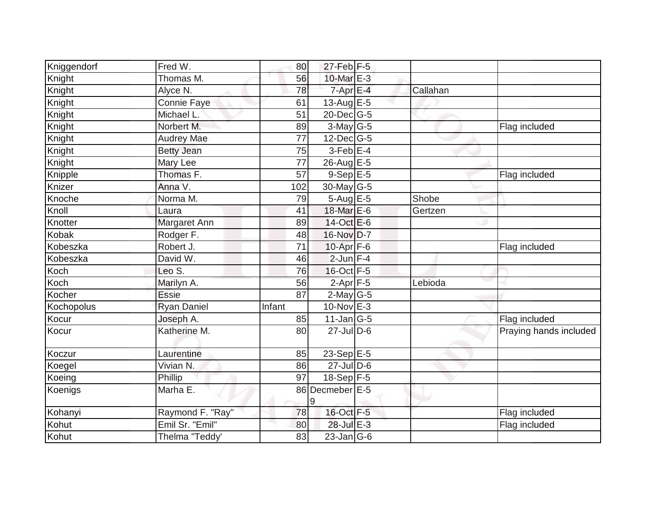| Kniggendorf | Fred W.            | 80              | $27$ -Feb F-5           |          |                        |
|-------------|--------------------|-----------------|-------------------------|----------|------------------------|
| Knight      | Thomas M.          | 56              | 10-Mar E-3              |          |                        |
| Knight      | Alyce N.           | 78              | $7 - Apr$ E-4           | Callahan |                        |
| Knight      | Connie Faye        | 61              | 13-Aug $E-5$            |          |                        |
| Knight      | Michael L.         | 51              | 20-Dec G-5              |          |                        |
| Knight      | Norbert M.         | 89              | $3-May$ G-5             |          | Flag included          |
| Knight      | <b>Audrey Mae</b>  | $\overline{77}$ | $12$ -Dec $ G-5 $       |          |                        |
| Knight      | <b>Betty Jean</b>  | 75              | $3$ -Feb $E-4$          |          |                        |
| Knight      | Mary Lee           | 77              | $26$ -Aug $E - 5$       |          |                        |
| Knipple     | Thomas F.          | 57              | $9-SepE-5$              |          | Flag included          |
| Knizer      | Anna V.            | 102             | $30$ -May G-5           |          |                        |
| Knoche      | Norma M.           | 79              | 5-Aug E-5               | Shobe    |                        |
| Knoll       | Laura              | 41              | 18-Mar E-6              | Gertzen  |                        |
| Knotter     | Margaret Ann       | 89              | 14-Oct E-6              |          |                        |
| Kobak       | Rodger F.          | 48              | 16-Nov D-7              |          |                        |
| Kobeszka    | Robert J.          | 71              | 10-Apr F-6              |          | Flag included          |
| Kobeszka    | David W.           | 46              | $2$ -Jun $F-4$          |          |                        |
| Koch        | Leo S.             | 76              | 16-Oct F-5              |          |                        |
| Koch        | Marilyn A.         | 56              | $2-Apr$ F-5             | Lebioda  |                        |
| Kocher      | <b>Essie</b>       | 87              | $2$ -May G-5            |          |                        |
| Kochopolus  | <b>Ryan Daniel</b> | Infant          | $10$ -Nov $E-3$         |          |                        |
| Kocur       | Joseph A.          | 85              | $11$ -Jan G-5           |          | Flag included          |
| Kocur       | Katherine M.       | 80              | $27$ -JulD-6            |          | Praying hands included |
| Koczur      | Laurentine         | 85              | $23-Sep \overline{E-5}$ |          |                        |
| Koegel      | Vivian N.          | 86              | $27$ -Jul D-6           |          |                        |
| Koeing      | Phillip            | 97              | $18-Sep$ F-5            |          |                        |
| Koenigs     | Marha E.           |                 | 86 Decmeber E-5<br>Ι9   |          |                        |
| Kohanyi     | Raymond F. "Ray"   | 78              | 16-Oct F-5              |          | Flag included          |
| Kohut       | Emil Sr. "Emil"    | 80              | 28-Jul E-3              |          | Flag included          |
| Kohut       | Thelma "Teddy'     | 83              | $23$ -Jan $ G-6$        |          |                        |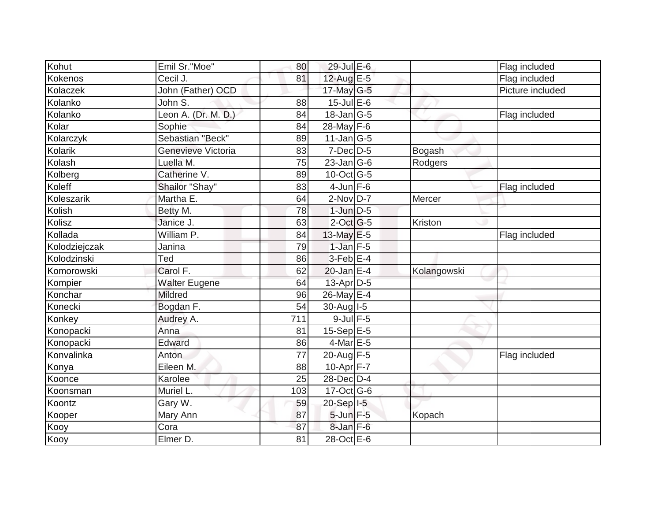| Kohut         | Emil Sr."Moe"        | 80  | 29-Jul E-6                  |             | Flag included    |
|---------------|----------------------|-----|-----------------------------|-------------|------------------|
| Kokenos       | Cecil J.             | 81  | 12-Aug E-5                  |             | Flag included    |
| Kolaczek      | John (Father) OCD    |     | 17-May G-5                  |             | Picture included |
| Kolanko       | John S.              | 88  | $15$ -Jul $E$ -6            |             |                  |
| Kolanko       | Leon A. (Dr. M. D.)  | 84  | 18-Jan G-5                  |             | Flag included    |
| Kolar         | Sophie               | 84  | $28$ -May $F-6$             |             |                  |
| Kolarczyk     | Sebastian "Beck"     | 89  | $11$ -Jan $ G-5 $           |             |                  |
| Kolarik       | Genevieve Victoria   | 83  | $7$ -Dec $D$ -5             | Bogash      |                  |
| Kolash        | Luella M.            | 75  | $23$ -Jan G-6               | Rodgers     |                  |
| Kolberg       | Catherine V.         | 89  | $10$ -Oct $\overline{G}$ -5 |             |                  |
| Koleff        | Shailor "Shay"       | 83  | $4$ -Jun F-6                |             | Flag included    |
| Koleszarik    | Martha E.            | 64  | $2-Nov$ D-7                 | Mercer      |                  |
| Kolish        | Betty M.             | 78  | $1$ -Jun $D-5$              |             |                  |
| Kolisz        | Janice J.            | 63  | $2$ -Oct G-5                | Kriston     |                  |
| Kollada       | William P.           | 84  | 13-May E-5                  |             | Flag included    |
| Kolodziejczak | Janina               | 79  | $1$ -Jan $F-5$              |             |                  |
| Kolodzinski   | Ted                  | 86  | $3$ -Feb $E-4$              |             |                  |
| Komorowski    | Carol F.             | 62  | $20$ -Jan E-4               | Kolangowski |                  |
| Kompier       | <b>Walter Eugene</b> | 64  | $13$ -Apr $D-5$             |             |                  |
| Konchar       | Mildred              | 96  | 26-May E-4                  |             |                  |
| Konecki       | Bogdan F.            | 54  | 30-Aug I-5                  |             |                  |
| Konkey        | Audrey A.            | 711 | $9$ -Jul $F$ -5             |             |                  |
| Konopacki     | Anna                 | 81  | $15-Sep$ E-5                |             |                  |
| Konopacki     | Edward               | 86  | $4$ -Mar $E-5$              |             |                  |
| Konvalinka    | Anton                | 77  | 20-Aug F-5                  |             | Flag included    |
| Konya         | Eileen M.            | 88  | $10-Apr$ F-7                |             |                  |
| Koonce        | Karolee              | 25  | 28-Dec D-4                  |             |                  |
| Koonsman      | Muriel L.            | 103 | $17-Oct$ G-6                |             |                  |
| Koontz        | Gary W.              | 59  | 20-Sep 1-5                  |             |                  |
| Kooper        | Mary Ann             | 87  | $5$ -Jun $F-5$              | Kopach      |                  |
| Kooy          | Cora                 | 87  | $8$ -Jan $F-6$              |             |                  |
| Kooy          | Elmer D.             | 81  | $28$ -Oct E-6               |             |                  |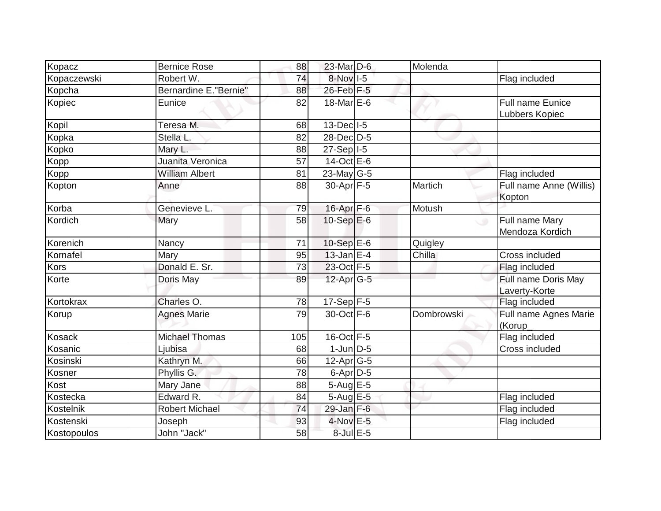| Kopacz        | <b>Bernice Rose</b>           | 88  | 23-Mar D-6              | Molenda    |                                             |
|---------------|-------------------------------|-----|-------------------------|------------|---------------------------------------------|
| Kopaczewski   | Robert W.                     | 74  | $8-Nov$ I-5             |            | Flag included                               |
| Kopcha        | <b>Bernardine E. "Bernie"</b> | 88  | 26-Feb F-5              |            |                                             |
| Kopiec        | Eunice                        | 82  | $18$ -Mar $E$ -6        |            | Full name Eunice<br>Lubbers Kopiec          |
| Kopil         | Teresa M.                     | 68  | 13-Dec I-5              |            |                                             |
| Kopka         | Stella L.                     | 82  | 28-Dec D-5              |            |                                             |
| Kopko         | Mary L.                       | 88  | $27-Sep$ <sup>1-5</sup> |            |                                             |
| Kopp          | Juanita Veronica              | 57  | $14-Oct$ E-6            |            |                                             |
| Kopp          | <b>William Albert</b>         | 81  | 23-May G-5              |            | Flag included                               |
| Kopton        | Anne                          | 88  | 30-Apr F-5              | Martich    | Full name Anne (Willis)<br>Kopton           |
| Korba         | Genevieve L.                  | 79  | 16-Apr F-6              | Motush     |                                             |
| Kordich       | Mary                          | 58  | $10-Sep$ E-6            |            | Full name Mary<br>$\cup$<br>Mendoza Kordich |
| Korenich      | Nancy                         | 71  | 10-Sep E-6              | Quigley    |                                             |
| Kornafel      | Mary                          | 95  | $13$ -Jan E-4           | Chilla     | Cross included                              |
| Kors          | Donald E. Sr.                 | 73  | 23-Oct F-5              |            | Flag included                               |
| Korte         | Doris May                     | 89  | $12$ -Apr $G-5$         |            | Full name Doris May<br>Laverty-Korte        |
| Kortokrax     | Charles O.                    | 78  | $17-Sep$ F-5            |            | Flag included                               |
| Korup         | <b>Agnes Marie</b>            | 79  | 30-Oct F-6              | Dombrowski | Full name Agnes Marie<br>(Korup_            |
| <b>Kosack</b> | <b>Michael Thomas</b>         | 105 | $16$ -Oct $F-5$         |            | Flag included                               |
| Kosanic       | Ljubisa                       | 68  | $1$ -Jun $D-5$          |            | Cross included                              |
| Kosinski      | Kathryn M.                    | 66  | $12$ -Apr $G-5$         |            |                                             |
| Kosner        | Phyllis G.                    | 78  | $6$ -Apr $D-5$          |            |                                             |
| Kost          | Mary Jane                     | 88  | $5-Aug$ $E-5$           |            |                                             |
| Kostecka      | Edward R.                     | 84  | 5-Aug E-5               |            | Flag included                               |
| Kostelnik     | <b>Robert Michael</b>         | 74  | $29$ -Jan $F-6$         |            | Flag included                               |
| Kostenski     | Joseph                        | 93  | $4$ -Nov $E - 5$        |            | Flag included                               |
| Kostopoulos   | John "Jack"                   | 58  | 8-Jul E-5               |            |                                             |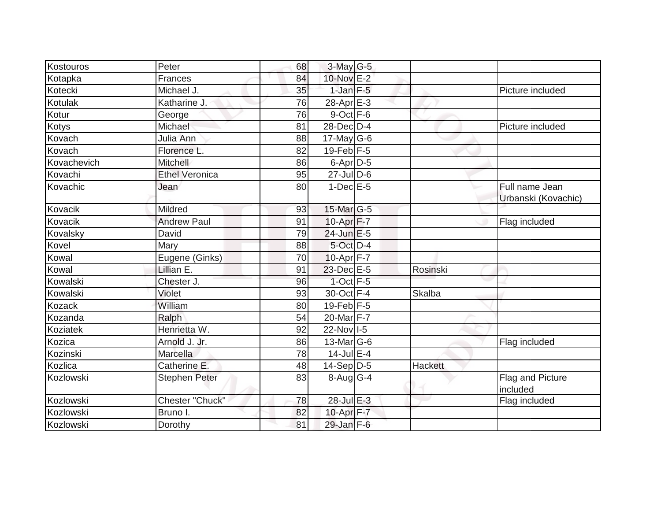| Kostouros   | Peter                 | 68 | 3-May G-5             |          |                                       |
|-------------|-----------------------|----|-----------------------|----------|---------------------------------------|
| Kotapka     | Frances               | 84 | 10-Nov E-2            |          |                                       |
| Kotecki     | Michael J.            | 35 | $1$ -Jan F-5          |          | Picture included                      |
| Kotulak     | Katharine J.          | 76 | 28-Apr E-3            |          |                                       |
| Kotur       | George                | 76 | 9-Oct F-6             |          |                                       |
| Kotys       | Michael               | 81 | 28-Dec D-4            |          | Picture included                      |
| Kovach      | Julia Ann             | 88 | 17-May $G-6$          |          |                                       |
| Kovach      | Florence L.           | 82 | $19$ -Feb $F-5$       |          |                                       |
| Kovachevich | <b>Mitchell</b>       | 86 | 6-Apr D-5             |          |                                       |
| Kovachi     | <b>Ethel Veronica</b> | 95 | $27$ -Jul $D-6$       |          |                                       |
| Kovachic    | Jean                  | 80 | $1$ -Dec $E$ -5       |          | Full name Jean<br>Urbanski (Kovachic) |
| Kovacik     | <b>Mildred</b>        | 93 | $15$ -Mar $ G-5 $     |          |                                       |
| Kovacik     | <b>Andrew Paul</b>    | 91 | 10-Apr F-7            |          | Flag included                         |
| Kovalsky    | David                 | 79 | 24-Jun E-5            |          |                                       |
| Kovel       | Mary                  | 88 | 5-Oct D-4             |          |                                       |
| Kowal       | Eugene (Ginks)        | 70 | $10-Apr$ F-7          |          |                                       |
| Kowal       | Lillian E.            | 91 | 23-Dec E-5            | Rosinski |                                       |
| Kowalski    | Chester J.            | 96 | $1$ -Oct $F - 5$      |          |                                       |
| Kowalski    | Violet                | 93 | 30-Oct F-4            | Skalba   |                                       |
| Kozack      | William               | 80 | $19$ -Feb F-5         |          |                                       |
| Kozanda     | Ralph                 | 54 | 20-Mar <sub>F-7</sub> |          |                                       |
| Koziatek    | Henrietta W.          | 92 | 22-Nov 1-5            |          |                                       |
| Kozica      | Arnold J. Jr.         | 86 | $13$ -Mar $ G-6$      |          | Flag included                         |
| Kozinski    | Marcella              | 78 | $14$ -Jul $E-4$       |          |                                       |
| Kozlica     | Catherine E.          | 48 | $14-Sep D-5$          | Hackett  |                                       |
| Kozlowski   | <b>Stephen Peter</b>  | 83 | $8-Aug$ G-4           |          | Flag and Picture<br>included          |
| Kozlowski   | Chester "Chuck"       | 78 | $28$ -Jul E-3         |          | Flag included                         |
| Kozlowski   | Bruno I.              | 82 | 10-Apr F-7            |          |                                       |
| Kozlowski   | Dorothy               | 81 | 29-Jan F-6            |          |                                       |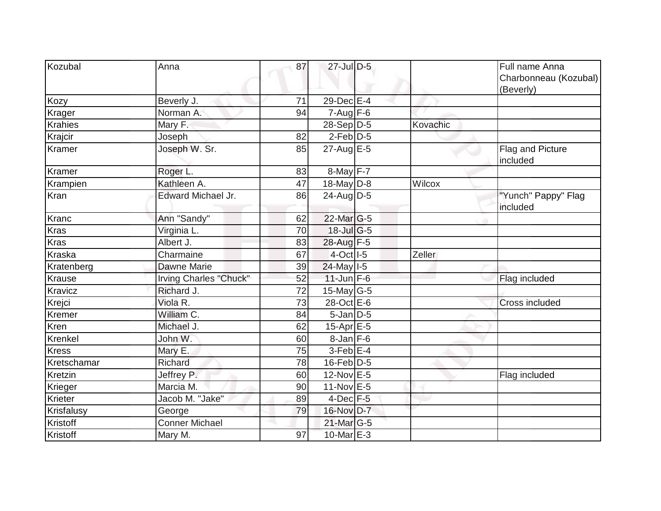| Kozubal      | Anna                   | 87 | 27-Jul D-5             |          | Full name Anna<br>Charbonneau (Kozubal)<br>(Beverly) |
|--------------|------------------------|----|------------------------|----------|------------------------------------------------------|
| Kozy         | Beverly J.             | 71 | 29-Dec E-4             |          |                                                      |
| Krager       | Norman A.              | 94 | $7 - Aug$ F-6          |          |                                                      |
| Krahies      | Mary F.                |    | $28-Sep D-5$           | Kovachic |                                                      |
| Krajcir      | Joseph                 | 82 | $2$ -Feb $D-5$         |          |                                                      |
| Kramer       | Joseph W. Sr.          | 85 | $27$ -Aug E-5          |          | Flag and Picture<br>included                         |
| Kramer       | Roger L.               | 83 | $8$ -May $F-7$         |          |                                                      |
| Krampien     | Kathleen A.            | 47 | 18-May D-8             | Wilcox   |                                                      |
| Kran         | Edward Michael Jr.     | 86 | $24$ -Aug D-5          |          | "Yunch" Pappy" Flag<br>included                      |
| Kranc        | Ann "Sandy"            | 62 | $22$ -Mar $ G-5 $      |          |                                                      |
| Kras         | Virginia L.            | 70 | 18-Jul G-5             |          |                                                      |
| <b>Kras</b>  | Albert J.              | 83 | 28-Aug F-5             |          |                                                      |
| Kraska       | Charmaine              | 67 | $4-Oct$ <sup>1-5</sup> | Zeller   |                                                      |
| Kratenberg   | Dawne Marie            | 39 | $24$ -May $1-5$        |          |                                                      |
| Krause       | Irving Charles "Chuck" | 52 | $11$ -Jun $F-6$        |          | Flag included                                        |
| Kravicz      | Richard J.             | 72 | 15-May $G-5$           |          |                                                      |
| Krejci       | Viola <sub>R.</sub>    | 73 | 28-Oct E-6             |          | Cross included                                       |
| Kremer       | William C.             | 84 | $5$ -Jan $D$ -5        |          |                                                      |
| Kren         | Michael J.             | 62 | 15-Apr $E-5$           |          |                                                      |
| Krenkel      | John W.                | 60 | $8$ -Jan $F$ -6        |          |                                                      |
| <b>Kress</b> | Mary E.                | 75 | $3$ -Feb $E-4$         |          |                                                      |
| Kretschamar  | Richard                | 78 | $16$ -Feb $ D-5$       |          |                                                      |
| Kretzin      | Jeffrey P.             | 60 | 12-Nov E-5             |          | Flag included                                        |
| Krieger      | Marcia M.              | 90 | $11-Nov$ E-5           |          |                                                      |
| Krieter      | Jacob M. "Jake"        | 89 | $4$ -Dec $F-5$         |          |                                                      |
| Krisfalusy   | George                 | 79 | 16-Nov D-7             |          |                                                      |
| Kristoff     | <b>Conner Michael</b>  |    | 21-Mar G-5             |          |                                                      |
| Kristoff     | Mary M.                | 97 | 10-Mar E-3             |          |                                                      |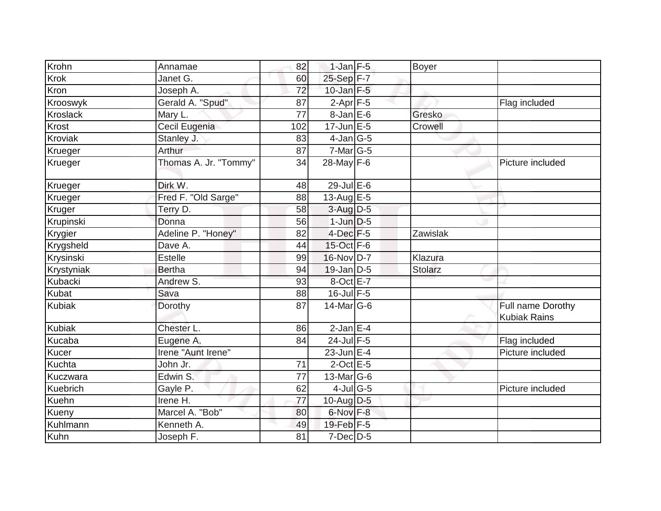| Krohn          | Annamae               | 82              | $1$ -Jan F-5     | Boyer          |                                          |
|----------------|-----------------------|-----------------|------------------|----------------|------------------------------------------|
| <b>Krok</b>    | Janet G.              | 60              | $25 - Sep$ F-7   |                |                                          |
| Kron           | Joseph A.             | 72              | $10$ -Jan $F-5$  |                |                                          |
| Krooswyk       | Gerald A. "Spud"      | 87              | $2-Apr$ F-5      |                | Flag included                            |
| Kroslack       | Mary L.               | $\overline{77}$ | $8 - Jan$ $E-6$  | Gresko         |                                          |
| Krost          | Cecil Eugenia         | 102             | $17$ -Jun $E$ -5 | Crowell        |                                          |
| <b>Kroviak</b> | Stanley J.            | 83              | $4$ -Jan $ G-5 $ |                |                                          |
| Krueger        | Arthur                | 87              | $7$ -Mar $ G-5 $ |                |                                          |
| Krueger        | Thomas A. Jr. "Tommy" | 34              | 28-May F-6       |                | Picture included                         |
| Krueger        | Dirk W.               | 48              | $29$ -Jul $E-6$  |                |                                          |
| Krueger        | Fred F. "Old Sarge"   | 88              | 13-Aug $E-5$     |                |                                          |
| Kruger         | Terry D.              | 58              | $3-Aug$ D-5      |                |                                          |
| Krupinski      | Donna                 | 56              | $1$ -Jun $D-5$   |                |                                          |
| Krygier        | Adeline P. "Honey"    | 82              | 4-Dec F-5        | Zawislak       |                                          |
| Krygsheld      | Dave A.               | 44              | 15-Oct F-6       |                |                                          |
| Krysinski      | <b>Estelle</b>        | 99              | 16-Nov D-7       | Klazura        |                                          |
| Krystyniak     | <b>Bertha</b>         | 94              | $19$ -Jan D-5    | <b>Stolarz</b> |                                          |
| Kubacki        | Andrew S.             | 93              | 8-Oct E-7        |                |                                          |
| Kubat          | Sava                  | 88              | $16$ -Jul $F-5$  |                |                                          |
| Kubiak         | Dorothy               | 87              | 14-Mar G-6       |                | Full name Dorothy<br><b>Kubiak Rains</b> |
| Kubiak         | Chester L.            | 86              | $2$ -Jan E-4     |                |                                          |
| Kucaba         | Eugene A.             | 84              | $24$ -Jul F-5    |                | Flag included                            |
| Kucer          | Irene "Aunt Irene"    |                 | $23$ -Jun $E-4$  |                | Picture included                         |
| Kuchta         | John Jr.              | 71              | $2$ -Oct E-5     |                |                                          |
| Kuczwara       | Edwin S.              | 77              | 13-Mar G-6       |                |                                          |
| Kuebrich       | Gayle P.              | 62              | $4$ -Jul G-5     |                | Picture included                         |
| <b>Kuehn</b>   | Irene H.              | 77              | $10$ -Aug D-5    |                |                                          |
| Kueny          | Marcel A. "Bob"       | 80              | $6$ -Nov $F-8$   |                |                                          |
| Kuhlmann       | Kenneth A.            | 49              | 19-Feb F-5       |                |                                          |
| Kuhn           | Joseph F.             | 81              | $7$ -Dec $D-5$   |                |                                          |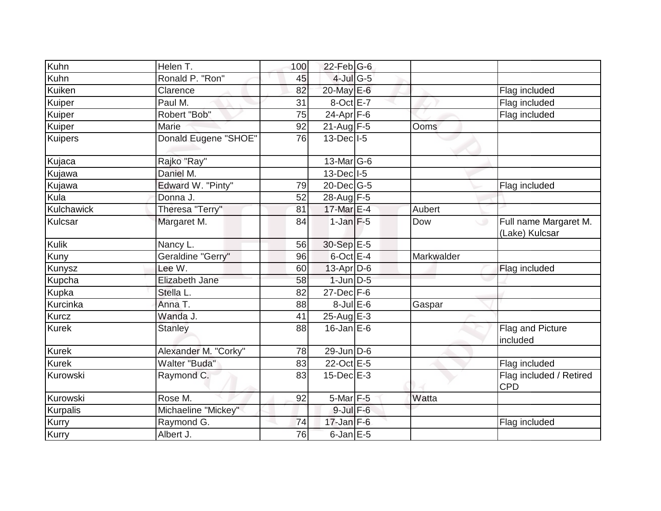| Kuhn            | Helen T.             | 100 | $22$ -Feb $ G-6$  |            |                                              |
|-----------------|----------------------|-----|-------------------|------------|----------------------------------------------|
| Kuhn            | Ronald P. "Ron"      | 45  | $4$ -Jul G-5      |            |                                              |
| Kuiken          | Clarence             | 82  | 20-May E-6        |            | Flag included                                |
| Kuiper          | Paul M.              | 31  | 8-OctlE-7         |            | Flag included                                |
| Kuiper          | Robert "Bob"         | 75  | $24-Apr$ F-6      |            | Flag included                                |
| Kuiper          | Marie                | 92  | $21$ -Aug F-5     | Ooms       |                                              |
| <b>Kuipers</b>  | Donald Eugene "SHOE" | 76  | $13$ -Dec $ I-5 $ |            |                                              |
| Kujaca          | Rajko "Ray"          |     | $13$ -Mar $ G-6$  |            |                                              |
| Kujawa          | Daniel M.            |     | $13$ -Dec $ I-5 $ |            |                                              |
| Kujawa          | Edward W. "Pinty"    | 79  | $20$ -Dec $ G-5 $ |            | Flag included                                |
| Kula            | Donna J.             | 52  | 28-Aug F-5        |            |                                              |
| Kulchawick      | Theresa "Terry"      | 81  | 17-Mar E-4        | Aubert     |                                              |
| Kulcsar         | Margaret M.          | 84  | $1$ -Jan $F-5$    | Dow        | Full name Margaret M.<br>ی<br>(Lake) Kulcsar |
| <b>Kulik</b>    | Nancy L.             | 56  | 30-Sep E-5        |            |                                              |
| Kuny            | Geraldine "Gerry"    | 96  | $6$ -Oct $E-4$    | Markwalder |                                              |
| Kunysz          | Lee W.               | 60  | 13-Apr D-6        |            | Flag included                                |
| Kupcha          | Elizabeth Jane       | 58  | $1$ -Jun $D-5$    |            |                                              |
| Kupka           | Stella L.            | 82  | $27$ -Dec $F-6$   |            |                                              |
| Kurcinka        | Anna T.              | 88  | $8$ -Jul $E$ -6   | Gaspar     |                                              |
| Kurcz           | Wanda J.             | 41  | 25-Aug E-3        |            |                                              |
| <b>Kurek</b>    | <b>Stanley</b>       | 88  | $16$ -Jan $E$ -6  |            | Flag and Picture<br>included                 |
| <b>Kurek</b>    | Alexander M. "Corky" | 78  | $29$ -Jun D-6     |            |                                              |
| <b>Kurek</b>    | Walter "Buda"        | 83  | 22-Oct E-5        |            | Flag included                                |
| Kurowski        | Raymond C.           | 83  | $15$ -Dec $E-3$   |            | Flag included / Retired<br><b>CPD</b>        |
| Kurowski        | Rose M.              | 92  | $5$ -Mar $F - 5$  | Watta      |                                              |
| <b>Kurpalis</b> | Michaeline "Mickey"  |     | $9$ -Jul $F$ -6   |            |                                              |
| Kurry           | Raymond G.           | 74  | $17$ -Jan F-6     |            | Flag included                                |
| <b>Kurry</b>    | Albert J.            | 76  | $6$ -Jan $E$ -5   |            |                                              |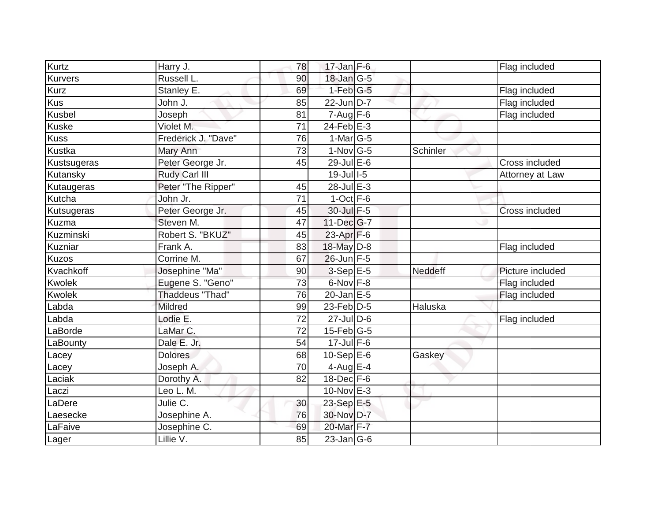| $17$ -Jan $F-6$<br><b>Kurvers</b><br>Russell L.<br>$18$ -Jan $ G-5 $<br>90<br>Kurz<br>$1-Feb$ G-5<br>Stanley E.<br>69<br>Flag included<br><b>Kus</b><br>$22$ -Jun D-7<br>John J.<br>Flag included<br>85<br>Kusbel<br>$7 - \overline{Aug}$ F-6<br>Joseph<br>Flag included<br>81<br>$24$ -Feb $E-3$<br><b>Kuske</b><br>71<br>Violet M.<br><b>Kuss</b><br>76<br>1-Mar $ G-5 $<br>Frederick J. "Dave"<br>1-Nov G-5<br>Kustka<br>73<br>Schinler<br>Mary Ann<br>29-Jul E-6<br>Peter George Jr.<br>45<br>Cross included<br>Kustsugeras<br>Rudy Carl III<br>19-Jul 1-5<br>Kutansky<br>Attorney at Law<br>28-Jul E-3<br>Peter "The Ripper"<br>45<br>Kutaugeras<br>$1$ -Oct $F-6$<br>Kutcha<br>John Jr.<br>71<br>30-Jul F-5<br>Peter George Jr.<br>Kutsugeras<br>45<br><b>Cross included</b><br>47<br>$11$ -Dec $ G-7 $<br>Steven M.<br>Robert S. "BKUZ"<br>$23-Apr$ F-6<br>45<br>18-May D-8<br>Frank A.<br>83<br>Flag included<br>Corrine M.<br>67<br>$26$ -Jun $F-5$<br>Josephine "Ma"<br>$3-Sep$ E-5<br>Neddeff<br>Picture included<br>90<br>6-Nov F-8<br>Eugene S. "Geno"<br>Flag included<br>73<br><b>Thaddeus "Thad"</b><br>$20$ -Jan E-5<br>Kwolek<br>76<br>Flag included<br>$23$ -Feb $D-5$<br>Haluska<br>Labda<br><b>Mildred</b><br>99<br>Lodie E.<br>Labda<br>$\overline{72}$<br>$27 -$ Jul D-6<br>Flag included<br>LaMar C.<br>$15$ -Feb $ G-5 $<br>72<br>LaBorde<br>Dale E. Jr.<br>$17$ -Jul F-6<br>54<br>LaBounty<br>10-Sep $E-6$<br><b>Dolores</b><br>68<br>Gaskey<br>Lacey<br>4-Aug E-4<br>Joseph A.<br>70<br>Lacey<br>$18$ -Dec $F-6$<br>Laciak<br>Dorothy A.<br>82<br>$10$ -Nov $E-3$<br>Leo L. M.<br>Laczi<br>Julie C.<br>23-Sep E-5<br>LaDere<br>30<br>30-Nov D-7<br>Josephine A.<br>76<br>Laesecke<br>20-Mar F-7<br>LaFaive<br>Josephine C.<br>69<br>Lillie V.<br>85<br>$\overline{23}$ -Jan G-6 | Kurtz        | Harry J. | 78 |  | Flag included |
|------------------------------------------------------------------------------------------------------------------------------------------------------------------------------------------------------------------------------------------------------------------------------------------------------------------------------------------------------------------------------------------------------------------------------------------------------------------------------------------------------------------------------------------------------------------------------------------------------------------------------------------------------------------------------------------------------------------------------------------------------------------------------------------------------------------------------------------------------------------------------------------------------------------------------------------------------------------------------------------------------------------------------------------------------------------------------------------------------------------------------------------------------------------------------------------------------------------------------------------------------------------------------------------------------------------------------------------------------------------------------------------------------------------------------------------------------------------------------------------------------------------------------------------------------------------------------------------------------------------------------------------------------------------------------------------------------------------------------------------------------------------------------------------------------------|--------------|----------|----|--|---------------|
|                                                                                                                                                                                                                                                                                                                                                                                                                                                                                                                                                                                                                                                                                                                                                                                                                                                                                                                                                                                                                                                                                                                                                                                                                                                                                                                                                                                                                                                                                                                                                                                                                                                                                                                                                                                                            |              |          |    |  |               |
|                                                                                                                                                                                                                                                                                                                                                                                                                                                                                                                                                                                                                                                                                                                                                                                                                                                                                                                                                                                                                                                                                                                                                                                                                                                                                                                                                                                                                                                                                                                                                                                                                                                                                                                                                                                                            |              |          |    |  |               |
|                                                                                                                                                                                                                                                                                                                                                                                                                                                                                                                                                                                                                                                                                                                                                                                                                                                                                                                                                                                                                                                                                                                                                                                                                                                                                                                                                                                                                                                                                                                                                                                                                                                                                                                                                                                                            |              |          |    |  |               |
|                                                                                                                                                                                                                                                                                                                                                                                                                                                                                                                                                                                                                                                                                                                                                                                                                                                                                                                                                                                                                                                                                                                                                                                                                                                                                                                                                                                                                                                                                                                                                                                                                                                                                                                                                                                                            |              |          |    |  |               |
|                                                                                                                                                                                                                                                                                                                                                                                                                                                                                                                                                                                                                                                                                                                                                                                                                                                                                                                                                                                                                                                                                                                                                                                                                                                                                                                                                                                                                                                                                                                                                                                                                                                                                                                                                                                                            |              |          |    |  |               |
|                                                                                                                                                                                                                                                                                                                                                                                                                                                                                                                                                                                                                                                                                                                                                                                                                                                                                                                                                                                                                                                                                                                                                                                                                                                                                                                                                                                                                                                                                                                                                                                                                                                                                                                                                                                                            |              |          |    |  |               |
|                                                                                                                                                                                                                                                                                                                                                                                                                                                                                                                                                                                                                                                                                                                                                                                                                                                                                                                                                                                                                                                                                                                                                                                                                                                                                                                                                                                                                                                                                                                                                                                                                                                                                                                                                                                                            |              |          |    |  |               |
|                                                                                                                                                                                                                                                                                                                                                                                                                                                                                                                                                                                                                                                                                                                                                                                                                                                                                                                                                                                                                                                                                                                                                                                                                                                                                                                                                                                                                                                                                                                                                                                                                                                                                                                                                                                                            |              |          |    |  |               |
|                                                                                                                                                                                                                                                                                                                                                                                                                                                                                                                                                                                                                                                                                                                                                                                                                                                                                                                                                                                                                                                                                                                                                                                                                                                                                                                                                                                                                                                                                                                                                                                                                                                                                                                                                                                                            |              |          |    |  |               |
|                                                                                                                                                                                                                                                                                                                                                                                                                                                                                                                                                                                                                                                                                                                                                                                                                                                                                                                                                                                                                                                                                                                                                                                                                                                                                                                                                                                                                                                                                                                                                                                                                                                                                                                                                                                                            |              |          |    |  |               |
|                                                                                                                                                                                                                                                                                                                                                                                                                                                                                                                                                                                                                                                                                                                                                                                                                                                                                                                                                                                                                                                                                                                                                                                                                                                                                                                                                                                                                                                                                                                                                                                                                                                                                                                                                                                                            |              |          |    |  |               |
|                                                                                                                                                                                                                                                                                                                                                                                                                                                                                                                                                                                                                                                                                                                                                                                                                                                                                                                                                                                                                                                                                                                                                                                                                                                                                                                                                                                                                                                                                                                                                                                                                                                                                                                                                                                                            |              |          |    |  |               |
|                                                                                                                                                                                                                                                                                                                                                                                                                                                                                                                                                                                                                                                                                                                                                                                                                                                                                                                                                                                                                                                                                                                                                                                                                                                                                                                                                                                                                                                                                                                                                                                                                                                                                                                                                                                                            |              |          |    |  |               |
|                                                                                                                                                                                                                                                                                                                                                                                                                                                                                                                                                                                                                                                                                                                                                                                                                                                                                                                                                                                                                                                                                                                                                                                                                                                                                                                                                                                                                                                                                                                                                                                                                                                                                                                                                                                                            | Kuzma        |          |    |  |               |
|                                                                                                                                                                                                                                                                                                                                                                                                                                                                                                                                                                                                                                                                                                                                                                                                                                                                                                                                                                                                                                                                                                                                                                                                                                                                                                                                                                                                                                                                                                                                                                                                                                                                                                                                                                                                            | Kuzminski    |          |    |  |               |
|                                                                                                                                                                                                                                                                                                                                                                                                                                                                                                                                                                                                                                                                                                                                                                                                                                                                                                                                                                                                                                                                                                                                                                                                                                                                                                                                                                                                                                                                                                                                                                                                                                                                                                                                                                                                            | Kuzniar      |          |    |  |               |
|                                                                                                                                                                                                                                                                                                                                                                                                                                                                                                                                                                                                                                                                                                                                                                                                                                                                                                                                                                                                                                                                                                                                                                                                                                                                                                                                                                                                                                                                                                                                                                                                                                                                                                                                                                                                            | <b>Kuzos</b> |          |    |  |               |
|                                                                                                                                                                                                                                                                                                                                                                                                                                                                                                                                                                                                                                                                                                                                                                                                                                                                                                                                                                                                                                                                                                                                                                                                                                                                                                                                                                                                                                                                                                                                                                                                                                                                                                                                                                                                            | Kvachkoff    |          |    |  |               |
|                                                                                                                                                                                                                                                                                                                                                                                                                                                                                                                                                                                                                                                                                                                                                                                                                                                                                                                                                                                                                                                                                                                                                                                                                                                                                                                                                                                                                                                                                                                                                                                                                                                                                                                                                                                                            | Kwolek       |          |    |  |               |
|                                                                                                                                                                                                                                                                                                                                                                                                                                                                                                                                                                                                                                                                                                                                                                                                                                                                                                                                                                                                                                                                                                                                                                                                                                                                                                                                                                                                                                                                                                                                                                                                                                                                                                                                                                                                            |              |          |    |  |               |
|                                                                                                                                                                                                                                                                                                                                                                                                                                                                                                                                                                                                                                                                                                                                                                                                                                                                                                                                                                                                                                                                                                                                                                                                                                                                                                                                                                                                                                                                                                                                                                                                                                                                                                                                                                                                            |              |          |    |  |               |
|                                                                                                                                                                                                                                                                                                                                                                                                                                                                                                                                                                                                                                                                                                                                                                                                                                                                                                                                                                                                                                                                                                                                                                                                                                                                                                                                                                                                                                                                                                                                                                                                                                                                                                                                                                                                            |              |          |    |  |               |
|                                                                                                                                                                                                                                                                                                                                                                                                                                                                                                                                                                                                                                                                                                                                                                                                                                                                                                                                                                                                                                                                                                                                                                                                                                                                                                                                                                                                                                                                                                                                                                                                                                                                                                                                                                                                            |              |          |    |  |               |
|                                                                                                                                                                                                                                                                                                                                                                                                                                                                                                                                                                                                                                                                                                                                                                                                                                                                                                                                                                                                                                                                                                                                                                                                                                                                                                                                                                                                                                                                                                                                                                                                                                                                                                                                                                                                            |              |          |    |  |               |
|                                                                                                                                                                                                                                                                                                                                                                                                                                                                                                                                                                                                                                                                                                                                                                                                                                                                                                                                                                                                                                                                                                                                                                                                                                                                                                                                                                                                                                                                                                                                                                                                                                                                                                                                                                                                            |              |          |    |  |               |
|                                                                                                                                                                                                                                                                                                                                                                                                                                                                                                                                                                                                                                                                                                                                                                                                                                                                                                                                                                                                                                                                                                                                                                                                                                                                                                                                                                                                                                                                                                                                                                                                                                                                                                                                                                                                            |              |          |    |  |               |
|                                                                                                                                                                                                                                                                                                                                                                                                                                                                                                                                                                                                                                                                                                                                                                                                                                                                                                                                                                                                                                                                                                                                                                                                                                                                                                                                                                                                                                                                                                                                                                                                                                                                                                                                                                                                            |              |          |    |  |               |
|                                                                                                                                                                                                                                                                                                                                                                                                                                                                                                                                                                                                                                                                                                                                                                                                                                                                                                                                                                                                                                                                                                                                                                                                                                                                                                                                                                                                                                                                                                                                                                                                                                                                                                                                                                                                            |              |          |    |  |               |
|                                                                                                                                                                                                                                                                                                                                                                                                                                                                                                                                                                                                                                                                                                                                                                                                                                                                                                                                                                                                                                                                                                                                                                                                                                                                                                                                                                                                                                                                                                                                                                                                                                                                                                                                                                                                            |              |          |    |  |               |
|                                                                                                                                                                                                                                                                                                                                                                                                                                                                                                                                                                                                                                                                                                                                                                                                                                                                                                                                                                                                                                                                                                                                                                                                                                                                                                                                                                                                                                                                                                                                                                                                                                                                                                                                                                                                            |              |          |    |  |               |
|                                                                                                                                                                                                                                                                                                                                                                                                                                                                                                                                                                                                                                                                                                                                                                                                                                                                                                                                                                                                                                                                                                                                                                                                                                                                                                                                                                                                                                                                                                                                                                                                                                                                                                                                                                                                            |              |          |    |  |               |
|                                                                                                                                                                                                                                                                                                                                                                                                                                                                                                                                                                                                                                                                                                                                                                                                                                                                                                                                                                                                                                                                                                                                                                                                                                                                                                                                                                                                                                                                                                                                                                                                                                                                                                                                                                                                            | Lager        |          |    |  |               |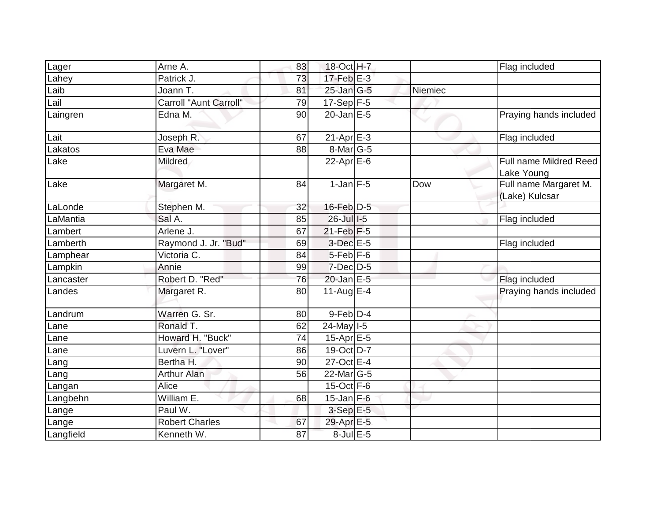| Lager     | Arne A.                       | 83 | 18-Oct H-7              |         | Flag included                           |
|-----------|-------------------------------|----|-------------------------|---------|-----------------------------------------|
| Lahey     | Patrick J.                    | 73 | $17$ -Feb $E-3$         |         |                                         |
| Laib      | Joann T.                      | 81 | $25$ -Jan $ G-5 $       | Niemiec |                                         |
| Lail      | <b>Carroll "Aunt Carroll"</b> | 79 | $17-Sep$ F-5            |         |                                         |
| Laingren  | Edna M.                       | 90 | $20$ -Jan $E-5$         |         | Praying hands included                  |
| Lait      | Joseph R.                     | 67 | $21-Apr$ $E-3$          |         | Flag included                           |
| Lakatos   | Eva Mae                       | 88 | $8$ -Mar $ G-5 $        |         |                                         |
| Lake      | <b>Mildred</b>                |    | $22-Apr \n\mathsf{E-6}$ |         | Full name Mildred Reed<br>Lake Young    |
| Lake      | Margaret M.                   | 84 | $1$ -Jan $F-5$          | Dow     | Full name Margaret M.<br>(Lake) Kulcsar |
| LaLonde   | Stephen M.                    | 32 | $16$ -Feb $D-5$         |         |                                         |
| LaMantia  | Sal A.                        | 85 | $26$ -Jull-5            |         | Flag included                           |
| Lambert   | Arlene J.                     | 67 | $21$ -Feb F-5           |         |                                         |
| Lamberth  | Raymond J. Jr. "Bud"          | 69 | 3-Dec E-5               |         | Flag included                           |
| Lamphear  | Victoria C.                   | 84 | $5-Feb$ $F-6$           |         |                                         |
| Lampkin   | Annie                         | 99 | $7$ -Dec $D$ -5         |         |                                         |
| Lancaster | Robert D. "Red"               | 76 | $20$ -Jan $E-5$         |         | Flag included                           |
| Landes    | Margaret R.                   | 80 | 11-Aug $E$ -4           |         | Praying hands included                  |
| Landrum   | Warren G. Sr.                 | 80 | $9$ -Feb $D-4$          |         |                                         |
| Lane      | Ronald T.                     | 62 | $24$ -May $1-5$         |         |                                         |
| Lane      | Howard H. "Buck"              | 74 | $15-Apr \, E-5$         |         |                                         |
| Lane      | Luvern L. "Lover"             | 86 | 19-Oct D-7              |         |                                         |
| Lang      | Bertha H.                     | 90 | 27-Oct E-4              |         |                                         |
| Lang      | <b>Arthur Alan</b>            | 56 | 22-Mar G-5              |         |                                         |
| Langan    | Alice                         |    | $15$ -Oct $F-6$         |         |                                         |
| Langbehn  | William E.                    | 68 | $15$ -Jan F-6           |         |                                         |
| Lange     | Paul W.                       |    | $3-SepE-5$              |         |                                         |
| Lange     | <b>Robert Charles</b>         | 67 | 29-Apr E-5              |         |                                         |
| Langfield | Kenneth W.                    | 87 | 8-Jul E-5               |         |                                         |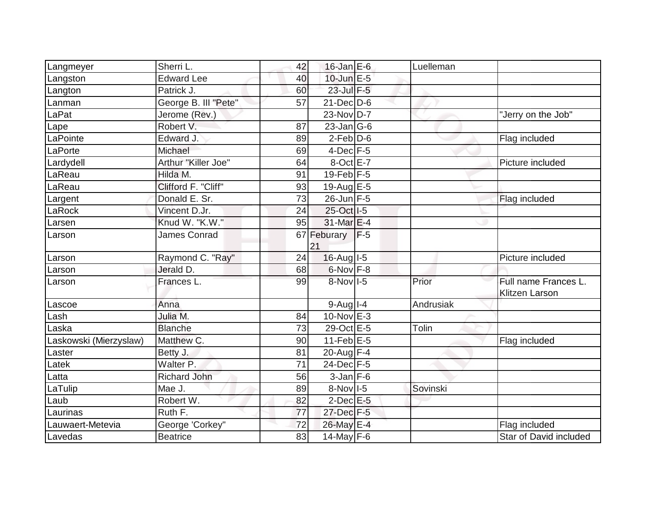| Langmeyer              | Sherri L.            | 42              | $16$ -Jan $E$ -6       |       | Luelleman |                                               |
|------------------------|----------------------|-----------------|------------------------|-------|-----------|-----------------------------------------------|
| Langston               | Edward Lee           | 40              | 10-Jun E-5             |       |           |                                               |
| Langton                | Patrick J.           | 60              | 23-Jul F-5             |       |           |                                               |
| Lanman                 | George B. III "Pete" | 57              | $21$ -Dec $D-6$        |       |           |                                               |
| LaPat                  | Jerome (Rev.)        |                 | 23-Nov D-7             |       |           | "Jerry on the Job"                            |
| Lape                   | Robert V.            | 87              | $23$ -Jan G-6          |       |           |                                               |
| LaPointe               | Edward J.            | 89              | $2$ -Feb $ D-6$        |       |           | Flag included                                 |
| LaPorte                | Michael              | 69              | $4$ -Dec $F-5$         |       |           |                                               |
| Lardydell              | Arthur "Killer Joe"  | 64              | 8-Oct E-7              |       |           | Picture included                              |
| LaReau                 | Hilda M.             | 91              | $19$ -Feb $F-5$        |       |           |                                               |
| LaReau                 | Clifford F. "Cliff"  | 93              | 19-Aug E-5             |       |           |                                               |
| Largent                | Donald E. Sr.        | 73              | $26$ -Jun F-5          |       |           | Flag included                                 |
| LaRock                 | Vincent D.Jr.        | 24              | 25-Oct I-5             |       |           |                                               |
| Larsen                 | Knud W. "K.W."       | 95              | 31-Mar E-4             |       |           |                                               |
| Larson                 | <b>James Conrad</b>  |                 | 67 Feburary<br>21      | $F-5$ |           |                                               |
| Larson                 | Raymond C. "Ray"     | 24              | $16$ -Aug $I$ -5       |       |           | Picture included                              |
| Larson                 | Jerald D.            | 68              | 6-Nov F-8              |       |           |                                               |
| Larson                 | Frances L.           | 99              | 8-Nov I-5              |       | Prior     | Full name Frances L.<br><b>Klitzen Larson</b> |
| Lascoe                 | Anna                 |                 | $9-Aug$ <sup>1-4</sup> |       | Andrusiak |                                               |
| Lash                   | Julia M.             | 84              | 10-Nov E-3             |       |           |                                               |
| Laska                  | <b>Blanche</b>       | 73              | 29-Oct E-5             |       | Tolin     |                                               |
| Laskowski (Mierzyslaw) | Matthew C.           | 90              | $11$ -Feb $E$ -5       |       |           | Flag included                                 |
| Laster                 | Betty J.             | 81              | 20-Aug $F-4$           |       |           |                                               |
| Latek                  | Walter P.            | $\overline{71}$ | 24-Dec F-5             |       |           |                                               |
| Latta                  | <b>Richard John</b>  | 56              | $3$ -Jan $F-6$         |       |           |                                               |
| LaTulip                | Mae J.               | 89              | $8-Nov$ I-5            |       | Sovinski  |                                               |
| Laub                   | Robert W.            | 82              | $2$ -Dec $E - 5$       |       |           |                                               |
| Laurinas               | Ruth F.              | 77              | 27-Dec F-5             |       |           |                                               |
| Lauwaert-Metevia       | George 'Corkey"      | 72              | 26-May E-4             |       |           | Flag included                                 |
| Lavedas                | <b>Beatrice</b>      | 83              | 14-May $F-6$           |       |           | Star of David included                        |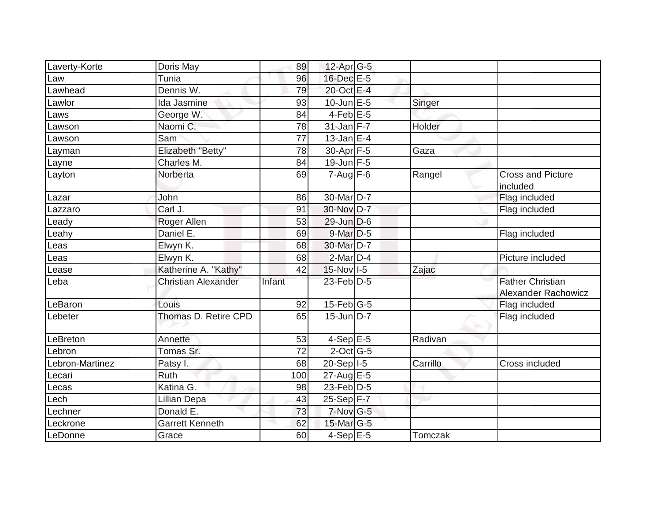| Laverty-Korte   | Doris May                  | 89     | 12-Apr G-5        |          |                                                       |
|-----------------|----------------------------|--------|-------------------|----------|-------------------------------------------------------|
| Law             | Tunia                      | 96     | 16-Dec E-5        |          |                                                       |
| Lawhead         | Dennis W.                  | 79     | 20-Oct E-4        |          |                                                       |
| Lawlor          | Ida Jasmine                | 93     | $10$ -Jun $E - 5$ | Singer   |                                                       |
| Laws            | George W.                  | 84     | $4$ -Feb $E$ -5   |          |                                                       |
| Lawson          | Naomi C.                   | 78     | $31$ -Jan F-7     | Holder   |                                                       |
| Lawson          | Sam                        | 77     | $13$ -Jan E-4     |          |                                                       |
| Layman          | Elizabeth "Betty"          | 78     | 30-Apr F-5        | Gaza     |                                                       |
| Layne           | Charles M.                 | 84     | 19-Jun F-5        |          |                                                       |
| Layton          | Norberta                   | 69     | $7 - Aug$ F-6     | Rangel   | <b>Cross and Picture</b><br>included                  |
| Lazar           | John                       | 86     | 30-Mar D-7        |          | Flag included                                         |
| Lazzaro         | Carl J.                    | 91     | 30-Nov D-7        |          | Flag included                                         |
| Leady           | Roger Allen                | 53     | 29-Jun D-6        |          |                                                       |
| Leahy           | Daniel E.                  | 69     | $9$ -Mar $D-5$    |          | Flag included                                         |
| Leas            | Elwyn K.                   | 68     | 30-Mar D-7        |          |                                                       |
| Leas            | Elwyn K.                   | 68     | $2$ -Mar $D-4$    |          | Picture included                                      |
| Lease           | Katherine A. "Kathy"       | 42     | $15$ -Nov $ 1-5 $ | Zajac    |                                                       |
| Leba            | <b>Christian Alexander</b> | Infant | $23$ -Feb $D-5$   |          | <b>Father Christian</b><br><b>Alexander Rachowicz</b> |
| LeBaron         | Louis                      | 92     | $15$ -Feb $ G-5$  |          | Flag included                                         |
| Lebeter         | Thomas D. Retire CPD       | 65     | $15$ -Jun $D-7$   |          | Flag included                                         |
| LeBreton        | Annette                    | 53     | $4-Sep$ E-5       | Radivan  |                                                       |
| Lebron          | Tomas Sr.                  | 72     | $2$ -Oct $ G-5 $  |          |                                                       |
| Lebron-Martinez | Patsy I.                   | 68     | 20-Sep   I-5      | Carrillo | Cross included                                        |
| Lecari          | Ruth                       | 100    | $27$ -Aug $E$ -5  |          |                                                       |
| Lecas           | Katina G.                  | 98     | $23$ -Feb $ D-5$  |          |                                                       |
| Lech            | Lillian Depa               | 43     | 25-Sep F-7        |          |                                                       |
| Lechner         | Donald E.                  | 73     | $7-Nov$ G-5       |          |                                                       |
| Leckrone        | <b>Garrett Kenneth</b>     | 62     | 15-Mar $ G-5 $    |          |                                                       |
| LeDonne         | Grace                      | 60     | $4-Sep$ E-5       | Tomczak  |                                                       |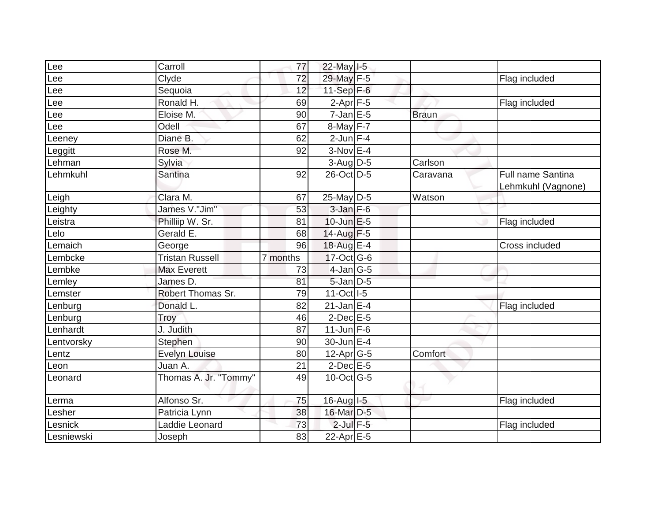| Lee        | Carroll                | 77       | 22-May I-5                  |              |                    |
|------------|------------------------|----------|-----------------------------|--------------|--------------------|
| Lee        | Clyde                  | 72       | 29-May F-5                  |              | Flag included      |
| Lee        | Sequoia                | 12       | 11-Sep $F-6$                |              |                    |
| Lee        | Ronald H.              | 69       | $2-Apr$ F-5                 |              | Flag included      |
| Lee        | Eloise M.              | 90       | $7$ -Jan E-5                | <b>Braun</b> |                    |
| -ee        | Odell                  | 67       | $8$ -May $F-7$              |              |                    |
| Leeney     | Diane B.               | 62       | $2$ -Jun $F-4$              |              |                    |
| Leggitt    | Rose M.                | 92       | $3-Nov$ E-4                 |              |                    |
| Lehman     | Sylvia                 |          | $3-Aug$ D-5                 | Carlson      |                    |
| Lehmkuhl   | Santina                | 92       | 26-Oct D-5                  | Caravana     | Full name Santina  |
|            |                        |          |                             |              | Lehmkuhl (Vagnone) |
| Leigh      | Clara M.               | 67       | 25-May D-5                  | Watson       |                    |
| Leighty    | James V."Jim"          | 53       | $3$ -Jan $F-6$              |              |                    |
| Leistra    | Philliip W. Sr.        | 81       | $10$ -Jun $E$ -5            |              | Flag included      |
| Lelo       | Gerald E.              | 68       | $14$ -Aug F-5               |              |                    |
| Lemaich    | George                 | 96       | 18-Aug E-4                  |              | Cross included     |
| Lembcke    | <b>Tristan Russell</b> | 7 months | $17$ -Oct G-6               |              |                    |
| Lembke     | <b>Max Everett</b>     | 73       | $4$ -Jan $ G-5$             |              |                    |
| Lemley     | James D.               | 81       | 5-Jan D-5                   |              |                    |
| _emster    | Robert Thomas Sr.      | 79       | 11-Oct   I-5                |              |                    |
| Lenburg    | Donald L.              | 82       | $21$ -Jan $E-4$             |              | Flag included      |
| Lenburg    | Troy                   | 46       | $2$ -Dec $E - 5$            |              |                    |
| _enhardt   | J. Judith              | 87       | $11$ -Jun F-6               |              |                    |
| Lentvorsky | Stephen                | 90       | 30-Jun E-4                  |              |                    |
| Lentz      | <b>Evelyn Louise</b>   | 80       | 12-Apr G-5                  | Comfort      |                    |
| Leon       | Juan A.                | 21       | $2$ -Dec $E$ -5             |              |                    |
| Leonard    | Thomas A. Jr. "Tommy"  | 49       | $10$ -Oct $\overline{G}$ -5 |              |                    |
|            |                        |          |                             |              |                    |
| Lerma      | Alfonso Sr.            | 75       | 16-Aug I-5                  |              | Flag included      |
| Lesher     | Patricia Lynn          | 38       | 16-Mar D-5                  |              |                    |
| Lesnick    | Laddie Leonard         | 73       | $2$ -Jul $F-5$              |              | Flag included      |
| Lesniewski | Joseph                 | 83       | 22-Apr E-5                  |              |                    |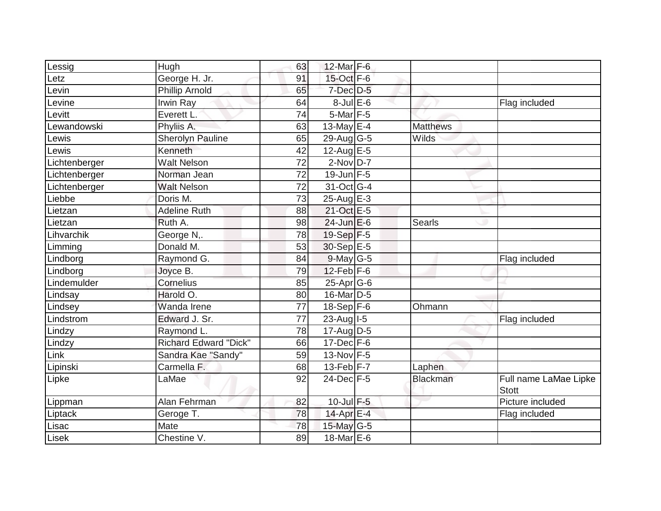| 12-Mar F-6<br>George H. Jr.<br>15-Oct F-6<br>91<br>_etz<br>$7$ -Dec $D-5$<br><b>Phillip Arnold</b><br>65<br>evin.<br>$8$ -Jul $E$ -6<br>evine.<br>Irwin Ray<br>64<br>Flag included<br>$5$ -Mar $F - 5$<br>Everett L.<br>$\overline{74}$<br>evitt.<br>13-May E-4<br>ewandowski<br>Phyliis A.<br>63<br><b>Matthews</b><br>65<br><b>Sherolyn Pauline</b><br>$29$ -Aug G-5<br><b>Wilds</b><br>ewis-<br>Kenneth<br>42<br>12-Aug $E-5$<br>_ewis<br>$2-Nov$ D-7<br><b>Walt Nelson</b><br>72<br>Lichtenberger<br>$19$ -Jun $F-5$<br>Norman Jean<br>72<br>Lichtenberger<br>31-Oct G-4<br>Lichtenberger<br><b>Walt Nelson</b><br>72<br>25-Aug E-3<br>Doris M.<br>73<br><b>Adeline Ruth</b><br>21-Oct E-5<br>88<br>Lietzan<br>$24$ -Jun $E$ -6<br>Searls<br>Ruth A.<br>98<br>Lietzan<br>19-Sep F-5<br>George N,.<br>78<br>Donald M.<br>30-Sep E-5<br>53<br>Raymond G.<br>$9$ -May G-5<br>84<br>Flag included<br>$12$ -Feb $F-6$<br>Joyce B.<br>79<br>$25$ -Apr $G$ -6<br>Cornelius<br>85<br>Harold O.<br>16-Mar D-5<br>80<br>$18-Sep$ F-6<br>Wanda Irene<br>77<br>Ohmann<br>$23$ -Aug I-5<br>Edward J. Sr.<br>77<br>Flag included<br>Raymond L.<br>78<br>$17$ -Aug $D-5$<br>Lindzy<br><b>Richard Edward "Dick"</b><br>$17 - Dec$ F-6<br>66<br>$13-Nov$ F-5<br>Sandra Kae "Sandy"<br>59<br>$13-Feb$ F-7<br>Carmella F.<br>.ipinski<br>68<br>Laphen<br>$24$ -Dec $F-5$<br>Full name LaMae Lipke<br>LaMae<br>92<br>Blackman<br><b>Stott</b><br>$10$ -Jul $F-5$<br>Picture included<br>Alan Fehrman<br>82<br>14-Apr E-4<br>Liptack<br>Geroge T.<br>78<br>Flag included<br>15-May G-5<br>Mate<br>78<br>Chestine V.<br>18-Mar E-6<br>89 |             |      | 63 |  |  |
|------------------------------------------------------------------------------------------------------------------------------------------------------------------------------------------------------------------------------------------------------------------------------------------------------------------------------------------------------------------------------------------------------------------------------------------------------------------------------------------------------------------------------------------------------------------------------------------------------------------------------------------------------------------------------------------------------------------------------------------------------------------------------------------------------------------------------------------------------------------------------------------------------------------------------------------------------------------------------------------------------------------------------------------------------------------------------------------------------------------------------------------------------------------------------------------------------------------------------------------------------------------------------------------------------------------------------------------------------------------------------------------------------------------------------------------------------------------------------------------------------------------------------------------------------------------------------------------------------------------------|-------------|------|----|--|--|
|                                                                                                                                                                                                                                                                                                                                                                                                                                                                                                                                                                                                                                                                                                                                                                                                                                                                                                                                                                                                                                                                                                                                                                                                                                                                                                                                                                                                                                                                                                                                                                                                                        | Lessig      | Hugh |    |  |  |
|                                                                                                                                                                                                                                                                                                                                                                                                                                                                                                                                                                                                                                                                                                                                                                                                                                                                                                                                                                                                                                                                                                                                                                                                                                                                                                                                                                                                                                                                                                                                                                                                                        |             |      |    |  |  |
|                                                                                                                                                                                                                                                                                                                                                                                                                                                                                                                                                                                                                                                                                                                                                                                                                                                                                                                                                                                                                                                                                                                                                                                                                                                                                                                                                                                                                                                                                                                                                                                                                        |             |      |    |  |  |
|                                                                                                                                                                                                                                                                                                                                                                                                                                                                                                                                                                                                                                                                                                                                                                                                                                                                                                                                                                                                                                                                                                                                                                                                                                                                                                                                                                                                                                                                                                                                                                                                                        |             |      |    |  |  |
|                                                                                                                                                                                                                                                                                                                                                                                                                                                                                                                                                                                                                                                                                                                                                                                                                                                                                                                                                                                                                                                                                                                                                                                                                                                                                                                                                                                                                                                                                                                                                                                                                        |             |      |    |  |  |
|                                                                                                                                                                                                                                                                                                                                                                                                                                                                                                                                                                                                                                                                                                                                                                                                                                                                                                                                                                                                                                                                                                                                                                                                                                                                                                                                                                                                                                                                                                                                                                                                                        |             |      |    |  |  |
|                                                                                                                                                                                                                                                                                                                                                                                                                                                                                                                                                                                                                                                                                                                                                                                                                                                                                                                                                                                                                                                                                                                                                                                                                                                                                                                                                                                                                                                                                                                                                                                                                        |             |      |    |  |  |
|                                                                                                                                                                                                                                                                                                                                                                                                                                                                                                                                                                                                                                                                                                                                                                                                                                                                                                                                                                                                                                                                                                                                                                                                                                                                                                                                                                                                                                                                                                                                                                                                                        |             |      |    |  |  |
|                                                                                                                                                                                                                                                                                                                                                                                                                                                                                                                                                                                                                                                                                                                                                                                                                                                                                                                                                                                                                                                                                                                                                                                                                                                                                                                                                                                                                                                                                                                                                                                                                        |             |      |    |  |  |
|                                                                                                                                                                                                                                                                                                                                                                                                                                                                                                                                                                                                                                                                                                                                                                                                                                                                                                                                                                                                                                                                                                                                                                                                                                                                                                                                                                                                                                                                                                                                                                                                                        |             |      |    |  |  |
|                                                                                                                                                                                                                                                                                                                                                                                                                                                                                                                                                                                                                                                                                                                                                                                                                                                                                                                                                                                                                                                                                                                                                                                                                                                                                                                                                                                                                                                                                                                                                                                                                        |             |      |    |  |  |
|                                                                                                                                                                                                                                                                                                                                                                                                                                                                                                                                                                                                                                                                                                                                                                                                                                                                                                                                                                                                                                                                                                                                                                                                                                                                                                                                                                                                                                                                                                                                                                                                                        | Liebbe      |      |    |  |  |
|                                                                                                                                                                                                                                                                                                                                                                                                                                                                                                                                                                                                                                                                                                                                                                                                                                                                                                                                                                                                                                                                                                                                                                                                                                                                                                                                                                                                                                                                                                                                                                                                                        |             |      |    |  |  |
|                                                                                                                                                                                                                                                                                                                                                                                                                                                                                                                                                                                                                                                                                                                                                                                                                                                                                                                                                                                                                                                                                                                                                                                                                                                                                                                                                                                                                                                                                                                                                                                                                        |             |      |    |  |  |
|                                                                                                                                                                                                                                                                                                                                                                                                                                                                                                                                                                                                                                                                                                                                                                                                                                                                                                                                                                                                                                                                                                                                                                                                                                                                                                                                                                                                                                                                                                                                                                                                                        | Lihvarchik  |      |    |  |  |
|                                                                                                                                                                                                                                                                                                                                                                                                                                                                                                                                                                                                                                                                                                                                                                                                                                                                                                                                                                                                                                                                                                                                                                                                                                                                                                                                                                                                                                                                                                                                                                                                                        | Limming     |      |    |  |  |
|                                                                                                                                                                                                                                                                                                                                                                                                                                                                                                                                                                                                                                                                                                                                                                                                                                                                                                                                                                                                                                                                                                                                                                                                                                                                                                                                                                                                                                                                                                                                                                                                                        | Lindborg    |      |    |  |  |
|                                                                                                                                                                                                                                                                                                                                                                                                                                                                                                                                                                                                                                                                                                                                                                                                                                                                                                                                                                                                                                                                                                                                                                                                                                                                                                                                                                                                                                                                                                                                                                                                                        | Lindborg    |      |    |  |  |
|                                                                                                                                                                                                                                                                                                                                                                                                                                                                                                                                                                                                                                                                                                                                                                                                                                                                                                                                                                                                                                                                                                                                                                                                                                                                                                                                                                                                                                                                                                                                                                                                                        | Lindemulder |      |    |  |  |
|                                                                                                                                                                                                                                                                                                                                                                                                                                                                                                                                                                                                                                                                                                                                                                                                                                                                                                                                                                                                                                                                                                                                                                                                                                                                                                                                                                                                                                                                                                                                                                                                                        | Lindsay     |      |    |  |  |
|                                                                                                                                                                                                                                                                                                                                                                                                                                                                                                                                                                                                                                                                                                                                                                                                                                                                                                                                                                                                                                                                                                                                                                                                                                                                                                                                                                                                                                                                                                                                                                                                                        | Lindsey     |      |    |  |  |
|                                                                                                                                                                                                                                                                                                                                                                                                                                                                                                                                                                                                                                                                                                                                                                                                                                                                                                                                                                                                                                                                                                                                                                                                                                                                                                                                                                                                                                                                                                                                                                                                                        | Lindstrom   |      |    |  |  |
|                                                                                                                                                                                                                                                                                                                                                                                                                                                                                                                                                                                                                                                                                                                                                                                                                                                                                                                                                                                                                                                                                                                                                                                                                                                                                                                                                                                                                                                                                                                                                                                                                        |             |      |    |  |  |
|                                                                                                                                                                                                                                                                                                                                                                                                                                                                                                                                                                                                                                                                                                                                                                                                                                                                                                                                                                                                                                                                                                                                                                                                                                                                                                                                                                                                                                                                                                                                                                                                                        | Lindzy      |      |    |  |  |
|                                                                                                                                                                                                                                                                                                                                                                                                                                                                                                                                                                                                                                                                                                                                                                                                                                                                                                                                                                                                                                                                                                                                                                                                                                                                                                                                                                                                                                                                                                                                                                                                                        | Link        |      |    |  |  |
|                                                                                                                                                                                                                                                                                                                                                                                                                                                                                                                                                                                                                                                                                                                                                                                                                                                                                                                                                                                                                                                                                                                                                                                                                                                                                                                                                                                                                                                                                                                                                                                                                        |             |      |    |  |  |
|                                                                                                                                                                                                                                                                                                                                                                                                                                                                                                                                                                                                                                                                                                                                                                                                                                                                                                                                                                                                                                                                                                                                                                                                                                                                                                                                                                                                                                                                                                                                                                                                                        | Lipke       |      |    |  |  |
|                                                                                                                                                                                                                                                                                                                                                                                                                                                                                                                                                                                                                                                                                                                                                                                                                                                                                                                                                                                                                                                                                                                                                                                                                                                                                                                                                                                                                                                                                                                                                                                                                        | Lippman     |      |    |  |  |
|                                                                                                                                                                                                                                                                                                                                                                                                                                                                                                                                                                                                                                                                                                                                                                                                                                                                                                                                                                                                                                                                                                                                                                                                                                                                                                                                                                                                                                                                                                                                                                                                                        |             |      |    |  |  |
|                                                                                                                                                                                                                                                                                                                                                                                                                                                                                                                                                                                                                                                                                                                                                                                                                                                                                                                                                                                                                                                                                                                                                                                                                                                                                                                                                                                                                                                                                                                                                                                                                        | Lisac       |      |    |  |  |
|                                                                                                                                                                                                                                                                                                                                                                                                                                                                                                                                                                                                                                                                                                                                                                                                                                                                                                                                                                                                                                                                                                                                                                                                                                                                                                                                                                                                                                                                                                                                                                                                                        | Lisek       |      |    |  |  |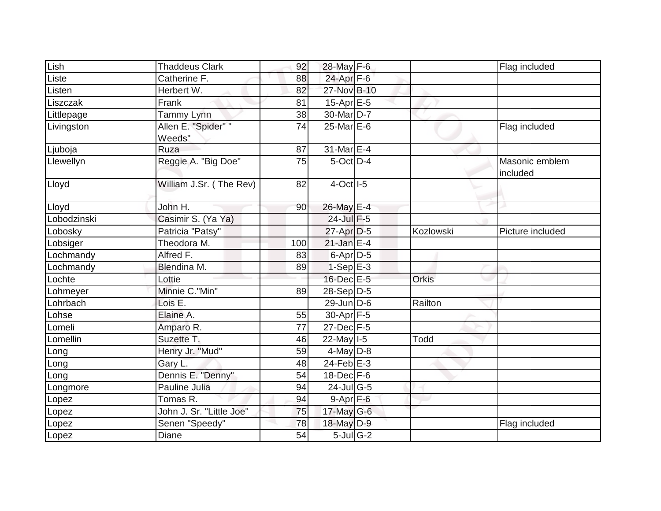| Lish        | <b>Thaddeus Clark</b>         | 92  | 28-May F-6        |           | Flag included              |
|-------------|-------------------------------|-----|-------------------|-----------|----------------------------|
| Liste       | Catherine F.                  | 88  | 24-Apr F-6        |           |                            |
| Listen      | Herbert W.                    | 82  | 27-Nov B-10       |           |                            |
| Liszczak    | Frank                         | 81  | $15$ -Apr $E$ -5  |           |                            |
| Littlepage  | Tammy Lynn                    | 38  | 30-Mar D-7        |           |                            |
| Livingston  | Allen E. "Spider" "<br>Weeds" | 74  | 25-Mar E-6        |           | Flag included              |
| Ljuboja     | Ruza                          | 87  | $31$ -Mar $E-4$   |           |                            |
| Llewellyn   | Reggie A. "Big Doe"           | 75  | $5$ -Oct $D-4$    |           | Masonic emblem<br>included |
| Lloyd       | William J.Sr. (The Rev)       | 82  | $4$ -Oct $ I-5 $  |           |                            |
| Lloyd       | John H.                       | 90  | 26-May E-4        |           |                            |
| Lobodzinski | Casimir S. (Ya Ya)            |     | 24-Jul F-5        |           |                            |
| Lobosky     | Patricia "Patsy"              |     | $27$ -Apr $D-5$   | Kozlowski | Picture included           |
| Lobsiger    | Theodora M.                   | 100 | $21$ -Jan E-4     |           |                            |
| Lochmandy   | Alfred F.                     | 83  | $6$ -Apr $D-5$    |           |                            |
| Lochmandy   | Blendina M.                   | 89  | $1-Sep$ E-3       |           |                            |
| Lochte      | Lottie                        |     | $16$ -Dec $E$ -5  | Orkis     |                            |
| Lohmeyer    | Minnie C."Min"                | 89  | $28-Sep D-5$      |           |                            |
| Lohrbach    | Lois E.                       |     | $29$ -Jun $D-6$   | Railton   |                            |
| _ohse       | Elaine A.                     | 55  | $30-Apr$ F-5      |           |                            |
| _omeli      | Amparo R.                     | 77  | $27$ -Dec $F-5$   |           |                            |
| Lomellin    | Suzette T.                    | 46  | $22$ -May $ I-5 $ | Todd      |                            |
| Long        | Henry Jr. "Mud"               | 59  | $4$ -May $D-8$    |           |                            |
| Long        | Gary L.                       | 48  | $24$ -Feb $E-3$   |           |                            |
| Long        | Dennis E. "Denny"             | 54  | $18$ -Dec $F-6$   |           |                            |
| Longmore    | Pauline Julia                 | 94  | $24$ -JulG-5      |           |                            |
| Lopez       | Tomas R.                      | 94  | $9 - Apr$ $F-6$   |           |                            |
| Lopez       | John J. Sr. "Little Joe"      | 75  | $17$ -May G-6     |           |                            |
| Lopez       | Senen "Speedy"                | 78  | 18-May D-9        |           | Flag included              |
| Lopez       | <b>Diane</b>                  | 54  | $5$ -Jul G-2      |           |                            |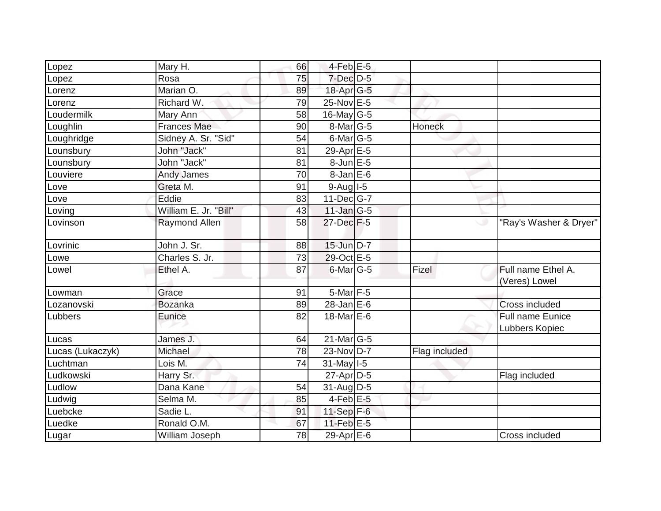| Lopez            | Mary H.               | 66 | $4$ -Feb $E-5$    |               |                                     |
|------------------|-----------------------|----|-------------------|---------------|-------------------------------------|
| Lopez            | Rosa                  | 75 | 7-Dec D-5         |               |                                     |
| _orenz           | Marian O.             | 89 | 18-Apr G-5        |               |                                     |
| Lorenz           | Richard W.            | 79 | 25-Nov E-5        |               |                                     |
| Loudermilk       | Mary Ann              | 58 | 16-May G-5        |               |                                     |
| Loughlin         | <b>Frances Mae</b>    | 90 | $8$ -Mar $ G-5 $  | <b>Honeck</b> |                                     |
| Loughridge       | Sidney A. Sr. "Sid"   | 54 | $6$ -Mar $ G-5 $  |               |                                     |
| Lounsbury        | John "Jack"           | 81 | 29-Apr E-5        |               |                                     |
| Lounsbury        | John "Jack"           | 81 | $8$ -Jun $E - 5$  |               |                                     |
| _ouviere         | <b>Andy James</b>     | 70 | $8 - Jan$ E-6     |               |                                     |
| Love             | Greta M.              | 91 | $9-Auq$  -5       |               |                                     |
| Love             | Eddie                 | 83 | $11$ -Dec $G$ -7  |               |                                     |
| Loving           | William E. Jr. "Bill" | 43 | $11$ -Jan $ G-5 $ |               |                                     |
| Lovinson         | Raymond Allen         | 58 | 27-Dec F-5        |               | "Ray's Washer & Dryer"              |
| Lovrinic         | John J. Sr.           | 88 | $15$ -Jun $D-7$   |               |                                     |
| Lowe             | Charles S. Jr.        | 73 | 29-Oct E-5        |               |                                     |
| Lowel            | Ethel A.              | 87 | $6$ -Mar $ G-5 $  | Fizel         | Full name Ethel A.<br>(Veres) Lowel |
| Lowman           | Grace                 | 91 | 5-Mar F-5         |               |                                     |
| Lozanovski       | <b>Bozanka</b>        | 89 | $28$ -Jan E-6     |               | Cross included                      |
| Lubbers          | Eunice                | 82 | 18-Mar $E$ -6     |               | Full name Eunice<br>Lubbers Kopiec  |
| Lucas            | James J.              | 64 | $21$ -Mar $G-5$   |               |                                     |
| Lucas (Lukaczyk) | Michael               | 78 | 23-Nov D-7        | Flag included |                                     |
| Luchtman         | Lois M.               | 74 | $31$ -May $1-5$   |               |                                     |
| Ludkowski        | Harry Sr.             |    | $27$ -Apr $D-5$   |               | Flag included                       |
| Ludlow           | Dana Kane             | 54 | $31$ -Aug D-5     |               |                                     |
| Ludwig           | Selma M.              | 85 | $4$ -Feb $E$ -5   |               |                                     |
| Luebcke          | Sadie L.              | 91 | $11-Sep$ F-6      |               |                                     |
| Luedke           | Ronald O.M.           | 67 | 11-Feb $E-5$      |               |                                     |
| Lugar            | William Joseph        | 78 | 29-Apr $E-6$      |               | Cross included                      |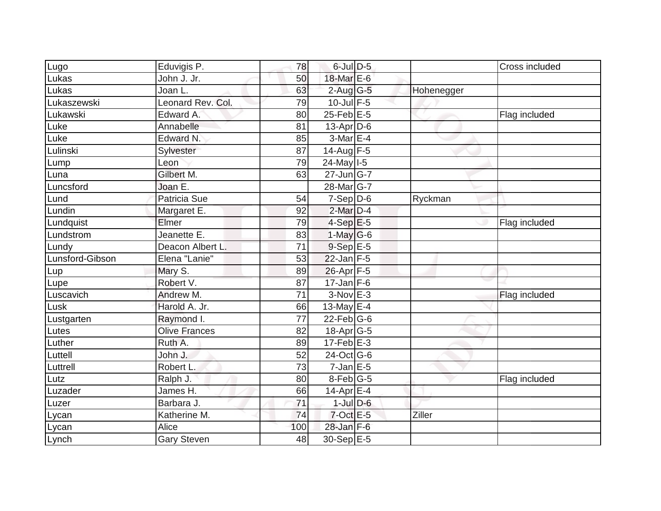| Lugo            | Eduvigis P.          | 78              | $6$ -Jul $D-5$              |            | Cross included |
|-----------------|----------------------|-----------------|-----------------------------|------------|----------------|
| Lukas           | John J. Jr.          | 50              | 18-Mar E-6                  |            |                |
| Lukas           | Joan L.              | 63              | $2$ -Aug $G - 5$            | Hohenegger |                |
| Lukaszewski     | Leonard Rev. Col.    | 79              | $10$ -Jul F-5               |            |                |
| Lukawski        | Edward A.            | 80              | $25$ -Feb $E$ -5            |            | Flag included  |
| Luke            | Annabelle            | 81              | 13-Apr D-6                  |            |                |
| Luke            | Edward N.            | 85              | 3-Mar E-4                   |            |                |
| Lulinski        | Sylvester            | 87              | $14$ -Aug F-5               |            |                |
| Lump            | Leon                 | 79              | 24-May 1-5                  |            |                |
| Luna            | Gilbert M.           | 63              | $27$ -Jun $ G-7$            |            |                |
| Luncsford       | Joan E.              |                 | 28-Mar G-7                  |            |                |
| Lund            | Patricia Sue         | 54              | $7-Sep$ D-6                 | Ryckman    |                |
| Lundin          | Margaret E.          | 92              | $2$ -Mar $D-4$              |            |                |
| Lundquist       | Elmer                | 79              | $4-Sep$ E-5                 |            | Flag included  |
| Lundstrom       | Jeanette E.          | 83              | $1-May G-6$                 |            |                |
| Lundy           | Deacon Albert L.     | 71              | $9-Sep$ E-5                 |            |                |
| Lunsford-Gibson | Elena "Lanie"        | 53              | $22$ -Jan F-5               |            |                |
| Lup             | Mary S.              | 89              | 26-Apr F-5                  |            |                |
| Lupe            | Robert V.            | 87              | $17$ -Jan F-6               |            |                |
| Luscavich       | Andrew M.            | 71              | $3-NovE-3$                  |            | Flag included  |
| Lusk            | Harold A. Jr.        | 66              | 13-May $E-4$                |            |                |
| Lustgarten      | Raymond I.           | $\overline{77}$ | $22$ -Feb $G-6$             |            |                |
| Lutes           | <b>Olive Frances</b> | 82              | 18-Apr G-5                  |            |                |
| Luther          | Ruth A.              | 89              | $17$ -Feb $E-3$             |            |                |
| Luttell         | John J.              | 52              | $24$ -Oct $\overline{G}$ -6 |            |                |
| Luttrell        | Robert L.            | 73              | $7$ -Jan $E$ -5             |            |                |
| Lutz            | Ralph J.             | 80              | 8-Feb G-5                   |            | Flag included  |
| Luzader         | James H.             | 66              | 14-Apr $E-4$                |            |                |
| Luzer           | Barbara J.           | 71              | $1$ -Jul $D$ -6             |            |                |
| Lycan           | Katherine M.         | 74              | $7$ -Oct $E$ -5             | Ziller     |                |
| Lycan           | Alice                | 100             | 28-Jan F-6                  |            |                |
| Lynch           | Gary Steven          | 48              | 30-Sep E-5                  |            |                |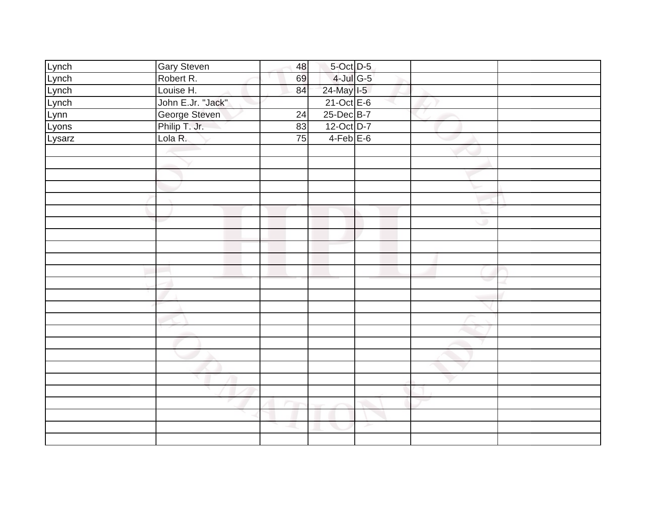| Lynch  | <b>Gary Steven</b>             | 48              | 5-Oct D-5                |   |  |
|--------|--------------------------------|-----------------|--------------------------|---|--|
| Lynch  | Robert R.                      | 69              | $4$ -Jul G-5             |   |  |
| Lynch  |                                | 84              |                          |   |  |
| Lynch  | Louise H.<br>John E.Jr. "Jack" |                 | 24-May I-5<br>21-Oct E-6 |   |  |
| Lynn   | George Steven                  | $\overline{24}$ | 25-Dec B-7               |   |  |
| Lyons  | Philip T. Jr.                  | 83              | 12-Oct D-7               |   |  |
| Lysarz | Lola R.                        | $\overline{75}$ | $4-Feb$ $E-6$            |   |  |
|        |                                |                 |                          |   |  |
|        |                                |                 |                          |   |  |
|        |                                |                 |                          |   |  |
|        |                                |                 |                          |   |  |
|        |                                |                 |                          |   |  |
|        |                                |                 |                          |   |  |
|        |                                |                 |                          |   |  |
|        |                                |                 |                          |   |  |
|        |                                |                 |                          |   |  |
|        |                                |                 |                          |   |  |
|        |                                |                 |                          |   |  |
|        |                                |                 |                          |   |  |
|        |                                |                 |                          |   |  |
|        |                                |                 |                          |   |  |
|        |                                |                 |                          |   |  |
|        |                                |                 |                          |   |  |
|        |                                |                 |                          |   |  |
|        |                                |                 |                          |   |  |
|        |                                |                 |                          |   |  |
|        |                                |                 |                          |   |  |
|        |                                |                 |                          |   |  |
|        |                                |                 |                          |   |  |
|        |                                |                 |                          |   |  |
|        |                                |                 |                          | ≻ |  |
|        |                                |                 |                          |   |  |
|        |                                |                 |                          |   |  |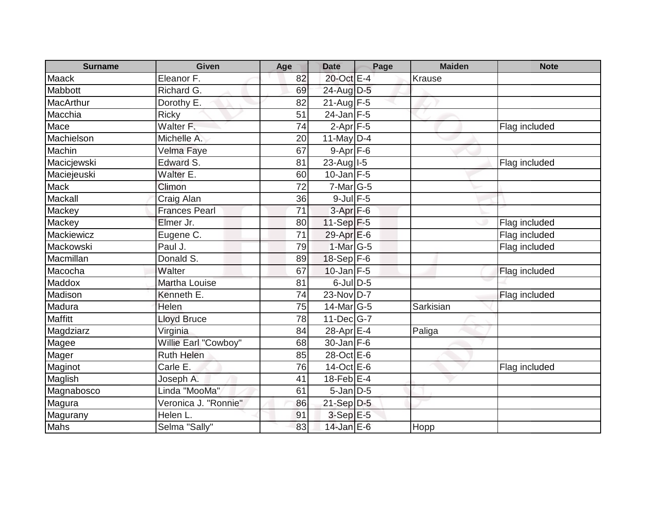| <b>Surname</b> | <b>Given</b>         | Age | <b>Date</b>           | Page | <b>Maiden</b> | <b>Note</b>   |
|----------------|----------------------|-----|-----------------------|------|---------------|---------------|
| <b>Maack</b>   | Eleanor F.           | 82  | 20-Oct E-4            |      | <b>Krause</b> |               |
| Mabbott        | Richard G.           | 69  | 24-Aug D-5            |      |               |               |
| MacArthur      | Dorothy E.           | 82  | $21$ -Aug F-5         |      |               |               |
| Macchia        | <b>Ricky</b>         | 51  | $24$ -Jan F-5         |      |               |               |
| Mace           | Walter F.            | 74  | $2-Apr$ $F-5$         |      |               | Flag included |
| Machielson     | Michelle A.          | 20  | 11-May D-4            |      |               |               |
| Machin         | Velma Faye           | 67  | $9-Apr$ F-6           |      |               |               |
| Macicjewski    | Edward S.            | 81  | $23$ -Aug $1-5$       |      |               | Flag included |
| Maciejeuski    | Walter E.            | 60  | $10$ -Jan $F-5$       |      |               |               |
| <b>Mack</b>    | Climon               | 72  | $7$ -Mar $ G-5 $      |      |               |               |
| Mackall        | Craig Alan           | 36  | $9$ -Jul $F$ -5       |      |               |               |
| Mackey         | <b>Frances Pearl</b> | 71  | $3-Apr$ F-6           |      |               |               |
| Mackey         | Elmer Jr.            | 80  | 11-Sep $F-5$          |      |               | Flag included |
| Mackiewicz     | Eugene C.            | 71  | $29-Apr \mathsf{E}-6$ |      |               | Flag included |
| Mackowski      | Paul J.              | 79  | $1-Mar$ G-5           |      |               | Flag included |
| Macmillan      | Donald S.            | 89  | $18-Sep$ F-6          |      |               |               |
| Macocha        | Walter               | 67  | $10$ -Jan $F-5$       |      |               | Flag included |
| Maddox         | <b>Martha Louise</b> | 81  | $6$ -Jul $D-5$        |      |               |               |
| Madison        | Kenneth E.           | 74  | 23-Nov D-7            |      |               | Flag included |
| Madura         | Helen                | 75  | $14$ -Mar $ G-5 $     |      | Sarkisian     |               |
| <b>Maffitt</b> | <b>Lloyd Bruce</b>   | 78  | 11-Dec G-7            |      |               |               |
| Magdziarz      | Virginia             | 84  | 28-Apr E-4            |      | Paliga        |               |
| Magee          | Willie Earl "Cowboy" | 68  | $30 - Jan$ F-6        |      |               |               |
| Mager          | <b>Ruth Helen</b>    | 85  | 28-Oct E-6            |      |               |               |
| Maginot        | Carle $E$ .          | 76  | 14-Oct E-6            |      |               | Flag included |
| Maglish        | Joseph A.            | 41  | $18$ -Feb $E-4$       |      |               |               |
| Magnabosco     | Linda "MooMa"        | 61  | $5$ -Jan $D-5$        |      |               |               |
| Magura         | Veronica J. "Ronnie" | 86  | $21-Sep D-5$          |      |               |               |
| Magurany       | Helen L.             | 91  | $3-Sep$ $E-5$         |      |               |               |
| Mahs           | Selma "Sally"        | 83  | $14$ -Jan E-6         |      | Hopp          |               |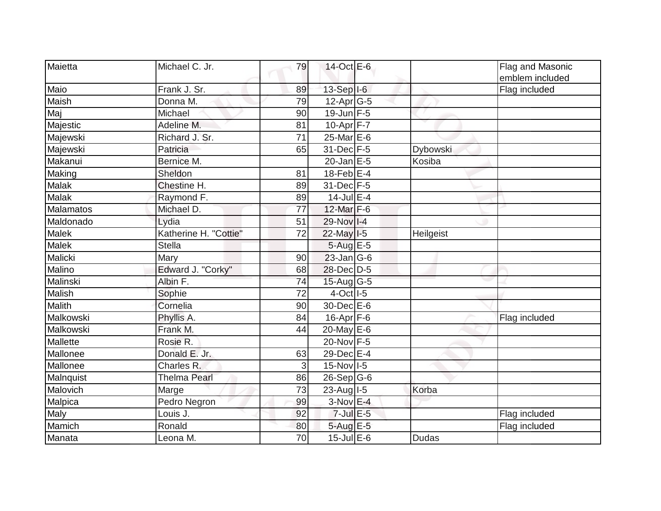| Maietta       | Michael C. Jr.        | 79 | 14-Oct E-6              |              | Flag and Masonic<br>emblem included |
|---------------|-----------------------|----|-------------------------|--------------|-------------------------------------|
| Maio          | Frank J. Sr.          | 89 | $13-Sep$ $I-6$          |              | Flag included                       |
| Maish         | Donna M.              | 79 | $12$ -Apr $ G-5 $       |              |                                     |
| Maj           | Michael               | 90 | $19$ -Jun $F-5$         |              |                                     |
| Majestic      | Adeline M.            | 81 | $10-Apr$ F-7            |              |                                     |
| Majewski      | Richard J. Sr.        | 71 | $25$ -Mar $E$ -6        |              |                                     |
| Majewski      | Patricia              | 65 | 31-Dec F-5              | Dybowski     |                                     |
| Makanui       | Bernice M.            |    | $20$ -Jan $E-5$         | Kosiba       |                                     |
| Making        | Sheldon               | 81 | $18$ -Feb $E-4$         |              |                                     |
| <b>Malak</b>  | Chestine H.           | 89 | 31-Dec F-5              |              |                                     |
| <b>Malak</b>  | Raymond F.            | 89 | $14$ -Jul E-4           |              |                                     |
| Malamatos     | Michael D.            | 77 | 12-Mar F-6              |              |                                     |
| Maldonado     | Lydia                 | 51 | 29-Nov I-4              |              |                                     |
| <b>Malek</b>  | Katherine H. "Cottie" | 72 | $22$ -May $I-5$         | Heilgeist    |                                     |
| Malek         | Stella                |    | $5-AugE-5$              |              |                                     |
| Malicki       | Mary                  | 90 | $23$ -Jan G-6           |              |                                     |
| Malino        | Edward J. "Corky"     | 68 | 28-Dec D-5              |              |                                     |
| Malinski      | Albin F.              | 74 | $15$ -Aug G-5           |              |                                     |
| Malish        | Sophie                | 72 | 4-Oct 1-5               |              |                                     |
| <b>Malith</b> | Cornelia              | 90 | 30-Dec E-6              |              |                                     |
| Malkowski     | Phyllis A.            | 84 | $16$ -Apr $F$ -6        |              | Flag included                       |
| Malkowski     | Frank M.              | 44 | 20-May E-6              |              |                                     |
| Mallette      | Rosie R.              |    | 20-Nov F-5              |              |                                     |
| Mallonee      | Donald E. Jr.         | 63 | 29-Dec E-4              |              |                                     |
| Mallonee      | Charles R.            | 3  | $15-Nov$ <sup>1-5</sup> |              |                                     |
| Malnquist     | <b>Thelma Pearl</b>   | 86 | $26-Sep G-6$            |              |                                     |
| Malovich      | Marge                 | 73 | $23$ -Aug $1-5$         | Korba        |                                     |
| Malpica       | Pedro Negron          | 99 | $3-Nov$ E-4             |              |                                     |
| Maly          | Louis J.              | 92 | $7$ -Jul $E$ -5         |              | Flag included                       |
| Mamich        | Ronald                | 80 | 5-Aug E-5               |              | Flag included                       |
| Manata        | Leona M.              | 70 | $15$ -Jul $E$ -6        | <b>Dudas</b> |                                     |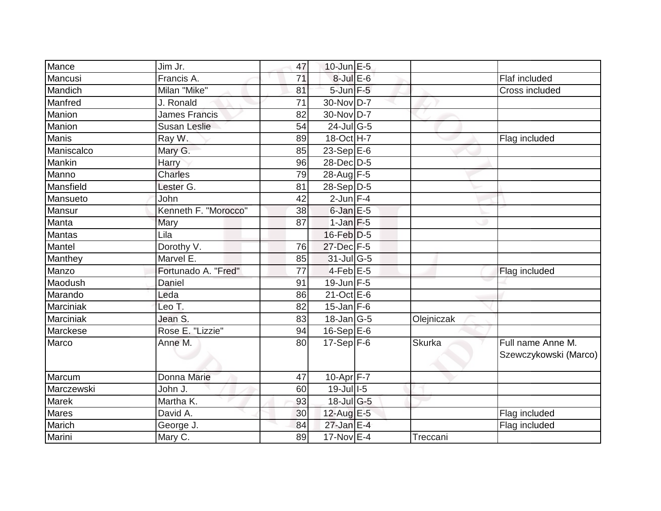| Mance      | Jim Jr.              | 47 | $10$ -Jun $E - 5$                 |            |                                            |
|------------|----------------------|----|-----------------------------------|------------|--------------------------------------------|
| Mancusi    | Francis A.           | 71 | 8-Jul E-6                         |            | Flaf included                              |
| Mandich    | Milan "Mike"         | 81 | 5-Jun F-5                         |            | Cross included                             |
| Manfred    | J. Ronald            | 71 | 30-Nov D-7                        |            |                                            |
| Manion     | <b>James Francis</b> | 82 | 30-Nov D-7                        |            |                                            |
| Manion     | <b>Susan Leslie</b>  | 54 | 24-Jul G-5                        |            |                                            |
| Manis      | Ray W.               | 89 | 18-Oct H-7                        |            | Flag included                              |
| Maniscalco | Mary G.              | 85 | 23-Sep $E-6$                      |            |                                            |
| Mankin     | <b>Harry</b>         | 96 | 28-Dec D-5                        |            |                                            |
| Manno      | <b>Charles</b>       | 79 | 28-Aug F-5                        |            |                                            |
| Mansfield  | Lester G.            | 81 | $28-Sep D-5$                      |            |                                            |
| Mansueto   | John                 | 42 | $2$ -Jun $F-4$                    |            |                                            |
| Mansur     | Kenneth F. "Morocco" | 38 | $6$ -Jan $E$ -5                   |            |                                            |
| Manta      | Mary                 | 87 | $1-Jan$ F-5                       |            |                                            |
| Mantas     | Lila                 |    | $16$ -Feb $D-5$                   |            |                                            |
| Mantel     | Dorothy V.           | 76 | 27-Dec F-5                        |            |                                            |
| Manthey    | Marvel E.            | 85 | $31$ -JulG-5                      |            |                                            |
| Manzo      | Fortunado A. "Fred"  | 77 | $4$ -Feb $E$ -5                   |            | Flag included                              |
| Maodush    | Daniel               | 91 | 19-Jun F-5                        |            |                                            |
| Marando    | Leda                 | 86 | 21-Oct E-6                        |            |                                            |
| Marciniak  | Leo T.               | 82 | $15$ -Jan F-6                     |            |                                            |
| Marciniak  | Jean S.              | 83 | 18-Jan G-5                        | Olejniczak |                                            |
| Marckese   | Rose E. "Lizzie"     | 94 | $16-Sep$ E-6                      |            |                                            |
| Marco      | Anne M.              | 80 | $17-Sep$ F-6                      | Skurka     | Full name Anne M.<br>Szewczykowski (Marco) |
| Marcum     | Donna Marie          | 47 | 10-Apr <sup>F-7</sup>             |            |                                            |
| Marczewski | John J.              | 60 | 19-Jul 1-5                        |            |                                            |
| Marek      | Martha K.            | 93 | $18$ -Jul $\overline{\text{G-5}}$ |            |                                            |
| Mares      | David A.             | 30 | 12-Aug E-5                        |            | Flag included                              |
| Marich     | George J.            | 84 | 27-Jan E-4                        |            | Flag included                              |
| Marini     | Mary C.              | 89 | $17$ -Nov $E-4$                   | Treccani   |                                            |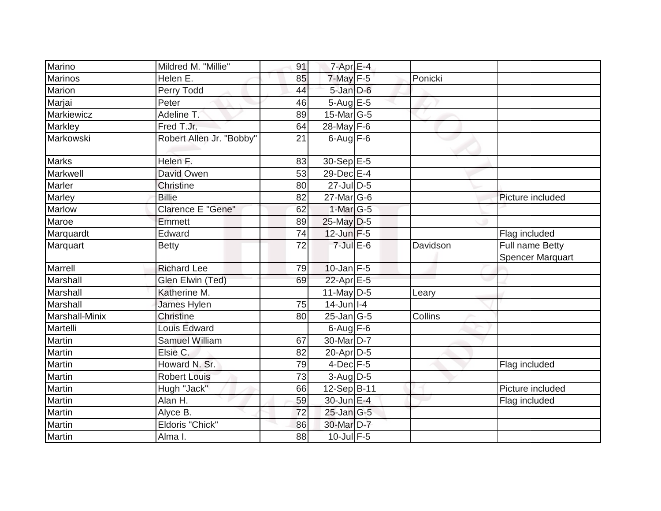| Marino         | Mildred M. "Millie"      | 91 | $7$ -Apr $E-4$              |          |                                            |
|----------------|--------------------------|----|-----------------------------|----------|--------------------------------------------|
| Marinos        | Helen E.                 | 85 | $7$ -May $F-5$              | Ponicki  |                                            |
| Marion         | Perry Todd               | 44 | $5$ -Jan $D$ -6             |          |                                            |
| Marjai         | Peter                    | 46 | $5-Aug$ $E-5$               |          |                                            |
| Markiewicz     | Adeline T.               | 89 | 15-Mar G-5                  |          |                                            |
| Markley        | Fred T.Jr.               | 64 | 28-May F-6                  |          |                                            |
| Markowski      | Robert Allen Jr. "Bobby" | 21 | $6$ -Aug $F-6$              |          |                                            |
| <b>Marks</b>   | Helen F.                 | 83 | 30-Sep E-5                  |          |                                            |
| Markwell       | David Owen               | 53 | 29-Dec E-4                  |          |                                            |
| Marler         | Christine                | 80 | $27$ -Jul $\overline{D}$ -5 |          |                                            |
| Marley         | <b>Billie</b>            | 82 | 27-Mar G-6                  |          | Picture included                           |
| Marlow         | <b>Clarence E "Gene"</b> | 62 | $1-Mar$ G-5                 |          |                                            |
| Maroe          | <b>Emmett</b>            | 89 | 25-May D-5                  |          |                                            |
| Marquardt      | Edward                   | 74 | $12$ -Jun $F-5$             |          | Flag included                              |
| Marquart       | <b>Betty</b>             | 72 | $7$ -Jul $E$ -6             | Davidson | Full name Betty<br><b>Spencer Marquart</b> |
| Marrell        | <b>Richard Lee</b>       | 79 | $10$ -Jan $F-5$             |          |                                            |
| Marshall       | Glen Elwin (Ted)         | 69 | 22-Apr E-5                  |          |                                            |
| Marshall       | Katherine M.             |    | 11-May $D-5$                | Leary    |                                            |
| Marshall       | James Hylen              | 75 | $14$ -Jun   I-4             |          |                                            |
| Marshall-Minix | <b>Christine</b>         | 80 | $25$ -Jan $ G-5 $           | Collins  |                                            |
| Martelli       | <b>Louis Edward</b>      |    | $6$ -Aug $F - 6$            |          |                                            |
| Martin         | <b>Samuel William</b>    | 67 | 30-Mar <sub>D-7</sub>       |          |                                            |
| Martin         | Elsie C.                 | 82 | $20$ -Apr $D-5$             |          |                                            |
| Martin         | Howard N. Sr.            | 79 | $4$ -Dec $F-5$              |          | Flag included                              |
| Martin         | <b>Robert Louis</b>      | 73 | $3-Aug$ $D-5$               |          |                                            |
| Martin         | Hugh "Jack"              | 66 | 12-Sep B-11                 |          | Picture included                           |
| Martin         | Alan H.                  | 59 | 30-Jun E-4                  |          | Flag included                              |
| Martin         | Alyce B.                 | 72 | $25$ -Jan $ G-5 $           |          |                                            |
| Martin         | Eldoris "Chick"          | 86 | 30-Mar D-7                  |          |                                            |
| <b>Martin</b>  | Alma I.                  | 88 | $10$ -Jul $F-5$             |          |                                            |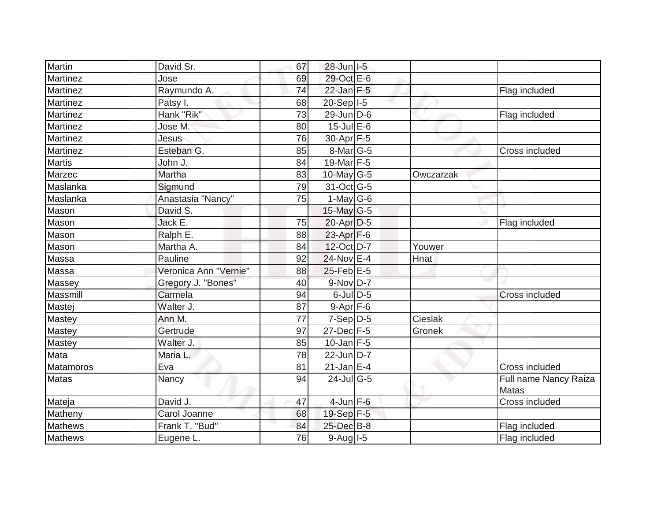| Martin           | David Sr.             | 67              | 28-Jun   I-5     |           |                                       |
|------------------|-----------------------|-----------------|------------------|-----------|---------------------------------------|
| <b>Martinez</b>  | Jose                  | 69              | 29-Oct E-6       |           |                                       |
| Martinez         | Raymundo A.           | 74              | $22$ -Jan F-5    |           | Flag included                         |
| Martinez         | Patsy I.              | 68              | 20-Sep   I-5     |           |                                       |
| Martinez         | Hank "Rik"            | $\overline{73}$ | $29$ -Jun $D-6$  |           | Flag included                         |
| Martinez         | Jose M.               | 80              | $15$ -Jul $E$ -6 |           |                                       |
| Martinez         | Jesus                 | 76              | $30-Apr$ F-5     |           |                                       |
| Martinez         | Esteban G.            | 85              | 8-Mar G-5        |           | Cross included                        |
| <b>Martis</b>    | John J.               | 84              | 19-Mar $F-5$     |           |                                       |
| Marzec           | Martha                | 83              | 10-May $G-5$     | Owczarzak |                                       |
| Maslanka         | Sigmund               | 79              | 31-Oct G-5       |           |                                       |
| Maslanka         | Anastasia "Nancy"     | 75              | $1$ -May G-6     |           |                                       |
| Mason            | David S.              |                 | 15-May $G-5$     |           |                                       |
| Mason            | Jack E.               | 75              | 20-Apr D-5       |           | Flag included                         |
| Mason            | Ralph E.              | 88              | 23-Apr $F-6$     |           |                                       |
| Mason            | Martha A.             | 84              | 12-Oct D-7       | Youwer    |                                       |
| Massa            | Pauline               | 92              | 24-Nov E-4       | Hnat      |                                       |
| Massa            | Veronica Ann "Vernie" | 88              | $25$ -Feb $E$ -5 |           |                                       |
| Massey           | Gregory J. "Bones"    | 40              | $9-Nov$ D-7      |           |                                       |
| Massmill         | Carmela               | 94              | $6$ -Jul $D-5$   |           | Cross included                        |
| Mastej           | Walter J.             | 87              | $9-Apr$ F-6      |           |                                       |
| Mastey           | Ann M.                | 77              | $7-Sep D-5$      | Cieslak   |                                       |
| Mastey           | Gertrude              | 97              | 27-Dec F-5       | Gronek    |                                       |
| Mastey           | Walter J.             | 85              | $10$ -Jan F-5    |           |                                       |
| Mata             | Maria L.              | 78              | $22$ -Jun $D-7$  |           |                                       |
| <b>Matamoros</b> | Eva                   | 81              | $21$ -Jan E-4    |           | Cross included                        |
| <b>Matas</b>     | Nancy                 | 94              | $24$ -JulG-5     |           | Full name Nancy Raiza<br><b>Matas</b> |
| Mateja           | David J.              | 47              | $4$ -Jun $F-6$   |           | Cross included                        |
| Matheny          | Carol Joanne          | 68              | 19-Sep F-5       |           |                                       |
| <b>Mathews</b>   | Frank T. "Bud"        | 84              | 25-Dec B-8       |           | Flag included                         |
| Mathews          | Eugene L.             | 76              | 9-Aug I-5        |           | Flag included                         |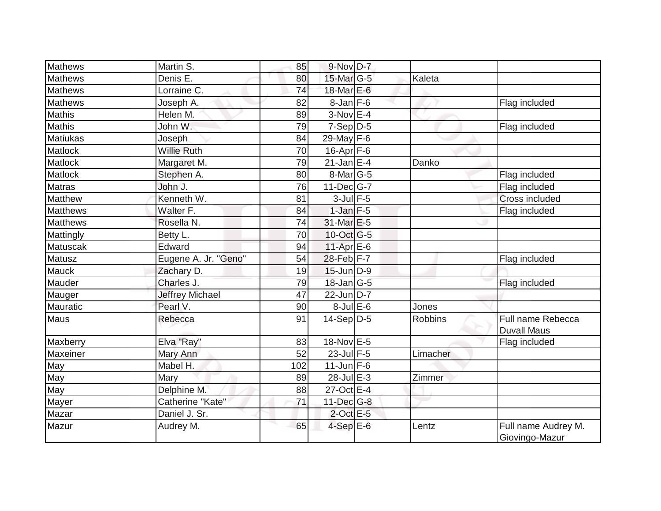| <b>Mathews</b>  | Martin S.              | 85  | 9-Nov D-7         |                |                                         |
|-----------------|------------------------|-----|-------------------|----------------|-----------------------------------------|
| <b>Mathews</b>  | Denis E.               | 80  | 15-Mar G-5        | Kaleta         |                                         |
| <b>Mathews</b>  | Lorraine C.            | 74  | 18-Mar $E-6$      |                |                                         |
| <b>Mathews</b>  | Joseph A.              | 82  | $8 - Jan$ F-6     |                | Flag included                           |
| <b>Mathis</b>   | Helen M.               | 89  | $3-Nov$ E-4       |                |                                         |
| <b>Mathis</b>   | John W.                | 79  | $7-Sep D-5$       |                | Flag included                           |
| <b>Matiukas</b> | Joseph                 | 84  | 29-May F-6        |                |                                         |
| Matlock         | <b>Willie Ruth</b>     | 70  | $16$ -Apr $F$ -6  |                |                                         |
| Matlock         | Margaret M.            | 79  | $21$ -Jan E-4     | Danko          |                                         |
| Matlock         | Stephen A.             | 80  | 8-Mar G-5         |                | Flag included                           |
| <b>Matras</b>   | John J.                | 76  | $11$ -Dec $ G-7 $ |                | Flag included                           |
| Matthew         | Kenneth W.             | 81  | $3$ -Jul $F-5$    |                | <b>Cross included</b>                   |
| <b>Matthews</b> | Walter F.              | 84  | $1$ -Jan $F-5$    |                | Flag included                           |
| <b>Matthews</b> | Rosella N.             | 74  | 31-Mar E-5        |                |                                         |
| Mattingly       | Betty L.               | 70  | 10-Oct G-5        |                |                                         |
| Matuscak        | Edward                 | 94  | $11-Apr$ E-6      |                |                                         |
| Matusz          | Eugene A. Jr. "Geno"   | 54  | $28-Feb$ $F-7$    |                | Flag included                           |
| Mauck           | Zachary D.             | 19  | $15$ -Jun $D-9$   |                |                                         |
| Mauder          | Charles J.             | 79  | $18$ -Jan G-5     |                | Flag included                           |
| Mauger          | <b>Jeffrey Michael</b> | 47  | $22$ -Jun D-7     |                |                                         |
| <b>Mauratic</b> | Pearl V.               | 90  | $8$ -Jul $E$ -6   | Jones          |                                         |
| Maus            | Rebecca                | 91  | 14-Sep D-5        | <b>Robbins</b> | Full name Rebecca<br><b>Duvall Maus</b> |
| Maxberry        | Elva "Ray"             | 83  | 18-Nov E-5        |                | Flag included                           |
| Maxeiner        | Mary Ann               | 52  | $23$ -Jul F-5     | Limacher       |                                         |
| May             | Mabel H.               | 102 | $11$ -Jun $F-6$   |                |                                         |
| May             | Mary                   | 89  | $28$ -Jul $E-3$   | Zimmer         |                                         |
| May             | Delphine M.            | 88  | 27-Oct E-4        |                |                                         |
| Mayer           | Catherine "Kate"       | 71  | $11$ -Dec $G-8$   |                |                                         |
| Mazar           | Daniel J. Sr.          |     | $2$ -Oct $E-5$    |                |                                         |
| Mazur           | Audrey M.              | 65  | $4-SepE-6$        | Lentz          | Full name Audrey M.<br>Giovingo-Mazur   |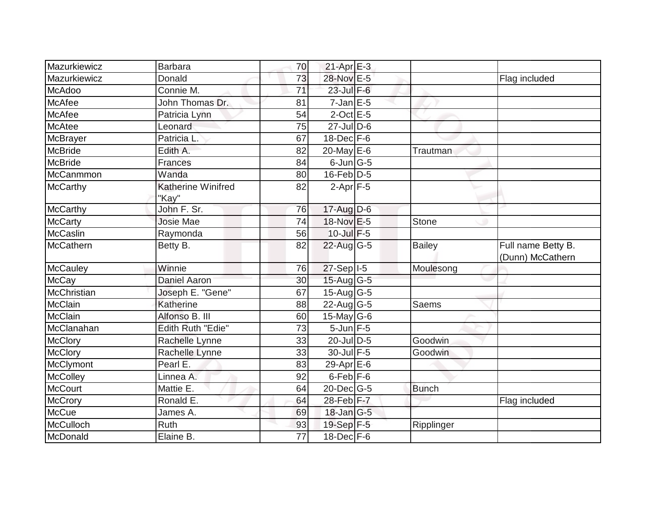| Mazurkiewicz    | <b>Barbara</b>              | 70 | $21-Apr \nightharpoonup 3$ |               |                                        |
|-----------------|-----------------------------|----|----------------------------|---------------|----------------------------------------|
| Mazurkiewicz    | Donald                      | 73 | 28-Nov E-5                 |               | Flag included                          |
| McAdoo          | Connie M.                   | 71 | $23$ -Jul $F-6$            |               |                                        |
| McAfee          | John Thomas Dr.             | 81 | $7$ -Jan $E$ -5            |               |                                        |
| <b>McAfee</b>   | Patricia Lynn               | 54 | $2$ -Oct $E - 5$           |               |                                        |
| <b>McAtee</b>   | Leonard                     | 75 | $27$ -Jul $D$ -6           |               |                                        |
| McBrayer        | Patricia L.                 | 67 | $18$ -Dec $F-6$            |               |                                        |
| McBride         | Edith A.                    | 82 | 20-May E-6                 | Trautman      |                                        |
| <b>McBride</b>  | <b>Frances</b>              | 84 | $6$ -Jun $ G-5 $           |               |                                        |
| McCanmmon       | Wanda                       | 80 | $16$ -Feb $ D-5$           |               |                                        |
| <b>McCarthy</b> | Katherine Winifred<br>"Kay" | 82 | $2-Apr$ F-5                |               |                                        |
| <b>McCarthy</b> | John F. Sr.                 | 76 | $17$ -Aug D-6              |               |                                        |
| <b>McCarty</b>  | <b>Josie Mae</b>            | 74 | 18-Nov E-5                 | Stone         |                                        |
| McCaslin        | Raymonda                    | 56 | 10-Jul F-5                 |               |                                        |
| McCathern       | Betty B.                    | 82 | $22$ -Aug G-5              | <b>Bailey</b> | Full name Betty B.<br>(Dunn) McCathern |
| McCauley        | Winnie                      | 76 | $27-Sep$ <sup>1-5</sup>    | Moulesong     |                                        |
| <b>McCay</b>    | Daniel Aaron                | 30 | $15$ -Aug G-5              |               |                                        |
| McChristian     | Joseph E. "Gene"            | 67 | $15$ -Aug G-5              |               |                                        |
| McClain         | Katherine                   | 88 | $22$ -Aug G-5              | Saems         |                                        |
| McClain         | Alfonso B. III              | 60 | $15$ -May G-6              |               |                                        |
| McClanahan      | <b>Edith Ruth "Edie"</b>    | 73 | $5$ -Jun $F-5$             |               |                                        |
| <b>McClory</b>  | Rachelle Lynne              | 33 | $20$ -Jul D-5              | Goodwin       |                                        |
| <b>McClory</b>  | Rachelle Lynne              | 33 | 30-Jul F-5                 | Goodwin       |                                        |
| McClymont       | Pearl E.                    | 83 | 29-Apr E-6                 |               |                                        |
| <b>McColley</b> | Linnea A.                   | 92 | $6$ -Feb $F$ -6            |               |                                        |
| <b>McCourt</b>  | Mattie E.                   | 64 | 20-Dec G-5                 | <b>Bunch</b>  |                                        |
| McCrory         | Ronald E.                   | 64 | 28-Feb F-7                 |               | Flag included                          |
| <b>McCue</b>    | James A.                    | 69 | 18-Jan G-5                 |               |                                        |
| McCulloch       | Ruth                        | 93 | 19-Sep F-5                 | Ripplinger    |                                        |
| McDonald        | Elaine B.                   | 77 | 18-Dec F-6                 |               |                                        |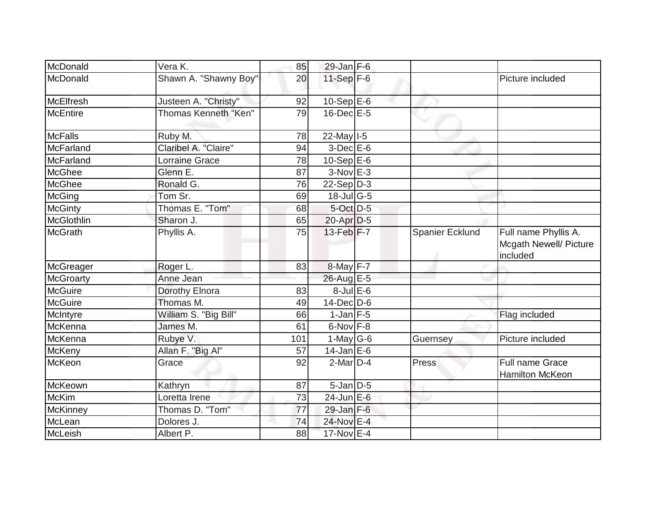| McDonald          | Vera K.               | 85  | $29$ -Jan $F-6$  |                        |                                                            |
|-------------------|-----------------------|-----|------------------|------------------------|------------------------------------------------------------|
| McDonald          | Shawn A. "Shawny Boy" | 20  | $11-Sep$ F-6     |                        | Picture included                                           |
| McElfresh         | Justeen A. "Christy"  | 92  | $10-Sep$ E-6     |                        |                                                            |
| <b>McEntire</b>   | Thomas Kenneth "Ken"  | 79  | $16$ -Dec $E$ -5 |                        |                                                            |
| <b>McFalls</b>    | Ruby M.               | 78  | 22-May I-5       |                        |                                                            |
| McFarland         | Claribel A. "Claire"  | 94  | $3-Dec$ $E-6$    |                        |                                                            |
| McFarland         | Lorraine Grace        | 78  | 10-Sep $E-6$     |                        |                                                            |
| McGhee            | Glenn E.              | 87  | $3-Nov$ E-3      |                        |                                                            |
| McGhee            | Ronald G.             | 76  | $22-Sep D-3$     |                        |                                                            |
| McGing            | Tom Sr.               | 69  | $18$ -Jul G-5    |                        |                                                            |
| <b>McGinty</b>    | Thomas E. "Tom"       | 68  | $5$ -Oct $D-5$   |                        |                                                            |
| <b>McGlothlin</b> | Sharon J.             | 65  | $20-Apr D-5$     |                        |                                                            |
| <b>McGrath</b>    | Phyllis A.            | 75  | 13-Feb F-7       | <b>Spanier Ecklund</b> | Full name Phyllis A.<br>Mcgath Newell/ Picture<br>included |
| McGreager         | Roger L.              | 83  | 8-May F-7        |                        |                                                            |
| <b>McGroarty</b>  | Anne Jean             |     | 26-Aug E-5       |                        |                                                            |
| <b>McGuire</b>    | Dorothy Elnora        | 83  | $8$ -Jul $E$ -6  |                        |                                                            |
| <b>McGuire</b>    | Thomas M.             | 49  | $14$ -Dec $D-6$  |                        |                                                            |
| McIntyre          | William S. "Big Bill" | 66  | $1$ -Jan F-5     |                        | Flag included                                              |
| McKenna           | James M.              | 61  | $6$ -Nov $F-8$   |                        |                                                            |
| McKenna           | Rubye V.              | 101 | $1$ -May $G$ -6  | Guernsey               | Picture included                                           |
| McKeny            | Allan F. "Big Al"     | 57  | $14$ -Jan $E$ -6 |                        |                                                            |
| McKeon            | Grace                 | 92  | $2$ -Mar $D-4$   | Press                  | Full name Grace<br>Hamilton McKeon                         |
| McKeown           | Kathryn               | 87  | $5$ -Jan $D$ -5  |                        |                                                            |
| <b>McKim</b>      | Loretta Irene         | 73  | $24$ -Jun $E$ -6 |                        |                                                            |
| McKinney          | Thomas D. "Tom"       | 77  | $29$ -Jan $F-6$  |                        |                                                            |
| McLean            | Dolores J.            | 74  | 24-Nov E-4       |                        |                                                            |
| McLeish           | Albert P.             | 88  | 17-Nov E-4       |                        |                                                            |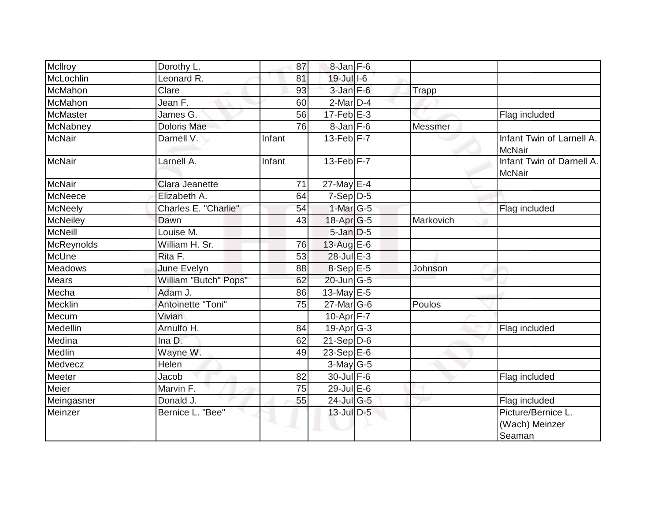| McIlroy         | Dorothy L.            | 87     | $8$ -Jan $F-6$                    |           |                                                |
|-----------------|-----------------------|--------|-----------------------------------|-----------|------------------------------------------------|
| McLochlin       | Leonard R.            | 81     | 19-Jul I-6                        |           |                                                |
| <b>McMahon</b>  | Clare                 | 93     | $3$ -Jan $F-6$                    | Trapp     |                                                |
| McMahon         | Jean F.               | 60     | $2$ -Mar $D-4$                    |           |                                                |
| McMaster        | James G.              | 56     | $17$ -Feb $E-3$                   |           | Flag included                                  |
| McNabney        | <b>Doloris Mae</b>    | 76     | $8$ -Jan $F$ -6                   | Messmer   |                                                |
| <b>McNair</b>   | Darnell V.            | Infant | $13$ -Feb $ F - 7 $               |           | Infant Twin of Larnell A.<br>McNair            |
| <b>McNair</b>   | Larnell A.            | Infant | $13$ -Feb $F-7$                   |           | Infant Twin of Darnell A.<br>McNair            |
| <b>McNair</b>   | Clara Jeanette        | 71     | 27-May E-4                        |           |                                                |
| McNeece         | Elizabeth A.          | 64     | $7-Sep D-5$                       |           |                                                |
| McNeely         | Charles E. "Charlie"  | 54     | $1$ -Mar $ G-5 $                  |           | Flag included                                  |
| <b>McNeiley</b> | Dawn                  | 43     | 18-Apr <sub>G-5</sub>             | Markovich |                                                |
| <b>McNeill</b>  | Louise M.             |        | $5$ -Jan $D$ -5                   |           |                                                |
| McReynolds      | William H. Sr.        | 76     | $13$ -Aug E-6                     |           |                                                |
| McUne           | Rita F.               | 53     | 28-Jul E-3                        |           |                                                |
| Meadows         | June Evelyn           | 88     | 8-Sep E-5                         | Johnson   |                                                |
| Mears           | William "Butch" Pops" | 62     | $20$ -Jun $\overline{\text{G-5}}$ |           |                                                |
| Mecha           | Adam J.               | 86     | 13-May $E-5$                      |           |                                                |
| Mecklin         | Antoinette "Toni"     | 75     | 27-Mar G-6                        | Poulos    |                                                |
| Mecum           | Vivian                |        | $10$ -Apr $F - 7$                 |           |                                                |
| Medellin        | Arnulfo H.            | 84     | $19$ -Apr $ G-3 $                 |           | Flag included                                  |
| Medina          | Ina D.                | 62     | $21-Sep D-6$                      |           |                                                |
| Medlin          | Wayne W.              | 49     | 23-Sep $E-6$                      |           |                                                |
| Medvecz         | <b>Helen</b>          |        | 3-May G-5                         |           |                                                |
| Meeter          | Jacob                 | 82     | 30-Jul F-6                        |           | Flag included                                  |
| Meier           | Marvin F.             | 75     | 29-Jul E-6                        |           |                                                |
| Meingasner      | Donald J.             | 55     | $24$ -JulG-5                      |           | Flag included                                  |
| Meinzer         | Bernice L. "Bee"      |        | 13-Jul D-5                        |           | Picture/Bernice L.<br>(Wach) Meinzer<br>Seaman |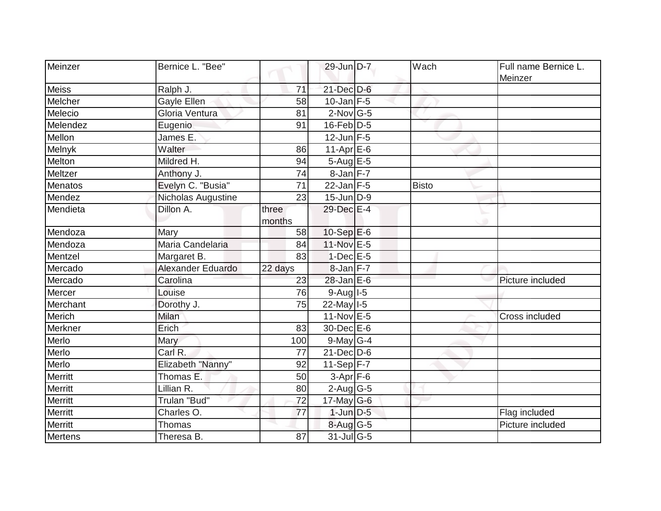| Meinzer        | Bernice L. "Bee"   |                 | 29-Jun D-7         | Wach         | Full name Bernice L.<br>Meinzer |
|----------------|--------------------|-----------------|--------------------|--------------|---------------------------------|
| <b>Meiss</b>   | Ralph J.           | 71              | $21$ -Dec $D-6$    |              |                                 |
| Melcher        | Gayle Ellen        | 58              | $10$ -Jan F-5      |              |                                 |
| Melecio        | Gloria Ventura     | 81              | $2$ -Nov $ G-5 $   |              |                                 |
| Melendez       | Eugenio            | 91              | $16$ -Feb $D-5$    |              |                                 |
| Mellon         | James E.           |                 | $12$ -Jun F-5      |              |                                 |
| Melnyk         | Walter             | 86              | $11-Apr \times -6$ |              |                                 |
| Melton         | Mildred H.         | 94              | $5-AugE-5$         |              |                                 |
| Meltzer        | Anthony J.         | 74              | 8-Jan F-7          |              |                                 |
| Menatos        | Evelyn C. "Busia"  | 71              | $22$ -Jan F-5      | <b>Bisto</b> |                                 |
| Mendez         | Nicholas Augustine | 23              | $15$ -Jun $D-9$    |              |                                 |
| Mendieta       | Dillon A.          | three<br>months | 29-Dec E-4         |              |                                 |
| Mendoza        | Mary               | 58              | $10-Sep$ E-6       |              |                                 |
| Mendoza        | Maria Candelaria   | 84              | 11-Nov E-5         |              |                                 |
| Mentzel        | Margaret B.        | 83              | $1-Dec$ E-5        |              |                                 |
| Mercado        | Alexander Eduardo  | 22 days         | $8$ -Jan $F-7$     |              |                                 |
| Mercado        | Carolina           | 23              | 28-Jan E-6         |              | Picture included                |
| Mercer         | Louise             | 76              | $9-Auq$ $I-5$      |              |                                 |
| Merchant       | Dorothy J.         | 75              | 22-May 1-5         |              |                                 |
| <b>Merich</b>  | Milan              |                 | $11$ -Nov $E - 5$  |              | Cross included                  |
| Merkner        | Erich              | 83              | 30-Dec E-6         |              |                                 |
| Merlo          | Mary               | 100             | $9$ -May G-4       |              |                                 |
| Merlo          | Carl R.            | 77              | $21$ -Dec $D$ -6   |              |                                 |
| Merlo          | Elizabeth "Nanny"  | 92              | $11-Sep$ F-7       |              |                                 |
| <b>Merritt</b> | Thomas E.          | 50              | $3-Apr$ F-6        |              |                                 |
| <b>Merritt</b> | Lillian R.         | 80              | $2$ -Aug G-5       |              |                                 |
| Merritt        | Trulan "Bud"       | 72              | 17-May $G-6$       |              |                                 |
| Merritt        | Charles O.         | 77              | $1$ -Jun $D-5$     |              | Flag included                   |
| Merritt        | Thomas             |                 | $8$ -Aug G-5       |              | Picture included                |
| Mertens        | Theresa B.         | 87              | $31$ -Jul G-5      |              |                                 |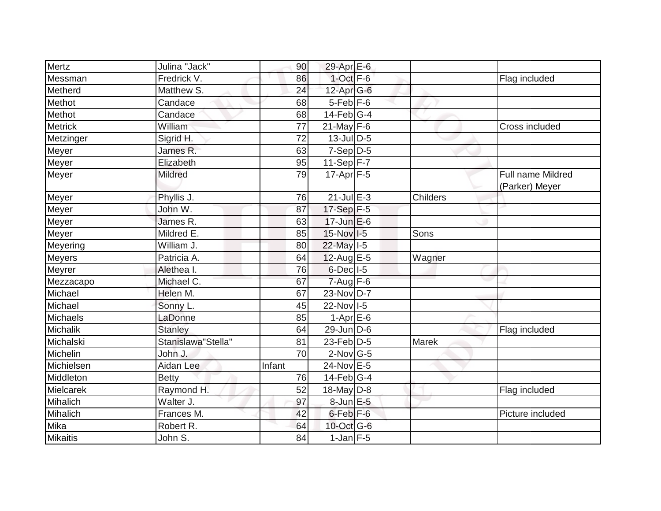| Mertz           | Julina "Jack"      | 90              | 29-Apr E-6                  |          |                                            |
|-----------------|--------------------|-----------------|-----------------------------|----------|--------------------------------------------|
| Messman         | Fredrick V.        | 86              | $1$ -Oct $F-6$              |          | Flag included                              |
| Metherd         | Matthew S.         | 24              | 12-Apr G-6                  |          |                                            |
| Methot          | Candace            | 68              | $5$ -Feb $F$ -6             |          |                                            |
| Methot          | Candace            | 68              | $14$ -Feb $ G-4$            |          |                                            |
| <b>Metrick</b>  | William            | 77              | $21$ -May $F-6$             |          | Cross included                             |
| Metzinger       | Sigrid H.          | $\overline{72}$ | $13$ -Jul $D-5$             |          |                                            |
| Meyer           | James R.           | 63              | $7-Sep D-5$                 |          |                                            |
| Meyer           | Elizabeth          | 95              | $11-Sep$ F-7                |          |                                            |
| Meyer           | Mildred            | 79              | $17-Apr$ F-5                |          | <b>Full name Mildred</b><br>(Parker) Meyer |
| Meyer           | Phyllis J.         | 76              | $21$ -Jul $E-3$             | Childers |                                            |
| Meyer           | John W.            | 87              | 17-Sep F-5                  |          |                                            |
| Meyer           | James R.           | 63              | $17$ -Jun $E$ -6            |          |                                            |
| Meyer           | Mildred E.         | 85              | 15-Nov I-5                  | Sons     |                                            |
| Meyering        | William J.         | 80              | 22-May I-5                  |          |                                            |
| <b>Meyers</b>   | Patricia A.        | 64              | $12$ -Aug E-5               | Wagner   |                                            |
| Meyrer          | Alethea I.         | 76              | $6$ -Dec $ $ I-5            |          |                                            |
| Mezzacapo       | Michael C.         | 67              | $7 - Aug$ F-6               |          |                                            |
| Michael         | Helen M.           | 67              | 23-Nov D-7                  |          |                                            |
| Michael         | Sonny L.           | 45              | 22-Nov I-5                  |          |                                            |
| Michaels        | LaDonne            | 85              | $1-Apr$ $E-6$               |          |                                            |
| <b>Michalik</b> | <b>Stanley</b>     | 64              | $29$ -Jun D-6               |          | Flag included                              |
| Michalski       | Stanislawa"Stella" | 81              | $23$ -Feb $\overline{D}$ -5 | Marek    |                                            |
| Michelin        | John J.            | 70              | $2$ -Nov $ G-5 $            |          |                                            |
| Michielsen      | Aidan Lee          | Infant          | 24-Nov E-5                  |          |                                            |
| Middleton       | <b>Betty</b>       | 76              | $14$ -Feb $G-4$             |          |                                            |
| Mielcarek       | Raymond H.         | 52              | $18$ -May D-8               |          | Flag included                              |
| Mihalich        | Walter J.          | 97              | 8-Jun E-5                   |          |                                            |
| Mihalich        | Frances M.         | 42              | 6-Feb <sup>F-6</sup>        |          | Picture included                           |
| Mika            | Robert R.          | 64              | 10-Oct G-6                  |          |                                            |
| <b>Mikaitis</b> | John S.            | 84              | $1$ -Jan $F-5$              |          |                                            |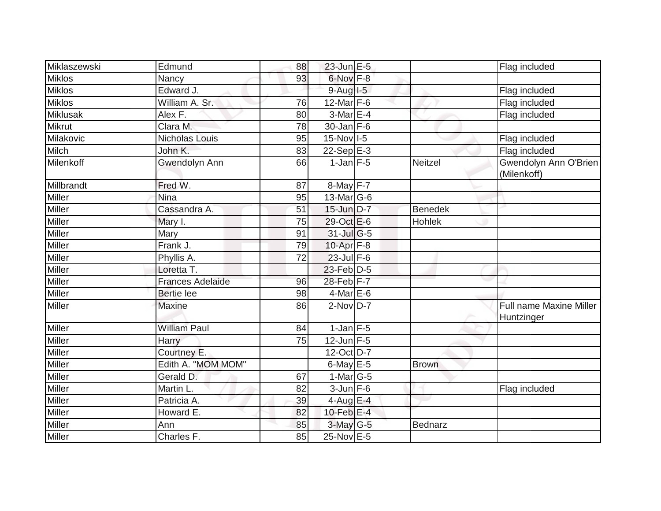| Miklaszewski    | Edmund                  | 88 | $23$ -Jun $E-5$   |                | Flag included                         |
|-----------------|-------------------------|----|-------------------|----------------|---------------------------------------|
| <b>Miklos</b>   | Nancy                   | 93 | 6-Nov F-8         |                |                                       |
| <b>Miklos</b>   | Edward J.               |    | $9-Auq$ $I-5$     |                | Flag included                         |
| <b>Miklos</b>   | William A. Sr.          | 76 | 12-Mar F-6        |                | Flag included                         |
| <b>Miklusak</b> | Alex F.                 | 80 | 3-Mar E-4         |                | Flag included                         |
| <b>Mikrut</b>   | Clara M.                | 78 | 30-Jan F-6        |                |                                       |
| Milakovic       | Nicholas Louis          | 95 | 15-Nov I-5        |                | Flag included                         |
| <b>Milch</b>    | John K.                 | 83 | 22-Sep $E-3$      |                | Flag included                         |
| Milenkoff       | Gwendolyn Ann           | 66 | $1$ -Jan $F-5$    | <b>Neitzel</b> | Gwendolyn Ann O'Brien<br>(Milenkoff)  |
| Millbrandt      | Fred W.                 | 87 | 8-May F-7         |                |                                       |
| <b>Miller</b>   | Nina                    | 95 | $13$ -Mar $ G-6 $ |                |                                       |
| Miller          | Cassandra A.            | 51 | $15$ -Jun $D-7$   | <b>Benedek</b> |                                       |
| <b>Miller</b>   | Mary I.                 | 75 | 29-Oct E-6        | <b>Hohlek</b>  |                                       |
| Miller          | Mary                    | 91 | 31-Jul G-5        |                |                                       |
| <b>Miller</b>   | Frank J.                | 79 | 10-Apr F-8        |                |                                       |
| Miller          | Phyllis A.              | 72 | $23$ -Jul F-6     |                |                                       |
| <b>Miller</b>   | Loretta T.              |    | 23-Feb D-5        |                |                                       |
| Miller          | <b>Frances Adelaide</b> | 96 | 28-Feb F-7        |                |                                       |
| Miller          | <b>Bertie lee</b>       | 98 | $4$ -Mar $E$ -6   |                |                                       |
| Miller          | <b>Maxine</b>           | 86 | $2-NovD-7$        |                | Full name Maxine Miller<br>Huntzinger |
| Miller          | <b>William Paul</b>     | 84 | $1$ -Jan $F-5$    |                |                                       |
| <b>Miller</b>   | Harry                   | 75 | $12$ -Jun F-5     |                |                                       |
| <b>Miller</b>   | Courtney E.             |    | $12-Oct$ D-7      |                |                                       |
| Miller          | Edith A. "MOM MOM"      |    | $6$ -May $E$ -5   | <b>Brown</b>   |                                       |
| Miller          | Gerald D.               | 67 | $1-Mar$ G-5       |                |                                       |
| Miller          | Martin L.               | 82 | $3$ -Jun $F-6$    |                | Flag included                         |
| Miller          | Patricia A.             | 39 | $4$ -Aug E-4      |                |                                       |
| Miller          | Howard E.               | 82 | 10-Feb $E-4$      |                |                                       |
| <b>Miller</b>   | Ann                     | 85 | 3-May G-5         | Bednarz        |                                       |
| Miller          | Charles F.              | 85 | 25-Nov E-5        |                |                                       |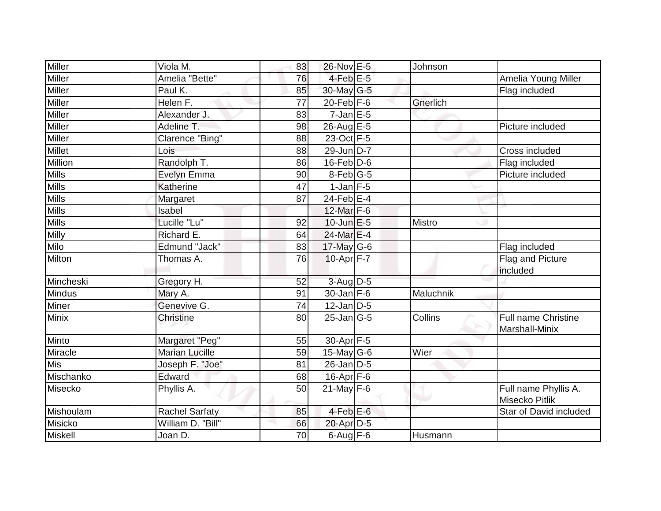| Miller        | Viola M.              | 83 | 26-Nov E-5        | Johnson       |                                        |
|---------------|-----------------------|----|-------------------|---------------|----------------------------------------|
| Miller        | Amelia "Bette"        | 76 | $4$ -Feb $E$ -5   |               | Amelia Young Miller                    |
| <b>Miller</b> | Paul K.               | 85 | 30-May G-5        |               | Flag included                          |
| <b>Miller</b> | Helen F.              | 77 | $20$ -Feb F-6     | Gnerlich      |                                        |
| Miller        | Alexander J.          | 83 | $7$ -Jan $E$ -5   |               |                                        |
| <b>Miller</b> | Adeline T.            | 98 | $26$ -Aug $E - 5$ |               | Picture included                       |
| Miller        | Clarence "Bing"       | 88 | 23-Oct F-5        |               |                                        |
| <b>Millet</b> | Lois                  | 88 | 29-Jun D-7        |               | Cross included                         |
| Million       | Randolph T.           | 86 | $16$ -Feb $D-6$   |               | Flag included                          |
| <b>Mills</b>  | Evelyn Emma           | 90 | 8-Feb G-5         |               | Picture included                       |
| <b>Mills</b>  | Katherine             | 47 | $1-Jan$ F-5       |               |                                        |
| <b>Mills</b>  | Margaret              | 87 | 24-Feb $E-4$      |               |                                        |
| <b>Mills</b>  | Isabel                |    | 12-Mar F-6        |               |                                        |
| <b>Mills</b>  | Lucille "Lu"          | 92 | $10$ -Jun $E - 5$ | <b>Mistro</b> |                                        |
| Milly         | Richard E.            | 64 | 24-Mar E-4        |               |                                        |
| Milo          | Edmund "Jack"         | 83 | $17$ -May G-6     |               | Flag included                          |
| Milton        | Thomas A.             | 76 | $10-Apr$ F-7      |               | Flag and Picture<br>included           |
| Mincheski     | Gregory H.            | 52 | $3$ -Aug $D$ -5   |               |                                        |
| Mindus        | Mary A.               | 91 | $30$ -Jan F-6     | Maluchnik     |                                        |
| Miner         | Genevive G.           | 74 | $12$ -Jan D-5     |               |                                        |
| Minix         | <b>Christine</b>      | 80 | $25$ -Jan $ G-5 $ | Collins       | Full name Christine<br>Marshall-Minix  |
| Minto         | Margaret "Peg"        | 55 | 30-Apr F-5        |               |                                        |
| Miracle       | <b>Marian Lucille</b> | 59 | 15-May $G-6$      | Wier          |                                        |
| <b>Mis</b>    | Joseph F. "Joe"       | 81 | $26$ -Jan $D-5$   |               |                                        |
| Mischanko     | Edward                | 68 | $16$ -Apr $F$ -6  |               |                                        |
| Misecko       | Phyllis A.            | 50 | $21$ -May F-6     |               | Full name Phyllis A.<br>Misecko Pitlik |
| Mishoulam     | <b>Rachel Sarfaty</b> | 85 | $4$ -Feb $E$ -6   |               | Star of David included                 |
| Misicko       | William D. "Bill"     | 66 | 20-Apr D-5        |               |                                        |
| Miskell       | Joan D.               | 70 | $6$ -Aug $F$ -6   | Husmann       |                                        |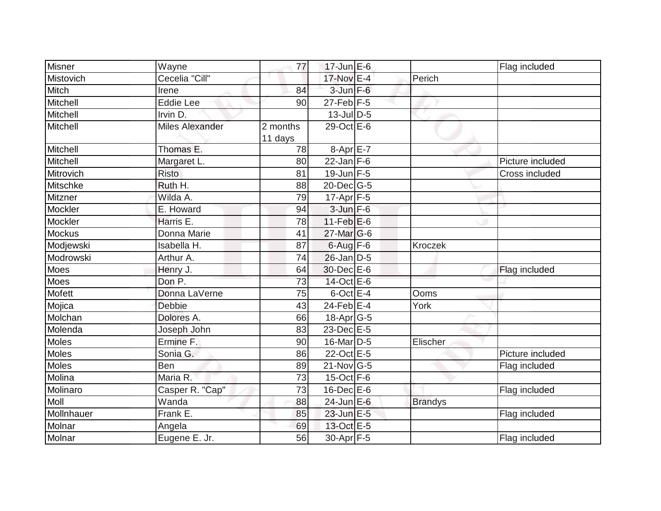| <b>Misner</b>   | Wayne                  | 77                  | $17$ -Jun $E$ -6       |                | Flag included    |
|-----------------|------------------------|---------------------|------------------------|----------------|------------------|
| Mistovich       | Cecelia "Cill"         |                     | 17-Nov E-4             | Perich         |                  |
| Mitch           | Irene                  | 84                  | $3$ -Jun $F-6$         |                |                  |
| Mitchell        | <b>Eddie Lee</b>       | 90                  | $27$ -Feb $ F-5 $      |                |                  |
| Mitchell        | Irvin D.               |                     | $13$ -Jul $D$ -5       |                |                  |
| Mitchell        | <b>Miles Alexander</b> | 2 months<br>11 days | 29-Oct E-6             |                |                  |
| Mitchell        | Thomas E.              | 78                  | $8-Apr \overline{E-7}$ |                |                  |
| Mitchell        | Margaret L.            | 80                  | $22$ -Jan F-6          |                | Picture included |
| Mitrovich       | <b>Risto</b>           | 81                  | $19$ -Jun $F-5$        |                | Cross included   |
| <b>Mitschke</b> | Ruth H.                | 88                  | $20$ -Dec $ G-5 $      |                |                  |
| Mitzner         | Wilda A.               | 79                  | $17-Apr$ F-5           |                |                  |
| Mockler         | E. Howard              | 94                  | $3$ -Jun $F - 6$       |                |                  |
| Mockler         | Harris E.              | 78                  | $11-Feb$ E-6           |                |                  |
| <b>Mockus</b>   | Donna Marie            | 41                  | $27$ -Mar $ G-6$       |                |                  |
| Modjewski       | Isabella H.            | 87                  | $6$ -Aug $F$ -6        | Kroczek        |                  |
| Modrowski       | Arthur A.              | 74                  | $26$ -Jan $D-5$        |                |                  |
| Moes            | Henry J.               | 64                  | 30-Dec E-6             |                | Flag included    |
| Moes            | Don P.                 | 73                  | 14-Oct E-6             |                |                  |
| Mofett          | Donna LaVerne          | 75                  | $6$ -Oct $E - 4$       | Ooms           |                  |
| Mojica          | <b>Debbie</b>          | 43                  | $24$ -Feb $E-4$        | York           |                  |
| Molchan         | Dolores A.             | 66                  | $18$ -Apr $G$ -5       |                |                  |
| Molenda         | Joseph John            | 83                  | 23-Dec E-5             |                |                  |
| Moles           | Ermine F.              | 90                  | 16-Mar D-5             | Elischer       |                  |
| <b>Moles</b>    | Sonia G.               | 86                  | 22-Oct E-5             |                | Picture included |
| Moles           | Ben                    | 89                  | $21$ -Nov G-5          |                | Flag included    |
| Molina          | Maria R.               | 73                  | $15$ -Oct F-6          |                |                  |
| Molinaro        | Casper R. "Cap"        | 73                  | $16$ -Dec $E$ -6       |                | Flag included    |
| <b>Moll</b>     | Wanda                  | 88                  | $24$ -Jun $E-6$        | <b>Brandys</b> |                  |
| Mollnhauer      | Frank E.               | 85                  | 23-Jun E-5             |                | Flag included    |
| Molnar          | Angela                 | 69                  | 13-Oct E-5             |                |                  |
| Molnar          | Eugene E. Jr.          | 56                  | $30-Apr$ F-5           |                | Flag included    |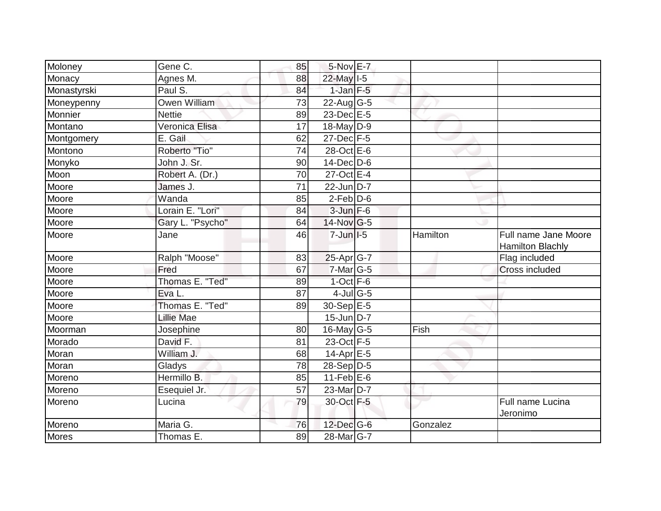| Moloney      | Gene C.             | 85              | 5-Nov E-7         |          |                                                 |
|--------------|---------------------|-----------------|-------------------|----------|-------------------------------------------------|
| Monacy       | Agnes M.            | 88              | 22-May I-5        |          |                                                 |
| Monastyrski  | Paul S.             | 84              | $1$ -Jan $F-5$    |          |                                                 |
| Moneypenny   | <b>Owen William</b> | 73              | $22$ -Aug G-5     |          |                                                 |
| Monnier      | <b>Nettie</b>       | 89              | 23-Dec E-5        |          |                                                 |
| Montano      | Veronica Elisa      | 17              | 18-May D-9        |          |                                                 |
| Montgomery   | E. Gail             | 62              | 27-Dec F-5        |          |                                                 |
| Montono      | Roberto "Tio"       | 74              | 28-Oct E-6        |          |                                                 |
| Monyko       | John J. Sr.         | 90              | 14-Dec D-6        |          |                                                 |
| Moon         | Robert A. (Dr.)     | 70              | 27-Oct E-4        |          |                                                 |
| Moore        | James J.            | 71              | 22-Jun D-7        |          |                                                 |
| Moore        | Wanda               | 85              | $2$ -Feb $D$ -6   |          |                                                 |
| Moore        | Lorain E. "Lori"    | 84              | $3 - Jun$ $F-6$   |          |                                                 |
| Moore        | Gary L. "Psycho"    | 64              | $14$ -Nov $ G-5 $ |          |                                                 |
| Moore        | Jane                | 46              | $7 - Jun$ I-5     | Hamilton | Full name Jane Moore<br><b>Hamilton Blachly</b> |
| Moore        | Ralph "Moose"       | 83              | $25$ -Apr $ G-7 $ |          | Flag included                                   |
| Moore        | Fred                | 67              | 7-Mar G-5         |          | Cross included                                  |
| Moore        | Thomas E. "Ted"     | 89              | $1$ -Oct $F-6$    |          |                                                 |
| Moore        | Eva L.              | 87              | $4$ -Jul G-5      |          |                                                 |
| Moore        | Thomas E. "Ted"     | 89              | 30-Sep E-5        |          |                                                 |
| Moore        | <b>Lillie Mae</b>   |                 | $15$ -Jun D-7     |          |                                                 |
| Moorman      | Josephine           | 80              | $16$ -May G-5     | Fish     |                                                 |
| Morado       | David F.            | 81              | 23-Oct F-5        |          |                                                 |
| Moran        | William J.          | 68              | $14$ -Apr $E-5$   |          |                                                 |
| Moran        | Gladys              | 78              | $28-Sep$ D-5      |          |                                                 |
| Moreno       | Hermillo B.         | 85              | 11-Feb $E-6$      |          |                                                 |
| Moreno       | Esequiel Jr.        | $\overline{57}$ | 23-Mar D-7        |          |                                                 |
| Moreno       | Lucina              | 79              | 30-Oct F-5        |          | Full name Lucina<br>Jeronimo                    |
| Moreno       | Maria G.            | 76              | $12$ -Dec $G-6$   | Gonzalez |                                                 |
| <b>Mores</b> | Thomas E.           | 89              | 28-Mar G-7        |          |                                                 |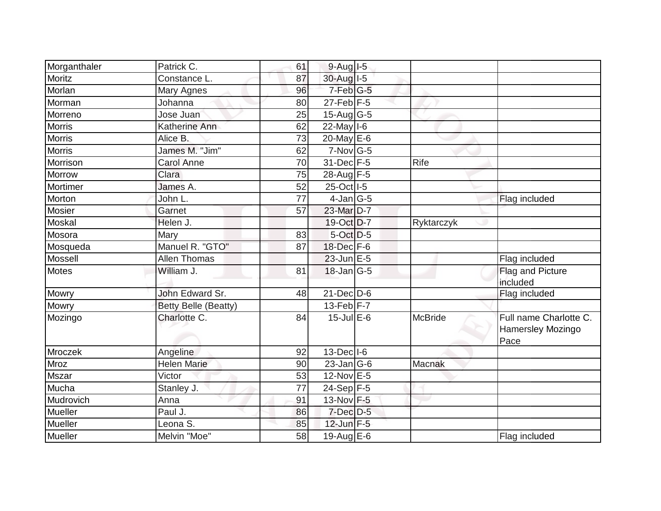| Morganthaler   | Patrick C.                  | 61 | $9-Aug$ $I-5$     |                |                                                     |
|----------------|-----------------------------|----|-------------------|----------------|-----------------------------------------------------|
| <b>Moritz</b>  | Constance L.                | 87 | 30-Aug I-5        |                |                                                     |
| Morlan         | Mary Agnes                  | 96 | 7-Feb G-5         |                |                                                     |
| Morman         | Johanna                     | 80 | $27$ -Feb $F-5$   |                |                                                     |
| Morreno        | Jose Juan                   | 25 | 15-Aug G-5        |                |                                                     |
| <b>Morris</b>  | Katherine Ann               | 62 | $22$ -May I-6     |                |                                                     |
| <b>Morris</b>  | Alice B.                    | 73 | 20-May $E-6$      |                |                                                     |
| <b>Morris</b>  | James M. "Jim"              | 62 | $7-Nov$ G-5       |                |                                                     |
| Morrison       | <b>Carol Anne</b>           | 70 | 31-Dec F-5        | Rife           |                                                     |
| <b>Morrow</b>  | Clara                       | 75 | 28-Aug F-5        |                |                                                     |
| Mortimer       | James A.                    | 52 | 25-Oct   I-5      |                |                                                     |
| Morton         | John L.                     | 77 | $4$ -Jan G-5      |                | Flag included                                       |
| Mosier         | Garnet                      | 57 | 23-Mar D-7        |                |                                                     |
| Moskal         | Helen J.                    |    | 19-Oct D-7        | Ryktarczyk     |                                                     |
| Mosora         | Mary                        | 83 | $5-Oct$ D-5       |                |                                                     |
| Mosqueda       | Manuel R. "GTO"             | 87 | 18-Dec F-6        |                |                                                     |
| <b>Mossell</b> | <b>Allen Thomas</b>         |    | $23$ -Jun $E-5$   |                | Flag included                                       |
| <b>Motes</b>   | William J.                  | 81 | $18$ -Jan $ G-5 $ |                | Flag and Picture<br>included                        |
| Mowry          | John Edward Sr.             | 48 | $21$ -Dec $D-6$   |                | Flag included                                       |
| Mowry          | <b>Betty Belle (Beatty)</b> |    | $13$ -Feb $F-7$   |                |                                                     |
| Mozingo        | Charlotte C.                | 84 | $15$ -Jul $E$ -6  | <b>McBride</b> | Full name Charlotte C.<br>Hamersley Mozingo<br>Pace |
| Mroczek        | Angeline                    | 92 | $13$ -Dec $ I-6$  |                |                                                     |
| Mroz           | <b>Helen Marie</b>          | 90 | $23$ -Jan $ G-6$  | Macnak         |                                                     |
| <b>Mszar</b>   | Victor                      | 53 | 12-Nov E-5        |                |                                                     |
| Mucha          | Stanley J.                  | 77 | $24-Sep$ F-5      |                |                                                     |
| Mudrovich      | Anna                        | 91 | 13-Nov F-5        |                |                                                     |
| Mueller        | Paul J.                     | 86 | $7$ -Dec $D-5$    |                |                                                     |
| Mueller        | Leona <sub>S.</sub>         | 85 | $12$ -Jun $F-5$   |                |                                                     |
| Mueller        | Melvin "Moe"                | 58 | 19-Aug E-6        |                | Flag included                                       |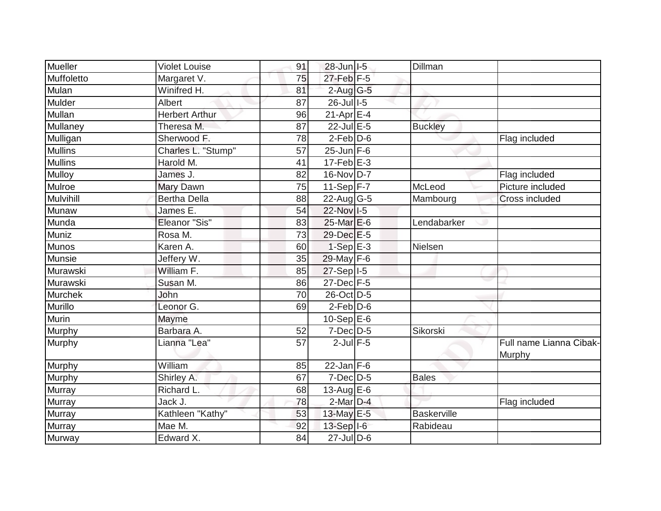| Mueller        | <b>Violet Louise</b>  | 91 | 28-Jun   I-5               | Dillman            |                                   |
|----------------|-----------------------|----|----------------------------|--------------------|-----------------------------------|
| Muffoletto     | Margaret V.           | 75 | $27$ -Feb $F-5$            |                    |                                   |
| Mulan          | Winifred H.           | 81 | $2$ -Aug $G-5$             |                    |                                   |
| Mulder         | Albert                | 87 | 26-Jul 1-5                 |                    |                                   |
| Mullan         | <b>Herbert Arthur</b> | 96 | $21-Apr \nightharpoonup 4$ |                    |                                   |
| Mullaney       | Theresa M.            | 87 | 22-Jul E-5                 | <b>Buckley</b>     |                                   |
| Mulligan       | Sherwood F.           | 78 | $2$ -Feb $D-6$             |                    | Flag included                     |
| <b>Mullins</b> | Charles L. "Stump"    | 57 | $25$ -Jun F-6              |                    |                                   |
| <b>Mullins</b> | Harold M.             | 41 | $17$ -Feb $E-3$            |                    |                                   |
| Mulloy         | James J.              | 82 | 16-Nov D-7                 |                    | Flag included                     |
| Mulroe         | Mary Dawn             | 75 | 11-Sep $F-7$               | McLeod             | Picture included                  |
| Mulvihill      | <b>Bertha Della</b>   | 88 | 22-Aug G-5                 | Mambourg           | Cross included                    |
| Munaw          | James E.              | 54 | 22-Nov I-5                 |                    |                                   |
| Munda          | Eleanor "Sis"         | 83 | $25$ -Mar $E$ -6           | Lendabarker        |                                   |
| Muniz          | Rosa M.               | 73 | 29-Dec E-5                 |                    |                                   |
| <b>Munos</b>   | Karen A.              | 60 | $1-Sep$ E-3                | Nielsen            |                                   |
| Munsie         | Jeffery W.            | 35 | 29-May F-6                 |                    |                                   |
| Murawski       | William F.            | 85 | $27-Sep$ <sup>1-5</sup>    |                    |                                   |
| Murawski       | Susan M.              | 86 | $27$ -Dec $F-5$            |                    |                                   |
| <b>Murchek</b> | John                  | 70 | 26-Oct D-5                 |                    |                                   |
| Murillo        | Leonor G.             | 69 | $2$ -Feb $D$ -6            |                    |                                   |
| <b>Murin</b>   | Mayme                 |    | 10-Sep $E-6$               |                    |                                   |
| Murphy         | Barbara A.            | 52 | $7$ -Dec $D$ -5            | Sikorski           |                                   |
| Murphy         | Lianna "Lea"          | 57 | $2$ -Jul $F-5$             |                    | Full name Lianna Cibak-<br>Murphy |
| Murphy         | William               | 85 | $22$ -Jan F-6              |                    |                                   |
| Murphy         | Shirley A.            | 67 | $7$ -Dec $D-5$             | <b>Bales</b>       |                                   |
| Murray         | Richard L.            | 68 | 13-Aug $E-6$               |                    |                                   |
| Murray         | Jack J.               | 78 | $2$ -Mar $D-4$             |                    | Flag included                     |
| Murray         | Kathleen "Kathy"      | 53 | 13-May E-5                 | <b>Baskerville</b> |                                   |
| Murray         | Mae M.                | 92 | $13-Sep$ $I-6$             | Rabideau           |                                   |
| Murway         | Edward X.             | 84 | $27$ -Jul $D-6$            |                    |                                   |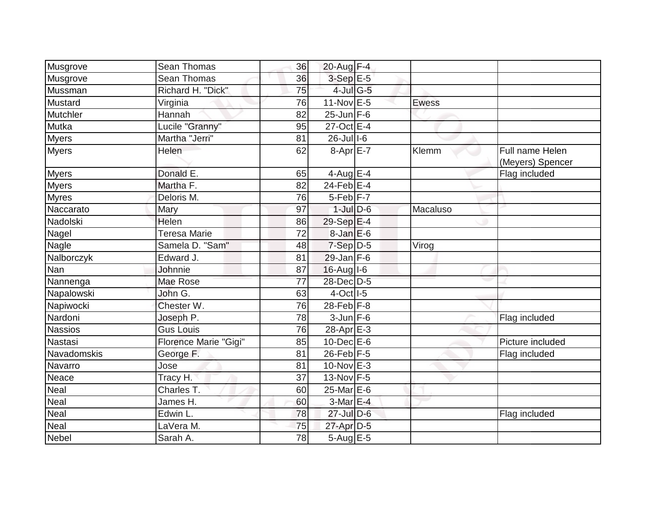| Musgrove                 | Sean Thomas                  | 36 | 20-Aug $\overline{F-4}$ |              |                                     |
|--------------------------|------------------------------|----|-------------------------|--------------|-------------------------------------|
| Musgrove                 | <b>Sean Thomas</b>           | 36 | $3-SepE-5$              |              |                                     |
| Mussman                  | Richard H. "Dick"            | 75 | 4-Jul G-5               |              |                                     |
| Mustard                  | Virginia                     | 76 | $11-Nov$ E-5            | <b>Ewess</b> |                                     |
| Mutchler                 | Hannah                       | 82 | $25$ -Jun $F-6$         |              |                                     |
| Mutka                    | Lucile "Granny"              | 95 | 27-Oct E-4              |              |                                     |
| <b>Myers</b>             | Martha "Jerri"               | 81 | $26$ -Jul $1-6$         |              |                                     |
| <b>Myers</b>             | Helen                        | 62 | 8-Apr E-7               | Klemm        | Full name Helen<br>(Meyers) Spencer |
| <b>Myers</b>             | Donald E.                    | 65 | 4-Aug $E-4$             |              | Flag included                       |
| <b>Myers</b>             | Martha F.                    | 82 | $24$ -Feb $E-4$         |              |                                     |
| <b>Myres</b>             | Deloris M.                   | 76 | $5-Feb$ $F-7$           |              |                                     |
| Naccarato                | Mary                         | 97 | $1$ -Jul $D-6$          | Macaluso     |                                     |
| Nadolski                 | Helen                        | 86 | $29-Sep$ E-4            |              |                                     |
| Nagel                    | Teresa Marie                 | 72 | $8$ -Jan $E$ -6         |              |                                     |
| Nagle                    | Samela D. "Sam"              | 48 | $7-Sep$ D-5             | Virog        |                                     |
| Nalborczyk               | Edward J.                    | 81 | $29$ -Jan F-6           |              |                                     |
| Nan                      | Johnnie                      | 87 | 16-Aug I-6              |              |                                     |
| Nannenga                 | Mae Rose                     | 77 | 28-Dec D-5              |              |                                     |
| Napalowski               | John G.                      | 63 | $4$ -Oct $1-5$          |              |                                     |
| Napiwocki                | Chester W.                   | 76 | 28-Feb F-8              |              |                                     |
| Nardoni                  | Joseph P.                    | 78 | $3$ -Jun $F-6$          |              | Flag included                       |
| <b>Nassios</b>           | <b>Gus Louis</b>             | 76 | 28-Apr E-3              |              |                                     |
| Nastasi                  | <b>Florence Marie "Gigi"</b> | 85 | $10$ -Dec $E$ -6        |              | Picture included                    |
| Navadomskis              | George F.                    | 81 | 26-Feb F-5              |              | Flag included                       |
| Navarro                  | Jose                         | 81 | $10$ -Nov $E-3$         |              |                                     |
| Neace                    | Tracy H.                     | 37 | 13-Nov $F-5$            |              |                                     |
| Neal                     | Charles T.                   | 60 | $25$ -Mar $E$ -6        |              |                                     |
| $\overline{\text{Neal}}$ | James H.                     | 60 | 3-Mar E-4               |              |                                     |
| Neal                     | Edwin L.                     | 78 | $27$ -Jul $D-6$         |              | Flag included                       |
| Neal                     | LaVera M.                    | 75 | 27-Apr D-5              |              |                                     |
| <b>Nebel</b>             | Sarah A.                     | 78 | $5-Aug$ $E-5$           |              |                                     |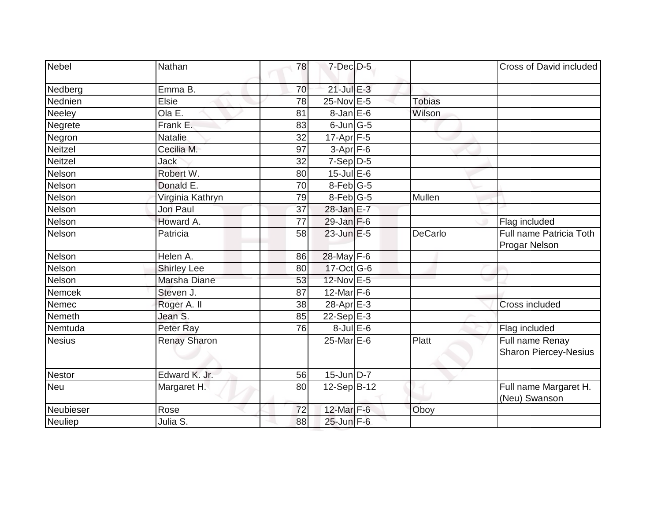| Nebel          | Nathan              | 78 | $7$ -Dec $D-5$    |                | Cross of David included                         |
|----------------|---------------------|----|-------------------|----------------|-------------------------------------------------|
| Nedberg        | Emma B.             | 70 | $21$ -Jul E-3     |                |                                                 |
| Nednien        | Elsie               | 78 | $25$ -Nov $E - 5$ | <b>Tobias</b>  |                                                 |
| Neeley         | Ola E.              | 81 | $8$ -Jan $E$ -6   | Wilson         |                                                 |
| Negrete        | Frank E.            | 83 | $6$ -Jun $G$ -5   |                |                                                 |
| Negron         | <b>Natalie</b>      | 32 | $17-Apr$ F-5      |                |                                                 |
| Neitzel        | Cecilia M.          | 97 | $3-Apr$ F-6       |                |                                                 |
| <b>Neitzel</b> | <b>Jack</b>         | 32 | $7-Sep D-5$       |                |                                                 |
| Nelson         | Robert W.           | 80 | $15$ -Jul E-6     |                |                                                 |
| Nelson         | Donald E.           | 70 | 8-Feb G-5         |                |                                                 |
| Nelson         | Virginia Kathryn    | 79 | $8$ -Feb $ G-5 $  | Mullen         |                                                 |
| Nelson         | Jon Paul            | 37 | 28-Jan E-7        |                |                                                 |
| Nelson         | Howard A.           | 77 | $29$ -Jan F-6     |                | Flag included                                   |
| Nelson         | Patricia            | 58 | $23$ -Jun $E-5$   | <b>DeCarlo</b> | Full name Patricia Toth<br>Progar Nelson        |
| Nelson         | Helen A.            | 86 | 28-May F-6        |                |                                                 |
| Nelson         | <b>Shirley Lee</b>  | 80 | $17$ -Oct G-6     |                |                                                 |
| Nelson         | Marsha Diane        | 53 | 12-Nov E-5        |                |                                                 |
| Nemcek         | Steven J.           | 87 | $12$ -Mar $F-6$   |                |                                                 |
| Nemec          | Roger A. II         | 38 | 28-Apr E-3        |                | Cross included                                  |
| Nemeth         | Jean S.             | 85 | $22-Sep$ E-3      |                |                                                 |
| Nemtuda        | Peter Ray           | 76 | $8$ -Jul $E$ -6   |                | Flag included                                   |
| <b>Nesius</b>  | <b>Renay Sharon</b> |    | 25-Mar E-6        | Platt          | Full name Renay<br><b>Sharon Piercey-Nesius</b> |
| <b>Nestor</b>  | Edward K. Jr.       | 56 | $15$ -Jun $D-7$   |                |                                                 |
| <b>Neu</b>     | Margaret H.         | 80 | 12-Sep B-12       |                | Full name Margaret H.<br>(Neu) Swanson          |
| Neubieser      | Rose                | 72 | 12-Mar F-6        | Oboy           |                                                 |
| Neuliep        | Julia S.            | 88 | 25-Jun F-6        |                |                                                 |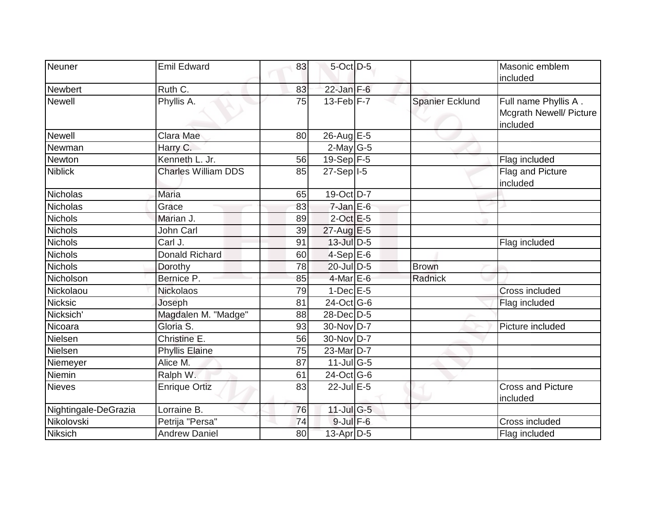| Neuner               | <b>Emil Edward</b>         | 83 | 5-Oct D-5                   |                        | Masonic emblem<br>included                                  |
|----------------------|----------------------------|----|-----------------------------|------------------------|-------------------------------------------------------------|
| Newbert              | Ruth C.                    | 83 | $22$ -Jan F-6               |                        |                                                             |
| <b>Newell</b>        | Phyllis A.                 | 75 | $13$ -Feb $ F - 7 $         | <b>Spanier Ecklund</b> | Full name Phyllis A.<br>Mcgrath Newell/ Picture<br>included |
| <b>Newell</b>        | Clara Mae                  | 80 | 26-Aug E-5                  |                        |                                                             |
| Newman               | Harry C.                   |    | $2$ -May G-5                |                        |                                                             |
| Newton               | Kenneth L. Jr.             | 56 | $19-Sep$ F-5                |                        | Flag included                                               |
| <b>Niblick</b>       | <b>Charles William DDS</b> | 85 | $27-Sep$ <sup>1-5</sup>     |                        | Flag and Picture<br>included                                |
| <b>Nicholas</b>      | <b>Maria</b>               | 65 | 19-Oct D-7                  |                        |                                                             |
| Nicholas             | Grace                      | 83 | $7$ -Jan E-6                |                        |                                                             |
| <b>Nichols</b>       | Marian J.                  | 89 | $2$ -Oct $E-5$              |                        |                                                             |
| <b>Nichols</b>       | John Carl                  | 39 | 27-Aug E-5                  |                        |                                                             |
| Nichols              | Carl J.                    | 91 | 13-Jul D-5                  |                        | Flag included                                               |
| <b>Nichols</b>       | <b>Donald Richard</b>      | 60 | $4-Sep$ $E-6$               |                        |                                                             |
| <b>Nichols</b>       | Dorothy                    | 78 | 20-Jul D-5                  | <b>Brown</b>           |                                                             |
| Nicholson            | Bernice P.                 | 85 | $4$ -Mar $E$ -6             | Radnick                |                                                             |
| Nickolaou            | <b>Nickolaos</b>           | 79 | $1-Dec$ E-5                 |                        | Cross included                                              |
| <b>Nicksic</b>       | Joseph                     | 81 | $24$ -Oct $G-6$             |                        | Flag included                                               |
| Nicksich'            | Magdalen M. "Madge"        | 88 | 28-Dec D-5                  |                        |                                                             |
| Nicoara              | Gloria S.                  | 93 | 30-Nov D-7                  |                        | Picture included                                            |
| Nielsen              | Christine E.               | 56 | 30-Nov D-7                  |                        |                                                             |
| Nielsen              | <b>Phyllis Elaine</b>      | 75 | 23-Mar <sub>D-7</sub>       |                        |                                                             |
| Niemeyer             | Alice M.                   | 87 | $11$ -Jul $\overline{G}$ -5 |                        |                                                             |
| Niemin               | Ralph W.                   | 61 | 24-Oct G-6                  |                        |                                                             |
| Nieves               | <b>Enrique Ortiz</b>       | 83 | 22-Jul E-5                  |                        | <b>Cross and Picture</b><br>included                        |
| Nightingale-DeGrazia | Lorraine B.                | 76 | $11$ -Jul G-5               |                        |                                                             |
| Nikolovski           | Petrija "Persa"            | 74 | $9$ -Jul $F$ -6             |                        | Cross included                                              |
| <b>Niksich</b>       | <b>Andrew Daniel</b>       | 80 | $13$ -Apr $D-5$             |                        | Flag included                                               |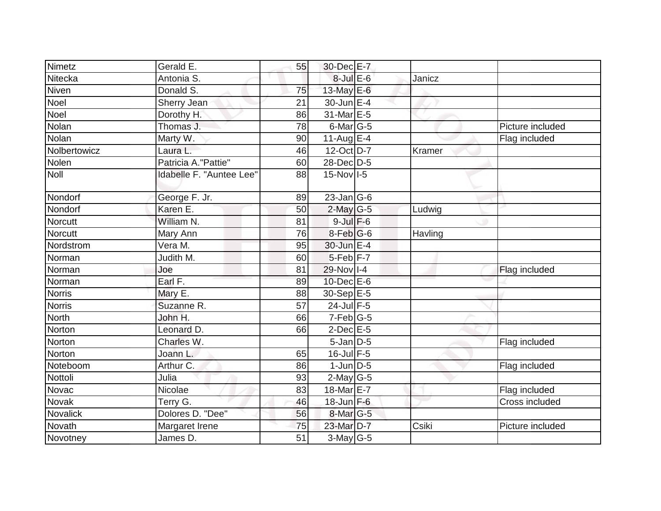| Nimetz        | Gerald E.                | 55 | 30-Dec E-7              |         |                  |
|---------------|--------------------------|----|-------------------------|---------|------------------|
| Nitecka       | Antonia S.               |    | $8$ -Jul E-6            | Janicz  |                  |
| Niven         | Donald S.                | 75 | 13-May E-6              |         |                  |
| Noel          | Sherry Jean              | 21 | $30$ -Jun $E-4$         |         |                  |
| Noel          | Dorothy H.               | 86 | 31-Mar E-5              |         |                  |
| Nolan         | Thomas J.                | 78 | 6-Mar G-5               |         | Picture included |
| Nolan         | Marty W.                 | 90 | 11-Aug $E-4$            |         | Flag included    |
| Nolbertowicz  | Laura L.                 | 46 | 12-Oct D-7              | Kramer  |                  |
| Nolen         | Patricia A. "Pattie"     | 60 | 28-Dec D-5              |         |                  |
| Noll          | Idabelle F. "Auntee Lee" | 88 | $15-Nov$ <sub>I-5</sub> |         |                  |
| Nondorf       | George F. Jr.            | 89 | $23$ -Jan G-6           |         |                  |
| Nondorf       | Karen E.                 | 50 | $2$ -May G-5            | Ludwig  |                  |
| Norcutt       | William N.               | 81 | $9$ -Jul $F$ -6         |         |                  |
| Norcutt       | Mary Ann                 | 76 | $8$ -Feb $ G-6$         | Havling |                  |
| Nordstrom     | Vera M.                  | 95 | 30-Jun E-4              |         |                  |
| Norman        | Judith M.                | 60 | 5-Feb <sup>F-7</sup>    |         |                  |
| Norman        | Joe                      | 81 | 29-Nov I-4              |         | Flag included    |
| Norman        | Earl F.                  | 89 | 10-Dec E-6              |         |                  |
| <b>Norris</b> | Mary E.                  | 88 | 30-Sep E-5              |         |                  |
| <b>Norris</b> | Suzanne R.               | 57 | 24-Jul F-5              |         |                  |
| <b>North</b>  | John H.                  | 66 | $7-Feb$ G-5             |         |                  |
| Norton        | Leonard D.               | 66 | $2$ -Dec $E$ -5         |         |                  |
| Norton        | Charles W.               |    | $5$ -Jan $D$ -5         |         | Flag included    |
| Norton        | Joann L.                 | 65 | $16$ -Jul F-5           |         |                  |
| Noteboom      | Arthur C.                | 86 | $1$ -Jun $D-5$          |         | Flag included    |
| Nottoli       | Julia                    | 93 | $2$ -May G-5            |         |                  |
| Novac         | Nicolae                  | 83 | 18-Mar <sub>E-7</sub>   |         | Flag included    |
| Novak         | Terry G.                 | 46 | 18-Jun F-6              |         | Cross included   |
| Novalick      | Dolores D. "Dee"         | 56 | 8-Mar G-5               |         |                  |
| Novath        | Margaret Irene           | 75 | 23-Mar D-7              | Csiki   | Picture included |
| Novotney      | James D.                 | 51 | $\overline{3}$ -May G-5 |         |                  |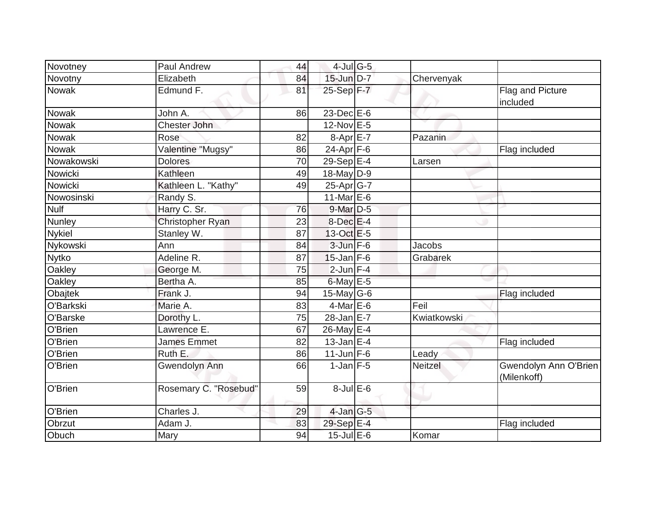| Novotney      | Paul Andrew           | 44 | $4$ -Jul G-5                           |                |                                      |
|---------------|-----------------------|----|----------------------------------------|----------------|--------------------------------------|
| Novotny       | Elizabeth             | 84 | 15-Jun D-7                             | Chervenyak     |                                      |
| <b>Nowak</b>  | Edmund F.             | 81 | $25-Sep$ F-7                           |                | Flag and Picture<br>included         |
| <b>Nowak</b>  | John A.               | 86 | 23-Dec E-6                             |                |                                      |
| Nowak         | <b>Chester John</b>   |    | 12-Nov E-5                             |                |                                      |
| Nowak         | Rose                  | 82 | $8-Apr$ $E-7$                          | Pazanin        |                                      |
| Nowak         | Valentine "Mugsy"     | 86 | $\overline{24}$ -Apr $\overline{F}$ -6 |                | Flag included                        |
| Nowakowski    | <b>Dolores</b>        | 70 | 29-Sep $E-4$                           | Larsen         |                                      |
| Nowicki       | Kathleen              | 49 | $18$ -May D-9                          |                |                                      |
| Nowicki       | Kathleen L. "Kathy"   | 49 | $25$ -Apr $G$ -7                       |                |                                      |
| Nowosinski    | Randy S.              |    | 11-Mar $E-6$                           |                |                                      |
| Nulf          | Harry C. Sr.          | 76 | $9$ -Mar $D-5$                         |                |                                      |
| Nunley        | Christopher Ryan      | 23 | $8$ -Dec $E-4$                         |                |                                      |
| <b>Nykiel</b> | Stanley W.            | 87 | 13-Oct E-5                             |                |                                      |
| Nykowski      | Ann                   | 84 | $3$ -Jun $F-6$                         | <b>Jacobs</b>  |                                      |
| <b>Nytko</b>  | Adeline R.            | 87 | $15$ -Jan F-6                          | Grabarek       |                                      |
| Oakley        | George M.             | 75 | $2$ -Jun $F-4$                         |                |                                      |
| Oakley        | Bertha A.             | 85 | 6-May $E-5$                            |                |                                      |
| Obajtek       | Frank J.              | 94 | 15-May $G-6$                           |                | Flag included                        |
| O'Barkski     | Marie A.              | 83 | $4$ -Mar $E$ -6                        | Feil           |                                      |
| O'Barske      | Dorothy L.            | 75 | $28$ -Jan $E-7$                        | Kwiatkowski    |                                      |
| O'Brien       | Lawrence E.           | 67 | 26-May E-4                             |                |                                      |
| O'Brien       | James Emmet           | 82 | $13$ -Jan E-4                          |                | Flag included                        |
| O'Brien       | Ruth E.               | 86 | $11$ -Jun F-6                          | Leady          |                                      |
| O'Brien       | <b>Gwendolyn Ann</b>  | 66 | $1$ -Jan $F-5$                         | <b>Neitzel</b> | Gwendolyn Ann O'Brien<br>(Milenkoff) |
| O'Brien       | Rosemary C. "Rosebud" | 59 | $8$ -Jul $E$ -6                        |                |                                      |
| O'Brien       | Charles J.            | 29 | $4$ -Jan $G-5$                         |                |                                      |
| Obrzut        | Adam J.               | 83 | 29-Sep E-4                             |                | Flag included                        |
| Obuch         | Mary                  | 94 | $15$ -Jul $E$ -6                       | Komar          |                                      |
|               |                       |    |                                        |                |                                      |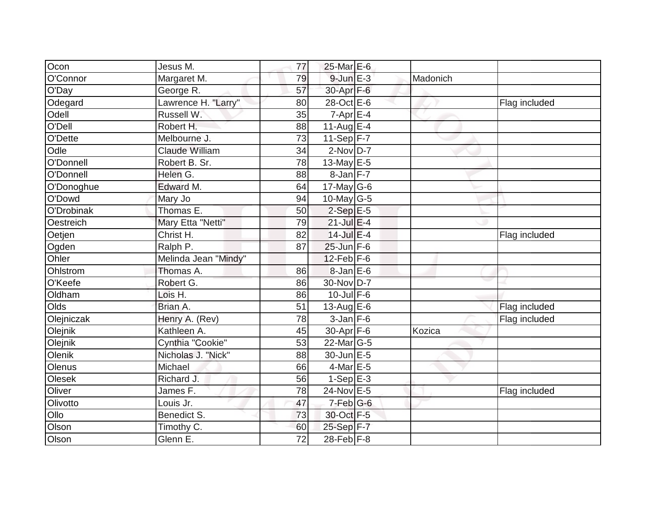| Ocon                      | Jesus M.              | 77 | 25-Mar E-6        |          |               |
|---------------------------|-----------------------|----|-------------------|----------|---------------|
| O'Connor                  | Margaret M.           | 79 | $9$ -Jun $E$ -3   | Madonich |               |
| O'Day                     | George R.             | 57 | 30-Apr F-6        |          |               |
| Odegard                   | Lawrence H. "Larry"   | 80 | 28-Oct E-6        |          | Flag included |
| Odell                     | Russell W.            | 35 | $7 - Apr$ E-4     |          |               |
| O'Dell                    | Robert H.             | 88 | 11-Aug $E-4$      |          |               |
| O'Dette                   | Melbourne J.          | 73 | 11-Sep $F-7$      |          |               |
| Odle                      | <b>Claude William</b> | 34 | $2-Nov$ D-7       |          |               |
| O'Donnell                 | Robert B. Sr.         | 78 | 13-May $E-5$      |          |               |
| O'Donnell                 | Helen G.              | 88 | $8$ -Jan $F-7$    |          |               |
| O'Donoghue                | Edward M.             | 64 | $17$ -May G-6     |          |               |
| O'Dowd                    | Mary Jo               | 94 | 10-May $G-5$      |          |               |
| O'Drobinak                | Thomas E.             | 50 | $2-Sep$ $E-5$     |          |               |
| Oestreich                 | Mary Etta "Netti"     | 79 | $21$ -Jul E-4     |          |               |
| Oetjen                    | Christ H.             | 82 | 14-Jul E-4        |          | Flag included |
| Ogden                     | Ralph P.              | 87 | $25$ -Jun $F-6$   |          |               |
| Ohler                     | Melinda Jean "Mindy"  |    | $12$ -Feb $F-6$   |          |               |
| Ohlstrom                  | Thomas A.             | 86 | 8-Jan E-6         |          |               |
| O'Keefe                   | Robert G.             | 86 | 30-Nov D-7        |          |               |
| Oldham                    | Lois H.               | 86 | $10$ -Jul F-6     |          |               |
| Olds                      | Brian A.              | 51 | 13-Aug $E$ -6     |          | Flag included |
| Olejniczak                | Henry A. (Rev)        | 78 | $3$ -Jan $F-6$    |          | Flag included |
| Olejnik                   | Kathleen A.           | 45 | $30 - Apr$ F-6    | Kozica   |               |
| Olejnik                   | Cynthia "Cookie"      | 53 | $22$ -Mar $ G-5 $ |          |               |
| Olenik                    | Nicholas J. "Nick"    | 88 | $30$ -Jun $E - 5$ |          |               |
| Olenus                    | Michael               | 66 | 4-Mar E-5         |          |               |
| Olesek                    | Richard J.            | 56 | $1-Sep$ E-3       |          |               |
| Oliver                    | James F.              | 78 | 24-Nov E-5        |          | Flag included |
| Olivotto                  | Louis Jr.             | 47 | 7-Feb G-6         |          |               |
| Ollo                      | <b>Benedict S.</b>    | 73 | 30-Oct F-5        |          |               |
| $\overline{O}$ <u>Son</u> | Timothy C.            | 60 | 25-Sep F-7        |          |               |
| Olson                     | Glenn E.              | 72 | $28$ -Feb $F-8$   |          |               |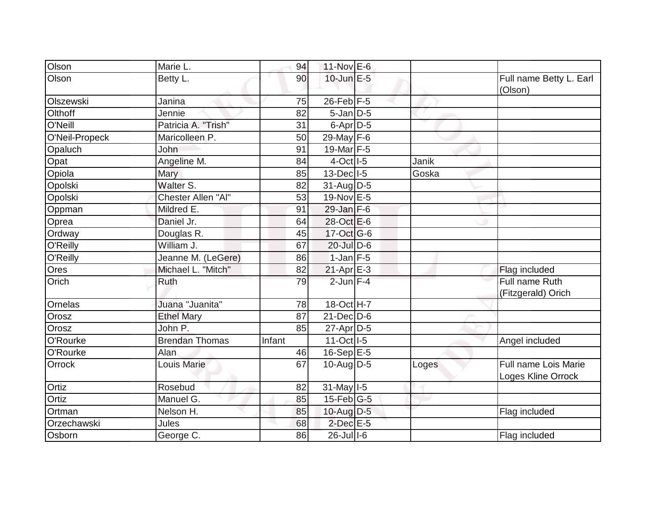| Olson          | Marie L.              | 94     | $11-Nov$ E-6               |       |                                            |
|----------------|-----------------------|--------|----------------------------|-------|--------------------------------------------|
| Olson          | Betty L.              | 90     | $10$ -Jun $E - 5$          |       | Full name Betty L. Earl<br>(Olson)         |
| Olszewski      | Janina                | 75     | $26$ -Feb F-5              |       |                                            |
| Olthoff        | Jennie                | 82     | $5$ -Jan $D$ -5            |       |                                            |
| O'Neill        | Patricia A. "Trish"   | 31     | $6$ -Apr $D$ -5            |       |                                            |
| O'Neil-Propeck | Maricolleen P.        | 50     | 29-May F-6                 |       |                                            |
| Opaluch        | John                  | 91     | 19-Mar F-5                 |       |                                            |
| Opat           | Angeline M.           | 84     | $4-Oct$ <sup>1-5</sup>     | Janik |                                            |
| Opiola         | Mary                  | 85     | $13$ -Dec $ I-5 $          | Goska |                                            |
| Opolski        | Walter S.             | 82     | $31$ -AugD-5               |       |                                            |
| Opolski        | Chester Allen "Al"    | 53     | 19-Nov E-5                 |       |                                            |
| Oppman         | Mildred E.            | 91     | $29$ -Jan F-6              |       |                                            |
| Oprea          | Daniel Jr.            | 64     | 28-Oct E-6                 |       |                                            |
| Ordway         | Douglas R.            | 45     | 17-Oct G-6                 |       |                                            |
| O'Reilly       | William J.            | 67     | $20$ -Jul $D-6$            |       |                                            |
| O'Reilly       | Jeanne M. (LeGere)    | 86     | $1$ -Jan $F-5$             |       |                                            |
| Ores           | Michael L. "Mitch"    | 82     | $21-Apr \nightharpoonup 3$ |       | Flag included                              |
| Orich          | Ruth                  | 79     | $2$ -Jun F-4               |       | Full name Ruth<br>(Fitzgerald) Orich       |
| Ornelas        | Juana "Juanita"       | 78     | 18-Oct H-7                 |       |                                            |
| Orosz          | <b>Ethel Mary</b>     | 87     | $21$ -Dec $D-6$            |       |                                            |
| Orosz          | John P.               | 85     | $27$ -Apr $D-5$            |       |                                            |
| O'Rourke       | <b>Brendan Thomas</b> | Infant | $11-Oct$ <sup>1-5</sup>    |       | Angel included                             |
| O'Rourke       | Alan                  | 46     | $16-Sep$ E-5               |       |                                            |
| Orrock         | <b>Louis Marie</b>    | 67     | 10-Aug D-5                 | Loges | Full name Lois Marie<br>Loges Kline Orrock |
| Ortiz          | Rosebud               | 82     | 31-May I-5                 |       |                                            |
| Ortiz          | Manuel G.             | 85     | $15$ -Feb $ G-5 $          |       |                                            |
| Ortman         | Nelson H.             | 85     | 10-Aug D-5                 |       | Flag included                              |
| Orzechawski    | Jules                 | 68     | $2$ -Dec $E - 5$           |       |                                            |
| Osborn         | George C.             | 86     | 26-Jul I-6                 |       | Flag included                              |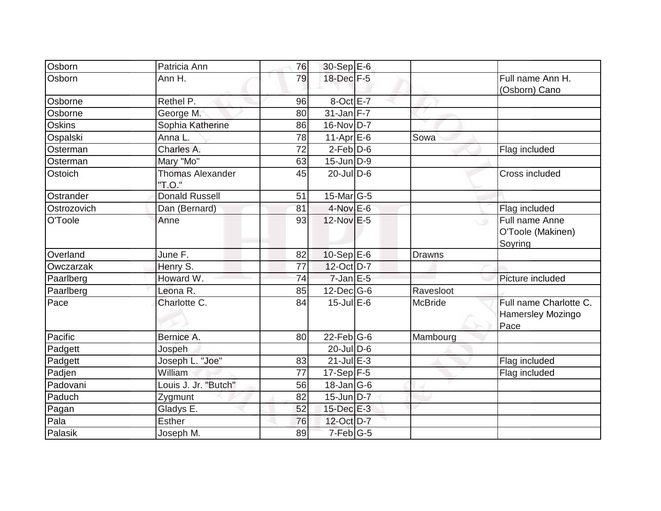| Osborn      | Patricia Ann                      | 76 | 30-Sep E-6       |                |                                                          |
|-------------|-----------------------------------|----|------------------|----------------|----------------------------------------------------------|
| Osborn      | Ann H.                            | 79 | 18-Dec F-5       |                | Full name Ann H.<br>(Osborn) Cano                        |
| Osborne     | Rethel P.                         | 96 | $8$ -Oct $E - 7$ |                |                                                          |
| Osborne     | George M.                         | 80 | $31$ -Jan F-7    |                |                                                          |
| Oskins      | Sophia Katherine                  | 86 | $16$ -Nov D-7    |                |                                                          |
| Ospalski    | Anna L.                           | 78 | $11-AprEE-6$     | Sowa           |                                                          |
| Osterman    | Charles A.                        | 72 | $2$ -Feb $D-6$   |                | Flag included                                            |
| Osterman    | Mary "Mo"                         | 63 | $15$ -Jun $D-9$  |                |                                                          |
| Ostoich     | <b>Thomas Alexander</b><br>"T.O." | 45 | $20$ -Jul $D$ -6 |                | Cross included                                           |
| Ostrander   | <b>Donald Russell</b>             | 51 | $15$ -Mar $ G-5$ |                |                                                          |
| Ostrozovich | Dan (Bernard)                     | 81 | $4$ -Nov $E - 6$ |                | Flag included                                            |
| O'Toole     | Anne                              | 93 | 12-Nov E-5       |                | Full name Anne<br>$\cup$<br>O'Toole (Makinen)<br>Soyring |
| Overland    | June F.                           | 82 | $10-Sep$ E-6     | <b>Drawns</b>  |                                                          |
| Owczarzak   | Henry S.                          | 77 | 12-Oct D-7       |                |                                                          |
| Paarlberg   | Howard W.                         | 74 | $7$ -Jan $E$ -5  |                | Picture included                                         |
| Paarlberg   | Leona <sub>R.</sub>               | 85 | $12$ -Dec $ G-6$ | Ravesloot      |                                                          |
| Pace        | Charlotte C.                      | 84 | $15$ -Jul $E$ -6 | <b>McBride</b> | Full name Charlotte C.<br>Hamersley Mozingo<br>Pace      |
| Pacific     | Bernice A.                        | 80 | $22$ -Feb $G-6$  | Mambourg       |                                                          |
| Padgett     | Jospeh                            |    | $20$ -Jul D-6    |                |                                                          |
| Padgett     | Joseph L. "Joe"                   | 83 | $21$ -Jul $E-3$  |                | Flag included                                            |
| Padjen      | William                           | 77 | $17-Sep$ F-5     |                | Flag included                                            |
| Padovani    | Louis J. Jr. "Butch"              | 56 | $18$ -Jan $ G-6$ |                |                                                          |
| Paduch      | Zygmunt                           | 82 | $15$ -Jun D-7    |                |                                                          |
| Pagan       | Gladys E.                         | 52 | 15-Dec E-3       |                |                                                          |
| Pala        | <b>Esther</b>                     | 76 | 12-Oct D-7       |                |                                                          |
| Palasik     | Joseph M.                         | 89 | $7-Feb G-5$      |                |                                                          |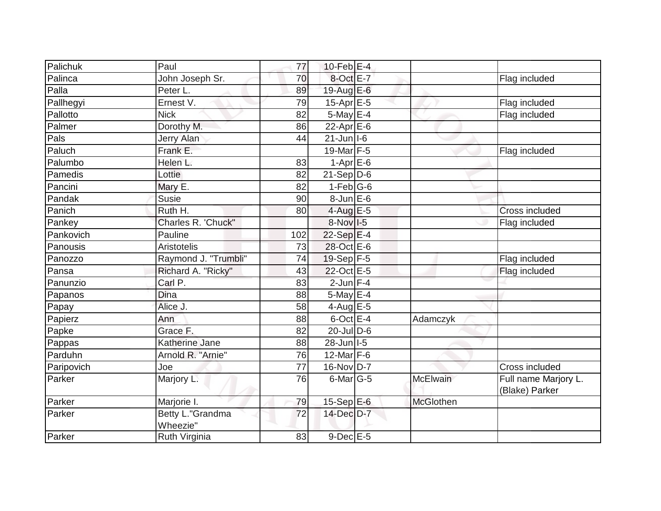| Palichuk   | Paul                         | 77  | 10-Feb $E-4$           |                 |                                        |
|------------|------------------------------|-----|------------------------|-----------------|----------------------------------------|
| Palinca    | John Joseph Sr.              | 70  | $8-Oct$ <sub>E-7</sub> |                 | Flag included                          |
| Palla      | Peter L.                     | 89  | 19-Aug E-6             |                 |                                        |
| Pallhegyi  | Ernest V.                    | 79  | 15-Apr E-5             |                 | Flag included                          |
| Pallotto   | <b>Nick</b>                  | 82  | $5$ -May E-4           |                 | Flag included                          |
| Palmer     | Dorothy M.                   | 86  | $22$ -Apr $E$ -6       |                 |                                        |
| Pals       | <b>Jerry Alan</b>            | 44  | $21$ -Jun $ I-6 $      |                 |                                        |
| Paluch     | Frank E.                     |     | 19-Mar $F-5$           |                 | Flag included                          |
| Palumbo    | Helen L.                     | 83  | $1-AprE-6$             |                 |                                        |
| Pamedis    | Lottie                       | 82  | $21-Sep D-6$           |                 |                                        |
| Pancini    | Mary E.                      | 82  | $1-Feb G-6$            |                 |                                        |
| Pandak     | Susie                        | 90  | $8$ -Jun $E$ -6        |                 |                                        |
| Panich     | Ruth H.                      | 80  | $4$ -Aug E-5           |                 | Cross included                         |
| Pankey     | Charles R. 'Chuck"           |     | 8-Nov I-5              |                 | Flag included                          |
| Pankovich  | Pauline                      | 102 | $22-Sep$ E-4           |                 |                                        |
| Panousis   | <b>Aristotelis</b>           | 73  | 28-Oct E-6             |                 |                                        |
| Panozzo    | Raymond J. "Trumbli"         | 74  | $19-Sep$ F-5           |                 | Flag included                          |
| Pansa      | Richard A. "Ricky"           | 43  | 22-Oct E-5             |                 | Flag included                          |
| Panunzio   | Carl P.                      | 83  | $2$ -Jun F-4           |                 |                                        |
| Papanos    | <b>Dina</b>                  | 88  | 5-May $E-4$            |                 |                                        |
| Papay      | Alice J.                     | 58  | 4-Aug $E-5$            |                 |                                        |
| Papierz    | Ann                          | 88  | $6$ -Oct $E-4$         | Adamczyk        |                                        |
| Papke      | Grace F.                     | 82  | $20$ -Jul D-6          |                 |                                        |
| Pappas     | Katherine Jane               | 88  | $28$ -Jun I-5          |                 |                                        |
| Parduhn    | Arnold R. "Arnie"            | 76  | 12-Mar F-6             |                 |                                        |
| Paripovich | Joe                          | 77  | $16$ -Nov D-7          |                 | Cross included                         |
| Parker     | Marjory L.                   | 76  | $6$ -Mar $ G-5 $       | <b>McElwain</b> | Full name Marjory L.<br>(Blake) Parker |
| Parker     | Marjorie I.                  | 79  | $15-Sep$ E-6           | McGlothen       |                                        |
| Parker     | Betty L."Grandma<br>Wheezie" | 72  | 14-Dec D-7             |                 |                                        |
| Parker     | Ruth Virginia                | 83  | $9$ -Dec $E - 5$       |                 |                                        |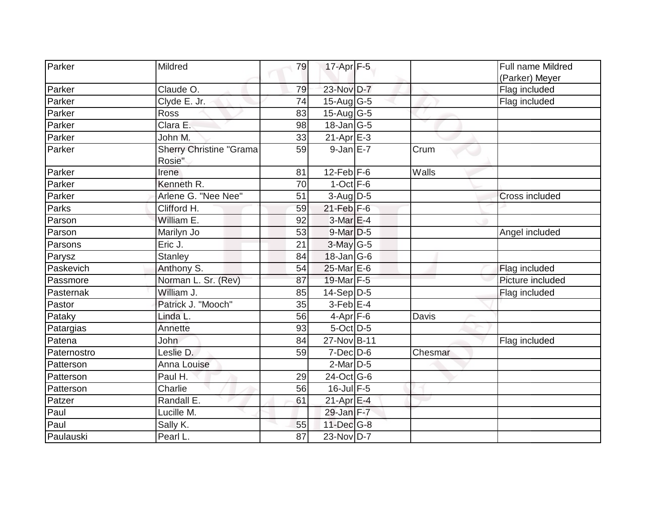| Parker      | Mildred                                  | 79 | 17-Apr F-5                  |         | <b>Full name Mildred</b><br>(Parker) Meyer |
|-------------|------------------------------------------|----|-----------------------------|---------|--------------------------------------------|
| Parker      | Claude O.                                | 79 | 23-Nov D-7                  |         | Flag included                              |
| Parker      | Clyde E. Jr.                             | 74 | $15$ -Aug G-5               |         | Flag included                              |
| Parker      | <b>Ross</b>                              | 83 | $15-Aug$ G-5                |         |                                            |
| Parker      | Clara E.                                 | 98 | 18-Jan G-5                  |         |                                            |
| Parker      | John M.                                  | 33 | $21-Apr \nightharpoonup 3$  |         |                                            |
| Parker      | <b>Sherry Christine "Grama</b><br>Rosie" | 59 | $9$ -Jan $E$ -7             | Crum    |                                            |
| Parker      | <b>Irene</b>                             | 81 | $12$ -Feb $ F-6$            | Walls   |                                            |
| Parker      | Kenneth R.                               | 70 | $1-Oct$ F-6                 |         |                                            |
| Parker      | Arlene G. "Nee Nee"                      | 51 | $3-Aug$ D-5                 |         | Cross included                             |
| Parks       | Clifford H.                              | 59 | $21$ -Feb F-6               |         |                                            |
| Parson      | William E.                               | 92 | 3-Mar E-4                   |         |                                            |
| Parson      | Marilyn Jo                               | 53 | $9$ -Mar $D-5$              |         | Angel included                             |
| Parsons     | Eric J.                                  | 21 | $3$ -May G-5                |         |                                            |
| Parysz      | <b>Stanley</b>                           | 84 | $18$ -Jan $ G$ -6           |         |                                            |
| Paskevich   | Anthony S.                               | 54 | $25$ -Mar $E$ -6            |         | Flag included                              |
| Passmore    | Norman L. Sr. (Rev)                      | 87 | 19-Mar F-5                  |         | Picture included                           |
| Pasternak   | William J.                               | 85 | $14-Sep D-5$                |         | Flag included                              |
| Pastor      | Patrick J. "Mooch"                       | 35 | $3$ -Feb $E-4$              |         |                                            |
| Pataky      | Linda L.                                 | 56 | $4-Apr$ F-6                 | Davis   |                                            |
| Patargias   | Annette                                  | 93 | 5-Oct D-5                   |         |                                            |
| Patena      | John                                     | 84 | 27-Nov B-11                 |         | Flag included                              |
| Paternostro | Leslie D.                                | 59 | $7$ -Dec $D$ -6             | Chesmar |                                            |
| Patterson   | Anna Louise                              |    | $2$ -Mar $D-5$              |         |                                            |
| Patterson   | Paul H.                                  | 29 | $24-Oct$ G-6                |         |                                            |
| Patterson   | Charlie                                  | 56 | $16$ -Jul F-5               |         |                                            |
| Patzer      | Randall E.                               | 61 | $21-Apr \mathsf{E-4}$       |         |                                            |
| Paul        | Lucille M.                               |    | $29$ -Jan $F-7$             |         |                                            |
| Paul        | Sally K.                                 | 55 | $11$ -Dec $\overline{G}$ -8 |         |                                            |
| Paulauski   | Pearl L.                                 | 87 | 23-Nov D-7                  |         |                                            |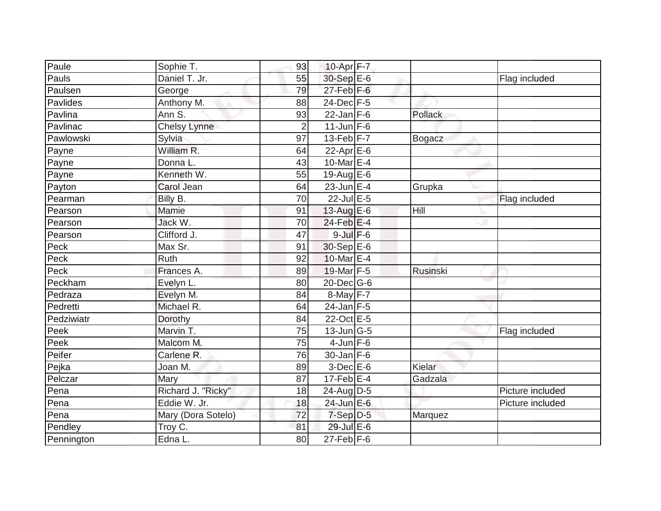| Paule       | Sophie T.           | 93             | 10-Apr F-7        |                 |                  |
|-------------|---------------------|----------------|-------------------|-----------------|------------------|
| Pauls       | Daniel T. Jr.       | 55             | 30-Sep E-6        |                 | Flag included    |
| Paulsen     | George              | 79             | $27$ -Feb $F-6$   |                 |                  |
| Pavlides    | Anthony M.          | 88             | 24-Dec F-5        |                 |                  |
| Pavlina     | Ann S.              | 93             | $22$ -Jan F-6     | Pollack         |                  |
| Pavlinac    | <b>Chelsy Lynne</b> | $\overline{2}$ | $11$ -Jun $F-6$   |                 |                  |
| Pawlowski   | Sylvia              | 97             | $13$ -Feb $ F-7 $ | <b>Bogacz</b>   |                  |
| Payne       | William R.          | 64             | 22-Apr $E-6$      |                 |                  |
| Payne       | Donna L.            | 43             | 10-Mar E-4        |                 |                  |
| Payne       | Kenneth W.          | 55             | 19-Aug $E-6$      |                 |                  |
| Payton      | Carol Jean          | 64             | $23$ -Jun E-4     | Grupka          |                  |
| Pearman     | Billy B.            | 70             | 22-Jul E-5        |                 | Flag included    |
| Pearson     | Mamie               | 91             | 13-Aug $E-6$      | Hill            |                  |
| Pearson     | Jack W.             | 70             | 24-Feb E-4        |                 |                  |
| Pearson     | Clifford J.         | 47             | $9$ -Jul $F$ -6   |                 |                  |
| Peck        | Max Sr.             | 91             | 30-Sep E-6        |                 |                  |
| Peck        | Ruth                | 92             | 10-Mar E-4        |                 |                  |
| Peck        | Frances A.          | 89             | 19-Mar F-5        | <b>Rusinski</b> |                  |
| Peckham     | Evelyn L.           | 80             | $20$ -Dec $ G-6 $ |                 |                  |
| Pedraza     | Evelyn M.           | 84             | $8$ -May $F - 7$  |                 |                  |
| Pedretti    | Michael R.          | 64             | $24$ -Jan F-5     |                 |                  |
| Pedziwiatr  | Dorothy             | 84             | 22-Oct E-5        |                 |                  |
| <b>Peek</b> | Marvin T.           | 75             | $13$ -Jun $ G-5 $ |                 | Flag included    |
| Peek        | Malcom M.           | 75             | $4$ -Jun F-6      |                 |                  |
| Peifer      | Carlene R.          | 76             | $30$ -Jan F-6     |                 |                  |
| Pejka       | Joan M.             | 89             | $3$ -Dec $E$ -6   | Kielar          |                  |
| Pelczar     | Mary                | 87             | $17$ -Feb $ E-4$  | Gadzala         |                  |
| Pena        | Richard J. "Ricky"  | 18             | $24$ -AugD-5      |                 | Picture included |
| Pena        | Eddie W. Jr.        | 18             | 24-Jun E-6        |                 | Picture included |
| Pena        | Mary (Dora Sotelo)  | 72             | $7-Sep$ D-5       | Marquez         |                  |
| Pendley     | Troy C.             | 81             | 29-Jul E-6        |                 |                  |
| Pennington  | Edna L.             | 80             | $27$ -Feb $ F-6$  |                 |                  |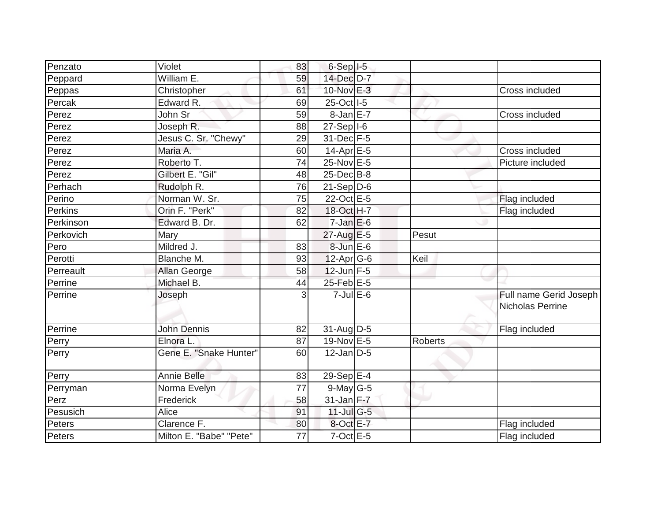| Penzato   | Violet                  | 83              | $6-Sep$ $I-5$    |         |                                            |
|-----------|-------------------------|-----------------|------------------|---------|--------------------------------------------|
| Peppard   | William E.              | 59              | 14-Dec D-7       |         |                                            |
| Peppas    | Christopher             | 61              | 10-Nov E-3       |         | Cross included                             |
| Percak    | Edward R.               | 69              | 25-Oct I-5       |         |                                            |
| Perez     | John Sr                 | 59              | $8 - JanE - 7$   |         | Cross included                             |
| Perez     | Joseph R.               | 88              | $27-Sep$  -6     |         |                                            |
| Perez     | Jesus C. Sr. "Chewy"    | 29              | $31$ -Dec $F-5$  |         |                                            |
| Perez     | Maria A.                | 60              | 14-Apr $E-5$     |         | Cross included                             |
| Perez     | Roberto T.              | $\overline{74}$ | 25-Nov E-5       |         | Picture included                           |
| Perez     | Gilbert E. "Gil"        | 48              | 25-Dec B-8       |         |                                            |
| Perhach   | Rudolph R.              | 76              | $21-Sep D-6$     |         |                                            |
| Perino    | Norman W. Sr.           | 75              | 22-Oct E-5       |         | Flag included                              |
| Perkins   | Orin F. "Perk"          | 82              | 18-Oct H-7       |         | Flag included                              |
| Perkinson | Edward B. Dr.           | 62              | $7$ -Jan $E$ -6  |         |                                            |
| Perkovich | Mary                    |                 | $27$ -Aug E-5    | Pesut   |                                            |
| Pero      | Mildred J.              | 83              | 8-Jun E-6        |         |                                            |
| Perotti   | Blanche M.              | 93              | $12-Apr$ G-6     | Keil    |                                            |
| Perreault | Allan George            | 58              | $12$ -Jun F-5    |         |                                            |
| Perrine   | Michael B.              | 44              | $25$ -Feb $E$ -5 |         |                                            |
| Perrine   | Joseph                  | 3               | $7$ -Jul $E$ -6  |         | Full name Gerid Joseph<br>Nicholas Perrine |
| Perrine   | <b>John Dennis</b>      | 82              | $31-AugD-5$      |         | Flag included                              |
| Perry     | Elnora L.               | 87              | 19-Nov E-5       | Roberts |                                            |
| Perry     | Gene E. "Snake Hunter"  | 60              | $12$ -Jan D-5    |         |                                            |
| Perry     | <b>Annie Belle</b>      | 83              | 29-Sep E-4       |         |                                            |
| Perryman  | Norma Evelyn            | $\overline{77}$ | $9$ -May G-5     |         |                                            |
| Perz      | Frederick               | 58              | $31$ -Jan F-7    |         |                                            |
| Pesusich  | Alice                   | 91              | $11$ -Jul G-5    |         |                                            |
| Peters    | Clarence F.             | 80              | 8-Oct E-7        |         | Flag included                              |
| Peters    | Milton E. "Babe" "Pete" | 77              | $7$ -Oct $E - 5$ |         | Flag included                              |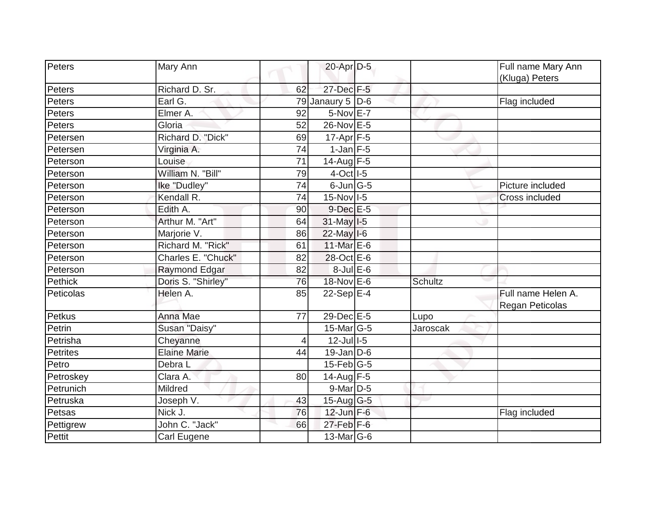| Peters          | Mary Ann            |                 | 20-Apr D-5                            |          | Full name Mary Ann<br>(Kluga) Peters  |
|-----------------|---------------------|-----------------|---------------------------------------|----------|---------------------------------------|
| Peters          | Richard D. Sr.      | 62              | 27-Dec F-5                            |          |                                       |
| Peters          | Earl G.             |                 | 79 Janaury 5 $D-6$                    |          | Flag included                         |
| Peters          | Elmer A.            | 92              | $5-NovE-7$                            |          |                                       |
| Peters          | Gloria              | 52              | 26-Nov E-5                            |          |                                       |
| Petersen        | Richard D. "Dick"   | 69              | $17-Apr$ F-5                          |          |                                       |
| Petersen        | Virginia A.         | 74              | $1$ -Jan F-5                          |          |                                       |
| Peterson        | Louise              | 71              | 14-Aug $F-5$                          |          |                                       |
| Peterson        | William N. "Bill"   | 79              | $4$ -Oct $\overline{\phantom{1}}$ I-5 |          |                                       |
| Peterson        | Ike "Dudley"        | $\overline{74}$ | $6$ -Jun $G$ -5                       |          | Picture included                      |
| Peterson        | Kendall R.          | 74              | 15-Nov I-5                            |          | <b>Cross included</b>                 |
| Peterson        | Edith A.            | 90              | $9$ -Dec $E - 5$                      |          |                                       |
| Peterson        | Arthur M. "Art"     | 64              | 31-May I-5                            |          |                                       |
| Peterson        | Marjorie V.         | 86              | $22$ -May I-6                         |          |                                       |
| Peterson        | Richard M. "Rick"   | 61              | 11-Mar $E$ -6                         |          |                                       |
| Peterson        | Charles E. "Chuck"  | 82              | 28-Oct E-6                            |          |                                       |
| Peterson        | Raymond Edgar       | 82              | 8-Jul E-6                             |          |                                       |
| <b>Pethick</b>  | Doris S. "Shirley"  | 76              | 18-Nov E-6                            | Schultz  |                                       |
| Peticolas       | Helen A.            | 85              | $22-Sep$ E-4                          |          | Full name Helen A.<br>Regan Peticolas |
| Petkus          | Anna Mae            | 77              | 29-Dec E-5                            | Lupo     |                                       |
| Petrin          | Susan "Daisy"       |                 | 15-Mar G-5                            | Jaroscak |                                       |
| Petrisha        | Cheyanne            | 4               | $12$ -Jul $1-5$                       |          |                                       |
| <b>Petrites</b> | <b>Elaine Marie</b> | 44              | $19$ -Jan D-6                         |          |                                       |
| Petro           | Debra L             |                 | $15$ -Feb $ G-5 $                     |          |                                       |
| Petroskey       | Clara A.            | 80              | $14$ -Aug F-5                         |          |                                       |
| Petrunich       | Mildred             |                 | $9$ -Mar $D-5$                        |          |                                       |
| Petruska        | Joseph V.           | 43              | $15$ -Aug G-5                         |          |                                       |
| Petsas          | Nick J.             | 76              | $12$ -Jun $F-6$                       |          | Flag included                         |
| Pettigrew       | John C. "Jack"      | 66              | $27$ -Feb $F-6$                       |          |                                       |
| <b>Pettit</b>   | Carl Eugene         |                 | 13-Mar $ G-6 $                        |          |                                       |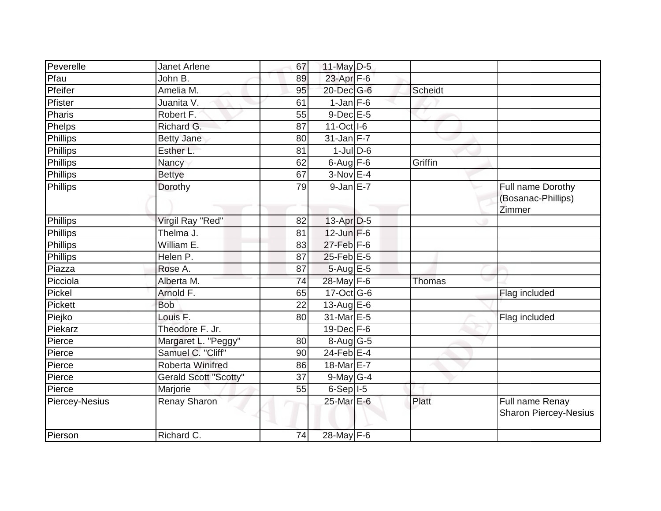| Peverelle             | <b>Janet Arlene</b>          | 67 | 11-May $D-5$                           |               |                                                   |
|-----------------------|------------------------------|----|----------------------------------------|---------------|---------------------------------------------------|
| Pfau                  | John B.                      | 89 | 23-Apr F-6                             |               |                                                   |
| Pfeifer               | Amelia M.                    | 95 | $20$ -Dec $G$ -6                       | Scheidt       |                                                   |
| Pfister               | Juanita V.                   | 61 | $1-Jan$ F-6                            |               |                                                   |
| Pharis                | Robert F.                    | 55 | $9-Dec$ $E-5$                          |               |                                                   |
| Phelps                | Richard G.                   | 87 | 11-Oct I-6                             |               |                                                   |
| Phillips              | <b>Betty Jane</b>            | 80 | $31$ -Jan F-7                          |               |                                                   |
| Phillips              | Esther L.                    | 81 | $1$ -Jul $D$ -6                        |               |                                                   |
| Phillips              | Nancy                        | 62 | $6$ -Aug $F$ -6                        | Griffin       |                                                   |
| Phillips              | <b>Bettye</b>                | 67 | $3-Nov$ E-4                            |               |                                                   |
| Phillips              | Dorothy                      | 79 | $9$ -Jan $E$ -7                        |               | Full name Dorothy<br>(Bosanac-Phillips)<br>Zimmer |
| Phillips              | Virgil Ray "Red"             | 82 | $13-Apr D-5$                           |               |                                                   |
| Phillips              | Thelma J.                    | 81 | $12$ -Jun $F-6$                        |               |                                                   |
| Phillips              | William E.                   | 83 | $27$ -Feb $F-6$                        |               |                                                   |
| Phillips              | Helen P.                     | 87 | $25$ -Feb $E$ -5                       |               |                                                   |
| Piazza                | Rose A.                      | 87 | $5-Aug$ $E-5$                          |               |                                                   |
| Picciola              | Alberta M.                   | 74 | 28-May F-6                             | <b>Thomas</b> |                                                   |
| Pickel                | Arnold F.                    | 65 | $17-Oct$ G-6                           |               | Flag included                                     |
| <b>Pickett</b>        | <b>Bob</b>                   | 22 | 13-Aug E-6                             |               |                                                   |
| Piejko                | Louis F.                     | 80 | $\overline{31}$ -Mar $\overline{E}$ -5 |               | Flag included                                     |
| Piekarz               | Theodore F. Jr.              |    | $19$ -Dec $F-6$                        |               |                                                   |
| Pierce                | Margaret L. "Peggy"          | 80 | 8-Aug G-5                              |               |                                                   |
| Pierce                | Samuel C. "Cliff"            | 90 | $24$ -Feb $ E-4 $                      |               |                                                   |
| Pierce                | <b>Roberta Winifred</b>      | 86 | 18-Mar E-7                             |               |                                                   |
| Pierce                | <b>Gerald Scott "Scotty"</b> | 37 | $9$ -May G-4                           |               |                                                   |
| Pierce                | Marjorie                     | 55 | $6-Sep$ $I-5$                          |               |                                                   |
| <b>Piercey-Nesius</b> | Renay Sharon                 |    | 25-Mar E-6                             | Platt         | Full name Renay<br><b>Sharon Piercey-Nesius</b>   |
| Pierson               | Richard C.                   | 74 | 28-May F-6                             |               |                                                   |
|                       |                              |    |                                        |               |                                                   |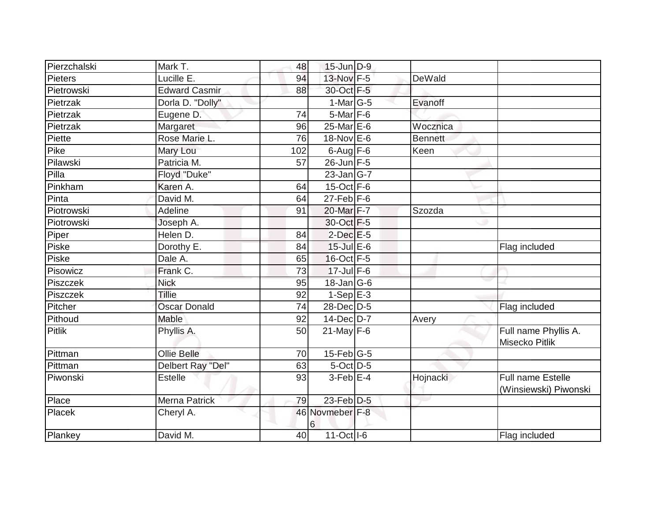| Pierzchalski   | Mark T.              | 48  | 15-Jun D-9           |          |                                                   |
|----------------|----------------------|-----|----------------------|----------|---------------------------------------------------|
| <b>Pieters</b> | Lucille E.           | 94  | 13-Nov F-5           | DeWald   |                                                   |
| Pietrowski     | <b>Edward Casmir</b> | 88  | 30-Oct F-5           |          |                                                   |
| Pietrzak       | Dorla D. "Dolly"     |     | $1-Mar$ G-5          | Evanoff  |                                                   |
| Pietrzak       | Eugene D.            | 74  | $5$ -Mar $F - 6$     |          |                                                   |
| Pietrzak       | Margaret             | 96  | 25-Mar E-6           | Wocznica |                                                   |
| Piette         | Rose Marie L.        | 76  | 18-Nov E-6           | Bennett  |                                                   |
| Pike           | Mary Lou             | 102 | $6$ -Aug $F - 6$     | Keen     |                                                   |
| Pilawski       | Patricia M.          | 57  | 26-Jun F-5           |          |                                                   |
| Pilla          | Floyd "Duke"         |     | $23$ -Jan $ G-7 $    |          |                                                   |
| Pinkham        | Karen A.             | 64  | $15$ -Oct $F-6$      |          |                                                   |
| Pinta          | David M.             | 64  | $27$ -Feb $F-6$      |          |                                                   |
| Piotrowski     | Adeline              | 91  | 20-Mar F-7           | Szozda   |                                                   |
| Piotrowski     | Joseph A.            |     | 30-Oct F-5           |          |                                                   |
| Piper          | Helen D.             | 84  | $2$ -Dec $E$ -5      |          |                                                   |
| Piske          | Dorothy E.           | 84  | $15$ -Jul E-6        |          | Flag included                                     |
| Piske          | Dale A.              | 65  | 16-Oct F-5           |          |                                                   |
| Pisowicz       | Frank C.             | 73  | $17$ -Jul $F-6$      |          |                                                   |
| Piszczek       | <b>Nick</b>          | 95  | $18$ -Jan $ G-6$     |          |                                                   |
| Piszczek       | Tillie               | 92  | $1-Sep$ E-3          |          |                                                   |
| Pitcher        | <b>Oscar Donald</b>  | 74  | 28-Dec D-5           |          | Flag included                                     |
| Pithoud        | Mable                | 92  | 14-Dec D-7           | Avery    |                                                   |
| <b>Pitlik</b>  | Phyllis A.           | 50  | $21$ -May F-6        |          | Full name Phyllis A.<br><b>Misecko Pitlik</b>     |
| Pittman        | Ollie Belle          | 70  | $15$ -Feb $G-5$      |          |                                                   |
| Pittman        | Delbert Ray "Del"    | 63  | $5$ -Oct $D-5$       |          |                                                   |
| Piwonski       | <b>Estelle</b>       | 93  | $3$ -Feb $E-4$       | Hojnacki | <b>Full name Estelle</b><br>(Winsiewski) Piwonski |
| Place          | <b>Merna Patrick</b> | 79  | $23$ -Feb $D-5$      |          |                                                   |
| Placek         | Cheryl A.            |     | 46 Novmeber F-8<br>6 |          |                                                   |
| Plankey        | David M.             | 40  | 11-Oct I-6           |          | Flag included                                     |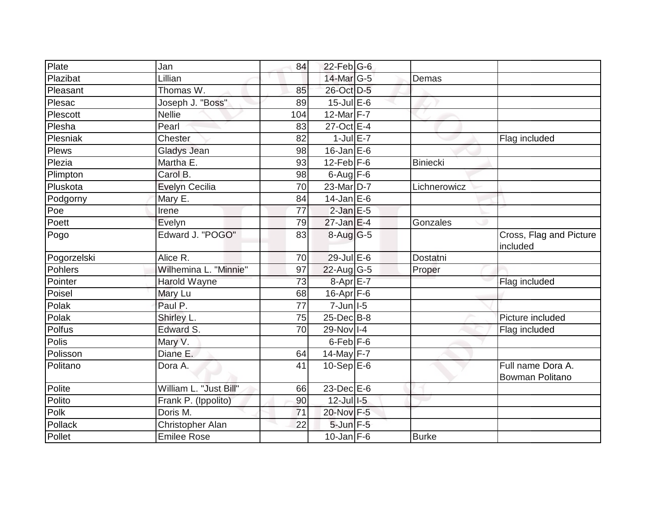| Plate          | Jan                    | 84  | $22$ -Feb G-6              |                 |                                      |
|----------------|------------------------|-----|----------------------------|-----------------|--------------------------------------|
| Plazibat       | Lillian                |     | 14-Mar G-5                 | Demas           |                                      |
| Pleasant       | Thomas W.              | 85  | 26-Oct D-5                 |                 |                                      |
| Plesac         | Joseph J. "Boss"       | 89  | $15$ -Jul $E$ -6           |                 |                                      |
| Plescott       | <b>Nellie</b>          | 104 | 12-Mar F-7                 |                 |                                      |
| Plesha         | Pearl                  | 83  | 27-Oct E-4                 |                 |                                      |
| Plesniak       | Chester                | 82  | $1$ -Jul E-7               |                 | Flag included                        |
| Plews          | Gladys Jean            | 98  | $16$ -Jan E-6              |                 |                                      |
| Plezia         | Martha E.              | 93  | $12$ -Feb $F-6$            | <b>Biniecki</b> |                                      |
| Plimpton       | Carol B.               | 98  | $6$ -Aug $F$ -6            |                 |                                      |
| Pluskota       | Evelyn Cecilia         | 70  | $23$ -Mar $ D-7 $          | Lichnerowicz    |                                      |
| Podgorny       | Mary E.                | 84  | $14$ -Jan E-6              |                 |                                      |
| Poe            | Irene                  | 77  | $2$ -Jan $E$ -5            |                 |                                      |
| Poett          | Evelyn                 | 79  | $27$ -Jan E-4              | Gonzales        |                                      |
| Pogo           | Edward J. "POGO"       | 83  | 8-Aug G-5                  |                 | Cross, Flag and Picture<br>included  |
| Pogorzelski    | Alice R.               | 70  | 29-Jul E-6                 | Dostatni        |                                      |
| <b>Pohlers</b> | Wilhemina L. "Minnie"  | 97  | 22-Aug G-5                 | Proper          |                                      |
| Pointer        | Harold Wayne           | 73  | 8-Apr E-7                  |                 | Flag included                        |
| Poisel         | Mary Lu                | 68  | $16$ -Apr $F$ -6           |                 |                                      |
| Polak          | Paul P.                | 77  | $7 - Jun$ <sup>1-5</sup>   |                 |                                      |
| Polak          | Shirley L.             | 75  | $25$ -Dec $\overline{B-8}$ |                 | Picture included                     |
| Polfus         | Edward S.              | 70  | 29-Nov I-4                 |                 | Flag included                        |
| Polis          | Mary V.                |     | $6$ -Feb $F-6$             |                 |                                      |
| Polisson       | Diane E.               | 64  | 14-May $F-7$               |                 |                                      |
| Politano       | Dora A.                | 41  | $10-Sep$ E-6               |                 | Full name Dora A.<br>Bowman Politano |
| Polite         | William L. "Just Bill" | 66  | $23$ -Dec $E-6$            |                 |                                      |
| Polito         | Frank P. (Ippolito)    | 90  | $12$ -Jul -5               |                 |                                      |
| Polk           | Doris M.               | 71  | 20-Nov F-5                 |                 |                                      |
| Pollack        | Christopher Alan       | 22  | 5-Jun F-5                  |                 |                                      |
| Pollet         | <b>Emilee Rose</b>     |     | $10$ -Jan $F-6$            | <b>Burke</b>    |                                      |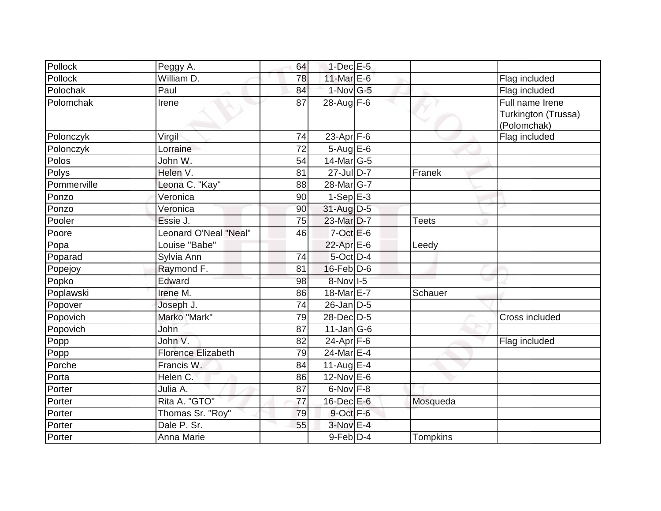| Pollock     | Peggy A.                  | 64 | $1$ -Dec $E$ -5       |              |                                                       |
|-------------|---------------------------|----|-----------------------|--------------|-------------------------------------------------------|
| Pollock     | William D.                | 78 | 11-Mar $E$ -6         |              | Flag included                                         |
| Polochak    | Paul                      | 84 | $1-Nov$ G-5           |              | Flag included                                         |
| Polomchak   | Irene                     | 87 | $28$ -Aug F-6         |              | Full name Irene<br>Turkington (Trussa)<br>(Polomchak) |
| Polonczyk   | Virgil                    | 74 | $23$ -Apr $F-6$       |              | Flag included                                         |
| Polonczyk   | Lorraine                  | 72 | $5 - Aug$ E-6         |              |                                                       |
| Polos       | John W.                   | 54 | $14$ -Mar $ G-5 $     |              |                                                       |
| Polys       | Helen V.                  | 81 | $27$ -Jul D-7         | Franek       |                                                       |
| Pommerville | Leona C. "Kay"            | 88 | 28-Mar <sub>G-7</sub> |              |                                                       |
| Ponzo       | Veronica                  | 90 | $1-Sep$ $E-3$         |              |                                                       |
| Ponzo       | Veronica                  | 90 | 31-Aug D-5            |              |                                                       |
| Pooler      | Essie J.                  | 75 | 23-Mar D-7            | <b>Teets</b> |                                                       |
| Poore       | Leonard O'Neal "Neal"     | 46 | $7$ -Oct $E$ -6       |              |                                                       |
| Popa        | Louise "Babe"             |    | $22$ -Apr $E$ -6      | Leedy        |                                                       |
| Poparad     | Sylvia Ann                | 74 | 5-Oct D-4             |              |                                                       |
| Popejoy     | Raymond F.                | 81 | 16-Feb D-6            |              |                                                       |
| Popko       | Edward                    | 98 | 8-Nov 1-5             |              |                                                       |
| Poplawski   | Irene M.                  | 86 | 18-Mar E-7            | Schauer      |                                                       |
| Popover     | Joseph J.                 | 74 | $26$ -Jan D-5         |              |                                                       |
| Popovich    | Marko "Mark"              | 79 | 28-Dec D-5            |              | Cross included                                        |
| Popovich    | John                      | 87 | $11$ -Jan G-6         |              |                                                       |
| Popp        | John V.                   | 82 | $24-Apr$ F-6          |              | Flag included                                         |
| Popp        | <b>Florence Elizabeth</b> | 79 | 24-Mar E-4            |              |                                                       |
| Porche      | Francis W.                | 84 | 11-Aug $E-4$          |              |                                                       |
| Porta       | Helen C.                  | 86 | $12$ -Nov $E$ -6      |              |                                                       |
| Porter      | Julia A.                  | 87 | $6$ -Nov $F-8$        |              |                                                       |
| Porter      | Rita A. "GTO"             | 77 | $16$ -Dec $E$ -6      | Mosqueda     |                                                       |
| Porter      | Thomas Sr. "Roy"          | 79 | 9-Oct F-6             |              |                                                       |
| Porter      | Dale P. Sr.               | 55 | $3-NovE-4$            |              |                                                       |
| Porter      | Anna Marie                |    | $9$ -Feb $D-4$        | Tompkins     |                                                       |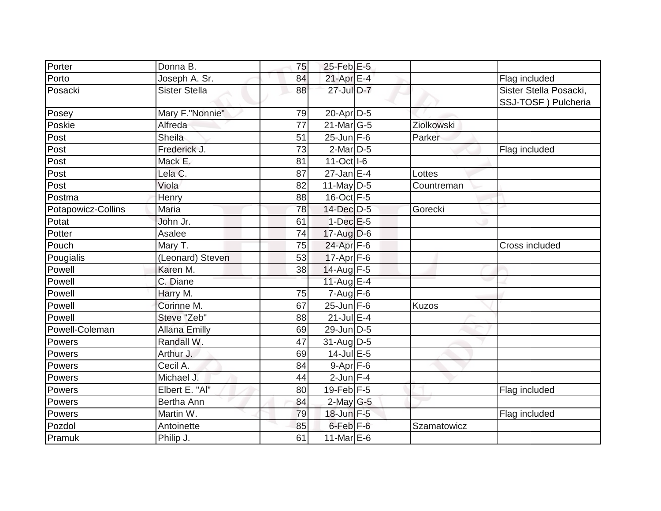| Porter             | Donna B.             | 75 | $25$ -Feb $E$ -5        |              |                                               |
|--------------------|----------------------|----|-------------------------|--------------|-----------------------------------------------|
| Porto              | Joseph A. Sr.        | 84 | 21-Apr E-4              |              | Flag included                                 |
| Posacki            | <b>Sister Stella</b> | 88 | 27-Jul D-7              |              | Sister Stella Posacki,<br>SSJ-TOSF) Pulcheria |
| Posey              | Mary F."Nonnie"      | 79 | 20-Apr D-5              |              |                                               |
| Poskie             | Alfreda              | 77 | $21$ -Mar $ G-5 $       | Ziolkowski   |                                               |
| Post               | Sheila               | 51 | $25 - Jun$ F-6          | Parker       |                                               |
| Post               | Frederick J.         | 73 | $2$ -Mar $D-5$          |              | Flag included                                 |
| Post               | Mack E.              | 81 | $11-Oct$ <sub>1-6</sub> |              |                                               |
| Post               | Lela C.              | 87 | $27$ -Jan E-4           | Lottes       |                                               |
| Post               | Viola                | 82 | 11-May $D-5$            | Countreman   |                                               |
| Postma             | Henry                | 88 | 16-Oct F-5              |              |                                               |
| Potapowicz-Collins | Maria                | 78 | 14-Dec D-5              | Gorecki      |                                               |
| Potat              | John Jr.             | 61 | $1-Dec$ $E-5$           |              |                                               |
| Potter             | Asalee               | 74 | $17$ -Aug D-6           |              |                                               |
| Pouch              | Mary T.              | 75 | 24-Apr F-6              |              | Cross included                                |
| Pougialis          | (Leonard) Steven     | 53 | $17-Apr$ F-6            |              |                                               |
| Powell             | Karen M.             | 38 | $14$ -Aug F-5           |              |                                               |
| Powell             | C. Diane             |    | 11-Aug $E-4$            |              |                                               |
| Powell             | Harry M.             | 75 | $7 - Aug$ $F-6$         |              |                                               |
| Powell             | Corinne M.           | 67 | $25$ -Jun F-6           | <b>Kuzos</b> |                                               |
| Powell             | Steve "Zeb"          | 88 | $21$ -Jul $E-4$         |              |                                               |
| Powell-Coleman     | <b>Allana Emilly</b> | 69 | $29$ -Jun D-5           |              |                                               |
| Powers             | Randall W.           | 47 | $31$ -AugD-5            |              |                                               |
| Powers             | Arthur J.            | 69 | $14$ -Jul $E$ -5        |              |                                               |
| Powers             | Cecil A.             | 84 | $9-Apr$ F-6             |              |                                               |
| Powers             | Michael J.           | 44 | $2$ -Jun $F-4$          |              |                                               |
| Powers             | Elbert E. "Al"       | 80 | $19$ -Feb F-5           |              | Flag included                                 |
| Powers             | Bertha Ann           | 84 | $2$ -May G-5            |              |                                               |
| Powers             | Martin W.            | 79 | 18-Jun F-5              |              | Flag included                                 |
| Pozdol             | Antoinette           | 85 | 6-Feb <sup>F-6</sup>    | Szamatowicz  |                                               |
| Pramuk             | Philip J.            | 61 | 11-Mar $E-6$            |              |                                               |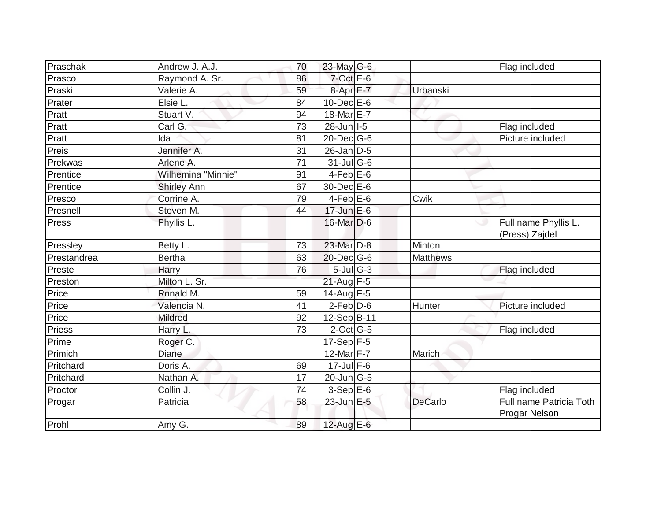| Praschak    | Andrew J. A.J.     | 70              | 23-May G-6                        |                 | Flag included                            |
|-------------|--------------------|-----------------|-----------------------------------|-----------------|------------------------------------------|
| Prasco      | Raymond A. Sr.     | 86              | $7$ -Oct $E$ -6                   |                 |                                          |
| Praski      | Valerie A.         | 59              | $8 - Apr$ $E - 7$                 | Urbanski        |                                          |
| Prater      | Elsie L.           | 84              | $10$ -Dec $E$ -6                  |                 |                                          |
| Pratt       | Stuart V.          | 94              | 18-Mar E-7                        |                 |                                          |
| Pratt       | Carl G:            | 73              | $28$ -Jun   I-5                   |                 | Flag included                            |
| Pratt       | Ida                | 81              | 20-Dec G-6                        |                 | Picture included                         |
| Preis       | Jennifer A.        | 31              | $26$ -Jan $D-5$                   |                 |                                          |
| Prekwas     | Arlene A.          | $\overline{71}$ | $31$ -JulG-6                      |                 |                                          |
| Prentice    | Wilhemina "Minnie" | 91              | $4-Feb$ E-6                       |                 |                                          |
| Prentice    | <b>Shirley Ann</b> | 67              | 30-Dec E-6                        |                 |                                          |
| Presco      | Corrine A.         | 79              | $4$ -Feb $E$ -6                   | Cwik            |                                          |
| Presnell    | Steven M.          | 44              | $17$ -Jun $E-6$                   |                 |                                          |
| Press       | Phyllis L.         |                 | $16$ -Mar $D-6$                   |                 | Full name Phyllis L.<br>(Press) Zajdel   |
| Pressley    | Betty L.           | 73              | 23-Mar D-8                        | Minton          |                                          |
| Prestandrea | <b>Bertha</b>      | 63              | $20$ -Dec $ G$ -6                 | <b>Matthews</b> |                                          |
| Preste      | Harry              | 76              | $5$ -Jul $\overline{G}$ -3        |                 | Flag included                            |
| Preston     | Milton L. Sr.      |                 | $21$ -Aug F-5                     |                 |                                          |
| Price       | Ronald M.          | 59              | $14$ -Aug F-5                     |                 |                                          |
| Price       | Valencia N.        | 41              | $2$ -Feb $D$ -6                   | Hunter          | Picture included                         |
| Price       | <b>Mildred</b>     | 92              | 12-Sep B-11                       |                 |                                          |
| Priess      | Harry L.           | 73              | $2$ -Oct G-5                      |                 | Flag included                            |
| Prime       | Roger C.           |                 | $17-Sep$ F-5                      |                 |                                          |
| Primich     | <b>Diane</b>       |                 | 12-Mar $F-7$                      | Marich          |                                          |
| Pritchard   | Doris A.           | 69              | $17$ -Jul $F-6$                   |                 |                                          |
| Pritchard   | Nathan A.          | 17              | $20$ -Jun $\overline{\text{G-5}}$ |                 |                                          |
| Proctor     | Collin J.          | 74              | $3-SepE-6$                        |                 | Flag included                            |
| Progar      | Patricia           | 58              | $23$ -Jun $E - 5$                 | <b>DeCarlo</b>  | Full name Patricia Toth<br>Progar Nelson |
| Prohl       | Amy G.             | 89              | 12-Aug $E-6$                      |                 |                                          |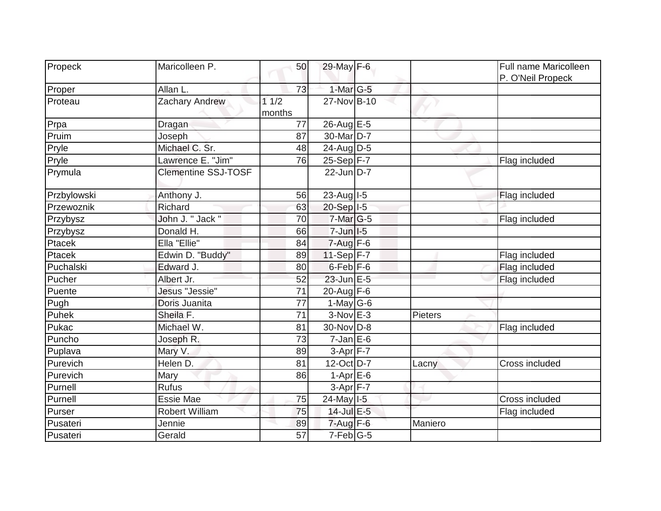| Propeck     | Maricolleen P.             | 50     | 29-May F-6                |         | Full name Maricolleen |
|-------------|----------------------------|--------|---------------------------|---------|-----------------------|
|             |                            |        |                           |         | P. O'Neil Propeck     |
| Proper      | Allan L.                   | 73     | 1-Mar G-5                 |         |                       |
| Proteau     | Zachary Andrew             | 11/2   | 27-Nov B-10               |         |                       |
|             |                            | months |                           |         |                       |
| Prpa        | Dragan                     | 77     | 26-Aug E-5                |         |                       |
| Pruim       | Joseph                     | 87     | 30-Mar <sub>D-7</sub>     |         |                       |
| Pryle       | Michael C. Sr.             | 48     | $24$ -Aug $D-5$           |         |                       |
| Pryle       | Lawrence E. "Jim"          | 76     | $25-Sep$ F-7              |         | Flag included         |
| Prymula     | <b>Clementine SSJ-TOSF</b> |        | $22$ -Jun D-7             |         |                       |
| Przbylowski | Anthony J.                 | 56     | 23-Aug I-5                |         | Flag included         |
| Przewoznik  | Richard                    | 63     | 20-Sep I-5                |         |                       |
| Przybysz    | John J. " Jack "           | 70     | 7-Mar G-5                 |         | Flag included         |
| Przybysz    | Donald H.                  | 66     | $7 - Jun$ $1 - 5$         |         |                       |
| Ptacek      | Ella "Ellie"               | 84     | $7 - Aug$ F-6             |         |                       |
| Ptacek      | Edwin D. "Buddy"           | 89     | $11-Sep$ F-7              |         | Flag included         |
| Puchalski   | Edward J.                  | 80     | $6$ -Feb $F-6$            |         | Flag included         |
| Pucher      | Albert Jr.                 | 52     | $23$ -Jun $E-5$           |         | Flag included         |
| Puente      | Jesus "Jessie"             | 71     | 20-Aug F-6                |         |                       |
| Pugh        | Doris Juanita              | 77     | 1-May $G-6$               |         |                       |
| Puhek       | Sheila F.                  | 71     | $3-Nov$ E-3               | Pieters |                       |
| Pukac       | Michael W.                 | 81     | 30-Nov D-8                |         | Flag included         |
| Puncho      | Joseph R.                  | 73     | $7$ -Jan $E$ -6           |         |                       |
| Puplava     | Mary V.                    | 89     | $3-Apr$ F-7               |         |                       |
| Purevich    | Helen D.                   | 81     | 12-Oct D-7                | Lacny   | Cross included        |
| Purevich    | Mary                       | 86     | $1-Apr \nightharpoonup 6$ |         |                       |
| Purnell     | <b>Rufus</b>               |        | $3-Apr$ F-7               |         |                       |
| Purnell     | <b>Essie Mae</b>           | 75     | 24-May I-5                |         | Cross included        |
| Purser      | <b>Robert William</b>      | 75     | 14-Jul E-5                |         | Flag included         |
| Pusateri    | Jennie                     | 89     | $7$ -Aug $F-6$            | Maniero |                       |
| Pusateri    | Gerald                     | 57     | $7-Feb G-5$               |         |                       |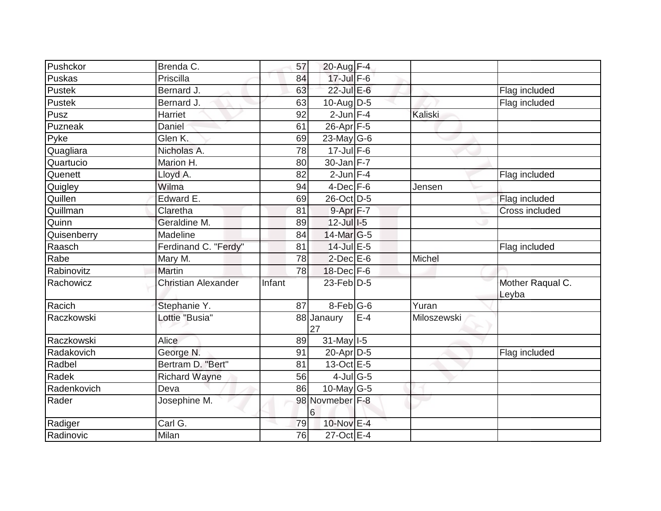| Pushckor    | Brenda C.                  | 57     | 20-Aug F-4                  |       |             |                           |
|-------------|----------------------------|--------|-----------------------------|-------|-------------|---------------------------|
| Puskas      | Priscilla                  | 84     | $17$ -Jul $F-6$             |       |             |                           |
| Pustek      | Bernard J.                 | 63     | $22$ -Jul E-6               |       |             | Flag included             |
| Pustek      | Bernard J.                 | 63     | 10-Aug $D-5$                |       |             | Flag included             |
| Pusz        | Harriet                    | 92     | $2$ -Jun $F-4$              |       | Kaliski     |                           |
| Puzneak     | Daniel                     | 61     | 26-Apr F-5                  |       |             |                           |
| Pyke        | Glen K.                    | 69     | 23-May G-6                  |       |             |                           |
| Quagliara   | Nicholas A.                | 78     | $17$ -Jul $F-6$             |       |             |                           |
| Quartucio   | Marion H.                  | 80     | $30$ -Jan $F-7$             |       |             |                           |
| Quenett     | Lloyd A.                   | 82     | $2$ -Jun $F-4$              |       |             | Flag included             |
| Quigley     | Wilma                      | 94     | $4$ -Dec $F-6$              |       | Jensen      |                           |
| Quillen     | Edward E.                  | 69     | 26-Oct D-5                  |       |             | Flag included             |
| Quillman    | Claretha                   | 81     | 9-Apr F-7                   |       |             | Cross included            |
| Quinn       | Geraldine M.               | 89     | $12$ -Jul $I$ -5            |       |             |                           |
| Quisenberry | Madeline                   | 84     | 14-Mar G-5                  |       |             |                           |
| Raasch      | Ferdinand C. "Ferdy"       | 81     | $14$ -Jul $E-5$             |       |             | Flag included             |
| Rabe        | Mary M.                    | 78     | $2$ -Dec $E$ -6             |       | Michel      |                           |
| Rabinovitz  | <b>Martin</b>              | 78     | $18$ -Dec $F-6$             |       |             |                           |
| Rachowicz   | <b>Christian Alexander</b> | Infant | $23$ -Feb $\overline{D}$ -5 |       |             | Mother Raqual C.<br>Leyba |
| Racich      | Stephanie Y.               | 87     | $8$ -Feb $ G$ -6            |       | Yuran       |                           |
| Raczkowski  | Lottie "Busia"             |        | 88 Janaury<br>27            | $E-4$ | Miloszewski |                           |
| Raczkowski  | Alice                      | 89     | $31$ -May $ I-5 $           |       |             |                           |
| Radakovich  | George N.                  | 91     | $20$ -Apr $D-5$             |       |             | Flag included             |
| Radbel      | Bertram D. "Bert"          | 81     | $13-Oct$ E-5                |       |             |                           |
| Radek       | <b>Richard Wayne</b>       | 56     | $4$ -Jul $\overline{G}$ -5  |       |             |                           |
| Radenkovich | Deva                       | 86     | $10$ -May G-5               |       |             |                           |
| Rader       | Josephine M.               |        | 98 Novmeber F-8<br>6        |       |             |                           |
| Radiger     | Carl G.                    | 79     | 10-Nov E-4                  |       |             |                           |
| Radinovic   | Milan                      | 76     | 27-Oct E-4                  |       |             |                           |
|             |                            |        |                             |       |             |                           |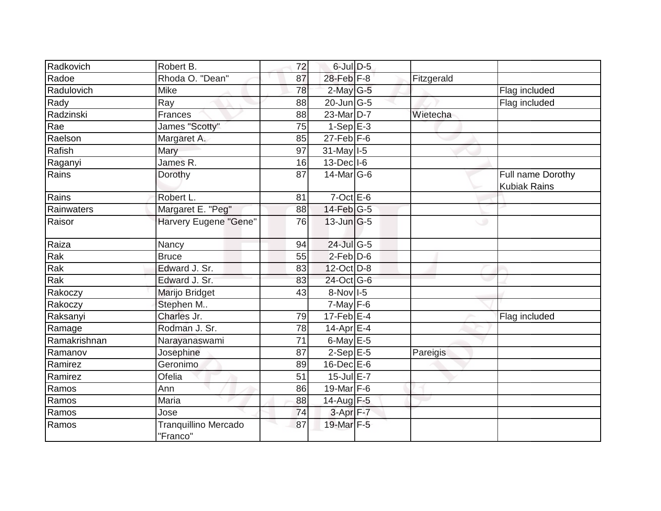| Radkovich    | Robert B.                               | 72 | $6$ -Jul $D-5$              |            |                                          |
|--------------|-----------------------------------------|----|-----------------------------|------------|------------------------------------------|
| Radoe        | Rhoda O. "Dean"                         | 87 | 28-Feb F-8                  | Fitzgerald |                                          |
| Radulovich   | <b>Mike</b>                             | 78 | $2$ -May G-5                |            | Flag included                            |
| Rady         | Ray                                     | 88 | $20$ -Jun $\overline{G}$ -5 |            | Flag included                            |
| Radzinski    | Frances                                 | 88 | 23-Mar D-7                  | Wietecha   |                                          |
| Rae          | James "Scotty"                          | 75 | $1-Sep$ E-3                 |            |                                          |
| Raelson      | Margaret A.                             | 85 | $27$ -Feb $ F-6$            |            |                                          |
| Rafish       | Mary                                    | 97 | $31$ -May $I-5$             |            |                                          |
| Raganyi      | James R.                                | 16 | $13$ -Dec $ I-6 $           |            |                                          |
| Rains        | Dorothy                                 | 87 | $14$ -Mar $ G-6$            |            | Full name Dorothy<br><b>Kubiak Rains</b> |
| Rains        | Robert L.                               | 81 | $7$ -Oct $E$ -6             |            |                                          |
| Rainwaters   | Margaret E. "Peg"                       | 88 | 14-Feb G-5                  |            |                                          |
| Raisor       | Harvery Eugene "Gene"                   | 76 | $13$ -Jun $ G-5 $           |            | ت                                        |
| Raiza        | Nancy                                   | 94 | 24-Jul G-5                  |            |                                          |
| Rak          | <b>Bruce</b>                            | 55 | $2$ -Feb $D$ -6             |            |                                          |
| Rak          | Edward J. Sr.                           | 83 | $12$ -Oct $D-8$             |            |                                          |
| Rak          | Edward J. Sr.                           | 83 | 24-Oct G-6                  |            |                                          |
| Rakoczy      | Marijo Bridget                          | 43 | 8-Nov I-5                   |            |                                          |
| Rakoczy      | Stephen M                               |    | $7$ -May $F-6$              |            |                                          |
| Raksanyi     | Charles Jr.                             | 79 | $17$ -Feb $E-4$             |            | Flag included                            |
| Ramage       | Rodman J. Sr.                           | 78 | 14-Apr $E-4$                |            |                                          |
| Ramakrishnan | Narayanaswami                           | 71 | 6-May $E-5$                 |            |                                          |
| Ramanov      | Josephine                               | 87 | $2-Sep$ E-5                 | Pareigis   |                                          |
| Ramirez      | Geronimo                                | 89 | 16-Dec E-6                  |            |                                          |
| Ramirez      | Ofelia                                  | 51 | $15$ -Jul $E$ -7            |            |                                          |
| Ramos        | Ann                                     | 86 | 19-Mar $F-6$                |            |                                          |
| Ramos        | Maria                                   | 88 | $14$ -Aug $\overline{F-5}$  |            |                                          |
| Ramos        | Jose                                    | 74 | $3-Apr$ F-7                 |            |                                          |
| Ramos        | <b>Tranquillino Mercado</b><br>"Franco" | 87 | 19-Mar F-5                  |            |                                          |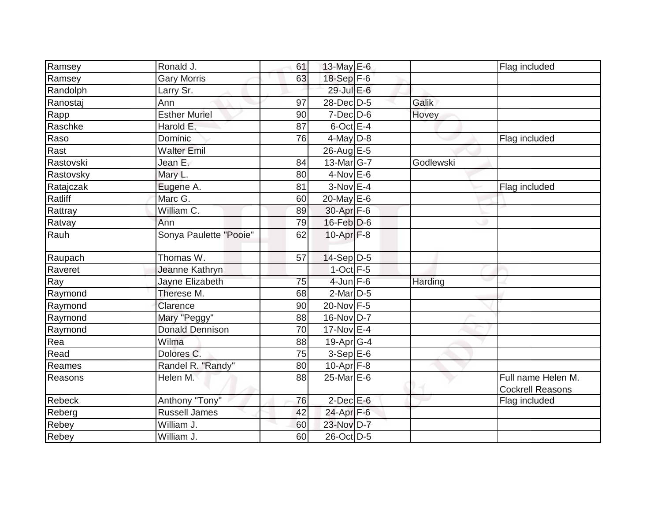|           | Ronald J.              |    |                 |           |                                               |
|-----------|------------------------|----|-----------------|-----------|-----------------------------------------------|
| Ramsey    |                        | 61 | 13-May E-6      |           | Flag included                                 |
| Ramsey    | <b>Gary Morris</b>     | 63 | 18-Sep F-6      |           |                                               |
| Randolph  | Larry Sr.              |    | 29-Jul E-6      |           |                                               |
| Ranostaj  | Ann                    | 97 | 28-Dec D-5      | Galik     |                                               |
| Rapp      | <b>Esther Muriel</b>   | 90 | $7$ -Dec $D$ -6 | Hovey     |                                               |
| Raschke   | Harold E.              | 87 | $6$ -Oct $E-4$  |           |                                               |
| Raso      | Dominic                | 76 | $4$ -May D-8    |           | Flag included                                 |
| Rast      | <b>Walter Emil</b>     |    | 26-Aug E-5      |           |                                               |
| Rastovski | Jean E.                | 84 | 13-Mar G-7      | Godlewski |                                               |
| Rastovsky | Mary L.                | 80 | $4$ -Nov $E$ -6 |           |                                               |
| Ratajczak | Eugene A.              | 81 | $3-Nov$ E-4     |           | Flag included                                 |
| Ratliff   | Marc G.                | 60 | 20-May E-6      |           |                                               |
| Rattray   | William C.             | 89 | 30-Apr F-6      |           |                                               |
| Ratvay    | Ann                    | 79 | 16-Feb D-6      |           |                                               |
| Rauh      | Sonya Paulette "Pooie" | 62 | $10$ -Apr $F-8$ |           |                                               |
| Raupach   | Thomas W.              | 57 | $14-Sep D-5$    |           |                                               |
| Raveret   | Jeanne Kathryn         |    | $1$ -Oct $F-5$  |           |                                               |
| Ray       | Jayne Elizabeth        | 75 | $4$ -Jun $F-6$  | Harding   |                                               |
| Raymond   | Therese M.             | 68 | 2-Mar D-5       |           |                                               |
| Raymond   | Clarence               | 90 | 20-Nov F-5      |           |                                               |
| Raymond   | Mary "Peggy"           | 88 | 16-Nov D-7      |           |                                               |
| Raymond   | <b>Donald Dennison</b> | 70 | 17-Nov E-4      |           |                                               |
| Rea       | Wilma                  | 88 | $19$ -Apr $G-4$ |           |                                               |
| Read      | Dolores C.             | 75 | $3-SepE-6$      |           |                                               |
| Reames    | Randel R. "Randy"      | 80 | $10-Apr$ F-8    |           |                                               |
| Reasons   | Helen M.               | 88 | 25-Mar E-6      |           | Full name Helen M.<br><b>Cockrell Reasons</b> |
| Rebeck    | Anthony "Tony"         | 76 | $2$ -Dec $E$ -6 |           | Flag included                                 |
| Reberg    | <b>Russell James</b>   | 42 | $24$ -Apr $F-6$ |           |                                               |
| Rebey     | William J.             | 60 | 23-Nov D-7      |           |                                               |
| Rebey     | William J.             | 60 | 26-Oct D-5      |           |                                               |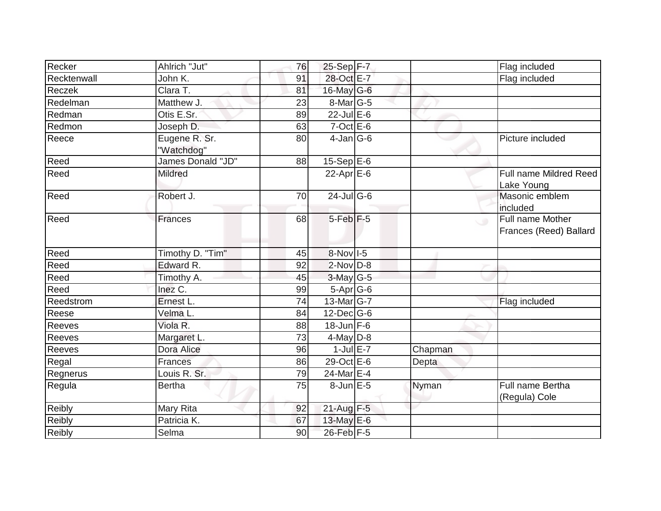| Recker      | Ahlrich "Jut"               | 76 | $25-Sep$ F-7            |         | Flag included                                        |
|-------------|-----------------------------|----|-------------------------|---------|------------------------------------------------------|
| Recktenwall | John K.                     | 91 | 28-Oct E-7              |         | Flag included                                        |
| Reczek      | Clara T.                    | 81 | 16-May $G-6$            |         |                                                      |
| Redelman    | Matthew J.                  | 23 | $8$ -Mar $ G-5 $        |         |                                                      |
| Redman      | Otis E.Sr.                  | 89 | $22$ -Jul $E$ -6        |         |                                                      |
| Redmon      | Joseph D.                   | 63 | $7$ -Oct $E$ -6         |         |                                                      |
| Reece       | Eugene R. Sr.<br>'Watchdog" | 80 | $4$ -Jan $ G-6 $        |         | Picture included                                     |
| Reed        | James Donald "JD"           | 88 | $15-Sep \overline{E-6}$ |         |                                                      |
| Reed        | <b>Mildred</b>              |    | 22-Apr $E-6$            |         | Full name Mildred Reed<br>Lake Young                 |
| Reed        | Robert J.                   | 70 | 24-Jul G-6              |         | Masonic emblem<br>included                           |
| Reed        | <b>Frances</b>              | 68 | $5$ -Feb $F$ -5         |         | Full name Mother<br>$\cup$<br>Frances (Reed) Ballard |
| Reed        | Timothy D. "Tim"            | 45 | 8-Nov I-5               |         |                                                      |
| Reed        | Edward R.                   | 92 | $2$ -Nov $D-8$          |         |                                                      |
| Reed        | Timothy A.                  | 45 | $3-May G-5$             |         |                                                      |
| Reed        | Inez C.                     | 99 | $5-Apr$ G-6             |         |                                                      |
| Reedstrom   | Ernest L.                   | 74 | 13-Mar G-7              |         | Flag included                                        |
| Reese       | Velma L.                    | 84 | $12$ -Dec $ G$ -6       |         |                                                      |
| Reeves      | Viola R.                    | 88 | $18$ -Jun F-6           |         |                                                      |
| Reeves      | Margaret L.                 | 73 | $4$ -May D-8            |         |                                                      |
| Reeves      | Dora Alice                  | 96 | $1$ -Jul $E-7$          | Chapman |                                                      |
| Regal       | Frances                     | 86 | 29-Oct E-6              | Depta   |                                                      |
| Regnerus    | Louis R. Sr.                | 79 | 24-Mar E-4              |         |                                                      |
| Regula      | <b>Bertha</b>               | 75 | $8$ -Jun $E$ -5         | Nyman   | Full name Bertha<br>(Regula) Cole                    |
| Reibly      | Mary Rita                   | 92 | 21-Aug F-5              |         |                                                      |
| Reibly      | Patricia K.                 | 67 | 13-May $E-6$            |         |                                                      |
| Reibly      | Selma                       | 90 | 26-Feb F-5              |         |                                                      |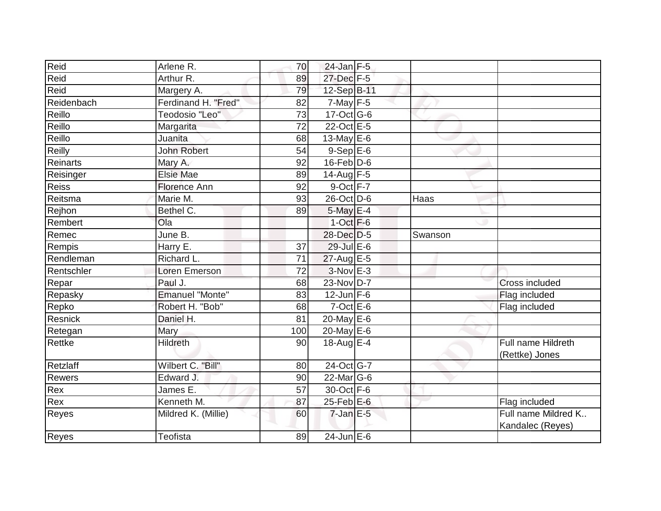| Reid          | Arlene R.           | 70  | $24$ -Jan F-5    |         |                                         |
|---------------|---------------------|-----|------------------|---------|-----------------------------------------|
| Reid          | Arthur R.           | 89  | 27-Dec F-5       |         |                                         |
| Reid          | Margery A.          | 79  | 12-Sep B-11      |         |                                         |
| Reidenbach    | Ferdinand H. "Fred" | 82  | $7$ -May $F-5$   |         |                                         |
| Reillo        | Teodosio "Leo"      | 73  | 17-Oct G-6       |         |                                         |
| Reillo        | Margarita           | 72  | 22-Oct E-5       |         |                                         |
| Reillo        | Juanita             | 68  | 13-May $E-6$     |         |                                         |
| Reilly        | <b>John Robert</b>  | 54  | $9-Sep$ $E-6$    |         |                                         |
| Reinarts      | Mary A.             | 92  | $16$ -Feb $D-6$  |         |                                         |
| Reisinger     | <b>Elsie Mae</b>    | 89  | 14-Aug F-5       |         |                                         |
| Reiss         | <b>Florence Ann</b> | 92  | 9-Oct F-7        |         |                                         |
| Reitsma       | Marie M.            | 93  | 26-Oct D-6       | Haas    |                                         |
| Rejhon        | Bethel C.           | 89  | $5$ -May $E-4$   |         |                                         |
| Rembert       | Ola                 |     | $1-Oct$ F-6      |         |                                         |
| Remec         | June B.             |     | 28-Dec D-5       | Swanson |                                         |
| Rempis        | Harry E.            | 37  | 29-Jul E-6       |         |                                         |
| Rendleman     | Richard L.          | 71  | $27$ -Aug E-5    |         |                                         |
| Rentschler    | Loren Emerson       | 72  | 3-Nov E-3        |         |                                         |
| Repar         | Paul J.             | 68  | 23-Nov D-7       |         | Cross included                          |
| Repasky       | Emanuel "Monte"     | 83  | $12$ -Jun F-6    |         | Flag included                           |
| Repko         | Robert H. "Bob"     | 68  | $7$ -Oct $E$ -6  |         | Flag included                           |
| Resnick       | Daniel H.           | 81  | $20$ -May E-6    |         |                                         |
| Retegan       | Mary                | 100 | 20-May $E-6$     |         |                                         |
| Rettke        | <b>Hildreth</b>     | 90  | 18-Aug $E-4$     |         | Full name Hildreth<br>(Rettke) Jones    |
| Retzlaff      | Wilbert C. "Bill"   | 80  | 24-Oct G-7       |         |                                         |
| <b>Rewers</b> | Edward J.           | 90  | $22$ -Mar $ G-6$ |         |                                         |
| Rex           | James E.            | 57  | 30-Oct F-6       |         |                                         |
| Rex           | Kenneth M.          | 87  | 25-Feb E-6       |         | Flag included                           |
| Reyes         | Mildred K. (Millie) | 60  | $7$ -Jan $E$ -5  |         | Full name Mildred K<br>Kandalec (Reyes) |
| Reyes         | Teofista            | 89  | $24$ -Jun E-6    |         |                                         |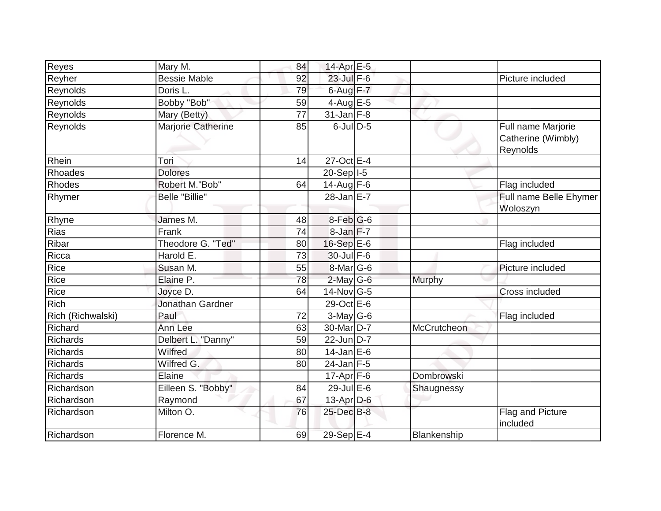| Reyes             | Mary M.                 | 84 | 14-Apr E-5       |             |                                                      |
|-------------------|-------------------------|----|------------------|-------------|------------------------------------------------------|
| Reyher            | <b>Bessie Mable</b>     | 92 | $23$ -Jul F-6    |             | Picture included                                     |
| Reynolds          | Doris L.                | 79 | $6$ -Aug $F - 7$ |             |                                                      |
| Reynolds          | Bobby "Bob"             | 59 | 4-Aug $E-5$      |             |                                                      |
| Reynolds          | Mary (Betty)            | 77 | $31$ -Jan F-8    |             |                                                      |
| Reynolds          | Marjorie Catherine      | 85 | $6$ -JulD-5      |             | Full name Marjorie<br>Catherine (Wimbly)<br>Reynolds |
| Rhein             | Tori                    | 14 | 27-Oct E-4       |             |                                                      |
| Rhoades           | <b>Dolores</b>          |    | $20-Sep$  -5     |             |                                                      |
| Rhodes            | Robert M."Bob"          | 64 | $14$ -Aug F-6    |             | Flag included                                        |
| Rhymer            | <b>Belle "Billie"</b>   |    |                  |             | Full name Belle Ehymer<br>Woloszyn                   |
| Rhyne             | James M.                | 48 | $8$ -Feb $ G$ -6 |             |                                                      |
| Rias              | Frank                   | 74 | 8-Jan F-7        |             |                                                      |
| Ribar             | Theodore G. "Ted"       | 80 | $16-Sep$ E-6     |             | Flag included                                        |
| Ricca             | Harold E.               | 73 | 30-Jul F-6       |             |                                                      |
| Rice              | Susan M.                | 55 | $8$ -Mar $ G$ -6 |             | Picture included                                     |
| Rice              | Elaine P.               | 78 | $2$ -May G-6     | Murphy      |                                                      |
| Rice              | Joyce D.                | 64 | $14$ -Nov $ G-5$ |             | Cross included                                       |
| Rich              | <b>Jonathan Gardner</b> |    | 29-Oct E-6       |             |                                                      |
| Rich (Richwalski) | Paul                    | 72 | $3$ -May G-6     |             | Flag included                                        |
| Richard           | Ann Lee                 | 63 | 30-Mar D-7       | McCrutcheon |                                                      |
| Richards          | Delbert L. "Danny"      | 59 | 22-Jun D-7       |             |                                                      |
| Richards          | Wilfred                 | 80 | $14$ -Jan E-6    |             |                                                      |
| Richards          | Wilfred G.              | 80 | $24$ -Jan F-5    |             |                                                      |
| <b>Richards</b>   | Elaine                  |    | $17$ -Apr $F$ -6 | Dombrowski  |                                                      |
| Richardson        | Eilleen S. "Bobby"      | 84 | 29-Jul E-6       | Shaugnessy  |                                                      |
| Richardson        | Raymond                 | 67 | 13-Apr $D-6$     |             |                                                      |
| Richardson        | Milton O.               | 76 | 25-Dec B-8       |             | Flag and Picture<br>included                         |
| Richardson        | Florence M.             | 69 | 29-Sep E-4       | Blankenship |                                                      |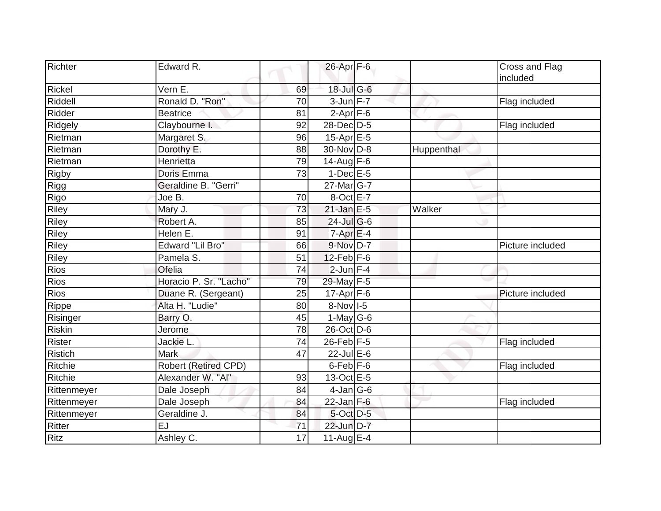| Richter        | Edward R.               |    | 26-Apr F-6                 |            | Cross and Flag<br>included |
|----------------|-------------------------|----|----------------------------|------------|----------------------------|
| Rickel         | Vern E.                 | 69 | 18-Jul G-6                 |            |                            |
| Riddell        | Ronald D. "Ron"         | 70 | $3$ -Jun $F-7$             |            | Flag included              |
| Ridder         | <b>Beatrice</b>         | 81 | $2-Apr$ F-6                |            |                            |
| Ridgely        | Claybourne I.           | 92 | 28-Dec D-5                 |            | Flag included              |
| Rietman        | Margaret S.             | 96 | $15-Apr \nightharpoonup 5$ |            |                            |
| Rietman        | Dorothy E.              | 88 | 30-Nov D-8                 | Huppenthal |                            |
| Rietman        | Henrietta               | 79 | $14$ -Aug F-6              |            |                            |
| <b>Rigby</b>   | Doris Emma              | 73 | $1-Dec$ E-5                |            |                            |
| Rigg           | Geraldine B. "Gerri"    |    | 27-Mar G-7                 |            |                            |
| Rigo           | Joe B.                  | 70 | 8-Oct E-7                  |            |                            |
| Riley          | Mary J.                 | 73 | $21$ -Jan E-5              | Walker     |                            |
| Riley          | Robert A.               | 85 | $24$ -JulG-6               |            |                            |
| Riley          | Helen E.                | 91 | $7$ -Apr $E-4$             |            |                            |
| Riley          | <b>Edward "Lil Bro"</b> | 66 | 9-Nov D-7                  |            | Picture included           |
| Riley          | Pamela S.               | 51 | $12$ -Feb $F-6$            |            |                            |
| Rios           | Ofelia                  | 74 | $2$ -Jun F-4               |            |                            |
| Rios           | Horacio P. Sr. "Lacho"  | 79 | 29-May F-5                 |            |                            |
| <b>Rios</b>    | Duane R. (Sergeant)     | 25 | $17$ -Apr $F-6$            |            | Picture included           |
| Rippe          | Alta H. "Ludie"         | 80 | $8-Nov$ I-5                |            |                            |
| Risinger       | Barry O.                | 45 | 1-May $G-6$                |            |                            |
| <b>Riskin</b>  | Jerome                  | 78 | 26-Oct D-6                 |            |                            |
| <b>Rister</b>  | Jackie L.               | 74 | 26-Feb F-5                 |            | Flag included              |
| <b>Ristich</b> | <b>Mark</b>             | 47 | 22-Jul E-6                 |            |                            |
| Ritchie        | Robert (Retired CPD)    |    | $6$ -Feb $F-6$             |            | Flag included              |
| Ritchie        | Alexander W. "Al"       | 93 | 13-Oct E-5                 |            |                            |
| Rittenmeyer    | Dale Joseph             | 84 | $4$ -Jan $ G$ -6           |            |                            |
| Rittenmeyer    | Dale Joseph             | 84 | $22$ -Jan F-6              |            | Flag included              |
| Rittenmeyer    | Geraldine J.            | 84 | 5-Oct D-5                  |            |                            |
| Ritter         | $\overline{EJ}$         | 71 | 22-Jun D-7                 |            |                            |
| <b>Ritz</b>    | Ashley C.               | 17 | $11-Aug$ E-4               |            |                            |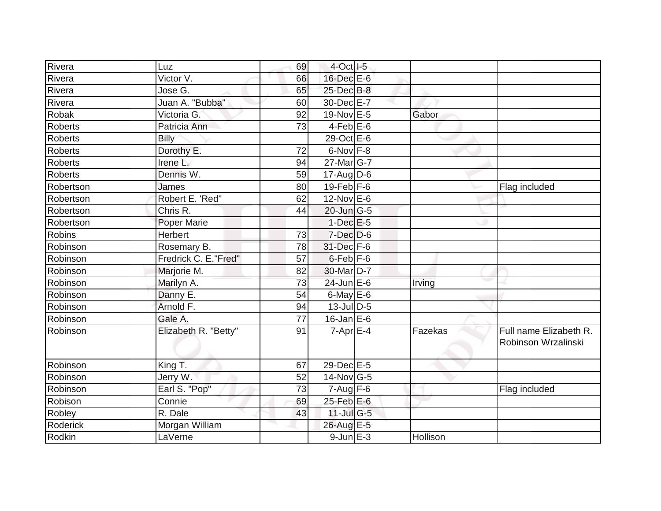| Rivera         | Luz                  | 69 | 4-Oct I-5         |          |                                               |
|----------------|----------------------|----|-------------------|----------|-----------------------------------------------|
| Rivera         | Victor V.            | 66 | 16-Dec E-6        |          |                                               |
| Rivera         | Jose G.              | 65 | 25-Dec B-8        |          |                                               |
| Rivera         | Juan A. "Bubba"      | 60 | 30-Dec E-7        |          |                                               |
| Robak          | Victoria G.          | 92 | 19-Nov E-5        | Gabor    |                                               |
| Roberts        | Patricia Ann         | 73 | $4$ -Feb $E$ -6   |          |                                               |
| <b>Roberts</b> | <b>Billy</b>         |    | 29-Oct E-6        |          |                                               |
| Roberts        | Dorothy E.           | 72 | 6-Nov F-8         |          |                                               |
| Roberts        | Irene L.             | 94 | $27$ -Mar $ G-7 $ |          |                                               |
| <b>Roberts</b> | Dennis W.            | 59 | $17$ -AugD-6      |          |                                               |
| Robertson      | James                | 80 | $19$ -Feb $F-6$   |          | Flag included                                 |
| Robertson      | Robert E. 'Red"      | 62 | 12-Nov E-6        |          |                                               |
| Robertson      | Chris R.             | 44 | 20-Jun G-5        |          |                                               |
| Robertson      | Poper Marie          |    | $1-Dec$ $E-5$     |          |                                               |
| Robins         | Herbert              | 73 | $7$ -Dec $D$ -6   |          |                                               |
| Robinson       | Rosemary B.          | 78 | 31-Dec F-6        |          |                                               |
| Robinson       | Fredrick C. E."Fred" | 57 | $6$ -Feb $F$ -6   |          |                                               |
| Robinson       | Marjorie M.          | 82 | 30-Mar D-7        |          |                                               |
| Robinson       | Marilyn A.           | 73 | $24$ -Jun $E-6$   | Irving   |                                               |
| Robinson       | Danny E.             | 54 | $6$ -May $E$ -6   |          |                                               |
| Robinson       | Arnold F.            | 94 | $13$ -Jul D-5     |          |                                               |
| Robinson       | Gale A.              | 77 | $16$ -Jan E-6     |          |                                               |
| Robinson       | Elizabeth R. "Betty" | 91 | $7-Apr$ $E-4$     | Fazekas  | Full name Elizabeth R.<br>Robinson Wrzalinski |
| Robinson       | King T.              | 67 | 29-Dec E-5        |          |                                               |
| Robinson       | Jerry W.             | 52 | $14$ -Nov $ G-5 $ |          |                                               |
| Robinson       | Earl S. "Pop"        | 73 | $7 - Aug$ F-6     |          | Flag included                                 |
| Robison        | Connie               | 69 | 25-Feb E-6        |          |                                               |
| Robley         | R. Dale              | 43 | $11$ -Jul G-5     |          |                                               |
| Roderick       | Morgan William       |    | 26-Aug E-5        |          |                                               |
| Rodkin         | LaVerne              |    | $9$ -Jun $E - 3$  | Hollison |                                               |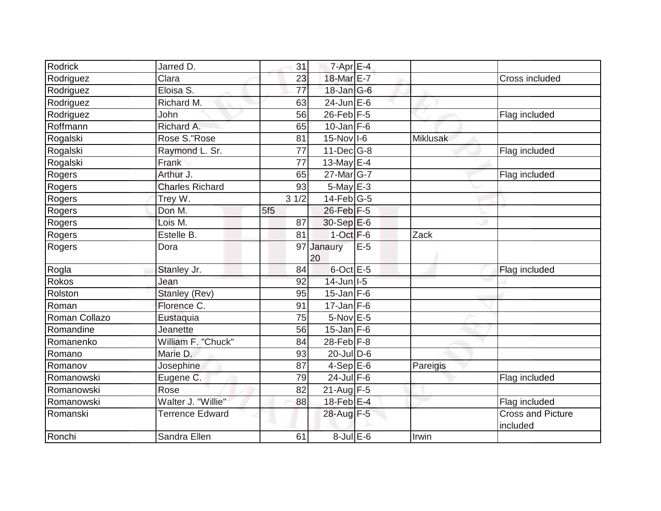| <b>Rodrick</b> | Jarred D.               | 31              | $7$ -Apr $E-4$    |       |                 |                                      |
|----------------|-------------------------|-----------------|-------------------|-------|-----------------|--------------------------------------|
| Rodriguez      | Clara                   | 23              | 18-Mar E-7        |       |                 | Cross included                       |
| Rodriguez      | Eloisa $\overline{S}$ . | 77              | 18-Jan G-6        |       |                 |                                      |
| Rodriguez      | Richard M.              | 63              | $24$ -Jun $E$ -6  |       |                 |                                      |
| Rodriguez      | John                    | 56              | $26$ -Feb $F-5$   |       |                 | Flag included                        |
| Roffmann       | Richard A.              | 65              | $10$ -Jan F-6     |       |                 |                                      |
| Rogalski       | Rose S. "Rose           | 81              | $15$ -Nov $ I-6$  |       | <b>Miklusak</b> |                                      |
| Rogalski       | Raymond L. Sr.          | 77              | $11$ -Dec $ G-8 $ |       |                 | Flag included                        |
| Rogalski       | Frank                   | 77              | 13-May E-4        |       |                 |                                      |
| Rogers         | Arthur J.               | 65              | 27-Mar G-7        |       |                 | Flag included                        |
| Rogers         | <b>Charles Richard</b>  | 93              | $5$ -May $E-3$    |       |                 |                                      |
| Rogers         | Trey W.                 | 31/2            | $14$ -Feb $G-5$   |       |                 |                                      |
| Rogers         | Don M.                  | 5f <sub>5</sub> | 26-Feb F-5        |       |                 |                                      |
| Rogers         | Lois M.                 | 87              | 30-Sep E-6        |       |                 |                                      |
| Rogers         | Estelle B.              | 81              | $1-Oct$ F-6       |       | Zack            |                                      |
| Rogers         | Dora                    | 97              | Janaury<br>20     | $E-5$ |                 |                                      |
| Rogla          | Stanley Jr.             | 84              | $6$ -Oct $E$ -5   |       |                 | Flag included                        |
| Rokos          | Jean                    | 92              | $14$ -Jun $ I-5 $ |       |                 |                                      |
| Rolston        | Stanley (Rev)           | 95              | $15$ -Jan F-6     |       |                 |                                      |
| Roman          | Florence C.             | 91              | $17$ -Jan F-6     |       |                 |                                      |
| Roman Collazo  | Eustaquia               | 75              | $5-Nov$ E-5       |       |                 |                                      |
| Romandine      | Jeanette                | 56              | $15$ -Jan F-6     |       |                 |                                      |
| Romanenko      | William F. "Chuck"      | 84              | 28-Feb $F-8$      |       |                 |                                      |
| Romano         | Marie D.                | 93              | $20$ -JulD-6      |       |                 |                                      |
| Romanov        | Josephine               | 87              | $4-SepE-6$        |       | Pareigis        |                                      |
| Romanowski     | Eugene C.               | 79              | $24$ -Jul $F-6$   |       |                 | Flag included                        |
| Romanowski     | Rose                    | 82              | $21$ -Aug F-5     |       |                 |                                      |
| Romanowski     | Walter J. "Willie"      | 88              | 18-Feb $E-4$      |       |                 | Flag included                        |
| Romanski       | <b>Terrence Edward</b>  |                 | 28-Aug F-5        |       |                 | <b>Cross and Picture</b><br>included |
| Ronchi         | Sandra Ellen            | 61              | $8$ -Jul $E$ -6   |       | Irwin           |                                      |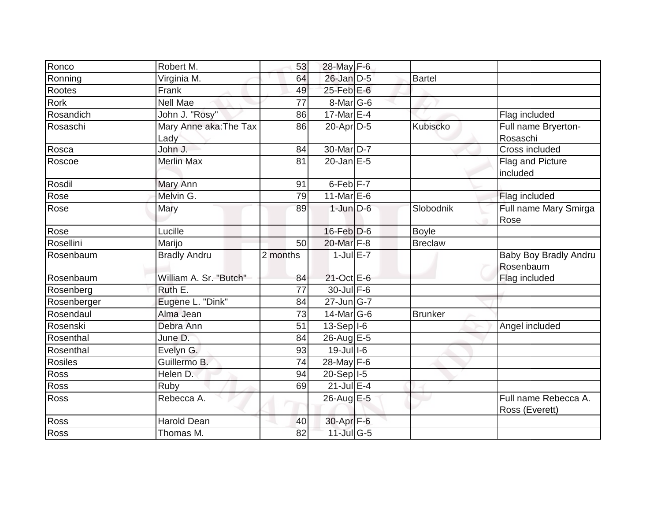| Ronco       | Robert M.                      | 53       | 28-May F-6                        |                |                                        |
|-------------|--------------------------------|----------|-----------------------------------|----------------|----------------------------------------|
| Ronning     | Virginia M.                    | 64       | 26-Jan D-5                        | <b>Bartel</b>  |                                        |
| Rootes      | Frank                          | 49       | $25$ -Feb $E$ -6                  |                |                                        |
| <b>Rork</b> | <b>Nell Mae</b>                | 77       | $8$ -Mar $ G$ -6                  |                |                                        |
| Rosandich   | John J. "Rosy"                 | 86       | 17-Mar E-4                        |                | Flag included                          |
| Rosaschi    | Mary Anne aka: The Tax<br>Lady | 86       | 20-Apr D-5                        | Kubiscko       | Full name Bryerton-<br>Rosaschi        |
| Rosca       | John J.                        | 84       | 30-Mar D-7                        |                | Cross included                         |
| Roscoe      | <b>Merlin Max</b>              | 81       | $20$ -Jan $E-5$                   |                | Flag and Picture<br>included           |
| Rosdil      | Mary Ann                       | 91       | $6$ -Feb $ F-7 $                  |                |                                        |
| Rose        | Melvin G.                      | 79       | 11-Mar $E-6$                      |                | Flag included                          |
| Rose        | Mary                           | 89       | $1$ -Jun $D-6$                    | Slobodnik      | Full name Mary Smirga<br>Rose          |
| Rose        | Lucille                        |          | 16-Feb D-6                        | <b>Boyle</b>   |                                        |
| Rosellini   | Marijo                         | 50       | 20-Mar F-8                        | <b>Breclaw</b> |                                        |
| Rosenbaum   | <b>Bradly Andru</b>            | 2 months | $1$ -Jul $E-7$                    |                | Baby Boy Bradly Andru<br>Rosenbaum     |
| Rosenbaum   | William A. Sr. "Butch"         | 84       | $21$ -Oct $E-6$                   |                | Flag included                          |
| Rosenberg   | Ruth E.                        | 77       | 30-Jul F-6                        |                |                                        |
| Rosenberger | Eugene L. "Dink"               | 84       | $27$ -Jun $\overline{\text{G-7}}$ |                |                                        |
| Rosendaul   | Alma Jean                      | 73       | $14$ -Mar $ G-6$                  | <b>Brunker</b> |                                        |
| Rosenski    | Debra Ann                      | 51       | $13-Sep$  -6                      |                | Angel included                         |
| Rosenthal   | June D.                        | 84       | 26-Aug E-5                        |                |                                        |
| Rosenthal   | Evelyn G.                      | 93       | $19$ -Jull-6                      |                |                                        |
| Rosiles     | Guillermo B.                   | 74       | 28-May F-6                        |                |                                        |
| Ross        | Helen D.                       | 94       | 20-Sep   I-5                      |                |                                        |
| Ross        | Ruby                           | 69       | $21$ -Jul E-4                     |                |                                        |
| Ross        | Rebecca A.                     |          | 26-Aug E-5                        |                | Full name Rebecca A.<br>Ross (Everett) |
| Ross        | <b>Harold Dean</b>             | 40       | 30-Apr F-6                        |                |                                        |
| Ross        | Thomas M.                      | 82       | $11$ -Jul G-5                     |                |                                        |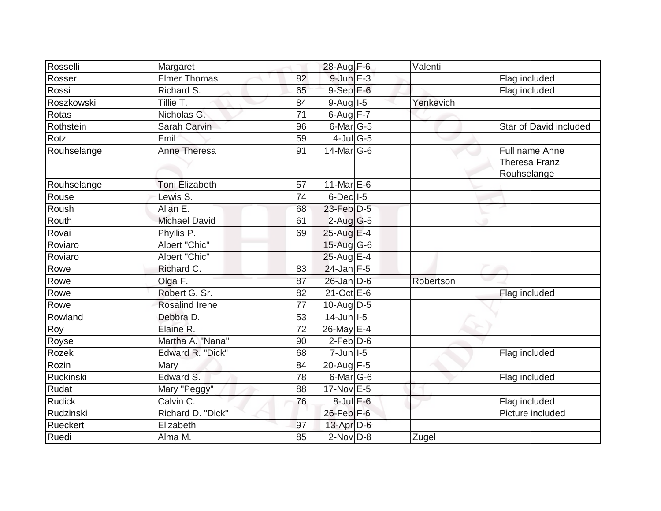| Rosselli         | Margaret              |    | $28$ -Aug F-6     | Valenti   |                                                       |
|------------------|-----------------------|----|-------------------|-----------|-------------------------------------------------------|
| Rosser           | <b>Elmer Thomas</b>   | 82 | $9$ -Jun $E - 3$  |           | Flag included                                         |
| Rossi            | Richard S.            | 65 | $9-SepE-6$        |           | Flag included                                         |
| Roszkowski       | Tillie T.             | 84 | $9$ -Aug $1$ -5   | Yenkevich |                                                       |
| Rotas            | Nicholas G.           | 71 | $6$ -Aug $F-7$    |           |                                                       |
| Rothstein        | Sarah Carvin          | 96 | $6$ -Mar $G$ -5   |           | Star of David included                                |
| Rotz             | Emil                  | 59 | $4$ -Jul G-5      |           |                                                       |
| Rouhselange      | Anne Theresa          | 91 | $14$ -Mar $ G-6$  |           | Full name Anne<br><b>Theresa Franz</b><br>Rouhselange |
| Rouhselange      | <b>Toni Elizabeth</b> | 57 | 11-Mar $E-6$      |           |                                                       |
| Rouse            | Lewis S.              | 74 | $6$ -Dec $ I-5 $  |           |                                                       |
| Roush            | Allan E.              | 68 | 23-Feb D-5        |           |                                                       |
| Routh            | <b>Michael David</b>  | 61 | $2$ -Aug G-5      |           |                                                       |
| Rovai            | Phyllis P.            | 69 | $25$ -Aug E-4     |           |                                                       |
| Roviaro          | Albert "Chic"         |    | $15$ -Aug G-6     |           |                                                       |
| Roviaro          | Albert "Chic"         |    | $25$ -Aug E-4     |           |                                                       |
| Rowe             | Richard C.            | 83 | $24$ -Jan F-5     |           |                                                       |
| Rowe             | Olga F.               | 87 | $26$ -Jan $D-6$   | Robertson |                                                       |
| Rowe             | Robert G. Sr.         | 82 | $21$ -Oct $E$ -6  |           | Flag included                                         |
| Rowe             | <b>Rosalind Irene</b> | 77 | 10-Aug $D-5$      |           |                                                       |
| Rowland          | Debbra D.             | 53 | $14$ -Jun $ I-5 $ |           |                                                       |
| Roy              | Elaine R.             | 72 | 26-May E-4        |           |                                                       |
| Royse            | Martha A. "Nana"      | 90 | $2$ -Feb $D-6$    |           |                                                       |
| Rozek            | Edward R. "Dick"      | 68 | $7$ -Jun $ I-5 $  |           | Flag included                                         |
| <b>Rozin</b>     | Mary                  | 84 | $20$ -Aug F-5     |           |                                                       |
| <b>Ruckinski</b> | Edward S.             | 78 | $6$ -Mar $ G$ -6  |           | Flag included                                         |
| Rudat            | Mary "Peggy"          | 88 | $17-Nov$ E-5      |           |                                                       |
| <b>Rudick</b>    | Calvin C.             | 76 | $8$ -Jul $E$ -6   |           | Flag included                                         |
| Rudzinski        | Richard D. "Dick"     |    | 26-Feb F-6        |           | Picture included                                      |
| Rueckert         | Elizabeth             | 97 | $13$ -Apr $D-6$   |           |                                                       |
| Ruedi            | Alma M.               | 85 | $2$ -Nov $D-8$    | Zugel     |                                                       |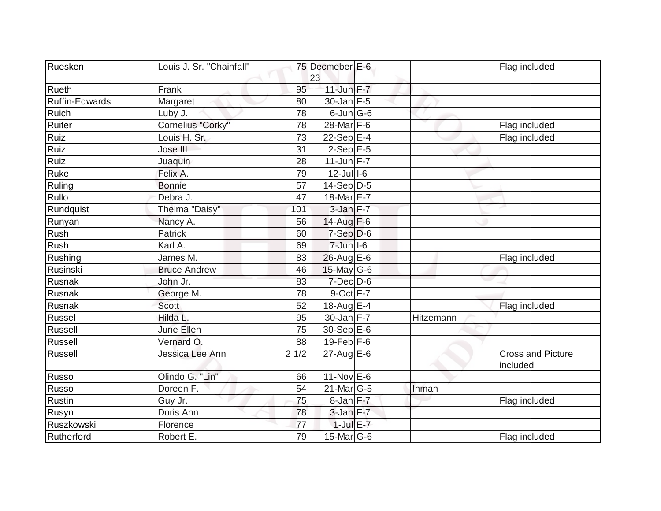| Ruesken               | Louis J. Sr. "Chainfall" |      | 75 Decmeber E-6<br>23 |           | Flag included                        |
|-----------------------|--------------------------|------|-----------------------|-----------|--------------------------------------|
| Rueth                 | Frank                    | 95   | $11$ -Jun $F - 7$     |           |                                      |
| <b>Ruffin-Edwards</b> | Margaret                 | 80   | $30$ -Jan F-5         |           |                                      |
| <b>Ruich</b>          | Luby J.                  | 78   | $6$ -Jun $ G$ -6      |           |                                      |
| Ruiter                | Cornelius "Corky"        | 78   | 28-Mar F-6            |           | Flag included                        |
| Ruiz                  | Louis H. Sr.             | 73   | 22-Sep $E-4$          |           | Flag included                        |
| Ruiz                  | Jose III                 | 31   | $2-Sep$ E-5           |           |                                      |
| Ruiz                  | Juaquin                  | 28   | $11$ -Jun F-7         |           |                                      |
| Ruke                  | Felix A.                 | 79   | $12$ -Jull-6          |           |                                      |
| Ruling                | <b>Bonnie</b>            | 57   | $14-Sep D-5$          |           |                                      |
| Rullo                 | Debra J.                 | 47   | 18-Mar E-7            |           |                                      |
| Rundquist             | Thelma "Daisy"           | 101  | $3$ -Jan $F-7$        |           |                                      |
| Runyan                | Nancy A.                 | 56   | 14-Aug $F-6$          |           |                                      |
| Rush                  | Patrick                  | 60   | $7-Sep D-6$           |           |                                      |
| Rush                  | Karl A.                  | 69   | $7$ -Jun $ $ I-6      |           |                                      |
| Rushing               | James M.                 | 83   | $26$ -Aug $E$ -6      |           | Flag included                        |
| Rusinski              | <b>Bruce Andrew</b>      | 46   | 15-May G-6            |           |                                      |
| Rusnak                | John Jr.                 | 83   | $7$ -Dec $D$ -6       |           |                                      |
| Rusnak                | George M.                | 78   | $9$ -Oct $F - 7$      |           |                                      |
| Rusnak                | Scott                    | 52   | 18-Aug E-4            |           | Flag included                        |
| Russel                | Hilda L.                 | 95   | $30$ -Jan F-7         | Hitzemann |                                      |
| Russell               | June Ellen               | 75   | 30-Sep E-6            |           |                                      |
| Russell               | Vernard O.               | 88   | $19$ -Feb $ F-6$      |           |                                      |
| Russell               | Jessica Lee Ann          | 21/2 | $27$ -Aug E-6         |           | <b>Cross and Picture</b><br>included |
| Russo                 | Olindo G. "Lin"          | 66   | $11-Nov$ E-6          |           |                                      |
| Russo                 | Doreen F.                | 54   | $21$ -Mar $ G-5 $     | Inman     |                                      |
| Rustin                | Guy Jr.                  | 75   | $8$ -Jan $F-7$        |           | Flag included                        |
| Rusyn                 | Doris Ann                | 78   | $3$ -Jan $F-7$        |           |                                      |
| Ruszkowski            | Florence                 | 77   | $1$ -Jul E-7          |           |                                      |
| Rutherford            | Robert E.                | 79   | 15-Mar G-6            |           | Flag included                        |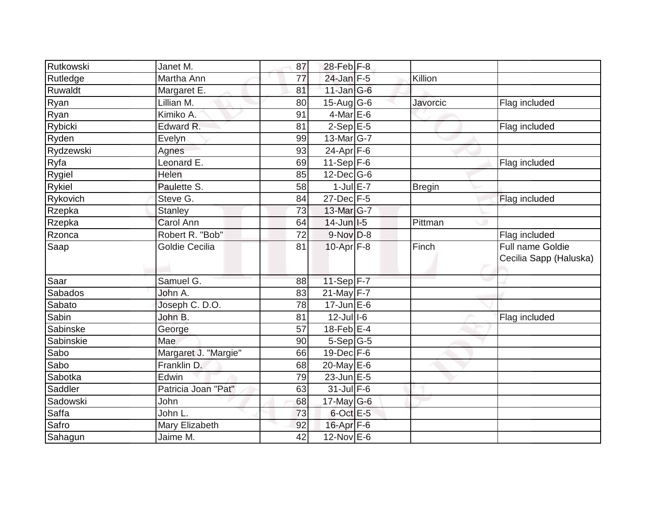| Rutkowski      | Janet M.             | 87              | $28$ -Feb F-8     |               |                                            |
|----------------|----------------------|-----------------|-------------------|---------------|--------------------------------------------|
| Rutledge       | Martha Ann           | $\overline{77}$ | $24$ -Jan $F-5$   | Killion       |                                            |
| Ruwaldt        | Margaret E.          | 81              | $11$ -Jan $ G-6 $ |               |                                            |
| Ryan           | Lillian M.           | 80              | $15$ -Aug G-6     | Javorcic      | Flag included                              |
| Ryan           | Kimiko A.            | 91              | $4$ -Mar E-6      |               |                                            |
| Rybicki        | Edward R.            | 81              | $2-Sep$ E-5       |               | Flag included                              |
| Ryden          | Evelyn               | 99              | $13$ -Mar $ G-7 $ |               |                                            |
| Rydzewski      | Agnes                | 93              | $24-Apr$ F-6      |               |                                            |
| Ryfa           | Leonard E.           | 69              | 11-Sep $F-6$      |               | Flag included                              |
| Rygiel         | Helen                | 85              | $12$ -Dec $ G-6$  |               |                                            |
| <b>Rykiel</b>  | Paulette S.          | 58              | $1$ -Jul $E - 7$  | <b>Bregin</b> |                                            |
| Rykovich       | Steve G.             | 84              | 27-Dec F-5        |               | Flag included                              |
| Rzepka         | <b>Stanley</b>       | 73              | 13-Mar G-7        |               |                                            |
| Rzepka         | Carol Ann            | 64              | $14$ -Jun $1-5$   | Pittman       |                                            |
| Rzonca         | Robert R. "Bob"      | 72              | $9-Nov$ $D-8$     |               | Flag included                              |
| Saap           | Goldie Cecilia       | 81              | $10$ -Apr $F-8$   | Finch         | Full name Goldie<br>Cecilia Sapp (Haluska) |
| Saar           | Samuel G.            | 88              | $11-Sep$ F-7      |               |                                            |
| <b>Sabados</b> | John A.              | 83              | $21$ -May F-7     |               |                                            |
| Sabato         | Joseph C. D.O.       | 78              | $17$ -Jun $E$ -6  |               |                                            |
| Sabin          | John B.              | 81              | $12$ -Jul $1-6$   |               | Flag included                              |
| Sabinske       | George               | 57              | $18$ -Feb $E-4$   |               |                                            |
| Sabinskie      | Mae                  | 90              | $5-Sep G-5$       |               |                                            |
| Sabo           | Margaret J. "Margie" | 66              | $19$ -Dec $F-6$   |               |                                            |
| Sabo           | Franklin D.          | 68              | $20$ -May $E-6$   |               |                                            |
| Sabotka        | Edwin                | 79              | $23$ -Jun $E-5$   |               |                                            |
| Saddler        | Patricia Joan "Pat"  | 63              | $31$ -Jul F-6     |               |                                            |
| Sadowski       | John                 | 68              | 17-May G-6        |               |                                            |
| Saffa          | John L.              | 73              | $6$ -Oct $E$ -5   |               |                                            |
| Safro          | Mary Elizabeth       | 92              | 16-Apr F-6        |               |                                            |
| Sahagun        | Jaime M.             | 42              | $12$ -Nov $E$ -6  |               |                                            |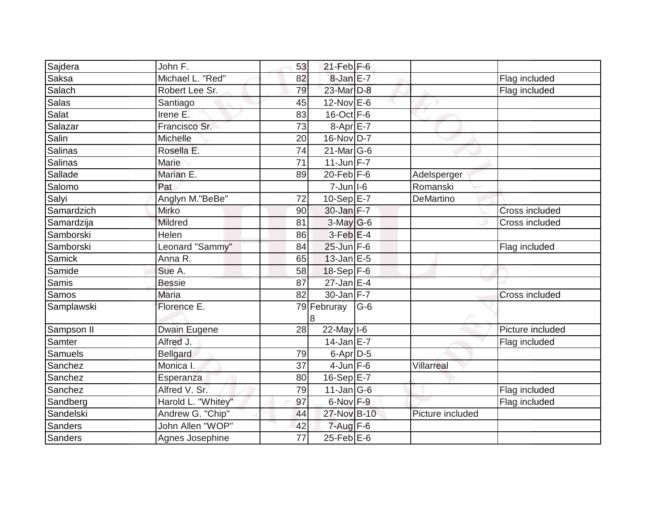| Sajdera        | John F.            | 53              | $21$ -Feb $ F-6 $ |       |                  |                  |
|----------------|--------------------|-----------------|-------------------|-------|------------------|------------------|
| Saksa          | Michael L. "Red"   | 82              | 8-Jan E-7         |       |                  | Flag included    |
| Salach         | Robert Lee Sr.     | 79              | 23-Mar D-8        |       |                  | Flag included    |
| Salas          | Santiago           | 45              | $12$ -Nov $E$ -6  |       |                  |                  |
| Salat          | Irene E.           | 83              | $16$ -Oct $F-6$   |       |                  |                  |
| Salazar        | Francisco Sr.      | 73              | $8-Apr$ $E-7$     |       |                  |                  |
| Salin          | Michelle           | 20              | 16-Nov D-7        |       |                  |                  |
| Salinas        | Rosella E.         | 74              | $21$ -Mar $ G-6$  |       |                  |                  |
| <b>Salinas</b> | Marie              | $\overline{71}$ | $11$ -Jun $F - 7$ |       |                  |                  |
| Sallade        | Marian E.          | 89              | $20$ -Feb $F-6$   |       | Adelsperger      |                  |
| Salomo         | Pat                |                 | $7$ -Jun $ I-6$   |       | Romanski         |                  |
| Salyi          | Anglyn M."BeBe"    | 72              | 10-Sep $E-7$      |       | DeMartino        |                  |
| Samardzich     | Mirko              | 90              | $30$ -Jan $F-7$   |       |                  | Cross included   |
| Samardzija     | Mildred            | 81              | $3$ -May G-6      |       |                  | Cross included   |
| Samborski      | Helen              | 86              | $3$ -Feb $E-4$    |       |                  |                  |
| Samborski      | Leonard "Sammy"    | 84              | $25$ -Jun $F-6$   |       |                  | Flag included    |
| <b>Samick</b>  | Anna R.            | 65              | $13$ -Jan $E$ -5  |       |                  |                  |
| Samide         | Sue A.             | 58              | $18-Sep$ F-6      |       |                  |                  |
| Samis          | <b>Bessie</b>      | 87              | $27$ -Jan E-4     |       |                  |                  |
| Samos          | <b>Maria</b>       | 82              | $30$ -Jan F-7     |       |                  | Cross included   |
| Samplawski     | Florence E.        |                 | 79 Februray<br>8  | $G-6$ |                  |                  |
| Sampson II     | Dwain Eugene       | 28              | $22$ -May $ I-6 $ |       |                  | Picture included |
| Samter         | Alfred J.          |                 | $14$ -Jan E-7     |       |                  | Flag included    |
| Samuels        | <b>Bellgard</b>    | 79              | $6$ -Apr $D$ -5   |       |                  |                  |
| Sanchez        | Monica I.          | 37              | $4$ -Jun $F-6$    |       | Villarreal       |                  |
| Sanchez        | Esperanza          | 80              | 16-Sep $E-7$      |       |                  |                  |
| Sanchez        | Alfred V. Sr.      | 79              | $11$ -Jan $ G-6$  |       |                  | Flag included    |
| Sandberg       | Harold L. "Whitey" | 97              | 6-Nov F-9         |       |                  | Flag included    |
| Sandelski      | Andrew G. "Chip"   | 44              | 27-Nov B-10       |       | Picture included |                  |
| Sanders        | John Allen "WOP"   | 42              | $7 - Aug$ $F-6$   |       |                  |                  |
| Sanders        | Agnes Josephine    | 77              | $25$ -Feb $E$ -6  |       |                  |                  |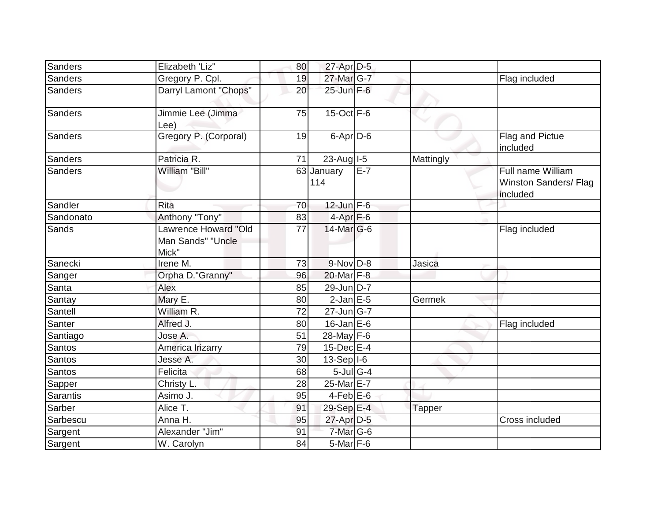| Sanders        | Elizabeth 'Liz"                                    | 80              | $27$ -Apr $D-5$   |       |           |                                                        |
|----------------|----------------------------------------------------|-----------------|-------------------|-------|-----------|--------------------------------------------------------|
| Sanders        | Gregory P. Cpl.                                    | 19              | 27-Mar G-7        |       |           | Flag included                                          |
| <b>Sanders</b> | Darryl Lamont "Chops"                              | 20              | $25$ -Jun $F-6$   |       |           |                                                        |
| Sanders        | Jimmie Lee (Jimma<br>Lee)                          | 75              | $15$ -Oct $F-6$   |       |           |                                                        |
| Sanders        | Gregory P. (Corporal)                              | 19              | 6-Apr D-6         |       |           | Flag and Pictue<br>included                            |
| Sanders        | Patricia R.                                        | 71              | $23$ -Aug   I-5   |       | Mattingly |                                                        |
| Sanders        | William "Bill"                                     |                 | 63 January<br>114 | $E-7$ |           | Full name William<br>Winston Sanders/ Flag<br>included |
| Sandler        | Rita                                               | 70              | $12$ -Jun $F-6$   |       |           |                                                        |
| Sandonato      | Anthony "Tony"                                     | 83              | $4-Apr$ F-6       |       |           |                                                        |
| Sands          | Lawrence Howard "Old<br>Man Sands" "Uncle<br>Mick" | 77              | 14-Mar G-6        |       |           | Flag included                                          |
| Sanecki        | Irene M.                                           | 73              | $9-NovD-8$        |       | Jasica    |                                                        |
| Sanger         | Orpha D."Granny"                                   | 96              | 20-Mar F-8        |       |           |                                                        |
| Santa          | Alex                                               | 85              | 29-Jun D-7        |       |           |                                                        |
| Santay         | Mary E.                                            | 80              | $2$ -Jan $E$ -5   |       | Germek    |                                                        |
| Santell        | William R.                                         | $\overline{72}$ | 27-Jun G-7        |       |           |                                                        |
| Santer         | Alfred J.                                          | 80              | $16$ -Jan E-6     |       |           | Flag included                                          |
| Santiago       | Jose A.                                            | 51              | 28-May F-6        |       |           |                                                        |
| Santos         | America Irizarry                                   | 79              | $15$ -Dec $E-4$   |       |           |                                                        |
| Santos         | Jesse A.                                           | 30              | 13-Sep I-6        |       |           |                                                        |
| <b>Santos</b>  | Felicita                                           | 68              | $5$ -Jul G-4      |       |           |                                                        |
| Sapper         | Christy L.                                         | 28              | 25-Mar E-7        |       |           |                                                        |
| Sarantis       | Asimo J.                                           | 95              | $4$ -Feb $E$ -6   |       |           |                                                        |
| Sarber         | Alice T.                                           | 91              | 29-Sep E-4        |       | Tapper    |                                                        |
| Sarbescu       | Anna H.                                            | 95              | 27-Apr D-5        |       |           | Cross included                                         |
| Sargent        | Alexander "Jim"                                    | 91              | 7-Mar G-6         |       |           |                                                        |
| Sargent        | W. Carolyn                                         | 84              | $5$ -Mar $F$ -6   |       |           |                                                        |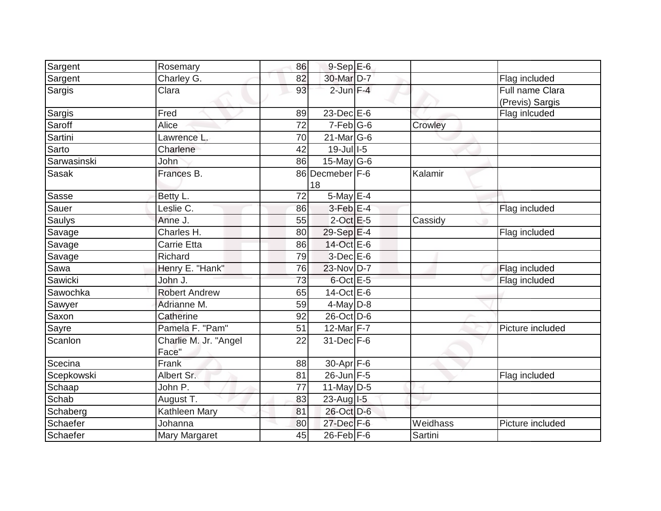| Sargent     | Rosemary                       | 86 | $9-Sep \overline{E-6}$ |          |                                    |
|-------------|--------------------------------|----|------------------------|----------|------------------------------------|
| Sargent     | Charley G.                     | 82 | 30-Mar D-7             |          | Flag included                      |
| Sargis      | Clara                          | 93 | $2$ -Jun $F-4$         |          | Full name Clara<br>(Previs) Sargis |
| Sargis      | Fred                           | 89 | $23$ -Dec $E$ -6       |          | Flag inlcuded                      |
| Saroff      | Alice                          | 72 | $7-Feb$ G-6            | Crowley  |                                    |
| Sartini     | Lawrence L.                    | 70 | $21$ -Mar $ G-6$       |          |                                    |
| Sarto       | Charlene                       | 42 | $19$ -Jul $1$ -5       |          |                                    |
| Sarwasinski | John                           | 86 | $15$ -May G-6          |          |                                    |
| Sasak       | Frances B.                     |    | 86 Decmeber F-6<br>18  | Kalamir  |                                    |
| Sasse       | Betty L.                       | 72 | $5$ -May $E-4$         |          |                                    |
| Sauer       | Leslie C.                      | 86 | $3$ -Feb $E-4$         |          | Flag included                      |
| Saulys      | Anne J.                        | 55 | $2$ -Oct $E - 5$       | Cassidy  |                                    |
| Savage      | Charles H.                     | 80 | 29-Sep E-4             |          | Flag included                      |
| Savage      | Carrie Etta                    | 86 | 14-Oct E-6             |          |                                    |
| Savage      | Richard                        | 79 | $3$ -Dec $E$ -6        |          |                                    |
| Sawa        | Henry E. "Hank"                | 76 | 23-Nov D-7             |          | Flag included                      |
| Sawicki     | John J.                        | 73 | $6$ -Oct $E$ -5        |          | Flag included                      |
| Sawochka    | <b>Robert Andrew</b>           | 65 | $14-Oct$ E-6           |          |                                    |
| Sawyer      | Adrianne M.                    | 59 | $4$ -May $D-8$         |          |                                    |
| Saxon       | Catherine                      | 92 | 26-Oct D-6             |          |                                    |
| Sayre       | Pamela F. "Pam"                | 51 | 12-Mar $F-7$           |          | Picture included                   |
| Scanlon     | Charlie M. Jr. "Angel<br>Face" | 22 | 31-Dec F-6             |          |                                    |
| Scecina     | Frank                          | 88 | 30-Apr F-6             |          |                                    |
| Scepkowski  | Albert Sr.                     | 81 | 26-Jun F-5             |          | Flag included                      |
| Schaap      | John P.                        | 77 | 11-May $D-5$           |          |                                    |
| Schab       | August T.                      | 83 | 23-Aug I-5             |          |                                    |
| Schaberg    | Kathleen Mary                  | 81 | 26-Oct D-6             |          |                                    |
| Schaefer    | Johanna                        | 80 | 27-Dec F-6             | Weidhass | Picture included                   |
| Schaefer    | Mary Margaret                  | 45 | 26-Feb F-6             | Sartini  |                                    |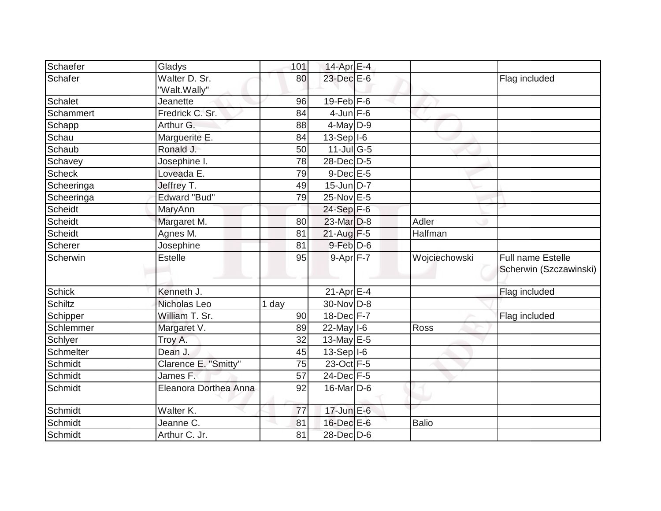| Schaefer      | Gladys                        | 101                | 14-Apr $E-4$                      |               |                                             |
|---------------|-------------------------------|--------------------|-----------------------------------|---------------|---------------------------------------------|
| Schafer       | Walter D. Sr.<br>"Walt.Wally" | 80                 | 23-Dec E-6                        |               | Flag included                               |
| Schalet       | Jeanette                      | 96                 | 19-Feb $F-6$                      |               |                                             |
| Schammert     | Fredrick C. Sr.               | 84                 | $4$ -Jun F-6                      |               |                                             |
| Schapp        | Arthur G.                     | 88                 | $4$ -May $D-9$                    |               |                                             |
| Schau         | Marguerite E.                 | 84                 | $13-Sep$  -6                      |               |                                             |
| Schaub        | Ronald J.                     | 50                 | $11$ -Jul $\overline{\text{G-5}}$ |               |                                             |
| Schavey       | Josephine I.                  | 78                 | 28-Dec D-5                        |               |                                             |
| <b>Scheck</b> | Loveada E.                    | 79                 | $9$ -Dec $E - 5$                  |               |                                             |
| Scheeringa    | Jeffrey T.                    | 49                 | $15$ -Jun D-7                     |               |                                             |
| Scheeringa    | <b>Edward "Bud"</b>           | 79                 | $25$ -Nov $E-5$                   |               |                                             |
| Scheidt       | MaryAnn                       |                    | $24-Sep$ F-6                      |               |                                             |
| Scheidt       | Margaret M.                   | 80                 | 23-Mar D-8                        | Adler         |                                             |
| Scheidt       | Agnes M.                      | 81                 | $21$ -Aug F-5                     | Halfman       |                                             |
| Scherer       | Josephine                     | 81                 | $9$ -Feb $D$ -6                   |               |                                             |
| Scherwin      | <b>Estelle</b>                | 95                 | $9-Apr$ F-7                       | Wojciechowski | Full name Estelle<br>Scherwin (Szczawinski) |
| <b>Schick</b> | Kenneth J.                    |                    | $21-Apr \fbox{E-4}$               |               | Flag included                               |
| Schiltz       | Nicholas Leo                  | $\overline{1}$ day | 30-Nov D-8                        |               |                                             |
| Schipper      | William T. Sr.                | 90                 | $18$ -Dec $\overline{F}$ -7       |               | Flag included                               |
| Schlemmer     | Margaret V.                   | 89                 | $22$ -May $ I-6 $                 | Ross          |                                             |
| Schlyer       | Troy A.                       | 32                 | 13-May $E$ -5                     |               |                                             |
| Schmelter     | Dean J.                       | 45                 | $13-Sep$  -6                      |               |                                             |
| Schmidt       | Clarence E. "Smitty"          | 75                 | 23-Oct F-5                        |               |                                             |
| Schmidt       | James F.                      | 57                 | 24-Dec F-5                        |               |                                             |
| Schmidt       | Eleanora Dorthea Anna         | 92                 | 16-Mar D-6                        |               |                                             |
| Schmidt       | Walter K.                     | 77                 | $17$ -Jun $E-6$                   |               |                                             |
| Schmidt       | Jeanne C.                     | 81                 | 16-Dec E-6                        | <b>Balio</b>  |                                             |
| Schmidt       | Arthur C. Jr.                 | 81                 | 28-Dec D-6                        |               |                                             |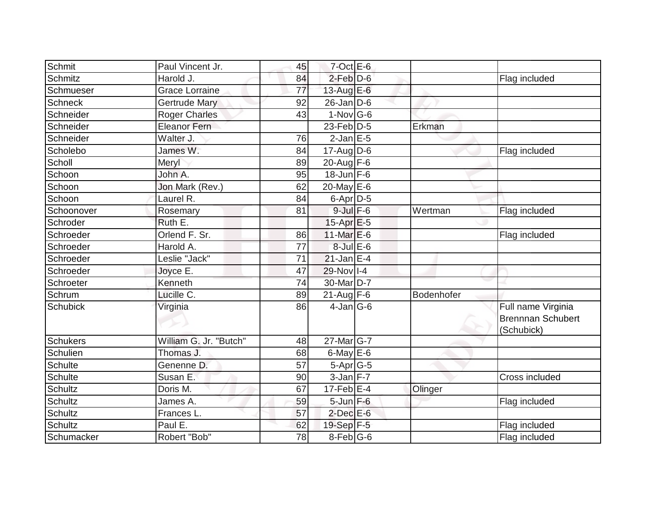| <b>Schmit</b>   | Paul Vincent Jr.       | 45 | $7$ -Oct $E$ -6   |            |                                                              |
|-----------------|------------------------|----|-------------------|------------|--------------------------------------------------------------|
| <b>Schmitz</b>  | Harold J.              | 84 | $2$ -Feb $D-6$    |            | Flag included                                                |
| Schmueser       | <b>Grace Lorraine</b>  | 77 | 13-Aug $E-6$      |            |                                                              |
| <b>Schneck</b>  | <b>Gertrude Mary</b>   | 92 | $26$ -Jan D-6     |            |                                                              |
| Schneider       | <b>Roger Charles</b>   | 43 | $1-Nov$ G-6       |            |                                                              |
| Schneider       | Eleanor Fern           |    | $23$ -Feb $ D-5$  | Erkman     |                                                              |
| Schneider       | Walter J.              | 76 | $2$ -Jan $E$ -5   |            |                                                              |
| Scholebo        | James W.               | 84 | $17$ -Aug D-6     |            | Flag included                                                |
| Scholl          | Meryl                  | 89 | 20-Aug $F-6$      |            |                                                              |
| Schoon          | John A.                | 95 | $18$ -Jun $F-6$   |            |                                                              |
| Schoon          | Jon Mark (Rev.)        | 62 | 20-May $E-6$      |            |                                                              |
| Schoon          | Laurel R.              | 84 | 6-Apr D-5         |            |                                                              |
| Schoonover      | Rosemary               | 81 | $9$ -Jul $F$ -6   | Wertman    | Flag included                                                |
| Schroder        | Ruth E.                |    | $15-Apr$ $E-5$    |            |                                                              |
| Schroeder       | Orlend F. Sr.          | 86 | $11$ -Mar $E$ -6  |            | Flag included                                                |
| Schroeder       | Harold A.              | 77 | $8$ -Jul $E$ -6   |            |                                                              |
| Schroeder       | Leslie "Jack"          | 71 | $21$ -Jan E-4     |            |                                                              |
| Schroeder       | Joyce E.               | 47 | $29-Nov$ I-4      |            |                                                              |
| Schroeter       | Kenneth                | 74 | 30-Mar D-7        |            |                                                              |
| Schrum          | Lucille C.             | 89 | $21$ -Aug F-6     | Bodenhofer |                                                              |
| <b>Schubick</b> | Virginia               | 86 | $4$ -Jan $ G-6 $  |            | Full name Virginia<br><b>Brennnan Schubert</b><br>(Schubick) |
| <b>Schukers</b> | William G. Jr. "Butch" | 48 | $27$ -Mar $ G-7 $ |            |                                                              |
| <b>Schulien</b> | Thomas J.              | 68 | 6-May $E-6$       |            |                                                              |
| <b>Schulte</b>  | Genenne D.             | 57 | $5-Apr$ G-5       |            |                                                              |
| <b>Schulte</b>  | Susan E.               | 90 | $3$ -Jan $F-7$    |            | Cross included                                               |
| <b>Schultz</b>  | Doris M.               | 67 | $17$ -Feb $ E-4$  | Olinger    |                                                              |
| <b>Schultz</b>  | James A.               | 59 | $5 - Jun$ $F - 6$ |            | Flag included                                                |
| <b>Schultz</b>  | Frances L.             | 57 | $2$ -Dec $E$ -6   |            |                                                              |
| <b>Schultz</b>  | Paul E.                | 62 | 19-Sep F-5        |            | Flag included                                                |
| Schumacker      | Robert "Bob"           | 78 | $8$ -Feb $ G$ -6  |            | Flag included                                                |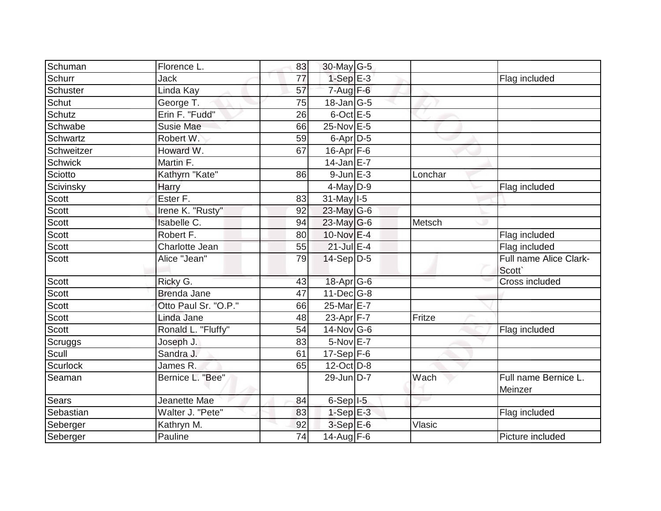| Schuman        | Florence L.          | 83              | 30-May G-5       |         |                                  |
|----------------|----------------------|-----------------|------------------|---------|----------------------------------|
| Schurr         | Jack                 | 77              | $1-SepE-3$       |         | Flag included                    |
| Schuster       | Linda Kay            | 57              | $7 - Aug$ F-6    |         |                                  |
| Schut          | George T.            | 75              | $18$ -Jan G-5    |         |                                  |
| Schutz         | Erin F. "Fudd"       | 26              | $6$ -Oct $E$ -5  |         |                                  |
| Schwabe        | <b>Susie Mae</b>     | 66              | $25$ -Nov $E$ -5 |         |                                  |
| Schwartz       | Robert W.            | 59              | $6$ -Apr $D$ -5  |         |                                  |
| Schweitzer     | Howard W.            | 67              | $16$ -Apr $F-6$  |         |                                  |
| <b>Schwick</b> | Martin F.            |                 | $14$ -Jan E-7    |         |                                  |
| Sciotto        | Kathyrn "Kate"       | 86              | $9$ -Jun $E - 3$ | Lonchar |                                  |
| Scivinsky      | Harry                |                 | 4-May D-9        |         | Flag included                    |
| Scott          | Ester F.             | 83              | $31$ -May $1-5$  |         |                                  |
| Scott          | Irene K. "Rusty"     | 92              | 23-May G-6       |         |                                  |
| Scott          | Isabelle C.          | 94              | 23-May G-6       | Metsch  |                                  |
| Scott          | Robert F.            | 80              | 10-Nov E-4       |         | Flag included                    |
| Scott          | Charlotte Jean       | 55              | $21$ -Jul $E-4$  |         | Flag included                    |
| Scott          | Alice "Jean"         | 79              | $14-Sep D-5$     |         | Full name Alice Clark-<br>Scott` |
| Scott          | Ricky G.             | 43              | 18-Apr G-6       |         | Cross included                   |
| Scott          | <b>Brenda Jane</b>   | 47              | $11$ -Dec $G-8$  |         |                                  |
| Scott          | Otto Paul Sr. "O.P." | 66              | 25-Mar E-7       |         |                                  |
| Scott          | Linda Jane           | 48              | 23-Apr $F-7$     | Fritze  |                                  |
| Scott          | Ronald L. "Fluffy"   | 54              | 14-Nov G-6       |         | Flag included                    |
| Scruggs        | Joseph J.            | 83              | 5-Nov E-7        |         |                                  |
| Scull          | Sandra J.            | 61              | $17-Sep$ F-6     |         |                                  |
| Scurlock       | James R.             | 65              | 12-Oct D-8       |         |                                  |
| Seaman         | Bernice L. "Bee"     |                 | 29-Jun D-7       | Wach    | Full name Bernice L.<br>Meinzer  |
| Sears          | Jeanette Mae         | 84              | $6-Sep$ $I-5$    |         |                                  |
| Sebastian      | Walter J. "Pete"     | 83              | $1-Sep$ E-3      |         | Flag included                    |
| Seberger       | Kathryn M.           | 92              | $3-SepE-6$       | Vlasic  |                                  |
| Seberger       | Pauline              | $\overline{74}$ | 14-Aug $F-6$     |         | Picture included                 |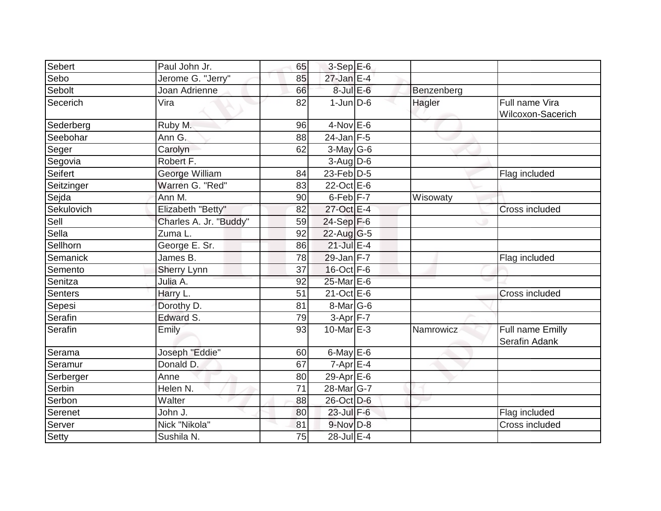| Sebert     | Paul John Jr.          | 65 | $3-Sep$ E-6             |            |                                     |
|------------|------------------------|----|-------------------------|------------|-------------------------------------|
| Sebo       | Jerome G. "Jerry"      | 85 | 27-Jan E-4              |            |                                     |
| Sebolt     | Joan Adrienne          | 66 | $8$ -Jul $E$ -6         | Benzenberg |                                     |
| Secerich   | Vira                   | 82 | $1$ -Jun $D-6$          | Hagler     | Full name Vira<br>Wilcoxon-Sacerich |
| Sederberg  | Ruby M.                | 96 | $4-Nov$ E-6             |            |                                     |
| Seebohar   | Ann G.                 | 88 | $24$ -Jan F-5           |            |                                     |
| Seger      | Carolyn                | 62 | $3$ -May G-6            |            |                                     |
| Segovia    | Robert F.              |    | $3-Aug$ $D-6$           |            |                                     |
| Seifert    | George William         | 84 | 23-Feb D-5              |            | Flag included                       |
| Seitzinger | Warren G. "Red"        | 83 | 22-Oct E-6              |            |                                     |
| Sejda      | Ann M.                 | 90 | 6-Feb <sup>F-7</sup>    | Wisowaty   |                                     |
| Sekulovich | Elizabeth "Betty"      | 82 | 27-Oct E-4              |            | Cross included                      |
| Sell       | Charles A. Jr. "Buddy" | 59 | $24-Sep$ F-6            |            |                                     |
| Sella      | Zuma L.                | 92 | $22$ -Aug G-5           |            |                                     |
| Sellhorn   | George E. Sr.          | 86 | $21$ -Jul E-4           |            |                                     |
| Semanick   | James B.               | 78 | $29$ -Jan F-7           |            | Flag included                       |
| Semento    | Sherry Lynn            | 37 | 16-Oct F-6              |            |                                     |
| Senitza    | Julia A.               | 92 | 25-Mar E-6              |            |                                     |
| Senters    | Harry L.               | 51 | 21-Oct E-6              |            | Cross included                      |
| Sepesi     | Dorothy D.             | 81 | $8$ -Mar $ G-6$         |            |                                     |
| Serafin    | Edward S.              | 79 | $3-Apr$ F-7             |            |                                     |
| Serafin    | Emily                  | 93 | 10-Mar $E-3$            | Namrowicz  | Full name Emilly<br>Serafin Adank   |
| Serama     | Joseph "Eddie"         | 60 | 6-May $E-6$             |            |                                     |
| Seramur    | Donald D.              | 67 | $7 - Apr$ $E-4$         |            |                                     |
| Serberger  | Anne                   | 80 | $29-Apr \n\mathsf{E-6}$ |            |                                     |
| Serbin     | Helen N.               | 71 | 28-Mar G-7              |            |                                     |
| Serbon     | Walter                 | 88 | 26-Oct D-6              |            |                                     |
| Serenet    | John J.                | 80 | $23$ -Jul F-6           |            | Flag included                       |
| Server     | Nick "Nikola"          | 81 | 9-Nov D-8               |            | Cross included                      |
| Setty      | Sushila N.             | 75 | 28-Jul E-4              |            |                                     |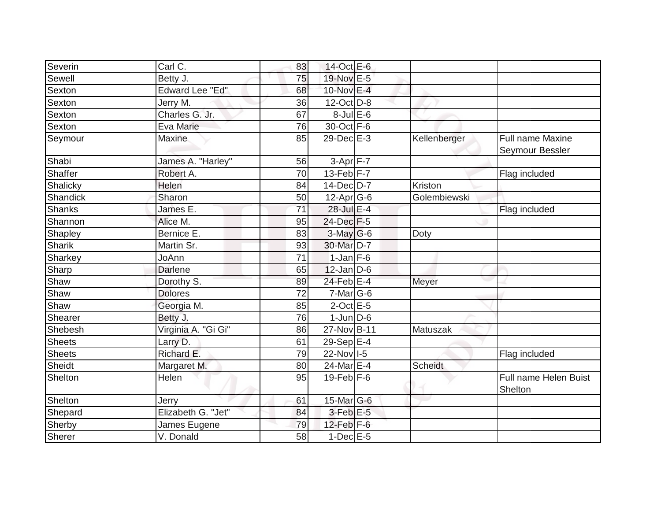| Severin         | Carl C.                | 83 | 14-Oct E-6        |                |                                            |
|-----------------|------------------------|----|-------------------|----------------|--------------------------------------------|
| Sewell          | Betty J.               | 75 | 19-Nov E-5        |                |                                            |
| Sexton          | <b>Edward Lee "Ed"</b> | 68 | 10-Nov E-4        |                |                                            |
| Sexton          | Jerry M.               | 36 | $12$ -Oct $D-8$   |                |                                            |
| Sexton          | Charles G. Jr.         | 67 | $8$ -Jul $E$ -6   |                |                                            |
| Sexton          | Eva Marie              | 76 | 30-Oct F-6        |                |                                            |
| Seymour         | <b>Maxine</b>          | 85 | 29-Dec E-3        | Kellenberger   | <b>Full name Maxine</b><br>Seymour Bessler |
| Shabi           | James A. "Harley"      | 56 | $3-Apr$ $F-7$     |                |                                            |
| Shaffer         | Robert A.              | 70 | 13-Feb $F-7$      |                | Flag included                              |
| Shalicky        | <b>Helen</b>           | 84 | 14-Dec D-7        | Kriston        |                                            |
| <b>Shandick</b> | Sharon                 | 50 | $12$ -Apr $ G-6 $ | Golembiewski   |                                            |
| <b>Shanks</b>   | James E.               | 71 | $28$ -Jul $E-4$   |                | Flag included                              |
| Shannon         | Alice M.               | 95 | $24$ -Dec $F-5$   |                |                                            |
| Shapley         | Bernice E.             | 83 | $3$ -May G-6      | Doty           |                                            |
| <b>Sharik</b>   | Martin Sr.             | 93 | 30-Mar D-7        |                |                                            |
| Sharkey         | JoAnn                  | 71 | $1$ -Jan $F$ -6   |                |                                            |
| Sharp           | <b>Darlene</b>         | 65 | $12$ -Jan D-6     |                |                                            |
| Shaw            | Dorothy S.             | 89 | $24$ -Feb $ E-4 $ | Meyer          |                                            |
| Shaw            | <b>Dolores</b>         | 72 | $7-Mar$ G-6       |                |                                            |
| Shaw            | Georgia M.             | 85 | $2$ -Oct $E - 5$  |                |                                            |
| Shearer         | Betty J.               | 76 | $1$ -Jun $D-6$    |                |                                            |
| Shebesh         | Virginia A. "Gi Gi"    | 86 | 27-Nov B-11       | Matuszak       |                                            |
| <b>Sheets</b>   | Larry D.               | 61 | 29-Sep $E-4$      |                |                                            |
| <b>Sheets</b>   | Richard E.             | 79 | 22-Nov 1-5        |                | Flag included                              |
| Sheidt          | Margaret M.            | 80 | 24-Mar E-4        | <b>Scheidt</b> |                                            |
| Shelton         | Helen                  | 95 | $19$ -Feb $ F-6$  |                | Full name Helen Buist<br>Shelton           |
| Shelton         | Jerry                  | 61 | $15$ -Mar $ G-6 $ |                |                                            |
| Shepard         | Elizabeth G. "Jet"     | 84 | $3$ -Feb $E$ -5   |                |                                            |
| Sherby          | James Eugene           | 79 | $12$ -Feb $F-6$   |                |                                            |
| <b>Sherer</b>   | V. Donald              | 58 | $1-Dec$ $E-5$     |                |                                            |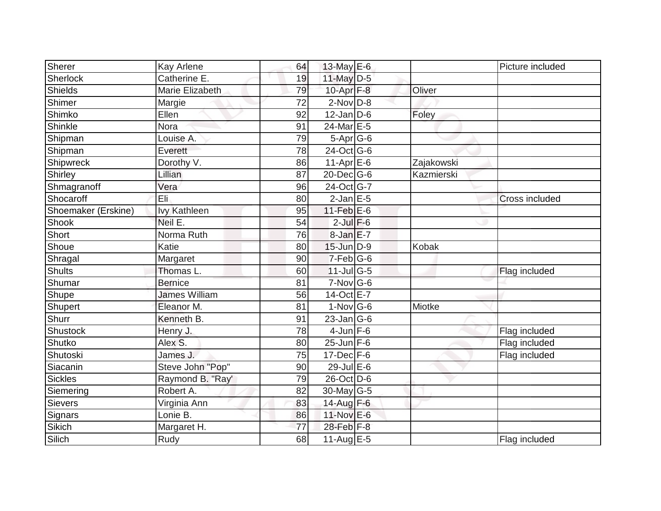| Sherer              |                            |    |                |            | Picture included      |
|---------------------|----------------------------|----|----------------|------------|-----------------------|
|                     | Kay Arlene<br>Catherine E. | 64 | 13-May E-6     |            |                       |
| Sherlock<br>Shields |                            | 19 | 11-May $D-5$   |            |                       |
|                     | Marie Elizabeth            | 79 | 10-Apr $F-8$   | Oliver     |                       |
| Shimer              | Margie                     | 72 | $2$ -Nov $D-8$ |            |                       |
| Shimko              | Ellen                      | 92 | $12$ -Jan D-6  | Foley      |                       |
| Shinkle             | Nora                       | 91 | 24-Mar E-5     |            |                       |
| Shipman             | Louise A.                  | 79 | $5-Apr$ G-6    |            |                       |
| Shipman             | Everett                    | 78 | 24-Oct G-6     |            |                       |
| Shipwreck           | Dorothy V.                 | 86 | $11-Apr \nE-6$ | Zajakowski |                       |
| Shirley             | Lillian                    | 87 | 20-Dec G-6     | Kazmierski |                       |
| Shmagranoff         | Vera                       | 96 | 24-Oct G-7     |            |                       |
| Shocaroff           | Eli                        | 80 | $2$ -Jan E-5   |            | <b>Cross included</b> |
| Shoemaker (Erskine) | <b>Ivy Kathleen</b>        | 95 | 11-Feb $E-6$   |            |                       |
| Shook               | Neil E.                    | 54 | $2$ -Jul $F-6$ |            |                       |
| Short               | Norma Ruth                 | 76 | $8$ -Jan $E-7$ |            |                       |
| Shoue               | Katie                      | 80 | 15-Jun D-9     | Kobak      |                       |
| Shragal             | Margaret                   | 90 | $7-Feb$ G-6    |            |                       |
| <b>Shults</b>       | Thomas L.                  | 60 | $11$ -Jul G-5  |            | Flag included         |
| Shumar              | <b>Bernice</b>             | 81 | $7-Nov$ G-6    |            |                       |
| Shupe               | <b>James William</b>       | 56 | 14-Oct E-7     |            |                       |
| Shupert             | Eleanor M.                 | 81 | $1-Nov$ G-6    | Miotke     |                       |
| Shurr               | Kenneth B.                 | 91 | $23$ -Jan G-6  |            |                       |
| Shustock            | Henry J.                   | 78 | $4$ -Jun $F-6$ |            | Flag included         |
| Shutko              | Alex S.                    | 80 | $25$ -Jun F-6  |            | Flag included         |
| Shutoski            | James J.                   | 75 | $17 - Dec$ F-6 |            | Flag included         |
| Siacanin            | Steve John "Pop"           | 90 | 29-Jul E-6     |            |                       |
| <b>Sickles</b>      | Raymond B. "Ray'           | 79 | 26-Oct D-6     |            |                       |
| Siemering           | Robert A.                  | 82 | 30-May G-5     |            |                       |
| <b>Sievers</b>      | Virginia Ann               | 83 | 14-Aug F-6     |            |                       |
| Signars             | Lonie B.                   | 86 | 11-Nov E-6     |            |                       |
| Sikich              | Margaret H.                | 77 | 28-Feb F-8     |            |                       |
| Silich              | Rudy                       | 68 | 11-Aug $E-5$   |            | Flag included         |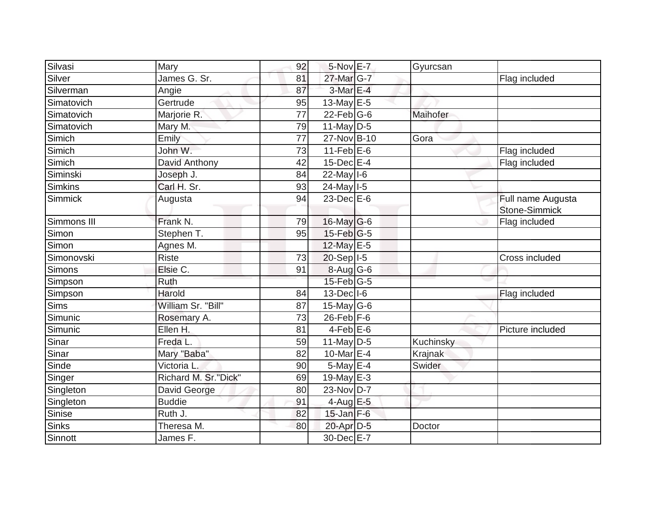| Silvasi     | Mary                 | 92              | 5-Nov E-7         | Gyurcsan  |                                           |
|-------------|----------------------|-----------------|-------------------|-----------|-------------------------------------------|
| Silver      | James G. Sr.         | 81              | 27-Mar G-7        |           | Flag included                             |
| Silverman   | Angie                | 87              | 3-Mar E-4         |           |                                           |
| Simatovich  | Gertrude             | 95              | 13-May $E-5$      |           |                                           |
| Simatovich  | Marjorie R.          | $\overline{77}$ | $22$ -Feb $G-6$   | Maihofer  |                                           |
| Simatovich  | Mary M.              | 79              | $11$ -May D-5     |           |                                           |
| Simich      | Emily                | 77              | 27-Nov B-10       | Gora      |                                           |
| Simich      | John W.              | 73              | $11$ -Feb $E$ -6  |           | Flag included                             |
| Simich      | David Anthony        | 42              | $15$ -Dec $E-4$   |           | Flag included                             |
| Siminski    | Joseph J.            | 84              | $22$ -May $1-6$   |           |                                           |
| Simkins     | Carl H. Sr.          | 93              | $24$ -May $1-5$   |           |                                           |
| Simmick     | Augusta              | 94              | $23$ -Dec $E-6$   |           | Full name Augusta<br><b>Stone-Simmick</b> |
| Simmons III | Frank N.             | 79              | $16$ -May G-6     |           | Flag included                             |
| Simon       | Stephen T.           | 95              | $15$ -Feb $ G-5$  |           |                                           |
| Simon       | Agnes M.             |                 | 12-May E-5        |           |                                           |
| Simonovski  | <b>Riste</b>         | 73              | 20-Sep I-5        |           | Cross included                            |
| Simons      | Elsie C.             | 91              | $8-Aug$ G-6       |           |                                           |
| Simpson     | Ruth                 |                 | $15$ -Feb $ G-5 $ |           |                                           |
| Simpson     | Harold               | 84              | $13$ -Dec $ I-6$  |           | Flag included                             |
| Sims        | William Sr. "Bill"   | 87              | 15-May $G-6$      |           |                                           |
| Simunic     | Rosemary A.          | 73              | $26$ -Feb $F-6$   |           |                                           |
| Simunic     | Ellen H.             | 81              | $4$ -Feb $E$ -6   |           | Picture included                          |
| Sinar       | Freda L.             | 59              | $11$ -May $D-5$   | Kuchinsky |                                           |
| Sinar       | Mary "Baba"          | 82              | 10-Mar E-4        | Krajnak   |                                           |
| Sinde       | Victoria L.          | 90              | 5-May E-4         | Swider    |                                           |
| Singer      | Richard M. Sr."Dick" | 69              | 19-May E-3        |           |                                           |
| Singleton   | David George         | 80              | 23-Nov D-7        |           |                                           |
| Singleton   | <b>Buddie</b>        | 91              | $4$ -Aug E-5      |           |                                           |
| Sinise      | Ruth J.              | 82              | $15$ -Jan $F-6$   |           |                                           |
| Sinks       | Theresa M.           | 80              | 20-Apr D-5        | Doctor    |                                           |
| Sinnott     | James F.             |                 | 30-Dec E-7        |           |                                           |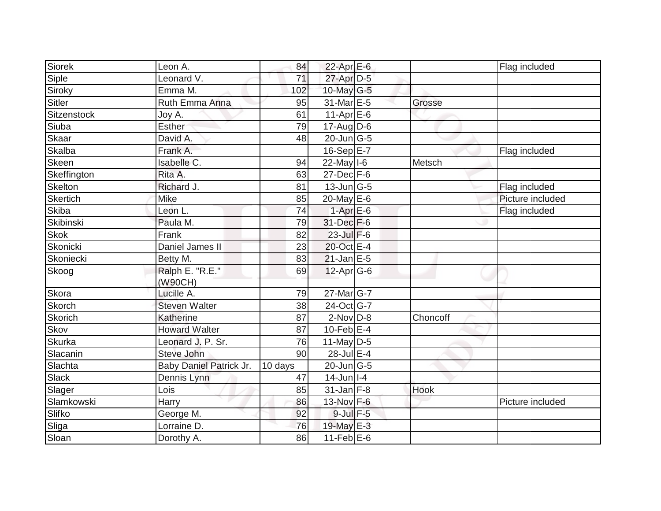| Siorek         | Leon A.                     | 84              | 22-Apr E-6        |          | Flag included    |
|----------------|-----------------------------|-----------------|-------------------|----------|------------------|
| Siple          | Leonard $\overline{\vee}$ . | $\overline{71}$ | 27-Apr D-5        |          |                  |
| Siroky         | Emma M.                     | 102             | 10-May $G-5$      |          |                  |
| Sitler         | Ruth Emma Anna              | 95              | 31-Mar E-5        | Grosse   |                  |
| Sitzenstock    | Joy A.                      | 61              | $11-Apr \nE-6$    |          |                  |
| Siuba          | <b>Esther</b>               | 79              | $17$ -Aug D-6     |          |                  |
| Skaar          | David A.                    | 48              | $20$ -Jun $ G-5$  |          |                  |
| Skalba         | Frank A.                    |                 | $16-Sep$ E-7      |          | Flag included    |
| Skeen          | Isabelle C.                 | 94              | 22-May I-6        | Metsch   |                  |
| Skeffington    | Rita A.                     | 63              | $27$ -Dec $F-6$   |          |                  |
| Skelton        | Richard J.                  | 81              | $13$ -Jun $ G-5$  |          | Flag included    |
| Skertich       | Mike                        | 85              | 20-May E-6        |          | Picture included |
| Skiba          | Leon L.                     | 74              | $1-Apr$ E-6       |          | Flag included    |
| Skibinski      | Paula M.                    | 79              | 31-Dec F-6        |          |                  |
| <b>Skok</b>    | Frank                       | 82              | 23-Jul F-6        |          |                  |
| Skonicki       | Daniel James II             | 23              | 20-Oct E-4        |          |                  |
| Skoniecki      | Betty M.                    | 83              | $21$ -Jan E-5     |          |                  |
| Skoog          | Ralph E. "R.E."             | 69              | $12$ -Apr $ G-6$  |          |                  |
|                | (W90CH)                     |                 |                   |          |                  |
| Skora          | Lucille A.                  | 79              | $27$ -Mar $ G-7 $ |          |                  |
| Skorch         | <b>Steven Walter</b>        | 38              | 24-Oct G-7        |          |                  |
| <b>Skorich</b> | Katherine                   | 87              | $2$ -Nov $D-8$    | Choncoff |                  |
| Skov           | <b>Howard Walter</b>        | 87              | $10$ -Feb $E-4$   |          |                  |
| <b>Skurka</b>  | Leonard J. P. Sr.           | 76              | 11-May $D-5$      |          |                  |
| Slacanin       | Steve John                  | 90              | 28-Jul E-4        |          |                  |
| Slachta        | Baby Daniel Patrick Jr.     | 10 days         | 20-Jun G-5        |          |                  |
| Slack          | Dennis Lynn                 | 47              | $14$ -Jun   I-4   |          |                  |
| Slager         | Lois                        | 85              | $31$ -Jan F-8     | Hook     |                  |
| Slamkowski     | Harry                       | 86              | 13-Nov F-6        |          | Picture included |
| Slifko         | George M.                   | 92              | 9-Jul F-5         |          |                  |
| Sliga          | Lorraine D.                 | 76              | 19-May E-3        |          |                  |
| Sloan          | Dorothy A.                  | 86              | $11$ -Feb $E$ -6  |          |                  |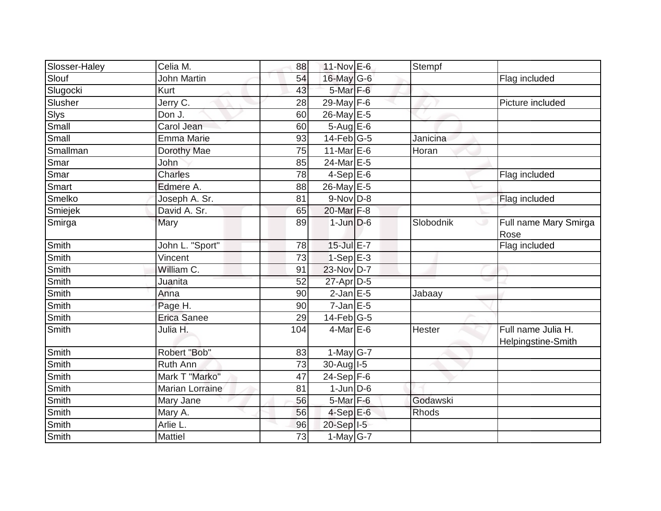| Slosser-Haley  | Celia M.               | 88  | 11-Nov E-6       | Stempf       |                                          |
|----------------|------------------------|-----|------------------|--------------|------------------------------------------|
| Slouf          | <b>John Martin</b>     | 54  | 16-May G-6       |              | Flag included                            |
| Slugocki       | Kurt                   | 43  | $5-Mar$ F-6      |              |                                          |
| Slusher        | Jerry C.               | 28  | 29-May $F-6$     |              | Picture included                         |
|                | Don J.                 | 60  | 26-May E-5       |              |                                          |
| Slys<br>Small  | Carol Jean             | 60  | $5-Aug$ E-6      |              |                                          |
| Small          | <b>Emma Marie</b>      | 93  | $14$ -Feb $ G-5$ | Janicina     |                                          |
| Smallman       | Dorothy Mae            | 75  | 11-Mar E-6       | Horan        |                                          |
| Smar           | <b>John</b>            | 85  | 24-Mar E-5       |              |                                          |
| Smar           | <b>Charles</b>         | 78  | $4-Sep$ E-6      |              | Flag included                            |
| Smart          | Edmere A.              | 88  | 26-May E-5       |              |                                          |
| Smelko         | Joseph A. Sr.          | 81  | $9-Nov$ $D-8$    |              | Flag included                            |
| <b>Smiejek</b> | David A. Sr.           | 65  | 20-Mar F-8       |              |                                          |
| Smirga         | Mary                   | 89  | $1$ -Jun $D-6$   | Slobodnik    | Full name Mary Smirga<br>ی<br>Rose       |
| Smith          | John L. "Sport"        | 78  | $15$ -Jul $E-7$  |              | Flag included                            |
| <b>Smith</b>   | Vincent                | 73  | $1-Sep$ E-3      |              |                                          |
| Smith          | William C.             | 91  | 23-Nov D-7       |              |                                          |
| Smith          | Juanita                | 52  | 27-Apr D-5       |              |                                          |
| Smith          | Anna                   | 90  | $2$ -Jan $E$ -5  | Jabaay       |                                          |
| Smith          | Page H.                | 90  | $7$ -Jan $E - 5$ |              |                                          |
| Smith          | <b>Erica Sanee</b>     | 29  | $14$ -Feb $ G-5$ |              |                                          |
| <b>Smith</b>   | Julia H.               | 104 | $4$ -Mar E-6     | Hester       | Full name Julia H.<br>Helpingstine-Smith |
| Smith          | Robert "Bob"           | 83  | $1$ -May G-7     |              |                                          |
| <b>Smith</b>   | Ruth Ann               | 73  | 30-Aug I-5       |              |                                          |
| <b>Smith</b>   | Mark T "Marko"         | 47  | $24-Sep$ F-6     |              |                                          |
| Smith          | <b>Marian Lorraine</b> | 81  | $1$ -Jun $D$ -6  |              |                                          |
| Smith          | Mary Jane              | 56  | $5$ -Mar $F$ -6  | Godawski     |                                          |
| Smith          | Mary A.                | 56  | $4-SepE-6$       | <b>Rhods</b> |                                          |
| Smith          | Arlie L.               | 96  | 20-Sep I-5       |              |                                          |
| Smith          | <b>Mattiel</b>         | 73  | $1-May$ G-7      |              |                                          |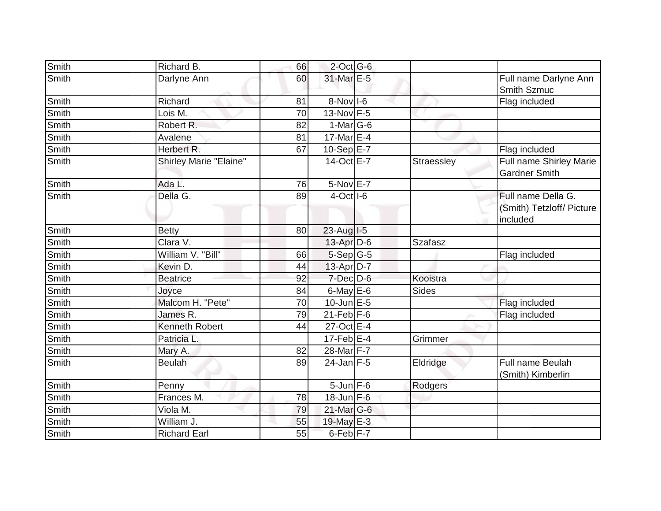| Smith        | Richard B.                    | 66 | $2$ -Oct G-6         |              |                                                             |
|--------------|-------------------------------|----|----------------------|--------------|-------------------------------------------------------------|
| Smith        | Darlyne Ann                   | 60 | 31-Mar E-5           |              | Full name Darlyne Ann<br>Smith Szmuc                        |
| Smith        | Richard                       | 81 | $8-Nov$ I-6          |              | Flag included                                               |
| <b>Smith</b> | Lois M.                       | 70 | $13-Nov$ F-5         |              |                                                             |
| Smith        | Robert R.                     | 82 | $1-Mar$ G-6          |              |                                                             |
| Smith        | Avalene                       | 81 | 17-Mar E-4           |              |                                                             |
| Smith        | Herbert R.                    | 67 | 10-Sep E-7           |              | Flag included                                               |
| Smith        | <b>Shirley Marie "Elaine"</b> |    | 14-Oct E-7           | Straessley   | Full name Shirley Marie<br><b>Gardner Smith</b>             |
| Smith        | Ada L.                        | 76 | $5-Nov$ E-7          |              |                                                             |
| Smith        | Della G.                      | 89 | $4$ -Oct $  $ -6     |              | Full name Della G.<br>(Smith) Tetzloff/ Picture<br>included |
| Smith        | <b>Betty</b>                  | 80 | 23-Aug I-5           |              |                                                             |
| Smith        | Clara V.                      |    | $13$ -Apr $D-6$      | Szafasz      |                                                             |
| Smith        | William V. "Bill"             | 66 | 5-Sep G-5            |              | Flag included                                               |
| Smith        | Kevin D.                      | 44 | $13$ -Apr $D-7$      |              |                                                             |
| Smith        | <b>Beatrice</b>               | 92 | $7$ -Dec $D$ -6      | Kooistra     |                                                             |
| Smith        | Joyce                         | 84 | 6-May E-6            | <b>Sides</b> |                                                             |
| Smith        | Malcom H. "Pete"              | 70 | $10$ -Jun $E-5$      |              | Flag included                                               |
| Smith        | James R.                      | 79 | $21$ -Feb $F-6$      |              | Flag included                                               |
| <b>Smith</b> | <b>Kenneth Robert</b>         | 44 | 27-Oct E-4           |              |                                                             |
| Smith        | Patricia L.                   |    | $17$ -Feb $E-4$      | Grimmer      |                                                             |
| Smith        | Mary A.                       | 82 | 28-Mar F-7           |              |                                                             |
| Smith        | <b>Beulah</b>                 | 89 | $24$ -Jan F-5        | Eldridge     | Full name Beulah<br>(Smith) Kimberlin                       |
| Smith        | Penny                         |    | $5 - Jun$ $F-6$      | Rodgers      |                                                             |
| Smith        | Frances M.                    | 78 | $18$ -Jun $F-6$      |              |                                                             |
| Smith        | Viola M.                      | 79 | 21-Mar G-6           |              |                                                             |
| Smith        | William J.                    | 55 | 19-May E-3           |              |                                                             |
| Smith        | <b>Richard Earl</b>           | 55 | 6-Feb <sup>F-7</sup> |              |                                                             |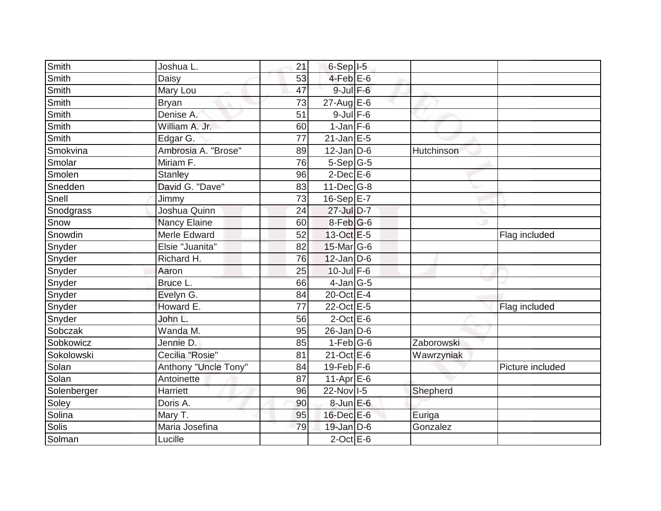| Smith        | Joshua L.            | 21 | $6-Sep$ $I-5$    |            |                  |
|--------------|----------------------|----|------------------|------------|------------------|
| <b>Smith</b> | Daisy                | 53 | $4$ -Feb $E$ -6  |            |                  |
| Smith        | Mary Lou             | 47 | 9-Jul F-6        |            |                  |
| Smith        | <b>Bryan</b>         | 73 | $27$ -Aug E-6    |            |                  |
| <b>Smith</b> | Denise A.            | 51 | $9$ -Jul $F$ -6  |            |                  |
| Smith        | William A. Jr.       | 60 | $1$ -Jan $F-6$   |            |                  |
| Smith        | Edgar G.             | 77 | $21$ -Jan $E-5$  |            |                  |
| Smokvina     | Ambrosia A. "Brose"  | 89 | $12$ -Jan D-6    | Hutchinson |                  |
| Smolar       | Miriam F.            | 76 | $5-Sep G-5$      |            |                  |
| Smolen       | <b>Stanley</b>       | 96 | $2$ -Dec $E$ -6  |            |                  |
| Snedden      | David G. "Dave"      | 83 | $11$ -Dec $G-8$  |            |                  |
| Snell        | Jimmy                | 73 | $16-SepE-7$      |            |                  |
| Snodgrass    | Joshua Quinn         | 24 | 27-Jul D-7       |            |                  |
| Snow         | <b>Nancy Elaine</b>  | 60 | $8$ -Feb $ G$ -6 |            |                  |
| Snowdin      | Merle Edward         | 52 | 13-Oct E-5       |            | Flag included    |
| Snyder       | Elsie "Juanita"      | 82 | 15-Mar G-6       |            |                  |
| Snyder       | Richard H.           | 76 | $12$ -Jan D-6    |            |                  |
| Snyder       | Aaron                | 25 | $10$ -Jul $F-6$  |            |                  |
| Snyder       | Bruce L.             | 66 | $4$ -Jan $G-5$   |            |                  |
| Snyder       | Evelyn G.            | 84 | 20-Oct E-4       |            |                  |
| Snyder       | Howard E.            | 77 | 22-Oct E-5       |            | Flag included    |
| Snyder       | John L.              | 56 | $2$ -Oct $E$ -6  |            |                  |
| Sobczak      | Wanda M.             | 95 | $26$ -Jan D-6    |            |                  |
| Sobkowicz    | Jennie D.            | 85 | $1-Feb G-6$      | Zaborowski |                  |
| Sokolowski   | Cecilia "Rosie"      | 81 | 21-Oct E-6       | Wawrzyniak |                  |
| Solan        | Anthony "Uncle Tony" | 84 | $19$ -Feb $F-6$  |            | Picture included |
| Solan        | Antoinette           | 87 | $11-AprEE-6$     |            |                  |
| Solenberger  | <b>Harriett</b>      | 96 | 22-Nov I-5       | Shepherd   |                  |
| Soley        | Doris A.             | 90 | $8$ -Jun $E$ -6  |            |                  |
| Solina       | Mary T.              | 95 | 16-Dec E-6       | Euriga     |                  |
| Solis        | Maria Josefina       | 79 | 19-Jan D-6       | Gonzalez   |                  |
| Solman       | Lucille              |    | $2$ -Oct $E$ -6  |            |                  |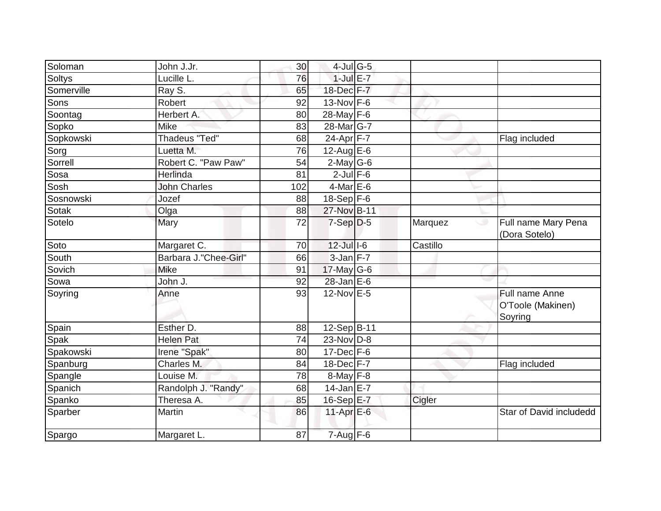| Soloman       | John J.Jr.            | 30  | $4$ -Jul G-5          |          |                                                |
|---------------|-----------------------|-----|-----------------------|----------|------------------------------------------------|
| <b>Soltys</b> | Lucille L.            | 76  | $1$ -Jul $E-7$        |          |                                                |
| Somerville    | Ray S.                | 65  | 18-Dec F-7            |          |                                                |
| Sons          | Robert                | 92  | $13-Nov$ F-6          |          |                                                |
| Soontag       | Herbert A:            | 80  | $28 - May$ F-6        |          |                                                |
| Sopko         | <b>Mike</b>           | 83  | 28-Mar <sub>G-7</sub> |          |                                                |
| Sopkowski     | <b>Thadeus "Ted"</b>  | 68  | 24-Apr F-7            |          | Flag included                                  |
| Sorg          | Luetta M.             | 76  | $12$ -Aug E-6         |          |                                                |
| Sorrell       | Robert C. "Paw Paw"   | 54  | $2$ -May G-6          |          |                                                |
| Sosa          | Herlinda              | 81  | $2$ -Jul $F-6$        |          |                                                |
| Sosh          | <b>John Charles</b>   | 102 | $4$ -Mar E-6          |          |                                                |
| Sosnowski     | Jozef                 | 88  | $18-Sep$ F-6          |          |                                                |
| Sotak         | Olga                  | 88  | 27-Nov B-11           |          |                                                |
| Sotelo        | Mary                  | 72  | $7-Sep D-5$           | Marquez  | Full name Mary Pena<br>ی<br>(Dora Sotelo)      |
| Soto          | Margaret C.           | 70  | $12$ -Jul $1-6$       | Castillo |                                                |
| South         | Barbara J."Chee-Girl" | 66  | $3$ -Jan $F-7$        |          |                                                |
| Sovich        | <b>Mike</b>           | 91  | $17$ -May G-6         |          |                                                |
| Sowa          | John J.               | 92  | 28-Jan E-6            |          |                                                |
| Soyring       | Anne                  | 93  | $12$ -Nov $E - 5$     |          | Full name Anne<br>O'Toole (Makinen)<br>Soyring |
| Spain         | Esther D.             | 88  | 12-Sep B-11           |          |                                                |
| Spak          | <b>Helen Pat</b>      | 74  | 23-Nov D-8            |          |                                                |
| Spakowski     | Irene "Spak"          | 80  | $17 - Dec$ F-6        |          |                                                |
| Spanburg      | Charles M.            | 84  | 18-Dec F-7            |          | Flag included                                  |
| Spangle       | Louise M.             | 78  | $8$ -May $F-8$        |          |                                                |
| Spanich       | Randolph J. "Randy"   | 68  | $14$ -Jan E-7         |          |                                                |
| Spanko        | Theresa A.            | 85  | 16-Sep E-7            | Cigler   |                                                |
| Sparber       | Martin                | 86  | $11-Apr \n  E-6$      |          | Star of David includedd                        |
| Spargo        | Margaret L.           | 87  | $7 - Aug$ $F-6$       |          |                                                |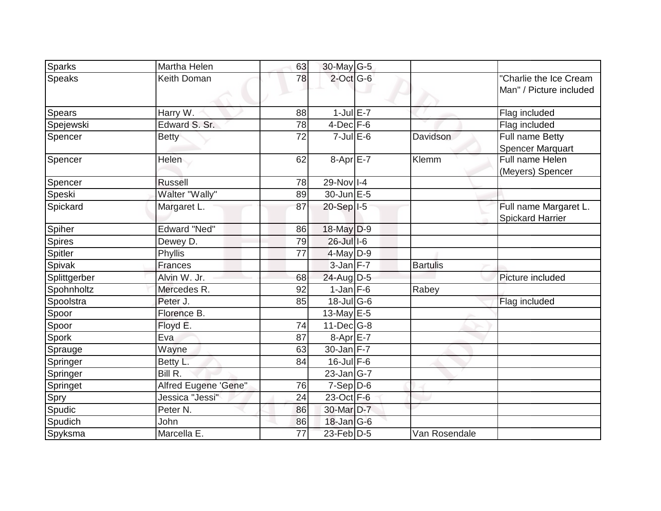| Sparks        | Martha Helen         | 63 | 30-May G-5        |                 |                                                   |
|---------------|----------------------|----|-------------------|-----------------|---------------------------------------------------|
| <b>Speaks</b> | Keith Doman          | 78 | $2$ -Oct G-6      |                 | "Charlie the Ice Cream<br>Man" / Picture included |
| <b>Spears</b> | Harry W.             | 88 | $1$ -Jul $E-7$    |                 | Flag included                                     |
| Spejewski     | Edward S. Sr.        | 78 | $4$ -Dec $F-6$    |                 | Flag included                                     |
| Spencer       | <b>Betty</b>         | 72 | $7$ -Jul $E$ -6   | <b>Davidson</b> | Full name Betty<br>Spencer Marquart               |
| Spencer       | Helen                | 62 | $8-Apr$ E-7       | Klemm           | Full name Helen<br>(Meyers) Spencer               |
| Spencer       | <b>Russell</b>       | 78 | 29-Nov I-4        |                 |                                                   |
| Speski        | Walter "Wally"       | 89 | 30-Jun E-5        |                 |                                                   |
| Spickard      | Margaret L.          | 87 | 20-Sep   I-5      |                 | Full name Margaret L.<br><b>Spickard Harrier</b>  |
| Spiher        | <b>Edward "Ned"</b>  | 86 | $18$ -May $D-9$   |                 |                                                   |
| Spires        | Dewey D.             | 79 | 26-Jul 1-6        |                 |                                                   |
| Spitler       | Phyllis              | 77 | $4$ -May $D-9$    |                 |                                                   |
| Spivak        | Frances              |    | $3$ -Jan $F-7$    | <b>Bartulis</b> |                                                   |
| Splittgerber  | Alvin W. Jr.         | 68 | 24-Aug D-5        |                 | Picture included                                  |
| Spohnholtz    | Mercedes R.          | 92 | $1$ -Jan $F-6$    | Rabey           |                                                   |
| Spoolstra     | Peter J.             | 85 | $18$ -Jul G-6     |                 | Flag included                                     |
| Spoor         | Florence B.          |    | 13-May $E-5$      |                 |                                                   |
| Spoor         | Floyd E.             | 74 | $11$ -Dec $ G-8$  |                 |                                                   |
| Spork         | Eva                  | 87 | $8-Apr$ $E-7$     |                 |                                                   |
| Sprauge       | Wayne                | 63 | 30-Jan F-7        |                 |                                                   |
| Springer      | Betty L.             | 84 | $16$ -Jul $F-6$   |                 |                                                   |
| Springer      | BillR.               |    | $23$ -Jan $ G-7 $ |                 |                                                   |
| Springet      | Alfred Eugene 'Gene" | 76 | $7-Sep D-6$       |                 |                                                   |
| Spry          | Jessica "Jessi"      | 24 | 23-Oct F-6        |                 |                                                   |
| Spudic        | Peter <sub>N.</sub>  | 86 | 30-Mar D-7        |                 |                                                   |
| Spudich       | John                 | 86 | $18$ -Jan $ G-6 $ |                 |                                                   |
| Spyksma       | Marcella E.          | 77 | 23-Feb D-5        | Van Rosendale   |                                                   |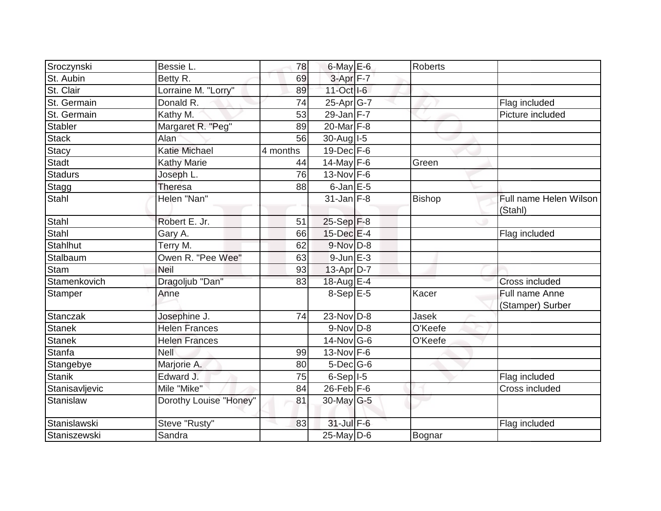| Sroczynski      | Bessie L.              | 78       | $6$ -May $E$ -6      | Roberts       |                                    |
|-----------------|------------------------|----------|----------------------|---------------|------------------------------------|
| St. Aubin       | Betty R.               | 69       | 3-Apr <sub>F-7</sub> |               |                                    |
| St. Clair       | Lorraine M. "Lorry"    | 89       | 11-Oct I-6           |               |                                    |
| St. Germain     | Donald R.              | 74       | 25-Apr G-7           |               | Flag included                      |
| St. Germain     | Kathy M.               | 53       | $29$ -Jan F-7        |               | Picture included                   |
| Stabler         | Margaret R. "Peg"      | 89       | 20-Mar F-8           |               |                                    |
| <b>Stack</b>    | Alan                   | 56       | $30$ -Aug I-5        |               |                                    |
| <b>Stacy</b>    | <b>Katie Michael</b>   | 4 months | $19$ -Dec $F-6$      |               |                                    |
| <b>Stadt</b>    | <b>Kathy Marie</b>     | 44       | $14$ -May $F-6$      | Green         |                                    |
| <b>Stadurs</b>  | Joseph L.              | 76       | $13-Nov$ F-6         |               |                                    |
| Stagg           | <b>Theresa</b>         | 88       | $6$ -Jan $E$ -5      |               |                                    |
| Stahl           | Helen "Nan"            |          | $31 - Jan$ $F-8$     | <b>Bishop</b> | Full name Helen Wilson<br>(Stahl)  |
| Stahl           | Robert E. Jr.          | 51       | $25-Sep$ F-8         |               |                                    |
| <b>Stahl</b>    | Gary A.                | 66       | 15-Dec E-4           |               | Flag included                      |
| <b>Stahlhut</b> | Terry M.               | 62       | $9-Nov$ $D-8$        |               |                                    |
| Stalbaum        | Owen R. "Pee Wee"      | 63       | $9$ -Jun $E - 3$     |               |                                    |
| <b>Stam</b>     | Neil                   | 93       | $13-Apr D-7$         |               |                                    |
| Stamenkovich    | Dragoljub "Dan"        | 83       | 18-Aug $E-4$         |               | Cross included                     |
| Stamper         | Anne                   |          | $8-Sep$ $E-5$        | Kacer         | Full name Anne<br>(Stamper) Surber |
| <b>Stanczak</b> | Josephine J.           | 74       | 23-Nov D-8           | Jasek         |                                    |
| <b>Stanek</b>   | <b>Helen Frances</b>   |          | $9-Nov$ D-8          | O'Keefe       |                                    |
| <b>Stanek</b>   | <b>Helen Frances</b>   |          | $14$ -Nov $G$ -6     | O'Keefe       |                                    |
| <b>Stanfa</b>   | <b>Nell</b>            | 99       | $13-Nov$ F-6         |               |                                    |
| Stangebye       | Marjorie A.            | 80       | $5$ -Dec $G$ -6      |               |                                    |
| <b>Stanik</b>   | Edward J.              | 75       | $6-Sep$  -5          |               | Flag included                      |
| Stanisavljevic  | Mile "Mike"            | 84       | $26$ -Feb $F-6$      |               | Cross included                     |
| Stanislaw       | Dorothy Louise "Honey" | 81       | 30-May $G-5$         |               |                                    |
| Stanislawski    | Steve "Rusty"          | 83       | 31-Jul F-6           |               | Flag included                      |
| Staniszewski    | Sandra                 |          | $25$ -May D-6        | Bognar        |                                    |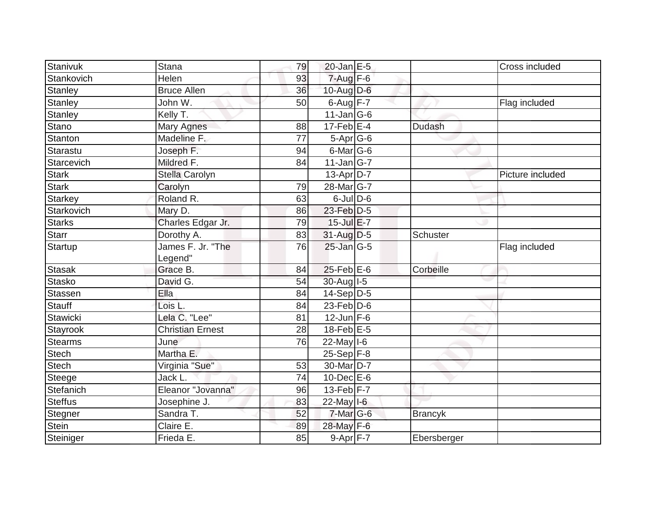| Stanivuk       | Stana                   | 79 | $20$ -Jan $E-5$       |                | Cross included   |
|----------------|-------------------------|----|-----------------------|----------------|------------------|
| Stankovich     | Helen                   | 93 | $7$ -Aug $F-6$        |                |                  |
| Stanley        | <b>Bruce Allen</b>      | 36 | $10$ -Aug D-6         |                |                  |
| Stanley        | John W.                 | 50 | $6$ -Aug $F-7$        |                | Flag included    |
| Stanley        | Kelly T.                |    | $11$ -Jan $ G-6 $     |                |                  |
| Stano          | <b>Mary Agnes</b>       | 88 | $17$ -Feb $E-4$       | Dudash         |                  |
| Stanton        | Madeline F.             | 77 | $5-Apr$ G-6           |                |                  |
| Starastu       | Joseph F.               | 94 | 6-Mar G-6             |                |                  |
| Starcevich     | Mildred F.              | 84 | $11$ -Jan $ G-7 $     |                |                  |
| <b>Stark</b>   | Stella Carolyn          |    | $13$ -Apr $ D-7$      |                | Picture included |
| <b>Stark</b>   | Carolyn                 | 79 | 28-Mar <sub>G-7</sub> |                |                  |
| Starkey        | Roland R.               | 63 | $6$ -Jul $D$ -6       |                |                  |
| Starkovich     | Mary D.                 | 86 | 23-Feb D-5            |                |                  |
| <b>Starks</b>  | Charles Edgar Jr.       | 79 | $15$ -Jul $E$ -7      |                |                  |
| Starr          | Dorothy A.              | 83 | $31$ -Aug D-5         | Schuster       |                  |
| Startup        | James F. Jr. "The       | 76 | 25-Jan G-5            |                | Flag included    |
|                | Legend"                 |    |                       |                |                  |
| Stasak         | Grace B.                | 84 | $25$ -Feb $E$ -6      | Corbeille      |                  |
| Stasko         | David G.                | 54 | 30-Aug I-5            |                |                  |
| Stassen        | Ella                    | 84 | $14-Sep$ D-5          |                |                  |
| Stauff         | Lois L.                 | 84 | $23$ -Feb $ D-6$      |                |                  |
| Stawicki       | Lela C. "Lee"           | 81 | $12$ -Jun F-6         |                |                  |
| Stayrook       | <b>Christian Ernest</b> | 28 | $18$ -Feb $E$ -5      |                |                  |
| <b>Stearms</b> | June                    | 76 | $22$ -May $1-6$       |                |                  |
| <b>Stech</b>   | Martha E.               |    | $25-Sep$ F-8          |                |                  |
| Stech          | Virginia "Sue"          | 53 | 30-Mar D-7            |                |                  |
| Steege         | Jack L.                 | 74 | $10$ -Dec $E$ -6      |                |                  |
| Stefanich      | Eleanor "Jovanna"       | 96 | $13$ -Feb $ F-7 $     |                |                  |
| <b>Steffus</b> | Josephine J.            | 83 | $22$ -May $I$ -6      |                |                  |
| Stegner        | Sandra T.               | 52 | $7$ -Mar $ G-6$       | <b>Brancyk</b> |                  |
| Stein          | Claire E.               | 89 | 28-May F-6            |                |                  |
| Steiniger      | Frieda E.               | 85 | $9-Apr$ F-7           | Ebersberger    |                  |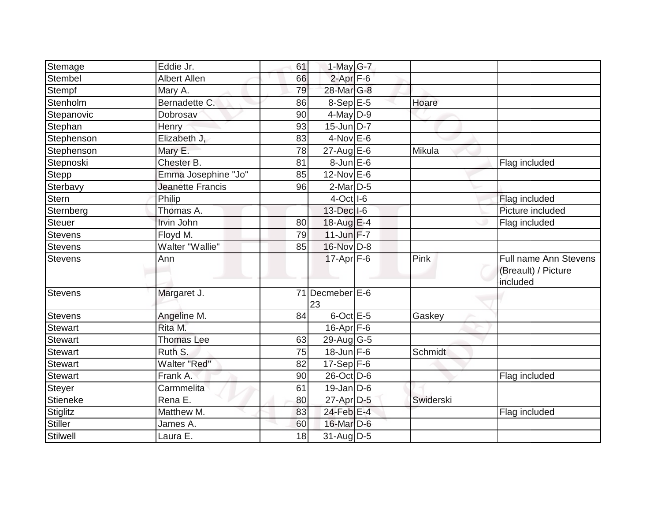| Stemage         | Eddie Jr.               | 61 | $1$ -May G-7                  |           |                                                          |
|-----------------|-------------------------|----|-------------------------------|-----------|----------------------------------------------------------|
| <b>Stembel</b>  | <b>Albert Allen</b>     | 66 | $2-Apr$ F-6                   |           |                                                          |
| Stempf          | Mary A.                 | 79 | 28-Mar G-8                    |           |                                                          |
| Stenholm        | Bernadette C.           | 86 | $8-Sep$ E-5                   | Hoare     |                                                          |
| Stepanovic      | Dobrosav                | 90 | $4$ -May $D-9$                |           |                                                          |
| Stephan         | Henry                   | 93 | 15-Jun D-7                    |           |                                                          |
| Stephenson      | Elizabeth J,            | 83 | $4$ -Nov $E$ -6               |           |                                                          |
| Stephenson      | Mary E.                 | 78 | $27$ -Aug $E$ -6              | Mikula    |                                                          |
| Stepnoski       | Chester B.              | 81 | 8-Jun E-6                     |           | Flag included                                            |
| <b>Stepp</b>    | Emma Josephine "Jo"     | 85 | 12-Nov E-6                    |           |                                                          |
| Sterbavy        | <b>Jeanette Francis</b> | 96 | $2$ -Mar $D-5$                |           |                                                          |
| <b>Stern</b>    | Philip                  |    | $4$ -Oct $ I$ -6              |           | Flag included                                            |
| Sternberg       | Thomas A.               |    | 13-Dec I-6                    |           | Picture included                                         |
| <b>Steuer</b>   | Irvin John              | 80 | 18-Aug E-4                    |           | Flag included                                            |
| <b>Stevens</b>  | Floyd M.                | 79 | $11$ -Jun $F-7$               |           |                                                          |
| <b>Stevens</b>  | Walter "Wallie"         | 85 | 16-Nov D-8                    |           |                                                          |
| Stevens         | Ann                     |    | $17$ -Apr $ F-6$              | Pink      | Full name Ann Stevens<br>(Breault) / Picture<br>included |
| Stevens         | Margaret J.             | 71 | Decmeber <sup>E-6</sup><br>23 |           |                                                          |
| <b>Stevens</b>  | Angeline M.             | 84 | $6$ -Oct $E - 5$              | Gaskey    |                                                          |
| <b>Stewart</b>  | Rita M.                 |    | $16$ -Apr $F$ -6              |           |                                                          |
| <b>Stewart</b>  | <b>Thomas Lee</b>       | 63 | $29$ -Aug G-5                 |           |                                                          |
| <b>Stewart</b>  | Ruth S.                 | 75 | $18$ -Jun $F-6$               | Schmidt   |                                                          |
| <b>Stewart</b>  | <b>Walter "Red"</b>     | 82 | 17-Sep $F-6$                  |           |                                                          |
| <b>Stewart</b>  | Frank A.                | 90 | 26-Oct D-6                    |           | Flag included                                            |
| Steyer          | Carmmelita              | 61 | $19$ -Jan D-6                 |           |                                                          |
| <b>Stieneke</b> | Rena E.                 | 80 | $27$ -Apr $D-5$               | Swiderski |                                                          |
| <b>Stiglitz</b> | Matthew M.              | 83 | 24-Feb E-4                    |           | Flag included                                            |
| <b>Stiller</b>  | James A.                | 60 | 16-Mar $D-6$                  |           |                                                          |
| Stilwell        | Laura E.                | 18 | 31-Aug D-5                    |           |                                                          |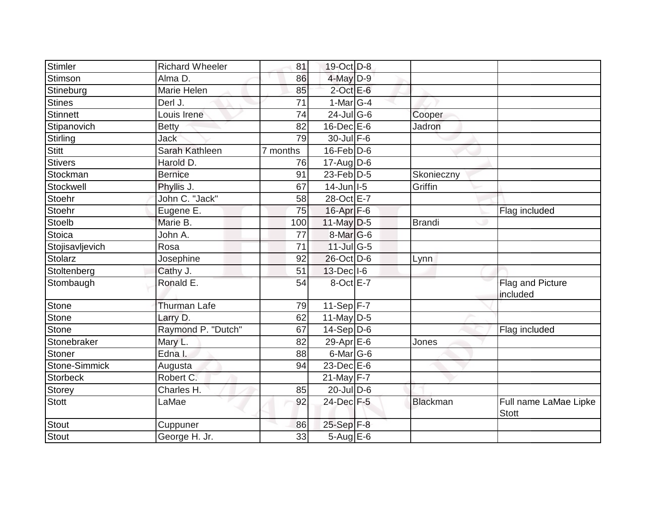| Stimler         | <b>Richard Wheeler</b> | 81              | 19-Oct D-8         |                 |                                       |
|-----------------|------------------------|-----------------|--------------------|-----------------|---------------------------------------|
| Stimson         | Alma D.                | 86              | $4$ -May $D-9$     |                 |                                       |
| Stineburg       | Marie Helen            | 85              | $2$ -Oct $E$ -6    |                 |                                       |
| <b>Stines</b>   | Derl J.                | 71              | $1-Mar$ G-4        |                 |                                       |
| Stinnett        | Louis Irene            | $\overline{74}$ | $24$ -Jul G-6      | Cooper          |                                       |
| Stipanovich     | <b>Betty</b>           | 82              | $16$ -Dec $E$ -6   | Jadron          |                                       |
| Stirling        | <b>Jack</b>            | 79              | $30 -$ Jul $F - 6$ |                 |                                       |
| <b>Stitt</b>    | Sarah Kathleen         | 7 months        | $16$ -Feb $ D-6$   |                 |                                       |
| <b>Stivers</b>  | Harold D.              | 76              | $17$ -Aug $D-6$    |                 |                                       |
| Stockman        | <b>Bernice</b>         | 91              | 23-Feb $D-5$       | Skonieczny      |                                       |
| Stockwell       | Phyllis J.             | 67              | $14$ -Jun $ I-5 $  | Griffin         |                                       |
| Stoehr          | John C. "Jack"         | 58              | 28-Oct E-7         |                 |                                       |
| Stoehr          | Eugene E.              | 75              | 16-Apr F-6         |                 | Flag included                         |
| Stoelb          | Marie B.               | 100             | $11$ -May D-5      | <b>Brandi</b>   |                                       |
| Stoica          | John A.                | 77              | $8$ -Mar $ G-6 $   |                 |                                       |
| Stojisavljevich | Rosa                   | 71              | $11$ -Jul G-5      |                 |                                       |
| Stolarz         | Josephine              | 92              | 26-Oct D-6         | Lynn            |                                       |
| Stoltenberg     | Cathy J.               | 51              | $13$ -Dec $ I-6 $  |                 |                                       |
| Stombaugh       | Ronald E.              | 54              | 8-Oct E-7          |                 | Flag and Picture<br>included          |
| Stone           | <b>Thurman Lafe</b>    | 79              | 11-Sep $F-7$       |                 |                                       |
| Stone           | Larry D.               | 62              | 11-May $D-5$       |                 |                                       |
| Stone           | Raymond P. "Dutch"     | 67              | $14-Sep D-6$       |                 | Flag included                         |
| Stonebraker     | Mary L.                | 82              | 29-Apr $E-6$       | Jones           |                                       |
| Stoner          | Edna I.                | 88              | $6$ -Mar $ G-6$    |                 |                                       |
| Stone-Simmick   | Augusta                | 94              | 23-Dec E-6         |                 |                                       |
| <b>Storbeck</b> | Robert C.              |                 | 21-May $F-7$       |                 |                                       |
| <b>Storey</b>   | Charles H.             | 85              | $20$ -Jul $D$ -6   |                 |                                       |
| Stott           | LaMae                  | 92              | 24-Dec F-5         | <b>Blackman</b> | Full name LaMae Lipke<br><b>Stott</b> |
| Stout           | Cuppuner               | 86              | 25-Sep F-8         |                 |                                       |
| Stout           | George H. Jr.          | 33              | $5-Aug$ $E-6$      |                 |                                       |
|                 |                        |                 |                    |                 |                                       |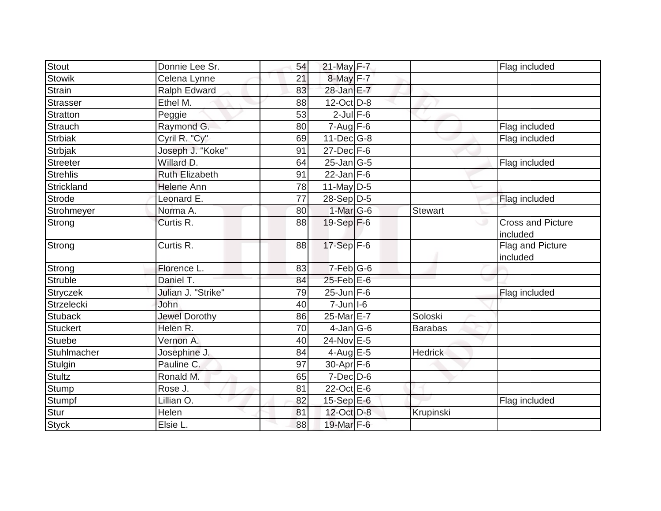| <b>Stout</b>      | Donnie Lee Sr.        | 54 | 21-May F-7               |                | Flag included                        |
|-------------------|-----------------------|----|--------------------------|----------------|--------------------------------------|
| <b>Stowik</b>     | Celena Lynne          | 21 | 8-May F-7                |                |                                      |
| <b>Strain</b>     | Ralph Edward          | 83 | 28-Jan E-7               |                |                                      |
| <b>Strasser</b>   | Ethel M.              | 88 | $12$ -Oct $D-8$          |                |                                      |
| <b>Stratton</b>   | Peggie                | 53 | $2$ -Jul $F-6$           |                |                                      |
| <b>Strauch</b>    | Raymond G.            | 80 | $7-Aug$ $F-6$            |                | Flag included                        |
| <b>Strbiak</b>    | Cyril R. "Cy"         | 69 | 11-Dec G-8               |                | Flag included                        |
| <b>Strbjak</b>    | Joseph J. "Koke"      | 91 | $27 - Dec$ $\boxed{F-6}$ |                |                                      |
| <b>Streeter</b>   | Willard D.            | 64 | $25$ -Jan $ G-5 $        |                | Flag included                        |
| <b>Strehlis</b>   | <b>Ruth Elizabeth</b> | 91 | $22$ -Jan F-6            |                |                                      |
| Strickland        | <b>Helene Ann</b>     | 78 | $11$ -May D-5            |                |                                      |
| <b>Strode</b>     | Leonard E.            | 77 | 28-Sep D-5               |                | Flag included                        |
| Strohmeyer        | Norma A.              | 80 | $1-Mar$ G-6              | <b>Stewart</b> |                                      |
| Strong            | Curtis R.             | 88 | 19-Sep F-6               |                | <b>Cross and Picture</b><br>included |
| Strong            | Curtis R.             | 88 | $17-Sep$ F-6             |                | Flag and Picture<br>included         |
| Strong            | Florence L.           | 83 | $7-Feb$ G-6              |                |                                      |
| <b>Struble</b>    | Daniel T.             | 84 | $25$ -Feb $E$ -6         |                |                                      |
| <b>Stryczek</b>   | Julian J. "Strike"    | 79 | $25$ -Jun F-6            |                | Flag included                        |
| <b>Strzelecki</b> | John                  | 40 | $7$ -Jun $ I$ -6         |                |                                      |
| <b>Stuback</b>    | <b>Jewel Dorothy</b>  | 86 | 25-Mar E-7               | Soloski        |                                      |
| <b>Stuckert</b>   | Helen R.              | 70 | $4-Jan G-6$              | <b>Barabas</b> |                                      |
| <b>Stuebe</b>     | Vernon A.             | 40 | 24-Nov E-5               |                |                                      |
| Stuhlmacher       | Josephine J.          | 84 | $4$ -Aug $E$ -5          | <b>Hedrick</b> |                                      |
| Stulgin           | Pauline C.            | 97 | 30-Apr F-6               |                |                                      |
| <b>Stultz</b>     | Ronald M.             | 65 | $7$ -Dec $D$ -6          |                |                                      |
| Stump             | Rose J.               | 81 | $22$ -Oct $E-6$          |                |                                      |
| Stumpf            | Lillian O.            | 82 | 15-Sep E-6               |                | Flag included                        |
| <b>Stur</b>       | Helen                 | 81 | 12-Oct D-8               | Krupinski      |                                      |
| Styck             | Elsie L.              | 88 | 19-Mar F-6               |                |                                      |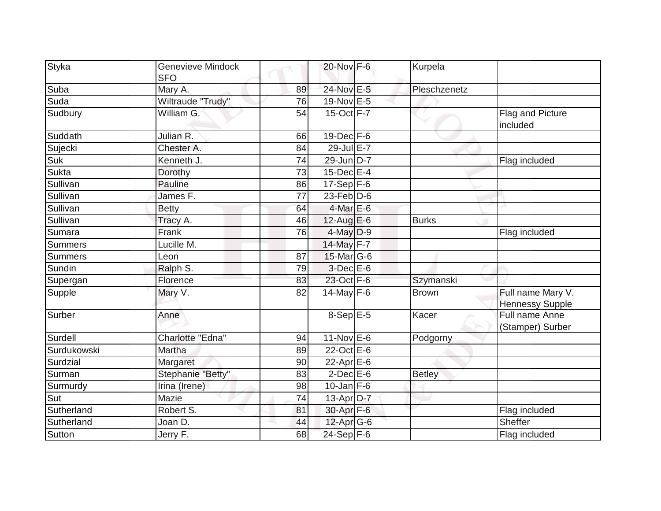| <b>Styka</b>   | Genevieve Mindock<br><b>SFO</b> |    | 20-Nov F-6                  | Kurpela       |                                             |
|----------------|---------------------------------|----|-----------------------------|---------------|---------------------------------------------|
| Suba           | Mary A.                         | 89 | 24-Nov E-5                  | Pleschzenetz  |                                             |
| Suda           | Wiltraude "Trudy"               | 76 | 19-Nov E-5                  |               |                                             |
| Sudbury        | William G.                      | 54 | 15-Oct F-7                  |               | Flag and Picture<br>included                |
| Suddath        | Julian <sub>R.</sub>            | 66 | $19$ -Dec $F-6$             |               |                                             |
| Sujecki        | Chester A.                      | 84 | 29-Jul E-7                  |               |                                             |
| Suk            | Kenneth J.                      | 74 | 29-Jun D-7                  |               | Flag included                               |
| <b>Sukta</b>   | Dorothy                         | 73 | $15$ -Dec $E-4$             |               |                                             |
| Sullivan       | Pauline                         | 86 | $17-Sep$ F-6                |               |                                             |
| Sullivan       | James F.                        | 77 | $23$ -Feb $\overline{D}$ -6 |               |                                             |
| Sullivan       | <b>Betty</b>                    | 64 | $4$ -Mar $E$ -6             |               |                                             |
| Sullivan       | Tracy A.                        | 46 | 12-Aug $E-6$                | <b>Burks</b>  |                                             |
| Sumara         | Frank                           | 76 | $4$ -May $D-9$              |               | Flag included                               |
| <b>Summers</b> | Lucille M.                      |    | 14-May F-7                  |               |                                             |
| <b>Summers</b> | Leon                            | 87 | $15$ -Mar $ G-6$            |               |                                             |
| Sundin         | Ralph S.                        | 79 | $3-Dec$ $E-6$               |               |                                             |
| Supergan       | Florence                        | 83 | 23-Oct F-6                  | Szymanski     |                                             |
| Supple         | Mary V.                         | 82 | 14-May $F-6$                | <b>Brown</b>  | Full name Mary V.<br><b>Hennessy Supple</b> |
| Surber         | Anne                            |    | $8-Sep \overline{E-5}$      | Kacer         | Full name Anne<br>(Stamper) Surber          |
| Surdell        | Charlotte "Edna"                | 94 | $11-Nov$ E-6                | Podgorny      |                                             |
| Surdukowski    | Martha                          | 89 | 22-Oct E-6                  |               |                                             |
| Surdzial       | Margaret                        | 90 | $22$ -Apr $E$ -6            |               |                                             |
| Surman         | Stephanie "Betty"               | 83 | $2$ -Dec $E$ -6             | <b>Betley</b> |                                             |
| Surmurdy       | Irina (Irene)                   | 98 | $10$ -Jan $F-6$             |               |                                             |
| Sut            | Mazie                           | 74 | $13-Apr D-7$                |               |                                             |
| Sutherland     | Robert S.                       | 81 | 30-Apr F-6                  |               | Flag included                               |
| Sutherland     | Joan D.                         | 44 | 12-Apr G-6                  |               | Sheffer                                     |
| Sutton         | Jerry F.                        | 68 | $24-Sep$ F-6                |               | Flag included                               |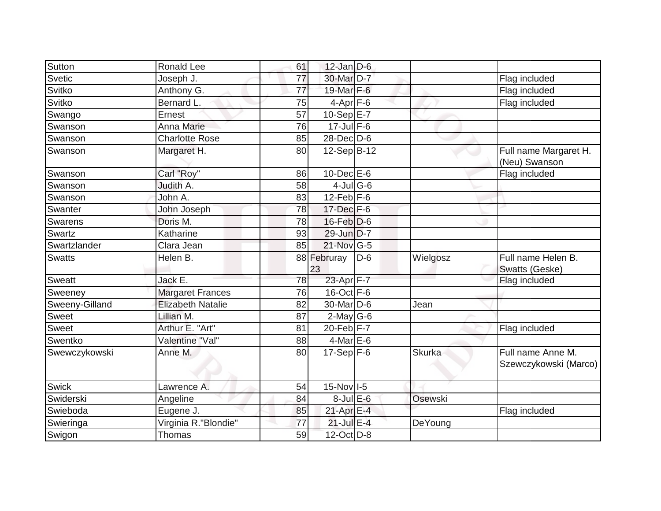| Sutton         | <b>Ronald Lee</b>        | 61 | $12$ -Jan D-6     |       |               |                                            |
|----------------|--------------------------|----|-------------------|-------|---------------|--------------------------------------------|
| Svetic         | Joseph J.                | 77 | 30-Mar D-7        |       |               | Flag included                              |
| Svitko         | Anthony G.               | 77 | 19-Mar F-6        |       |               | Flag included                              |
| Svitko         | Bernard L.               | 75 | $4$ -Apr $F$ -6   |       |               | Flag included                              |
| Swango         | Ernest                   | 57 | $10-SepE-7$       |       |               |                                            |
| Swanson        | Anna Marie               | 76 | $17$ -Jul F-6     |       |               |                                            |
| Swanson        | <b>Charlotte Rose</b>    | 85 | $28$ -Dec $D$ -6  |       |               |                                            |
| Swanson        | Margaret H.              | 80 | 12-Sep B-12       |       |               | Full name Margaret H.<br>(Neu) Swanson     |
| Swanson        | Carl "Roy"               | 86 | $10$ -Dec $E$ -6  |       |               | Flag included                              |
| Swanson        | Judith A.                | 58 | $4$ -JulG-6       |       |               |                                            |
| Swanson        | John A.                  | 83 | $12$ -Feb F-6     |       |               |                                            |
| Swanter        | John Joseph              | 78 | $17 - Dec$ F-6    |       |               |                                            |
| Swarens        | Doris M.                 | 78 | $16$ -Feb $D-6$   |       |               |                                            |
| Swartz         | Katharine                | 93 | 29-Jun D-7        |       |               |                                            |
| Swartzlander   | Clara Jean               | 85 | 21-Nov G-5        |       |               |                                            |
| <b>Swatts</b>  | Helen B.                 |    | 88 Februray<br>23 | $D-6$ | Wielgosz      | Full name Helen B.<br>Swatts (Geske)       |
| <b>Sweatt</b>  | Jack E.                  | 78 | 23-Apr F-7        |       |               | Flag included                              |
| Sweeney        | <b>Margaret Frances</b>  | 76 | $16$ -Oct $F - 6$ |       |               |                                            |
| Sweeny-Gilland | <b>Elizabeth Natalie</b> | 82 | $30$ -Mar $ D-6$  |       | Jean          |                                            |
| Sweet          | Lillian M.               | 87 | $2$ -May G-6      |       |               |                                            |
| Sweet          | Arthur E. "Art"          | 81 | $20$ -Feb $F-7$   |       |               | Flag included                              |
| Swentko        | Valentine "Val"          | 88 | $4$ -Mar $E$ -6   |       |               |                                            |
| Swewczykowski  | Anne M.                  | 80 | $17-Sep$ F-6      |       | <b>Skurka</b> | Full name Anne M.<br>Szewczykowski (Marco) |
| <b>Swick</b>   | Lawrence A.              | 54 | $15$ -Nov $1-5$   |       |               |                                            |
| Swiderski      | Angeline                 | 84 | $8$ -Jul $E$ -6   |       | Osewski       |                                            |
| Swieboda       | Eugene J.                | 85 | 21-Apr E-4        |       |               | Flag included                              |
| Swieringa      | Virginia R. "Blondie"    | 77 | $21$ -Jul E-4     |       | DeYoung       |                                            |
| Swigon         | Thomas                   | 59 | 12-Oct D-8        |       |               |                                            |
|                |                          |    |                   |       |               |                                            |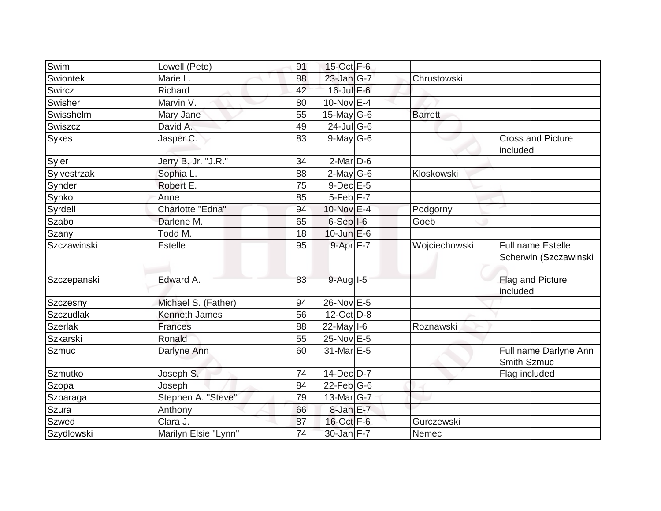| Swim             | Lowell (Pete)        | 91 | 15-Oct F-6                          |                |                                                   |
|------------------|----------------------|----|-------------------------------------|----------------|---------------------------------------------------|
| Swiontek         | Marie L.             | 88 | 23-Jan G-7                          | Chrustowski    |                                                   |
| Swircz           | Richard              | 42 | $16$ -Jul $F-6$                     |                |                                                   |
| Swisher          | Marvin V.            | 80 | $10$ -Nov $E-4$                     |                |                                                   |
| Swisshelm        | Mary Jane            | 55 | $15$ -May G-6                       | <b>Barrett</b> |                                                   |
| Swiszcz          | David A.             | 49 | $24$ -JulG-6                        |                |                                                   |
| Sykes            | Jasper C.            | 83 | $9$ -May G-6                        |                | <b>Cross and Picture</b><br>included              |
| Syler            | Jerry B. Jr. "J.R."  | 34 | $2$ -Mar $D-6$                      |                |                                                   |
| Sylvestrzak      | Sophia L.            | 88 | $2$ -May G-6                        | Kloskowski     |                                                   |
| Synder           | Robert E.            | 75 | $9$ -Dec $E$ -5                     |                |                                                   |
| Synko            | Anne                 | 85 | $5-Feb$ $F-7$                       |                |                                                   |
| Syrdell          | Charlotte "Edna"     | 94 | 10-Nov E-4                          | Podgorny       |                                                   |
| Szabo            | Darlene M.           | 65 | $6-Sep$ $I-6$                       | Goeb           |                                                   |
| Szanyi           | Todd M.              | 18 | $10$ -Jun $E$ -6                    |                |                                                   |
| Szczawinski      | <b>Estelle</b>       | 95 | $9 - Apr$ $F - 7$                   | Wojciechowski  | <b>Full name Estelle</b><br>Scherwin (Szczawinski |
| Szczepanski      | Edward A.            | 83 | $9-Auq$ <sup><math>1-5</math></sup> |                | Flag and Picture<br>included                      |
| Szczesny         | Michael S. (Father)  | 94 | 26-Nov E-5                          |                |                                                   |
| <b>Szczudlak</b> | <b>Kenneth James</b> | 56 | 12-Oct D-8                          |                |                                                   |
| <b>Szerlak</b>   | <b>Frances</b>       | 88 | $22$ -May $I$ -6                    | Roznawski      |                                                   |
| <b>Szkarski</b>  | Ronald               | 55 | 25-Nov E-5                          |                |                                                   |
| Szmuc            | Darlyne Ann          | 60 | 31-Mar E-5                          |                | Full name Darlyne Ann<br>Smith Szmuc              |
| Szmutko          | Joseph S.            | 74 | $14$ -Dec $D-7$                     |                | Flag included                                     |
| Szopa            | Joseph               | 84 | $22$ -Feb $G-6$                     |                |                                                   |
| Szparaga         | Stephen A. "Steve"   | 79 | $13$ -Mar $ G-7 $                   |                |                                                   |
| Szura            | Anthony              | 66 | $8$ -Jan $E-7$                      |                |                                                   |
| <b>Szwed</b>     | Clara J.             | 87 | 16-Oct F-6                          | Gurczewski     |                                                   |
| Szydlowski       | Marilyn Elsie "Lynn" | 74 | $30$ -Jan $F-7$                     | Nemec          |                                                   |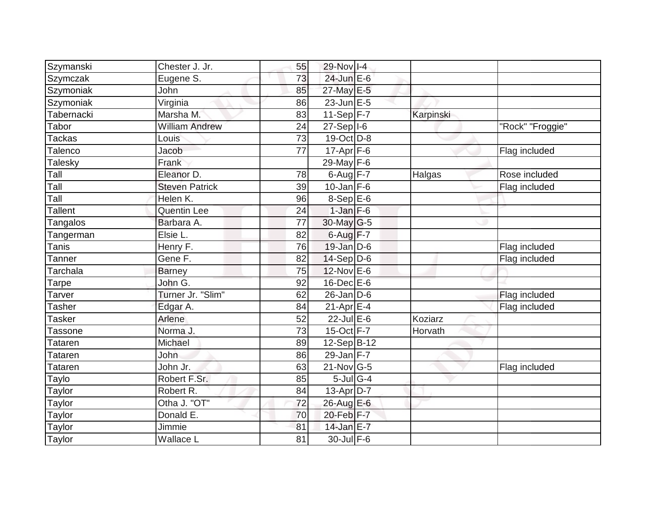| Szymanski      | Chester J. Jr.        | 55              | 29-Nov I-4              |           |                  |
|----------------|-----------------------|-----------------|-------------------------|-----------|------------------|
| Szymczak       | Eugene S.             | 73              | 24-Jun E-6              |           |                  |
| Szymoniak      | John                  | 85              | 27-May E-5              |           |                  |
| Szymoniak      | Virginia              | 86              | $23$ -Jun $E-5$         |           |                  |
| Tabernacki     | Marsha M.             | 83              | $11-Sep$ F-7            | Karpinski |                  |
| Tabor          | <b>William Andrew</b> | 24              | $27-Sep$ <sup>1-6</sup> |           | "Rock" "Froggie" |
| <b>Tackas</b>  | Louis                 | 73              | $19-Oct$ D-8            |           |                  |
| Talenco        | Jacob                 | $\overline{77}$ | $17$ -Apr $F$ -6        |           | Flag included    |
| Talesky        | Frank                 |                 | $29$ -May $F-6$         |           |                  |
| Tall           | Eleanor D.            | 78              | $6$ -Aug $F - 7$        | Halgas    | Rose included    |
| Tall           | <b>Steven Patrick</b> | 39              | $10$ -Jan F-6           |           | Flag included    |
| Tall           | Helen K.              | 96              | $8-$ Sep $E-6$          |           |                  |
| <b>Tallent</b> | Quentin Lee           | 24              | $1-Jan$ F-6             |           |                  |
| Tangalos       | Barbara A.            | 77              | $30$ -May G-5           |           |                  |
| Tangerman      | Elsie L.              | 82              | $6$ -Aug $F-7$          |           |                  |
| Tanis          | Henry F.              | 76              | $19$ -Jan $D$ -6        |           | Flag included    |
| Tanner         | Gene F.               | 82              | $14-Sep D-6$            |           | Flag included    |
| Tarchala       | <b>Barney</b>         | 75              | 12-Nov E-6              |           |                  |
| Tarpe          | John G.               | 92              | 16-Dec E-6              |           |                  |
| Tarver         | Turner Jr. "Slim"     | 62              | $26$ -Jan D-6           |           | Flag included    |
| Tasher         | Edgar A.              | 84              | $21-Apr$ $E-4$          |           | Flag included    |
| <b>Tasker</b>  | Arlene                | 52              | $22$ -Jul E-6           | Koziarz   |                  |
| Tassone        | Norma J.              | 73              | $15$ -Oct $F - 7$       | Horvath   |                  |
| Tataren        | Michael               | 89              | $12-Sep\overline{B-12}$ |           |                  |
| Tataren        | John                  | 86              | 29-Jan $F-7$            |           |                  |
| <b>Tataren</b> | John Jr.              | 63              | $21$ -Nov $G-5$         |           | Flag included    |
| Taylo          | Robert F.Sr.          | 85              | $5$ -Jul G-4            |           |                  |
| Taylor         | Robert R.             | 84              | $13$ -Apr $ D-7$        |           |                  |
| Taylor         | Otha J. "OT"          | 72              | 26-Aug E-6              |           |                  |
| Taylor         | Donald E.             | 70              | 20-Feb F-7              |           |                  |
| Taylor         | Jimmie                | 81              | 14-Jan E-7              |           |                  |
| Taylor         | Wallace L             | 81              | 30-Jul F-6              |           |                  |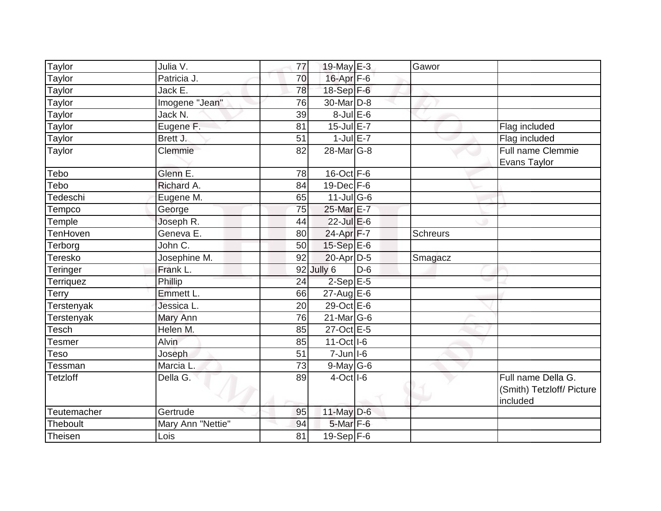| Taylor          | Julia V.          | 77              | 19-May E-3              |       | Gawor    |                                                             |
|-----------------|-------------------|-----------------|-------------------------|-------|----------|-------------------------------------------------------------|
| Taylor          | Patricia J.       | 70              | 16-Apr F-6              |       |          |                                                             |
| Taylor          | Jack E.           | 78              | 18-Sep F-6              |       |          |                                                             |
| Taylor          | Imogene "Jean"    | 76              | 30-Mar D-8              |       |          |                                                             |
| Taylor          | Jack N.           | 39              | $8$ -Jul $E$ -6         |       |          |                                                             |
| Taylor          | Eugene F.         | 81              | $15$ -Jul $E-7$         |       |          | Flag included                                               |
| Taylor          | Brett J.          | 51              | $1$ -Jul $E - 7$        |       |          | Flag included                                               |
| Taylor          | Clemmie           | 82              | 28-Mar <sub>G-8</sub>   |       |          | Full name Clemmie<br>Evans Taylor                           |
| Tebo            | Glenn E.          | 78              | $16$ -Oct $F-6$         |       |          |                                                             |
| Tebo            | Richard A.        | 84              | $19$ -Dec $F-6$         |       |          |                                                             |
| Tedeschi        | Eugene M.         | 65              | $11$ -Jul G-6           |       |          |                                                             |
| Tempco          | George            | 75              | 25-Mar E-7              |       |          |                                                             |
| Temple          | Joseph R.         | 44              | 22-Jul E-6              |       |          |                                                             |
| <b>TenHoven</b> | Geneva E.         | 80              | 24-Apr F-7              |       | Schreurs |                                                             |
| Terborg         | John C.           | 50              | 15-Sep E-6              |       |          |                                                             |
| Teresko         | Josephine M.      | 92              | 20-Apr D-5              |       | Smagacz  |                                                             |
| Teringer        | Frank L.          |                 | 92 Jully 6              | $D-6$ |          |                                                             |
| Terriquez       | Phillip           | $\overline{24}$ | $2-Sep$ E-5             |       |          |                                                             |
| Terry           | Emmett L.         | 66              | $27$ -Aug $E$ -6        |       |          |                                                             |
| Terstenyak      | Jessica L.        | 20              | 29-Oct E-6              |       |          |                                                             |
| Terstenyak      | Mary Ann          | 76              | $21$ -Mar $G-6$         |       |          |                                                             |
| Tesch           | Helen M.          | 85              | 27-Oct E-5              |       |          |                                                             |
| Tesmer          | Alvin             | 85              | $11-Oct$ <sub>1-6</sub> |       |          |                                                             |
| Teso            | Joseph            | 51              | $7 - Jun$ $1 - 6$       |       |          |                                                             |
| Tessman         | Marcia L.         | 73              | $9$ -May $G$ -6         |       |          |                                                             |
| <b>Tetzloff</b> | Della G.          | 89              | $4-Oct$ <sup>1-6</sup>  |       |          | Full name Della G.<br>(Smith) Tetzloff/ Picture<br>included |
| Teutemacher     | Gertrude          | 95              | $11$ -May D-6           |       |          |                                                             |
| Theboult        | Mary Ann "Nettie" | 94              | $5$ -Mar $F$ -6         |       |          |                                                             |
| Theisen         | Lois              | 81              | $19-Sep$ F-6            |       |          |                                                             |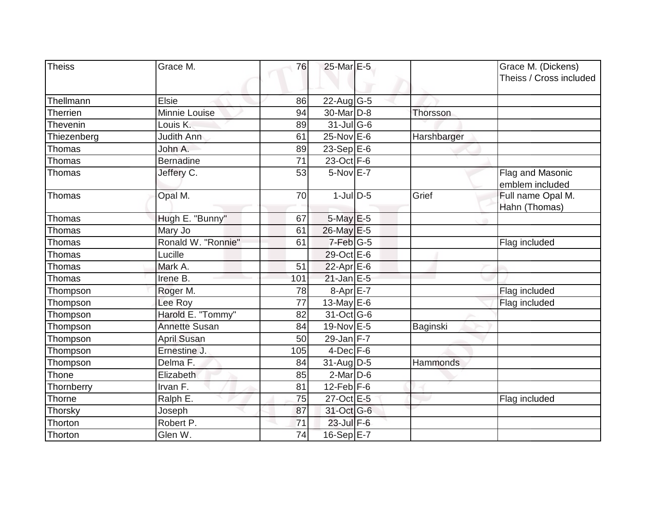| Theiss      | Grace M.             | 76  | 25-Mar E-5       |             |                                               |
|-------------|----------------------|-----|------------------|-------------|-----------------------------------------------|
|             |                      |     |                  |             | Grace M. (Dickens)<br>Theiss / Cross included |
|             |                      |     |                  |             |                                               |
| Thellmann   | Elsie                | 86  | $22$ -Aug G-5    |             |                                               |
| Therrien    | Minnie Louise        | 94  | 30-Mar D-8       | Thorsson    |                                               |
| Thevenin    | Louis K.             | 89  | $31$ -Jul G-6    |             |                                               |
| Thiezenberg | <b>Judith Ann</b>    | 61  | $25$ -Nov $E$ -6 | Harshbarger |                                               |
| Thomas      | John A.              | 89  | $23-Sep$ E-6     |             |                                               |
| Thomas      | <b>Bernadine</b>     | 71  | 23-Oct F-6       |             |                                               |
| Thomas      | Jeffery C.           | 53  | 5-Nov E-7        |             | Flag and Masonic                              |
|             |                      |     |                  |             | emblem included                               |
| Thomas      | Opal M.              | 70  | $1$ -Jul $D$ -5  | Grief       | Full name Opal M.                             |
|             |                      |     |                  |             | Hahn (Thomas)                                 |
| Thomas      | Hugh E. "Bunny"      | 67  | 5-May E-5        |             |                                               |
| Thomas      | Mary Jo              | 61  | 26-May E-5       |             |                                               |
| Thomas      | Ronald W. "Ronnie"   | 61  | $7$ -Feb $ G-5 $ |             | Flag included                                 |
| Thomas      | Lucille              |     | 29-Oct E-6       |             |                                               |
| Thomas      | Mark A.              | 51  | 22-Apr E-6       |             |                                               |
| Thomas      | Irene B.             | 101 | $21$ -Jan E-5    |             |                                               |
| Thompson    | Roger M.             | 78  | $8-AprE-7$       |             | Flag included                                 |
| Thompson    | Lee Roy              | 77  | 13-May E-6       |             | Flag included                                 |
| Thompson    | Harold E. "Tommy"    | 82  | 31-Oct G-6       |             |                                               |
| Thompson    | <b>Annette Susan</b> | 84  | 19-Nov E-5       | Baginski    |                                               |
| Thompson    | <b>April Susan</b>   | 50  | 29-Jan $F-7$     |             |                                               |
| Thompson    | Ernestine J.         | 105 | $4$ -Dec $F-6$   |             |                                               |
| Thompson    | Delma F.             | 84  | $31$ -Aug D-5    | Hammonds    |                                               |
| Thone       | Elizabeth            | 85  | $2$ -Mar $D-6$   |             |                                               |
| Thornberry  | Irvan F.             | 81  | $12$ -Feb F-6    |             |                                               |
| Thorne      | Ralph E.             | 75  | 27-Oct E-5       |             | Flag included                                 |
| Thorsky     | Joseph               | 87  | 31-Oct G-6       |             |                                               |
| Thorton     | Robert P.            | 71  | 23-Jul F-6       |             |                                               |
| Thorton     | Glen W.              | 74  | 16-Sep E-7       |             |                                               |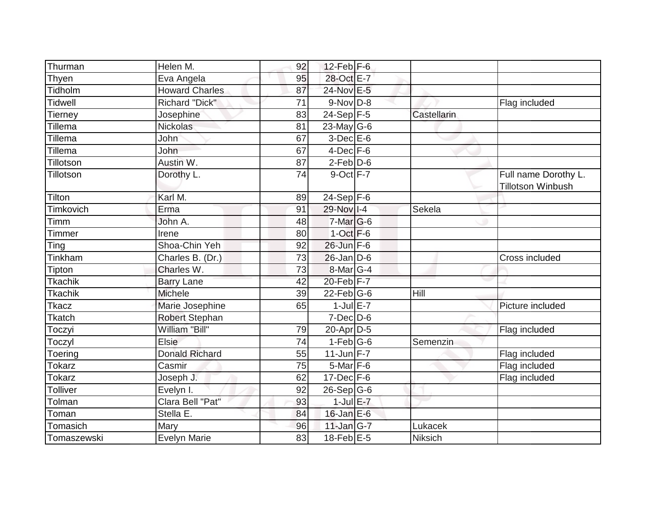| Thurman         | Helen M.              | 92 | $12$ -Feb $F-6$  |             |                          |
|-----------------|-----------------------|----|------------------|-------------|--------------------------|
| Thyen           | Eva Angela            | 95 | 28-Oct E-7       |             |                          |
| Tidholm         | <b>Howard Charles</b> | 87 | 24-Nov E-5       |             |                          |
| <b>Tidwell</b>  | <b>Richard "Dick"</b> | 71 | $9-Nov D-8$      |             | Flag included            |
| Tierney         | Josephine             | 83 | $24-Sep$ F-5     | Castellarin |                          |
| Tillema         | <b>Nickolas</b>       | 81 | $23$ -May G-6    |             |                          |
| <b>Tillema</b>  | John                  | 67 | $3-Dec$ $E-6$    |             |                          |
| Tillema         | John                  | 67 | $4$ -Dec $F-6$   |             |                          |
| Tillotson       | Austin W.             | 87 | $2$ -Feb $D$ -6  |             |                          |
| Tillotson       | Dorothy L.            | 74 | $9$ -Oct $F-7$   |             | Full name Dorothy L.     |
|                 |                       |    |                  |             | <b>Tillotson Winbush</b> |
| Tilton          | Karl M.               | 89 | $24-Sep$ F-6     |             |                          |
| Timkovich       | Erma                  | 91 | 29-Nov I-4       | Sekela      |                          |
| Timm            | John A.               | 48 | $7$ -Mar $ G-6$  |             |                          |
| Timmer          | Irene                 | 80 | $1-Oct$ F-6      |             |                          |
| Ting            | Shoa-Chin Yeh         | 92 | 26-Jun F-6       |             |                          |
| Tinkham         | Charles B. (Dr.)      | 73 | $26$ -Jan D-6    |             | Cross included           |
| Tipton          | Charles W.            | 73 | $8$ -Mar $ G-4 $ |             |                          |
| Tkachik         | <b>Barry Lane</b>     | 42 | $20$ -Feb $F-7$  |             |                          |
| <b>Tkachik</b>  | <b>Michele</b>        | 39 | $22$ -Feb $ G-6$ | Hill        |                          |
| Tkacz           | Marie Josephine       | 65 | $1$ -Jul $E$ -7  |             | Picture included         |
| Tkatch          | <b>Robert Stephan</b> |    | $7$ -Dec $D$ -6  |             |                          |
| Toczyi          | William "Bill"        | 79 | $20$ -Apr $D-5$  |             | Flag included            |
| Toczyl          | <b>Elsie</b>          | 74 | $1-Feb$ G-6      | Semenzin    |                          |
| Toering         | <b>Donald Richard</b> | 55 | $11$ -Jun F-7    |             | Flag included            |
| <b>Tokarz</b>   | Casmir                | 75 | $5$ -Mar $F$ -6  |             | Flag included            |
| <b>Tokarz</b>   | Joseph J.             | 62 | $17 - Dec$ F-6   |             | Flag included            |
| <b>Tolliver</b> | Evelyn I.             | 92 | $26-Sep G-6$     |             |                          |
| Tolman          | Clara Bell "Pat"      | 93 | $1$ -Jul $E-7$   |             |                          |
| Toman           | Stella E.             | 84 | $16$ -Jan $E$ -6 |             |                          |
| Tomasich        | Mary                  | 96 | 11-Jan G-7       | Lukacek     |                          |
| Tomaszewski     | <b>Evelyn Marie</b>   | 83 | $18$ -Feb $E$ -5 | Niksich     |                          |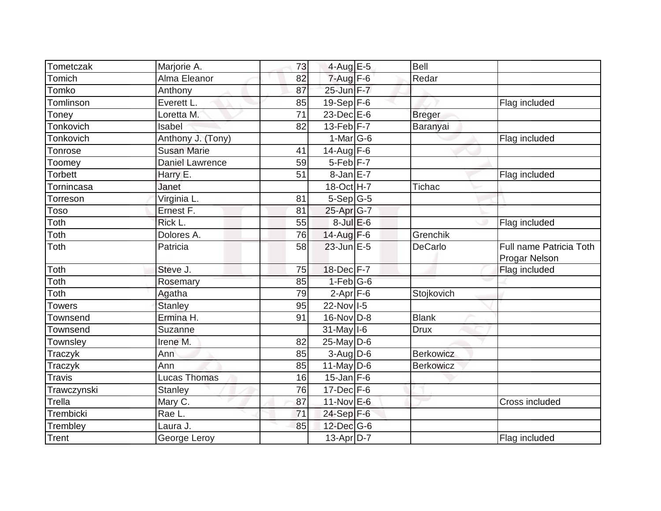| Tometczak              | Marjorie A.            | 73              | 4-Aug E-5         | <b>Bell</b>      |                                          |
|------------------------|------------------------|-----------------|-------------------|------------------|------------------------------------------|
| Tomich                 | Alma Eleanor           | 82              | $7 - Aug$ $F-6$   | Redar            |                                          |
| Tomko                  | Anthony                | 87              | 25-Jun F-7        |                  |                                          |
| Tomlinson              | Everett L.             | 85              | $19-Sep$ F-6      |                  | Flag included                            |
| Toney                  | Loretta M.             | $\overline{71}$ | $23$ -Dec $E-6$   | <b>Breger</b>    |                                          |
| Tonkovich              | Isabel                 | 82              | $13-Feb$ F-7      | Baranyai         |                                          |
| <b>Tonkovich</b>       | Anthony J. (Tony)      |                 | 1-Mar $ G-6 $     |                  | Flag included                            |
| Tonrose                | <b>Susan Marie</b>     | 41              | 14-Aug $F-6$      |                  |                                          |
| Toomey                 | <b>Daniel Lawrence</b> | 59              | $5-Feb$ $F-7$     |                  |                                          |
| Torbett                | Harry E.               | 51              | 8-Jan E-7         |                  | Flag included                            |
| <del>T</del> ornincasa | Janet                  |                 | 18-Oct H-7        | Tichac           |                                          |
| Torreson               | Virginia L.            | 81              | $5-Sep$ G-5       |                  |                                          |
| Toso                   | Ernest F.              | 81              | 25-Apr G-7        |                  |                                          |
| Toth                   | Rick L.                | 55              | $8$ -Jul $E$ -6   |                  | Flag included                            |
| Toth                   | Dolores A.             | 76              | 14-Aug F-6        | Grenchik         |                                          |
| Toth                   | Patricia               | 58              | 23-Jun E-5        | DeCarlo          | Full name Patricia Toth<br>Progar Nelson |
| Toth                   | Steve J.               | 75              | 18-Dec F-7        |                  | Flag included                            |
| Toth                   | Rosemary               | 85              | $1-Feb G-6$       |                  |                                          |
| Toth                   | Agatha                 | 79              | $2-Apr$ F-6       | Stojkovich       |                                          |
| Towers                 | <b>Stanley</b>         | 95              | 22-Nov 1-5        |                  |                                          |
| Townsend               | Ermina H.              | 91              | $16$ -Nov D-8     | <b>Blank</b>     |                                          |
| Townsend               | Suzanne                |                 | $31$ -May $ I-6 $ | <b>Drux</b>      |                                          |
| Townsley               | Irene M.               | 82              | $25$ -May D-6     |                  |                                          |
| Traczyk                | Ann                    | 85              | $3-Aug$ $D-6$     | <b>Berkowicz</b> |                                          |
| Traczyk                | Ann                    | 85              | $11$ -May D-6     | <b>Berkowicz</b> |                                          |
| <b>Travis</b>          | Lucas Thomas           | 16              | $15$ -Jan F-6     |                  |                                          |
| Trawczynski            | <b>Stanley</b>         | 76              | $17 - Dec$ F-6    |                  |                                          |
| Trella                 | Mary C.                | 87              | 11-Nov E-6        |                  | Cross included                           |
| Trembicki              | Rae L.                 | 71              | $24-Sep$ F-6      |                  |                                          |
| Trembley               | Laura J.               | 85              | 12-Dec G-6        |                  |                                          |
| Trent                  | George Leroy           |                 | $13$ -Apr $ D-7 $ |                  | Flag included                            |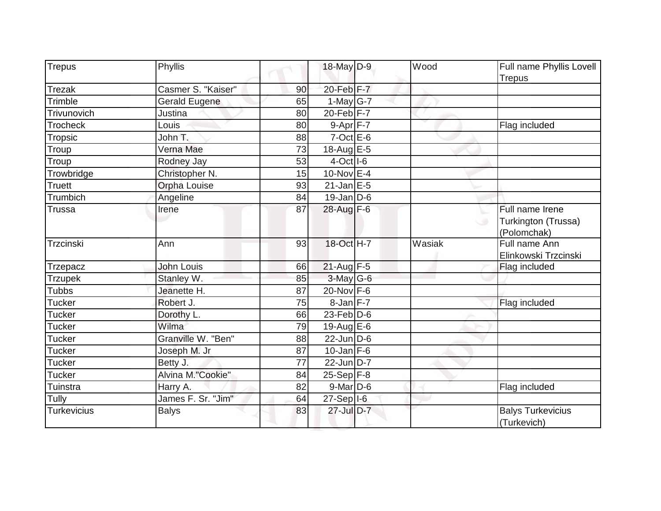| Trepus             | Phyllis              |    | 18-May D-9             | Wood   | Full name Phyllis Lovell                                   |
|--------------------|----------------------|----|------------------------|--------|------------------------------------------------------------|
|                    |                      |    |                        |        | <b>Trepus</b>                                              |
| <b>Trezak</b>      | Casmer S. "Kaiser"   | 90 | 20-Feb F-7             |        |                                                            |
| Trimble            | <b>Gerald Eugene</b> | 65 | 1-May $G-7$            |        |                                                            |
| Trivunovich        | Justina              | 80 | $20$ -Feb $F-7$        |        |                                                            |
| <b>Trocheck</b>    | Louis                | 80 | $9-Apr$ F-7            |        | Flag included                                              |
| Tropsic            | John T.              | 88 | $7$ -Oct $E$ -6        |        |                                                            |
| Troup              | Verna Mae            | 73 | 18-Aug E-5             |        |                                                            |
| Troup              | Rodney Jay           | 53 | $4-Oct$ <sup>1-6</sup> |        |                                                            |
| Trowbridge         | Christopher N.       | 15 | 10-Nov E-4             |        |                                                            |
| Truett             | <b>Orpha Louise</b>  | 93 | $21$ -Jan E-5          |        |                                                            |
| Trumbich           | Angeline             | 84 | $19$ -Jan D-6          |        |                                                            |
| <b>Trussa</b>      | Irene                | 87 | 28-Aug F-6             |        | Full name Irene<br>Turkington (Trussa)<br>w<br>(Polomchak) |
| Trzcinski          | Ann                  | 93 | 18-Oct H-7             | Wasiak | Full name Ann<br>Elinkowski Trzcinski                      |
| Trzepacz           | John Louis           | 66 | $21-Aug$ F-5           |        | Flag included                                              |
| <b>Trzupek</b>     | Stanley W.           | 85 | $3$ -May G-6           |        |                                                            |
| <b>Tubbs</b>       | Jeanette H.          | 87 | 20-Nov F-6             |        |                                                            |
| Tucker             | Robert J.            | 75 | $8$ -Jan $F-7$         |        | Flag included                                              |
| <b>Tucker</b>      | Dorothy L.           | 66 | $23$ -Feb $D-6$        |        |                                                            |
| <b>Tucker</b>      | Wilma                | 79 | 19-Aug $E-6$           |        |                                                            |
| <b>Tucker</b>      | Granville W. "Ben"   | 88 | $22$ -Jun D-6          |        |                                                            |
| <b>Tucker</b>      | Joseph M. Jr         | 87 | $10$ -Jan F-6          |        |                                                            |
| <b>Tucker</b>      | Betty J.             | 77 | 22-Jun D-7             |        |                                                            |
| <b>Tucker</b>      | Alvina M."Cookie"    | 84 | $25-Sep$ F-8           |        |                                                            |
| Tuinstra           | Harry A.             | 82 | $9$ -Mar $D$ -6        |        | Flag included                                              |
| Tully              | James F. Sr. "Jim"   | 64 | 27-Sep I-6             |        |                                                            |
| <b>Turkevicius</b> | <b>Balys</b>         | 83 | $27$ -Jul D-7          |        | <b>Balys Turkevicius</b><br>(Turkevich)                    |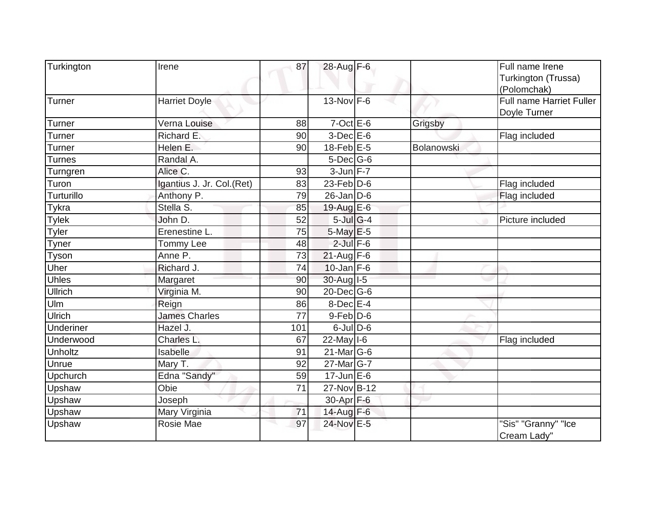| Turkington    | Irene                     | 87  | 28-Aug F-6              |            | Full name Irene                 |
|---------------|---------------------------|-----|-------------------------|------------|---------------------------------|
|               |                           |     |                         |            | Turkington (Trussa)             |
|               |                           |     |                         |            | (Polomchak)                     |
| Turner        | <b>Harriet Doyle</b>      |     | $13-Nov$ F-6            |            | <b>Full name Harriet Fuller</b> |
|               |                           |     |                         |            | Doyle Turner                    |
| Turner        | Verna Louise              | 88  | $7-Oct \tE-6$           | Grigsby    |                                 |
| <b>Turner</b> | Richard E.                | 90  | $3$ -Dec $E$ -6         |            | Flag included                   |
| Turner        | Helen E.                  | 90  | $18$ -Feb $E$ -5        | Bolanowski |                                 |
| <b>Turnes</b> | Randal A.                 |     | $5$ -Dec $ G$ -6        |            |                                 |
| Turngren      | Alice C.                  | 93  | $3-Jun$ F-7             |            |                                 |
| Turon         | Igantius J. Jr. Col.(Ret) | 83  | $23$ -Feb $ D-6$        |            | Flag included                   |
| Turturillo    | Anthony P.                | 79  | $26$ -Jan D-6           |            | Flag included                   |
| Tykra         | Stella S.                 | 85  | 19-Aug $E-6$            |            |                                 |
| <b>Tylek</b>  | John D.                   | 52  | $5$ -Jul G-4            |            | Picture included                |
| Tyler         | Erenestine L.             | 75  | $5$ -May $E$ -5         |            |                                 |
| Tyner         | Tommy Lee                 | 48  | $2$ -Jul $F-6$          |            |                                 |
| Tyson         | Anne P.                   | 73  | $21$ -Aug F-6           |            |                                 |
| Uher          | Richard J.                | 74  | $10$ -Jan $F-6$         |            |                                 |
| Uhles         | Margaret                  | 90  | $30-Auq$ <sup>1-5</sup> |            |                                 |
| Ullrich       | Virginia M.               | 90  | 20-Dec G-6              |            |                                 |
| Ulm           | Reign                     | 86  | $8$ -Dec $E-4$          |            |                                 |
| Ulrich        | <b>James Charles</b>      | 77  | $9$ -Feb $ D$ -6        |            |                                 |
| Underiner     | Hazel J.                  | 101 | $6$ -JulD-6             |            |                                 |
| Underwood     | Charles L.                | 67  | $22$ -May $I$ -6        |            | Flag included                   |
| Unholtz       | Isabelle                  | 91  | $21$ -Mar $ G-6$        |            |                                 |
| Unrue         | Mary T.                   | 92  | $27$ -Mar $ G-7 $       |            |                                 |
| Upchurch      | Edna "Sandy"              | 59  | $17$ -Jun $E-6$         |            |                                 |
| Upshaw        | Obie                      | 71  | 27-Nov B-12             |            |                                 |
| Upshaw        | Joseph                    |     | 30-Apr F-6              |            |                                 |
| Upshaw        | Mary Virginia             | 71  | 14-Aug F-6              |            |                                 |
| Upshaw        | Rosie Mae                 | 97  | 24-Nov E-5              |            | "Sis" "Granny" "Ice             |
|               |                           |     |                         |            | Cream Lady"                     |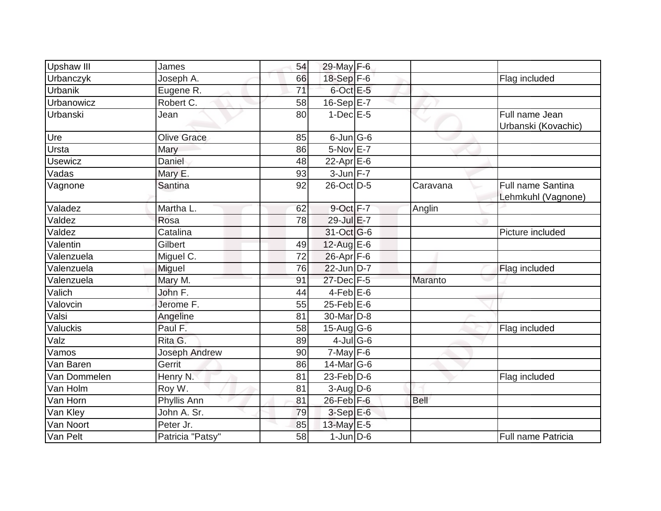| <b>Upshaw III</b> | James                | 54 | 29-May F-6            |             |                                                |
|-------------------|----------------------|----|-----------------------|-------------|------------------------------------------------|
| Urbanczyk         | Joseph A.            | 66 | 18-Sep F-6            |             | Flag included                                  |
| <b>Urbanik</b>    | Eugene R.            | 71 | $6$ -Oct $E$ -5       |             |                                                |
| Urbanowicz        | Robert C.            | 58 | $16-Sep$ E-7          |             |                                                |
| Urbanski          | Jean                 | 80 | $1$ -Dec $E$ -5       |             | Full name Jean                                 |
|                   |                      |    |                       |             | Urbanski (Kovachic)                            |
| Ure               | <b>Olive Grace</b>   | 85 | $6$ -Jun $ G$ -6      |             |                                                |
| Ursta             | Mary                 | 86 | 5-Nov E-7             |             |                                                |
| <b>Usewicz</b>    | Daniel               | 48 | 22-Apr $E$ -6         |             |                                                |
| Vadas             | Mary E.              | 93 | $3$ -Jun $F-7$        |             |                                                |
| Vagnone           | Santina              | 92 | 26-Oct D-5            | Caravana    | <b>Full name Santina</b><br>Lehmkuhl (Vagnone) |
| Valadez           | Martha L.            | 62 | 9-Oct F-7             | Anglin      |                                                |
| Valdez            | Rosa                 | 78 | 29-Jul E-7            |             |                                                |
| Valdez            | Catalina             |    | 31-Oct G-6            |             | Picture included                               |
| Valentin          | Gilbert              | 49 | $12$ -Aug E-6         |             |                                                |
| Valenzuela        | Miguel C.            | 72 | $26$ -Apr $F$ -6      |             |                                                |
| Valenzuela        | Miguel               | 76 | 22-Jun D-7            |             | Flag included                                  |
| Valenzuela        | Mary M.              | 91 | 27-Dec F-5            | Maranto     |                                                |
| Valich            | John F.              | 44 | $4$ -Feb $E$ -6       |             |                                                |
| Valovcin          | Jerome F.            | 55 | $25$ -Feb $ E$ -6     |             |                                                |
| Valsi             | Angeline             | 81 | 30-Mar <sub>D-8</sub> |             |                                                |
| Valuckis          | Paul F.              | 58 | $15$ -Aug G-6         |             | Flag included                                  |
| Valz              | Rita G.              | 89 | $4$ -Jul G-6          |             |                                                |
| Vamos             | <b>Joseph Andrew</b> | 90 | $7$ -May $F-6$        |             |                                                |
| Van Baren         | <b>Gerrit</b>        | 86 | 14-Mar G-6            |             |                                                |
| Van Dommelen      | Henry N.             | 81 | 23-Feb $D-6$          |             | Flag included                                  |
| Van Holm          | Roy W.               | 81 | $3-Aug$ $D-6$         |             |                                                |
| Van Horn          | Phyllis Ann          | 81 | $26$ -Feb $F-6$       | <b>Bell</b> |                                                |
| Van Kley          | John A. Sr.          | 79 | $3-SepE-6$            |             |                                                |
| Van Noort         | Peter Jr.            | 85 | 13-May E-5            |             |                                                |
| Van Pelt          | Patricia "Patsy"     | 58 | $1$ -Jun $D$ -6       |             | Full name Patricia                             |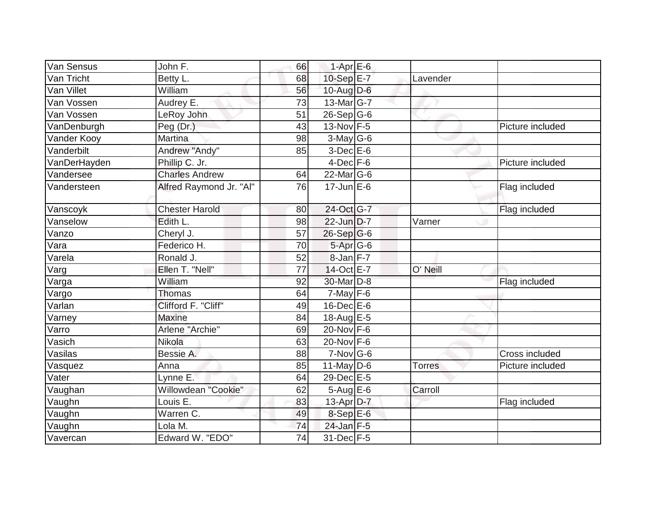| Van Sensus   | John F.                 | 66 | $1-Apr$ E-6      |               |                  |
|--------------|-------------------------|----|------------------|---------------|------------------|
| Van Tricht   | Betty L.                | 68 | 10-Sep E-7       | Lavender      |                  |
| Van Villet   | William                 | 56 | $10$ -Aug $D-6$  |               |                  |
| Van Vossen   | Audrey E.               | 73 | 13-Mar G-7       |               |                  |
| Van Vossen   | LeRoy John              | 51 | $26-Sep$ G-6     |               |                  |
| VanDenburgh  | Peg (Dr.)               | 43 | 13-Nov F-5       |               | Picture included |
| Vander Kooy  | <b>Martina</b>          | 98 | $3$ -May G-6     |               |                  |
| Vanderbilt   | Andrew "Andy"           | 85 | $3-Dec$ $E-6$    |               |                  |
| VanDerHayden | Phillip C. Jr.          |    | $4$ -Dec $F-6$   |               | Picture included |
| Vandersee    | <b>Charles Andrew</b>   | 64 | $22$ -Mar $ G-6$ |               |                  |
| Vandersteen  | Alfred Raymond Jr. "Al" | 76 | $17$ -Jun $E$ -6 |               | Flag included    |
| Vanscoyk     | <b>Chester Harold</b>   | 80 | 24-Oct G-7       |               | Flag included    |
| Vanselow     | Edith L.                | 98 | 22-Jun D-7       | Varner        |                  |
| Vanzo        | Cheryl J.               | 57 | 26-Sep G-6       |               |                  |
| Vara         | Federico H.             | 70 | 5-Apr G-6        |               |                  |
| Varela       | Ronald J.               | 52 | $8$ -Jan $F-7$   |               |                  |
| Varg         | Ellen T. "Nell"         | 77 | 14-Oct E-7       | O' Neill      |                  |
| Varga        | William                 | 92 | 30-Mar D-8       |               | Flag included    |
| Vargo        | <b>Thomas</b>           | 64 | $7$ -May $F-6$   |               |                  |
| Varlan       | Clifford F. "Cliff"     | 49 | $16$ -Dec $E$ -6 |               |                  |
| Varney       | <b>Maxine</b>           | 84 | 18-Aug E-5       |               |                  |
| Varro        | Arlene "Archie"         | 69 | 20-Nov F-6       |               |                  |
| Vasich       | Nikola                  | 63 | $20$ -Nov F-6    |               |                  |
| Vasilas      | Bessie A.               | 88 | $7-Nov$ G-6      |               | Cross included   |
| Vasquez      | Anna                    | 85 | $11$ -May D-6    | <b>Torres</b> | Picture included |
| Vater        | Lynne E.                | 64 | 29-Dec E-5       |               |                  |
| Vaughan      | Willowdean "Cookie"     | 62 | $5-Aug$ $E-6$    | Carroll       |                  |
| Vaughn       | Louis $E$ .             | 83 | $13$ -Apr $D-7$  |               | Flag included    |
| Vaughn       | Warren C.               | 49 | $8-SepE-6$       |               |                  |
| Vaughn       | Lola M.                 | 74 | $24$ -Jan F-5    |               |                  |
| Vavercan     | Edward W. "EDO"         | 74 | 31-Dec F-5       |               |                  |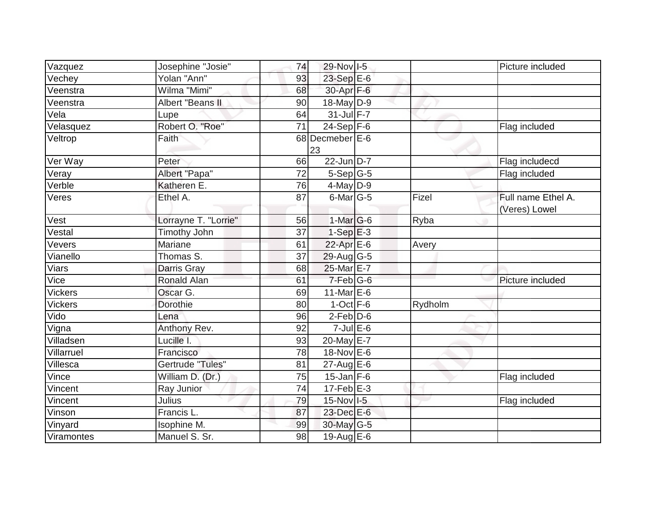| Vazquez        | Josephine "Josie"       | 74 | 29-Nov I-5            |         | Picture included                    |
|----------------|-------------------------|----|-----------------------|---------|-------------------------------------|
| Vechey         | Yolan "Ann"             | 93 | 23-Sep E-6            |         |                                     |
| Veenstra       | Wilma "Mimi"            | 68 | 30-Apr F-6            |         |                                     |
| Veenstra       | <b>Albert "Beans II</b> | 90 | $18$ -May D-9         |         |                                     |
| Vela           | Lupe                    | 64 | 31-Jul F-7            |         |                                     |
| Velasquez      | Robert O. "Roe"         | 71 | $24-Sep$ F-6          |         | Flag included                       |
| Veltrop        | Faith                   |    | 68 Decmeber E-6<br>23 |         |                                     |
| Ver Way        | Peter                   | 66 | 22-Jun D-7            |         | Flag includecd                      |
| Veray          | Albert "Papa"           | 72 | $5-Sep G-5$           |         | Flag included                       |
| Verble         | Katheren E.             | 76 | $4$ -May D-9          |         |                                     |
| Veres          | Ethel A.                | 87 | $6$ -Mar $ G-5 $      | Fizel   | Full name Ethel A.<br>(Veres) Lowel |
| Vest           | Lorrayne T. "Lorrie"    | 56 | $1-Mar$ G-6           | Ryba    |                                     |
| Vestal         | <b>Timothy John</b>     | 37 | $1-Sep$ $E-3$         |         |                                     |
| Vevers         | <b>Mariane</b>          | 61 | 22-Apr E-6            | Avery   |                                     |
| Vianello       | Thomas S.               | 37 | 29-Aug G-5            |         |                                     |
| Viars          | Darris Gray             | 68 | 25-Mar E-7            |         |                                     |
| Vice           | <b>Ronald Alan</b>      | 61 | $7-Feb G-6$           |         | Picture included                    |
| <b>Vickers</b> | Oscar G.                | 69 | 11-Mar E-6            |         |                                     |
| <b>Vickers</b> | Dorothie                | 80 | $1-Oct$ F-6           | Rydholm |                                     |
| Vido           | Lena                    | 96 | $2$ -Feb $D-6$        |         |                                     |
| Vigna          | Anthony Rev.            | 92 | $7$ -Jul $E$ -6       |         |                                     |
| Villadsen      | Lucille I.              | 93 | 20-May E-7            |         |                                     |
| Villarruel     | Francisco               | 78 | 18-Nov E-6            |         |                                     |
| Villesca       | Gertrude "Tules"        | 81 | $27$ -Aug E-6         |         |                                     |
| Vince          | William D. (Dr.)        | 75 | $15$ -Jan F-6         |         | Flag included                       |
| Vincent        | Ray Junior              | 74 | $17$ -Feb $ E-3$      |         |                                     |
| Vincent        | Julius                  | 79 | 15-Nov I-5            |         | Flag included                       |
| Vinson         | Francis L.              | 87 | 23-Dec E-6            |         |                                     |
| Vinyard        | Isophine M.             | 99 | 30-May G-5            |         |                                     |
| Viramontes     | Manuel S. Sr.           | 98 | 19-Aug $E-6$          |         |                                     |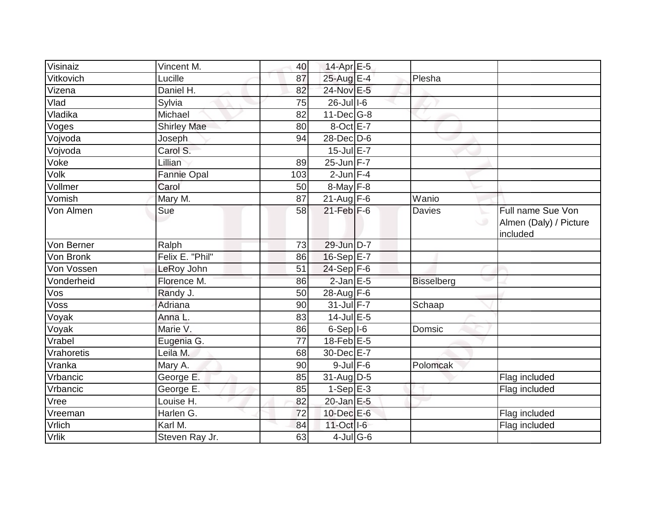| Visinaiz   | Vincent M.         | 40              | 14-Apr E-5       |                   |                                                         |
|------------|--------------------|-----------------|------------------|-------------------|---------------------------------------------------------|
| Vitkovich  | Lucille            | 87              | 25-Aug E-4       | Plesha            |                                                         |
| Vizena     | Daniel H.          | 82              | 24-Nov E-5       |                   |                                                         |
| Vlad       | Sylvia             | 75              | $26$ -Jul $1-6$  |                   |                                                         |
| Vladika    | Michael            | 82              | $11$ -Dec $G-8$  |                   |                                                         |
| Voges      | <b>Shirley Mae</b> | 80              | 8-Oct E-7        |                   |                                                         |
| Vojvoda    | Joseph             | 94              | $28$ -Dec $D$ -6 |                   |                                                         |
| Vojvoda    | Carol S.           |                 | $15$ -Jul E-7    |                   |                                                         |
| Voke       | Lillian            | 89              | $25$ -Jun $F-7$  |                   |                                                         |
| Volk       | <b>Fannie Opal</b> | 103             | $2$ -Jun $F-4$   |                   |                                                         |
| Vollmer    | Carol              | 50              | $8$ -May $F-8$   |                   |                                                         |
| Vomish     | Mary M.            | $\overline{87}$ | $21$ -Aug F-6    | Wanio             |                                                         |
| Von Almen  | Sue                | 58              | $21$ -Feb $F-6$  | <b>Davies</b>     | Full name Sue Von<br>Almen (Daly) / Picture<br>included |
| Von Berner | Ralph              | 73              | 29-Jun D-7       |                   |                                                         |
| Von Bronk  | Felix E. "Phil"    | 86              | 16-Sep E-7       |                   |                                                         |
| Von Vossen | LeRoy John         | 51              | $24-Sep$ F-6     |                   |                                                         |
| Vonderheid | Florence M.        | 86              | $2$ -Jan $E$ -5  | <b>Bisselberg</b> |                                                         |
| Vos        | Randy J.           | 50              | 28-Aug $F-6$     |                   |                                                         |
| Voss       | Adriana            | 90              | 31-Jul F-7       | Schaap            |                                                         |
| Voyak      | Anna L.            | 83              | $14$ -Jul E-5    |                   |                                                         |
| Voyak      | Marie V.           | 86              | $6-Sep$   $1-6$  | Domsic            |                                                         |
| Vrabel     | Eugenia G.         | 77              | 18-Feb $E-5$     |                   |                                                         |
| Vrahoretis | Leila M.           | 68              | 30-Dec E-7       |                   |                                                         |
| Vranka     | Mary A.            | 90              | $9$ -Jul $F$ -6  | Polomcak          |                                                         |
| Vrbancic   | George E.          | 85              | $31$ -Aug D-5    |                   | Flag included                                           |
| Vrbancic   | George E.          | 85              | $1-Sep$ E-3      |                   | Flag included                                           |
| Vree       | Louise H.          | 82              | $20$ -Jan $E-5$  |                   |                                                         |
| Vreeman    | Harlen G.          | 72              | 10-Dec E-6       |                   | Flag included                                           |
| Vrlich     | Karl M.            | 84              | 11-Oct I-6       |                   | Flag included                                           |
| Vrlik      | Steven Ray Jr.     | 63              | $4$ -Jul G-6     |                   |                                                         |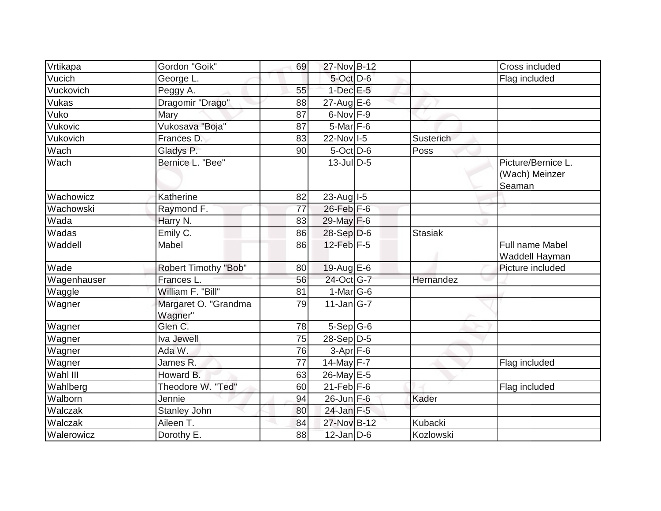| Vrtikapa    | Gordon "Goik"                   | 69 | 27-Nov B-12      |                | Cross included                                 |
|-------------|---------------------------------|----|------------------|----------------|------------------------------------------------|
| Vucich      | George L.                       |    | $5$ -Oct $D$ -6  |                | Flag included                                  |
| Vuckovich   | Peggy A.                        | 55 | $1$ -Dec $E$ -5  |                |                                                |
| Vukas       | Dragomir "Drago"                | 88 | $27$ -Aug $E$ -6 |                |                                                |
| Vuko        | Mary                            | 87 | $6$ -Nov $F-9$   |                |                                                |
| Vukovic     | Vukosava "Boja"                 | 87 | 5-Mar F-6        |                |                                                |
| Vukovich    | Frances D.                      | 83 | 22-Nov I-5       | Susterich      |                                                |
| Wach        | Gladys P.                       | 90 | $5-Oct$ D-6      | Poss           |                                                |
| Wach        | Bernice L. "Bee"                |    | $13$ -Jul $D-5$  |                | Picture/Bernice L.<br>(Wach) Meinzer<br>Seaman |
| Wachowicz   | Katherine                       | 82 | 23-Aug I-5       |                |                                                |
| Wachowski   | Raymond F.                      | 77 | $26$ -Feb $F-6$  |                |                                                |
| Wada        | Harry N.                        | 83 | 29-May F-6       |                |                                                |
| Wadas       | Emily C.                        | 86 | $28-Sep D-6$     | <b>Stasiak</b> |                                                |
| Waddell     | Mabel                           | 86 | $12$ -Feb $F-5$  |                | Full name Mabel<br>Waddell Hayman              |
| Wade        | Robert Timothy "Bob"            | 80 | $19$ -Aug E-6    |                | Picture included                               |
| Wagenhauser | Frances L.                      | 56 | 24-Oct G-7       | Hernandez      |                                                |
| Waggle      | William F. "Bill"               | 81 | $1-Mar$ G-6      |                |                                                |
| Wagner      | Margaret O. "Grandma<br>Wagner" | 79 | $11$ -Jan G-7    | jr.            |                                                |
| Wagner      | Glen C.                         | 78 | $5-Sep G-6$      |                |                                                |
| Wagner      | Iva Jewell                      | 75 | 28-Sep D-5       |                |                                                |
| Wagner      | Ada W.                          | 76 | $3-Apr$ F-6      |                |                                                |
| Wagner      | James R.                        | 77 | 14-May $F-7$     |                | Flag included                                  |
| Wahl III    | Howard B.                       | 63 | 26-May E-5       |                |                                                |
| Wahlberg    | Theodore W. "Ted"               | 60 | $21$ -Feb $F-6$  |                | Flag included                                  |
| Walborn     | Jennie                          | 94 | $26$ -Jun $F-6$  | Kader          |                                                |
| Walczak     | Stanley John                    | 80 | $24$ -Jan F-5    |                |                                                |
| Walczak     | Aileen T.                       | 84 | 27-Nov B-12      | Kubacki        |                                                |
| Walerowicz  | Dorothy E.                      | 88 | $12$ -Jan D-6    | Kozlowski      |                                                |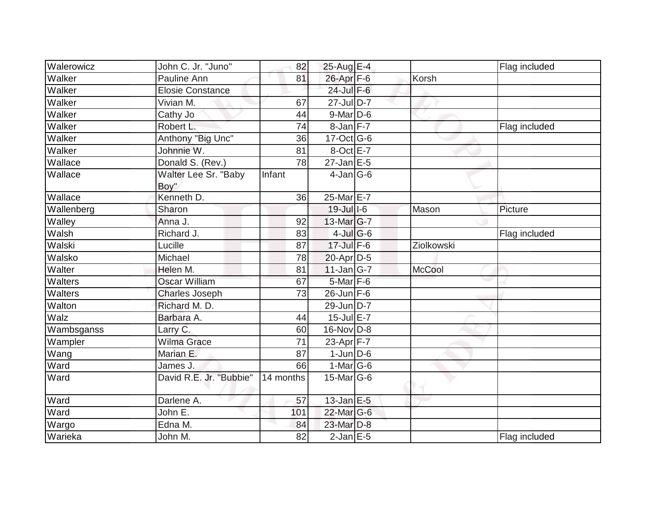| Walerowicz     | John C. Jr. "Juno"           | 82        | 25-Aug E-4               |               | Flag included |
|----------------|------------------------------|-----------|--------------------------|---------------|---------------|
| Walker         | Pauline Ann                  | 81        | 26-Apr F-6               | Korsh         |               |
| Walker         | <b>Elosie Constance</b>      |           | 24-Jul F-6               |               |               |
| Walker         | Vivian M.                    | 67        | $\overline{27}$ -Jul D-7 |               |               |
| Walker         | Cathy Jo                     | 44        | 9-Mar D-6                |               |               |
| Walker         | Robert L.                    | 74        | 8-Jan F-7                |               | Flag included |
| Walker         | Anthony "Big Unc"            | 36        | 17-Oct G-6               |               |               |
| Walker         | Johnnie W.                   | 81        | 8-Oct E-7                |               |               |
| Wallace        | Donald S. (Rev.)             | 78        | $27$ -Jan $E$ -5         |               |               |
| Wallace        | Walter Lee Sr. "Baby<br>Boy" | Infant    | $4$ -Jan $ G-6 $         |               |               |
| Wallace        | Kenneth D.                   | 36        | $25$ -Mar $E-7$          |               |               |
| Wallenberg     | Sharon                       |           | $19$ -Jul $1-6$          | Mason         | Picture       |
| Walley         | Anna J.                      | 92        | $13$ -Mar $ G-7 $        |               |               |
| Walsh          | Richard J.                   | 83        | $4$ -Jul G-6             |               | Flag included |
| Walski         | Lucille                      | 87        | $17$ -Jul F-6            | Ziolkowski    |               |
| Walsko         | Michael                      | 78        | $20$ -Apr $D-5$          |               |               |
| Walter         | Helen M.                     | 81        | $11$ -Jan $ G-7 $        | <b>McCool</b> |               |
| <b>Walters</b> | <b>Oscar William</b>         | 67        | $5$ -Mar $F$ -6          |               |               |
| Walters        | Charles Joseph               | 73        | $26$ -Jun $F-6$          |               |               |
| Walton         | Richard M. D.                |           | 29-Jun D-7               |               |               |
| Walz           | Barbara A.                   | 44        | $15$ -Jul $E$ -7         |               |               |
| Wambsganss     | Larry C.                     | 60        | 16-Nov D-8               |               |               |
| Wampler        | <b>Wilma Grace</b>           | 71        | 23-Apr F-7               |               |               |
| Wang           | Marian E.                    | 87        | $1$ -Jun $D$ -6          |               |               |
| Ward           | James J.                     | 66        | $1-Mar$ G-6              |               |               |
| Ward           | David R.E. Jr. "Bubbie"      | 14 months | $15$ -Mar $ G-6$         |               |               |
| Ward           | Darlene A.                   | 57        | $13$ -Jan E-5            |               |               |
| Ward           | John E.                      | 101       | 22-Mar G-6               |               |               |
| Wargo          | Edna M.                      | 84        | 23-Mar D-8               |               |               |
| Warieka        | John M.                      | 82        | $2-Jan$ E-5              |               | Flag included |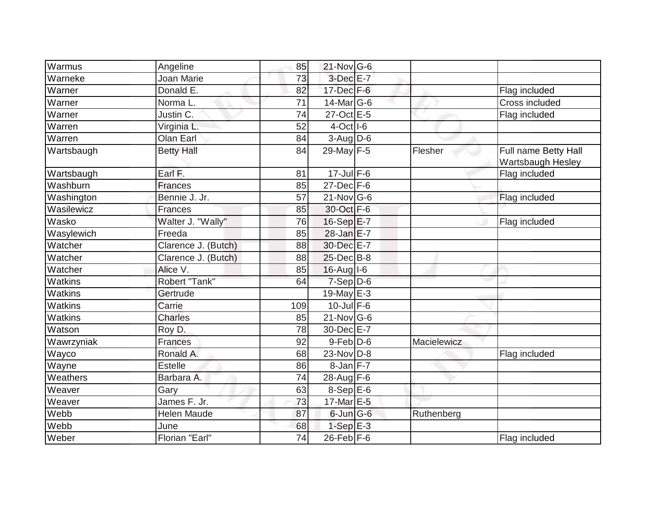| Warmus               | Angeline            | 85              | $21$ -Nov G-6    |             |                                           |
|----------------------|---------------------|-----------------|------------------|-------------|-------------------------------------------|
| Warneke              | Joan Marie          | 73              | $3-Dec$ E-7      |             |                                           |
| Warner               | Donald E.           | 82              | $17$ -Dec $F-6$  |             | Flag included                             |
| Warner               | Norma <sub>L</sub>  | 71              | $14$ -Mar $ G-6$ |             | Cross included                            |
| $\overline{W}$ arner | Justin C.           | 74              | 27-Oct E-5       |             | Flag included                             |
| Warren               | Virginia L.         | 52              | $4$ -Oct $ I$ -6 |             |                                           |
| Warren               | Olan Earl           | 84              | $3-Aug$ $D-6$    |             |                                           |
| Wartsbaugh           | <b>Betty Hall</b>   | 84              | 29-May F-5       | Flesher     | Full name Betty Hall<br>Wartsbaugh Hesley |
| Wartsbaugh           | Earl F.             | 81              | $17$ -Jul $F-6$  |             | Flag included                             |
| Washburn             | Frances             | 85              | $27$ -Dec $F-6$  |             |                                           |
| Washington           | Bennie J. Jr.       | 57              | $21$ -Nov G-6    |             | Flag included                             |
| Wasilewicz           | Frances             | 85              | 30-Oct F-6       |             |                                           |
| Wasko                | Walter J. "Wally"   | 76              | 16-Sep E-7       |             | Flag included                             |
| Wasylewich           | Freeda              | 85              | 28-Jan E-7       |             |                                           |
| Watcher              | Clarence J. (Butch) | 88              | 30-Dec E-7       |             |                                           |
| Watcher              | Clarence J. (Butch) | 88              | 25-Dec B-8       |             |                                           |
| Watcher              | Alice V.            | 85              | $16$ -Aug $I$ -6 |             |                                           |
| Watkins              | Robert "Tank"       | 64              | $7-Sep D-6$      |             |                                           |
| Watkins              | Gertrude            |                 | 19-May $E-3$     |             |                                           |
| Watkins              | Carrie              | 109             | $10$ -Jul $F-6$  |             |                                           |
| Watkins              | Charles             | 85              | $21$ -Nov $ G-6$ |             |                                           |
| Watson               | Roy D.              | 78              | 30-Dec E-7       |             |                                           |
| Wawrzyniak           | Frances             | 92              | $9$ -Feb $D$ -6  | Macielewicz |                                           |
| Wayco                | Ronald A.           | 68              | $23$ -Nov D-8    |             | Flag included                             |
| Wayne                | Estelle             | 86              | 8-Jan F-7        |             |                                           |
| Weathers             | Barbara A.          | 74              | 28-Aug $F-6$     |             |                                           |
| Weaver               | Gary                | 63              | $8-Sep$ E-6      |             |                                           |
| Weaver               | James F. Jr.        | $\overline{73}$ | 17-Mar E-5       |             |                                           |
| Webb                 | Helen Maude         | 87              | $6$ -Jun $G$ -6  | Ruthenberg  |                                           |
| Webb                 | June                | 68              | $1-Sep$ $E-3$    |             |                                           |
| Weber                | Florian "Earl"      | 74              | $26$ -Feb F-6    |             | Flag included                             |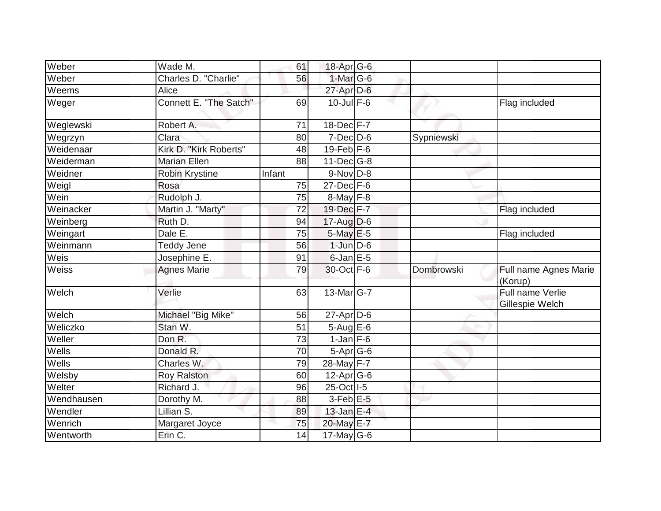| Weber        | Wade M.                | 61     | 18-Apr G-6        |            |                                     |
|--------------|------------------------|--------|-------------------|------------|-------------------------------------|
| Weber        | Charles D. "Charlie"   | 56     | $1$ -Mar $G-6$    |            |                                     |
| Weems        | Alice                  |        | 27-Apr D-6        |            |                                     |
| Weger        | Connett E. "The Satch" | 69     | $10$ -Jul F-6     |            | Flag included                       |
| Weglewski    | Robert A.              | 71     | 18-Dec F-7        |            |                                     |
| Wegrzyn      | Clara                  | 80     | $7$ -Dec $D$ -6   | Sypniewski |                                     |
| Weidenaar    | Kirk D. "Kirk Roberts" | 48     | $19$ -Feb $F-6$   |            |                                     |
| Weiderman    | <b>Marian Ellen</b>    | 88     | $11$ -Dec $ G-8$  |            |                                     |
| Weidner      | Robin Krystine         | Infant | $9-Nov D-8$       |            |                                     |
| Weigl        | Rosa                   | 75     | $27$ -Dec $F-6$   |            |                                     |
| Wein         | Rudolph J.             | 75     | $8$ -May F-8      |            |                                     |
| Weinacker    | Martin J. "Marty"      | 72     | 19-Dec F-7        |            | Flag included                       |
| Weinberg     | Ruth D.                | 94     | $17$ -Aug D-6     |            |                                     |
| Weingart     | Dale E.                | 75     | $5$ -May $E$ -5   |            | Flag included                       |
| Weinmann     | Teddy Jene             | 56     | $1$ -Jun $D-6$    |            |                                     |
| Weis         | Josephine E.           | 91     | 6-Jan E-5         |            |                                     |
| Weiss        | <b>Agnes Marie</b>     | 79     | 30-Oct F-6        | Dombrowski | Full name Agnes Marie<br>(Korup)    |
| Welch        | Verlie                 | 63     | $13$ -Mar $ G-7 $ |            | Full name Verlie<br>Gillespie Welch |
| Welch        | Michael "Big Mike"     | 56     | 27-Apr D-6        |            |                                     |
| Weliczko     | Stan W.                | 51     | $5-Aug$ $E-6$     |            |                                     |
| Weller       | Don R.                 | 73     | $1$ -Jan $ F-6 $  |            |                                     |
| Wells        | Donald R.              | 70     | $5-Apr$ G-6       |            |                                     |
| <b>Wells</b> | Charles W.             | 79     | 28-May F-7        |            |                                     |
| Welsby       | <b>Roy Ralston</b>     | 60     | $12$ -Apr $G$ -6  |            |                                     |
| Welter       | Richard J.             | 96     | 25-Oct I-5        |            |                                     |
| Wendhausen   | Dorothy M.             | 88     | $3$ -Feb $E$ -5   |            |                                     |
| Wendler      | Lillian S.             | 89     | $13$ -Jan E-4     |            |                                     |
| Wenrich      | Margaret Joyce         | 75     | 20-May E-7        |            |                                     |
| Wentworth    | Erin C.                | 14     | 17-May G-6        |            |                                     |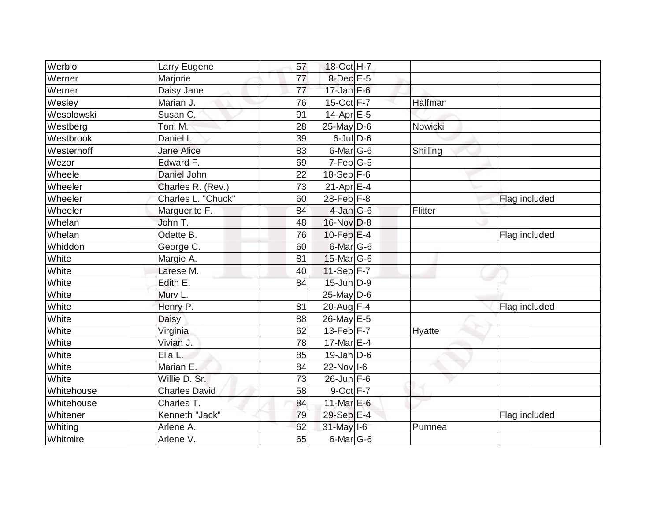| Werblo     | Larry Eugene         | 57 | 18-Oct H-7                 |          |               |
|------------|----------------------|----|----------------------------|----------|---------------|
| Werner     | Marjorie             | 77 | $8$ -Dec $E$ -5            |          |               |
| Werner     | Daisy Jane           | 77 | 17-Jan $F-6$               |          |               |
| Wesley     | Marian J.            | 76 | 15-Oct F-7                 | Halfman  |               |
| Wesolowski | Susan C.             | 91 | $14-Apr \nightharpoonup 5$ |          |               |
| Westberg   | Toni M.              | 28 | $25$ -May D-6              | Nowicki  |               |
| Westbrook  | Daniel L.            | 39 | $6$ -Jul $D$ -6            |          |               |
| Westerhoff | <b>Jane Alice</b>    | 83 | $6$ -Mar $ G$ -6           | Shilling |               |
| Wezor      | Edward F.            | 69 | $7-Feb G-5$                |          |               |
| Wheele     | Daniel John          | 22 | $18-Sep$ F-6               |          |               |
| Wheeler    | Charles R. (Rev.)    | 73 | $21-Apr \mathsf{E-4}$      |          |               |
| Wheeler    | Charles L. "Chuck"   | 60 | $28$ -Feb $F-8$            |          | Flag included |
| Wheeler    | Marguerite F.        | 84 | $4$ -Jan $G$ -6            | Flitter  |               |
| Whelan     | John T.              | 48 | 16-Nov D-8                 |          |               |
| Whelan     | Odette B.            | 76 | 10-Feb $E-4$               |          | Flag included |
| Whiddon    | George C.            | 60 | $6$ -Mar $ G-6$            |          |               |
| White      | Margie A.            | 81 | 15-Mar G-6                 |          |               |
| White      | Larese M.            | 40 | $11-Sep$ F-7               |          |               |
| White      | Edith E.             | 84 | 15-Jun D-9                 |          |               |
| White      | Murv L.              |    | $25$ -May D-6              |          |               |
| White      | Henry P.             | 81 | 20-Aug $F-4$               |          | Flag included |
| White      | Daisy                | 88 | 26-May E-5                 |          |               |
| White      | Virginia             | 62 | $13$ -Feb $F-7$            | Hyatte   |               |
| White      | Vivian J.            | 78 | 17-Mar $E-4$               |          |               |
| White      | Ella L.              | 85 | $19$ -Jan D-6              |          |               |
| White      | Marian E.            | 84 | 22-Nov 1-6                 |          |               |
| White      | Willie D. Sr.        | 73 | $26$ -Jun F-6              |          |               |
| Whitehouse | <b>Charles David</b> | 58 | $9$ -Oct $F-7$             |          |               |
| Whitehouse | Charles T.           | 84 | 11-Mar E-6                 |          |               |
| Whitener   | Kenneth "Jack"       | 79 | 29-Sep E-4                 |          | Flag included |
| Whiting    | Arlene A.            | 62 | 31-May I-6                 | Pumnea   |               |
| Whitmire   | Arlene V.            | 65 | $6$ -Mar $ G$ -6           |          |               |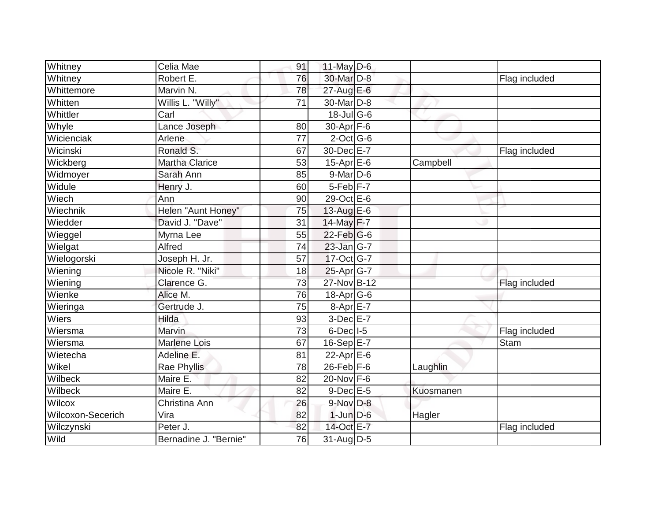| Whitney           | Celia Mae             | 91 | 11-May $D-6$     |           |               |
|-------------------|-----------------------|----|------------------|-----------|---------------|
| Whitney           | Robert E.             | 76 | 30-Mar D-8       |           | Flag included |
| Whittemore        | Marvin N.             | 78 | $27$ -Aug E-6    |           |               |
| Whitten           | Willis L. "Willy"     | 71 | 30-Mar D-8       |           |               |
| Whittler          | Carl                  |    | $18 -$ Jul G-6   |           |               |
| Whyle             | Lance Joseph          | 80 | 30-Apr F-6       |           |               |
| Wicienciak        | Arlene                | 77 | $2$ -Oct $G-6$   |           |               |
| Wicinski          | Ronald S.             | 67 | 30-Dec E-7       |           | Flag included |
| Wickberg          | <b>Martha Clarice</b> | 53 | 15-Apr $E$ -6    | Campbell  |               |
| Widmoyer          | Sarah Ann             | 85 | $9$ -Mar $D$ -6  |           |               |
| Widule            | Henry J.              | 60 | $5-Feb$ $F-7$    |           |               |
| Wiech             | Ann                   | 90 | 29-Oct E-6       |           |               |
| Wiechnik          | Helen "Aunt Honey"    | 75 | 13-Aug $E-6$     |           |               |
| Wiedder           | David J. "Dave"       | 31 | 14-May F-7       |           |               |
| Wieggel           | Myrna Lee             | 55 | $22$ -Feb $ G-6$ |           |               |
| Wielgat           | Alfred                | 74 | 23-Jan G-7       |           |               |
| Wielogorski       | Joseph H. Jr.         | 57 | 17-Oct G-7       |           |               |
| Wiening           | Nicole R. "Niki"      | 18 | $25$ -Apr $G$ -7 |           |               |
| Wiening           | Clarence G.           | 73 | 27-Nov B-12      |           | Flag included |
| Wienke            | Alice M.              | 76 | $18$ -Apr $G$ -6 |           |               |
| Wieringa          | Gertrude J.           | 75 | 8-Apr E-7        |           |               |
| Wiers             | Hilda                 | 93 | $3-Dec$ $E-7$    |           |               |
| Wiersma           | Marvin                | 73 | $6$ -Dec $ I-5 $ |           | Flag included |
| Wiersma           | <b>Marlene Lois</b>   | 67 | 16-Sep E-7       |           | <b>Stam</b>   |
| Wietecha          | Adeline E.            | 81 | $22$ -Apr $E-6$  |           |               |
| Wikel             | Rae Phyllis           | 78 | $26$ -Feb $F-6$  | Laughlin  |               |
| Wilbeck           | Maire E.              | 82 | 20-Nov F-6       |           |               |
| Wilbeck           | Maire E.              | 82 | $9$ -Dec $E - 5$ | Kuosmanen |               |
| Wilcox            | Christina Ann         | 26 | $9-Nov$ D-8      |           |               |
| Wilcoxon-Secerich | Vira                  | 82 | $1$ -Jun $D-6$   | Hagler    |               |
| Wilczynski        | Peter J.              | 82 | 14-Oct E-7       |           | Flag included |
| Wild              | Bernadine J. "Bernie" | 76 | $31$ -Aug D-5    |           |               |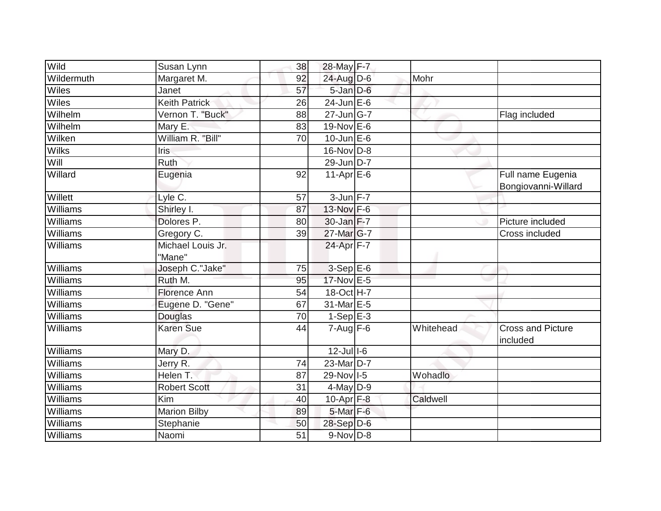| Wild       | Susan Lynn                  | 38 | 28-May F-7              |           |                                          |
|------------|-----------------------------|----|-------------------------|-----------|------------------------------------------|
| Wildermuth | Margaret M.                 | 92 | 24-Aug D-6              | Mohr      |                                          |
| Wiles      | Janet                       | 57 | 5-Jan D-6               |           |                                          |
| Wiles      | <b>Keith Patrick</b>        | 26 | $24$ -Jun $E$ -6        |           |                                          |
| Wilhelm    | Vernon T. "Buck"            | 88 | $27 - Jun$ G-7          |           | Flag included                            |
| Wilhelm    | Mary E.                     | 83 | 19-Nov E-6              |           |                                          |
| Wilken     | William R. "Bill"           | 70 | $10$ -Jun $E$ -6        |           |                                          |
| Wilks      | Iris                        |    | $16$ -Nov $ D-8$        |           |                                          |
| Will       | Ruth                        |    | 29-Jun D-7              |           |                                          |
| Willard    | Eugenia                     | 92 | $11-AprEE-6$            |           | Full name Eugenia<br>Bongiovanni-Willard |
| Willett    | Lyle C.                     | 57 | $3$ -Jun $F-7$          |           |                                          |
| Williams   | Shirley I.                  | 87 | 13-Nov F-6              |           |                                          |
| Williams   | Dolores <sub>P.</sub>       | 80 | $30$ -Jan $F-7$         |           | Picture included                         |
| Williams   | Gregory C.                  | 39 | 27-Mar G-7              |           | Cross included                           |
| Williams   | Michael Louis Jr.<br>"Mane" |    | 24-Apr F-7              |           |                                          |
| Williams   | Joseph C."Jake"             | 75 | $3-Sep$ E-6             |           |                                          |
| Williams   | Ruth M.                     | 95 | 17-Nov E-5              |           |                                          |
| Williams   | <b>Florence Ann</b>         | 54 | 18-Oct H-7              |           |                                          |
| Williams   | Eugene D. "Gene"            | 67 | 31-Mar E-5              |           |                                          |
| Williams   | Douglas                     | 70 | $1-Sep$ E-3             |           |                                          |
| Williams   | <b>Karen Sue</b>            | 44 | $7 - Aug$ $\boxed{F-6}$ | Whitehead | <b>Cross and Picture</b><br>included     |
| Williams   | Mary D.                     |    | $12$ -Jull-6            |           |                                          |
| Williams   | Jerry R.                    | 74 | 23-Mar D-7              |           |                                          |
| Williams   | Helen T.                    | 87 | 29-Nov 1-5              | Wohadlo   |                                          |
| Williams   | <b>Robert Scott</b>         | 31 | $4$ -May D-9            |           |                                          |
| Williams   | Kim                         | 40 | $10-Apr$ F-8            | Caldwell  |                                          |
| Williams   | <b>Marion Bilby</b>         | 89 | 5-Mar F-6               |           |                                          |
| Williams   | Stephanie                   | 50 | 28-Sep D-6              |           |                                          |
| Williams   | Naomi                       | 51 | 9-Nov D-8               |           |                                          |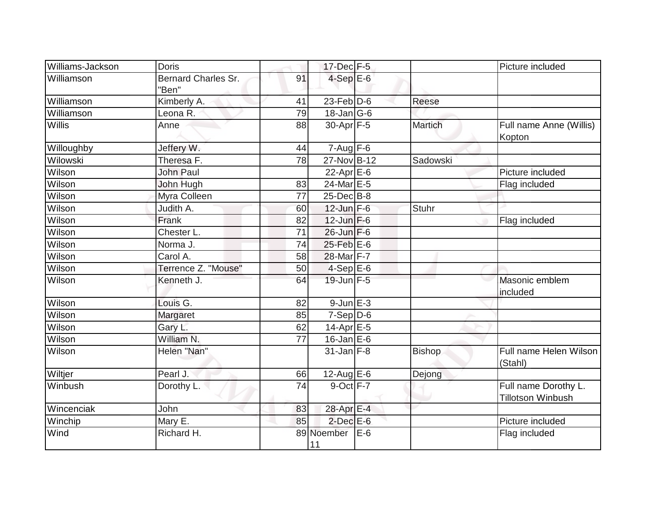| Williams-Jackson | <b>Doris</b>                        |                 | $17$ -Dec $F-5$         |     |                | Picture included                                 |
|------------------|-------------------------------------|-----------------|-------------------------|-----|----------------|--------------------------------------------------|
| Williamson       | <b>Bernard Charles Sr.</b><br>"Ben" | 91              | $4-SepE-6$              |     |                |                                                  |
| Williamson       | Kimberly A.                         | 41              | $23$ -Feb $D-6$         |     | Reese          |                                                  |
| Williamson       | Leona R.                            | 79              | $18$ -Jan $ G-6$        |     |                |                                                  |
| Willis           | Anne                                | 88              | 30-Apr F-5              |     | <b>Martich</b> | Full name Anne (Willis)<br>Kopton                |
| Willoughby       | Jeffery W.                          | 44              | $7 - Aug$ $\boxed{F-6}$ |     |                |                                                  |
| Wilowski         | Theresa F.                          | $\overline{78}$ | 27-Nov B-12             |     | Sadowski       |                                                  |
| Wilson           | <b>John Paul</b>                    |                 | 22-Apr E-6              |     |                | Picture included                                 |
| Wilson           | John Hugh                           | 83              | 24-Mar E-5              |     |                | Flag included                                    |
| Wilson           | Myra Colleen                        | 77              | 25-Dec B-8              |     |                |                                                  |
| Wilson           | Judith A.                           | 60              | $12$ -Jun $F-6$         |     | <b>Stuhr</b>   |                                                  |
| Wilson           | Frank                               | 82              | $12$ -Jun F-6           |     |                | Flag included                                    |
| Wilson           | Chester L.                          | 71              | 26-Jun F-6              |     |                |                                                  |
| Wilson           | Norma J.                            | 74              | 25-Feb E-6              |     |                |                                                  |
| Wilson           | Carol A.                            | 58              | 28-Mar F-7              |     |                |                                                  |
| Wilson           | Terrence Z. "Mouse"                 | 50              | $4-Sep E-6$             |     |                |                                                  |
| Wilson           | Kenneth J.                          | 64              | 19-Jun F-5              |     |                | Masonic emblem<br>included                       |
| Wilson           | Louis G.                            | 82              | $9$ -Jun $E-3$          |     |                |                                                  |
| Wilson           | Margaret                            | 85              | $7-Sep D-6$             |     |                |                                                  |
| Wilson           | Gary L.                             | 62              | $14$ -Apr $E-5$         |     |                |                                                  |
| Wilson           | William N.                          | 77              | $16$ -Jan E-6           |     |                |                                                  |
| Wilson           | Helen "Nan"                         |                 | $31$ -Jan F-8           |     | <b>Bishop</b>  | Full name Helen Wilson<br>(Stahl)                |
| Wiltjer          | Pearl J.                            | 66              | $12$ -Aug E-6           |     | Dejong         |                                                  |
| Winbush          | Dorothy L.                          | 74              | 9-Oct F-7               |     |                | Full name Dorothy L.<br><b>Tillotson Winbush</b> |
| Wincenciak       | John                                | 83              | 28-Apr E-4              |     |                |                                                  |
| Winchip          | Mary E.                             | 85              | $2$ -Dec $E$ -6         |     |                | Picture included                                 |
| Wind             | Richard H.                          |                 | 89 Noember<br>11        | E-6 |                | Flag included                                    |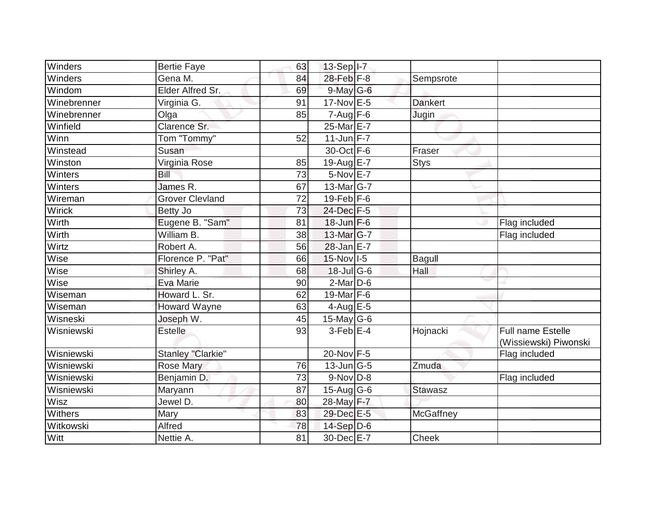| Winders     | <b>Bertie Faye</b>             | 63 | 13-Sep I-7                  |                  |                                            |
|-------------|--------------------------------|----|-----------------------------|------------------|--------------------------------------------|
| Winders     | Gena M.                        | 84 | 28-Feb F-8                  | Sempsrote        |                                            |
| Windom      | Elder Alfred Sr.               | 69 | $9$ -May G-6                |                  |                                            |
| Winebrenner | Virginia G.                    | 91 | 17-Nov E-5                  | <b>Dankert</b>   |                                            |
| Winebrenner | Olga                           | 85 | $7 - Aug$ $F-6$             | Jugin            |                                            |
| Winfield    | Clarence Sr.                   |    | 25-Mar E-7                  |                  |                                            |
| Winn        | Tom "Tommy"                    | 52 | $11$ -Jun $F-7$             |                  |                                            |
| Winstead    | Susan                          |    | 30-Oct F-6                  | Fraser           |                                            |
| Winston     | Virginia Rose                  | 85 | 19-Aug $E-7$                | <b>Stys</b>      |                                            |
| Winters     | Bill                           | 73 | 5-Nov E-7                   |                  |                                            |
| Winters     | James R.                       | 67 | 13-Mar G-7                  |                  |                                            |
| Wireman     | <b>Grover Clevland</b>         | 72 | $19$ -Feb $F-6$             |                  |                                            |
| Wirick      | Betty Jo                       | 73 | 24-Dec F-5                  |                  |                                            |
| Wirth       | Eugene B. "Sam"                | 81 | $18$ -Jun $F-6$             |                  | Flag included                              |
| Wirth       | $\overline{\text{William}}$ B. | 38 | 13-Mar G-7                  |                  | Flag included                              |
| Wirtz       | Robert A.                      | 56 | 28-Jan E-7                  |                  |                                            |
| Wise        | Florence P. "Pat"              | 66 | $15$ -Nov $ I-5 $           | Bagull           |                                            |
| Wise        | Shirley A.                     | 68 | 18-Jul G-6                  | Hall             |                                            |
| Wise        | Eva Marie                      | 90 | $2$ -Mar $D$ -6             |                  |                                            |
| Wiseman     | Howard L. Sr.                  | 62 | 19-Mar $F-6$                |                  |                                            |
| Wiseman     | <b>Howard Wayne</b>            | 63 | 4-Aug $E-5$                 |                  |                                            |
| Wisneski    | Joseph W.                      | 45 | 15-May G-6                  |                  |                                            |
| Wisniewski  | <b>Estelle</b>                 | 93 | $3$ -Feb $E-4$              | Hojnacki         | Full name Estelle<br>(Wissiewski) Piwonski |
| Wisniewski  | Stanley "Clarkie"              |    | 20-Nov F-5                  |                  | Flag included                              |
| Wisniewski  | Rose Mary                      | 76 | $13$ -Jun $\overline{G}$ -5 | Zmuda            |                                            |
| Wisniewski  | Benjamin D.                    | 73 | $9-Nov$ $D-8$               |                  | Flag included                              |
| Wisniewski  | Maryann                        | 87 | $15$ -Aug G-6               | <b>Stawasz</b>   |                                            |
| Wisz        | Jewel D.                       | 80 | 28-May F-7                  |                  |                                            |
| Withers     | Mary                           | 83 | 29-Dec E-5                  | <b>McGaffney</b> |                                            |
| Witkowski   | Alfred                         | 78 | 14-Sep D-6                  |                  |                                            |
| Witt        | Nettie A.                      | 81 | 30-Dec E-7                  | Cheek            |                                            |
|             |                                |    |                             |                  |                                            |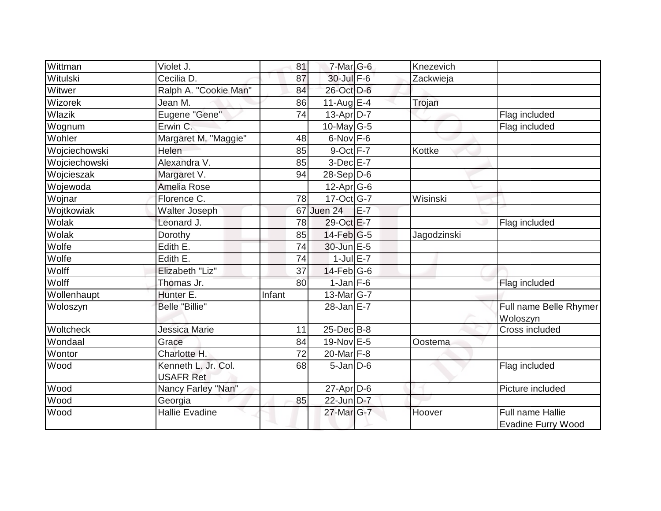| Wittman       | Violet J.                               | 81              | $7$ -Mar $ G-6$        |       | Knezevich   |                                               |
|---------------|-----------------------------------------|-----------------|------------------------|-------|-------------|-----------------------------------------------|
| Witulski      | Cecilia D.                              | 87              | 30-Jul F-6             |       | Zackwieja   |                                               |
| Witwer        | Ralph A. "Cookie Man"                   | 84              | 26-Oct D-6             |       |             |                                               |
| Wizorek       | Jean M.                                 | 86              | 11-Aug $E-4$           |       | Trojan      |                                               |
| Wlazik        | Eugene "Gene"                           | 74              | $13-Apr\overline{D-7}$ |       |             | Flag included                                 |
| Wognum        | Erwin C.                                |                 | $10$ -May G-5          |       |             | Flag included                                 |
| Wohler        | Margaret M. "Maggie"                    | 48              | 6-Nov F-6              |       |             |                                               |
| Wojciechowski | Helen                                   | 85              | $9$ -Oct $F - 7$       |       | Kottke      |                                               |
| Wojciechowski | Alexandra V.                            | 85              | 3-Dec E-7              |       |             |                                               |
| Wojcieszak    | Margaret V.                             | 94              | 28-Sep D-6             |       |             |                                               |
| Wojewoda      | Amelia Rose                             |                 | 12-Apr G-6             |       |             |                                               |
| Wojnar        | Florence C.                             | 78              | $17-Oct$ G-7           |       | Wisinski    |                                               |
| Wojtkowiak    | Walter Joseph                           | 67              | Juen 24                | $E-7$ |             |                                               |
| Wolak         | Leonard J.                              | 78              | 29-Oct E-7             |       |             | Flag included                                 |
| Wolak         | Dorothy                                 | 85              | $14$ -Feb $ G-5$       |       | Jagodzinski |                                               |
| Wolfe         | Edith E.                                | 74              | 30-Jun E-5             |       |             |                                               |
| Wolfe         | Edith E.                                | $\overline{74}$ | $1$ -Jul $E$ -7        |       |             |                                               |
| Wolff         | Elizabeth "Liz"                         | 37              | $14$ -Feb $ G-6$       |       |             |                                               |
| Wolff         | Thomas Jr.                              | 80              | $1$ -Jan $F-6$         |       |             | Flag included                                 |
| Wollenhaupt   | Hunter E.                               | Infant          | $13$ -Mar $ G-7 $      |       |             |                                               |
| Woloszyn      | <b>Belle "Billie"</b>                   |                 | $28$ -Jan $E$ -7       |       |             | Full name Belle Rhymer<br>Woloszyn            |
| Woltcheck     | Jessica Marie                           | 11              | 25-Dec B-8             |       |             | Cross included                                |
| Wondaal       | Grace                                   | 84              | 19-Nov E-5             |       | Oostema     |                                               |
| Wontor        | Charlotte H.                            | 72              | 20-Mar F-8             |       |             |                                               |
| Wood          | Kenneth L. Jr. Col.<br><b>USAFR Ret</b> | 68              | $5$ -Jan $D$ -6        |       |             | Flag included                                 |
| Wood          | Nancy Farley "Nan"                      |                 | $27$ -Apr $D$ -6       |       |             | Picture included                              |
| Wood          | Georgia                                 | 85              | 22-Jun D-7             |       |             |                                               |
| Wood          | <b>Hallie Evadine</b>                   |                 | 27-Mar G-7             |       | Hoover      | Full name Hallie<br><b>Evadine Furry Wood</b> |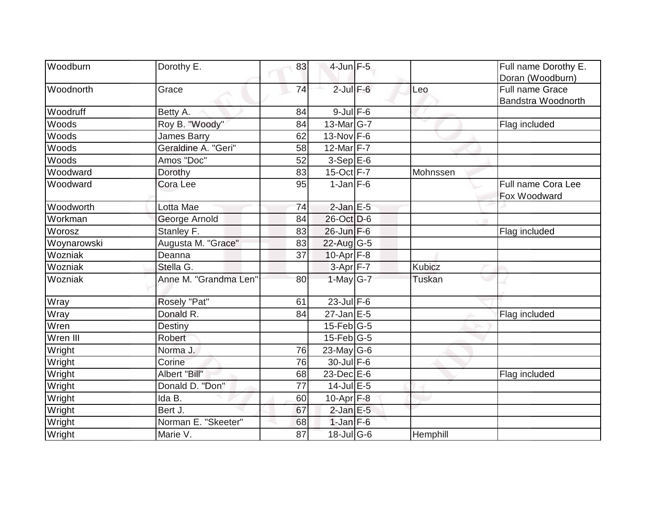| Woodburn    | Dorothy E.            | 83 | 4-Jun F-5                   |               | Full name Dorothy E.      |
|-------------|-----------------------|----|-----------------------------|---------------|---------------------------|
|             |                       |    |                             |               | Doran (Woodburn)          |
| Woodnorth   | Grace                 | 74 | $2$ -Jul $F-6$              | Leo           | Full name Grace           |
|             |                       |    |                             |               | <b>Bandstra Woodnorth</b> |
| Woodruff    | Betty A.              | 84 | $9$ -Jul $F$ -6             |               |                           |
| Woods       | Roy B. "Woody"        | 84 | 13-Mar G-7                  |               | Flag included             |
| Woods       | <b>James Barry</b>    | 62 | $13-Nov$ F-6                |               |                           |
| Woods       | Geraldine A. "Geri"   | 58 | 12-Mar F-7                  |               |                           |
| Woods       | Amos "Doc"            | 52 | $3-Sep$ $E-6$               |               |                           |
| Woodward    | Dorothy               | 83 | $15$ -Oct $\overline{F}$ -7 | Mohnssen      |                           |
| Woodward    | Cora Lee              | 95 | $1$ -Jan $ F-6 $            |               | Full name Cora Lee        |
|             |                       |    |                             |               | Fox Woodward              |
| Woodworth   | Lotta Mae             | 74 | $2$ -Jan E-5                |               |                           |
| Workman     | George Arnold         | 84 | 26-Oct D-6                  |               |                           |
| Worosz      | Stanley F.            | 83 | $26$ -Jun F-6               |               | Flag included             |
| Woynarowski | Augusta M. "Grace"    | 83 | $22$ -Aug $G-5$             |               |                           |
| Wozniak     | Deanna                | 37 | $10$ -Apr $F-8$             |               |                           |
| Wozniak     | Stella G.             |    | $3-Apr$ F-7                 | <b>Kubicz</b> |                           |
| Wozniak     | Anne M. "Grandma Len" | 80 | 1-May $G-7$                 | <b>Tuskan</b> |                           |
| Wray        | Rosely "Pat"          | 61 | $23$ -Jul F-6               |               |                           |
| Wray        | Donald R.             | 84 | $27$ -Jan E-5               |               | Flag included             |
| Wren        | Destiny               |    | $15$ -Feb $ G-5$            |               |                           |
| Wren III    | Robert                |    | 15-Feb G-5                  |               |                           |
| Wright      | Norma J.              | 76 | 23-May G-6                  |               |                           |
| Wright      | Corine                | 76 | $30$ -Jul F-6               |               |                           |
| Wright      | Albert "Bill"         | 68 | $23$ -Dec $E$ -6            |               | Flag included             |
| Wright      | Donald D. "Don"       | 77 | $14$ -Jul $E$ -5            |               |                           |
| Wright      | Ida B.                | 60 | 10-Apr $F-8$                |               |                           |
| Wright      | Bert J.               | 67 | $2$ -Jan $E$ -5             |               |                           |
| Wright      | Norman E. "Skeeter"   | 68 | $1$ -Jan $F-6$              |               |                           |
| Wright      | Marie V.              | 87 | $18$ -Jul G-6               | Hemphill      |                           |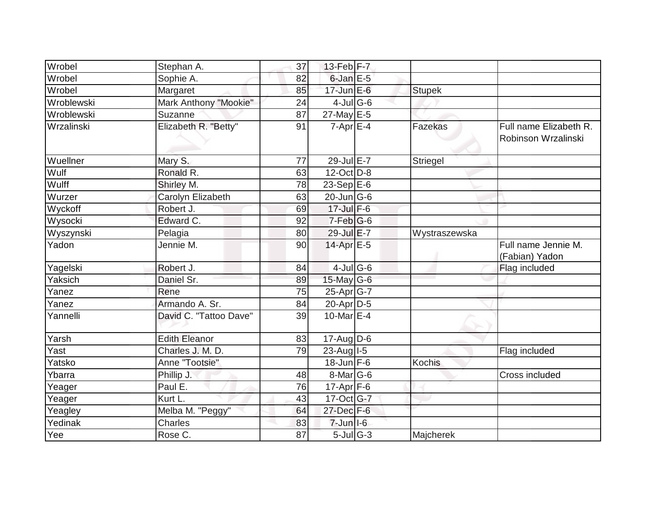| Wrobel     | Stephan A.             | 37 | 13-Feb $F-7$       |               |                                               |
|------------|------------------------|----|--------------------|---------------|-----------------------------------------------|
| Wrobel     | Sophie A.              | 82 | $6$ -Jan $E$ -5    |               |                                               |
| Wrobel     | Margaret               | 85 | $17$ -Jun $E-6$    | <b>Stupek</b> |                                               |
| Wroblewski | Mark Anthony "Mookie"  | 24 | $4$ -JulG-6        |               |                                               |
| Wroblewski | Suzanne                | 87 | $27$ -May E-5      |               |                                               |
| Wrzalinski | Elizabeth R. "Betty"   | 91 | $7-Apr$ $E-4$      | Fazekas       | Full name Elizabeth R.<br>Robinson Wrzalinski |
| Wuellner   | Mary S.                | 77 | 29-Jul E-7         | Striegel      |                                               |
| Wulf       | Ronald R.              | 63 | 12-Oct D-8         |               |                                               |
| Wulff      | Shirley M.             | 78 | $23-Sep$ E-6       |               |                                               |
| Wurzer     | Carolyn Elizabeth      | 63 | $20$ -Jun $ G-6$   |               |                                               |
| Wyckoff    | Robert J.              | 69 | $17 -$ Jul $F - 6$ |               |                                               |
| Wysocki    | Edward C.              | 92 | 7-Feb G-6          |               |                                               |
| Wyszynski  | Pelagia                | 80 | 29-Jul E-7         | Wystraszewska |                                               |
| Yadon      | Jennie M.              | 90 | $14$ -Apr $E-5$    |               | Full name Jennie M.<br>(Fabian) Yadon         |
| Yagelski   | Robert J.              | 84 | $4$ -Jul G-6       |               | Flag included                                 |
| Yaksich    | Daniel Sr.             | 89 | 15-May G-6         |               |                                               |
| Yanez      | Rene                   | 75 | 25-Apr G-7         |               |                                               |
| Yanez      | Armando A. Sr.         | 84 | $20 - Apr$ D-5     |               |                                               |
| Yannelli   | David C. "Tattoo Dave" | 39 | 10-Mar $E-4$       |               |                                               |
| Yarsh      | Edith Eleanor          | 83 | $17$ -Aug D-6      |               |                                               |
| Yast       | Charles J. M. D.       | 79 | $23$ -Aug $I - 5$  |               | Flag included                                 |
| Yatsko     | Anne "Tootsie"         |    | $18$ -Jun F-6      | Kochis        |                                               |
| Ybarra     | Phillip J.             | 48 | $8$ -Mar $ G$ -6   |               | Cross included                                |
| Yeager     | Paul E.                | 76 | $17$ -Apr $F-6$    |               |                                               |
| Yeager     | Kurt L.                | 43 | 17-Oct G-7         |               |                                               |
| Yeagley    | Melba M. "Peggy"       | 64 | 27-Dec F-6         |               |                                               |
| Yedinak    | <b>Charles</b>         | 83 | $7$ -Jun $ I$ -6   |               |                                               |
| Yee        | Rose C.                | 87 | $5$ -Jul G-3       | Majcherek     |                                               |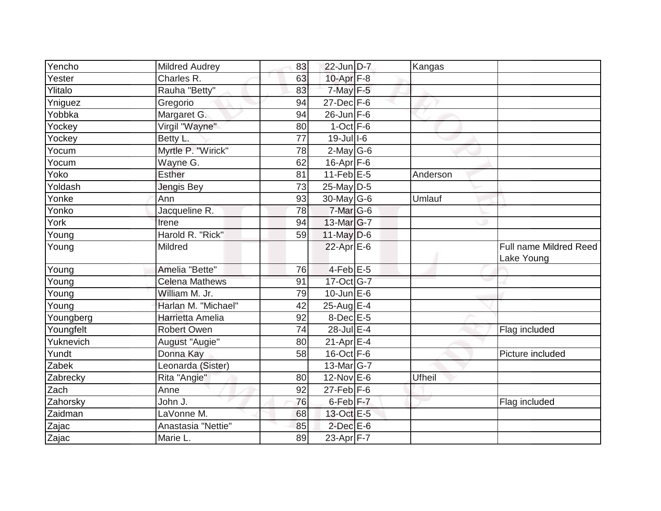| Yencho    | <b>Mildred Audrey</b> | 83              | 22-Jun D-7           | Kangas        |                                      |
|-----------|-----------------------|-----------------|----------------------|---------------|--------------------------------------|
| Yester    | Charles R.            | 63              | 10-Apr F-8           |               |                                      |
| Ylitalo   | Rauha "Betty"         | 83              | $7$ -May $F-5$       |               |                                      |
| Yniguez   | Gregorio              | 94              | $27$ -Dec $F-6$      |               |                                      |
| Yobbka    | Margaret G            | 94              | $26$ -Jun F-6        |               |                                      |
| Yockey    | Virgil "Wayne"        | 80              | $1-Oct$ F-6          |               |                                      |
| Yockey    | Betty L.              | 77              | $19 -$ Jull-6        |               |                                      |
| Yocum     | Myrtle P. "Wirick"    | $\overline{78}$ | $2$ -May G-6         |               |                                      |
| Yocum     | Wayne G.              | 62              | $16$ -Apr $F$ -6     |               |                                      |
| Yoko      | <b>Esther</b>         |                 | $11$ -Feb $E$ -5     |               |                                      |
| Yoldash   |                       | 81              | 25-May D-5           | Anderson      |                                      |
|           | Jengis Bey            | 73              |                      |               |                                      |
| Yonke     | Ann                   | 93              | 30-May G-6           | Umlauf        |                                      |
| Yonko     | Jacqueline R.         | 78              | 7-Mar G-6            |               |                                      |
| York      | Irene                 | 94              | $13$ -Mar $ G-7 $    |               |                                      |
| Young     | Harold R. "Rick"      | 59              | $11$ -May D-6        |               |                                      |
| Young     | Mildred               |                 | $22$ -Apr $E$ -6     |               | Full name Mildred Reed<br>Lake Young |
| Young     | Amelia "Bette"        | 76              | $4$ -Feb $E$ -5      |               |                                      |
| Young     | <b>Celena Mathews</b> | 91              | 17-Oct G-7           |               |                                      |
| Young     | William M. Jr.        | 79              | $10$ -Jun $E$ -6     |               |                                      |
| Young     | Harlan M. "Michael"   | 42              | 25-Aug $E-4$         |               |                                      |
| Youngberg | Harrietta Amelia      | 92              | 8-Dec E-5            |               |                                      |
| Youngfelt | <b>Robert Owen</b>    | 74              | 28-Jul E-4           |               | Flag included                        |
| Yuknevich | August "Augie"        | 80              | $21-Apr$ $E-4$       |               |                                      |
| Yundt     | Donna Kay             | 58              | $16$ -Oct $F - 6$    |               | Picture included                     |
| Zabek     | Leonarda (Sister)     |                 | 13-Mar G-7           |               |                                      |
| Zabrecky  | Rita "Angie"          | 80              | 12-Nov E-6           | <b>Ufheil</b> |                                      |
| Zach      | Anne                  | 92              | $27$ -Feb $ F-6$     |               |                                      |
| Zahorsky  | John J.               | 76              | 6-Feb <sup>F-7</sup> |               | Flag included                        |
| Zaidman   | LaVonne M.            | 68              | 13-Oct E-5           |               |                                      |
| Zajac     | Anastasia "Nettie"    | 85              | $2$ -Dec $E$ -6      |               |                                      |
| Zajac     | Marie L.              | 89              | 23-Apr F-7           |               |                                      |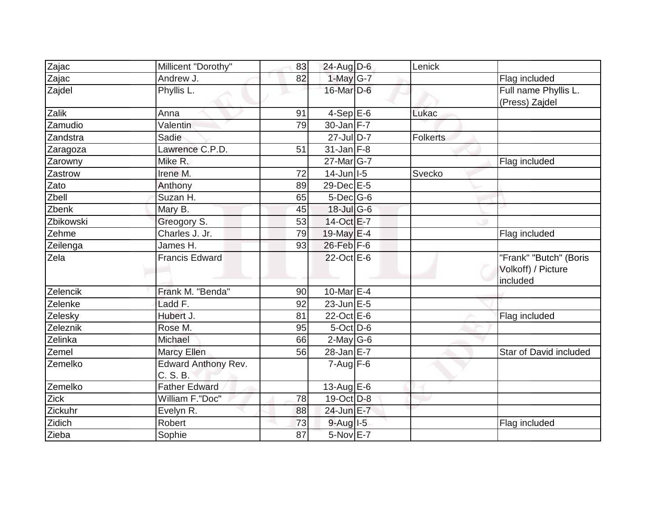| Zajac     | Millicent "Dorothy"             | 83 | 24-Aug D-6        | Lenick          |                                              |
|-----------|---------------------------------|----|-------------------|-----------------|----------------------------------------------|
| Zajac     | Andrew J.                       | 82 | 1-May G-7         |                 | Flag included                                |
| Zajdel    | Phyllis L.                      |    | $16$ -Mar $D-6$   |                 | Full name Phyllis L.                         |
|           |                                 |    |                   |                 | (Press) Zajdel                               |
| Zalik     | Anna                            | 91 | $4-Sep$ E-6       | Lukac           |                                              |
| Zamudio   | Valentin                        | 79 | $30$ -Jan F-7     |                 |                                              |
| Zandstra  | Sadie                           |    | 27-Jul D-7        | <b>Folkerts</b> |                                              |
| Zaragoza  | Lawrence C.P.D.                 | 51 | $31$ -Jan F-8     |                 |                                              |
| Zarowny   | Mike R.                         |    | 27-Mar G-7        |                 | Flag included                                |
| Zastrow   | Irene M.                        | 72 | $14$ -Jun $ I-5 $ | Svecko          |                                              |
| Zato      | Anthony                         | 89 | 29-Dec E-5        |                 |                                              |
| Zbell     | Suzan H.                        | 65 | $5$ -Dec $G$ -6   |                 |                                              |
| Zbenk     | Mary B.                         | 45 | 18-Jul G-6        |                 |                                              |
| Zbikowski | Greogory S.                     | 53 | 14-Oct E-7        |                 |                                              |
| Zehme     | Charles J. Jr.                  | 79 | 19-May $E-4$      |                 | Flag included                                |
| Zeilenga  | James H.                        | 93 | 26-Feb F-6        |                 |                                              |
| Zela      | <b>Francis Edward</b>           |    | 22-Oct E-6        |                 | "Frank" "Butch" (Boris<br>Volkoff) / Picture |
|           |                                 |    |                   |                 | included                                     |
| Zelencik  | Frank M. "Benda"                | 90 | 10-Mar $E-4$      |                 |                                              |
| Zelenke   | Ladd F.                         | 92 | $23$ -Jun $E - 5$ |                 |                                              |
| Zelesky   | Hubert J.                       | 81 | $22$ -Oct $E-6$   |                 | Flag included                                |
| Zeleznik  | Rose M.                         | 95 | $5$ -Oct $D$ -6   |                 |                                              |
| Zelinka   | Michael                         | 66 | $2$ -May G-6      |                 |                                              |
| Zemel     | <b>Marcy Ellen</b>              | 56 | $28$ -Jan $E-7$   |                 | Star of David included                       |
| Zemelko   | Edward Anthony Rev.<br>C. S. B. |    | $7 - Aug$ $F-6$   |                 |                                              |
| Zemelko   | <b>Father Edward</b>            |    | 13-Aug $E-6$      |                 |                                              |
| Zick      | William F."Doc"                 | 78 | 19-Oct D-8        |                 |                                              |
| Zickuhr   | Evelyn R.                       | 88 | 24-Jun E-7        |                 |                                              |
| Zidich    | Robert                          | 73 | $9$ -Aug I-5      |                 | Flag included                                |
| Zieba     | Sophie                          | 87 | 5-Nov E-7         |                 |                                              |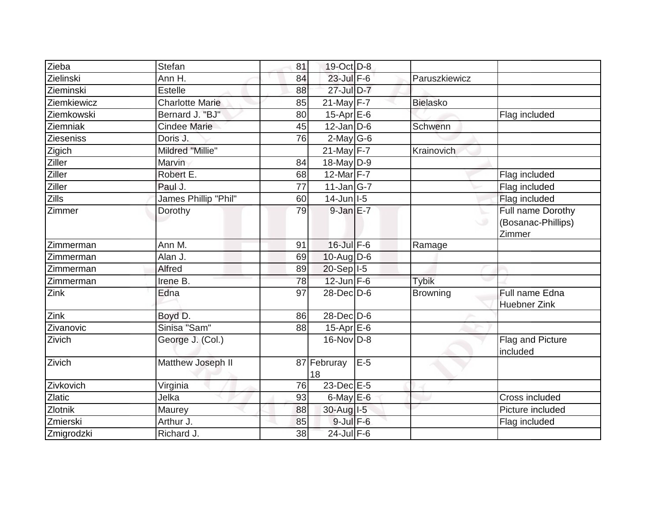| Zieba         | Stefan                 | 81 | 19-Oct D-8        |       |                 |                                                   |
|---------------|------------------------|----|-------------------|-------|-----------------|---------------------------------------------------|
| Zielinski     | Ann H.                 | 84 | 23-Jul F-6        |       | Paruszkiewicz   |                                                   |
| Zieminski     | <b>Estelle</b>         | 88 | 27-Jul D-7        |       |                 |                                                   |
| Ziemkiewicz   | <b>Charlotte Marie</b> | 85 | 21-May $F-7$      |       | <b>Bielasko</b> |                                                   |
| Ziemkowski    | Bernard J. "BJ"        | 80 | $15-Apr$ $E-6$    |       |                 | Flag included                                     |
| Ziemniak      | <b>Cindee Marie</b>    | 45 | $12$ -Jan D-6     |       | Schwenn         |                                                   |
| Zieseniss     | Doris J.               | 76 | $2$ -May G-6      |       |                 |                                                   |
| Zigich        | Mildred "Millie"       |    | $21$ -May $F-7$   |       | Krainovich      |                                                   |
| Ziller        | Marvin                 | 84 | $18$ -May D-9     |       |                 |                                                   |
| Ziller        | Robert E.              | 68 | 12-Mar $F-7$      |       |                 | Flag included                                     |
| <b>Ziller</b> | Paul J.                | 77 | $11$ -Jan $ G-7 $ |       |                 | Flag included                                     |
| <b>Zills</b>  | James Phillip "Phil"   | 60 | $14$ -Jun   I-5   |       |                 | Flag included                                     |
| Zimmer        | Dorothy                | 79 | $9$ -Jan $E-7$    |       |                 | Full name Dorothy<br>(Bosanac-Phillips)<br>Zimmer |
| Zimmerman     | Ann M.                 | 91 | $16$ -Jul $F-6$   |       | Ramage          |                                                   |
| Zimmerman     | Alan J.                | 69 | 10-Aug $D-6$      |       |                 |                                                   |
| Zimmerman     | Alfred                 | 89 | 20-Sep I-5        |       |                 |                                                   |
| Zimmerman     | Irene B.               | 78 | $12$ -Jun F-6     |       | <b>Tybik</b>    |                                                   |
| Zink          | Edna                   | 97 | 28-Dec D-6        |       | <b>Browning</b> | Full name Edna<br>Huebner Zink                    |
| Zink          | Boyd D.                | 86 | 28-Dec D-6        |       |                 |                                                   |
| Zivanovic     | Sinisa "Sam"           | 88 | $15-Apr$ $E-6$    |       |                 |                                                   |
| Zivich        | George J. (Col.)       |    | 16-Nov D-8        |       |                 | Flag and Picture<br>included                      |
| Zivich        | Matthew Joseph II      |    | 87 Februray<br>18 | $E-5$ |                 |                                                   |
| Zivkovich     | Virginia               | 76 | $23$ -Dec $E-5$   |       |                 |                                                   |
| <b>Zlatic</b> | Jelka                  | 93 | $6$ -May $E$ -6   |       |                 | Cross included                                    |
| Zlotnik       | Maurey                 | 88 | 30-Aug I-5        |       |                 | Picture included                                  |
| Zmierski      | Arthur J.              | 85 | $9$ -Jul $F-6$    |       |                 | Flag included                                     |
| Zmigrodzki    | Richard J.             | 38 | 24-Jul F-6        |       |                 |                                                   |